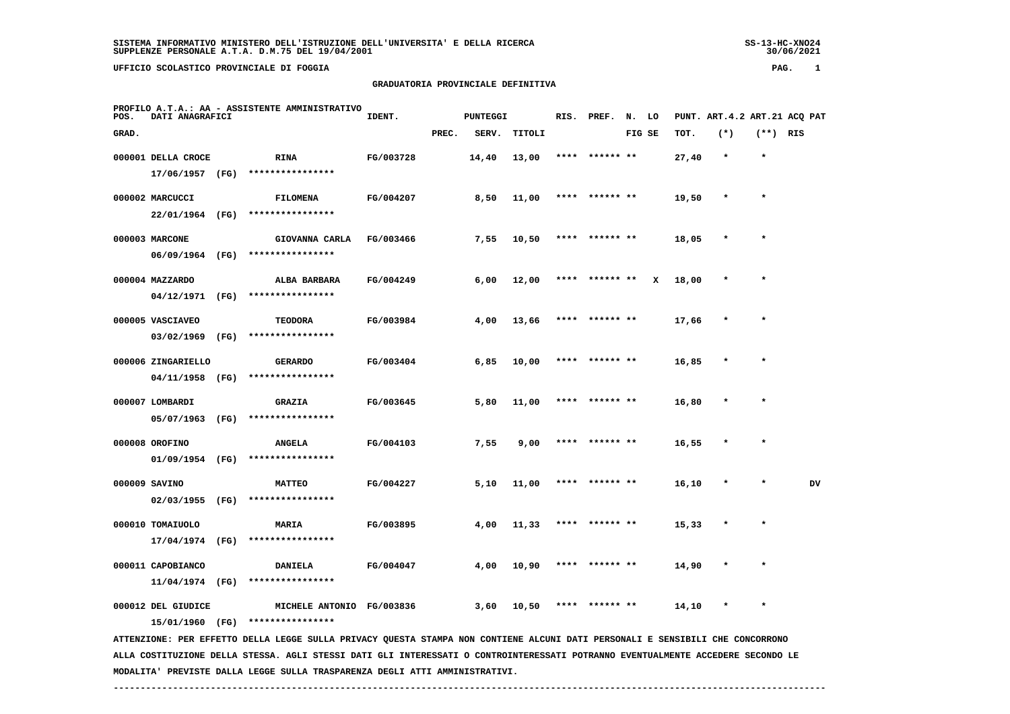### **UFFICIO SCOLASTICO PROVINCIALE DI FOGGIA PAG. 1**

### **GRADUATORIA PROVINCIALE DEFINITIVA**

| POS.  | PROFILO A.T.A.: AA - ASSISTENTE AMMINISTRATIVO<br>DATI ANAGRAFICI | IDENT. |                                    | <b>PUNTEGGI</b> |       | RIS.  | PREF.  | N. LO |                |        | PUNT. ART. 4.2 ART. 21 ACO PAT |       |           |            |    |
|-------|-------------------------------------------------------------------|--------|------------------------------------|-----------------|-------|-------|--------|-------|----------------|--------|--------------------------------|-------|-----------|------------|----|
| GRAD. |                                                                   |        |                                    |                 | PREC. | SERV. | TITOLI |       |                | FIG SE |                                | TOT.  | $(*)$     | $(**)$ RIS |    |
|       | 000001 DELLA CROCE                                                |        | <b>RINA</b>                        | FG/003728       |       | 14,40 | 13,00  |       | **** ****** ** |        |                                | 27,40 | $\star$   | $\star$    |    |
|       | 17/06/1957 (FG)                                                   |        | ****************                   |                 |       |       |        |       |                |        |                                |       |           |            |    |
|       | 000002 MARCUCCI                                                   |        | <b>FILOMENA</b>                    | FG/004207       |       | 8,50  | 11,00  |       | **** ****** ** |        |                                | 19,50 | $\star$   | $\star$    |    |
|       | 22/01/1964 (FG)                                                   |        | ****************                   |                 |       |       |        |       |                |        |                                |       |           |            |    |
|       | 000003 MARCONE                                                    |        | GIOVANNA CARLA                     | FG/003466       |       | 7,55  | 10,50  |       | **** ****** ** |        |                                | 18,05 | $\star$   | $\star$    |    |
|       | 06/09/1964 (FG)                                                   |        | ****************                   |                 |       |       |        |       |                |        |                                |       |           |            |    |
|       | 000004 MAZZARDO                                                   |        | ALBA BARBARA                       | FG/004249       |       | 6,00  | 12,00  | ****  | ****** **      |        | x                              | 18,00 |           | $\star$    |    |
|       | 04/12/1971 (FG)                                                   |        | ****************                   |                 |       |       |        |       |                |        |                                |       |           |            |    |
|       |                                                                   |        |                                    |                 |       |       |        |       | **** ****** ** |        |                                |       | $\star$   | $\star$    |    |
|       | 000005 VASCIAVEO<br>03/02/1969                                    | (FG)   | <b>TEODORA</b><br>**************** | FG/003984       |       | 4,00  | 13,66  |       |                |        |                                | 17,66 |           |            |    |
|       |                                                                   |        |                                    |                 |       |       |        |       |                |        |                                |       |           |            |    |
|       | 000006 ZINGARIELLO                                                |        | <b>GERARDO</b>                     | FG/003404       |       | 6,85  | 10,00  | ****  | ****** **      |        |                                | 16,85 | $\ast$    | $\star$    |    |
|       | 04/11/1958                                                        | (FG)   | ****************                   |                 |       |       |        |       |                |        |                                |       |           |            |    |
|       | 000007 LOMBARDI                                                   |        | <b>GRAZIA</b>                      | FG/003645       |       | 5,80  | 11,00  |       | ****** **      |        |                                | 16,80 |           |            |    |
|       | 05/07/1963 (FG)                                                   |        | ****************                   |                 |       |       |        |       |                |        |                                |       |           |            |    |
|       | 000008 OROFINO                                                    |        | <b>ANGELA</b>                      | FG/004103       |       | 7,55  | 9,00   |       | ****** **      |        |                                | 16,55 |           |            |    |
|       | 01/09/1954 (FG)                                                   |        | ****************                   |                 |       |       |        |       |                |        |                                |       |           |            |    |
|       | 000009 SAVINO                                                     |        | <b>MATTEO</b>                      | FG/004227       |       | 5,10  | 11,00  | ****  | ****** **      |        |                                | 16,10 | $\ast$    | $\star$    | DV |
|       | 02/03/1955                                                        | (FG)   | ****************                   |                 |       |       |        |       |                |        |                                |       |           |            |    |
|       | 000010 TOMAIUOLO                                                  |        | MARIA                              | FG/003895       |       | 4,00  | 11,33  |       | **** ****** ** |        |                                | 15,33 | $\star$   | $\star$    |    |
|       | 17/04/1974 (FG)                                                   |        | ****************                   |                 |       |       |        |       |                |        |                                |       |           |            |    |
|       |                                                                   |        |                                    |                 |       |       |        |       |                |        |                                |       |           |            |    |
|       | 000011 CAPOBIANCO                                                 |        | <b>DANIELA</b>                     | FG/004047       |       | 4,00  | 10,90  | ****  | ****** **      |        |                                | 14,90 | $\pmb{*}$ | $\star$    |    |
|       | $11/04/1974$ (FG)                                                 |        | ****************                   |                 |       |       |        |       |                |        |                                |       |           |            |    |
|       | 000012 DEL GIUDICE                                                |        | MICHELE ANTONIO FG/003836          |                 |       | 3,60  | 10,50  |       | **** ****** ** |        |                                | 14,10 | $\star$   | $\star$    |    |
|       | 15/01/1960 (FG)                                                   |        | ****************                   |                 |       |       |        |       |                |        |                                |       |           |            |    |

 **ATTENZIONE: PER EFFETTO DELLA LEGGE SULLA PRIVACY QUESTA STAMPA NON CONTIENE ALCUNI DATI PERSONALI E SENSIBILI CHE CONCORRONO ALLA COSTITUZIONE DELLA STESSA. AGLI STESSI DATI GLI INTERESSATI O CONTROINTERESSATI POTRANNO EVENTUALMENTE ACCEDERE SECONDO LE MODALITA' PREVISTE DALLA LEGGE SULLA TRASPARENZA DEGLI ATTI AMMINISTRATIVI.**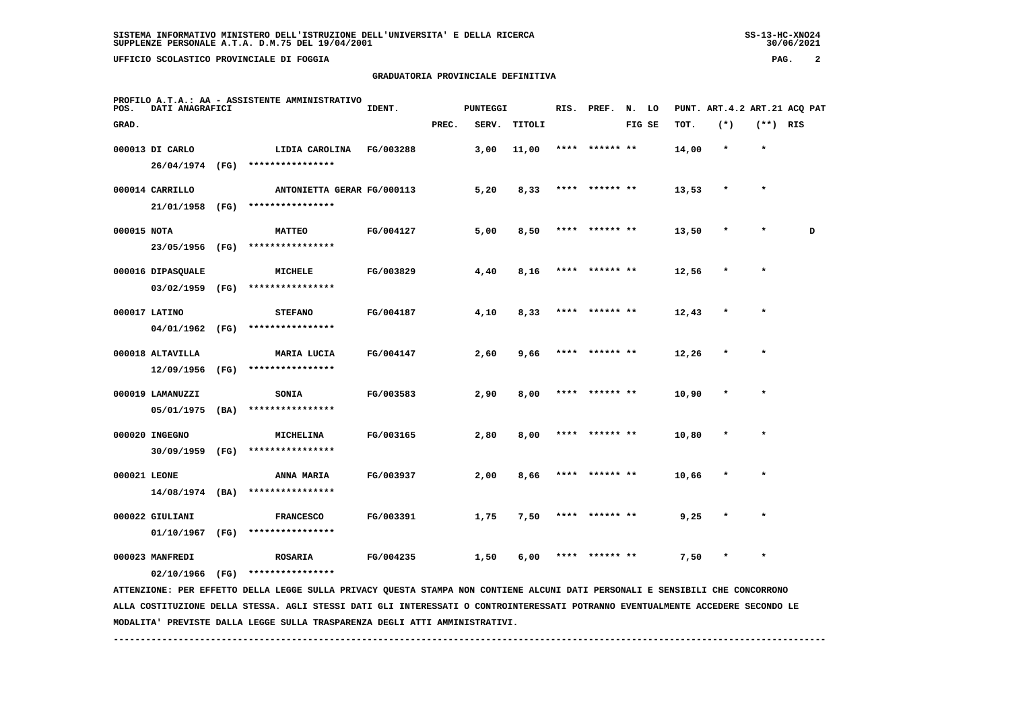### **GRADUATORIA PROVINCIALE DEFINITIVA**

| PAG. |  |
|------|--|
|------|--|

| POS.         | DATI ANAGRAFICI   |      | PROFILO A.T.A.: AA - ASSISTENTE AMMINISTRATIVO                                                                                | IDENT.    |       | <b>PUNTEGGI</b> |               |      | RIS. PREF. | N. LO  |       | PUNT. ART. 4.2 ART. 21 ACO PAT |            |   |
|--------------|-------------------|------|-------------------------------------------------------------------------------------------------------------------------------|-----------|-------|-----------------|---------------|------|------------|--------|-------|--------------------------------|------------|---|
| GRAD.        |                   |      |                                                                                                                               |           | PREC. | SERV.           | <b>TITOLI</b> |      |            | FIG SE | TOT.  | $(*)$                          | $(**)$ RIS |   |
|              | 000013 DI CARLO   |      | LIDIA CAROLINA                                                                                                                | FG/003288 |       | 3,00            | 11,00         | **** | ****** **  |        | 14,00 | $\star$                        |            |   |
|              | 26/04/1974 (FG)   |      | ****************                                                                                                              |           |       |                 |               |      |            |        |       |                                |            |   |
|              | 000014 CARRILLO   |      | ANTONIETTA GERAR FG/000113                                                                                                    |           |       | 5,20            | 8,33          |      | ****** **  |        | 13,53 |                                |            |   |
|              | 21/01/1958        | (FG) | ****************                                                                                                              |           |       |                 |               |      |            |        |       |                                |            |   |
| 000015 NOTA  |                   |      | <b>MATTEO</b>                                                                                                                 | FG/004127 |       | 5,00            | 8,50          |      | ****** **  |        | 13,50 |                                |            | D |
|              | 23/05/1956        | (FG) | ****************                                                                                                              |           |       |                 |               |      |            |        |       |                                |            |   |
|              | 000016 DIPASQUALE |      | MICHELE                                                                                                                       | FG/003829 |       | 4,40            | 8,16          |      | ****** **  |        | 12,56 | $\star$                        |            |   |
|              | 03/02/1959        | (FG) | ****************                                                                                                              |           |       |                 |               |      |            |        |       |                                |            |   |
|              | 000017 LATINO     |      | <b>STEFANO</b>                                                                                                                | FG/004187 |       | 4,10            | 8,33          |      | ****** **  |        | 12,43 |                                | $\star$    |   |
|              | 04/01/1962        | (FG) | ****************                                                                                                              |           |       |                 |               |      |            |        |       |                                |            |   |
|              | 000018 ALTAVILLA  |      | MARIA LUCIA                                                                                                                   | FG/004147 |       | 2,60            | 9,66          | **** | ****** **  |        | 12,26 | $\pmb{\ast}$                   | $\star$    |   |
|              | 12/09/1956        | (FG) | ****************                                                                                                              |           |       |                 |               |      |            |        |       |                                |            |   |
|              | 000019 LAMANUZZI  |      | <b>SONIA</b>                                                                                                                  | FG/003583 |       | 2,90            | 8,00          | **** | ****** **  |        | 10,90 | $\star$                        | $\star$    |   |
|              | 05/01/1975        | (BA) | ****************                                                                                                              |           |       |                 |               |      |            |        |       |                                |            |   |
|              | 000020 INGEGNO    |      | MICHELINA                                                                                                                     | FG/003165 |       | 2,80            | 8,00          | **** | ****** **  |        | 10,80 | $\star$                        | $\star$    |   |
|              | 30/09/1959        | (FG) | ****************                                                                                                              |           |       |                 |               |      |            |        |       |                                |            |   |
| 000021 LEONE |                   |      | <b>ANNA MARIA</b>                                                                                                             | FG/003937 |       | 2,00            | 8,66          | **** | ****** **  |        | 10,66 |                                | $\star$    |   |
|              | 14/08/1974        | (BA) | ****************                                                                                                              |           |       |                 |               |      |            |        |       |                                |            |   |
|              | 000022 GIULIANI   |      | <b>FRANCESCO</b>                                                                                                              | FG/003391 |       | 1,75            | 7,50          |      | ****** **  |        | 9,25  |                                |            |   |
|              | 01/10/1967        | (FG) | ****************                                                                                                              |           |       |                 |               |      |            |        |       |                                |            |   |
|              | 000023 MANFREDI   |      | <b>ROSARIA</b>                                                                                                                | FG/004235 |       | 1,50            | 6,00          |      | ****** **  |        | 7,50  |                                | $\star$    |   |
|              | 02/10/1966        | (FG) | ****************                                                                                                              |           |       |                 |               |      |            |        |       |                                |            |   |
|              |                   |      | ATTENZIONE: PER EFFETTO DELLA LEGGE SULLA PRIVACY QUESTA STAMPA NON CONTIENE ALCUNI DATI PERSONALI E SENSIBILI CHE CONCORRONO |           |       |                 |               |      |            |        |       |                                |            |   |

 **ALLA COSTITUZIONE DELLA STESSA. AGLI STESSI DATI GLI INTERESSATI O CONTROINTERESSATI POTRANNO EVENTUALMENTE ACCEDERE SECONDO LE MODALITA' PREVISTE DALLA LEGGE SULLA TRASPARENZA DEGLI ATTI AMMINISTRATIVI.**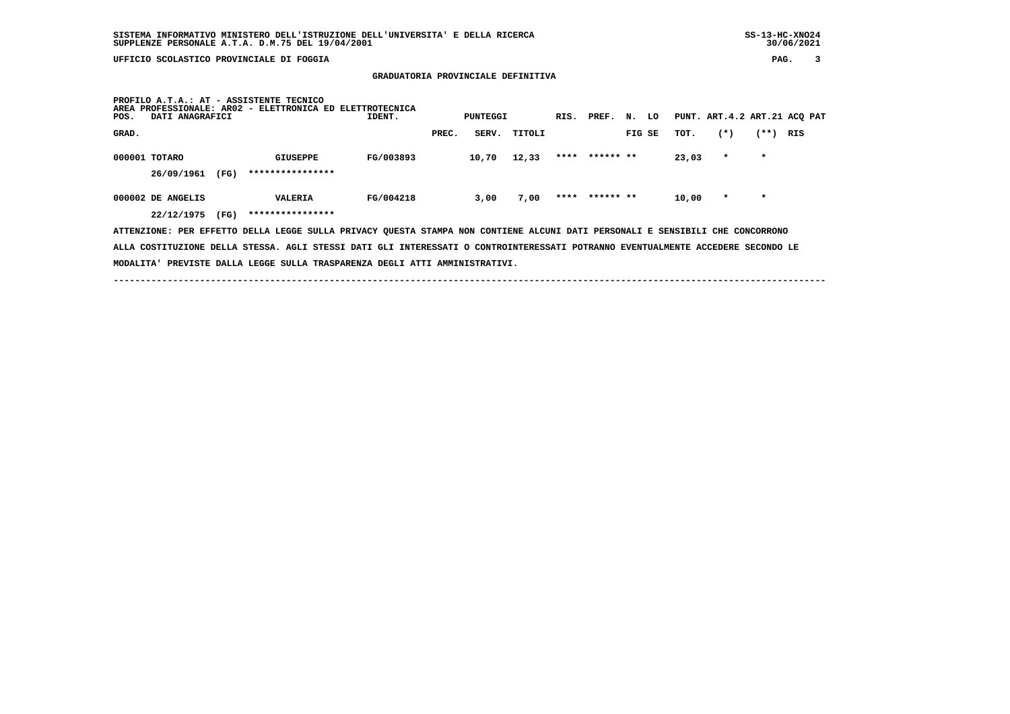**GRADUATORIA PROVINCIALE DEFINITIVA**

| PROFILO A.T.A.: AT - ASSISTENTE TECNICO<br>PROFESSIONALE: AR02 - ELETTRONICA ED ELETTROTECNICA<br><b>AREA</b><br>DATI ANAGRAFICI<br>IDENT.<br>POS. | PUNTEGGI       | RIS. PREF. | N. LO          |                  | PUNT. ART. 4.2 ART. 21 ACO PAT |
|----------------------------------------------------------------------------------------------------------------------------------------------------|----------------|------------|----------------|------------------|--------------------------------|
| GRAD.                                                                                                                                              | SERV.<br>PREC. | TITOLI     | FIG SE         | $(*)$<br>TOT.    | (**)<br>RIS                    |
| 000001 TOTARO<br>FG/003893<br>GIUSEPPE<br>****************<br>(FG)<br>26/09/1961                                                                   | 10,70          | 12,33      | **** ****** ** | 23,03<br>$\star$ | $\star$                        |
| FG/004218<br>000002 DE ANGELIS<br><b>VALERIA</b><br>****************<br>22/12/1975<br>(FG)                                                         | 3,00           | 7,00       | **** ****** ** | $\star$<br>10,00 | $\star$                        |
| ATTENZIONE: PER EFFETTO DELLA LEGGE SULLA PRIVACY QUESTA STAMPA NON CONTIENE ALCUNI DATI PERSONALI E SENSIBILI CHE CONCORRONO                      |                |            |                |                  |                                |

 **ALLA COSTITUZIONE DELLA STESSA. AGLI STESSI DATI GLI INTERESSATI O CONTROINTERESSATI POTRANNO EVENTUALMENTE ACCEDERE SECONDO LE**

 **MODALITA' PREVISTE DALLA LEGGE SULLA TRASPARENZA DEGLI ATTI AMMINISTRATIVI.**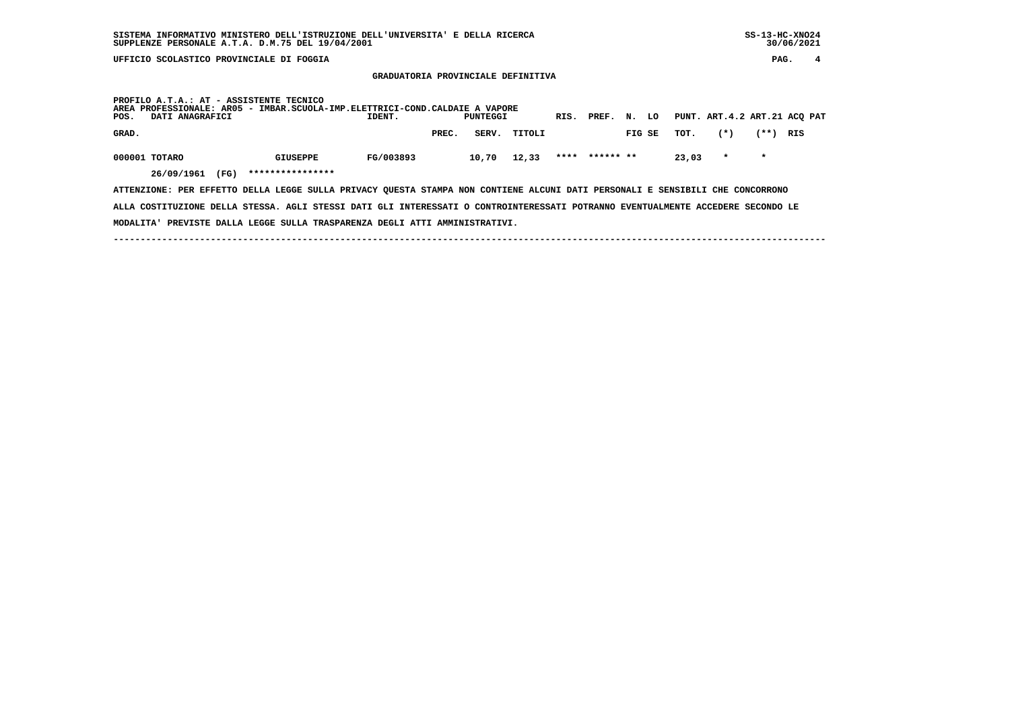**GRADUATORIA PROVINCIALE DEFINITIVA**

| PROFILO A.T.A.: AT - ASSISTENTE TECNICO<br>AREA PROFESSIONALE: AR05 - IMBAR.SCUOLA-IMP.ELETTRICI-COND.CALDAIE A VAPORE<br>POS.<br>DATI ANAGRAFICI |                  | IDENT.    |       | PUNTEGGI |        | RIS. | PREF.     | N.     | LO |       | PUNT. ART.4.2 ART.21 ACQ PAT |         |     |
|---------------------------------------------------------------------------------------------------------------------------------------------------|------------------|-----------|-------|----------|--------|------|-----------|--------|----|-------|------------------------------|---------|-----|
| GRAD.                                                                                                                                             |                  |           | PREC. | SERV.    | TITOLI |      |           | FIG SE |    | TOT.  | $(*)$                        | (**)    | RIS |
| 000001 TOTARO                                                                                                                                     | <b>GIUSEPPE</b>  | FG/003893 |       | 10,70    | 12,33  | **** | ****** ** |        |    | 23,03 | $\star$                      | $\star$ |     |
| 26/09/1961<br>(FG)                                                                                                                                | **************** |           |       |          |        |      |           |        |    |       |                              |         |     |
| ATTENZIONE: PER EFFETTO DELLA LEGGE SULLA PRIVACY OUESTA STAMPA NON CONTIENE ALCUNI DATI PERSONALI E SENSIBILI CHE CONCORRONO                     |                  |           |       |          |        |      |           |        |    |       |                              |         |     |

 **ALLA COSTITUZIONE DELLA STESSA. AGLI STESSI DATI GLI INTERESSATI O CONTROINTERESSATI POTRANNO EVENTUALMENTE ACCEDERE SECONDO LE MODALITA' PREVISTE DALLA LEGGE SULLA TRASPARENZA DEGLI ATTI AMMINISTRATIVI.**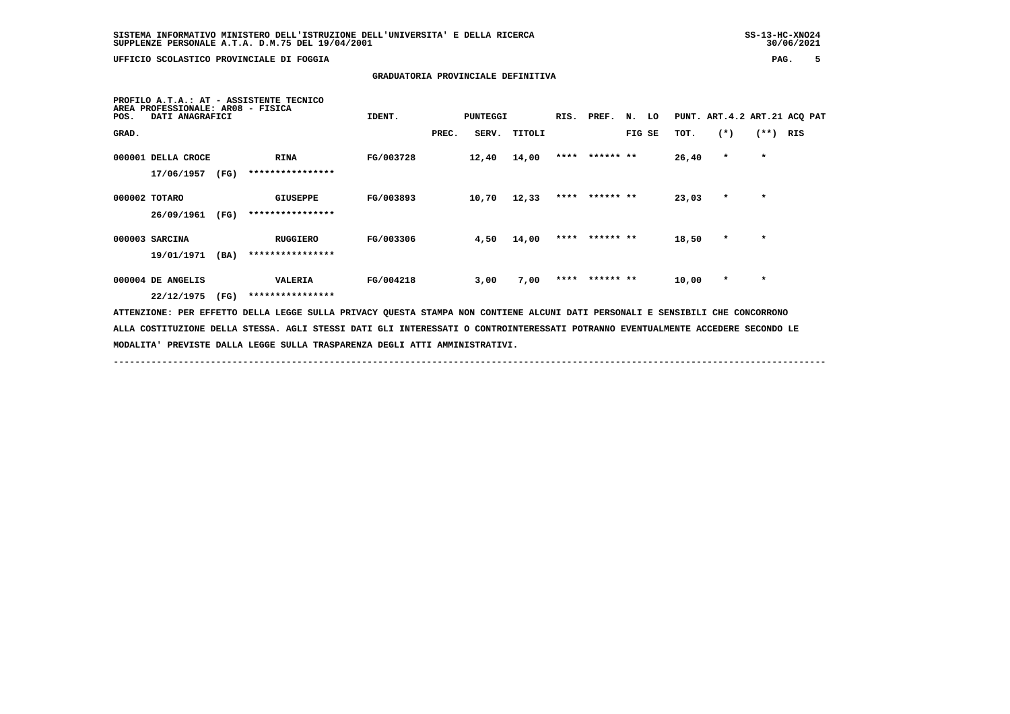**MODALITA' PREVISTE DALLA LEGGE SULLA TRASPARENZA DEGLI ATTI AMMINISTRATIVI.**

 **UFFICIO SCOLASTICO PROVINCIALE DI FOGGIA PAG. 5**

### **GRADUATORIA PROVINCIALE DEFINITIVA**

| AREA<br>POS.       | DATI ANAGRAFICI |      | PROFILO A.T.A.: AT - ASSISTENTE TECNICO<br>PROFESSIONALE: AR08 - FISICA            | IDENT.    |       | <b>PUNTEGGI</b> |        | RIS. | PREF. N. LO    |        |   |           |         |            | PUNT. ART. 4.2 ART. 21 ACQ PAT |
|--------------------|-----------------|------|------------------------------------------------------------------------------------|-----------|-------|-----------------|--------|------|----------------|--------|---|-----------|---------|------------|--------------------------------|
| GRAD.              |                 |      |                                                                                    |           | PREC. | SERV.           | TITOLI |      |                | FIG SE |   | TOT.      | $(*)$   | $(**)$     | RIS                            |
| 000001 DELLA CROCE |                 |      | <b>RINA</b>                                                                        | FG/003728 |       | 12,40           | 14,00  |      | **** ****** ** |        |   | 26,40     | $\star$ | $\star$    |                                |
|                    | 17/06/1957      | (FG) | ****************                                                                   |           |       |                 |        |      |                |        |   |           |         |            |                                |
| 000002 TOTARO      |                 |      | GIUSEPPE                                                                           | FG/003893 |       | 10,70           | 12,33  |      | **** ****** ** |        |   | 23,03     | $\star$ | $\star$    |                                |
|                    | 26/09/1961      | (FG) | ****************                                                                   |           |       |                 |        |      |                |        |   |           |         |            |                                |
| 000003 SARCINA     |                 |      | <b>RUGGIERO</b>                                                                    | FG/003306 |       | 4,50            | 14,00  |      | **** ****** ** |        |   | 18,50     | $\star$ | $\star$    |                                |
|                    | 19/01/1971      | (BA) | ****************                                                                   |           |       |                 |        |      |                |        |   |           |         |            |                                |
| 000004 DE ANGELIS  |                 |      | VALERIA                                                                            | FG/004218 |       | 3,00            | 7,00   | **** | ****** **      |        |   | 10,00     | $\star$ | $\star$    |                                |
|                    | 22/12/1975      | (FG) | ****************                                                                   |           |       |                 |        |      |                |        |   |           |         |            |                                |
| ATTENZIONE: PER    |                 |      | EFFETTO DELLA LEGGE SULLA PRIVACY QUESTA STAMPA NON CONTIENE ALCUNI DATI PERSONALI |           |       |                 |        |      |                |        | Е | SENSIBILI | CHE     | CONCORRONO |                                |

 **------------------------------------------------------------------------------------------------------------------------------------**

 **ALLA COSTITUZIONE DELLA STESSA. AGLI STESSI DATI GLI INTERESSATI O CONTROINTERESSATI POTRANNO EVENTUALMENTE ACCEDERE SECONDO LE**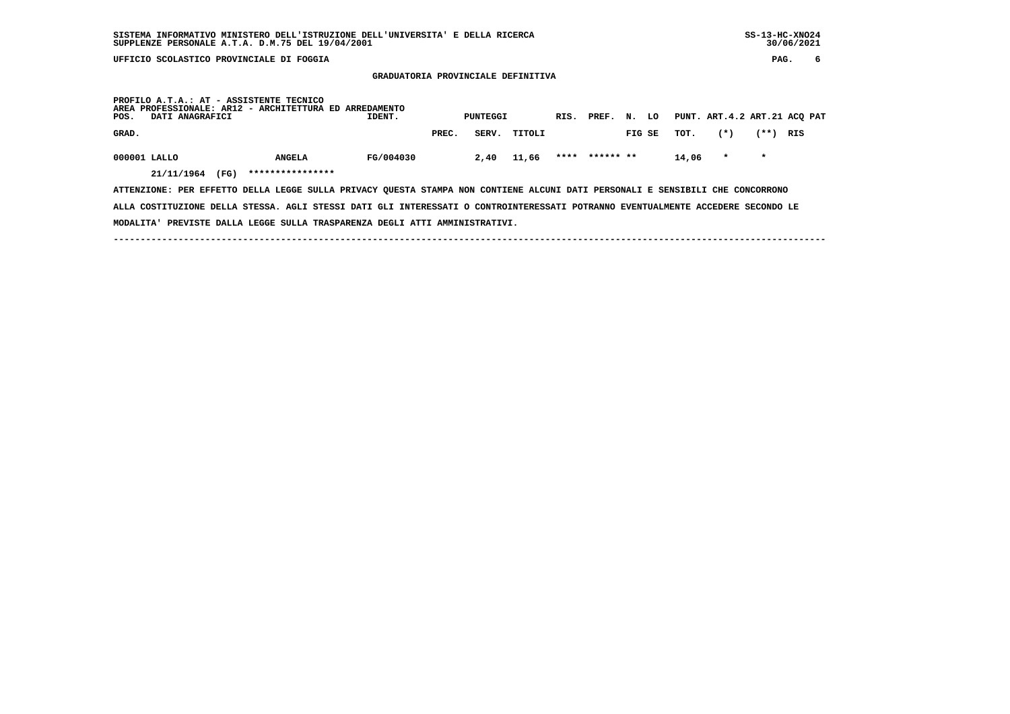**GRADUATORIA PROVINCIALE DEFINITIVA**

| POS.         | DATI ANAGRAFICI |      | PROFILO A.T.A.: AT - ASSISTENTE TECNICO<br>AREA PROFESSIONALE: AR12 - ARCHITETTURA ED ARREDAMENTO | IDENT.    |       | PUNTEGGI |        | RIS. | PREF. N. LO |        |       | PUNT. ART.4.2 ART.21 ACQ PAT |         |     |
|--------------|-----------------|------|---------------------------------------------------------------------------------------------------|-----------|-------|----------|--------|------|-------------|--------|-------|------------------------------|---------|-----|
| GRAD.        |                 |      |                                                                                                   |           | PREC. | SERV.    | TITOLI |      |             | FIG SE | TOT.  | $(*)$                        | (**)    | RIS |
| 000001 LALLO | 21/11/1964      | (FG) | <b>ANGELA</b><br>****************                                                                 | FG/004030 |       | 2,40     | 11,66  | **** | ****** **   |        | 14,06 | $\mathbf{r}$                 | $\star$ |     |

 **ATTENZIONE: PER EFFETTO DELLA LEGGE SULLA PRIVACY QUESTA STAMPA NON CONTIENE ALCUNI DATI PERSONALI E SENSIBILI CHE CONCORRONO ALLA COSTITUZIONE DELLA STESSA. AGLI STESSI DATI GLI INTERESSATI O CONTROINTERESSATI POTRANNO EVENTUALMENTE ACCEDERE SECONDO LE MODALITA' PREVISTE DALLA LEGGE SULLA TRASPARENZA DEGLI ATTI AMMINISTRATIVI.**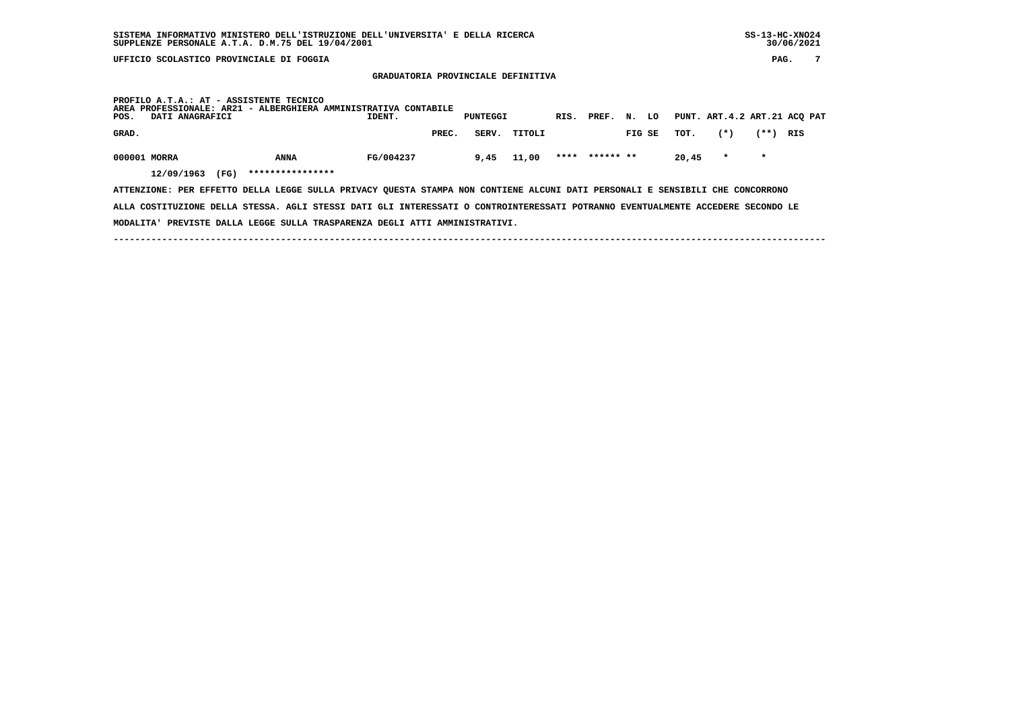**GRADUATORIA PROVINCIALE DEFINITIVA**

| POS.         | DATI ANAGRAFICI |      | PROFILO A.T.A.: AT - ASSISTENTE TECNICO | AREA PROFESSIONALE: AR21 - ALBERGHIERA AMMINISTRATIVA CONTABILE<br>IDENT. |       | <b>PUNTEGGI</b> |        | RIS. | PREF.     | N. | LO     |       | PUNT. ART.4.2 ART.21 ACQ PAT |         |     |  |
|--------------|-----------------|------|-----------------------------------------|---------------------------------------------------------------------------|-------|-----------------|--------|------|-----------|----|--------|-------|------------------------------|---------|-----|--|
| GRAD.        |                 |      |                                         |                                                                           | PREC. | SERV.           | TITOLI |      |           |    | FIG SE | тот.  | $(*)$                        | (**)    | RIS |  |
| 000001 MORRA | 12/09/1963      | (FG) | <b>ANNA</b><br>****************         | FG/004237                                                                 |       | 9,45            | 11,00  | **** | ****** ** |    |        | 20,45 | $\star$                      | $\star$ |     |  |

 **ATTENZIONE: PER EFFETTO DELLA LEGGE SULLA PRIVACY QUESTA STAMPA NON CONTIENE ALCUNI DATI PERSONALI E SENSIBILI CHE CONCORRONO ALLA COSTITUZIONE DELLA STESSA. AGLI STESSI DATI GLI INTERESSATI O CONTROINTERESSATI POTRANNO EVENTUALMENTE ACCEDERE SECONDO LE MODALITA' PREVISTE DALLA LEGGE SULLA TRASPARENZA DEGLI ATTI AMMINISTRATIVI.**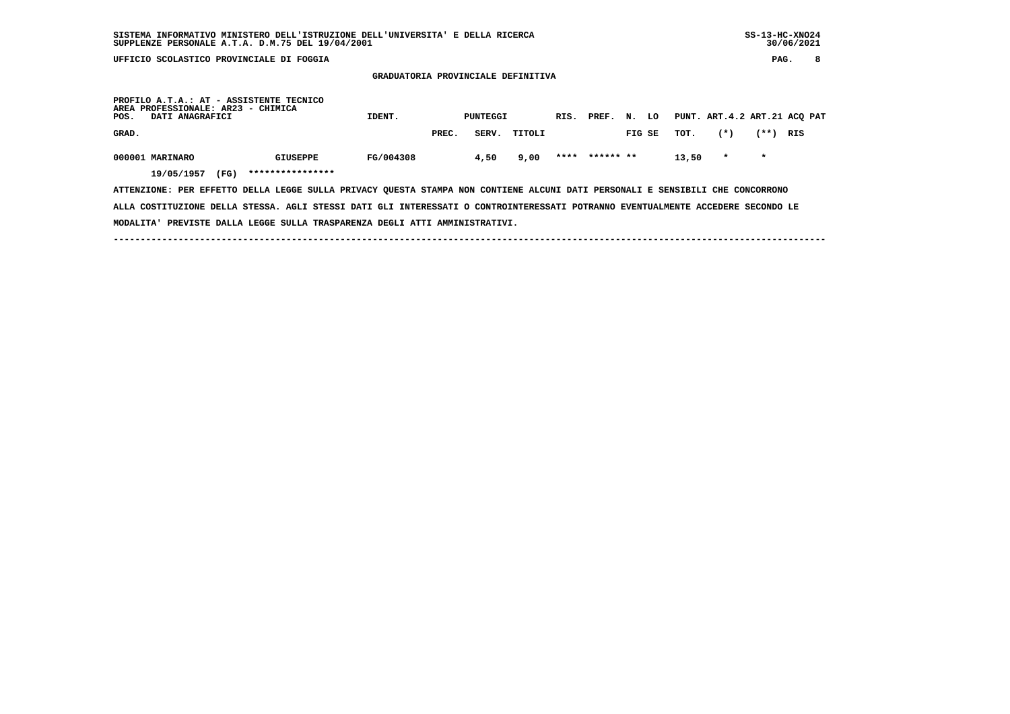**GRADUATORIA PROVINCIALE DEFINITIVA**

| POS.  | AREA PROFESSIONALE: AR23 - CHIMICA<br>DATI ANAGRAFICI |      | PROFILO A.T.A.: AT - ASSISTENTE TECNICO | IDENT.    |       | PUNTEGGI |        | RIS. | PREF.     | N.     | LO |       |         |         | PUNT. ART.4.2 ART.21 ACQ PAT |
|-------|-------------------------------------------------------|------|-----------------------------------------|-----------|-------|----------|--------|------|-----------|--------|----|-------|---------|---------|------------------------------|
| GRAD. |                                                       |      |                                         |           | PREC. | SERV.    | TITOLI |      |           | FIG SE |    | TOT.  | $(*)$   | (**)    | RIS                          |
|       | 000001 MARINARO<br>19/05/1957                         | (FG) | <b>GIUSEPPE</b><br>****************     | FG/004308 |       | 4,50     | 9,00   | **** | ****** ** |        |    | 13,50 | $\star$ | $\star$ |                              |

 **ATTENZIONE: PER EFFETTO DELLA LEGGE SULLA PRIVACY QUESTA STAMPA NON CONTIENE ALCUNI DATI PERSONALI E SENSIBILI CHE CONCORRONO ALLA COSTITUZIONE DELLA STESSA. AGLI STESSI DATI GLI INTERESSATI O CONTROINTERESSATI POTRANNO EVENTUALMENTE ACCEDERE SECONDO LE MODALITA' PREVISTE DALLA LEGGE SULLA TRASPARENZA DEGLI ATTI AMMINISTRATIVI.**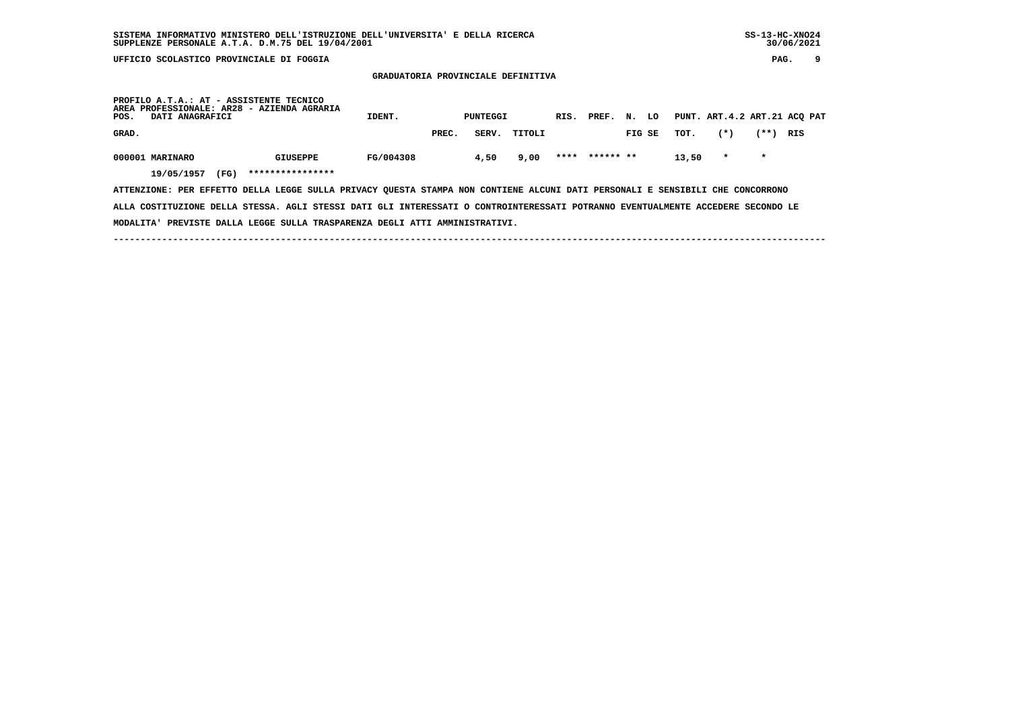**GRADUATORIA PROVINCIALE DEFINITIVA**

| PROFILO A.T.A.: AT - ASSISTENTE TECNICO<br>AREA PROFESSIONALE: AR28 - AZIENDA AGRARIA<br>POS.<br>DATI ANAGRAFICI              |                  | IDENT.    |       | PUNTEGGI |        | RIS. PREF.     | N.     | LO |       |         |         | PUNT. ART. 4.2 ART. 21 ACO PAT |
|-------------------------------------------------------------------------------------------------------------------------------|------------------|-----------|-------|----------|--------|----------------|--------|----|-------|---------|---------|--------------------------------|
| GRAD.                                                                                                                         |                  |           | PREC. | SERV.    | TITOLI |                | FIG SE |    | тот.  | $(*)$   | (**)    | RIS                            |
| 000001 MARINARO                                                                                                               | <b>GIUSEPPE</b>  | FG/004308 |       | 4,50     | 9,00   | **** ****** ** |        |    | 13,50 | $\star$ | $\star$ |                                |
| (FG)<br>19/05/1957                                                                                                            | **************** |           |       |          |        |                |        |    |       |         |         |                                |
| ATTENZIONE: PER EFFETTO DELLA LEGGE SULLA PRIVACY QUESTA STAMPA NON CONTIENE ALCUNI DATI PERSONALI E SENSIBILI CHE CONCORRONO |                  |           |       |          |        |                |        |    |       |         |         |                                |

 **ALLA COSTITUZIONE DELLA STESSA. AGLI STESSI DATI GLI INTERESSATI O CONTROINTERESSATI POTRANNO EVENTUALMENTE ACCEDERE SECONDO LE MODALITA' PREVISTE DALLA LEGGE SULLA TRASPARENZA DEGLI ATTI AMMINISTRATIVI.**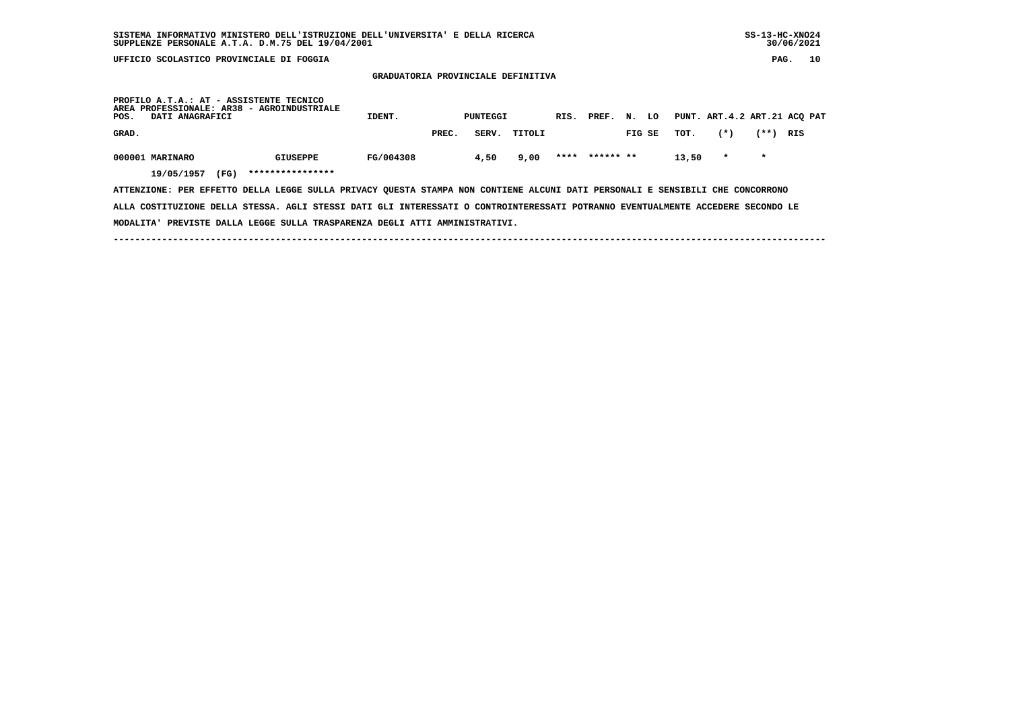**GRADUATORIA PROVINCIALE DEFINITIVA**

 **PROFILO A.T.A.: AT - ASSISTENTE TECNICO AREA PROFESSIONALE: AR38 - AGROINDUSTRIALE POS. DATI ANAGRAFICI IDENT. PUNTEGGI RIS. PREF. N. LO PUNT. ART.4.2 ART.21 ACQ PAT GRAD. PREC. SERV. TITOLI FIG SE TOT. (\*) (\*\*) RIS**000001 MARINARO GIUSEPPE FG/004308 4,50 9,00 \*\*\*\* \*\*\*\*\*\* 13,50 \* \*  **19/05/1957 (FG) \*\*\*\*\*\*\*\*\*\*\*\*\*\*\*\***

 **ATTENZIONE: PER EFFETTO DELLA LEGGE SULLA PRIVACY QUESTA STAMPA NON CONTIENE ALCUNI DATI PERSONALI E SENSIBILI CHE CONCORRONO ALLA COSTITUZIONE DELLA STESSA. AGLI STESSI DATI GLI INTERESSATI O CONTROINTERESSATI POTRANNO EVENTUALMENTE ACCEDERE SECONDO LE MODALITA' PREVISTE DALLA LEGGE SULLA TRASPARENZA DEGLI ATTI AMMINISTRATIVI.**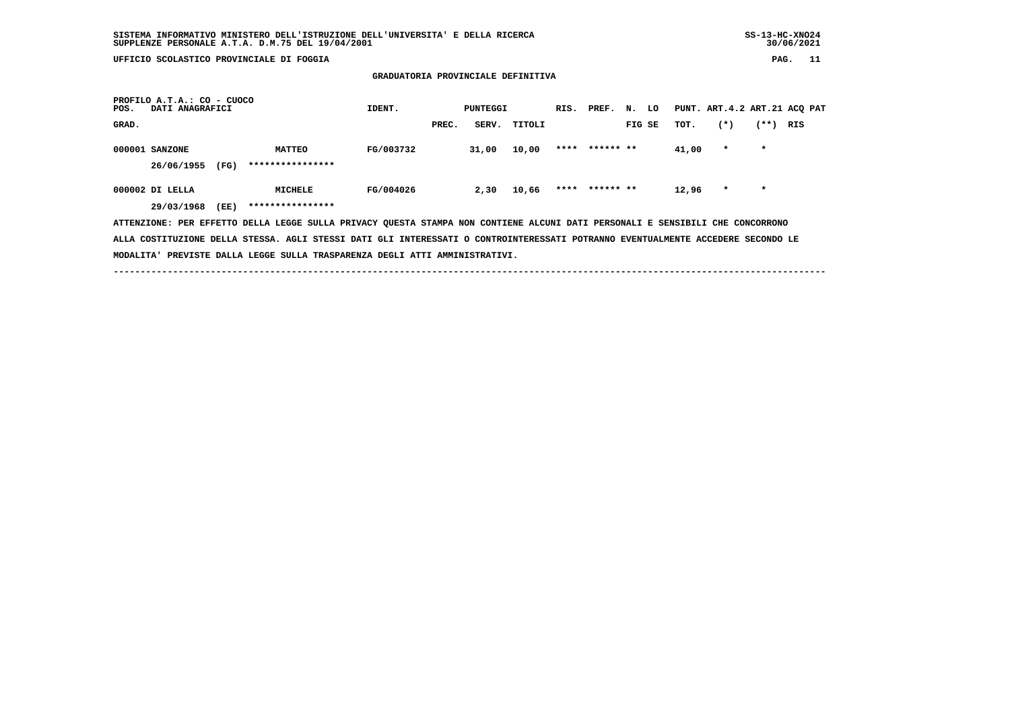**GRADUATORIA PROVINCIALE DEFINITIVA**

| PROFILO A.T.A.: CO - CUOCO<br>DATI ANAGRAFICI<br>POS.                                                                           |                  | IDENT.    |       | PUNTEGGI |        | RIS. PREF.     | N. LO  |       |         |         | PUNT. ART.4.2 ART.21 ACQ PAT |
|---------------------------------------------------------------------------------------------------------------------------------|------------------|-----------|-------|----------|--------|----------------|--------|-------|---------|---------|------------------------------|
| GRAD.                                                                                                                           |                  |           | PREC. | SERV.    | TITOLI |                | FIG SE | TOT.  | $(*)$   | $(**+)$ | RIS                          |
| 000001 SANZONE                                                                                                                  | <b>MATTEO</b>    | FG/003732 |       | 31,00    | 10,00  | **** ****** ** |        | 41,00 | $\star$ | $\star$ |                              |
| 26/06/1955<br>(FG)                                                                                                              | **************** |           |       |          |        |                |        |       |         |         |                              |
| 000002 DI LELLA                                                                                                                 | MICHELE          | FG/004026 |       | 2,30     | 10,66  | **** ****** ** |        | 12,96 | $\star$ | $\star$ |                              |
| 29/03/1968<br>(EE)                                                                                                              | **************** |           |       |          |        |                |        |       |         |         |                              |
| ATTENZIONE: PER EFFETTO DELLA LEGGE SULLA PRIVACY QUESTA STAMPA NON CONTIENE ALCUNI DATI PERSONALI E SENSIBILI CHE CONCORRONO   |                  |           |       |          |        |                |        |       |         |         |                              |
| ALLA COSTITUZIONE DELLA STESSA. AGLI STESSI DATI GLI INTERESSATI O CONTROINTERESSATI POTRANNO EVENTUALMENTE ACCEDERE SECONDO LE |                  |           |       |          |        |                |        |       |         |         |                              |

 **MODALITA' PREVISTE DALLA LEGGE SULLA TRASPARENZA DEGLI ATTI AMMINISTRATIVI.**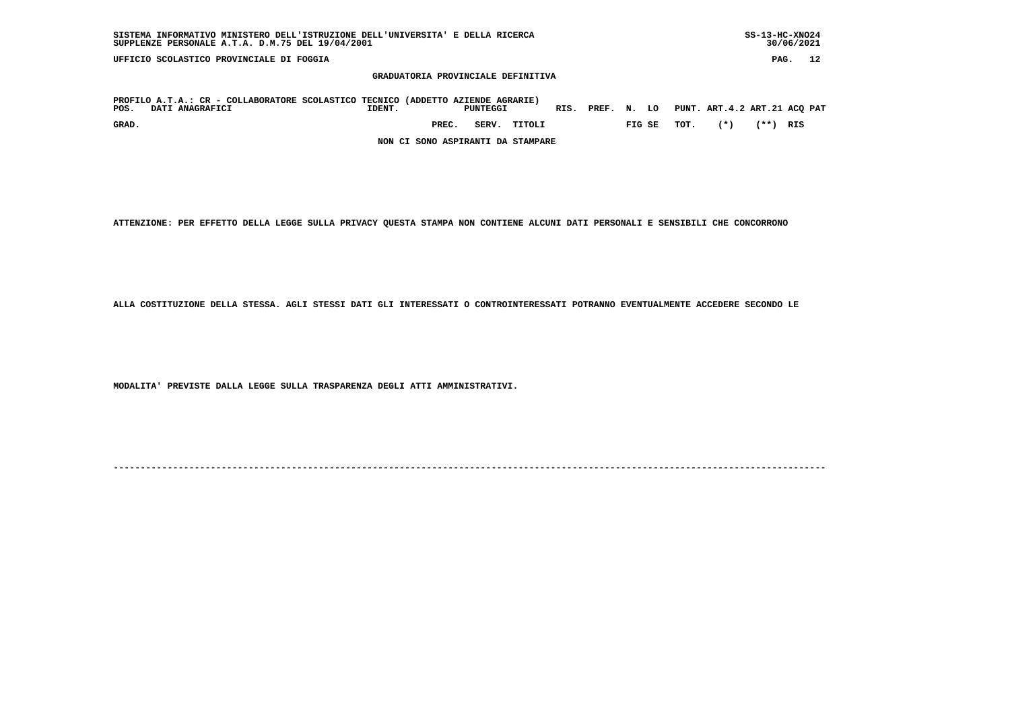| PAG.<br>UFFICIO SCOLASTICO PROVINCIALE DI FOGGIA                                                           |                                     |          |                              |             |  |  |  |  |  |  |  |  |  |
|------------------------------------------------------------------------------------------------------------|-------------------------------------|----------|------------------------------|-------------|--|--|--|--|--|--|--|--|--|
| GRADUATORIA PROVINCIALE DEFINITIVA                                                                         |                                     |          |                              |             |  |  |  |  |  |  |  |  |  |
| PROFILO A.T.A.: CR - COLLABORATORE SCOLASTICO TECNICO (ADDETTO AZIENDE AGRARIE)<br>POS.<br>DATI ANAGRAFICI | PREF.<br>RIS.<br>PUNTEGGI<br>IDENT. | LO<br>N. | PUNT. ART.4.2 ART.21 ACQ PAT |             |  |  |  |  |  |  |  |  |  |
| GRAD.                                                                                                      | SERV.<br>PREC.<br>TITOLI            | FIG SE   | $(*)$<br>TOT.                | (**)<br>RIS |  |  |  |  |  |  |  |  |  |
| NON CI SONO ASPIRANTI DA STAMPARE                                                                          |                                     |          |                              |             |  |  |  |  |  |  |  |  |  |

 **SISTEMA INFORMATIVO MINISTERO DELL'ISTRUZIONE DELL'UNIVERSITA' E DELLA RICERCA SS-13-HC-XNO24**

 $30/06/2021$ 

 **ATTENZIONE: PER EFFETTO DELLA LEGGE SULLA PRIVACY QUESTA STAMPA NON CONTIENE ALCUNI DATI PERSONALI E SENSIBILI CHE CONCORRONO**

 **ALLA COSTITUZIONE DELLA STESSA. AGLI STESSI DATI GLI INTERESSATI O CONTROINTERESSATI POTRANNO EVENTUALMENTE ACCEDERE SECONDO LE**

 **MODALITA' PREVISTE DALLA LEGGE SULLA TRASPARENZA DEGLI ATTI AMMINISTRATIVI.**

 **SUPPLENZE PERSONALE A.T.A. D.M.75 DEL 19/04/2001 30/06/2021**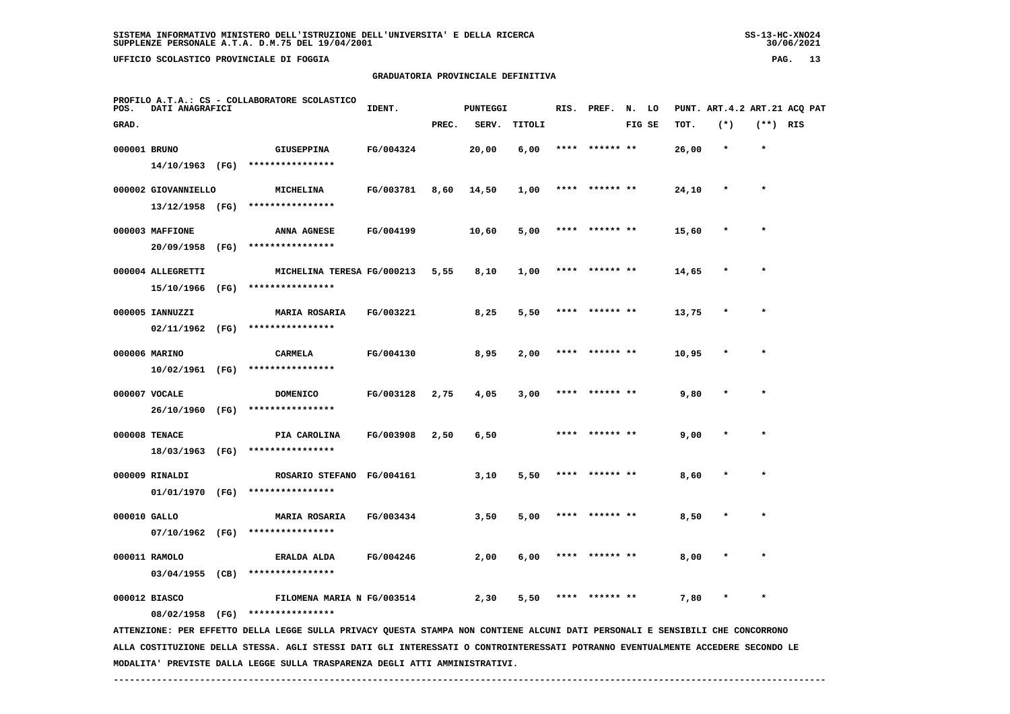**PROFILO A.T.A.: CS - COLLABORATORE SCOLASTICO**

# **GRADUATORIA PROVINCIALE DEFINITIVA**

| POS.         | DATI ANAGRAFICI     |                                                                                                                                                   | IDENT.    |       | <b>PUNTEGGI</b> |        |      | RIS. PREF. N. LO |        |       |              |            | PUNT. ART.4.2 ART.21 ACQ PAT |
|--------------|---------------------|---------------------------------------------------------------------------------------------------------------------------------------------------|-----------|-------|-----------------|--------|------|------------------|--------|-------|--------------|------------|------------------------------|
| GRAD.        |                     |                                                                                                                                                   |           | PREC. | SERV.           | TITOLI |      |                  | FIG SE | TOT.  | $(*)$        | $(**)$ RIS |                              |
| 000001 BRUNO |                     | GIUSEPPINA                                                                                                                                        | FG/004324 |       | 20,00           | 6,00   |      | **** ****** **   |        | 26,00 | $\star$      |            |                              |
|              |                     | 14/10/1963 (FG) ****************                                                                                                                  |           |       |                 |        |      |                  |        |       |              |            |                              |
|              | 000002 GIOVANNIELLO | MICHELINA                                                                                                                                         | FG/003781 | 8,60  | 14,50           | 1,00   |      | **** ****** **   |        | 24,10 | $\star$      | $\star$    |                              |
|              | 13/12/1958 (FG)     | ****************                                                                                                                                  |           |       |                 |        |      |                  |        |       |              |            |                              |
|              | 000003 MAFFIONE     | ANNA AGNESE                                                                                                                                       | FG/004199 |       | 10,60           | 5,00   |      | **** ****** **   |        | 15,60 |              | $\star$    |                              |
|              | 20/09/1958 (FG)     | ****************                                                                                                                                  |           |       |                 |        |      |                  |        |       |              |            |                              |
|              | 000004 ALLEGRETTI   | MICHELINA TERESA FG/000213                                                                                                                        |           | 5,55  | 8,10            | 1,00   |      | **** ****** **   |        | 14,65 |              | $\star$    |                              |
|              | 15/10/1966 (FG)     | ****************                                                                                                                                  |           |       |                 |        |      |                  |        |       |              |            |                              |
|              | 000005 IANNUZZI     | <b>MARIA ROSARIA</b>                                                                                                                              | FG/003221 |       | 8,25            | 5,50   |      | **** ****** **   |        | 13,75 | $\pmb{\ast}$ | $\star$    |                              |
|              | 02/11/1962 (FG)     | ****************                                                                                                                                  |           |       |                 |        |      |                  |        |       |              |            |                              |
|              | 000006 MARINO       | <b>CARMELA</b>                                                                                                                                    | FG/004130 |       | 8,95            | 2,00   |      | ****  ****** **  |        | 10,95 |              |            |                              |
|              |                     | 10/02/1961 (FG) ****************                                                                                                                  |           |       |                 |        |      |                  |        |       |              |            |                              |
|              | 000007 VOCALE       | <b>DOMENICO</b>                                                                                                                                   | FG/003128 | 2,75  | 4,05            | 3,00   | **** |                  |        | 9,80  |              |            |                              |
|              |                     | 26/10/1960 (FG) ****************                                                                                                                  |           |       |                 |        |      |                  |        |       |              |            |                              |
|              | 000008 TENACE       | PIA CAROLINA                                                                                                                                      | FG/003908 | 2,50  | 6,50            |        |      | **** ****** **   |        | 9,00  |              |            |                              |
|              |                     | 18/03/1963 (FG) ****************                                                                                                                  |           |       |                 |        |      |                  |        |       |              |            |                              |
|              | 000009 RINALDI      | ROSARIO STEFANO FG/004161                                                                                                                         |           |       | 3,10            | 5,50   |      | ****** **        |        | 8,60  |              |            |                              |
|              | 01/01/1970 (FG)     | ****************                                                                                                                                  |           |       |                 |        |      |                  |        |       |              |            |                              |
| 000010 GALLO |                     | <b>MARIA ROSARIA</b>                                                                                                                              | FG/003434 |       | 3,50            | 5,00   |      | **** ****** **   |        | 8,50  |              |            |                              |
|              |                     | 07/10/1962 (FG) ****************                                                                                                                  |           |       |                 |        |      |                  |        |       |              |            |                              |
|              | 000011 RAMOLO       | ERALDA ALDA                                                                                                                                       | FG/004246 |       | 2,00            | 6,00   |      | **** ****** **   |        | 8,00  |              |            |                              |
|              | 03/04/1955 (CB)     | ****************                                                                                                                                  |           |       |                 |        |      |                  |        |       |              |            |                              |
|              | 000012 BIASCO       | FILOMENA MARIA N FG/003514                                                                                                                        |           |       | 2,30            | 5,50   |      | **** ****** **   |        | 7,80  | $\star$      | $\star$    |                              |
|              | 08/02/1958 (FG)     | ****************<br>ATTENZIONE: PER EFFETTO DELLA LEGGE SULLA PRIVACY QUESTA STAMPA NON CONTIENE ALCUNI DATI PERSONALI E SENSIBILI CHE CONCORRONO |           |       |                 |        |      |                  |        |       |              |            |                              |
|              |                     |                                                                                                                                                   |           |       |                 |        |      |                  |        |       |              |            |                              |

 **ALLA COSTITUZIONE DELLA STESSA. AGLI STESSI DATI GLI INTERESSATI O CONTROINTERESSATI POTRANNO EVENTUALMENTE ACCEDERE SECONDO LE MODALITA' PREVISTE DALLA LEGGE SULLA TRASPARENZA DEGLI ATTI AMMINISTRATIVI.**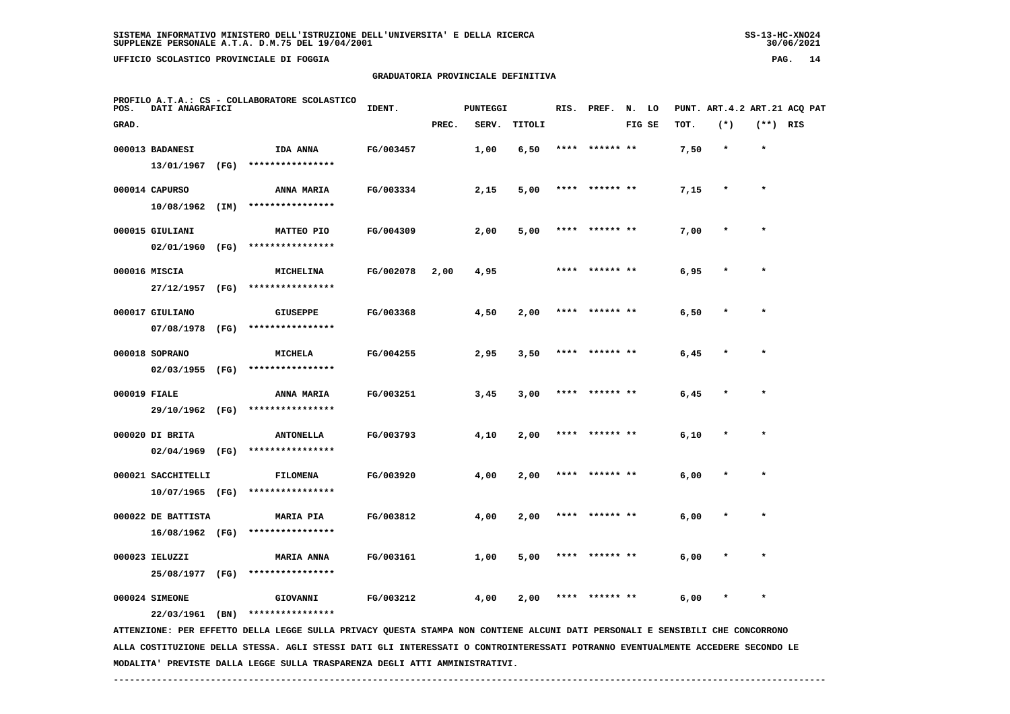**UFFICIO SCOLASTICO PROVINCIALE DI FOGGIA PAG. 14**

### **GRADUATORIA PROVINCIALE DEFINITIVA**

| POS.         | DATI ANAGRAFICI    |      | PROFILO A.T.A.: CS - COLLABORATORE SCOLASTICO                                                                                 | IDENT.    |       | <b>PUNTEGGI</b> |        | RIS. | PREF. N. LO    |        |      | PUNT. ART.4.2 ART.21 ACQ PAT |            |  |
|--------------|--------------------|------|-------------------------------------------------------------------------------------------------------------------------------|-----------|-------|-----------------|--------|------|----------------|--------|------|------------------------------|------------|--|
| GRAD.        |                    |      |                                                                                                                               |           | PREC. | SERV.           | TITOLI |      |                | FIG SE | TOT. | $(*)$                        | $(**)$ RIS |  |
|              | 000013 BADANESI    |      | IDA ANNA                                                                                                                      | FG/003457 |       | 1,00            | 6,50   |      | **** ****** ** |        | 7,50 | $\star$                      | $\star$    |  |
|              | 13/01/1967         | (FG) | ****************                                                                                                              |           |       |                 |        |      |                |        |      |                              |            |  |
|              | 000014 CAPURSO     |      | <b>ANNA MARIA</b>                                                                                                             | FG/003334 |       | 2,15            | 5,00   | **** | ****** **      |        | 7,15 |                              | $\star$    |  |
|              | 10/08/1962         | (IM) | ****************                                                                                                              |           |       |                 |        |      |                |        |      |                              |            |  |
|              | 000015 GIULIANI    |      | MATTEO PIO                                                                                                                    | FG/004309 |       | 2,00            | 5,00   | **** | ****** **      |        | 7,00 | $\star$                      | $\star$    |  |
|              | 02/01/1960         | (FG) | ****************                                                                                                              |           |       |                 |        |      |                |        |      |                              |            |  |
|              | 000016 MISCIA      |      | MICHELINA                                                                                                                     | FG/002078 | 2,00  | 4,95            |        |      | ****** **      |        | 6,95 |                              | $\star$    |  |
|              | 27/12/1957 (FG)    |      | ****************                                                                                                              |           |       |                 |        |      |                |        |      |                              |            |  |
|              | 000017 GIULIANO    |      | <b>GIUSEPPE</b>                                                                                                               | FG/003368 |       | 4,50            | 2,00   |      | ****** **      |        | 6,50 |                              |            |  |
|              | 07/08/1978         | (FG) | ****************                                                                                                              |           |       |                 |        |      |                |        |      |                              |            |  |
|              | 000018 SOPRANO     |      | <b>MICHELA</b>                                                                                                                | FG/004255 |       | 2,95            | 3,50   |      | ****** **      |        | 6,45 |                              | $\star$    |  |
|              | $02/03/1955$ (FG)  |      | ****************                                                                                                              |           |       |                 |        |      |                |        |      |                              |            |  |
| 000019 FIALE |                    |      | <b>ANNA MARIA</b>                                                                                                             | FG/003251 |       | 3,45            | 3,00   |      | ****** **      |        | 6,45 |                              |            |  |
|              | 29/10/1962 (FG)    |      | ****************                                                                                                              |           |       |                 |        |      |                |        |      |                              |            |  |
|              | 000020 DI BRITA    |      | <b>ANTONELLA</b>                                                                                                              | FG/003793 |       | 4,10            | 2,00   |      | ****** **      |        | 6,10 |                              | $\star$    |  |
|              | 02/04/1969         | (FG) | ****************                                                                                                              |           |       |                 |        |      |                |        |      |                              |            |  |
|              | 000021 SACCHITELLI |      | <b>FILOMENA</b>                                                                                                               | FG/003920 |       | 4,00            | 2,00   | **** | ****** **      |        | 6,00 | $\star$                      | $\star$    |  |
|              | 10/07/1965 (FG)    |      | ****************                                                                                                              |           |       |                 |        |      |                |        |      |                              |            |  |
|              | 000022 DE BATTISTA |      | <b>MARIA PIA</b>                                                                                                              | FG/003812 |       | 4,00            | 2,00   |      | ****** **      |        | 6,00 |                              |            |  |
|              | 16/08/1962 (FG)    |      | ****************                                                                                                              |           |       |                 |        |      |                |        |      |                              |            |  |
|              | 000023 IELUZZI     |      | <b>MARIA ANNA</b>                                                                                                             | FG/003161 |       | 1,00            | 5,00   |      |                |        | 6,00 |                              |            |  |
|              | 25/08/1977 (FG)    |      | ****************                                                                                                              |           |       |                 |        |      |                |        |      |                              |            |  |
|              | 000024 SIMEONE     |      | GIOVANNI                                                                                                                      | FG/003212 |       | 4,00            | 2,00   |      |                |        | 6,00 |                              | $\star$    |  |
|              | 22/03/1961 (BN)    |      | ****************                                                                                                              |           |       |                 |        |      |                |        |      |                              |            |  |
|              |                    |      | ATTENZIONE: PER EFFETTO DELLA LEGGE SULLA PRIVACY QUESTA STAMPA NON CONTIENE ALCUNI DATI PERSONALI E SENSIBILI CHE CONCORRONO |           |       |                 |        |      |                |        |      |                              |            |  |

 **ALLA COSTITUZIONE DELLA STESSA. AGLI STESSI DATI GLI INTERESSATI O CONTROINTERESSATI POTRANNO EVENTUALMENTE ACCEDERE SECONDO LE MODALITA' PREVISTE DALLA LEGGE SULLA TRASPARENZA DEGLI ATTI AMMINISTRATIVI.**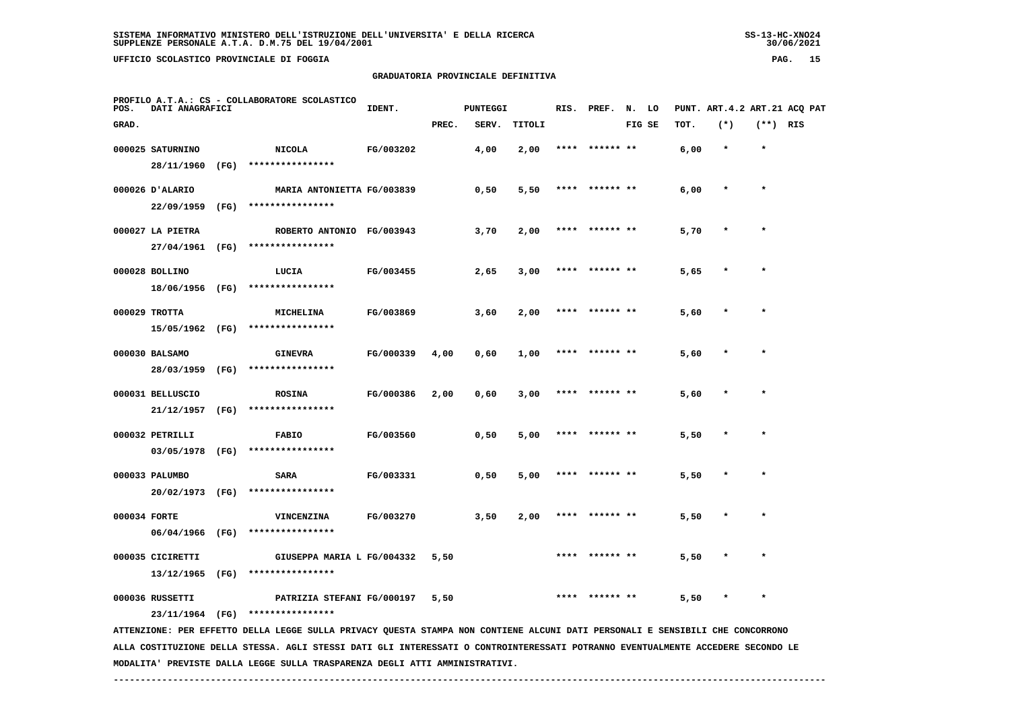**UFFICIO SCOLASTICO PROVINCIALE DI FOGGIA PAG. 15**

### **GRADUATORIA PROVINCIALE DEFINITIVA**

| POS.         | DATI ANAGRAFICI  |      | PROFILO A.T.A.: CS - COLLABORATORE SCOLASTICO                                                                                   | IDENT.    |       | <b>PUNTEGGI</b> |               | RIS. | PREF.     | N. LO |        |      | PUNT. ART. 4.2 ART. 21 ACO PAT |            |  |
|--------------|------------------|------|---------------------------------------------------------------------------------------------------------------------------------|-----------|-------|-----------------|---------------|------|-----------|-------|--------|------|--------------------------------|------------|--|
| GRAD.        |                  |      |                                                                                                                                 |           | PREC. | SERV.           | <b>TITOLI</b> |      |           |       | FIG SE | TOT. | $(*)$                          | $(**)$ RIS |  |
|              | 000025 SATURNINO |      | <b>NICOLA</b>                                                                                                                   | FG/003202 |       | 4,00            | 2,00          | **** | ****** ** |       |        | 6,00 | $\star$                        | $\star$    |  |
|              | 28/11/1960       | (FG) | ****************                                                                                                                |           |       |                 |               |      |           |       |        |      |                                |            |  |
|              | 000026 D'ALARIO  |      | MARIA ANTONIETTA FG/003839                                                                                                      |           |       | 0,50            | 5,50          |      | ****** ** |       |        | 6,00 |                                | $\star$    |  |
|              | 22/09/1959       | (FG) | ****************                                                                                                                |           |       |                 |               |      |           |       |        |      |                                |            |  |
|              | 000027 LA PIETRA |      | ROBERTO ANTONIO FG/003943                                                                                                       |           |       | 3,70            | 2,00          |      |           |       |        | 5,70 |                                |            |  |
|              | 27/04/1961       | (FG) | ****************                                                                                                                |           |       |                 |               |      |           |       |        |      |                                |            |  |
|              | 000028 BOLLINO   |      | LUCIA                                                                                                                           | FG/003455 |       | 2,65            | 3,00          | **** | ****** ** |       |        | 5,65 |                                | $\star$    |  |
|              | 18/06/1956       | (FG) | ****************                                                                                                                |           |       |                 |               |      |           |       |        |      |                                |            |  |
|              | 000029 TROTTA    |      | MICHELINA                                                                                                                       | FG/003869 |       | 3,60            | 2,00          |      |           |       |        | 5,60 |                                | $\star$    |  |
|              | 15/05/1962 (FG)  |      | ****************                                                                                                                |           |       |                 |               |      |           |       |        |      |                                |            |  |
|              | 000030 BALSAMO   |      | <b>GINEVRA</b>                                                                                                                  | FG/000339 | 4,00  | 0,60            | 1,00          |      |           |       |        | 5,60 |                                |            |  |
|              | 28/03/1959       | (FG) | ****************                                                                                                                |           |       |                 |               |      |           |       |        |      |                                |            |  |
|              | 000031 BELLUSCIO |      | <b>ROSINA</b>                                                                                                                   | FG/000386 | 2,00  | 0,60            | 3,00          | **** | ****** ** |       |        | 5,60 |                                |            |  |
|              | 21/12/1957       | (FG) | ****************                                                                                                                |           |       |                 |               |      |           |       |        |      |                                |            |  |
|              | 000032 PETRILLI  |      | <b>FABIO</b>                                                                                                                    | FG/003560 |       | 0,50            | 5,00          |      | ****** ** |       |        | 5,50 |                                | $\star$    |  |
|              | 03/05/1978       | (FG) | ****************                                                                                                                |           |       |                 |               |      |           |       |        |      |                                |            |  |
|              | 000033 PALUMBO   |      | <b>SARA</b>                                                                                                                     | FG/003331 |       | 0,50            | 5,00          |      |           |       |        | 5,50 |                                |            |  |
|              | 20/02/1973 (FG)  |      | ****************                                                                                                                |           |       |                 |               |      |           |       |        |      |                                |            |  |
| 000034 FORTE |                  |      | VINCENZINA                                                                                                                      | FG/003270 |       | 3,50            | 2,00          |      |           |       |        | 5,50 |                                |            |  |
|              | 06/04/1966       | (FG) | ****************                                                                                                                |           |       |                 |               |      |           |       |        |      |                                |            |  |
|              | 000035 CICIRETTI |      | GIUSEPPA MARIA L FG/004332                                                                                                      |           | 5,50  |                 |               |      | ****** ** |       |        | 5,50 |                                | $\star$    |  |
|              | 13/12/1965       | (FG) | ****************                                                                                                                |           |       |                 |               |      |           |       |        |      |                                |            |  |
|              | 000036 RUSSETTI  |      | PATRIZIA STEFANI FG/000197                                                                                                      |           | 5,50  |                 |               |      |           |       |        | 5,50 |                                |            |  |
|              |                  |      | 23/11/1964 (FG) ****************                                                                                                |           |       |                 |               |      |           |       |        |      |                                |            |  |
|              |                  |      | ATTENZIONE: PER EFFETTO DELLA LEGGE SULLA PRIVACY QUESTA STAMPA NON CONTIENE ALCUNI DATI PERSONALI E SENSIBILI CHE CONCORRONO   |           |       |                 |               |      |           |       |        |      |                                |            |  |
|              |                  |      | ALLA COSTITUZIONE DELLA STESSA. AGLI STESSI DATI GLI INTERESSATI O CONTROINTERESSATI POTRANNO EVENTUALMENTE ACCEDERE SECONDO LE |           |       |                 |               |      |           |       |        |      |                                |            |  |
|              |                  |      | MODALITA' PREVISTE DALLA LEGGE SULLA TRASPARENZA DEGLI ATTI AMMINISTRATIVI.                                                     |           |       |                 |               |      |           |       |        |      |                                |            |  |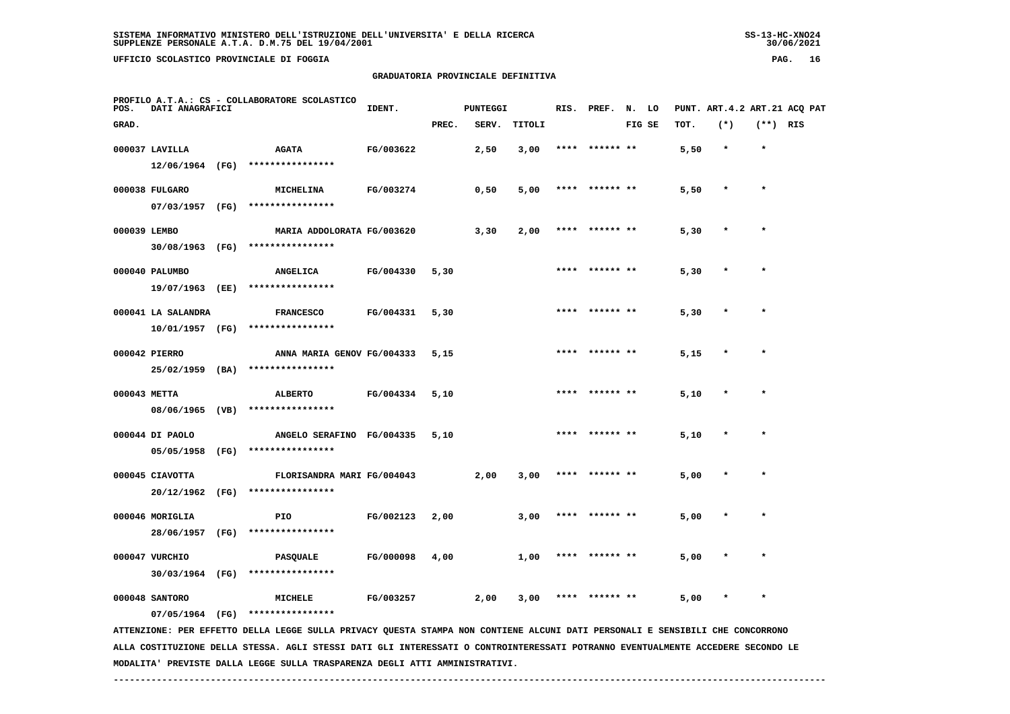**UFFICIO SCOLASTICO PROVINCIALE DI FOGGIA PAG. 16**

 **PROFILO A.T.A.: CS - COLLABORATORE SCOLASTICO**

#### **GRADUATORIA PROVINCIALE DEFINITIVA**

 **GRAD. PREC. SERV. TITOLI FIG SE TOT. (\*) (\*\*) RIS**

 **000037 LAVILLA AGATA FG/003622 2,50 3,00 \*\*\*\* \*\*\*\*\*\* \*\* 5,50 \* \***

**IDENT.** PUNTEGGI RIS. PREF. N. LO PUNT. ART.4.2 ART.21 ACQ PAT

|              |                    |      | $12/06/1964$ (FG) ***************** |  |      |      |      |                |      |         |         |
|--------------|--------------------|------|-------------------------------------|--|------|------|------|----------------|------|---------|---------|
|              | 000038 FULGARO     |      | MICHELINA FG/003274                 |  | 0,50 | 5,00 |      | **** ****** ** | 5,50 | $\star$ | $\star$ |
|              | 07/03/1957 (FG)    |      | ****************                    |  |      |      |      |                |      |         |         |
| 000039 LEMBO |                    |      | MARIA ADDOLORATA FG/003620          |  | 3,30 | 2,00 |      | **** ****** ** | 5,30 | $\star$ |         |
|              |                    |      | 30/08/1963 (FG) ****************    |  |      |      |      |                |      |         |         |
|              | 000040 PALUMBO     |      | ANGELICA FG/004330 5,30             |  |      |      |      | **** ****** ** | 5,30 | $\star$ |         |
|              | 19/07/1963 (EE)    |      | ****************                    |  |      |      |      |                |      |         |         |
|              | 000041 LA SALANDRA |      | FRANCESCO FG/004331 5,30            |  |      |      |      | **** ****** ** | 5,30 | $\star$ |         |
|              | 10/01/1957 (FG)    |      | ****************                    |  |      |      |      |                |      |         |         |
|              | 000042 PIERRO      |      | ANNA MARIA GENOV FG/004333 5,15     |  |      |      |      | **** ****** ** | 5,15 | $\star$ |         |
|              | 25/02/1959 (BA)    |      | ****************                    |  |      |      |      |                |      |         |         |
|              | 000043 METTA       |      | ALBERTO FG/004334 5,10              |  |      |      |      | **** ****** ** | 5,10 | $\star$ |         |
|              |                    |      | 08/06/1965 (VB) ****************    |  |      |      |      |                |      |         |         |
|              | 000044 DI PAOLO    |      | ANGELO SERAFINO FG/004335 5,10      |  |      |      |      | **** ****** ** | 5,10 | $\star$ |         |
|              |                    |      | 05/05/1958 (FG) ****************    |  |      |      |      |                |      |         |         |
|              | 000045 CIAVOTTA    |      | FLORISANDRA MARI FG/004043          |  | 2,00 | 3,00 |      | **** ****** ** | 5,00 | $\star$ |         |
|              |                    |      | 20/12/1962 (FG) ****************    |  |      |      |      |                |      |         |         |
|              | 000046 MORIGLIA    |      | FG/002123 2,00<br><b>PIO</b>        |  |      | 3,00 | **** | ****** **      | 5,00 | $\ast$  |         |
|              | 28/06/1957         | (FG) | ****************                    |  |      |      |      |                |      |         |         |
|              |                    |      |                                     |  |      |      |      |                |      |         |         |

 **000047 VURCHIO PASQUALE FG/000098 4,00 1,00 \*\*\*\* \*\*\*\*\*\* \*\* 5,00 \* \* 30/03/1964 (FG) \*\*\*\*\*\*\*\*\*\*\*\*\*\*\*\***

 **000048 SANTORO MICHELE FG/003257 2,00 3,00 \*\*\*\* \*\*\*\*\*\* \*\* 5,00 \* \***

 **07/05/1964 (FG) \*\*\*\*\*\*\*\*\*\*\*\*\*\*\*\***

 **ATTENZIONE: PER EFFETTO DELLA LEGGE SULLA PRIVACY QUESTA STAMPA NON CONTIENE ALCUNI DATI PERSONALI E SENSIBILI CHE CONCORRONO ALLA COSTITUZIONE DELLA STESSA. AGLI STESSI DATI GLI INTERESSATI O CONTROINTERESSATI POTRANNO EVENTUALMENTE ACCEDERE SECONDO LE MODALITA' PREVISTE DALLA LEGGE SULLA TRASPARENZA DEGLI ATTI AMMINISTRATIVI.**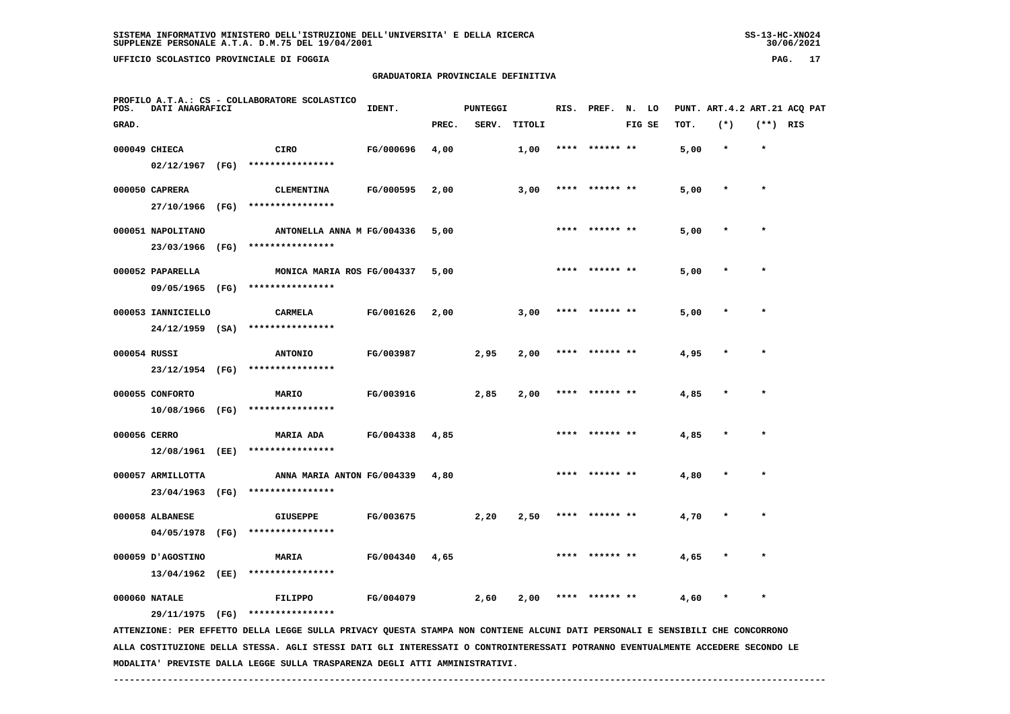**UFFICIO SCOLASTICO PROVINCIALE DI FOGGIA PAG. 17**

### **GRADUATORIA PROVINCIALE DEFINITIVA**

 **PROFILO A.T.A.: CS - COLLABORATORE SCOLASTICOIDENT.** PUNTEGGI RIS. PREF. N. LO PUNT. ART.4.2 ART.21 ACQ PAT  **GRAD. PREC. SERV. TITOLI FIG SE TOT. (\*) (\*\*) RIS 000049 CHIECA CIRO FG/000696 4,00 1,00 \*\*\*\* \*\*\*\*\*\* \*\* 5,00 \* \* 02/12/1967 (FG) \*\*\*\*\*\*\*\*\*\*\*\*\*\*\*\* 000050 CAPRERA CLEMENTINA FG/000595 2,00 3,00 \*\*\*\* \*\*\*\*\*\* \*\* 5,00 \* \* 27/10/1966 (FG) \*\*\*\*\*\*\*\*\*\*\*\*\*\*\*\* 000051 NAPOLITANO ANTONELLA ANNA M FG/004336 5,00 \*\*\*\* \*\*\*\*\*\* \*\* 5,00 \* \* 23/03/1966 (FG) \*\*\*\*\*\*\*\*\*\*\*\*\*\*\*\***000052 PAPARELLA MONICA MARIA ROS FG/004337 5,00 \* \*\*\*\* \*\*\*\*\*\*\* \*\* 5,00 \* \*  **09/05/1965 (FG) \*\*\*\*\*\*\*\*\*\*\*\*\*\*\*\* 000053 IANNICIELLO CARMELA FG/001626 2,00 3,00 \*\*\*\* \*\*\*\*\*\* \*\* 5,00 \* \* 24/12/1959 (SA) \*\*\*\*\*\*\*\*\*\*\*\*\*\*\*\* 000054 RUSSI ANTONIO FG/003987 2,95 2,00 \*\*\*\* \*\*\*\*\*\* \*\* 4,95 \* \* 23/12/1954 (FG) \*\*\*\*\*\*\*\*\*\*\*\*\*\*\*\* 000055 CONFORTO MARIO FG/003916 2,85 2,00 \*\*\*\* \*\*\*\*\*\* \*\* 4,85 \* \* 10/08/1966 (FG) \*\*\*\*\*\*\*\*\*\*\*\*\*\*\*\* 000056 CERRO MARIA ADA FG/004338 4,85 \*\*\*\* \*\*\*\*\*\* \*\* 4,85 \* \* 12/08/1961 (EE) \*\*\*\*\*\*\*\*\*\*\*\*\*\*\*\* 000057 ARMILLOTTA ANNA MARIA ANTON FG/004339 4,80 \*\*\*\* \*\*\*\*\*\* \*\* 4,80 \* \* 23/04/1963 (FG) \*\*\*\*\*\*\*\*\*\*\*\*\*\*\*\***000058 ALBANESE **6IUSEPPE** FG/003675 2,20 2,50 \*\*\*\* \*\*\*\*\*\* \*\* 4,70  **04/05/1978 (FG) \*\*\*\*\*\*\*\*\*\*\*\*\*\*\*\* 000059 D'AGOSTINO MARIA FG/004340 4,65 \*\*\*\* \*\*\*\*\*\* \*\* 4,65 \* \* 13/04/1962 (EE) \*\*\*\*\*\*\*\*\*\*\*\*\*\*\*\* 000060 NATALE FILIPPO FG/004079 2,60 2,00 \*\*\*\* \*\*\*\*\*\* \*\* 4,60 \* \* 29/11/1975 (FG) \*\*\*\*\*\*\*\*\*\*\*\*\*\*\*\* ATTENZIONE: PER EFFETTO DELLA LEGGE SULLA PRIVACY QUESTA STAMPA NON CONTIENE ALCUNI DATI PERSONALI E SENSIBILI CHE CONCORRONO**

 **ALLA COSTITUZIONE DELLA STESSA. AGLI STESSI DATI GLI INTERESSATI O CONTROINTERESSATI POTRANNO EVENTUALMENTE ACCEDERE SECONDO LE MODALITA' PREVISTE DALLA LEGGE SULLA TRASPARENZA DEGLI ATTI AMMINISTRATIVI.**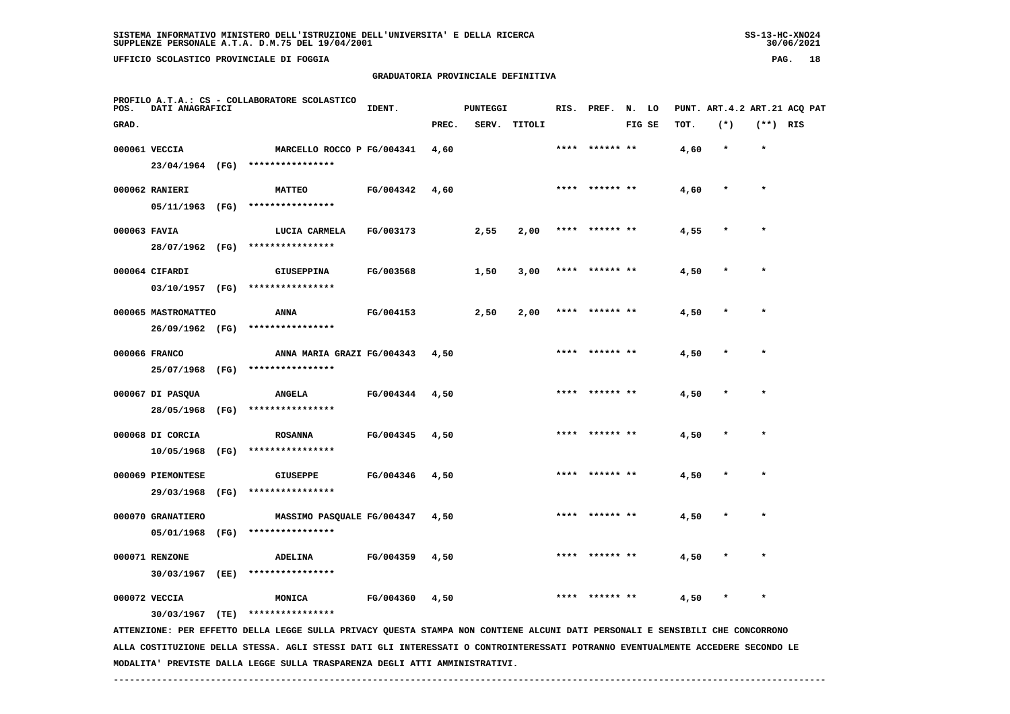# **GRADUATORIA PROVINCIALE DEFINITIVA**

| POS.         | DATI ANAGRAFICI     |      | PROFILO A.T.A.: CS - COLLABORATORE SCOLASTICO                                                                                 | IDENT.    |       | <b>PUNTEGGI</b> |              |      | RIS. PREF. N. LO |        |      |         |            | PUNT. ART. 4.2 ART. 21 ACQ PAT |
|--------------|---------------------|------|-------------------------------------------------------------------------------------------------------------------------------|-----------|-------|-----------------|--------------|------|------------------|--------|------|---------|------------|--------------------------------|
| GRAD.        |                     |      |                                                                                                                               |           | PREC. |                 | SERV. TITOLI |      |                  | FIG SE | TOT. | $(*)$   | $(**)$ RIS |                                |
|              | 000061 VECCIA       |      | MARCELLO ROCCO P FG/004341                                                                                                    |           | 4,60  |                 |              | **** | ****** **        |        | 4,60 | $\star$ | $\star$    |                                |
|              |                     |      | 23/04/1964 (FG) ****************                                                                                              |           |       |                 |              |      |                  |        |      |         |            |                                |
|              | 000062 RANIERI      |      | <b>MATTEO</b>                                                                                                                 | FG/004342 | 4,60  |                 |              |      |                  |        | 4,60 |         | $\star$    |                                |
|              | 05/11/1963 (FG)     |      | ****************                                                                                                              |           |       |                 |              |      |                  |        |      |         |            |                                |
| 000063 FAVIA |                     |      | LUCIA CARMELA                                                                                                                 | FG/003173 |       | 2,55            | 2,00         |      | **** ****** **   |        | 4,55 |         |            |                                |
|              |                     |      | 28/07/1962 (FG) ****************                                                                                              |           |       |                 |              |      |                  |        |      |         |            |                                |
|              | 000064 CIFARDI      |      | <b>GIUSEPPINA</b>                                                                                                             | FG/003568 |       | 1,50            | 3,00         |      | ****** **        |        | 4,50 |         |            |                                |
|              | 03/10/1957 (FG)     |      | ****************                                                                                                              |           |       |                 |              |      |                  |        |      |         |            |                                |
|              | 000065 MASTROMATTEO |      | ANNA                                                                                                                          | FG/004153 |       | 2,50            | 2,00         |      |                  |        | 4,50 |         |            |                                |
|              | 26/09/1962 (FG)     |      | ****************                                                                                                              |           |       |                 |              |      |                  |        |      |         |            |                                |
|              | 000066 FRANCO       |      | ANNA MARIA GRAZI FG/004343                                                                                                    |           | 4,50  |                 |              |      |                  |        | 4,50 |         |            |                                |
|              | 25/07/1968 (FG)     |      | ****************                                                                                                              |           |       |                 |              |      |                  |        |      |         |            |                                |
|              | 000067 DI PASQUA    |      | <b>ANGELA</b>                                                                                                                 | FG/004344 | 4,50  |                 |              | **** | ****** **        |        | 4,50 |         | $\star$    |                                |
|              | 28/05/1968          | (FG) | ****************                                                                                                              |           |       |                 |              |      |                  |        |      |         |            |                                |
|              | 000068 DI CORCIA    |      | <b>ROSANNA</b>                                                                                                                | FG/004345 | 4,50  |                 |              |      | **** ****** **   |        | 4,50 | $\star$ | $\star$    |                                |
|              | 10/05/1968          | (FG) | ****************                                                                                                              |           |       |                 |              |      |                  |        |      |         |            |                                |
|              | 000069 PIEMONTESE   |      | <b>GIUSEPPE</b>                                                                                                               | FG/004346 | 4,50  |                 |              |      |                  |        | 4,50 |         |            |                                |
|              |                     |      | 29/03/1968 (FG) ****************                                                                                              |           |       |                 |              |      |                  |        |      |         |            |                                |
|              | 000070 GRANATIERO   |      | MASSIMO PASQUALE FG/004347                                                                                                    |           | 4,50  |                 |              |      |                  |        | 4,50 |         |            |                                |
|              | 05/01/1968 (FG)     |      | ****************                                                                                                              |           |       |                 |              |      |                  |        |      |         |            |                                |
|              | 000071 RENZONE      |      | <b>ADELINA</b>                                                                                                                | FG/004359 | 4,50  |                 |              |      |                  |        | 4,50 |         |            |                                |
|              | 30/03/1967 (EE)     |      | ****************                                                                                                              |           |       |                 |              |      |                  |        |      |         |            |                                |
|              | 000072 VECCIA       |      | <b>MONICA</b>                                                                                                                 | FG/004360 | 4,50  |                 |              | **** | ****** **        |        | 4,50 |         | $\star$    |                                |
|              | $30/03/1967$ (TE)   |      | ****************                                                                                                              |           |       |                 |              |      |                  |        |      |         |            |                                |
|              |                     |      | ATTENZIONE: PER EFFETTO DELLA LEGGE SULLA PRIVACY QUESTA STAMPA NON CONTIENE ALCUNI DATI PERSONALI E SENSIBILI CHE CONCORRONO |           |       |                 |              |      |                  |        |      |         |            |                                |

 **ALLA COSTITUZIONE DELLA STESSA. AGLI STESSI DATI GLI INTERESSATI O CONTROINTERESSATI POTRANNO EVENTUALMENTE ACCEDERE SECONDO LE MODALITA' PREVISTE DALLA LEGGE SULLA TRASPARENZA DEGLI ATTI AMMINISTRATIVI.**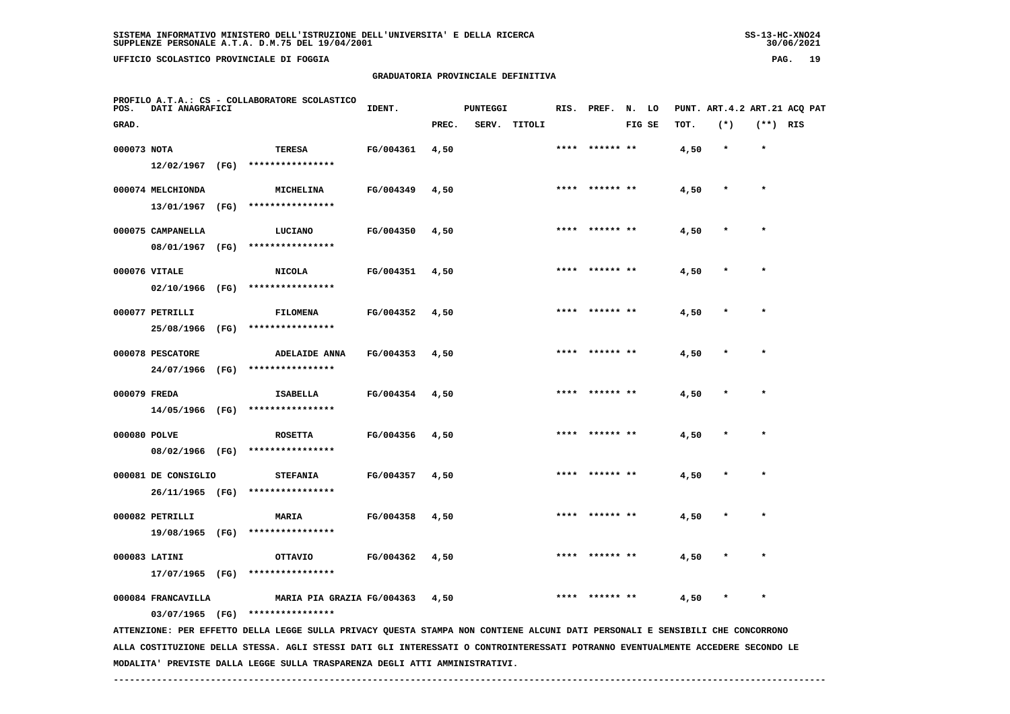**UFFICIO SCOLASTICO PROVINCIALE DI FOGGIA PAG. 19**

#### **GRADUATORIA PROVINCIALE DEFINITIVA**

| POS.         | <b>DATI ANAGRAFICI</b>                 |      | PROFILO A.T.A.: CS - COLLABORATORE SCOLASTICO                                                                                   | IDENT.    |       | <b>PUNTEGGI</b> |              | RIS. | PREF.           | N. LO  |      | PUNT. ART. 4.2 ART. 21 ACQ PAT |            |  |
|--------------|----------------------------------------|------|---------------------------------------------------------------------------------------------------------------------------------|-----------|-------|-----------------|--------------|------|-----------------|--------|------|--------------------------------|------------|--|
| GRAD.        |                                        |      |                                                                                                                                 |           | PREC. |                 | SERV. TITOLI |      |                 | FIG SE | TOT. | $(*)$                          | $(**)$ RIS |  |
| 000073 NOTA  | $12/02/1967$ (FG)                      |      | TERESA<br>****************                                                                                                      | FG/004361 | 4,50  |                 |              |      |                 |        | 4,50 | $\star$                        | $\star$    |  |
|              | 000074 MELCHIONDA<br>13/01/1967        | (FG) | MICHELINA<br>****************                                                                                                   | FG/004349 | 4,50  |                 |              |      | **** ****** **  |        | 4,50 |                                | $\star$    |  |
|              | 000075 CAMPANELLA<br>08/01/1967 (FG)   |      | LUCIANO<br>****************                                                                                                     | FG/004350 | 4,50  |                 |              |      |                 |        | 4,50 |                                |            |  |
|              | 000076 VITALE<br>02/10/1966 (FG)       |      | <b>NICOLA</b><br>****************                                                                                               | FG/004351 | 4,50  |                 |              | **** |                 |        | 4,50 |                                |            |  |
|              | 000077 PETRILLI<br>25/08/1966 (FG)     |      | FILOMENA<br>****************                                                                                                    | FG/004352 | 4,50  |                 |              | **** | ****** **       |        | 4,50 |                                |            |  |
|              | 000078 PESCATORE                       |      | <b>ADELAIDE ANNA</b><br>24/07/1966 (FG) ****************                                                                        | FG/004353 | 4,50  |                 |              | **** | ****** **       |        | 4,50 |                                | $\star$    |  |
| 000079 FREDA | 14/05/1966 (FG)                        |      | ISABELLA<br>****************                                                                                                    | FG/004354 | 4,50  |                 |              | **** | ****** **       |        | 4,50 |                                |            |  |
| 000080 POLVE | 08/02/1966 (FG)                        |      | <b>ROSETTA</b><br>****************                                                                                              | FG/004356 | 4,50  |                 |              |      | ****  ****** ** |        | 4,50 |                                |            |  |
|              | 000081 DE CONSIGLIO<br>26/11/1965 (FG) |      | <b>STEFANIA</b><br>****************                                                                                             | FG/004357 | 4,50  |                 |              | **** |                 |        | 4,50 |                                | $\star$    |  |
|              | 000082 PETRILLI<br>19/08/1965 (FG)     |      | <b>MARIA</b><br>****************                                                                                                | FG/004358 | 4,50  |                 |              |      |                 |        | 4,50 |                                |            |  |
|              | 000083 LATINI<br>17/07/1965 (FG)       |      | OTTAVIO<br>****************                                                                                                     | FG/004362 | 4,50  |                 |              |      |                 |        | 4,50 |                                |            |  |
|              | 000084 FRANCAVILLA<br>03/07/1965 (FG)  |      | MARIA PIA GRAZIA FG/004363<br>****************                                                                                  |           | 4,50  |                 |              |      |                 |        | 4,50 |                                |            |  |
|              |                                        |      | ATTENZIONE: PER EFFETTO DELLA LEGGE SULLA PRIVACY QUESTA STAMPA NON CONTIENE ALCUNI DATI PERSONALI E SENSIBILI CHE CONCORRONO   |           |       |                 |              |      |                 |        |      |                                |            |  |
|              |                                        |      | ALLA COSTITUZIONE DELLA STESSA. AGLI STESSI DATI GLI INTERESSATI O CONTROINTERESSATI POTRANNO EVENTUALMENTE ACCEDERE SECONDO LE |           |       |                 |              |      |                 |        |      |                                |            |  |

 **MODALITA' PREVISTE DALLA LEGGE SULLA TRASPARENZA DEGLI ATTI AMMINISTRATIVI.**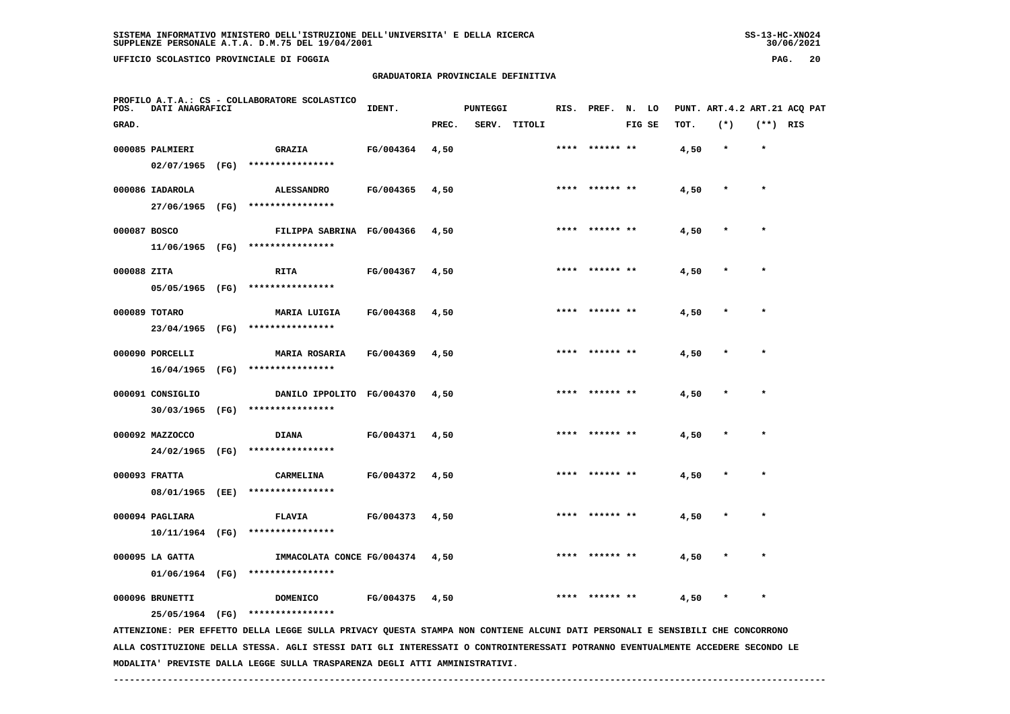### **GRADUATORIA PROVINCIALE DEFINITIVA**

| PAG. |  | 20 |
|------|--|----|
|------|--|----|

| POS.         | DATI ANAGRAFICI  | PROFILO A.T.A.: CS - COLLABORATORE SCOLASTICO                                                                                 | IDENT.    |       | <b>PUNTEGGI</b> |              |      | RIS. PREF. N. LO |        |      | PUNT. ART.4.2 ART.21 ACQ PAT |            |  |
|--------------|------------------|-------------------------------------------------------------------------------------------------------------------------------|-----------|-------|-----------------|--------------|------|------------------|--------|------|------------------------------|------------|--|
| GRAD.        |                  |                                                                                                                               |           | PREC. |                 | SERV. TITOLI |      |                  | FIG SE | TOT. | $(*)$                        | $(**)$ RIS |  |
|              | 000085 PALMIERI  | <b>GRAZIA</b>                                                                                                                 | FG/004364 | 4,50  |                 |              |      | **** ****** **   |        | 4,50 | $\star$                      | $\star$    |  |
|              |                  | 02/07/1965 (FG) ****************                                                                                              |           |       |                 |              |      |                  |        |      |                              |            |  |
|              | 000086 IADAROLA  | <b>ALESSANDRO</b>                                                                                                             | FG/004365 | 4,50  |                 |              |      | **** ****** **   |        | 4,50 |                              | $\star$    |  |
|              | 27/06/1965 (FG)  | ****************                                                                                                              |           |       |                 |              |      |                  |        |      |                              |            |  |
| 000087 BOSCO |                  | FILIPPA SABRINA FG/004366                                                                                                     |           | 4,50  |                 |              | **** |                  |        | 4,50 |                              | $\star$    |  |
|              |                  | $11/06/1965$ (FG) ****************                                                                                            |           |       |                 |              |      |                  |        |      |                              |            |  |
| 000088 ZITA  |                  | <b>RITA</b>                                                                                                                   | FG/004367 | 4,50  |                 |              |      | **** ****** **   |        | 4,50 |                              |            |  |
|              |                  | 05/05/1965 (FG) ****************                                                                                              |           |       |                 |              |      |                  |        |      |                              |            |  |
|              | 000089 TOTARO    | <b>MARIA LUIGIA</b>                                                                                                           | FG/004368 | 4,50  |                 |              |      | ****** **        |        | 4,50 |                              |            |  |
|              | 23/04/1965 (FG)  | ****************                                                                                                              |           |       |                 |              |      |                  |        |      |                              |            |  |
|              | 000090 PORCELLI  | <b>MARIA ROSARIA</b>                                                                                                          | FG/004369 | 4,50  |                 |              |      | **** ****** **   |        | 4,50 | $\ast$                       | $\star$    |  |
|              |                  | 16/04/1965 (FG) ****************                                                                                              |           |       |                 |              |      |                  |        |      |                              |            |  |
|              | 000091 CONSIGLIO | DANILO IPPOLITO FG/004370                                                                                                     |           | 4,50  |                 |              |      | **** ****** **   |        | 4,50 |                              | $\star$    |  |
|              | 30/03/1965 (FG)  | ****************                                                                                                              |           |       |                 |              |      |                  |        |      |                              |            |  |
|              | 000092 MAZZOCCO  | <b>DIANA</b>                                                                                                                  | FG/004371 | 4,50  |                 |              |      | **** ****** **   |        | 4,50 | $\star$                      | $\star$    |  |
|              |                  | 24/02/1965 (FG) ****************                                                                                              |           |       |                 |              |      |                  |        |      |                              |            |  |
|              | 000093 FRATTA    | CARMELINA                                                                                                                     | FG/004372 | 4,50  |                 |              |      |                  |        | 4,50 |                              |            |  |
|              | 08/01/1965 (EE)  | ****************                                                                                                              |           |       |                 |              |      |                  |        |      |                              |            |  |
|              | 000094 PAGLIARA  | <b>FLAVIA</b>                                                                                                                 | FG/004373 | 4,50  |                 |              |      |                  |        | 4,50 |                              |            |  |
|              |                  | 10/11/1964 (FG) ****************                                                                                              |           |       |                 |              |      |                  |        |      |                              |            |  |
|              | 000095 LA GATTA  | IMMACOLATA CONCE FG/004374                                                                                                    |           | 4,50  |                 |              |      | ****  ****** **  |        | 4,50 |                              | $\star$    |  |
|              |                  | $01/06/1964$ (FG) *****************                                                                                           |           |       |                 |              |      |                  |        |      |                              |            |  |
|              | 000096 BRUNETTI  | <b>DOMENICO</b>                                                                                                               | FG/004375 | 4,50  |                 |              | **** | ****** **        |        | 4,50 |                              | $\star$    |  |
|              | 25/05/1964 (FG)  | ****************                                                                                                              |           |       |                 |              |      |                  |        |      |                              |            |  |
|              |                  | ATTENZIONE: PER EFFETTO DELLA LEGGE SULLA PRIVACY QUESTA STAMPA NON CONTIENE ALCUNI DATI PERSONALI E SENSIBILI CHE CONCORRONO |           |       |                 |              |      |                  |        |      |                              |            |  |

 **ALLA COSTITUZIONE DELLA STESSA. AGLI STESSI DATI GLI INTERESSATI O CONTROINTERESSATI POTRANNO EVENTUALMENTE ACCEDERE SECONDO LE MODALITA' PREVISTE DALLA LEGGE SULLA TRASPARENZA DEGLI ATTI AMMINISTRATIVI.**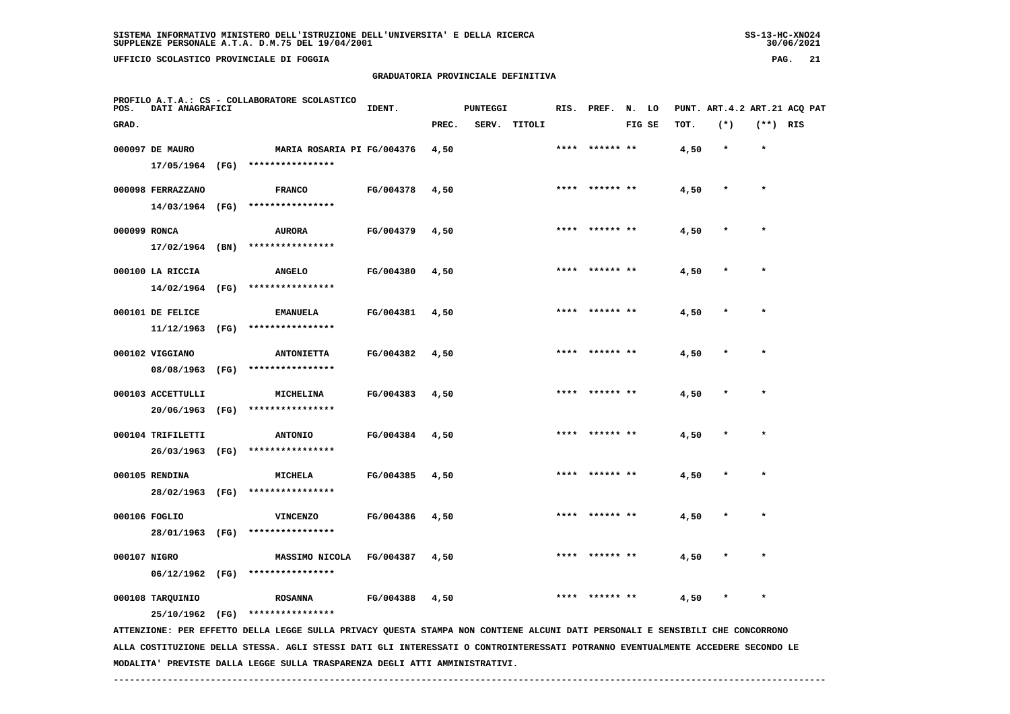# **GRADUATORIA PROVINCIALE DEFINITIVA**

| POS.         | DATI ANAGRAFICI                     |      | PROFILO A.T.A.: CS - COLLABORATORE SCOLASTICO                                                                                   | IDENT.    |       | <b>PUNTEGGI</b> |              |      | RIS. PREF. | N. LO  |      | PUNT. ART. 4.2 ART. 21 ACQ PAT |            |  |
|--------------|-------------------------------------|------|---------------------------------------------------------------------------------------------------------------------------------|-----------|-------|-----------------|--------------|------|------------|--------|------|--------------------------------|------------|--|
| GRAD.        |                                     |      |                                                                                                                                 |           | PREC. |                 | SERV. TITOLI |      |            | FIG SE | TOT. | $(*)$                          | $(**)$ RIS |  |
|              | 000097 DE MAURO                     |      | MARIA ROSARIA PI FG/004376                                                                                                      |           | 4,50  |                 |              | **** | ****** **  |        | 4,50 | $\star$                        | $\star$    |  |
|              | 17/05/1964                          | (FG) | ****************                                                                                                                |           |       |                 |              |      |            |        |      |                                |            |  |
|              | 000098 FERRAZZANO                   |      | <b>FRANCO</b>                                                                                                                   | FG/004378 | 4,50  |                 |              |      |            |        | 4,50 |                                | $\star$    |  |
|              | 14/03/1964 (FG)                     |      | ****************                                                                                                                |           |       |                 |              |      |            |        |      |                                |            |  |
| 000099 RONCA |                                     |      | <b>AURORA</b>                                                                                                                   | FG/004379 | 4,50  |                 |              |      |            |        | 4,50 |                                |            |  |
|              | 17/02/1964                          | (BN) | ****************                                                                                                                |           |       |                 |              |      |            |        |      |                                |            |  |
|              | 000100 LA RICCIA                    |      | <b>ANGELO</b>                                                                                                                   | FG/004380 | 4,50  |                 |              |      |            |        | 4,50 |                                | $\star$    |  |
|              | 14/02/1964                          | (FG) | ****************                                                                                                                |           |       |                 |              |      |            |        |      |                                |            |  |
|              | 000101 DE FELICE                    |      | <b>EMANUELA</b>                                                                                                                 | FG/004381 | 4,50  |                 |              |      |            |        | 4,50 |                                |            |  |
|              | 11/12/1963                          | (FG) | ****************                                                                                                                |           |       |                 |              |      |            |        |      |                                |            |  |
|              | 000102 VIGGIANO                     |      | <b>ANTONIETTA</b>                                                                                                               | FG/004382 | 4,50  |                 |              |      |            |        | 4,50 |                                |            |  |
|              | 08/08/1963                          | (FG) | ****************                                                                                                                |           |       |                 |              |      |            |        |      |                                |            |  |
|              | 000103 ACCETTULLI                   |      | MICHELINA                                                                                                                       | FG/004383 | 4,50  |                 |              |      |            |        | 4,50 |                                |            |  |
|              | 20/06/1963                          | (FG) | ****************                                                                                                                |           |       |                 |              |      |            |        |      |                                |            |  |
|              | 000104 TRIFILETTI                   |      | <b>ANTONIO</b>                                                                                                                  | FG/004384 | 4,50  |                 |              |      |            |        | 4,50 |                                |            |  |
|              | 26/03/1963                          | (FG) | ****************                                                                                                                |           |       |                 |              |      |            |        |      |                                |            |  |
|              | 000105 RENDINA<br>28/02/1963 (FG)   |      | <b>MICHELA</b><br>****************                                                                                              | FG/004385 | 4,50  |                 |              |      |            |        | 4,50 |                                |            |  |
|              |                                     |      |                                                                                                                                 |           |       |                 |              |      |            |        |      |                                |            |  |
|              | 000106 FOGLIO<br>28/01/1963 (FG)    |      | <b>VINCENZO</b><br>****************                                                                                             | FG/004386 | 4,50  |                 |              |      |            |        | 4,50 |                                |            |  |
|              |                                     |      |                                                                                                                                 |           |       |                 |              |      |            |        |      |                                |            |  |
| 000107 NIGRO | $06/12/1962$ (FG)                   |      | MASSIMO NICOLA<br>****************                                                                                              | FG/004387 | 4,50  |                 |              |      |            |        | 4,50 |                                |            |  |
|              |                                     |      |                                                                                                                                 |           |       |                 |              |      |            |        |      |                                |            |  |
|              | 000108 TARQUINIO<br>25/10/1962 (FG) |      | <b>ROSANNA</b><br>****************                                                                                              | FG/004388 | 4,50  |                 |              |      |            |        | 4,50 |                                |            |  |
|              |                                     |      | ATTENZIONE: PER EFFETTO DELLA LEGGE SULLA PRIVACY QUESTA STAMPA NON CONTIENE ALCUNI DATI PERSONALI E SENSIBILI CHE CONCORRONO   |           |       |                 |              |      |            |        |      |                                |            |  |
|              |                                     |      | ALLA COSTITUZIONE DELLA STESSA. AGLI STESSI DATI GLI INTERESSATI O CONTROINTERESSATI POTRANNO EVENTUALMENTE ACCEDERE SECONDO LE |           |       |                 |              |      |            |        |      |                                |            |  |

 **MODALITA' PREVISTE DALLA LEGGE SULLA TRASPARENZA DEGLI ATTI AMMINISTRATIVI.**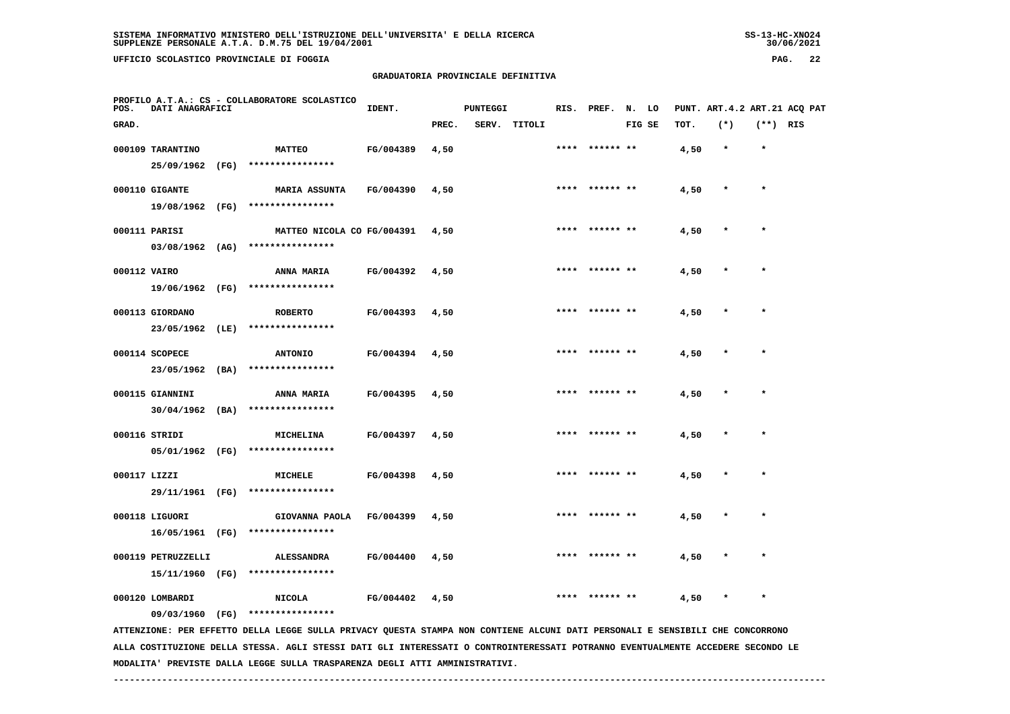# **GRADUATORIA PROVINCIALE DEFINITIVA**

| POS.         | DATI ANAGRAFICI                       | PROFILO A.T.A.: CS - COLLABORATORE SCOLASTICO                                                                                 | IDENT.           |       | PUNTEGGI |        |      | RIS. PREF.      | N. LO  |      |         |            | PUNT. ART.4.2 ART.21 ACQ PAT |
|--------------|---------------------------------------|-------------------------------------------------------------------------------------------------------------------------------|------------------|-------|----------|--------|------|-----------------|--------|------|---------|------------|------------------------------|
| GRAD.        |                                       |                                                                                                                               |                  | PREC. | SERV.    | TITOLI |      |                 | FIG SE | TOT. | $(*)$   | $(**)$ RIS |                              |
|              | 000109 TARANTINO<br>25/09/1962 (FG)   | <b>MATTEO</b><br>****************                                                                                             | FG/004389        | 4,50  |          |        |      |                 |        | 4,50 | $\star$ | $\star$    |                              |
|              | 000110 GIGANTE<br>19/08/1962 (FG)     | <b>MARIA ASSUNTA</b><br>****************                                                                                      | FG/004390        | 4,50  |          |        |      |                 |        | 4,50 |         |            |                              |
|              | 000111 PARISI<br>$03/08/1962$ (AG)    | MATTEO NICOLA CO FG/004391<br>****************                                                                                |                  | 4,50  |          |        |      | **** ****** **  |        | 4,50 | $\star$ | $\star$    |                              |
| 000112 VAIRO | 19/06/1962 (FG)                       | ANNA MARIA<br>****************                                                                                                | FG/004392        | 4,50  |          |        |      |                 |        | 4,50 |         |            |                              |
|              | 000113 GIORDANO<br>23/05/1962 (LE)    | <b>ROBERTO</b><br>****************                                                                                            | FG/004393        | 4,50  |          |        |      |                 |        | 4,50 |         |            |                              |
|              | 000114 SCOPECE<br>23/05/1962 (BA)     | <b>ANTONIO</b><br>****************                                                                                            | FG/004394        | 4,50  |          |        |      | ****  ****** ** |        | 4,50 |         | $\star$    |                              |
|              | 000115 GIANNINI<br>$30/04/1962$ (BA)  | ANNA MARIA<br>****************                                                                                                | FG/004395        | 4,50  |          |        | **** | ****** **       |        | 4,50 |         | $\star$    |                              |
|              | 000116 STRIDI                         | <b>MICHELINA</b><br>05/01/1962 (FG) ****************                                                                          | FG/004397        | 4,50  |          |        |      | **** ****** **  |        | 4,50 |         | $\star$    |                              |
| 000117 LIZZI |                                       | <b>MICHELE</b><br>29/11/1961 (FG) *****************                                                                           | FG/004398        | 4,50  |          |        |      |                 |        | 4,50 |         |            |                              |
|              | 000118 LIGUORI<br>16/05/1961 (FG)     | GIOVANNA PAOLA<br>****************                                                                                            | <b>FG/004399</b> | 4,50  |          |        |      |                 |        | 4,50 |         |            |                              |
|              | 000119 PETRUZZELLI<br>15/11/1960 (FG) | <b>ALESSANDRA</b><br>****************                                                                                         | FG/004400        | 4,50  |          |        |      | **** ****** **  |        | 4,50 |         | $\star$    |                              |
|              | 000120 LOMBARDI<br>09/03/1960 (FG)    | <b>NICOLA</b><br>****************                                                                                             | FG/004402        | 4,50  |          |        |      | ****  ****** ** |        | 4,50 | $\ast$  | $\star$    |                              |
|              |                                       | ATTENZIONE: PER EFFETTO DELLA LEGGE SULLA PRIVACY QUESTA STAMPA NON CONTIENE ALCUNI DATI PERSONALI E SENSIBILI CHE CONCORRONO |                  |       |          |        |      |                 |        |      |         |            |                              |

 **ALLA COSTITUZIONE DELLA STESSA. AGLI STESSI DATI GLI INTERESSATI O CONTROINTERESSATI POTRANNO EVENTUALMENTE ACCEDERE SECONDO LE MODALITA' PREVISTE DALLA LEGGE SULLA TRASPARENZA DEGLI ATTI AMMINISTRATIVI.**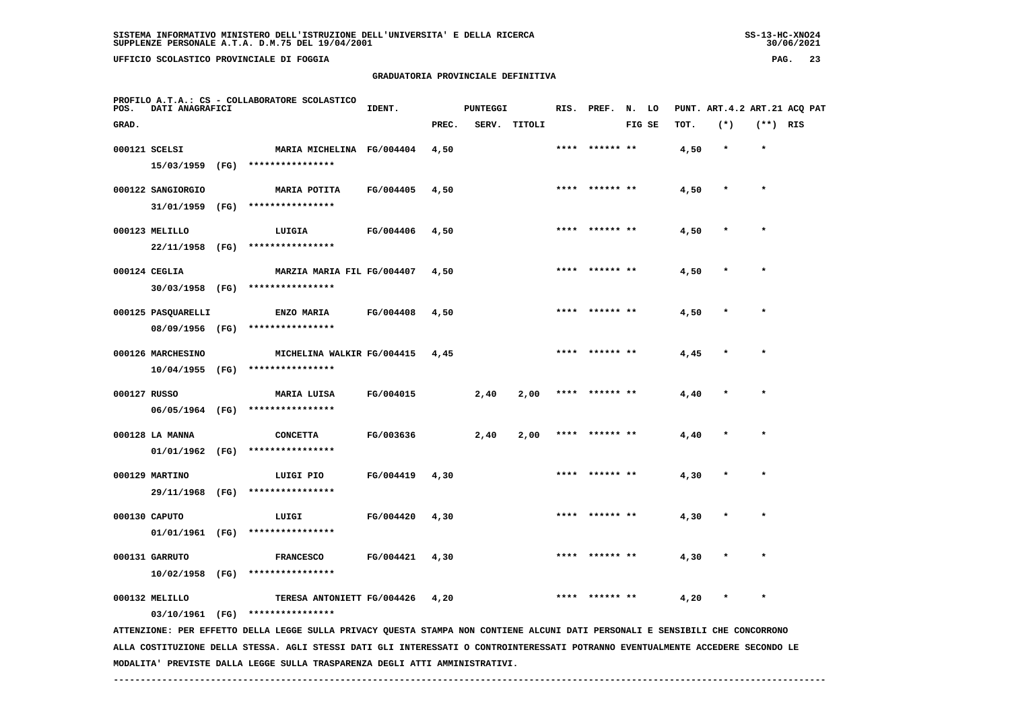**PROFILO A.T.A.: CS - COLLABORATORE SCOLASTICO**

# **GRADUATORIA PROVINCIALE DEFINITIVA**

**IDENT.** PUNTEGGI RIS. PREF. N. LO PUNT. ART.4.2 ART.21 ACQ PAT

| GRAD.        |                                       |      |                                                |           | PREC. | SERV. | TITOLI |      |           | FIG SE | TOT. | $(*)$   | $(**)$ RIS |  |
|--------------|---------------------------------------|------|------------------------------------------------|-----------|-------|-------|--------|------|-----------|--------|------|---------|------------|--|
|              | 000121 SCELSI<br>15/03/1959           | (FG) | MARIA MICHELINA FG/004404<br>****************  |           | 4,50  |       |        | **** | ****** ** |        | 4,50 | $\star$ | $\star$    |  |
|              | 000122 SANGIORGIO<br>31/01/1959       | (FG) | MARIA POTITA<br>****************               | FG/004405 | 4,50  |       |        | **** |           |        | 4,50 | $\star$ | $\star$    |  |
|              | 000123 MELILLO<br>22/11/1958          | (FG) | LUIGIA<br>****************                     | FG/004406 | 4,50  |       |        | **** | ****** ** |        | 4,50 | $\star$ | $\star$    |  |
|              | 000124 CEGLIA                         |      | MARZIA MARIA FIL FG/004407                     |           | 4,50  |       |        | **** | ****** ** |        | 4,50 | $\star$ | $\star$    |  |
|              | 30/03/1958 (FG)<br>000125 PASQUARELLI |      | ****************<br><b>ENZO MARIA</b>          | FG/004408 | 4,50  |       |        | **** | ****** ** |        | 4,50 |         | $\star$    |  |
|              | 08/09/1956 (FG)<br>000126 MARCHESINO  |      | ****************<br>MICHELINA WALKIR FG/004415 |           | 4,45  |       |        | **** | ****** ** |        | 4,45 | $\star$ | $\star$    |  |
| 000127 RUSSO | $10/04/1955$ (FG)                     |      | ****************<br>MARIA LUISA                | FG/004015 |       | 2,40  | 2,00   |      | ****** ** |        | 4,40 |         | $\star$    |  |
|              | 06/05/1964 (FG)                       |      | ****************                               |           |       |       |        |      |           |        |      |         |            |  |
|              | 000128 LA MANNA<br>01/01/1962         | (FG) | <b>CONCETTA</b><br>****************            | FG/003636 |       | 2,40  | 2,00   | **** | ****** ** |        | 4,40 |         | $\star$    |  |
|              | 000129 MARTINO<br>29/11/1968          | (FG) | LUIGI PIO<br>****************                  | FG/004419 | 4,30  |       |        |      |           |        | 4,30 |         | $\star$    |  |
|              | 000130 CAPUTO<br>01/01/1961           | (FG) | LUIGI<br>****************                      | FG/004420 | 4,30  |       |        | **** | ****** ** |        | 4,30 |         | $\star$    |  |
|              |                                       |      |                                                |           |       |       |        |      |           |        |      |         |            |  |

 **10/02/1958 (FG) \*\*\*\*\*\*\*\*\*\*\*\*\*\*\*\***

000132 MELILLO **12 TERESA ANTONIETT FG/004426** 4,20 \*\*\*\* \*\*\*\*\*\*\*\*\* \*\* 4,20 \* \*  **03/10/1961 (FG) \*\*\*\*\*\*\*\*\*\*\*\*\*\*\*\***

 **000131 GARRUTO FRANCESCO FG/004421 4,30 \*\*\*\* \*\*\*\*\*\* \*\* 4,30 \* \***

 **ATTENZIONE: PER EFFETTO DELLA LEGGE SULLA PRIVACY QUESTA STAMPA NON CONTIENE ALCUNI DATI PERSONALI E SENSIBILI CHE CONCORRONO ALLA COSTITUZIONE DELLA STESSA. AGLI STESSI DATI GLI INTERESSATI O CONTROINTERESSATI POTRANNO EVENTUALMENTE ACCEDERE SECONDO LE MODALITA' PREVISTE DALLA LEGGE SULLA TRASPARENZA DEGLI ATTI AMMINISTRATIVI.**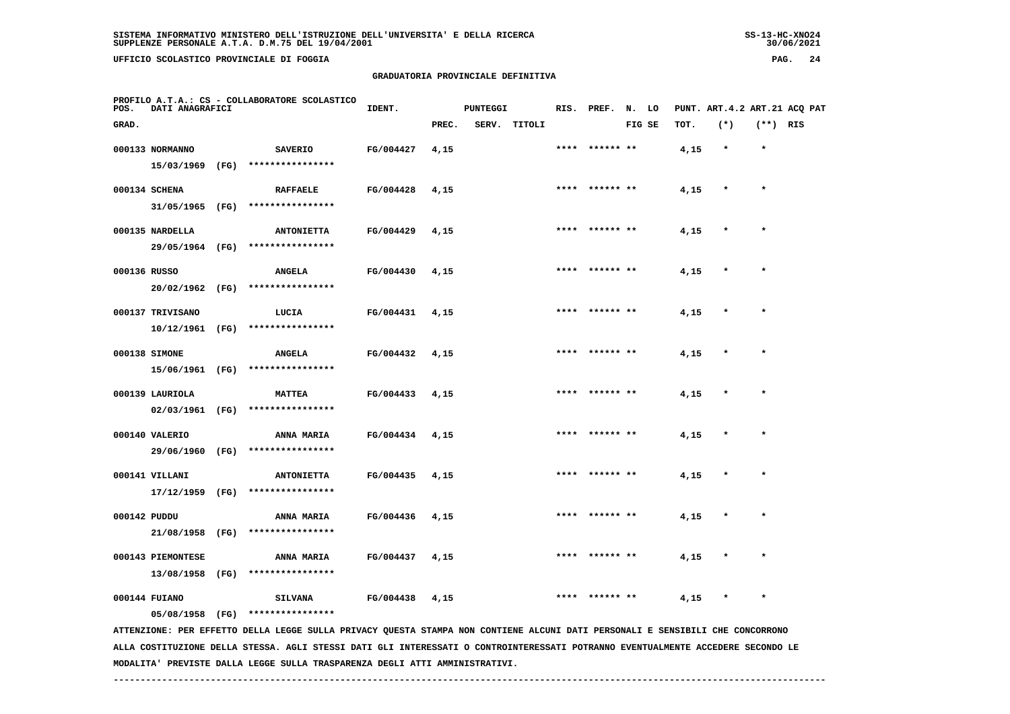**UFFICIO SCOLASTICO PROVINCIALE DI FOGGIA PAG. 24**

#### **GRADUATORIA PROVINCIALE DEFINITIVA**

| POS.  | DATI ANAGRAFICI   | PROFILO A.T.A.: CS - COLLABORATORE SCOLASTICO                                                                                 | IDENT.    |       | <b>PUNTEGGI</b> |        | RIS. PREF. N. LO |        |      | PUNT. ART. 4.2 ART. 21 ACQ PAT |            |  |
|-------|-------------------|-------------------------------------------------------------------------------------------------------------------------------|-----------|-------|-----------------|--------|------------------|--------|------|--------------------------------|------------|--|
| GRAD. |                   |                                                                                                                               |           | PREC. | SERV.           | TITOLI |                  | FIG SE | TOT. | $(*)$                          | $(**)$ RIS |  |
|       | 000133 NORMANNO   | <b>SAVERIO</b>                                                                                                                | FG/004427 | 4,15  |                 |        |                  |        | 4,15 | $\star$                        | $\star$    |  |
|       |                   | 15/03/1969 (FG) ****************                                                                                              |           |       |                 |        |                  |        |      |                                |            |  |
|       | 000134 SCHENA     | <b>RAFFAELE</b>                                                                                                               | FG/004428 | 4,15  |                 |        | **** ****** **   |        | 4,15 |                                |            |  |
|       |                   | 31/05/1965 (FG) ****************                                                                                              |           |       |                 |        |                  |        |      |                                |            |  |
|       | 000135 NARDELLA   | <b>ANTONIETTA</b>                                                                                                             | FG/004429 | 4,15  |                 |        | **** ****** **   |        | 4,15 |                                |            |  |
|       |                   | 29/05/1964 (FG) ****************                                                                                              |           |       |                 |        |                  |        |      |                                |            |  |
|       | 000136 RUSSO      | <b>ANGELA</b>                                                                                                                 | FG/004430 | 4,15  |                 |        | **** ****** **   |        | 4,15 | $\star$                        |            |  |
|       | 20/02/1962 (FG)   | ****************                                                                                                              |           |       |                 |        |                  |        |      |                                |            |  |
|       | 000137 TRIVISANO  | LUCIA                                                                                                                         | FG/004431 | 4,15  |                 |        |                  |        | 4,15 |                                |            |  |
|       | 10/12/1961 (FG)   | ****************                                                                                                              |           |       |                 |        |                  |        |      |                                |            |  |
|       | 000138 SIMONE     | <b>ANGELA</b>                                                                                                                 | FG/004432 | 4,15  |                 |        | **** ****** **   |        | 4,15 | $\star$                        | $\star$    |  |
|       |                   | 15/06/1961 (FG) ****************                                                                                              |           |       |                 |        |                  |        |      |                                |            |  |
|       | 000139 LAURIOLA   | <b>MATTEA</b>                                                                                                                 | FG/004433 | 4,15  |                 |        |                  |        | 4,15 |                                |            |  |
|       |                   | 02/03/1961 (FG) ****************                                                                                              |           |       |                 |        |                  |        |      |                                |            |  |
|       | 000140 VALERIO    | ANNA MARIA                                                                                                                    | FG/004434 | 4,15  |                 |        | **** ****** **   |        | 4,15 |                                | $\star$    |  |
|       | 29/06/1960 (FG)   | ****************                                                                                                              |           |       |                 |        |                  |        |      |                                |            |  |
|       | 000141 VILLANI    | <b>ANTONIETTA</b>                                                                                                             | FG/004435 | 4,15  |                 |        | **** ****** **   |        | 4,15 |                                | $\star$    |  |
|       | $17/12/1959$ (FG) | ****************                                                                                                              |           |       |                 |        |                  |        |      |                                |            |  |
|       | 000142 PUDDU      | <b>ANNA MARIA</b>                                                                                                             | FG/004436 | 4,15  |                 |        | ****** **        |        | 4,15 |                                |            |  |
|       | 21/08/1958 (FG)   | ****************                                                                                                              |           |       |                 |        |                  |        |      |                                |            |  |
|       | 000143 PIEMONTESE | <b>ANNA MARIA</b>                                                                                                             | FG/004437 | 4,15  |                 |        | ****  ****** **  |        | 4,15 | *                              | $\star$    |  |
|       | 13/08/1958 (FG)   | ****************                                                                                                              |           |       |                 |        |                  |        |      |                                |            |  |
|       | 000144 FUIANO     | <b>SILVANA</b>                                                                                                                | FG/004438 | 4,15  |                 |        |                  |        | 4,15 |                                |            |  |
|       | 05/08/1958 (FG)   | ****************                                                                                                              |           |       |                 |        |                  |        |      |                                |            |  |
|       |                   | ATTENZIONE: PER EFFETTO DELLA LEGGE SULLA PRIVACY QUESTA STAMPA NON CONTIENE ALCUNI DATI PERSONALI E SENSIBILI CHE CONCORRONO |           |       |                 |        |                  |        |      |                                |            |  |
|       |                   |                                                                                                                               |           |       |                 |        |                  |        |      |                                |            |  |

 **ALLA COSTITUZIONE DELLA STESSA. AGLI STESSI DATI GLI INTERESSATI O CONTROINTERESSATI POTRANNO EVENTUALMENTE ACCEDERE SECONDO LE MODALITA' PREVISTE DALLA LEGGE SULLA TRASPARENZA DEGLI ATTI AMMINISTRATIVI.**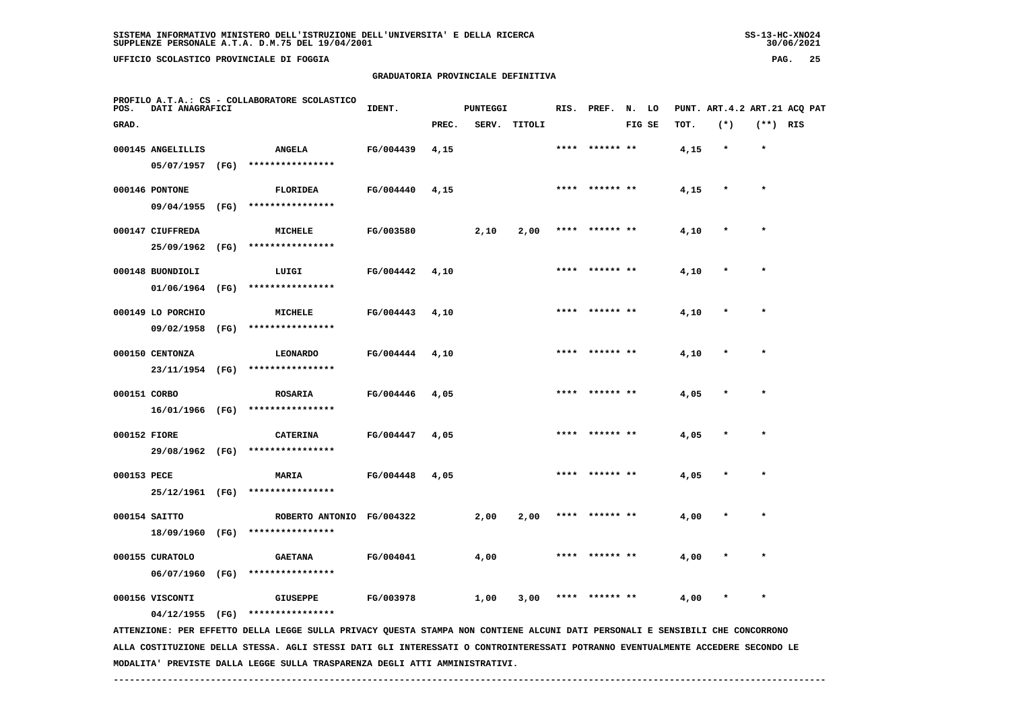**UFFICIO SCOLASTICO PROVINCIALE DI FOGGIA PAG. 25**

### **GRADUATORIA PROVINCIALE DEFINITIVA**

| POS.        | DATI ANAGRAFICI   |      | PROFILO A.T.A.: CS - COLLABORATORE SCOLASTICO                                                                                 | IDENT.    |       | <b>PUNTEGGI</b> |        |      | RIS. PREF. N. LO |        |      | PUNT. ART. 4.2 ART. 21 ACQ PAT |            |  |
|-------------|-------------------|------|-------------------------------------------------------------------------------------------------------------------------------|-----------|-------|-----------------|--------|------|------------------|--------|------|--------------------------------|------------|--|
| GRAD.       |                   |      |                                                                                                                               |           | PREC. | SERV.           | TITOLI |      |                  | FIG SE | TOT. | $(*)$                          | $(**)$ RIS |  |
|             | 000145 ANGELILLIS |      | <b>ANGELA</b>                                                                                                                 | FG/004439 | 4,15  |                 |        |      | ****** **        |        | 4,15 | $\star$                        | $\star$    |  |
|             |                   |      | 05/07/1957 (FG) ****************                                                                                              |           |       |                 |        |      |                  |        |      |                                |            |  |
|             | 000146 PONTONE    |      | <b>FLORIDEA</b>                                                                                                               | FG/004440 | 4,15  |                 |        |      | **** ****** **   |        | 4,15 |                                |            |  |
|             |                   |      | 09/04/1955 (FG) ****************                                                                                              |           |       |                 |        |      |                  |        |      |                                |            |  |
|             | 000147 CIUFFREDA  |      | MICHELE                                                                                                                       | FG/003580 |       | 2,10            | 2,00   |      | ****  ****** **  |        | 4,10 |                                |            |  |
|             | 25/09/1962        | (FG) | ****************                                                                                                              |           |       |                 |        |      |                  |        |      |                                |            |  |
|             |                   |      |                                                                                                                               |           |       |                 |        |      |                  |        |      |                                |            |  |
|             | 000148 BUONDIOLI  |      | LUIGI                                                                                                                         | FG/004442 | 4,10  |                 |        |      |                  |        | 4,10 |                                |            |  |
|             | 01/06/1964 (FG)   |      | ****************                                                                                                              |           |       |                 |        |      |                  |        |      |                                |            |  |
|             | 000149 LO PORCHIO |      | MICHELE                                                                                                                       | FG/004443 | 4,10  |                 |        |      | **** ****** **   |        | 4,10 |                                |            |  |
|             | 09/02/1958        | (FG) | ****************                                                                                                              |           |       |                 |        |      |                  |        |      |                                |            |  |
|             | 000150 CENTONZA   |      | <b>LEONARDO</b>                                                                                                               | FG/004444 | 4,10  |                 |        |      | **** ****** **   |        | 4,10 | $\ast$                         | $\star$    |  |
|             |                   |      | 23/11/1954 (FG) ****************                                                                                              |           |       |                 |        |      |                  |        |      |                                |            |  |
|             | 000151 CORBO      |      | ROSARIA                                                                                                                       | FG/004446 | 4,05  |                 |        |      |                  |        | 4,05 |                                |            |  |
|             |                   |      | 16/01/1966 (FG) ****************                                                                                              |           |       |                 |        |      |                  |        |      |                                |            |  |
|             |                   |      |                                                                                                                               |           |       |                 |        |      | **** ****** **   |        |      |                                |            |  |
|             | 000152 FIORE      |      | <b>CATERINA</b><br>29/08/1962 (FG) ****************                                                                           | FG/004447 | 4,05  |                 |        |      |                  |        | 4,05 |                                |            |  |
|             |                   |      |                                                                                                                               |           |       |                 |        |      |                  |        |      |                                |            |  |
| 000153 PECE |                   |      | <b>MARIA</b>                                                                                                                  | FG/004448 | 4,05  |                 |        |      | **** ****** **   |        | 4,05 |                                | $\star$    |  |
|             |                   |      | 25/12/1961 (FG) ****************                                                                                              |           |       |                 |        |      |                  |        |      |                                |            |  |
|             | 000154 SAITTO     |      | ROBERTO ANTONIO FG/004322                                                                                                     |           |       | 2,00            | 2,00   | **** | ****** **        |        | 4,00 |                                |            |  |
|             | 18/09/1960 (FG)   |      | ****************                                                                                                              |           |       |                 |        |      |                  |        |      |                                |            |  |
|             | 000155 CURATOLO   |      | <b>GAETANA</b>                                                                                                                | FG/004041 |       | 4,00            |        |      | **** ****** **   |        | 4,00 |                                | $\star$    |  |
|             | 06/07/1960        |      | (FG) ****************                                                                                                         |           |       |                 |        |      |                  |        |      |                                |            |  |
|             | 000156 VISCONTI   |      | <b>GIUSEPPE</b>                                                                                                               | FG/003978 |       | 1,00            | 3,00   | **** |                  |        | 4,00 |                                |            |  |
|             |                   |      | 04/12/1955 (FG) ****************                                                                                              |           |       |                 |        |      |                  |        |      |                                |            |  |
|             |                   |      | ATTENZIONE: PER EFFETTO DELLA LEGGE SULLA PRIVACY QUESTA STAMPA NON CONTIENE ALCUNI DATI PERSONALI E SENSIBILI CHE CONCORRONO |           |       |                 |        |      |                  |        |      |                                |            |  |
|             |                   |      |                                                                                                                               |           |       |                 |        |      |                  |        |      |                                |            |  |

 **ALLA COSTITUZIONE DELLA STESSA. AGLI STESSI DATI GLI INTERESSATI O CONTROINTERESSATI POTRANNO EVENTUALMENTE ACCEDERE SECONDO LE MODALITA' PREVISTE DALLA LEGGE SULLA TRASPARENZA DEGLI ATTI AMMINISTRATIVI.**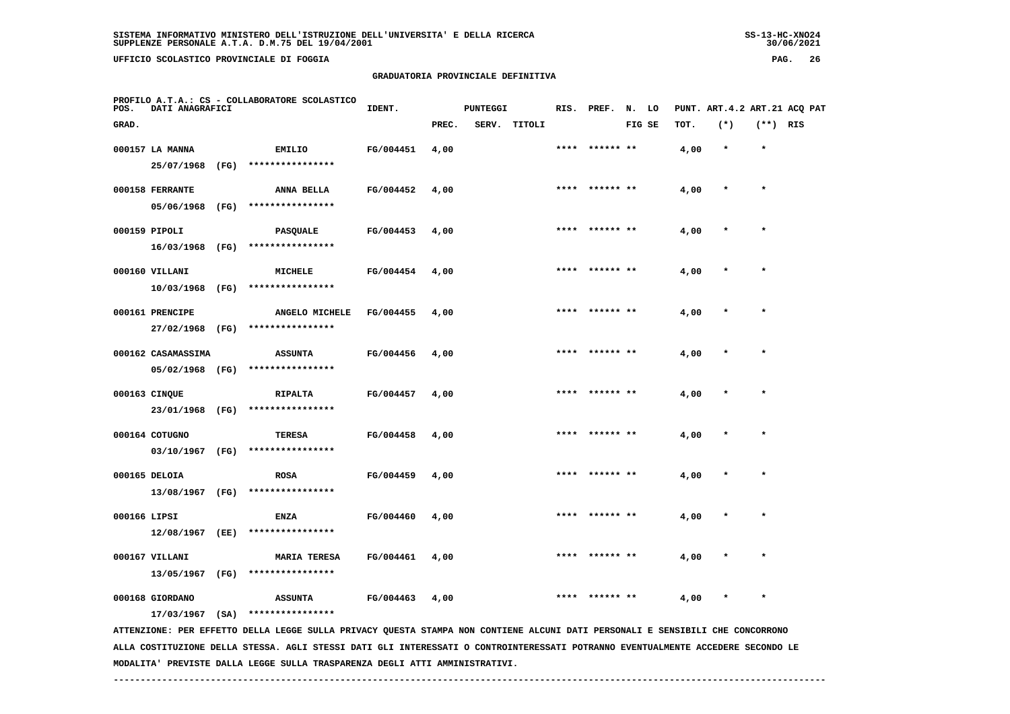**UFFICIO SCOLASTICO PROVINCIALE DI FOGGIA PAG. 26**

#### **GRADUATORIA PROVINCIALE DEFINITIVA**

| POS.         | DATI ANAGRAFICI    | PROFILO A.T.A.: CS - COLLABORATORE SCOLASTICO                                                                                 | IDENT.           |       | <b>PUNTEGGI</b> |              |      | RIS. PREF. N. LO |        |      |         |            | PUNT. ART.4.2 ART.21 ACQ PAT |
|--------------|--------------------|-------------------------------------------------------------------------------------------------------------------------------|------------------|-------|-----------------|--------------|------|------------------|--------|------|---------|------------|------------------------------|
| GRAD.        |                    |                                                                                                                               |                  | PREC. |                 | SERV. TITOLI |      |                  | FIG SE | TOT. | $(*)$   | $(**)$ RIS |                              |
|              | 000157 LA MANNA    | EMILIO                                                                                                                        | FG/004451        | 4,00  |                 |              |      |                  |        | 4,00 | $\star$ | $\star$    |                              |
|              | 25/07/1968 (FG)    | ****************                                                                                                              |                  |       |                 |              |      |                  |        |      |         |            |                              |
|              | 000158 FERRANTE    | ANNA BELLA                                                                                                                    | FG/004452        | 4,00  |                 |              |      | **** ****** **   |        | 4,00 | $\star$ | $\star$    |                              |
|              | 05/06/1968 (FG)    | ****************                                                                                                              |                  |       |                 |              |      |                  |        |      |         |            |                              |
|              | 000159 PIPOLI      | PASQUALE                                                                                                                      | FG/004453        | 4,00  |                 |              | **** |                  |        | 4,00 |         | $\star$    |                              |
|              | 16/03/1968 (FG)    | ****************                                                                                                              |                  |       |                 |              |      |                  |        |      |         |            |                              |
|              | 000160 VILLANI     | MICHELE                                                                                                                       | FG/004454        | 4,00  |                 |              |      |                  |        | 4,00 |         |            |                              |
|              | 10/03/1968 (FG)    | ****************                                                                                                              |                  |       |                 |              |      |                  |        |      |         |            |                              |
|              | 000161 PRENCIPE    | ANGELO MICHELE                                                                                                                | <b>FG/004455</b> | 4,00  |                 |              |      | ****** **        |        | 4,00 |         | $\star$    |                              |
|              | 27/02/1968 (FG)    | ****************                                                                                                              |                  |       |                 |              |      |                  |        |      |         |            |                              |
|              | 000162 CASAMASSIMA | <b>ASSUNTA</b>                                                                                                                | FG/004456        | 4,00  |                 |              |      | **** ****** **   |        | 4,00 |         |            |                              |
|              | 05/02/1968 (FG)    | ****************                                                                                                              |                  |       |                 |              |      |                  |        |      |         |            |                              |
|              | 000163 CINQUE      | RIPALTA                                                                                                                       | <b>FG/004457</b> | 4,00  |                 |              |      | **** ****** **   |        | 4,00 |         | $\star$    |                              |
|              | 23/01/1968 (FG)    | ****************                                                                                                              |                  |       |                 |              |      |                  |        |      |         |            |                              |
|              | 000164 COTUGNO     | TERESA                                                                                                                        | FG/004458        | 4,00  |                 |              |      |                  |        | 4,00 |         |            |                              |
|              | 03/10/1967 (FG)    | ****************                                                                                                              |                  |       |                 |              |      |                  |        |      |         |            |                              |
|              | 000165 DELOIA      | <b>ROSA</b>                                                                                                                   | FG/004459        | 4,00  |                 |              |      |                  |        | 4,00 |         | $\star$    |                              |
|              | 13/08/1967 (FG)    | ****************                                                                                                              |                  |       |                 |              |      |                  |        |      |         |            |                              |
| 000166 LIPSI |                    | <b>ENZA</b>                                                                                                                   | FG/004460        | 4,00  |                 |              |      |                  |        | 4,00 |         |            |                              |
|              | 12/08/1967 (EE)    | ****************                                                                                                              |                  |       |                 |              |      |                  |        |      |         |            |                              |
|              | 000167 VILLANI     | <b>MARIA TERESA</b>                                                                                                           | FG/004461        | 4,00  |                 |              |      | **** ****** **   |        | 4,00 |         | $\star$    |                              |
|              | 13/05/1967 (FG)    | ****************                                                                                                              |                  |       |                 |              |      |                  |        |      |         |            |                              |
|              | 000168 GIORDANO    | <b>ASSUNTA</b>                                                                                                                | FG/004463        | 4,00  |                 |              | **** | ****** **        |        | 4,00 |         | $\star$    |                              |
|              | $17/03/1967$ (SA)  | ****************                                                                                                              |                  |       |                 |              |      |                  |        |      |         |            |                              |
|              |                    | ATTENZIONE: PER EFFETTO DELLA LEGGE SULLA PRIVACY QUESTA STAMPA NON CONTIENE ALCUNI DATI PERSONALI E SENSIBILI CHE CONCORRONO |                  |       |                 |              |      |                  |        |      |         |            |                              |

 **ALLA COSTITUZIONE DELLA STESSA. AGLI STESSI DATI GLI INTERESSATI O CONTROINTERESSATI POTRANNO EVENTUALMENTE ACCEDERE SECONDO LE MODALITA' PREVISTE DALLA LEGGE SULLA TRASPARENZA DEGLI ATTI AMMINISTRATIVI.**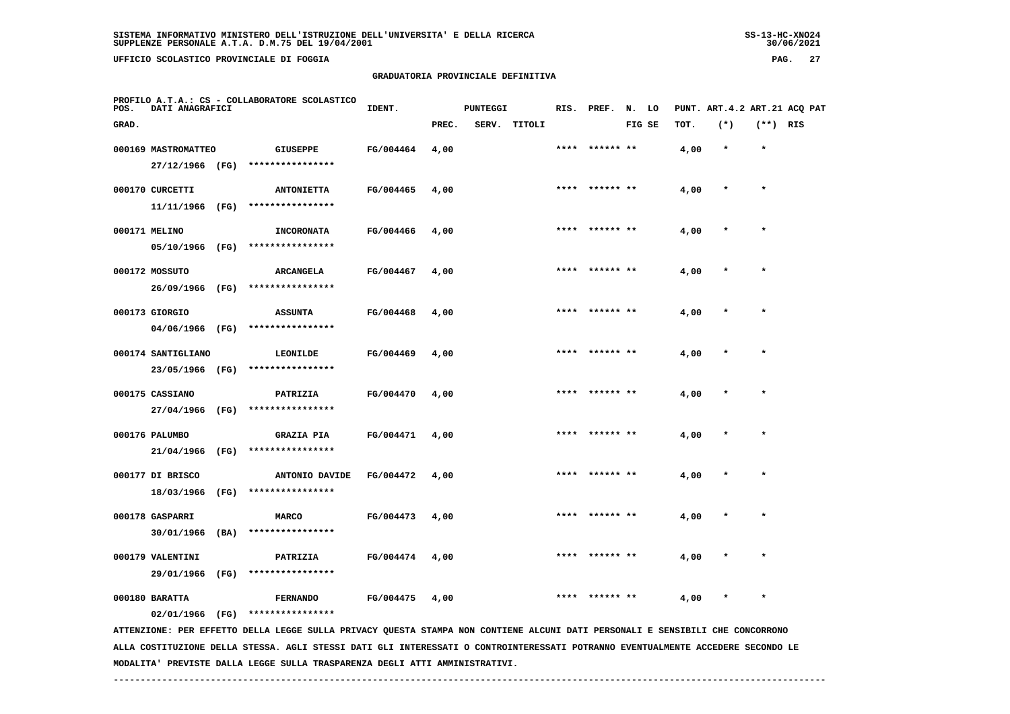**UFFICIO SCOLASTICO PROVINCIALE DI FOGGIA PAG. 27**

### **GRADUATORIA PROVINCIALE DEFINITIVA**

| POS.  | DATI ANAGRAFICI     |      | PROFILO A.T.A.: CS - COLLABORATORE SCOLASTICO                                                                                 | IDENT.    |       | <b>PUNTEGGI</b> |        |      | RIS. PREF. N. LO |        |      |         |            | PUNT. ART.4.2 ART.21 ACQ PAT |
|-------|---------------------|------|-------------------------------------------------------------------------------------------------------------------------------|-----------|-------|-----------------|--------|------|------------------|--------|------|---------|------------|------------------------------|
| GRAD. |                     |      |                                                                                                                               |           | PREC. | SERV.           | TITOLI |      |                  | FIG SE | TOT. | $(*)$   | $(**)$ RIS |                              |
|       | 000169 MASTROMATTEO |      | <b>GIUSEPPE</b>                                                                                                               | FG/004464 | 4,00  |                 |        |      |                  |        | 4,00 | $\star$ | $\star$    |                              |
|       | 27/12/1966 (FG)     |      | ****************                                                                                                              |           |       |                 |        |      |                  |        |      |         |            |                              |
|       | 000170 CURCETTI     |      | <b>ANTONIETTA</b>                                                                                                             | FG/004465 | 4,00  |                 |        |      | **** ****** **   |        | 4,00 | $\star$ | $\star$    |                              |
|       | 11/11/1966 (FG)     |      | ****************                                                                                                              |           |       |                 |        |      |                  |        |      |         |            |                              |
|       | 000171 MELINO       |      | <b>INCORONATA</b>                                                                                                             | FG/004466 | 4,00  |                 |        | **** | ****** **        |        | 4,00 |         | $\star$    |                              |
|       | 05/10/1966 (FG)     |      | ****************                                                                                                              |           |       |                 |        |      |                  |        |      |         |            |                              |
|       | 000172 MOSSUTO      |      | ARCANGELA                                                                                                                     | FG/004467 | 4,00  |                 |        |      |                  |        | 4,00 |         |            |                              |
|       | 26/09/1966 (FG)     |      | ****************                                                                                                              |           |       |                 |        |      |                  |        |      |         |            |                              |
|       | 000173 GIORGIO      |      | <b>ASSUNTA</b>                                                                                                                | FG/004468 | 4,00  |                 |        | **** | ****** **        |        | 4,00 |         | $\star$    |                              |
|       | 04/06/1966 (FG)     |      | ****************                                                                                                              |           |       |                 |        |      |                  |        |      |         |            |                              |
|       | 000174 SANTIGLIANO  |      | LEONILDE                                                                                                                      | FG/004469 | 4,00  |                 |        | **** | ****** **        |        | 4,00 |         | $\star$    |                              |
|       | 23/05/1966 (FG)     |      | ****************                                                                                                              |           |       |                 |        |      |                  |        |      |         |            |                              |
|       | 000175 CASSIANO     |      | PATRIZIA                                                                                                                      | FG/004470 | 4,00  |                 |        |      | **** ****** **   |        | 4,00 |         | $\star$    |                              |
|       | 27/04/1966 (FG)     |      | ****************                                                                                                              |           |       |                 |        |      |                  |        |      |         |            |                              |
|       | 000176 PALUMBO      |      | <b>GRAZIA PIA</b>                                                                                                             | FG/004471 | 4,00  |                 |        | **** | ****** **        |        | 4,00 |         | $\star$    |                              |
|       | 21/04/1966          | (FG) | ****************                                                                                                              |           |       |                 |        |      |                  |        |      |         |            |                              |
|       | 000177 DI BRISCO    |      | ANTONIO DAVIDE                                                                                                                | FG/004472 | 4,00  |                 |        |      |                  |        | 4,00 |         |            |                              |
|       | 18/03/1966          | (FG) | ****************                                                                                                              |           |       |                 |        |      |                  |        |      |         |            |                              |
|       | 000178 GASPARRI     |      | <b>MARCO</b>                                                                                                                  | FG/004473 | 4,00  |                 |        |      |                  |        | 4,00 |         | $\star$    |                              |
|       | 30/01/1966          | (BA) | ****************                                                                                                              |           |       |                 |        |      |                  |        |      |         |            |                              |
|       | 000179 VALENTINI    |      | PATRIZIA                                                                                                                      | FG/004474 | 4,00  |                 |        |      | ****** **        |        | 4,00 |         |            |                              |
|       | 29/01/1966 (FG)     |      | ****************                                                                                                              |           |       |                 |        |      |                  |        |      |         |            |                              |
|       | 000180 BARATTA      |      | <b>FERNANDO</b>                                                                                                               | FG/004475 | 4,00  |                 |        |      |                  |        | 4,00 |         | $\star$    |                              |
|       | 02/01/1966 (FG)     |      | ****************                                                                                                              |           |       |                 |        |      |                  |        |      |         |            |                              |
|       |                     |      | ATTENZIONE: PER EFFETTO DELLA LEGGE SULLA PRIVACY QUESTA STAMPA NON CONTIENE ALCUNI DATI PERSONALI E SENSIBILI CHE CONCORRONO |           |       |                 |        |      |                  |        |      |         |            |                              |

 **ALLA COSTITUZIONE DELLA STESSA. AGLI STESSI DATI GLI INTERESSATI O CONTROINTERESSATI POTRANNO EVENTUALMENTE ACCEDERE SECONDO LE MODALITA' PREVISTE DALLA LEGGE SULLA TRASPARENZA DEGLI ATTI AMMINISTRATIVI.**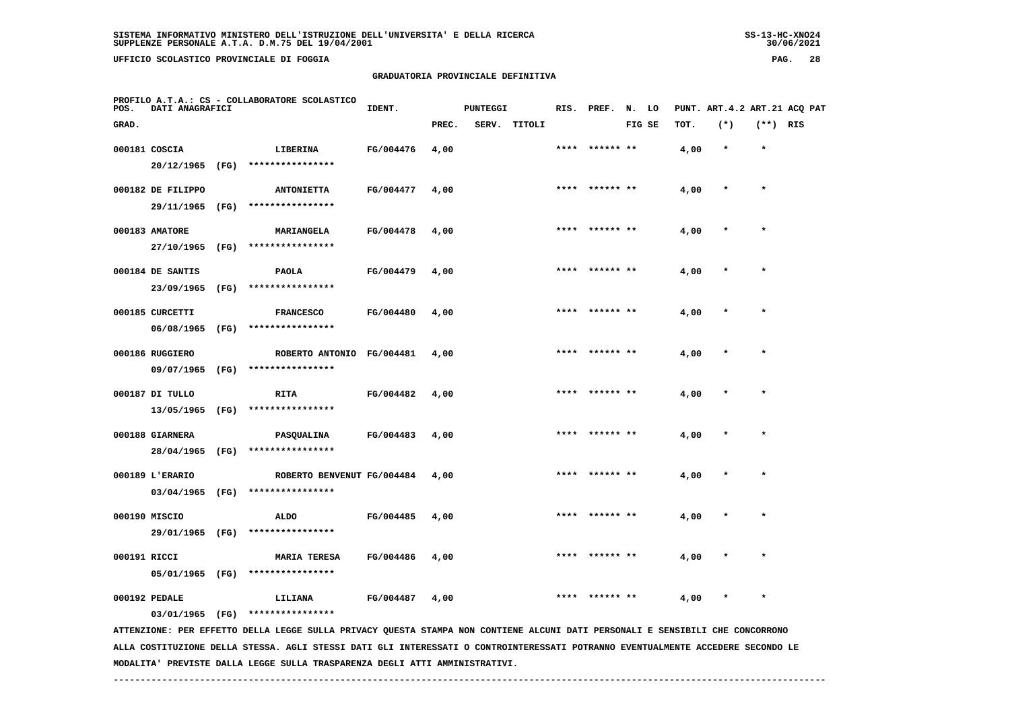**UFFICIO SCOLASTICO PROVINCIALE DI FOGGIA PAG. 28**

#### **GRADUATORIA PROVINCIALE DEFINITIVA**

| POS.  | DATI ANAGRAFICI   |      | PROFILO A.T.A.: CS - COLLABORATORE SCOLASTICO                                                                                   | IDENT.           |       | PUNTEGGI |              |      | RIS. PREF. N. LO |        |      |         |            | PUNT. ART. 4.2 ART. 21 ACQ PAT |
|-------|-------------------|------|---------------------------------------------------------------------------------------------------------------------------------|------------------|-------|----------|--------------|------|------------------|--------|------|---------|------------|--------------------------------|
| GRAD. |                   |      |                                                                                                                                 |                  | PREC. |          | SERV. TITOLI |      |                  | FIG SE | TOT. | $(*)$   | $(**)$ RIS |                                |
|       | 000181 COSCIA     |      | LIBERINA                                                                                                                        | FG/004476        | 4,00  |          |              | **** | ****** **        |        | 4,00 | $\star$ | $\star$    |                                |
|       | 20/12/1965 (FG)   |      | ****************                                                                                                                |                  |       |          |              |      |                  |        |      |         |            |                                |
|       | 000182 DE FILIPPO |      | <b>ANTONIETTA</b>                                                                                                               | FG/004477        | 4,00  |          |              |      | **** ****** **   |        | 4,00 | $\ast$  | $\star$    |                                |
|       | 29/11/1965 (FG)   |      | ****************                                                                                                                |                  |       |          |              |      |                  |        |      |         |            |                                |
|       | 000183 AMATORE    |      | MARIANGELA                                                                                                                      | FG/004478        | 4,00  |          |              |      |                  |        | 4,00 |         |            |                                |
|       | 27/10/1965        | (FG) | ****************                                                                                                                |                  |       |          |              |      |                  |        |      |         |            |                                |
|       | 000184 DE SANTIS  |      | <b>PAOLA</b>                                                                                                                    | FG/004479        | 4,00  |          |              |      |                  |        | 4,00 |         | $\ast$     |                                |
|       | 23/09/1965        | (FG) | ****************                                                                                                                |                  |       |          |              |      |                  |        |      |         |            |                                |
|       | 000185 CURCETTI   |      | <b>FRANCESCO</b>                                                                                                                | FG/004480        | 4,00  |          |              | **** | ****** **        |        | 4,00 |         | $\star$    |                                |
|       | 06/08/1965 (FG)   |      | ****************                                                                                                                |                  |       |          |              |      |                  |        |      |         |            |                                |
|       | 000186 RUGGIERO   |      | ROBERTO ANTONIO FG/004481                                                                                                       |                  | 4,00  |          |              | **** | ****** **        |        | 4,00 |         | $\star$    |                                |
|       | 09/07/1965        | (FG) | ****************                                                                                                                |                  |       |          |              |      |                  |        |      |         |            |                                |
|       | 000187 DI TULLO   |      | <b>RITA</b>                                                                                                                     | FG/004482        | 4,00  |          |              |      |                  |        | 4,00 |         |            |                                |
|       | 13/05/1965        | (FG) | ****************                                                                                                                |                  |       |          |              |      |                  |        |      |         |            |                                |
|       | 000188 GIARNERA   |      | PASQUALINA                                                                                                                      | FG/004483        | 4,00  |          |              |      |                  |        | 4,00 |         | $\star$    |                                |
|       | 28/04/1965 (FG)   |      | ****************                                                                                                                |                  |       |          |              |      |                  |        |      |         |            |                                |
|       | 000189 L'ERARIO   |      | ROBERTO BENVENUT FG/004484                                                                                                      |                  | 4,00  |          |              |      | ****** **        |        | 4,00 |         |            |                                |
|       | 03/04/1965 (FG)   |      | ****************                                                                                                                |                  |       |          |              |      |                  |        |      |         |            |                                |
|       | 000190 MISCIO     |      | <b>ALDO</b>                                                                                                                     | FG/004485        | 4,00  |          |              |      | ****  ****** **  |        | 4,00 | $\ast$  | $\star$    |                                |
|       | 29/01/1965 (FG)   |      | ****************                                                                                                                |                  |       |          |              |      |                  |        |      |         |            |                                |
|       | 000191 RICCI      |      | <b>MARIA TERESA</b>                                                                                                             | FG/004486        | 4,00  |          |              |      |                  |        | 4,00 |         |            |                                |
|       | 05/01/1965 (FG)   |      | ****************                                                                                                                |                  |       |          |              |      |                  |        |      |         |            |                                |
|       | 000192 PEDALE     |      | LILIANA                                                                                                                         | <b>FG/004487</b> | 4,00  |          |              |      |                  |        | 4,00 |         | $\star$    |                                |
|       | 03/01/1965 (FG)   |      | ****************                                                                                                                |                  |       |          |              |      |                  |        |      |         |            |                                |
|       |                   |      | ATTENZIONE: PER EFFETTO DELLA LEGGE SULLA PRIVACY QUESTA STAMPA NON CONTIENE ALCUNI DATI PERSONALI E SENSIBILI CHE CONCORRONO   |                  |       |          |              |      |                  |        |      |         |            |                                |
|       |                   |      | ALLA COSTITUZIONE DELLA STESSA. AGLI STESSI DATI GLI INTERESSATI O CONTROINTERESSATI POTRANNO EVENTUALMENTE ACCEDERE SECONDO LE |                  |       |          |              |      |                  |        |      |         |            |                                |

 **MODALITA' PREVISTE DALLA LEGGE SULLA TRASPARENZA DEGLI ATTI AMMINISTRATIVI.**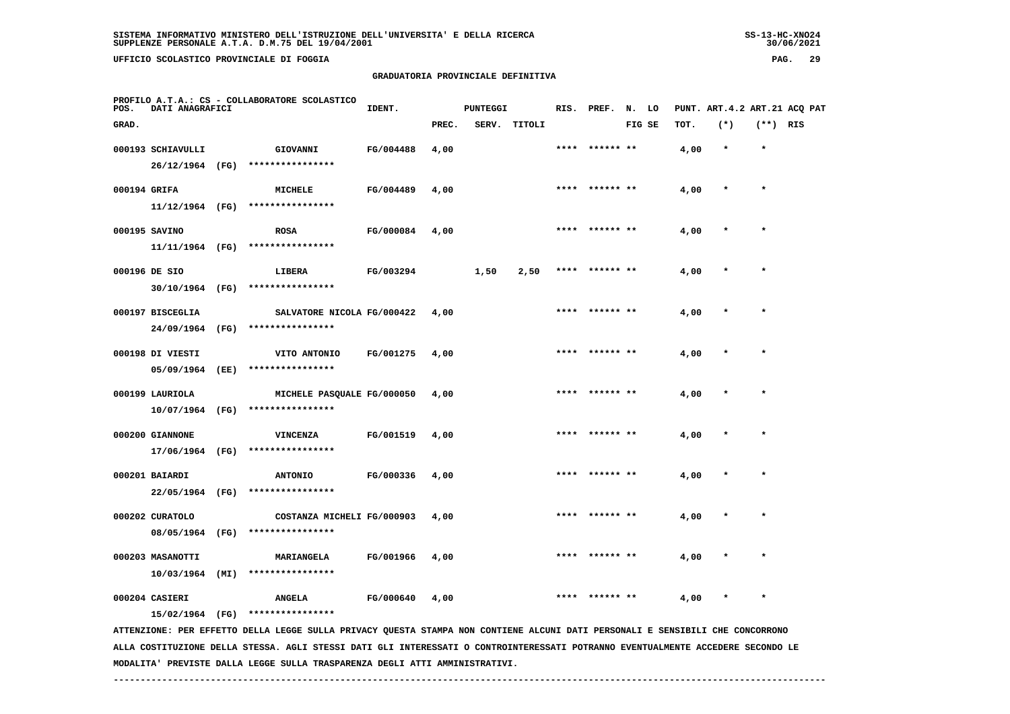**PROFILO A.T.A.: CS - COLLABORATORE SCOLASTICO**

# **GRADUATORIA PROVINCIALE DEFINITIVA**

**IDENT.** PUNTEGGI RIS. PREF. N. LO PUNT. ART.4.2 ART.21 ACQ PAT

| GRAD.             |      |                            |           | PREC. | SERV. | TITOLI |      |                 | FIG SE | TOT. | $(*)$   | $(***)$   | RIS |
|-------------------|------|----------------------------|-----------|-------|-------|--------|------|-----------------|--------|------|---------|-----------|-----|
| 000193 SCHIAVULLI |      | GIOVANNI                   | FG/004488 | 4,00  |       |        | **** | ****** **       |        | 4,00 | $\star$ | $\star$   |     |
| 26/12/1964 (FG)   |      | ****************           |           |       |       |        |      |                 |        |      |         |           |     |
| 000194 GRIFA      |      | MICHELE                    | FG/004489 | 4,00  |       |        |      | ****  ****** ** |        | 4,00 | $\star$ | $\star$   |     |
| $11/12/1964$ (FG) |      | ****************           |           |       |       |        |      |                 |        |      |         |           |     |
| 000195 SAVINO     |      | <b>ROSA</b>                | FG/000084 | 4,00  |       |        | **** | ****** **       |        | 4,00 |         | $\star$   |     |
| 11/11/1964 (FG)   |      | ****************           |           |       |       |        |      |                 |        |      |         |           |     |
| 000196 DE SIO     |      | LIBERA                     | FG/003294 |       | 1,50  | 2,50   | **** |                 |        | 4,00 |         | $\star$   |     |
| 30/10/1964 (FG)   |      | ****************           |           |       |       |        |      |                 |        |      |         |           |     |
| 000197 BISCEGLIA  |      | SALVATORE NICOLA FG/000422 |           | 4,00  |       |        | **** | ****** **       |        | 4,00 |         | $\star$   |     |
| 24/09/1964        | (FG) | ****************           |           |       |       |        |      |                 |        |      |         |           |     |
| 000198 DI VIESTI  |      | VITO ANTONIO               | FG/001275 | 4,00  |       |        | **** | ****** **       |        | 4,00 |         | $\bullet$ |     |
| 05/09/1964        | (EE) | ****************           |           |       |       |        |      |                 |        |      |         |           |     |
| 000199 LAURIOLA   |      | MICHELE PASQUALE FG/000050 |           | 4,00  |       |        | **** | ****** **       |        | 4,00 |         | $\star$   |     |
| 10/07/1964 (FG)   |      | ****************           |           |       |       |        |      |                 |        |      |         |           |     |
| 000200 GIANNONE   |      | <b>VINCENZA</b>            | FG/001519 | 4,00  |       |        | **** | ****** **       |        | 4,00 |         | $\star$   |     |
| 17/06/1964        | (FG) | ****************           |           |       |       |        |      |                 |        |      |         |           |     |
| 000201 BAIARDI    |      | <b>ANTONIO</b>             | FG/000336 | 4,00  |       |        | **** | ****** **       |        | 4,00 |         | $\star$   |     |
| 22/05/1964 (FG)   |      | ****************           |           |       |       |        |      |                 |        |      |         |           |     |
| 000202 CURATOLO   |      | COSTANZA MICHELI FG/000903 |           | 4,00  |       |        | **** | ****** **       |        | 4,00 |         | $\star$   |     |
| 08/05/1964        | (FG) | ****************           |           |       |       |        |      |                 |        |      |         |           |     |
| 000203 MASANOTTI  |      | MARIANGELA                 | FG/001966 | 4,00  |       |        | **** | ****** **       |        | 4,00 |         | $\star$   |     |
| 10/03/1964        | (MI) | ****************           |           |       |       |        |      |                 |        |      |         |           |     |
| 000204 CASIERI    |      | <b>ANGELA</b>              | FG/000640 | 4,00  |       |        | **** | ****** **       |        | 4,00 |         | $\star$   |     |
| 15/02/1964 (FG)   |      | ****************           |           |       |       |        |      |                 |        |      |         |           |     |

 **ATTENZIONE: PER EFFETTO DELLA LEGGE SULLA PRIVACY QUESTA STAMPA NON CONTIENE ALCUNI DATI PERSONALI E SENSIBILI CHE CONCORRONO ALLA COSTITUZIONE DELLA STESSA. AGLI STESSI DATI GLI INTERESSATI O CONTROINTERESSATI POTRANNO EVENTUALMENTE ACCEDERE SECONDO LE MODALITA' PREVISTE DALLA LEGGE SULLA TRASPARENZA DEGLI ATTI AMMINISTRATIVI.**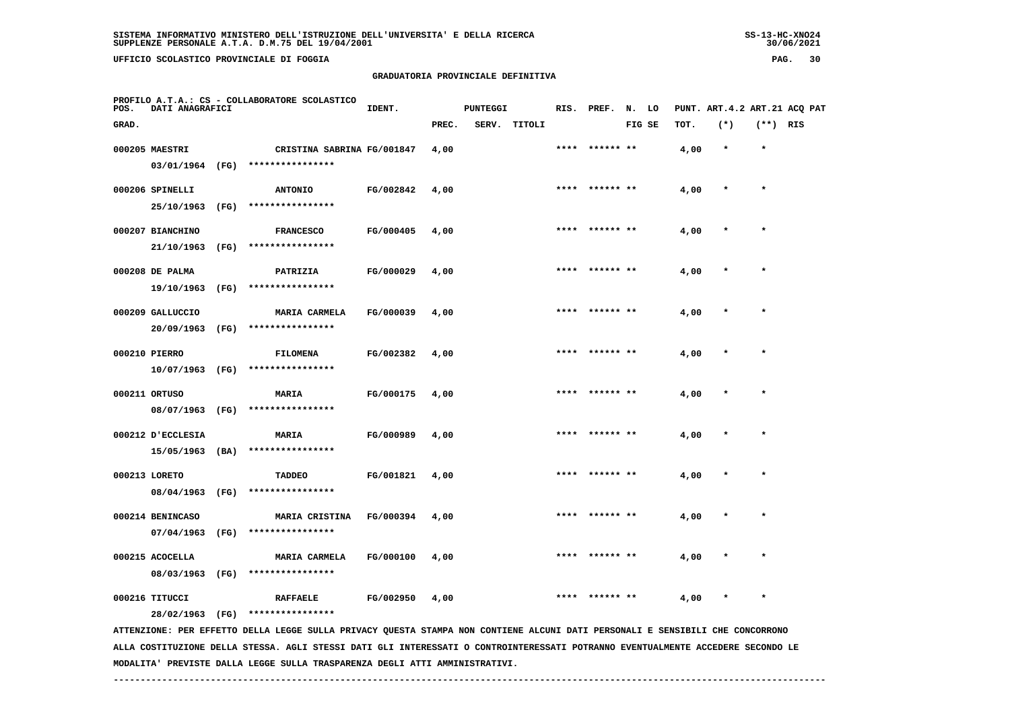# **GRADUATORIA PROVINCIALE DEFINITIVA**

| PAG. | 30 |
|------|----|
|------|----|

| POS.  | DATI ANAGRAFICI                      |      | PROFILO A.T.A.: CS - COLLABORATORE SCOLASTICO                                                                                 | IDENT.           |       | <b>PUNTEGGI</b> |              |      | RIS. PREF. N. LO |        |      | PUNT. ART.4.2 ART.21 ACQ PAT |            |  |
|-------|--------------------------------------|------|-------------------------------------------------------------------------------------------------------------------------------|------------------|-------|-----------------|--------------|------|------------------|--------|------|------------------------------|------------|--|
| GRAD. |                                      |      |                                                                                                                               |                  | PREC. |                 | SERV. TITOLI |      |                  | FIG SE | TOT. | $(*)$                        | $(**)$ RIS |  |
|       | 000205 MAESTRI<br>03/01/1964 (FG)    |      | CRISTINA SABRINA FG/001847<br>****************                                                                                |                  | 4,00  |                 |              |      | ****  ****** **  |        | 4,00 | $\star$                      | $\star$    |  |
|       | 000206 SPINELLI<br>25/10/1963        | (FG) | <b>ANTONIO</b><br>****************                                                                                            | FG/002842        | 4,00  |                 |              | **** | ****** **        |        | 4,00 |                              | $\star$    |  |
|       | 000207 BIANCHINO<br>21/10/1963       | (FG) | <b>FRANCESCO</b><br>****************                                                                                          | FG/000405        | 4,00  |                 |              |      | **** ****** **   |        | 4,00 | $\ast$                       | $\star$    |  |
|       | 000208 DE PALMA<br>19/10/1963 (FG)   |      | PATRIZIA<br>****************                                                                                                  | FG/000029        | 4,00  |                 |              |      |                  |        | 4,00 |                              |            |  |
|       | 000209 GALLUCCIO<br>20/09/1963       | (FG) | <b>MARIA CARMELA</b><br>****************                                                                                      | FG/000039        | 4,00  |                 |              | **** |                  |        | 4,00 |                              |            |  |
|       | 000210 PIERRO<br>$10/07/1963$ (FG)   |      | <b>FILOMENA</b><br>****************                                                                                           | FG/002382        | 4,00  |                 |              | **** | ****** **        |        | 4,00 |                              | $\star$    |  |
|       | 000211 ORTUSO<br>08/07/1963          | (FG) | <b>MARIA</b><br>****************                                                                                              | FG/000175        | 4,00  |                 |              |      |                  |        | 4,00 |                              |            |  |
|       | 000212 D'ECCLESIA<br>15/05/1963 (BA) |      | <b>MARIA</b><br>****************                                                                                              | FG/000989        | 4,00  |                 |              | **** | ****** **        |        | 4,00 |                              | $\star$    |  |
|       | 000213 LORETO<br>08/04/1963 (FG)     |      | <b>TADDEO</b><br>****************                                                                                             | FG/001821        | 4,00  |                 |              |      |                  |        | 4,00 |                              |            |  |
|       | 000214 BENINCASO<br>07/04/1963       | (FG) | <b>MARIA CRISTINA</b><br>****************                                                                                     | <b>FG/000394</b> | 4,00  |                 |              |      | ****** **        |        | 4,00 |                              |            |  |
|       | 000215 ACOCELLA<br>08/03/1963 (FG)   |      | <b>MARIA CARMELA</b><br>****************                                                                                      | FG/000100        | 4,00  |                 |              |      |                  |        | 4,00 |                              |            |  |
|       | 000216 TITUCCI<br>28/02/1963 (FG)    |      | <b>RAFFAELE</b><br>****************                                                                                           | FG/002950        | 4,00  |                 |              |      |                  |        | 4,00 |                              | $\star$    |  |
|       |                                      |      | ATTENZIONE: PER EFFETTO DELLA LEGGE SULLA PRIVACY QUESTA STAMPA NON CONTIENE ALCUNI DATI PERSONALI E SENSIBILI CHE CONCORRONO |                  |       |                 |              |      |                  |        |      |                              |            |  |

 **ALLA COSTITUZIONE DELLA STESSA. AGLI STESSI DATI GLI INTERESSATI O CONTROINTERESSATI POTRANNO EVENTUALMENTE ACCEDERE SECONDO LE MODALITA' PREVISTE DALLA LEGGE SULLA TRASPARENZA DEGLI ATTI AMMINISTRATIVI.**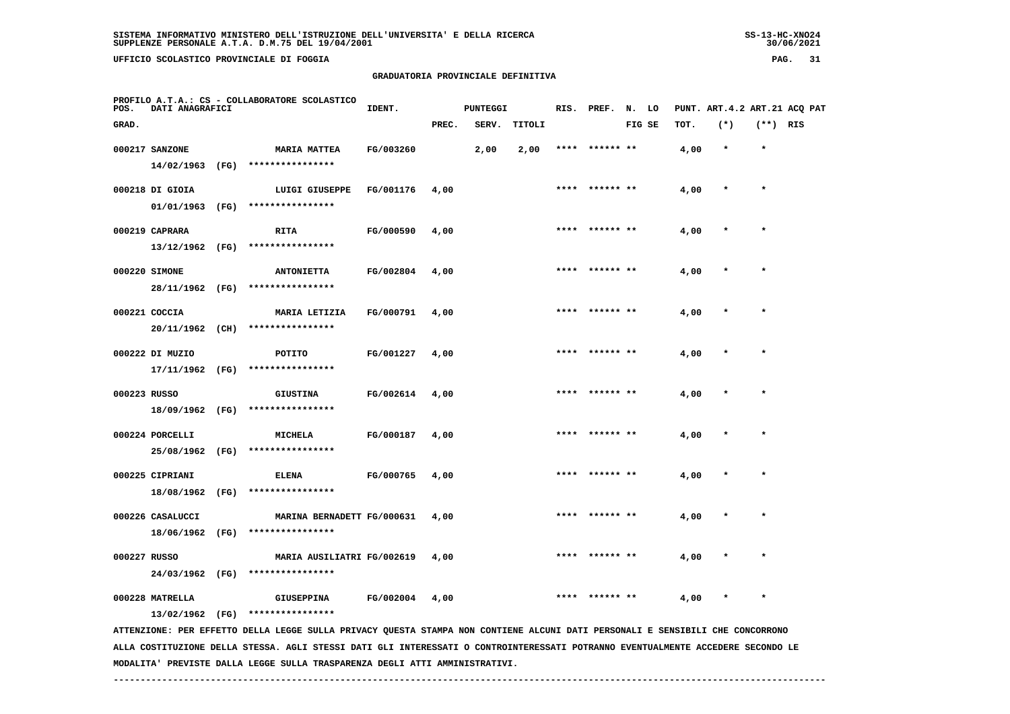**PROFILO A.T.A.: CS - COLLABORATORE SCOLASTICO**

# **GRADUATORIA PROVINCIALE DEFINITIVA**

**IDENT.** PUNTEGGI RIS. PREF. N. LO PUNT. ART.4.2 ART.21 ACQ PAT

| GRAD.        |                                |      |                                                                                                                               |           | PREC. | SERV. | TITOLI |      |           | FIG SE | TOT. | $(*)$   | $(**)$ RIS |  |
|--------------|--------------------------------|------|-------------------------------------------------------------------------------------------------------------------------------|-----------|-------|-------|--------|------|-----------|--------|------|---------|------------|--|
|              | 000217 SANZONE                 |      | <b>MARIA MATTEA</b>                                                                                                           | FG/003260 |       | 2,00  | 2,00   |      | ****** ** |        | 4,00 | $\star$ | $\star$    |  |
|              | 14/02/1963 (FG)                |      | ****************                                                                                                              |           |       |       |        |      |           |        |      |         |            |  |
|              | 000218 DI GIOIA                |      | LUIGI GIUSEPPE                                                                                                                | FG/001176 | 4,00  |       |        |      | ****** ** |        | 4,00 |         |            |  |
|              | 01/01/1963 (FG)                |      | ****************                                                                                                              |           |       |       |        |      |           |        |      |         |            |  |
|              | 000219 CAPRARA                 |      | <b>RITA</b>                                                                                                                   | FG/000590 | 4,00  |       |        | **** | ****** ** |        | 4,00 |         |            |  |
|              | 13/12/1962 (FG)                |      | ****************                                                                                                              |           |       |       |        |      |           |        |      |         |            |  |
|              | 000220 SIMONE                  |      | <b>ANTONIETTA</b>                                                                                                             | FG/002804 | 4,00  |       |        | **** | ****** ** |        | 4,00 |         |            |  |
|              | 28/11/1962 (FG)                |      | ****************                                                                                                              |           |       |       |        |      |           |        |      |         |            |  |
|              | 000221 COCCIA                  |      | MARIA LETIZIA                                                                                                                 | FG/000791 | 4,00  |       |        |      | ****** ** |        | 4,00 |         |            |  |
|              | 20/11/1962 (CH)                |      | ****************                                                                                                              |           |       |       |        |      |           |        |      |         |            |  |
|              | 000222 DI MUZIO                |      | POTITO                                                                                                                        | FG/001227 | 4,00  |       |        | **** | ****** ** |        | 4,00 |         |            |  |
|              | $17/11/1962$ (FG)              |      | ****************                                                                                                              |           |       |       |        |      |           |        |      |         |            |  |
| 000223 RUSSO |                                |      | <b>GIUSTINA</b>                                                                                                               | FG/002614 | 4,00  |       |        | **** | ****** ** |        | 4,00 |         | $\star$    |  |
|              | 18/09/1962                     | (FG) | ****************                                                                                                              |           |       |       |        |      |           |        |      |         |            |  |
|              |                                |      |                                                                                                                               |           |       |       |        |      | ****** ** |        |      |         |            |  |
|              | 000224 PORCELLI<br>25/08/1962  | (FG) | MICHELA<br>****************                                                                                                   | FG/000187 | 4,00  |       |        |      |           |        | 4,00 |         |            |  |
|              |                                |      |                                                                                                                               |           |       |       |        |      |           |        |      |         | $\star$    |  |
|              | 000225 CIPRIANI<br>18/08/1962  | (FG) | <b>ELENA</b><br>****************                                                                                              | FG/000765 | 4,00  |       |        |      | ****** ** |        | 4,00 |         |            |  |
|              |                                |      |                                                                                                                               |           |       |       |        |      |           |        |      |         |            |  |
|              | 000226 CASALUCCI<br>18/06/1962 | (FG) | MARINA BERNADETT FG/000631<br>****************                                                                                |           | 4,00  |       |        |      |           |        | 4,00 |         | $\star$    |  |
|              |                                |      |                                                                                                                               |           |       |       |        |      |           |        |      |         |            |  |
| 000227 RUSSO |                                |      | MARIA AUSILIATRI FG/002619                                                                                                    |           | 4,00  |       |        |      | ****** ** |        | 4,00 |         | $\star$    |  |
|              | 24/03/1962 (FG)                |      | ****************                                                                                                              |           |       |       |        |      |           |        |      |         |            |  |
|              | 000228 MATRELLA                |      | <b>GIUSEPPINA</b>                                                                                                             | FG/002004 | 4,00  |       |        | **** | ****** ** |        | 4,00 |         | $\star$    |  |
|              | 13/02/1962 (FG)                |      | ****************                                                                                                              |           |       |       |        |      |           |        |      |         |            |  |
|              |                                |      | ATTENZIONE: PER EFFETTO DELLA LEGGE SULLA PRIVACY QUESTA STAMPA NON CONTIENE ALCUNI DATI PERSONALI E SENSIBILI CHE CONCORRONO |           |       |       |        |      |           |        |      |         |            |  |

 **ALLA COSTITUZIONE DELLA STESSA. AGLI STESSI DATI GLI INTERESSATI O CONTROINTERESSATI POTRANNO EVENTUALMENTE ACCEDERE SECONDO LE MODALITA' PREVISTE DALLA LEGGE SULLA TRASPARENZA DEGLI ATTI AMMINISTRATIVI.**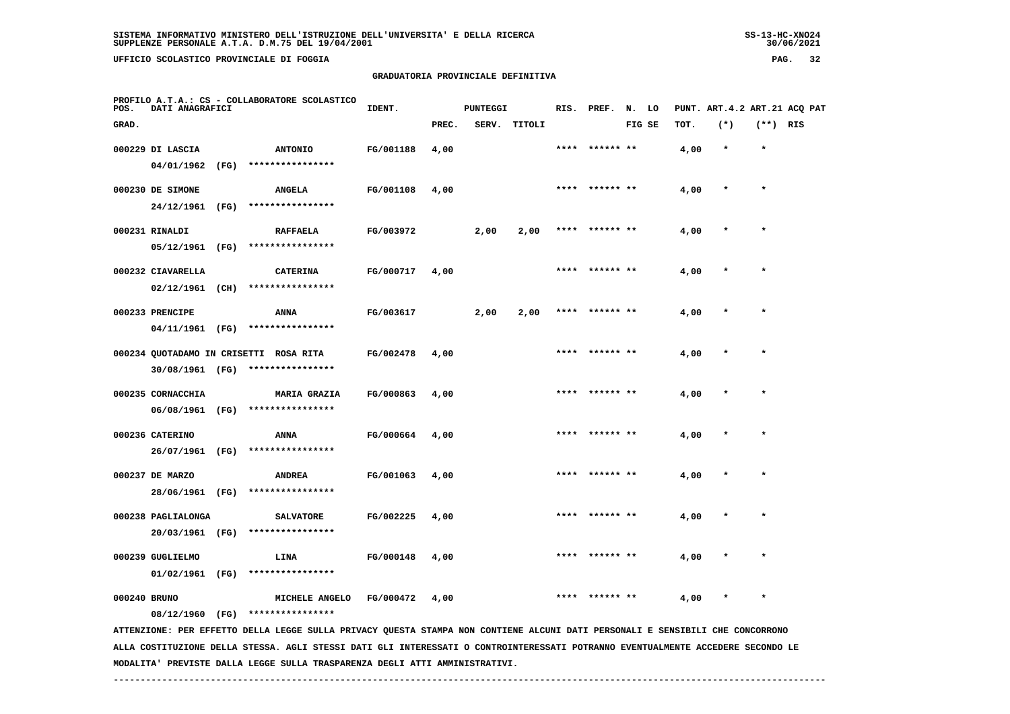**UFFICIO SCOLASTICO PROVINCIALE DI FOGGIA PAG. 32**

### **GRADUATORIA PROVINCIALE DEFINITIVA**

| POS.  | DATI ANAGRAFICI                       |      | PROFILO A.T.A.: CS - COLLABORATORE SCOLASTICO                                                                                   | IDENT.    |       | <b>PUNTEGGI</b> |        |      | RIS. PREF. | N.     | LO |      |         |            | PUNT. ART. 4.2 ART. 21 ACQ PAT |
|-------|---------------------------------------|------|---------------------------------------------------------------------------------------------------------------------------------|-----------|-------|-----------------|--------|------|------------|--------|----|------|---------|------------|--------------------------------|
| GRAD. |                                       |      |                                                                                                                                 |           | PREC. | SERV.           | TITOLI |      |            | FIG SE |    | TOT. | $(*)$   | $(**)$ RIS |                                |
|       | 000229 DI LASCIA                      |      | <b>ANTONIO</b>                                                                                                                  | FG/001188 | 4,00  |                 |        | **** | ****** **  |        |    | 4,00 | $\star$ | $\star$    |                                |
|       | 04/01/1962                            | (FG) | ****************                                                                                                                |           |       |                 |        |      |            |        |    |      |         |            |                                |
|       | 000230 DE SIMONE                      |      | <b>ANGELA</b>                                                                                                                   | FG/001108 | 4,00  |                 |        |      |            |        |    | 4,00 |         | $\star$    |                                |
|       | 24/12/1961                            | (FG) | ****************                                                                                                                |           |       |                 |        |      |            |        |    |      |         |            |                                |
|       | 000231 RINALDI                        |      | <b>RAFFAELA</b>                                                                                                                 | FG/003972 |       | 2,00            | 2,00   | **** | ****** **  |        |    | 4,00 |         |            |                                |
|       | 05/12/1961 (FG)                       |      | ****************                                                                                                                |           |       |                 |        |      |            |        |    |      |         |            |                                |
|       | 000232 CIAVARELLA                     |      | <b>CATERINA</b>                                                                                                                 | FG/000717 | 4,00  |                 |        |      | ****** **  |        |    | 4,00 |         | $\star$    |                                |
|       | 02/12/1961 (CH)                       |      | ****************                                                                                                                |           |       |                 |        |      |            |        |    |      |         |            |                                |
|       | 000233 PRENCIPE                       |      | ANNA                                                                                                                            | FG/003617 |       | 2,00            | 2,00   | **** | ****** **  |        |    | 4,00 |         |            |                                |
|       | 04/11/1961 (FG)                       |      | ****************                                                                                                                |           |       |                 |        |      |            |        |    |      |         |            |                                |
|       |                                       |      | 000234 QUOTADAMO IN CRISETTI ROSA RITA                                                                                          | FG/002478 | 4,00  |                 |        |      |            |        |    | 4,00 |         | $\star$    |                                |
|       | 30/08/1961 (FG)                       |      | ****************                                                                                                                |           |       |                 |        |      |            |        |    |      |         |            |                                |
|       | 000235 CORNACCHIA                     |      | <b>MARIA GRAZIA</b><br>****************                                                                                         | FG/000863 | 4,00  |                 |        |      |            |        |    | 4,00 |         |            |                                |
|       | 06/08/1961 (FG)                       |      |                                                                                                                                 |           |       |                 |        |      |            |        |    |      |         |            |                                |
|       | 000236 CATERINO                       | (FG) | ANNA<br>****************                                                                                                        | FG/000664 | 4,00  |                 |        |      |            |        |    | 4,00 |         | $\star$    |                                |
|       | 26/07/1961                            |      |                                                                                                                                 |           |       |                 |        |      |            |        |    |      |         |            |                                |
|       | 000237 DE MARZO<br>28/06/1961 (FG)    |      | <b>ANDREA</b><br>****************                                                                                               | FG/001063 | 4,00  |                 |        |      | ****** **  |        |    | 4,00 |         |            |                                |
|       |                                       |      |                                                                                                                                 |           |       |                 |        |      |            |        |    |      |         |            |                                |
|       | 000238 PAGLIALONGA<br>20/03/1961 (FG) |      | <b>SALVATORE</b><br>****************                                                                                            | FG/002225 | 4,00  |                 |        | **** | ****** **  |        |    | 4,00 |         | $\star$    |                                |
|       |                                       |      |                                                                                                                                 |           |       |                 |        |      |            |        |    |      |         |            |                                |
|       | 000239 GUGLIELMO<br>01/02/1961 (FG)   |      | LINA<br>****************                                                                                                        | FG/000148 | 4,00  |                 |        |      |            |        |    | 4,00 |         |            |                                |
|       |                                       |      |                                                                                                                                 |           |       |                 |        |      |            |        |    |      |         |            |                                |
|       | 000240 BRUNO<br>08/12/1960 (FG)       |      | MICHELE ANGELO<br>****************                                                                                              | FG/000472 | 4,00  |                 |        |      |            |        |    | 4,00 |         |            |                                |
|       |                                       |      | ATTENZIONE: PER EFFETTO DELLA LEGGE SULLA PRIVACY QUESTA STAMPA NON CONTIENE ALCUNI DATI PERSONALI E SENSIBILI CHE CONCORRONO   |           |       |                 |        |      |            |        |    |      |         |            |                                |
|       |                                       |      | ALLA COSTITUZIONE DELLA STESSA. AGLI STESSI DATI GLI INTERESSATI O CONTROINTERESSATI POTRANNO EVENTUALMENTE ACCEDERE SECONDO LE |           |       |                 |        |      |            |        |    |      |         |            |                                |

 **------------------------------------------------------------------------------------------------------------------------------------**

 **MODALITA' PREVISTE DALLA LEGGE SULLA TRASPARENZA DEGLI ATTI AMMINISTRATIVI.**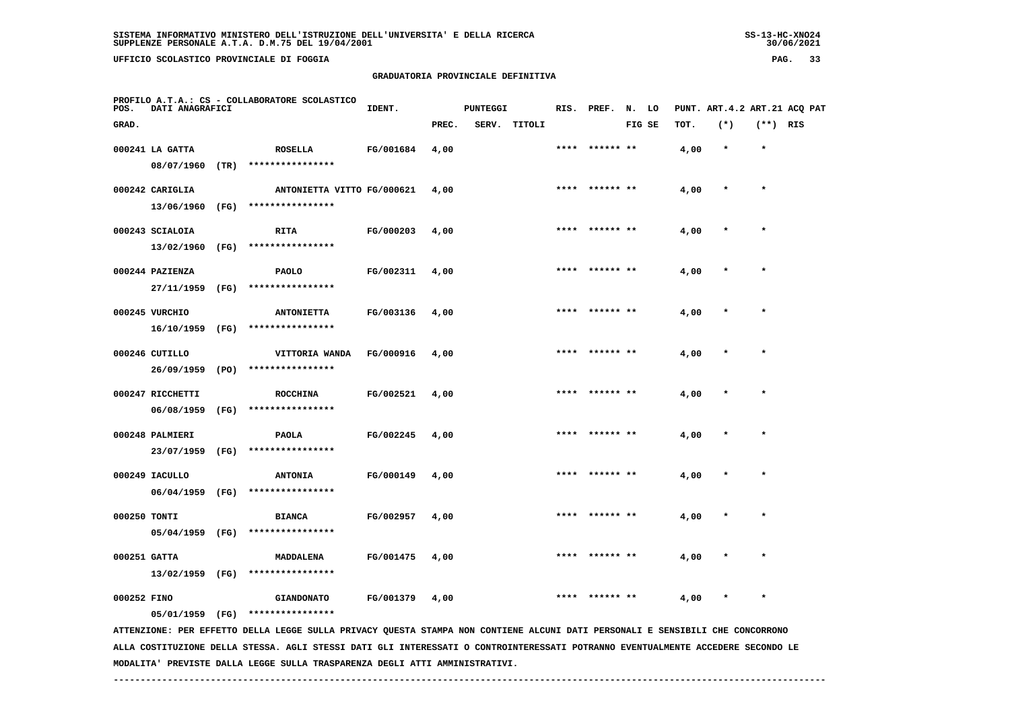**PROFILO A.T.A.: CS - COLLABORATORE SCOLASTICO**

# **GRADUATORIA PROVINCIALE DEFINITIVA**

**IDENT.** PUNTEGGI RIS. PREF. N. LO PUNT. ART.4.2 ART.21 ACQ PAT

| GRAD.        |                  |      |                            |           | PREC. | SERV. | TITOLI |      |                | FIG SE | тот. | $(*)$   | (**) RIS |  |
|--------------|------------------|------|----------------------------|-----------|-------|-------|--------|------|----------------|--------|------|---------|----------|--|
|              | 000241 LA GATTA  |      | <b>ROSELLA</b>             | FG/001684 | 4,00  |       |        | **** | ****** **      |        | 4,00 | $\star$ | $\star$  |  |
|              | 08/07/1960       | (TR) | ****************           |           |       |       |        |      |                |        |      |         |          |  |
|              | 000242 CARIGLIA  |      | ANTONIETTA VITTO FG/000621 |           | 4,00  |       |        | **** | ****** **      |        | 4,00 | $\star$ | $\star$  |  |
|              | 13/06/1960       | (FG) | ****************           |           |       |       |        |      |                |        |      |         |          |  |
|              | 000243 SCIALOIA  |      | <b>RITA</b>                | FG/000203 | 4,00  |       |        |      | **** ****** ** |        | 4,00 | $\star$ | $\star$  |  |
|              | 13/02/1960       | (FG) | ****************           |           |       |       |        |      |                |        |      |         |          |  |
|              | 000244 PAZIENZA  |      | <b>PAOLO</b>               | FG/002311 | 4,00  |       |        |      |                |        | 4,00 |         | $\star$  |  |
|              | 27/11/1959       | (FG) | ****************           |           |       |       |        |      |                |        |      |         |          |  |
|              | 000245 VURCHIO   |      | <b>ANTONIETTA</b>          | FG/003136 | 4,00  |       |        | **** | ****** **      |        | 4,00 | $\star$ | $\star$  |  |
|              | 16/10/1959       | (FG) | ****************           |           |       |       |        |      |                |        |      |         |          |  |
|              | 000246 CUTILLO   |      | VITTORIA WANDA             | FG/000916 | 4,00  |       |        | **** | ****** **      |        | 4,00 | $\ast$  | $\star$  |  |
|              | 26/09/1959       | (PO) | ****************           |           |       |       |        |      |                |        |      |         |          |  |
|              | 000247 RICCHETTI |      | <b>ROCCHINA</b>            | FG/002521 | 4,00  |       |        | **** | ****** **      |        | 4,00 | ÷       | $\star$  |  |
|              | 06/08/1959       | (FG) | ****************           |           |       |       |        |      |                |        |      |         |          |  |
|              | 000248 PALMIERI  |      | <b>PAOLA</b>               | FG/002245 | 4,00  |       |        | **** | ****** **      |        | 4,00 | $\star$ | $\star$  |  |
|              | 23/07/1959       | (FG) | ****************           |           |       |       |        |      |                |        |      |         |          |  |
|              | 000249 IACULLO   |      | <b>ANTONIA</b>             | FG/000149 | 4,00  |       |        | **** | ****** **      |        | 4,00 | $\star$ | $\star$  |  |
|              | 06/04/1959       | (FG) | ****************           |           |       |       |        |      |                |        |      |         |          |  |
| 000250 TONTI |                  |      | <b>BIANCA</b>              | FG/002957 | 4,00  |       |        | **** |                |        | 4,00 |         | $\star$  |  |
|              | 05/04/1959       | (FG) | ****************           |           |       |       |        |      |                |        |      |         |          |  |
| 000251 GATTA |                  |      | MADDALENA                  | FG/001475 | 4,00  |       |        | **** | ****** **      |        | 4,00 | $\star$ | $\star$  |  |
|              | 13/02/1959       | (FG) | ****************           |           |       |       |        |      |                |        |      |         |          |  |

 **000252 FINO GIANDONATO FG/001379 4,00 \*\*\*\* \*\*\*\*\*\* \*\* 4,00 \* \***

 **05/01/1959 (FG) \*\*\*\*\*\*\*\*\*\*\*\*\*\*\*\***

 **ATTENZIONE: PER EFFETTO DELLA LEGGE SULLA PRIVACY QUESTA STAMPA NON CONTIENE ALCUNI DATI PERSONALI E SENSIBILI CHE CONCORRONO ALLA COSTITUZIONE DELLA STESSA. AGLI STESSI DATI GLI INTERESSATI O CONTROINTERESSATI POTRANNO EVENTUALMENTE ACCEDERE SECONDO LE MODALITA' PREVISTE DALLA LEGGE SULLA TRASPARENZA DEGLI ATTI AMMINISTRATIVI.**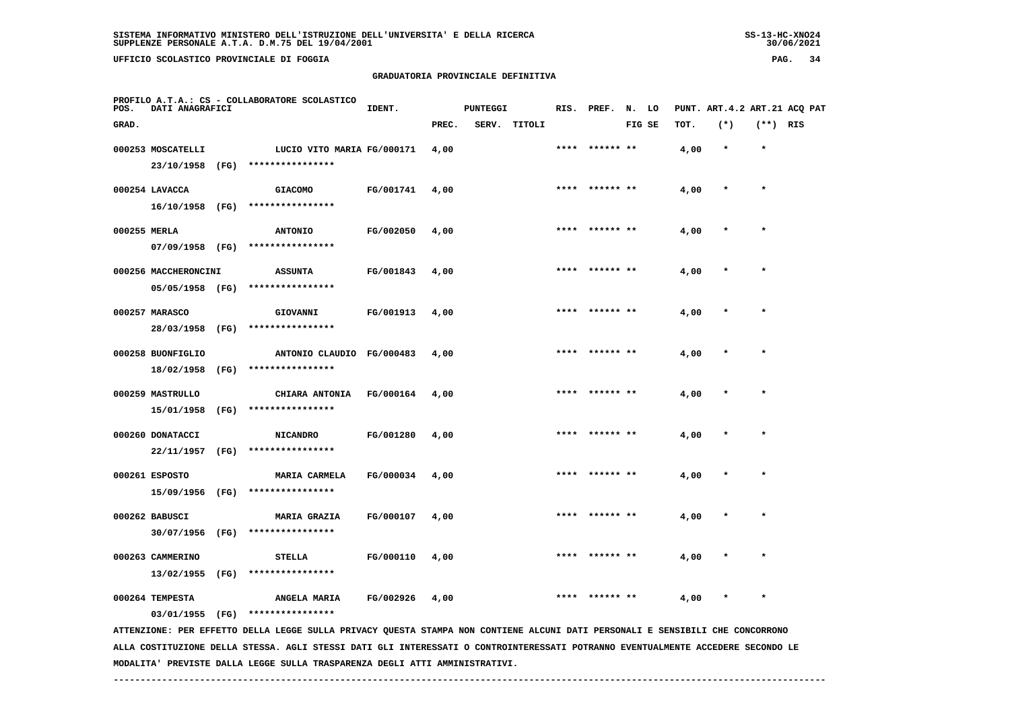# **GRADUATORIA PROVINCIALE DEFINITIVA**

| POS.         | DATI ANAGRAFICI      | PROFILO A.T.A.: CS - COLLABORATORE SCOLASTICO                                                                                   | IDENT.           |       | PUNTEGGI |              |      | RIS. PREF. N. LO |        |      | PUNT. ART. 4.2 ART. 21 ACO PAT |            |  |
|--------------|----------------------|---------------------------------------------------------------------------------------------------------------------------------|------------------|-------|----------|--------------|------|------------------|--------|------|--------------------------------|------------|--|
| GRAD.        |                      |                                                                                                                                 |                  | PREC. |          | SERV. TITOLI |      |                  | FIG SE | TOT. | $(*)$                          | $(**)$ RIS |  |
|              | 000253 MOSCATELLI    | LUCIO VITO MARIA FG/000171                                                                                                      |                  | 4,00  |          |              | **** |                  |        | 4,00 | $\star$                        | $\star$    |  |
|              |                      | 23/10/1958 (FG) ****************                                                                                                |                  |       |          |              |      |                  |        |      |                                |            |  |
|              | 000254 LAVACCA       | <b>GIACOMO</b>                                                                                                                  | FG/001741        | 4,00  |          |              |      |                  |        | 4,00 |                                |            |  |
|              | 16/10/1958 (FG)      | ****************                                                                                                                |                  |       |          |              |      |                  |        |      |                                |            |  |
| 000255 MERLA |                      | <b>ANTONIO</b>                                                                                                                  | FG/002050        | 4,00  |          |              |      | ****** **        |        | 4,00 |                                |            |  |
|              | 07/09/1958 (FG)      | ****************                                                                                                                |                  |       |          |              |      |                  |        |      |                                |            |  |
|              | 000256 MACCHERONCINI | <b>ASSUNTA</b>                                                                                                                  | FG/001843        | 4,00  |          |              |      | ****** **        |        | 4,00 |                                |            |  |
|              | 05/05/1958 (FG)      | ****************                                                                                                                |                  |       |          |              |      |                  |        |      |                                |            |  |
|              | 000257 MARASCO       | GIOVANNI                                                                                                                        | FG/001913        | 4,00  |          |              | **** |                  |        | 4,00 |                                | $\star$    |  |
|              | 28/03/1958 (FG)      | ****************                                                                                                                |                  |       |          |              |      |                  |        |      |                                |            |  |
|              | 000258 BUONFIGLIO    | ANTONIO CLAUDIO FG/000483                                                                                                       |                  | 4,00  |          |              |      |                  |        | 4,00 |                                |            |  |
|              | 18/02/1958 (FG)      | ****************                                                                                                                |                  |       |          |              |      |                  |        |      |                                |            |  |
|              | 000259 MASTRULLO     | CHIARA ANTONIA                                                                                                                  | <b>FG/000164</b> | 4,00  |          |              | **** |                  |        | 4,00 |                                |            |  |
|              | 15/01/1958 (FG)      | ****************                                                                                                                |                  |       |          |              |      |                  |        |      |                                |            |  |
|              | 000260 DONATACCI     | <b>NICANDRO</b>                                                                                                                 | FG/001280        | 4,00  |          |              |      | ****  ****** **  |        | 4,00 |                                | $\star$    |  |
|              | 22/11/1957 (FG)      | ****************                                                                                                                |                  |       |          |              |      |                  |        |      |                                |            |  |
|              | 000261 ESPOSTO       | <b>MARIA CARMELA</b>                                                                                                            | FG/000034        | 4,00  |          |              |      | **** ****** **   |        | 4,00 |                                | $\star$    |  |
|              |                      | 15/09/1956 (FG) ****************                                                                                                |                  |       |          |              |      |                  |        |      |                                |            |  |
|              | 000262 BABUSCI       | <b>MARIA GRAZIA</b>                                                                                                             | FG/000107        | 4,00  |          |              | **** | ****** **        |        | 4,00 |                                | $\star$    |  |
|              |                      | 30/07/1956 (FG) ****************                                                                                                |                  |       |          |              |      |                  |        |      |                                |            |  |
|              | 000263 CAMMERINO     | <b>STELLA</b>                                                                                                                   | FG/000110        | 4,00  |          |              |      |                  |        | 4,00 |                                |            |  |
|              | 13/02/1955 (FG)      | ****************                                                                                                                |                  |       |          |              |      |                  |        |      |                                |            |  |
|              | 000264 TEMPESTA      | ANGELA MARIA                                                                                                                    | FG/002926        | 4,00  |          |              |      | ****** **        |        | 4,00 |                                | $\star$    |  |
|              | 03/01/1955 (FG)      | ****************                                                                                                                |                  |       |          |              |      |                  |        |      |                                |            |  |
|              |                      | ATTENZIONE: PER EFFETTO DELLA LEGGE SULLA PRIVACY QUESTA STAMPA NON CONTIENE ALCUNI DATI PERSONALI E SENSIBILI CHE CONCORRONO   |                  |       |          |              |      |                  |        |      |                                |            |  |
|              |                      | ALLA COSTITUZIONE DELLA STESSA. AGLI STESSI DATI GLI INTERESSATI O CONTROINTERESSATI POTRANNO EVENTUALMENTE ACCEDERE SECONDO LE |                  |       |          |              |      |                  |        |      |                                |            |  |

 **MODALITA' PREVISTE DALLA LEGGE SULLA TRASPARENZA DEGLI ATTI AMMINISTRATIVI.**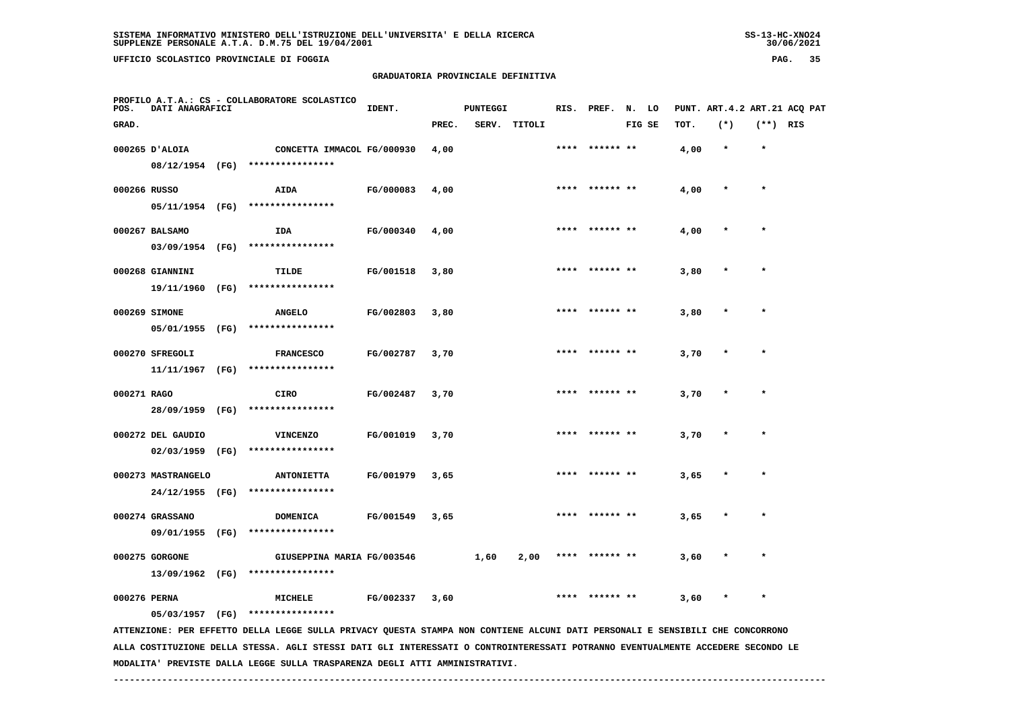# **GRADUATORIA PROVINCIALE DEFINITIVA**

| POS.         | DATI ANAGRAFICI    |      | PROFILO A.T.A.: CS - COLLABORATORE SCOLASTICO                                                                                   | IDENT.    |       | <b>PUNTEGGI</b> |              |      | RIS. PREF. N. LO |        |      | PUNT. ART. 4.2 ART. 21 ACQ PAT |            |  |
|--------------|--------------------|------|---------------------------------------------------------------------------------------------------------------------------------|-----------|-------|-----------------|--------------|------|------------------|--------|------|--------------------------------|------------|--|
| GRAD.        |                    |      |                                                                                                                                 |           | PREC. |                 | SERV. TITOLI |      |                  | FIG SE | TOT. | $(*)$                          | $(**)$ RIS |  |
|              | 000265 D'ALOIA     |      | CONCETTA IMMACOL FG/000930                                                                                                      |           | 4,00  |                 |              | **** | ****** **        |        | 4,00 | $\star$                        | $\star$    |  |
|              | 08/12/1954 (FG)    |      | ****************                                                                                                                |           |       |                 |              |      |                  |        |      |                                |            |  |
| 000266 RUSSO |                    |      | AIDA                                                                                                                            | FG/000083 | 4,00  |                 |              |      |                  |        | 4,00 |                                | $\star$    |  |
|              | 05/11/1954 (FG)    |      | ****************                                                                                                                |           |       |                 |              |      |                  |        |      |                                |            |  |
|              | 000267 BALSAMO     |      | IDA                                                                                                                             | FG/000340 | 4,00  |                 |              |      |                  |        | 4,00 |                                |            |  |
|              | 03/09/1954 (FG)    |      | ****************                                                                                                                |           |       |                 |              |      |                  |        |      |                                |            |  |
|              | 000268 GIANNINI    |      | TILDE                                                                                                                           | FG/001518 | 3,80  |                 |              |      |                  |        | 3,80 |                                |            |  |
|              | 19/11/1960 (FG)    |      | ****************                                                                                                                |           |       |                 |              |      |                  |        |      |                                |            |  |
|              | 000269 SIMONE      |      | <b>ANGELO</b>                                                                                                                   | FG/002803 | 3,80  |                 |              | **** |                  |        | 3,80 |                                | $\star$    |  |
|              | 05/01/1955 (FG)    |      | ****************                                                                                                                |           |       |                 |              |      |                  |        |      |                                |            |  |
|              | 000270 SFREGOLI    |      | <b>FRANCESCO</b>                                                                                                                | FG/002787 | 3,70  |                 |              |      |                  |        | 3,70 |                                | $\star$    |  |
|              | 11/11/1967         | (FG) | ****************                                                                                                                |           |       |                 |              |      |                  |        |      |                                |            |  |
| 000271 RAGO  |                    |      | <b>CIRO</b>                                                                                                                     | FG/002487 | 3,70  |                 |              |      |                  |        | 3,70 |                                |            |  |
|              | 28/09/1959         | (FG) | ****************                                                                                                                |           |       |                 |              |      |                  |        |      |                                |            |  |
|              | 000272 DEL GAUDIO  |      | <b>VINCENZO</b>                                                                                                                 | FG/001019 | 3,70  |                 |              |      |                  |        | 3,70 |                                |            |  |
|              | 02/03/1959         | (FG) | ****************                                                                                                                |           |       |                 |              |      |                  |        |      |                                |            |  |
|              | 000273 MASTRANGELO |      | <b>ANTONIETTA</b>                                                                                                               | FG/001979 | 3,65  |                 |              | **** | ****** **        |        | 3,65 |                                | $\star$    |  |
|              | 24/12/1955 (FG)    |      | ****************                                                                                                                |           |       |                 |              |      |                  |        |      |                                |            |  |
|              | 000274 GRASSANO    |      | <b>DOMENICA</b>                                                                                                                 | FG/001549 | 3,65  |                 |              |      | ****** **        |        | 3,65 |                                | $\star$    |  |
|              |                    |      | 09/01/1955 (FG) ****************                                                                                                |           |       |                 |              |      |                  |        |      |                                |            |  |
|              | 000275 GORGONE     |      | GIUSEPPINA MARIA FG/003546                                                                                                      |           |       | 1,60            | 2,00         |      |                  |        | 3,60 |                                |            |  |
|              | 13/09/1962 (FG)    |      | ****************                                                                                                                |           |       |                 |              |      |                  |        |      |                                |            |  |
| 000276 PERNA |                    |      | <b>MICHELE</b>                                                                                                                  | FG/002337 | 3,60  |                 |              |      | ****** **        |        | 3,60 |                                | $\star$    |  |
|              | 05/03/1957 (FG)    |      | ****************                                                                                                                |           |       |                 |              |      |                  |        |      |                                |            |  |
|              |                    |      | ATTENZIONE: PER EFFETTO DELLA LEGGE SULLA PRIVACY QUESTA STAMPA NON CONTIENE ALCUNI DATI PERSONALI E SENSIBILI CHE CONCORRONO   |           |       |                 |              |      |                  |        |      |                                |            |  |
|              |                    |      | ALLA COSTITUZIONE DELLA STESSA. AGLI STESSI DATI GLI INTERESSATI O CONTROINTERESSATI POTRANNO EVENTUALMENTE ACCEDERE SECONDO LE |           |       |                 |              |      |                  |        |      |                                |            |  |

 **------------------------------------------------------------------------------------------------------------------------------------**

 **MODALITA' PREVISTE DALLA LEGGE SULLA TRASPARENZA DEGLI ATTI AMMINISTRATIVI.**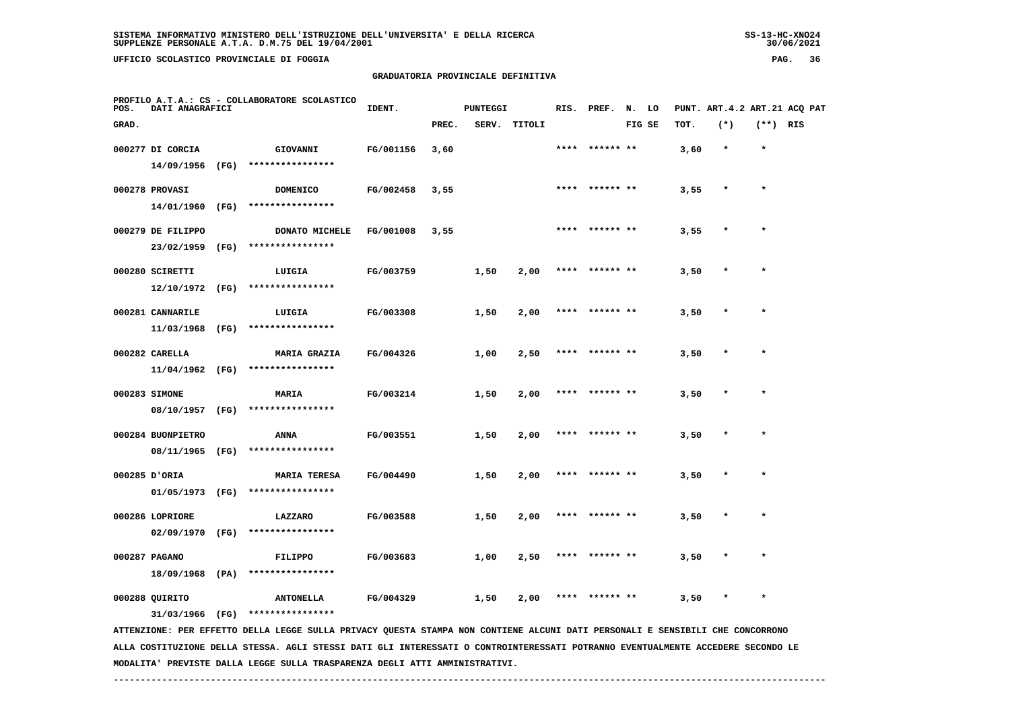**UFFICIO SCOLASTICO PROVINCIALE DI FOGGIA PAG. 36**

# **GRADUATORIA PROVINCIALE DEFINITIVA**

| POS.  | DATI ANAGRAFICI   |      | PROFILO A.T.A.: CS - COLLABORATORE SCOLASTICO                                                                  | IDENT.    |       | <b>PUNTEGGI</b> |        |      | RIS. PREF. N. LO |        |      | PUNT. ART. 4.2 ART. 21 ACQ PAT |            |  |
|-------|-------------------|------|----------------------------------------------------------------------------------------------------------------|-----------|-------|-----------------|--------|------|------------------|--------|------|--------------------------------|------------|--|
| GRAD. |                   |      |                                                                                                                |           | PREC. | SERV.           | TITOLI |      |                  | FIG SE | TOT. | $(*)$                          | $(**)$ RIS |  |
|       | 000277 DI CORCIA  |      | GIOVANNI                                                                                                       | FG/001156 | 3,60  |                 |        | **** | ****** **        |        | 3,60 | $\star$                        | $\star$    |  |
|       | 14/09/1956        | (FG) | ****************                                                                                               |           |       |                 |        |      |                  |        |      |                                |            |  |
|       | 000278 PROVASI    |      | <b>DOMENICO</b>                                                                                                | FG/002458 | 3,55  |                 |        |      | **** ****** **   |        | 3,55 | $\star$                        | $\star$    |  |
|       | 14/01/1960 (FG)   |      | ****************                                                                                               |           |       |                 |        |      |                  |        |      |                                |            |  |
|       | 000279 DE FILIPPO |      | DONATO MICHELE                                                                                                 | FG/001008 | 3,55  |                 |        |      | ****  ****** **  |        | 3,55 |                                | $\star$    |  |
|       | 23/02/1959        | (FG) | ****************                                                                                               |           |       |                 |        |      |                  |        |      |                                |            |  |
|       | 000280 SCIRETTI   |      | LUIGIA                                                                                                         | FG/003759 |       | 1,50            | 2,00   | **** | ****** **        |        | 3,50 |                                |            |  |
|       | 12/10/1972 (FG)   |      | ****************                                                                                               |           |       |                 |        |      |                  |        |      |                                |            |  |
|       | 000281 CANNARILE  |      | LUIGIA                                                                                                         | FG/003308 |       | 1,50            | 2,00   |      | **** ****** **   |        | 3,50 |                                |            |  |
|       | 11/03/1968 (FG)   |      | ****************                                                                                               |           |       |                 |        |      |                  |        |      |                                |            |  |
|       | 000282 CARELLA    |      | <b>MARIA GRAZIA</b>                                                                                            | FG/004326 |       | 1,00            | 2,50   |      | ****** **        |        | 3,50 |                                |            |  |
|       | $11/04/1962$ (FG) |      | ****************                                                                                               |           |       |                 |        |      |                  |        |      |                                |            |  |
|       | 000283 SIMONE     |      | MARIA                                                                                                          | FG/003214 |       | 1,50            | 2,00   |      | ****  ****** **  |        | 3,50 |                                |            |  |
|       | 08/10/1957        | (FG) | ****************                                                                                               |           |       |                 |        |      |                  |        |      |                                |            |  |
|       | 000284 BUONPIETRO |      | ANNA                                                                                                           | FG/003551 |       | 1,50            | 2,00   |      | ****** **        |        | 3,50 |                                |            |  |
|       | 08/11/1965 (FG)   |      | ****************                                                                                               |           |       |                 |        |      |                  |        |      |                                |            |  |
|       | 000285 D'ORIA     |      | <b>MARIA TERESA</b>                                                                                            | FG/004490 |       | 1,50            | 2,00   |      | **** ****** **   |        | 3,50 | $\star$                        | $\star$    |  |
|       | 01/05/1973 (FG)   |      | ****************                                                                                               |           |       |                 |        |      |                  |        |      |                                |            |  |
|       | 000286 LOPRIORE   |      | LAZZARO                                                                                                        | FG/003588 |       | 1,50            | 2,00   | **** | ****** **        |        | 3,50 |                                | $\star$    |  |
|       | 02/09/1970 (FG)   |      | ****************                                                                                               |           |       |                 |        |      |                  |        |      |                                |            |  |
|       | 000287 PAGANO     |      | <b>FILIPPO</b>                                                                                                 | FG/003683 |       | 1,00            | 2,50   |      | **** ****** **   |        | 3,50 |                                |            |  |
|       | 18/09/1968 (PA)   |      | ****************                                                                                               |           |       |                 |        |      |                  |        |      |                                |            |  |
|       | 000288 QUIRITO    |      | <b>ANTONELLA</b>                                                                                               | FG/004329 |       | 1,50            | 2,00   |      |                  |        | 3,50 |                                |            |  |
|       |                   |      | 31/03/1966 (FG) ****************                                                                               |           |       |                 |        |      |                  |        |      |                                |            |  |
|       |                   |      | חות סטס ביסטריית החדשים של המוסיף המורד המורד המורד המורד המורד המורד המורד המורד החדש המורד החדשים המורד המור |           |       |                 |        |      |                  |        |      |                                |            |  |

 **ATTENZIONE: PER EFFETTO DELLA LEGGE SULLA PRIVACY QUESTA STAMPA NON CONTIENE ALCUNI DATI PERSONALI E SENSIBILI CHE CONCORRONO ALLA COSTITUZIONE DELLA STESSA. AGLI STESSI DATI GLI INTERESSATI O CONTROINTERESSATI POTRANNO EVENTUALMENTE ACCEDERE SECONDO LE MODALITA' PREVISTE DALLA LEGGE SULLA TRASPARENZA DEGLI ATTI AMMINISTRATIVI.**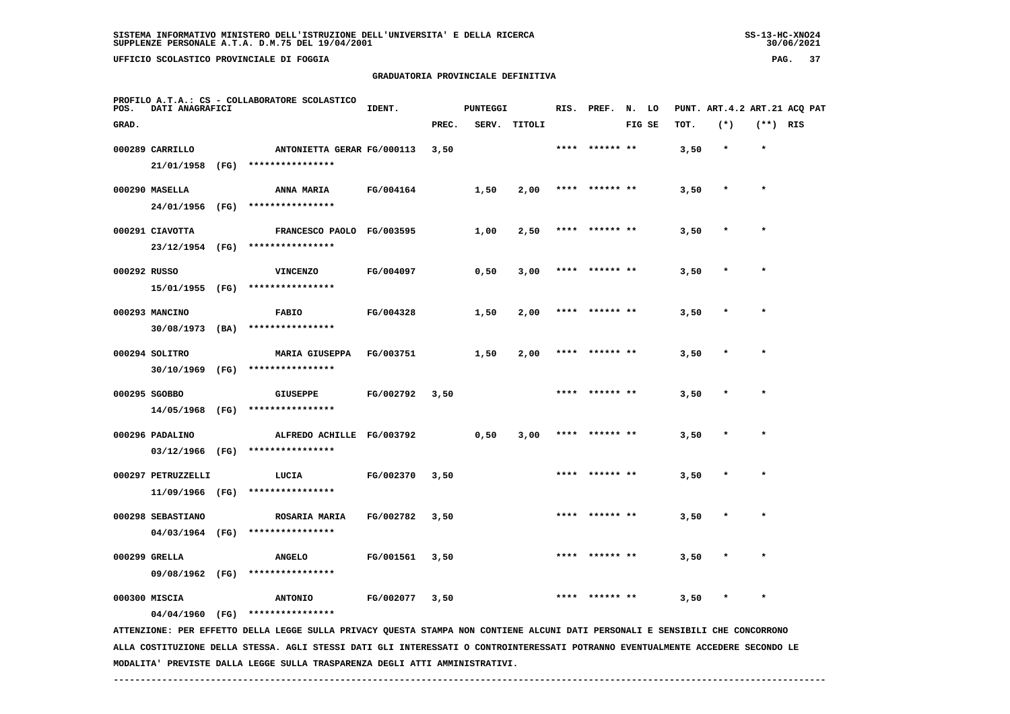**UFFICIO SCOLASTICO PROVINCIALE DI FOGGIA PAG. 37**

# **GRADUATORIA PROVINCIALE DEFINITIVA**

| POS.         | DATI ANAGRAFICI                       | PROFILO A.T.A.: CS - COLLABORATORE SCOLASTICO                                                                                                                     | IDENT.    |       | <b>PUNTEGGI</b> |        |      | RIS. PREF. N. LO |        |      |         |            | PUNT. ART. 4.2 ART. 21 ACQ PAT |
|--------------|---------------------------------------|-------------------------------------------------------------------------------------------------------------------------------------------------------------------|-----------|-------|-----------------|--------|------|------------------|--------|------|---------|------------|--------------------------------|
| GRAD.        |                                       |                                                                                                                                                                   |           | PREC. | SERV.           | TITOLI |      |                  | FIG SE | TOT. | $(*)$   | $(**)$ RIS |                                |
|              | 000289 CARRILLO                       | ANTONIETTA GERAR FG/000113                                                                                                                                        |           | 3,50  |                 |        |      | **** ****** **   |        | 3,50 | $\star$ | $\star$    |                                |
|              | 21/01/1958 (FG)                       | ****************                                                                                                                                                  |           |       |                 |        |      |                  |        |      |         |            |                                |
|              | 000290 MASELLA                        | <b>ANNA MARIA</b>                                                                                                                                                 | FG/004164 |       | 1,50            | 2,00   | **** |                  |        | 3,50 |         |            |                                |
|              |                                       | 24/01/1956 (FG) ****************                                                                                                                                  |           |       |                 |        |      |                  |        |      |         |            |                                |
|              | 000291 CIAVOTTA                       | FRANCESCO PAOLO FG/003595                                                                                                                                         |           |       | 1,00            | 2,50   |      | **** ****** **   |        | 3,50 |         |            |                                |
|              |                                       | 23/12/1954 (FG) ****************                                                                                                                                  |           |       |                 |        |      |                  |        |      |         |            |                                |
| 000292 RUSSO |                                       | <b>VINCENZO</b>                                                                                                                                                   | FG/004097 |       | 0,50            | 3,00   |      | ****** **        |        | 3,50 |         |            |                                |
|              | 15/01/1955 (FG)                       | ****************                                                                                                                                                  |           |       |                 |        |      |                  |        |      |         |            |                                |
|              | 000293 MANCINO                        | <b>FABIO</b>                                                                                                                                                      | FG/004328 |       | 1,50            | 2,00   |      |                  |        | 3,50 |         |            |                                |
|              | $30/08/1973$ (BA)                     | ****************                                                                                                                                                  |           |       |                 |        |      |                  |        |      |         |            |                                |
|              | 000294 SOLITRO                        | <b>MARIA GIUSEPPA</b>                                                                                                                                             | FG/003751 |       | 1,50            | 2,00   |      | **** ****** **   |        | 3,50 |         | $\star$    |                                |
|              | 30/10/1969 (FG)                       | ****************                                                                                                                                                  |           |       |                 |        |      |                  |        |      |         |            |                                |
|              | 000295 SGOBBO                         | <b>GIUSEPPE</b>                                                                                                                                                   | FG/002792 | 3,50  |                 |        |      | **** ****** **   |        | 3,50 |         | $\star$    |                                |
|              | 14/05/1968 (FG)                       | ****************                                                                                                                                                  |           |       |                 |        |      |                  |        |      |         |            |                                |
|              | 000296 PADALINO                       | ALFREDO ACHILLE FG/003792                                                                                                                                         |           |       |                 | 3,00   |      | **** ****** **   |        | 3,50 | $\ast$  | $\star$    |                                |
|              | 03/12/1966 (FG)                       | ****************                                                                                                                                                  |           |       | 0,50            |        |      |                  |        |      |         |            |                                |
|              |                                       |                                                                                                                                                                   |           |       |                 |        |      |                  |        |      |         |            |                                |
|              | 000297 PETRUZZELLI<br>11/09/1966 (FG) | LUCIA<br>****************                                                                                                                                         | FG/002370 | 3,50  |                 |        |      |                  |        | 3,50 |         |            |                                |
|              |                                       |                                                                                                                                                                   |           |       |                 |        |      |                  |        |      |         |            |                                |
|              | 000298 SEBASTIANO<br>04/03/1964 (FG)  | ROSARIA MARIA<br>****************                                                                                                                                 | FG/002782 | 3,50  |                 |        |      | ****  ****** **  |        | 3,50 |         | $\star$    |                                |
|              |                                       |                                                                                                                                                                   |           |       |                 |        |      |                  |        |      |         |            |                                |
|              | 000299 GRELLA<br>09/08/1962 (FG)      | <b>ANGELO</b><br>****************                                                                                                                                 | FG/001561 | 3,50  |                 |        |      |                  |        | 3,50 |         |            |                                |
|              |                                       |                                                                                                                                                                   |           |       |                 |        |      |                  |        |      |         |            |                                |
|              | 000300 MISCIA                         | <b>ANTONIO</b>                                                                                                                                                    | FG/002077 | 3,50  |                 |        |      | ****** **        |        | 3,50 |         |            |                                |
|              |                                       | 04/04/1960 (FG) ****************<br>ATTENZIONE: PER EFFETTO DELLA LEGGE SULLA PRIVACY QUESTA STAMPA NON CONTIENE ALCUNI DATI PERSONALI E SENSIBILI CHE CONCORRONO |           |       |                 |        |      |                  |        |      |         |            |                                |
|              |                                       |                                                                                                                                                                   |           |       |                 |        |      |                  |        |      |         |            |                                |

 **ALLA COSTITUZIONE DELLA STESSA. AGLI STESSI DATI GLI INTERESSATI O CONTROINTERESSATI POTRANNO EVENTUALMENTE ACCEDERE SECONDO LE MODALITA' PREVISTE DALLA LEGGE SULLA TRASPARENZA DEGLI ATTI AMMINISTRATIVI.**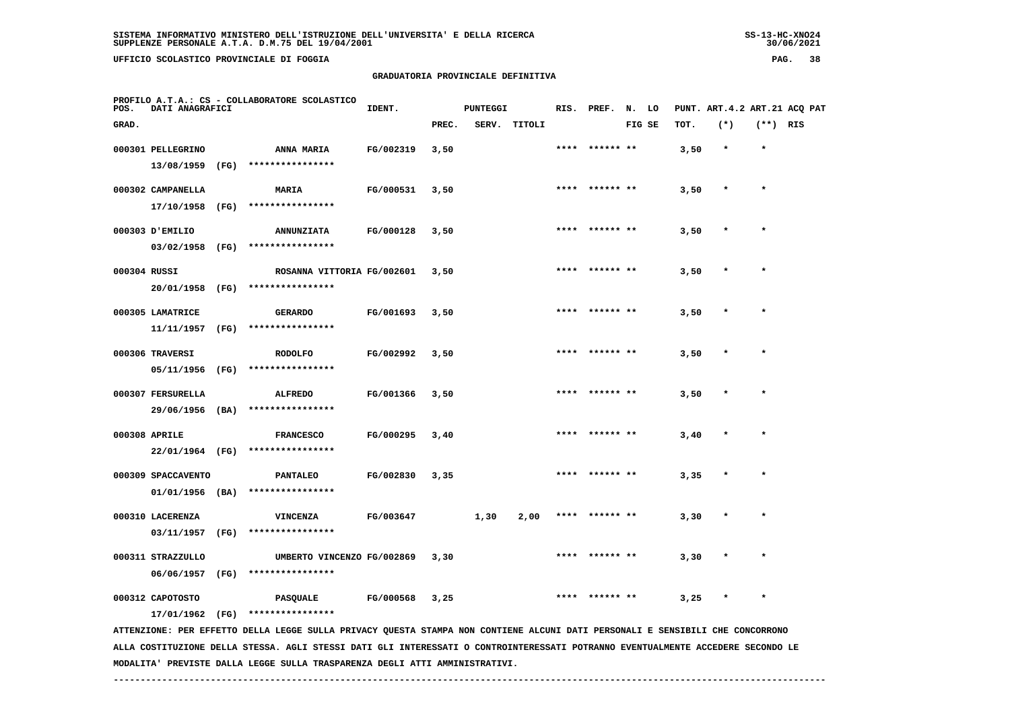**UFFICIO SCOLASTICO PROVINCIALE DI FOGGIA PAG. 38**

# **GRADUATORIA PROVINCIALE DEFINITIVA**

| POS.         | DATI ANAGRAFICI    |      | PROFILO A.T.A.: CS - COLLABORATORE SCOLASTICO                                                                                   | IDENT.    |       | <b>PUNTEGGI</b> |              |      | RIS. PREF. | N. LO  |      |         |            | PUNT. ART. 4.2 ART. 21 ACQ PAT |
|--------------|--------------------|------|---------------------------------------------------------------------------------------------------------------------------------|-----------|-------|-----------------|--------------|------|------------|--------|------|---------|------------|--------------------------------|
| GRAD.        |                    |      |                                                                                                                                 |           | PREC. |                 | SERV. TITOLI |      |            | FIG SE | TOT. | $(*)$   | $(**)$ RIS |                                |
|              | 000301 PELLEGRINO  |      | ANNA MARIA                                                                                                                      | FG/002319 | 3,50  |                 |              | **** | ****** **  |        | 3,50 | $\star$ | $\star$    |                                |
|              | 13/08/1959         | (FG) | ****************                                                                                                                |           |       |                 |              |      |            |        |      |         |            |                                |
|              | 000302 CAMPANELLA  |      | MARIA                                                                                                                           | FG/000531 | 3,50  |                 |              |      |            |        | 3,50 |         | $\star$    |                                |
|              | 17/10/1958         | (FG) | ****************                                                                                                                |           |       |                 |              |      |            |        |      |         |            |                                |
|              | 000303 J'EMILIO    |      | <b>ANNUNZIATA</b>                                                                                                               | FG/000128 | 3,50  |                 |              |      |            |        | 3,50 |         |            |                                |
|              | 03/02/1958         | (FG) | ****************                                                                                                                |           |       |                 |              |      |            |        |      |         |            |                                |
| 000304 RUSSI |                    |      | ROSANNA VITTORIA FG/002601                                                                                                      |           | 3,50  |                 |              |      |            |        | 3,50 |         |            |                                |
|              | 20/01/1958         | (FG) | ****************                                                                                                                |           |       |                 |              |      |            |        |      |         |            |                                |
|              | 000305 LAMATRICE   |      | <b>GERARDO</b>                                                                                                                  | FG/001693 | 3,50  |                 |              |      |            |        | 3,50 |         | $\star$    |                                |
|              | 11/11/1957         | (FG) | ****************                                                                                                                |           |       |                 |              |      |            |        |      |         |            |                                |
|              | 000306 TRAVERSI    |      | <b>RODOLFO</b>                                                                                                                  | FG/002992 | 3,50  |                 |              |      |            |        | 3,50 |         | $\star$    |                                |
|              | 05/11/1956         | (FG) | ****************                                                                                                                |           |       |                 |              |      |            |        |      |         |            |                                |
|              | 000307 FERSURELLA  |      | <b>ALFREDO</b>                                                                                                                  | FG/001366 | 3,50  |                 |              |      |            |        | 3,50 |         |            |                                |
|              | 29/06/1956         | (BA) | ****************                                                                                                                |           |       |                 |              |      |            |        |      |         |            |                                |
|              | 000308 APRILE      |      | <b>FRANCESCO</b>                                                                                                                | FG/000295 | 3,40  |                 |              |      |            |        | 3,40 |         |            |                                |
|              | 22/01/1964 (FG)    |      | ****************                                                                                                                |           |       |                 |              |      |            |        |      |         |            |                                |
|              | 000309 SPACCAVENTO |      | <b>PANTALEO</b>                                                                                                                 | FG/002830 | 3,35  |                 |              | **** | ****** **  |        | 3,35 |         | $\star$    |                                |
|              | $01/01/1956$ (BA)  |      | ****************                                                                                                                |           |       |                 |              |      |            |        |      |         |            |                                |
|              | 000310 LACERENZA   |      | <b>VINCENZA</b>                                                                                                                 | FG/003647 |       | 1,30            | 2,00         | **** | ****** **  |        | 3,30 |         | $\star$    |                                |
|              | 03/11/1957         | (FG) | ****************                                                                                                                |           |       |                 |              |      |            |        |      |         |            |                                |
|              | 000311 STRAZZULLO  |      | UMBERTO VINCENZO FG/002869                                                                                                      |           | 3,30  |                 |              |      |            |        | 3,30 |         |            |                                |
|              | 06/06/1957         | (FG) | ****************                                                                                                                |           |       |                 |              |      |            |        |      |         |            |                                |
|              | 000312 CAPOTOSTO   |      | <b>PASQUALE</b>                                                                                                                 | FG/000568 | 3,25  |                 |              |      | ****** **  |        | 3,25 |         | $\star$    |                                |
|              | 17/01/1962 (FG)    |      | ****************                                                                                                                |           |       |                 |              |      |            |        |      |         |            |                                |
|              |                    |      | ATTENZIONE: PER EFFETTO DELLA LEGGE SULLA PRIVACY QUESTA STAMPA NON CONTIENE ALCUNI DATI PERSONALI E SENSIBILI CHE CONCORRONO   |           |       |                 |              |      |            |        |      |         |            |                                |
|              |                    |      | ALLA COSTITUZIONE DELLA STESSA. AGLI STESSI DATI GLI INTERESSATI O CONTROINTERESSATI POTRANNO EVENTUALMENTE ACCEDERE SECONDO LE |           |       |                 |              |      |            |        |      |         |            |                                |

 **------------------------------------------------------------------------------------------------------------------------------------**

 **MODALITA' PREVISTE DALLA LEGGE SULLA TRASPARENZA DEGLI ATTI AMMINISTRATIVI.**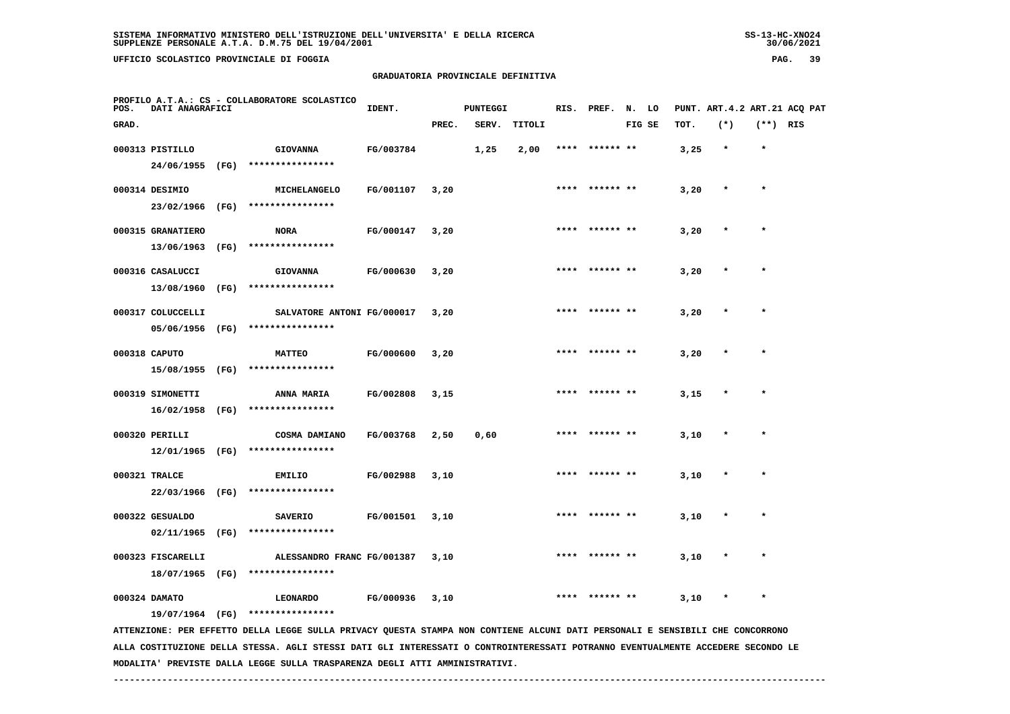**UFFICIO SCOLASTICO PROVINCIALE DI FOGGIA PAG. 39**

# **GRADUATORIA PROVINCIALE DEFINITIVA**

| POS.  | DATI ANAGRAFICI   |      | PROFILO A.T.A.: CS - COLLABORATORE SCOLASTICO                                                                                   | IDENT.    |       | <b>PUNTEGGI</b> |        |      | RIS. PREF. | N. LO  |      | PUNT. ART. 4.2 ART. 21 ACQ PAT |            |  |
|-------|-------------------|------|---------------------------------------------------------------------------------------------------------------------------------|-----------|-------|-----------------|--------|------|------------|--------|------|--------------------------------|------------|--|
| GRAD. |                   |      |                                                                                                                                 |           | PREC. | SERV.           | TITOLI |      |            | FIG SE | TOT. | $(*)$                          | $(**)$ RIS |  |
|       | 000313 PISTILLO   |      | <b>GIOVANNA</b>                                                                                                                 | FG/003784 |       | 1,25            | 2,00   | **** | ****** **  |        | 3,25 | $\star$                        | $\star$    |  |
|       | 24/06/1955        | (FG) | ****************                                                                                                                |           |       |                 |        |      |            |        |      |                                |            |  |
|       | 000314 DESIMIO    |      | MICHELANGELO                                                                                                                    | FG/001107 | 3,20  |                 |        |      | ****** **  |        | 3,20 | $\ast$                         | $\star$    |  |
|       | 23/02/1966        | (FG) | ****************                                                                                                                |           |       |                 |        |      |            |        |      |                                |            |  |
|       | 000315 GRANATIERO |      | <b>NORA</b>                                                                                                                     | FG/000147 | 3,20  |                 |        |      |            |        | 3,20 |                                |            |  |
|       | 13/06/1963        | (FG) | ****************                                                                                                                |           |       |                 |        |      |            |        |      |                                |            |  |
|       | 000316 CASALUCCI  |      | <b>GIOVANNA</b>                                                                                                                 | FG/000630 | 3,20  |                 |        | **** | ****** **  |        | 3,20 |                                | $\star$    |  |
|       | 13/08/1960        | (FG) | ****************                                                                                                                |           |       |                 |        |      |            |        |      |                                |            |  |
|       | 000317 COLUCCELLI |      | SALVATORE ANTONI FG/000017                                                                                                      |           | 3,20  |                 |        |      | ****** **  |        | 3,20 |                                |            |  |
|       | 05/06/1956        | (FG) | ****************                                                                                                                |           |       |                 |        |      |            |        |      |                                |            |  |
|       | 000318 CAPUTO     |      | <b>MATTEO</b>                                                                                                                   | FG/000600 | 3,20  |                 |        | **** | ****** **  |        | 3,20 |                                | $\star$    |  |
|       | 15/08/1955        | (FG) | ****************                                                                                                                |           |       |                 |        |      |            |        |      |                                |            |  |
|       | 000319 SIMONETTI  |      | ANNA MARIA                                                                                                                      | FG/002808 | 3,15  |                 |        |      |            |        | 3,15 |                                |            |  |
|       | 16/02/1958        | (FG) | ****************                                                                                                                |           |       |                 |        |      |            |        |      |                                |            |  |
|       | 000320 PERILLI    |      | COSMA DAMIANO                                                                                                                   | FG/003768 | 2,50  | 0,60            |        |      | ****** **  |        | 3,10 |                                | $\star$    |  |
|       | 12/01/1965        | (FG) | ****************                                                                                                                |           |       |                 |        |      |            |        |      |                                |            |  |
|       | 000321 TRALCE     |      | <b>EMILIO</b>                                                                                                                   | FG/002988 | 3,10  |                 |        |      | ****** **  |        | 3,10 |                                | $\star$    |  |
|       | 22/03/1966        | (FG) | ****************                                                                                                                |           |       |                 |        |      |            |        |      |                                |            |  |
|       | 000322 GESUALDO   |      | <b>SAVERIO</b>                                                                                                                  | FG/001501 | 3,10  |                 |        | **** | ****** **  |        | 3,10 |                                | $\star$    |  |
|       | 02/11/1965        | (FG) | ****************                                                                                                                |           |       |                 |        |      |            |        |      |                                |            |  |
|       | 000323 FISCARELLI |      | ALESSANDRO FRANC FG/001387                                                                                                      |           | 3,10  |                 |        |      |            |        | 3,10 |                                |            |  |
|       | 18/07/1965        | (FG) | ****************                                                                                                                |           |       |                 |        |      |            |        |      |                                |            |  |
|       | 000324 DAMATO     |      | <b>LEONARDO</b>                                                                                                                 | FG/000936 | 3,10  |                 |        |      |            |        | 3,10 |                                | $\star$    |  |
|       | 19/07/1964 (FG)   |      | ****************                                                                                                                |           |       |                 |        |      |            |        |      |                                |            |  |
|       |                   |      | ATTENZIONE: PER EFFETTO DELLA LEGGE SULLA PRIVACY QUESTA STAMPA NON CONTIENE ALCUNI DATI PERSONALI E SENSIBILI CHE CONCORRONO   |           |       |                 |        |      |            |        |      |                                |            |  |
|       |                   |      | ALLA COSTITUZIONE DELLA STESSA. AGLI STESSI DATI GLI INTERESSATI O CONTROINTERESSATI POTRANNO EVENTUALMENTE ACCEDERE SECONDO LE |           |       |                 |        |      |            |        |      |                                |            |  |

 **MODALITA' PREVISTE DALLA LEGGE SULLA TRASPARENZA DEGLI ATTI AMMINISTRATIVI.**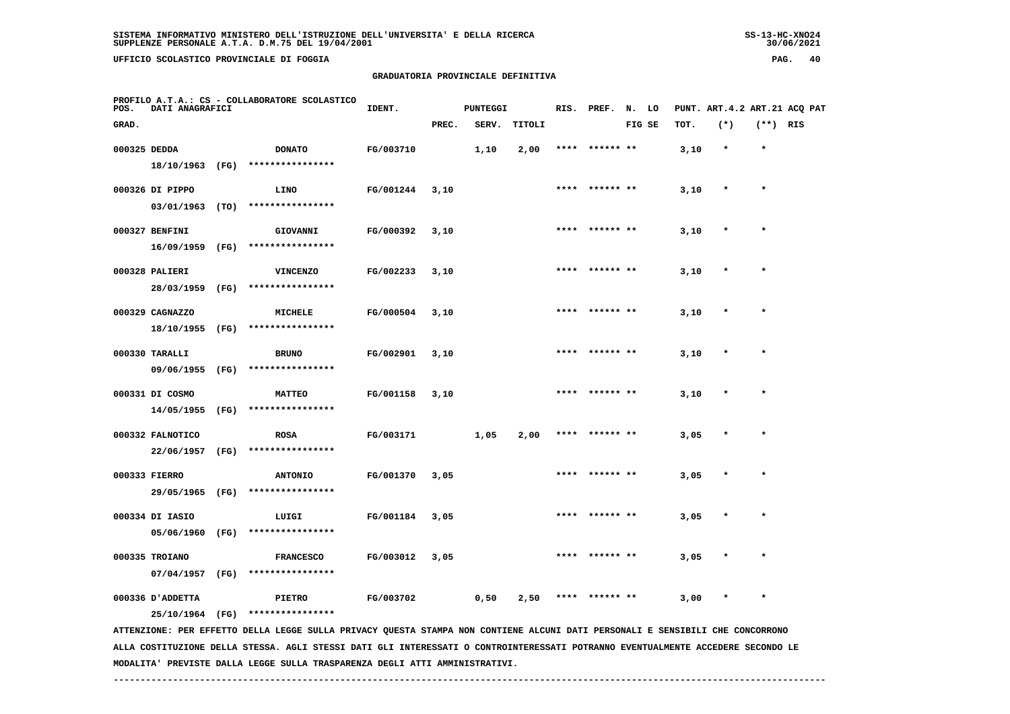**UFFICIO SCOLASTICO PROVINCIALE DI FOGGIA PAG. 40**

# **GRADUATORIA PROVINCIALE DEFINITIVA**

| POS.  | <b>DATI ANAGRAFICI</b> |      | PROFILO A.T.A.: CS - COLLABORATORE SCOLASTICO                                                                                 | IDENT.    |       | <b>PUNTEGGI</b> |        |      | RIS. PREF. N. LO |        |      |         |            | PUNT. ART. 4.2 ART. 21 ACO PAT |
|-------|------------------------|------|-------------------------------------------------------------------------------------------------------------------------------|-----------|-------|-----------------|--------|------|------------------|--------|------|---------|------------|--------------------------------|
| GRAD. |                        |      |                                                                                                                               |           | PREC. | SERV.           | TITOLI |      |                  | FIG SE | TOT. | $(*)$   | $(**)$ RIS |                                |
|       | 000325 DEDDA           |      | <b>DONATO</b>                                                                                                                 | FG/003710 |       | 1,10            | 2,00   |      | **** ****** **   |        | 3,10 | $\star$ | $\star$    |                                |
|       | 18/10/1963 (FG)        |      | ****************                                                                                                              |           |       |                 |        |      |                  |        |      |         |            |                                |
|       | 000326 DI PIPPO        |      | <b>LINO</b>                                                                                                                   | FG/001244 | 3,10  |                 |        | **** |                  |        | 3,10 | $\ast$  | $\star$    |                                |
|       |                        |      | 03/01/1963 (TO) ****************                                                                                              |           |       |                 |        |      |                  |        |      |         |            |                                |
|       | 000327 BENFINI         |      | GIOVANNI                                                                                                                      | FG/000392 | 3,10  |                 |        |      | **** ****** **   |        | 3,10 |         |            |                                |
|       | $16/09/1959$ (FG)      |      | ****************                                                                                                              |           |       |                 |        |      |                  |        |      |         |            |                                |
|       | 000328 PALIERI         |      | <b>VINCENZO</b>                                                                                                               | FG/002233 | 3,10  |                 |        |      | **** ****** **   |        | 3,10 |         | $\star$    |                                |
|       | 28/03/1959 (FG)        |      | ****************                                                                                                              |           |       |                 |        |      |                  |        |      |         |            |                                |
|       | 000329 CAGNAZZO        |      | MICHELE                                                                                                                       | FG/000504 | 3,10  |                 |        | **** | ****** **        |        | 3,10 |         | $\ast$     |                                |
|       | 18/10/1955 (FG)        |      | ****************                                                                                                              |           |       |                 |        |      |                  |        |      |         |            |                                |
|       | 000330 TARALLI         |      | <b>BRUNO</b>                                                                                                                  | FG/002901 | 3,10  |                 |        |      | **** ****** **   |        | 3,10 |         |            |                                |
|       | 09/06/1955 (FG)        |      | ****************                                                                                                              |           |       |                 |        |      |                  |        |      |         |            |                                |
|       | 000331 DI COSMO        |      | <b>MATTEO</b>                                                                                                                 | FG/001158 | 3,10  |                 |        |      | **** ****** **   |        | 3,10 |         | $\star$    |                                |
|       | 14/05/1955 (FG)        |      | ****************                                                                                                              |           |       |                 |        |      |                  |        |      |         |            |                                |
|       | 000332 FALNOTICO       |      | <b>ROSA</b>                                                                                                                   | FG/003171 |       | 1,05            | 2,00   | **** |                  |        | 3,05 |         |            |                                |
|       | 22/06/1957             | (FG) | ****************                                                                                                              |           |       |                 |        |      |                  |        |      |         |            |                                |
|       | 000333 FIERRO          |      | <b>ANTONIO</b>                                                                                                                | FG/001370 | 3,05  |                 |        |      |                  |        | 3,05 |         |            |                                |
|       | 29/05/1965 (FG)        |      | ****************                                                                                                              |           |       |                 |        |      |                  |        |      |         |            |                                |
|       | 000334 DI IASIO        |      | LUIGI                                                                                                                         | FG/001184 | 3,05  |                 |        |      | **** ****** **   |        | 3,05 |         | $\star$    |                                |
|       | 05/06/1960 (FG)        |      | ****************                                                                                                              |           |       |                 |        |      |                  |        |      |         |            |                                |
|       | 000335 TROIANO         |      | <b>FRANCESCO</b>                                                                                                              | FG/003012 | 3,05  |                 |        |      |                  |        | 3,05 |         |            |                                |
|       | 07/04/1957             | (FG) | ****************                                                                                                              |           |       |                 |        |      |                  |        |      |         |            |                                |
|       | 000336 D'ADDETTA       |      | <b>PIETRO</b>                                                                                                                 | FG/003702 |       | 0,50            | 2,50   |      | ****** **        |        | 3,00 |         |            |                                |
|       |                        |      | 25/10/1964 (FG) ****************                                                                                              |           |       |                 |        |      |                  |        |      |         |            |                                |
|       |                        |      | ATTENZIONE: PER EFFETTO DELLA LEGGE SULLA PRIVACY QUESTA STAMPA NON CONTIENE ALCUNI DATI PERSONALI E SENSIBILI CHE CONCORRONO |           |       |                 |        |      |                  |        |      |         |            |                                |

 **ALLA COSTITUZIONE DELLA STESSA. AGLI STESSI DATI GLI INTERESSATI O CONTROINTERESSATI POTRANNO EVENTUALMENTE ACCEDERE SECONDO LE MODALITA' PREVISTE DALLA LEGGE SULLA TRASPARENZA DEGLI ATTI AMMINISTRATIVI.**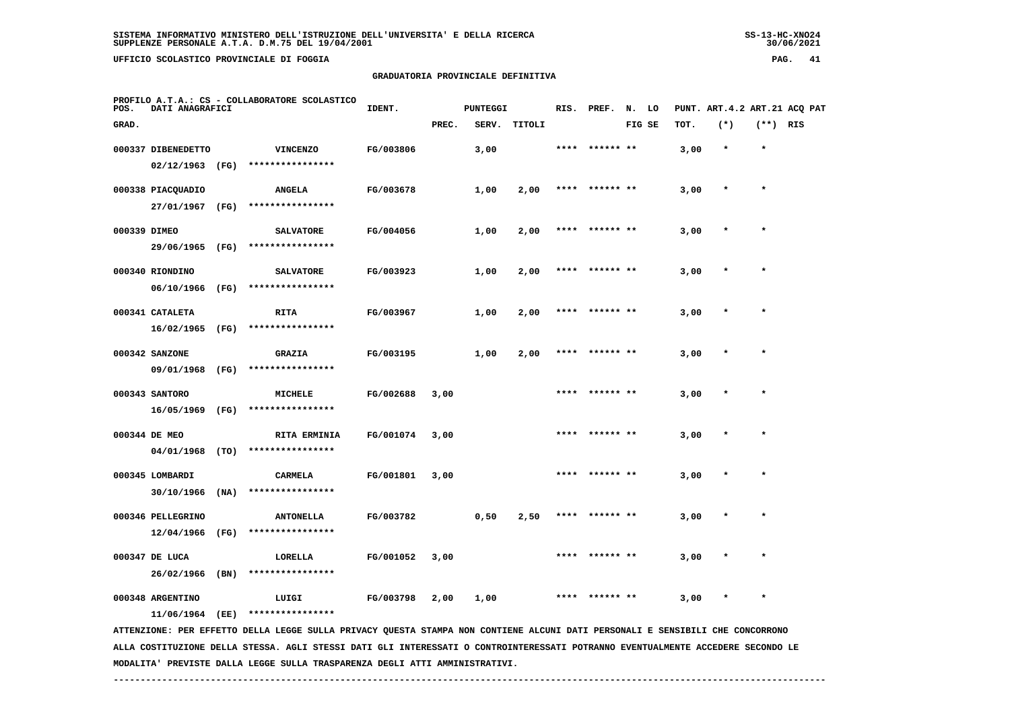**UFFICIO SCOLASTICO PROVINCIALE DI FOGGIA PAG. 41**

# **GRADUATORIA PROVINCIALE DEFINITIVA**

| POS.         | PROFILO A.T.A.: CS - COLLABORATORE SCOLASTICO<br>DATI ANAGRAFICI |      |                                                                                                                               | IDENT.    |       | <b>PUNTEGGI</b> |        |      | RIS. PREF. N. LO |        |      |         |            | PUNT. ART.4.2 ART.21 ACQ PAT |
|--------------|------------------------------------------------------------------|------|-------------------------------------------------------------------------------------------------------------------------------|-----------|-------|-----------------|--------|------|------------------|--------|------|---------|------------|------------------------------|
| GRAD.        |                                                                  |      |                                                                                                                               |           | PREC. | SERV.           | TITOLI |      |                  | FIG SE | TOT. | $(*)$   | $(**)$ RIS |                              |
|              | 000337 DIBENEDETTO                                               |      | <b>VINCENZO</b>                                                                                                               | FG/003806 |       | 3,00            |        |      | **** ****** **   |        | 3,00 | $\star$ | $\star$    |                              |
|              | $02/12/1963$ (FG)                                                |      | ****************                                                                                                              |           |       |                 |        |      |                  |        |      |         |            |                              |
|              | 000338 PIACQUADIO                                                |      | <b>ANGELA</b>                                                                                                                 | FG/003678 |       | 1,00            | 2,00   |      | **** ****** **   |        | 3,00 | $\ast$  | $\star$    |                              |
|              | 27/01/1967                                                       | (FG) | ****************                                                                                                              |           |       |                 |        |      |                  |        |      |         |            |                              |
| 000339 DIMEO |                                                                  |      | <b>SALVATORE</b>                                                                                                              | FG/004056 |       | 1,00            | 2,00   |      |                  |        | 3,00 |         | $\star$    |                              |
|              | 29/06/1965 (FG)                                                  |      | ****************                                                                                                              |           |       |                 |        |      |                  |        |      |         |            |                              |
|              | 000340 RIONDINO                                                  |      | <b>SALVATORE</b>                                                                                                              | FG/003923 |       | 1,00            | 2,00   |      | ****** **        |        | 3,00 |         |            |                              |
|              | 06/10/1966                                                       | (FG) | ****************                                                                                                              |           |       |                 |        |      |                  |        |      |         |            |                              |
|              | 000341 CATALETA                                                  |      | <b>RITA</b>                                                                                                                   | FG/003967 |       | 1,00            | 2,00   | **** | ****** **        |        | 3,00 |         | $\star$    |                              |
|              | 16/02/1965 (FG)                                                  |      | ****************                                                                                                              |           |       |                 |        |      |                  |        |      |         |            |                              |
|              | 000342 SANZONE                                                   |      | <b>GRAZIA</b>                                                                                                                 | FG/003195 |       | 1,00            | 2,00   |      | **** ****** **   |        | 3,00 |         | $\star$    |                              |
|              | 09/01/1968                                                       | (FG) | ****************                                                                                                              |           |       |                 |        |      |                  |        |      |         |            |                              |
|              | 000343 SANTORO                                                   |      | <b>MICHELE</b>                                                                                                                | FG/002688 | 3,00  |                 |        |      |                  |        | 3,00 |         |            |                              |
|              | 16/05/1969                                                       | (FG) | ****************                                                                                                              |           |       |                 |        |      |                  |        |      |         |            |                              |
|              | 000344 DE MEO                                                    |      | <b>RITA ERMINIA</b>                                                                                                           | FG/001074 | 3,00  |                 |        | **** | ****** **        |        | 3,00 | $\ast$  | $\star$    |                              |
|              | 04/01/1968                                                       | (TO) | ****************                                                                                                              |           |       |                 |        |      |                  |        |      |         |            |                              |
|              | 000345 LOMBARDI                                                  |      | CARMELA                                                                                                                       | FG/001801 | 3,00  |                 |        |      |                  |        | 3,00 |         |            |                              |
|              | 30/10/1966                                                       | (NA) | ****************                                                                                                              |           |       |                 |        |      |                  |        |      |         |            |                              |
|              | 000346 PELLEGRINO                                                |      | <b>ANTONELLA</b>                                                                                                              | FG/003782 |       | 0,50            | 2,50   | **** | ****** **        |        | 3,00 |         | $\star$    |                              |
|              | 12/04/1966                                                       | (FG) | ****************                                                                                                              |           |       |                 |        |      |                  |        |      |         |            |                              |
|              | 000347 DE LUCA                                                   |      | LORELLA                                                                                                                       | FG/001052 | 3,00  |                 |        |      |                  |        | 3,00 |         |            |                              |
|              | 26/02/1966                                                       | (BN) | ****************                                                                                                              |           |       |                 |        |      |                  |        |      |         |            |                              |
|              | 000348 ARGENTINO                                                 |      | LUIGI                                                                                                                         | FG/003798 | 2,00  | 1,00            |        | **** | ****** **        |        | 3,00 |         | $\star$    |                              |
|              | 11/06/1964                                                       | (EE) | ****************                                                                                                              |           |       |                 |        |      |                  |        |      |         |            |                              |
|              |                                                                  |      | ATTENZIONE: PER EFFETTO DELLA LEGGE SULLA PRIVACY QUESTA STAMPA NON CONTIENE ALCUNI DATI PERSONALI E SENSIBILI CHE CONCORRONO |           |       |                 |        |      |                  |        |      |         |            |                              |

 **ALLA COSTITUZIONE DELLA STESSA. AGLI STESSI DATI GLI INTERESSATI O CONTROINTERESSATI POTRANNO EVENTUALMENTE ACCEDERE SECONDO LE MODALITA' PREVISTE DALLA LEGGE SULLA TRASPARENZA DEGLI ATTI AMMINISTRATIVI.**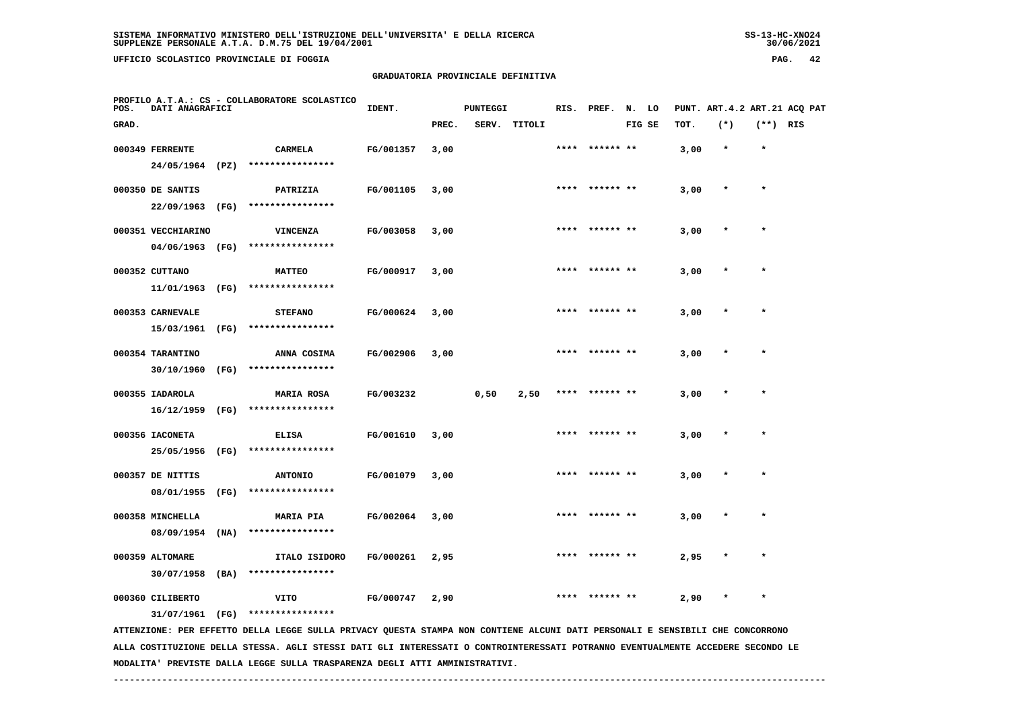**UFFICIO SCOLASTICO PROVINCIALE DI FOGGIA PAG. 42**

# **GRADUATORIA PROVINCIALE DEFINITIVA**

| POS.  | DATI ANAGRAFICI                       |      | PROFILO A.T.A.: CS - COLLABORATORE SCOLASTICO                                                                                 | IDENT.    |       | <b>PUNTEGGI</b> |        | RIS. | PREF.          | N. LO  |      | PUNT. ART.4.2 ART.21 ACQ PAT |            |  |
|-------|---------------------------------------|------|-------------------------------------------------------------------------------------------------------------------------------|-----------|-------|-----------------|--------|------|----------------|--------|------|------------------------------|------------|--|
| GRAD. |                                       |      |                                                                                                                               |           | PREC. | SERV.           | TITOLI |      |                | FIG SE | TOT. | $(*)$                        | $(**)$ RIS |  |
|       | 000349 FERRENTE<br>24/05/1964 (PZ)    |      | <b>CARMELA</b><br>****************                                                                                            | FG/001357 | 3,00  |                 |        |      |                |        | 3,00 | $\star$                      | $\star$    |  |
|       | 000350 DE SANTIS<br>22/09/1963        | (FG) | PATRIZIA<br>****************                                                                                                  | FG/001105 | 3,00  |                 |        |      |                |        | 3,00 |                              |            |  |
|       | 000351 VECCHIARINO<br>04/06/1963 (FG) |      | <b>VINCENZA</b><br>****************                                                                                           | FG/003058 | 3,00  |                 |        | **** |                |        | 3,00 | $\ast$                       | $\star$    |  |
|       | 000352 CUTTANO<br>11/01/1963 (FG)     |      | <b>MATTEO</b><br>****************                                                                                             | FG/000917 | 3,00  |                 |        |      |                |        | 3,00 |                              |            |  |
|       | 000353 CARNEVALE<br>15/03/1961        | (FG) | <b>STEFANO</b><br>****************                                                                                            | FG/000624 | 3,00  |                 |        |      |                |        | 3,00 |                              |            |  |
|       | 000354 TARANTINO<br>30/10/1960        | (FG) | ANNA COSIMA<br>****************                                                                                               | FG/002906 | 3,00  |                 |        |      | **** ****** ** |        | 3,00 |                              | $\star$    |  |
|       | 000355 IADAROLA<br>16/12/1959         | (FG) | <b>MARIA ROSA</b><br>****************                                                                                         | FG/003232 |       | 0,50            | 2,50   |      |                |        | 3,00 |                              |            |  |
|       | 000356 IACONETA<br>25/05/1956         | (FG) | <b>ELISA</b><br>****************                                                                                              | FG/001610 | 3,00  |                 |        | **** | ****** **      |        | 3,00 | $\ast$                       | $\star$    |  |
|       | 000357 DE NITTIS<br>08/01/1955        | (FG) | <b>ANTONIO</b><br>****************                                                                                            | FG/001079 | 3,00  |                 |        |      |                |        | 3,00 |                              |            |  |
|       | 000358 MINCHELLA<br>08/09/1954        | (NA) | <b>MARIA PIA</b><br>****************                                                                                          | FG/002064 | 3,00  |                 |        |      |                |        | 3,00 |                              |            |  |
|       | 000359 ALTOMARE<br>30/07/1958         | (BA) | ITALO ISIDORO<br>****************                                                                                             | FG/000261 | 2,95  |                 |        |      | ****** **      |        | 2,95 |                              | $\star$    |  |
|       | 000360 CILIBERTO<br>31/07/1961 (FG)   |      | <b>VITO</b><br>****************                                                                                               | FG/000747 | 2,90  |                 |        | **** | ****** **      |        | 2,90 |                              | $\star$    |  |
|       |                                       |      | ATTENZIONE: PER EFFETTO DELLA LEGGE SULLA PRIVACY QUESTA STAMPA NON CONTIENE ALCUNI DATI PERSONALI E SENSIBILI CHE CONCORRONO |           |       |                 |        |      |                |        |      |                              |            |  |

 **ALLA COSTITUZIONE DELLA STESSA. AGLI STESSI DATI GLI INTERESSATI O CONTROINTERESSATI POTRANNO EVENTUALMENTE ACCEDERE SECONDO LE MODALITA' PREVISTE DALLA LEGGE SULLA TRASPARENZA DEGLI ATTI AMMINISTRATIVI.**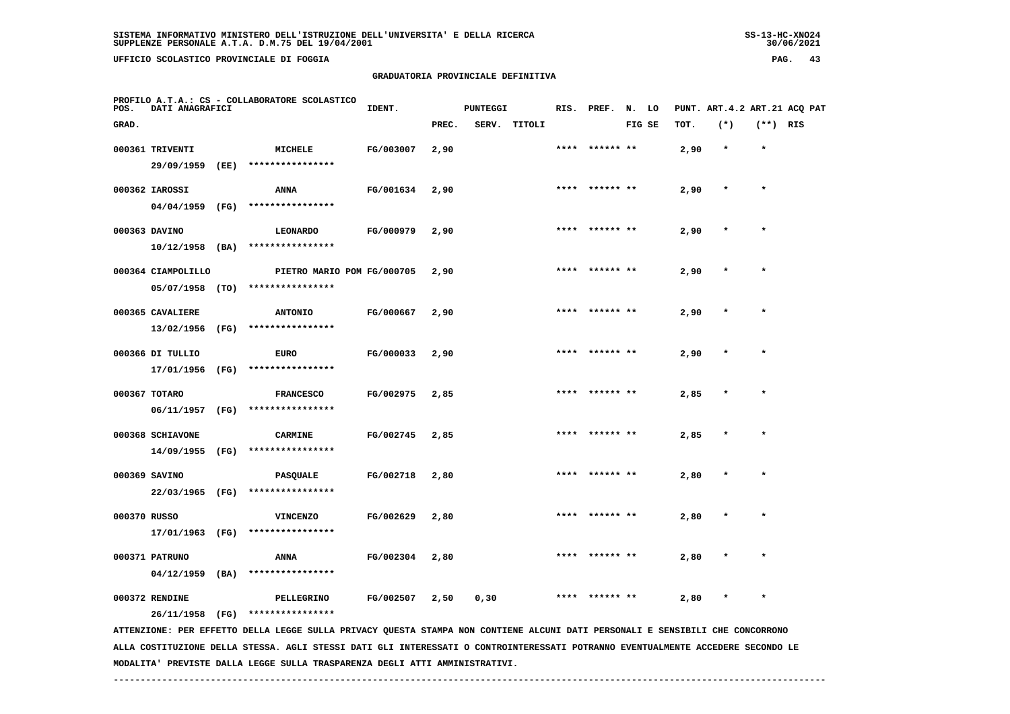**UFFICIO SCOLASTICO PROVINCIALE DI FOGGIA PAG. 43**

 **PROFILO A.T.A.: CS - COLLABORATORE SCOLASTICO**

# **GRADUATORIA PROVINCIALE DEFINITIVA**

| POS.         | DATI ANAGRAFICI    |                                                                                                                                                   | IDENT.           |       | <b>PUNTEGGI</b> |              |      | RIS. PREF. N. LO |        |      |        |            | PUNT. ART. 4.2 ART. 21 ACQ PAT |
|--------------|--------------------|---------------------------------------------------------------------------------------------------------------------------------------------------|------------------|-------|-----------------|--------------|------|------------------|--------|------|--------|------------|--------------------------------|
| GRAD.        |                    |                                                                                                                                                   |                  | PREC. |                 | SERV. TITOLI |      |                  | FIG SE | TOT. | $(*)$  | $(**)$ RIS |                                |
|              | 000361 TRIVENTI    | MICHELE                                                                                                                                           | FG/003007        | 2,90  |                 |              |      | ****  ****** **  |        | 2,90 |        |            |                                |
|              | 29/09/1959 (EE)    | ****************                                                                                                                                  |                  |       |                 |              |      |                  |        |      |        |            |                                |
|              | 000362 IAROSSI     | ANNA                                                                                                                                              | FG/001634        | 2,90  |                 |              |      | **** ****** **   |        | 2,90 |        |            |                                |
|              | $04/04/1959$ (FG)  | ****************                                                                                                                                  |                  |       |                 |              |      |                  |        |      |        |            |                                |
|              | 000363 DAVINO      | <b>LEONARDO</b>                                                                                                                                   | FG/000979        | 2,90  |                 |              | **** |                  |        | 2,90 |        |            |                                |
|              | $10/12/1958$ (BA)  | ****************                                                                                                                                  |                  |       |                 |              |      |                  |        |      |        |            |                                |
|              | 000364 CIAMPOLILLO | PIETRO MARIO POM FG/000705                                                                                                                        |                  | 2,90  |                 |              |      | **** ****** **   |        | 2,90 |        |            |                                |
|              |                    | 05/07/1958 (TO) ****************                                                                                                                  |                  |       |                 |              |      |                  |        |      |        |            |                                |
|              | 000365 CAVALIERE   | <b>ANTONIO</b>                                                                                                                                    | FG/000667        | 2,90  |                 |              |      | **** ****** **   |        | 2,90 |        |            |                                |
|              | 13/02/1956 (FG)    | ****************                                                                                                                                  |                  |       |                 |              |      |                  |        |      |        |            |                                |
|              | 000366 DI TULLIO   | <b>EURO</b>                                                                                                                                       | <b>FG/000033</b> | 2,90  |                 |              |      | **** ****** **   |        | 2,90 | $\ast$ | $\star$    |                                |
|              | 17/01/1956 (FG)    | ****************                                                                                                                                  |                  |       |                 |              |      |                  |        |      |        |            |                                |
|              | 000367 TOTARO      | <b>FRANCESCO</b>                                                                                                                                  | FG/002975        | 2,85  |                 |              | **** |                  |        | 2,85 |        |            |                                |
|              |                    | 06/11/1957 (FG) ****************                                                                                                                  |                  |       |                 |              |      |                  |        |      |        |            |                                |
|              | 000368 SCHIAVONE   | <b>CARMINE</b>                                                                                                                                    | FG/002745        | 2,85  |                 |              |      |                  |        | 2,85 |        |            |                                |
|              |                    | 14/09/1955 (FG) ****************                                                                                                                  |                  |       |                 |              |      |                  |        |      |        |            |                                |
|              | 000369 SAVINO      | PASQUALE                                                                                                                                          | FG/002718        | 2,80  |                 |              |      |                  |        | 2,80 |        |            |                                |
|              |                    | 22/03/1965 (FG) ****************                                                                                                                  |                  |       |                 |              |      |                  |        |      |        |            |                                |
| 000370 RUSSO |                    | <b>VINCENZO</b>                                                                                                                                   | FG/002629        | 2,80  |                 |              |      |                  |        | 2,80 |        |            |                                |
|              | 17/01/1963 (FG)    | ****************                                                                                                                                  |                  |       |                 |              |      |                  |        |      |        |            |                                |
|              | 000371 PATRUNO     | ANNA                                                                                                                                              | FG/002304        | 2,80  |                 |              |      |                  |        | 2,80 |        |            |                                |
|              | $04/12/1959$ (BA)  | ****************                                                                                                                                  |                  |       |                 |              |      |                  |        |      |        |            |                                |
|              | 000372 RENDINE     | PELLEGRINO                                                                                                                                        | FG/002507        | 2,50  | 0, 30           |              |      |                  |        | 2,80 |        |            |                                |
|              | 26/11/1958 (FG)    | ****************<br>ATTENZIONE: PER EFFETTO DELLA LEGGE SULLA PRIVACY QUESTA STAMPA NON CONTIENE ALCUNI DATI PERSONALI E SENSIBILI CHE CONCORRONO |                  |       |                 |              |      |                  |        |      |        |            |                                |
|              |                    |                                                                                                                                                   |                  |       |                 |              |      |                  |        |      |        |            |                                |

 **ALLA COSTITUZIONE DELLA STESSA. AGLI STESSI DATI GLI INTERESSATI O CONTROINTERESSATI POTRANNO EVENTUALMENTE ACCEDERE SECONDO LE MODALITA' PREVISTE DALLA LEGGE SULLA TRASPARENZA DEGLI ATTI AMMINISTRATIVI.**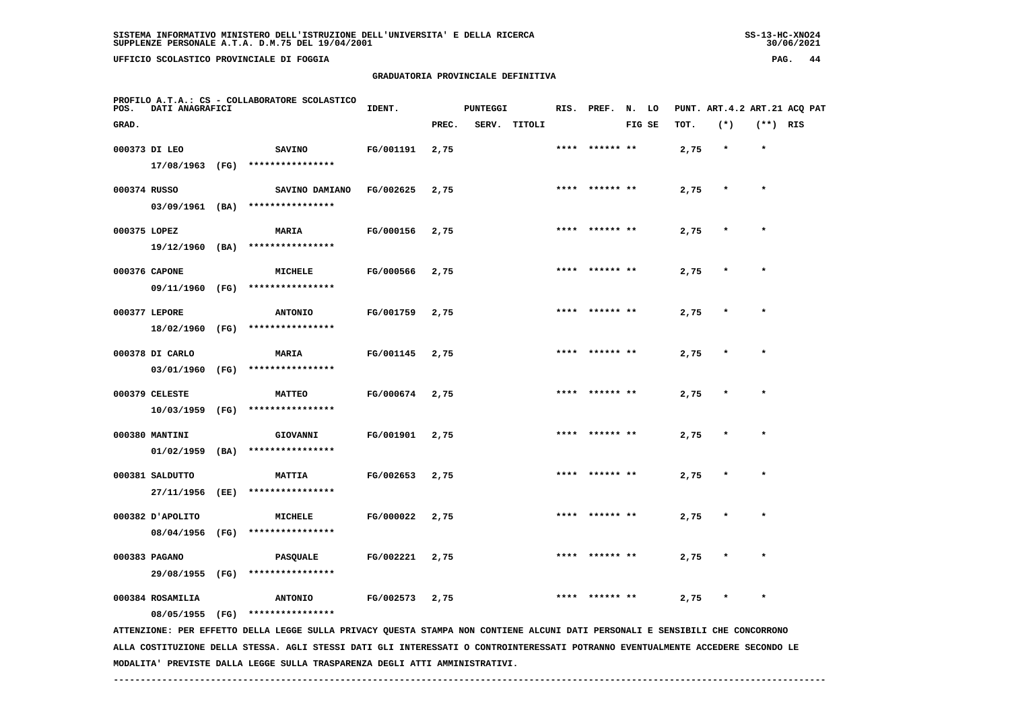**UFFICIO SCOLASTICO PROVINCIALE DI FOGGIA PAG. 44**

# **GRADUATORIA PROVINCIALE DEFINITIVA**

| POS.  | DATI ANAGRAFICI   |      | PROFILO A.T.A.: CS - COLLABORATORE SCOLASTICO                                                                                   | IDENT.    |       | <b>PUNTEGGI</b> |              | RIS. PREF.     | N. LO  |      |         |            | PUNT. ART. 4.2 ART. 21 ACO PAT |
|-------|-------------------|------|---------------------------------------------------------------------------------------------------------------------------------|-----------|-------|-----------------|--------------|----------------|--------|------|---------|------------|--------------------------------|
| GRAD. |                   |      |                                                                                                                                 |           | PREC. |                 | SERV. TITOLI |                | FIG SE | TOT. | $(*)$   | $(**)$ RIS |                                |
|       | 000373 DI LEO     |      | <b>SAVINO</b>                                                                                                                   | FG/001191 | 2,75  |                 |              | **** ****** ** |        | 2,75 | $\star$ | $\star$    |                                |
|       | 17/08/1963 (FG)   |      | ****************                                                                                                                |           |       |                 |              |                |        |      |         |            |                                |
|       | 000374 RUSSO      |      | SAVINO DAMIANO                                                                                                                  | FG/002625 | 2,75  |                 |              | **** ****** ** |        | 2,75 | $\star$ | $\star$    |                                |
|       |                   |      | 03/09/1961 (BA) ****************                                                                                                |           |       |                 |              |                |        |      |         |            |                                |
|       | 000375 LOPEZ      |      | MARIA                                                                                                                           | FG/000156 | 2,75  |                 |              | **** ****** ** |        | 2,75 |         |            |                                |
|       | 19/12/1960 (BA)   |      | ****************                                                                                                                |           |       |                 |              |                |        |      |         |            |                                |
|       | 000376 CAPONE     |      | MICHELE                                                                                                                         | FG/000566 | 2,75  |                 |              |                |        | 2,75 |         |            |                                |
|       | 09/11/1960 (FG)   |      | ****************                                                                                                                |           |       |                 |              |                |        |      |         |            |                                |
|       | 000377 LEPORE     |      | <b>ANTONIO</b>                                                                                                                  | FG/001759 | 2,75  |                 |              | **** ****** ** |        | 2,75 |         | $\star$    |                                |
|       | 18/02/1960 (FG)   |      | ****************                                                                                                                |           |       |                 |              |                |        |      |         |            |                                |
|       | 000378 DI CARLO   |      | MARIA                                                                                                                           | FG/001145 | 2,75  |                 |              | **** ****** ** |        | 2,75 | $\star$ | $\star$    |                                |
|       |                   |      | 03/01/1960 (FG) ****************                                                                                                |           |       |                 |              |                |        |      |         |            |                                |
|       | 000379 CELESTE    |      | <b>MATTEO</b>                                                                                                                   | FG/000674 | 2,75  |                 |              |                |        | 2,75 |         |            |                                |
|       | $10/03/1959$ (FG) |      | ****************                                                                                                                |           |       |                 |              |                |        |      |         |            |                                |
|       | 000380 MANTINI    |      | GIOVANNI                                                                                                                        | FG/001901 | 2,75  |                 |              |                |        | 2,75 |         |            |                                |
|       | $01/02/1959$ (BA) |      | ****************                                                                                                                |           |       |                 |              |                |        |      |         |            |                                |
|       | 000381 SALDUTTO   |      | <b>MATTIA</b>                                                                                                                   | FG/002653 | 2,75  |                 |              | **** ****** ** |        | 2,75 |         |            |                                |
|       | 27/11/1956        | (EE) | ****************                                                                                                                |           |       |                 |              |                |        |      |         |            |                                |
|       | 000382 JAPOLITO   |      | MICHELE                                                                                                                         | FG/000022 | 2,75  |                 |              | **** ****** ** |        | 2,75 |         | $\star$    |                                |
|       |                   |      | 08/04/1956 (FG) ****************                                                                                                |           |       |                 |              |                |        |      |         |            |                                |
|       | 000383 PAGANO     |      | PASQUALE                                                                                                                        | FG/002221 | 2,75  |                 |              |                |        | 2,75 |         |            |                                |
|       | 29/08/1955 (FG)   |      | ****************                                                                                                                |           |       |                 |              |                |        |      |         |            |                                |
|       | 000384 ROSAMILIA  |      | <b>ANTONIO</b>                                                                                                                  | FG/002573 | 2,75  |                 |              |                |        | 2,75 |         | $\star$    |                                |
|       | 08/05/1955 (FG)   |      | ****************                                                                                                                |           |       |                 |              |                |        |      |         |            |                                |
|       |                   |      | ATTENZIONE: PER EFFETTO DELLA LEGGE SULLA PRIVACY QUESTA STAMPA NON CONTIENE ALCUNI DATI PERSONALI E SENSIBILI CHE CONCORRONO   |           |       |                 |              |                |        |      |         |            |                                |
|       |                   |      | ALLA COSTITUZIONE DELLA STESSA. AGLI STESSI DATI GLI INTERESSATI O CONTROINTERESSATI POTRANNO EVENTUALMENTE ACCEDERE SECONDO LE |           |       |                 |              |                |        |      |         |            |                                |

 **MODALITA' PREVISTE DALLA LEGGE SULLA TRASPARENZA DEGLI ATTI AMMINISTRATIVI.**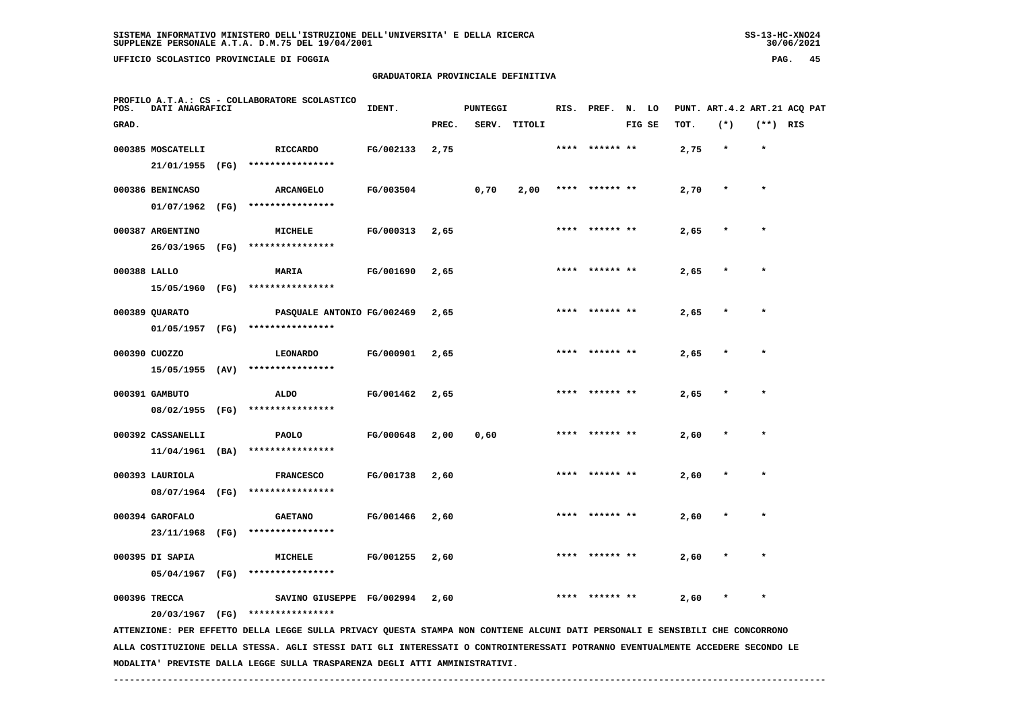**UFFICIO SCOLASTICO PROVINCIALE DI FOGGIA PAG. 45**

# **GRADUATORIA PROVINCIALE DEFINITIVA**

| POS.         | DATI ANAGRAFICI   |      | PROFILO A.T.A.: CS - COLLABORATORE SCOLASTICO                                                                                   | IDENT.    |       | <b>PUNTEGGI</b> |              |      | RIS. PREF.     | N.     | LO |      |         |            | PUNT. ART. 4.2 ART. 21 ACO PAT |
|--------------|-------------------|------|---------------------------------------------------------------------------------------------------------------------------------|-----------|-------|-----------------|--------------|------|----------------|--------|----|------|---------|------------|--------------------------------|
| GRAD.        |                   |      |                                                                                                                                 |           | PREC. |                 | SERV. TITOLI |      |                | FIG SE |    | TOT. | $(*)$   | $(**)$ RIS |                                |
|              | 000385 MOSCATELLI |      | <b>RICCARDO</b>                                                                                                                 | FG/002133 | 2,75  |                 |              | **** | ****** **      |        |    | 2,75 | $\star$ | $\star$    |                                |
|              | 21/01/1955        | (FG) | ****************                                                                                                                |           |       |                 |              |      |                |        |    |      |         |            |                                |
|              | 000386 BENINCASO  |      | <b>ARCANGELO</b>                                                                                                                | FG/003504 |       | 0,70            | 2,00         | **** |                |        |    | 2,70 |         | $\star$    |                                |
|              | 01/07/1962        | (FG) | ****************                                                                                                                |           |       |                 |              |      |                |        |    |      |         |            |                                |
|              | 000387 ARGENTINO  |      | MICHELE                                                                                                                         | FG/000313 | 2,65  |                 |              |      |                |        |    | 2,65 |         |            |                                |
|              | 26/03/1965        | (FG) | ****************                                                                                                                |           |       |                 |              |      |                |        |    |      |         |            |                                |
| 000388 LALLO |                   |      | <b>MARIA</b>                                                                                                                    | FG/001690 | 2,65  |                 |              | **** |                |        |    | 2,65 |         |            |                                |
|              | 15/05/1960 (FG)   |      | ****************                                                                                                                |           |       |                 |              |      |                |        |    |      |         |            |                                |
|              | 000389 QUARATO    |      | PASQUALE ANTONIO FG/002469                                                                                                      |           | 2,65  |                 |              |      | **** ****** ** |        |    | 2,65 |         | $\star$    |                                |
|              | 01/05/1957 (FG)   |      | ****************                                                                                                                |           |       |                 |              |      |                |        |    |      |         |            |                                |
|              | 000390 CUOZZO     |      | <b>LEONARDO</b>                                                                                                                 | FG/000901 | 2,65  |                 |              | **** | ****** **      |        |    | 2,65 |         | $\star$    |                                |
|              | 15/05/1955 (AV)   |      | ****************                                                                                                                |           |       |                 |              |      |                |        |    |      |         |            |                                |
|              | 000391 GAMBUTO    |      | <b>ALDO</b>                                                                                                                     | FG/001462 | 2,65  |                 |              |      | **** ****** ** |        |    | 2,65 |         |            |                                |
|              | 08/02/1955 (FG)   |      | ****************                                                                                                                |           |       |                 |              |      |                |        |    |      |         |            |                                |
|              | 000392 CASSANELLI |      | <b>PAOLO</b>                                                                                                                    | FG/000648 | 2,00  | 0,60            |              |      | **** ****** ** |        |    | 2,60 |         | $\star$    |                                |
|              | $11/04/1961$ (BA) |      | ****************                                                                                                                |           |       |                 |              |      |                |        |    |      |         |            |                                |
|              | 000393 LAURIOLA   |      | <b>FRANCESCO</b>                                                                                                                | FG/001738 | 2,60  |                 |              |      |                |        |    | 2,60 |         | $\star$    |                                |
|              | 08/07/1964 (FG)   |      | ****************                                                                                                                |           |       |                 |              |      |                |        |    |      |         |            |                                |
|              | 000394 GAROFALO   |      | <b>GAETANO</b>                                                                                                                  | FG/001466 | 2,60  |                 |              |      |                |        |    | 2,60 |         |            |                                |
|              | 23/11/1968 (FG)   |      | ****************                                                                                                                |           |       |                 |              |      |                |        |    |      |         |            |                                |
|              | 000395 DI SAPIA   |      | MICHELE                                                                                                                         | FG/001255 | 2,60  |                 |              |      |                |        |    | 2,60 |         |            |                                |
|              | 05/04/1967 (FG)   |      | ****************                                                                                                                |           |       |                 |              |      |                |        |    |      |         |            |                                |
|              | 000396 TRECCA     |      | SAVINO GIUSEPPE FG/002994                                                                                                       |           | 2,60  |                 |              |      | ****** **      |        |    | 2,60 |         |            |                                |
|              | 20/03/1967 (FG)   |      | ****************                                                                                                                |           |       |                 |              |      |                |        |    |      |         |            |                                |
|              |                   |      | ATTENZIONE: PER EFFETTO DELLA LEGGE SULLA PRIVACY QUESTA STAMPA NON CONTIENE ALCUNI DATI PERSONALI E SENSIBILI CHE CONCORRONO   |           |       |                 |              |      |                |        |    |      |         |            |                                |
|              |                   |      | ALLA COSTITUZIONE DELLA STESSA. AGLI STESSI DATI GLI INTERESSATI O CONTROINTERESSATI POTRANNO EVENTUALMENTE ACCEDERE SECONDO LE |           |       |                 |              |      |                |        |    |      |         |            |                                |

 **MODALITA' PREVISTE DALLA LEGGE SULLA TRASPARENZA DEGLI ATTI AMMINISTRATIVI.**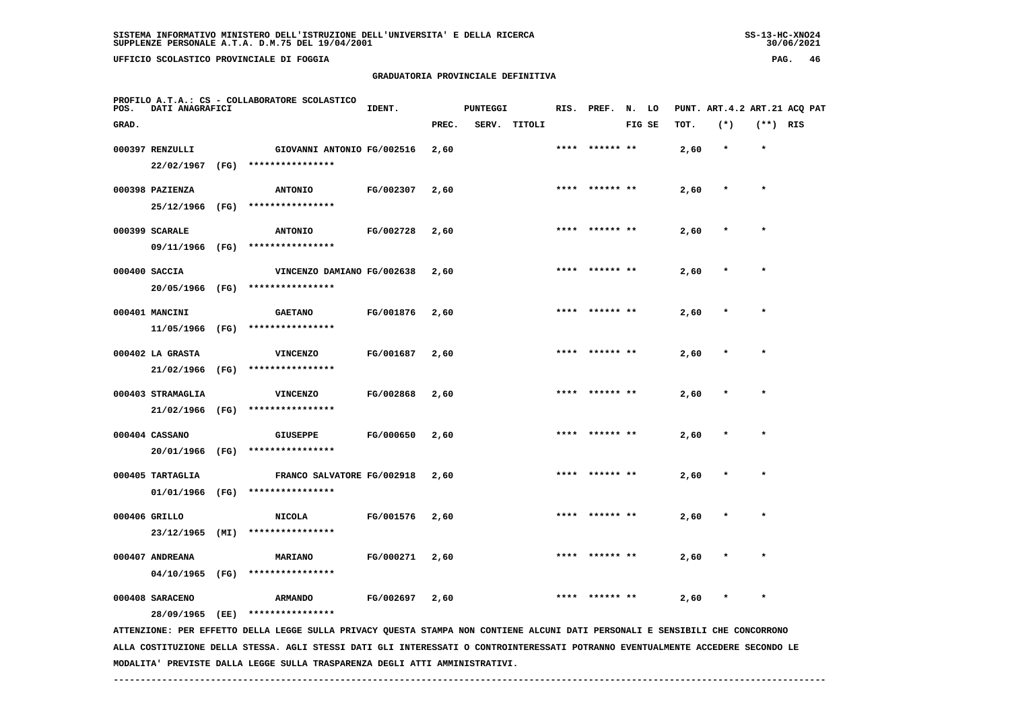UFFICIO SCOLASTICO PROVINCIALE DI FOGGIA

# **GRADUATORIA PROVINCIALE DEFINITIVA**

| PAG. | 46 |
|------|----|
|------|----|

| POS.  | DATI ANAGRAFICI                      |      | PROFILO A.T.A.: CS - COLLABORATORE SCOLASTICO                                                                                 | IDENT.    |       | <b>PUNTEGGI</b> |              |      | RIS. PREF. N. LO |        |      | PUNT. ART.4.2 ART.21 ACQ PAT |            |  |
|-------|--------------------------------------|------|-------------------------------------------------------------------------------------------------------------------------------|-----------|-------|-----------------|--------------|------|------------------|--------|------|------------------------------|------------|--|
| GRAD. |                                      |      |                                                                                                                               |           | PREC. |                 | SERV. TITOLI |      |                  | FIG SE | TOT. | $(*)$                        | $(**)$ RIS |  |
|       | 000397 RENZULLI<br>22/02/1967        | (FG) | GIOVANNI ANTONIO FG/002516<br>****************                                                                                |           | 2,60  |                 |              | **** | ****** **        |        | 2,60 | $\star$                      | $\star$    |  |
|       | 000398 PAZIENZA<br>25/12/1966        | (FG) | <b>ANTONIO</b><br>****************                                                                                            | FG/002307 | 2,60  |                 |              |      |                  |        | 2,60 |                              | $\star$    |  |
|       | 000399 SCARALE<br>09/11/1966 (FG)    |      | <b>ANTONIO</b><br>****************                                                                                            | FG/002728 | 2,60  |                 |              |      | **** ****** **   |        | 2,60 | $\star$                      | $\star$    |  |
|       | 000400 SACCIA<br>20/05/1966 (FG)     |      | VINCENZO DAMIANO FG/002638<br>****************                                                                                |           | 2,60  |                 |              | **** |                  |        | 2,60 |                              | $\star$    |  |
|       | 000401 MANCINI<br>11/05/1966 (FG)    |      | <b>GAETANO</b><br>****************                                                                                            | FG/001876 | 2,60  |                 |              | **** | ****** **        |        | 2,60 |                              |            |  |
|       | 000402 LA GRASTA<br>21/02/1966       | (FG) | <b>VINCENZO</b><br>****************                                                                                           | FG/001687 | 2,60  |                 |              |      |                  |        | 2,60 |                              |            |  |
|       | 000403 STRAMAGLIA<br>21/02/1966 (FG) |      | <b>VINCENZO</b><br>****************                                                                                           | FG/002868 | 2,60  |                 |              | **** | ****** **        |        | 2,60 |                              | $\star$    |  |
|       | 000404 CASSANO<br>20/01/1966 (FG)    |      | <b>GIUSEPPE</b><br>****************                                                                                           | FG/000650 | 2,60  |                 |              |      | **** ****** **   |        | 2,60 | $\star$                      | $\star$    |  |
|       | 000405 TARTAGLIA<br>01/01/1966       | (FG) | FRANCO SALVATORE FG/002918<br>****************                                                                                |           | 2,60  |                 |              | **** | ****** **        |        | 2,60 | $\star$                      | $\star$    |  |
|       | 000406 GRILLO<br>23/12/1965          | (MI) | <b>NICOLA</b><br>****************                                                                                             | FG/001576 | 2,60  |                 |              |      |                  |        | 2,60 |                              |            |  |
|       | 000407 ANDREANA<br>04/10/1965 (FG)   |      | <b>MARIANO</b><br>****************                                                                                            | FG/000271 | 2,60  |                 |              |      |                  |        | 2,60 |                              |            |  |
|       | 000408 SARACENO<br>28/09/1965 (EE)   |      | <b>ARMANDO</b><br>****************                                                                                            | FG/002697 | 2,60  |                 |              |      |                  |        | 2,60 |                              |            |  |
|       |                                      |      | ATTENZIONE: PER EFFETTO DELLA LEGGE SULLA PRIVACY QUESTA STAMPA NON CONTIENE ALCUNI DATI PERSONALI E SENSIBILI CHE CONCORRONO |           |       |                 |              |      |                  |        |      |                              |            |  |

 **ALLA COSTITUZIONE DELLA STESSA. AGLI STESSI DATI GLI INTERESSATI O CONTROINTERESSATI POTRANNO EVENTUALMENTE ACCEDERE SECONDO LE MODALITA' PREVISTE DALLA LEGGE SULLA TRASPARENZA DEGLI ATTI AMMINISTRATIVI.**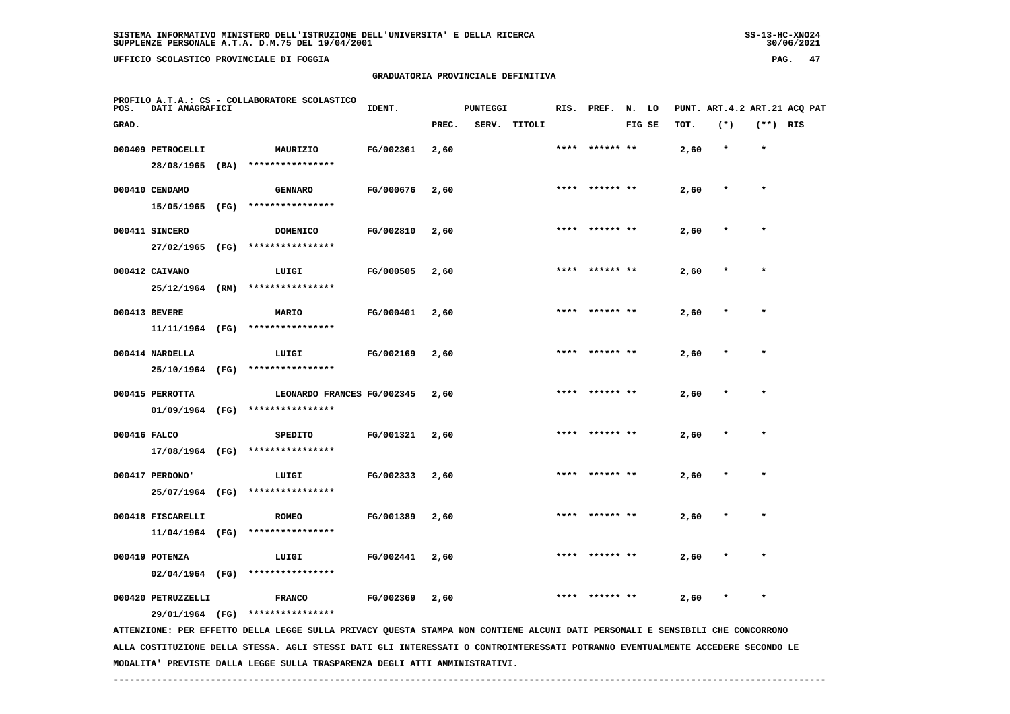**UFFICIO SCOLASTICO PROVINCIALE DI FOGGIA PAG. 47**

# **GRADUATORIA PROVINCIALE DEFINITIVA**

| POS.         | DATI ANAGRAFICI                        | PROFILO A.T.A.: CS - COLLABORATORE SCOLASTICO                                                                                 | IDENT.    |       | <b>PUNTEGGI</b> |        |      | RIS. PREF.      | N. LO  |      | PUNT. ART.4.2 ART.21 ACQ PAT |            |  |
|--------------|----------------------------------------|-------------------------------------------------------------------------------------------------------------------------------|-----------|-------|-----------------|--------|------|-----------------|--------|------|------------------------------|------------|--|
| GRAD.        |                                        |                                                                                                                               |           | PREC. | SERV.           | TITOLI |      |                 | FIG SE | TOT. | $(*)$                        | $(**)$ RIS |  |
|              | 000409 PETROCELLI<br>28/08/1965 (BA)   | MAURIZIO<br>****************                                                                                                  | FG/002361 | 2,60  |                 |        |      |                 |        | 2,60 |                              | $\star$    |  |
|              | 000410 CENDAMO<br>15/05/1965 (FG)      | <b>GENNARO</b><br>****************                                                                                            | FG/000676 | 2,60  |                 |        |      | **** ****** **  |        | 2,60 |                              | $\star$    |  |
|              | 000411 SINCERO<br>27/02/1965 (FG)      | <b>DOMENICO</b><br>****************                                                                                           | FG/002810 | 2,60  |                 |        |      | **** ****** **  |        | 2,60 | $\ast$                       | $\star$    |  |
|              | 000412 CAIVANO<br>25/12/1964 (RM)      | LUIGI<br>****************                                                                                                     | FG/000505 | 2,60  |                 |        |      | **** ****** **  |        | 2,60 |                              | $\star$    |  |
|              | 000413 BEVERE<br>11/11/1964 (FG)       | MARIO<br>****************                                                                                                     | FG/000401 | 2,60  |                 |        |      | ****  ****** ** |        | 2,60 |                              | $\star$    |  |
|              | 000414 NARDELLA<br>25/10/1964 (FG)     | LUIGI<br>****************                                                                                                     | FG/002169 | 2,60  |                 |        |      |                 |        | 2,60 |                              |            |  |
|              | 000415 PERROTTA<br>01/09/1964 (FG)     | LEONARDO FRANCES FG/002345<br>****************                                                                                |           | 2,60  |                 |        |      | **** ****** **  |        | 2,60 |                              | $\star$    |  |
| 000416 FALCO | 17/08/1964 (FG)                        | SPEDITO<br>****************                                                                                                   | FG/001321 | 2,60  |                 |        |      | **** ****** **  |        | 2,60 |                              | $\star$    |  |
|              | 000417 PERDONO'                        | LUIGI<br>25/07/1964 (FG) ****************                                                                                     | FG/002333 | 2,60  |                 |        |      | ****** **       |        | 2,60 |                              |            |  |
|              | 000418 FISCARELLI<br>$11/04/1964$ (FG) | <b>ROMEO</b><br>****************                                                                                              | FG/001389 | 2,60  |                 |        | **** |                 |        | 2,60 |                              |            |  |
|              | 000419 POTENZA<br>$02/04/1964$ (FG)    | LUIGI<br>****************                                                                                                     | FG/002441 | 2,60  |                 |        |      |                 |        | 2,60 |                              |            |  |
|              | 000420 PETRUZZELLI<br>29/01/1964 (FG)  | <b>FRANCO</b><br>****************                                                                                             | FG/002369 | 2,60  |                 |        |      |                 |        | 2,60 |                              | $\star$    |  |
|              |                                        | ATTENZIONE: PER EFFETTO DELLA LEGGE SULLA PRIVACY QUESTA STAMPA NON CONTIENE ALCUNI DATI PERSONALI E SENSIBILI CHE CONCORRONO |           |       |                 |        |      |                 |        |      |                              |            |  |

 **ALLA COSTITUZIONE DELLA STESSA. AGLI STESSI DATI GLI INTERESSATI O CONTROINTERESSATI POTRANNO EVENTUALMENTE ACCEDERE SECONDO LE MODALITA' PREVISTE DALLA LEGGE SULLA TRASPARENZA DEGLI ATTI AMMINISTRATIVI.**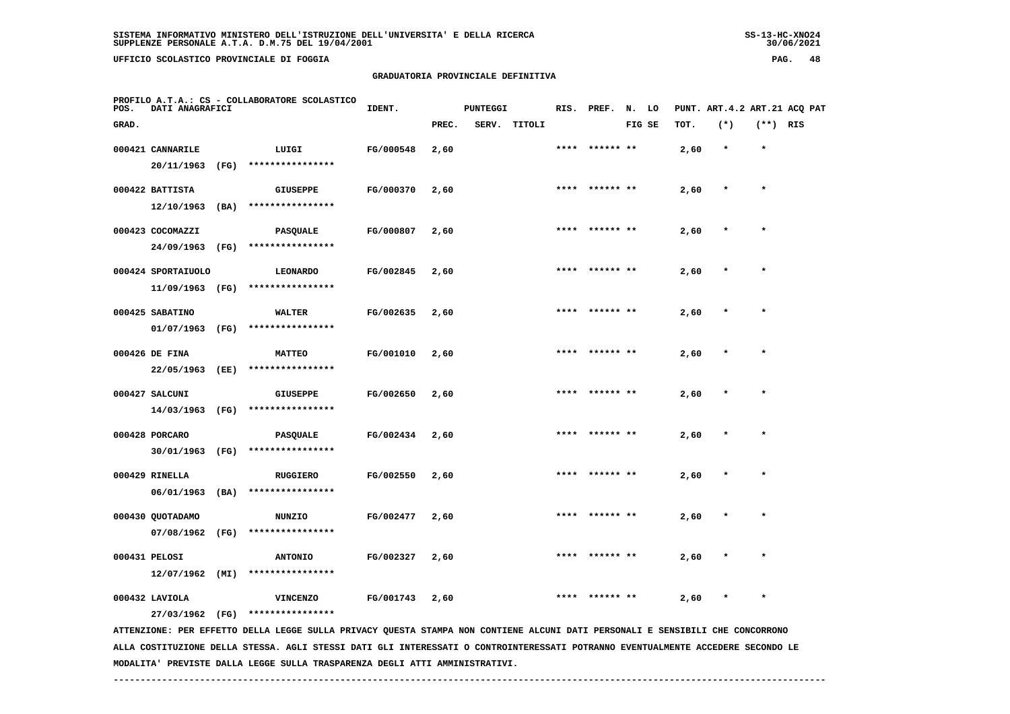**UFFICIO SCOLASTICO PROVINCIALE DI FOGGIA PAG. 48**

# **GRADUATORIA PROVINCIALE DEFINITIVA**

| POS.  | DATI ANAGRAFICI    |      | PROFILO A.T.A.: CS - COLLABORATORE SCOLASTICO                                                                                 | IDENT.    |       | <b>PUNTEGGI</b> |              |      | RIS. PREF. N. LO |        |      | PUNT. ART. 4.2 ART. 21 ACQ PAT |            |  |
|-------|--------------------|------|-------------------------------------------------------------------------------------------------------------------------------|-----------|-------|-----------------|--------------|------|------------------|--------|------|--------------------------------|------------|--|
| GRAD. |                    |      |                                                                                                                               |           | PREC. |                 | SERV. TITOLI |      |                  | FIG SE | TOT. | $(*)$                          | $(**)$ RIS |  |
|       | 000421 CANNARILE   |      | LUIGI                                                                                                                         | FG/000548 | 2,60  |                 |              |      | **** ****** **   |        | 2,60 | $\star$                        | $\star$    |  |
|       | 20/11/1963         | (FG) | ****************                                                                                                              |           |       |                 |              |      |                  |        |      |                                |            |  |
|       | 000422 BATTISTA    |      | <b>GIUSEPPE</b>                                                                                                               | FG/000370 | 2,60  |                 |              |      | **** ****** **   |        | 2,60 | $\star$                        | $\star$    |  |
|       | 12/10/1963         | (BA) | ****************                                                                                                              |           |       |                 |              |      |                  |        |      |                                |            |  |
|       | 000423 COCOMAZZI   |      | PASQUALE                                                                                                                      | FG/000807 | 2,60  |                 |              | **** |                  |        | 2,60 |                                | $\star$    |  |
|       | 24/09/1963         | (FG) | ****************                                                                                                              |           |       |                 |              |      |                  |        |      |                                |            |  |
|       | 000424 SPORTAIUOLO |      | <b>LEONARDO</b>                                                                                                               | FG/002845 | 2,60  |                 |              |      |                  |        | 2,60 |                                |            |  |
|       | 11/09/1963         | (FG) | ****************                                                                                                              |           |       |                 |              |      |                  |        |      |                                |            |  |
|       | 000425 SABATINO    |      | WALTER                                                                                                                        | FG/002635 | 2,60  |                 |              |      |                  |        | 2,60 |                                |            |  |
|       | 01/07/1963         | (FG) | ****************                                                                                                              |           |       |                 |              |      |                  |        |      |                                |            |  |
|       | 000426 DE FINA     |      | <b>MATTEO</b>                                                                                                                 | FG/001010 | 2,60  |                 |              |      | **** ****** **   |        | 2,60 |                                | $\star$    |  |
|       | 22/05/1963         | (EE) | ****************                                                                                                              |           |       |                 |              |      |                  |        |      |                                |            |  |
|       | 000427 SALCUNI     |      | <b>GIUSEPPE</b>                                                                                                               | FG/002650 | 2,60  |                 |              |      | **** ****** **   |        | 2,60 |                                | $\star$    |  |
|       | 14/03/1963 (FG)    |      | ****************                                                                                                              |           |       |                 |              |      |                  |        |      |                                |            |  |
|       | 000428 PORCARO     |      | <b>PASQUALE</b>                                                                                                               | FG/002434 | 2,60  |                 |              | **** | ****** **        |        | 2,60 |                                | $\star$    |  |
|       | 30/01/1963 (FG)    |      | ****************                                                                                                              |           |       |                 |              |      |                  |        |      |                                |            |  |
|       | 000429 RINELLA     |      | <b>RUGGIERO</b>                                                                                                               | FG/002550 | 2,60  |                 |              | **** | ****** **        |        | 2,60 |                                |            |  |
|       | 06/01/1963         | (BA) | ****************                                                                                                              |           |       |                 |              |      |                  |        |      |                                |            |  |
|       | 000430 QUOTADAMO   |      | <b>NUNZIO</b>                                                                                                                 | FG/002477 | 2,60  |                 |              | **** | ****** **        |        | 2,60 |                                | $\star$    |  |
|       | 07/08/1962         | (FG) | ****************                                                                                                              |           |       |                 |              |      |                  |        |      |                                |            |  |
|       | 000431 PELOSI      |      | <b>ANTONIO</b>                                                                                                                | FG/002327 | 2,60  |                 |              |      |                  |        | 2,60 |                                |            |  |
|       | $12/07/1962$ (MI)  |      | ****************                                                                                                              |           |       |                 |              |      |                  |        |      |                                |            |  |
|       | 000432 LAVIOLA     |      | <b>VINCENZO</b>                                                                                                               | FG/001743 | 2,60  |                 |              |      |                  |        | 2,60 |                                |            |  |
|       | 27/03/1962 (FG)    |      | ****************                                                                                                              |           |       |                 |              |      |                  |        |      |                                |            |  |
|       |                    |      | ATTENZIONE: PER EFFETTO DELLA LEGGE SULLA PRIVACY QUESTA STAMPA NON CONTIENE ALCUNI DATI PERSONALI E SENSIBILI CHE CONCORRONO |           |       |                 |              |      |                  |        |      |                                |            |  |

 **ALLA COSTITUZIONE DELLA STESSA. AGLI STESSI DATI GLI INTERESSATI O CONTROINTERESSATI POTRANNO EVENTUALMENTE ACCEDERE SECONDO LE MODALITA' PREVISTE DALLA LEGGE SULLA TRASPARENZA DEGLI ATTI AMMINISTRATIVI.**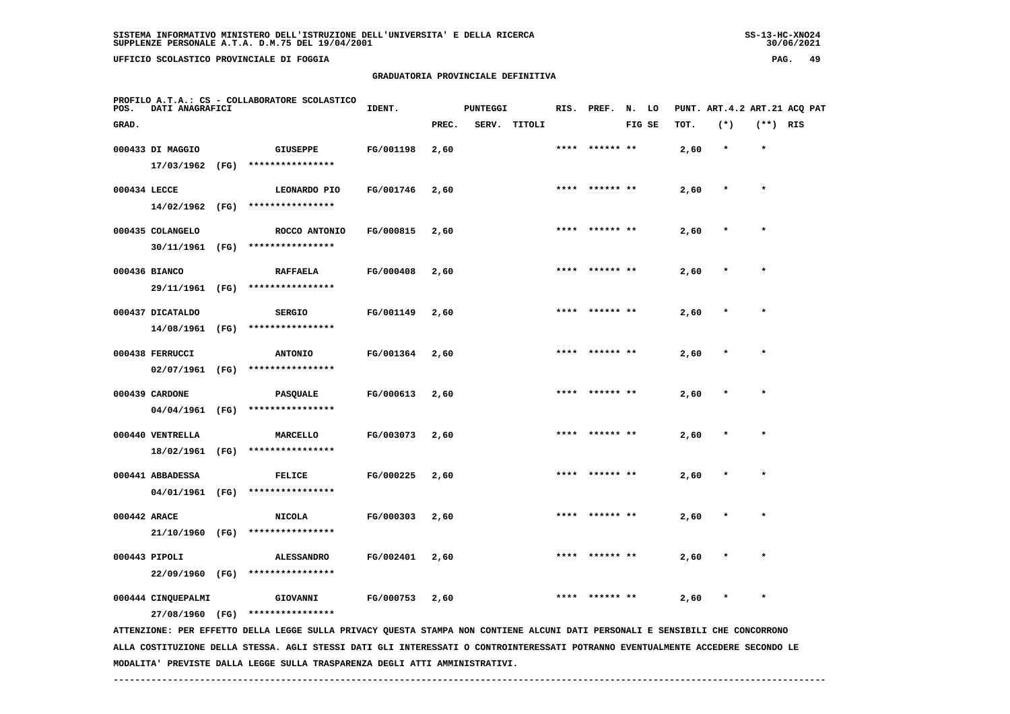**UFFICIO SCOLASTICO PROVINCIALE DI FOGGIA PAG. 49**

# **GRADUATORIA PROVINCIALE DEFINITIVA**

| POS.         | DATI ANAGRAFICI    | PROFILO A.T.A.: CS - COLLABORATORE SCOLASTICO                                                                                   | IDENT.    |       | <b>PUNTEGGI</b> |              | RIS. | PREF.          | N. LO  |      |         |            | PUNT. ART. 4.2 ART. 21 ACO PAT |
|--------------|--------------------|---------------------------------------------------------------------------------------------------------------------------------|-----------|-------|-----------------|--------------|------|----------------|--------|------|---------|------------|--------------------------------|
| GRAD.        |                    |                                                                                                                                 |           | PREC. |                 | SERV. TITOLI |      |                | FIG SE | TOT. | $(*)$   | $(**)$ RIS |                                |
|              | 000433 DI MAGGIO   | <b>GIUSEPPE</b>                                                                                                                 | FG/001198 | 2,60  |                 |              |      | **** ****** ** |        | 2,60 | $\star$ | $\star$    |                                |
|              | 17/03/1962 (FG)    | ****************                                                                                                                |           |       |                 |              |      |                |        |      |         |            |                                |
| 000434 LECCE |                    | LEONARDO PIO                                                                                                                    | FG/001746 | 2,60  |                 |              |      | **** ****** ** |        | 2,60 | $\star$ | $\star$    |                                |
|              |                    | 14/02/1962 (FG) ****************                                                                                                |           |       |                 |              |      |                |        |      |         |            |                                |
|              | 000435 COLANGELO   | ROCCO ANTONIO                                                                                                                   | FG/000815 | 2,60  |                 |              |      |                |        | 2,60 |         |            |                                |
|              |                    | 30/11/1961 (FG) ****************                                                                                                |           |       |                 |              |      |                |        |      |         |            |                                |
|              | 000436 BIANCO      | <b>RAFFAELA</b>                                                                                                                 | FG/000408 | 2,60  |                 |              |      |                |        | 2,60 |         |            |                                |
|              | 29/11/1961 (FG)    | ****************                                                                                                                |           |       |                 |              |      |                |        |      |         |            |                                |
|              | 000437 DICATALDO   | <b>SERGIO</b>                                                                                                                   | FG/001149 | 2,60  |                 |              | **** | ****** **      |        | 2,60 |         | $\star$    |                                |
|              | 14/08/1961 (FG)    | ****************                                                                                                                |           |       |                 |              |      |                |        |      |         |            |                                |
|              | 000438 FERRUCCI    | <b>ANTONIO</b>                                                                                                                  | FG/001364 | 2,60  |                 |              | **** | ****** **      |        | 2,60 |         | $\star$    |                                |
|              | 02/07/1961 (FG)    | ****************                                                                                                                |           |       |                 |              |      |                |        |      |         |            |                                |
|              | 000439 CARDONE     | PASQUALE                                                                                                                        | FG/000613 | 2,60  |                 |              |      |                |        | 2,60 |         |            |                                |
|              | 04/04/1961 (FG)    | ****************                                                                                                                |           |       |                 |              |      |                |        |      |         |            |                                |
|              | 000440 VENTRELLA   | MARCELLO                                                                                                                        | FG/003073 | 2,60  |                 |              |      |                |        | 2,60 |         |            |                                |
|              | 18/02/1961 (FG)    | ****************                                                                                                                |           |       |                 |              |      |                |        |      |         |            |                                |
|              | 000441 ABBADESSA   | <b>FELICE</b>                                                                                                                   | FG/000225 | 2,60  |                 |              | **** | ****** **      |        | 2,60 |         |            |                                |
|              | 04/01/1961 (FG)    | ****************                                                                                                                |           |       |                 |              |      |                |        |      |         |            |                                |
| 000442 ARACE |                    | <b>NICOLA</b>                                                                                                                   | FG/000303 | 2,60  |                 |              |      | **** ****** ** |        | 2,60 |         | $\star$    |                                |
|              | 21/10/1960 (FG)    | ****************                                                                                                                |           |       |                 |              |      |                |        |      |         |            |                                |
|              | 000443 PIPOLI      | <b>ALESSANDRO</b>                                                                                                               | FG/002401 | 2,60  |                 |              |      |                |        | 2,60 |         |            |                                |
|              | 22/09/1960 (FG)    | ****************                                                                                                                |           |       |                 |              |      |                |        |      |         |            |                                |
|              | 000444 CINQUEPALMI | GIOVANNI                                                                                                                        | FG/000753 | 2,60  |                 |              |      |                |        | 2,60 |         | $\star$    |                                |
|              | 27/08/1960 (FG)    | ****************                                                                                                                |           |       |                 |              |      |                |        |      |         |            |                                |
|              |                    | ATTENZIONE: PER EFFETTO DELLA LEGGE SULLA PRIVACY QUESTA STAMPA NON CONTIENE ALCUNI DATI PERSONALI E SENSIBILI CHE CONCORRONO   |           |       |                 |              |      |                |        |      |         |            |                                |
|              |                    | ALLA COSTITUZIONE DELLA STESSA. AGLI STESSI DATI GLI INTERESSATI O CONTROINTERESSATI POTRANNO EVENTUALMENTE ACCEDERE SECONDO LE |           |       |                 |              |      |                |        |      |         |            |                                |

 **MODALITA' PREVISTE DALLA LEGGE SULLA TRASPARENZA DEGLI ATTI AMMINISTRATIVI.**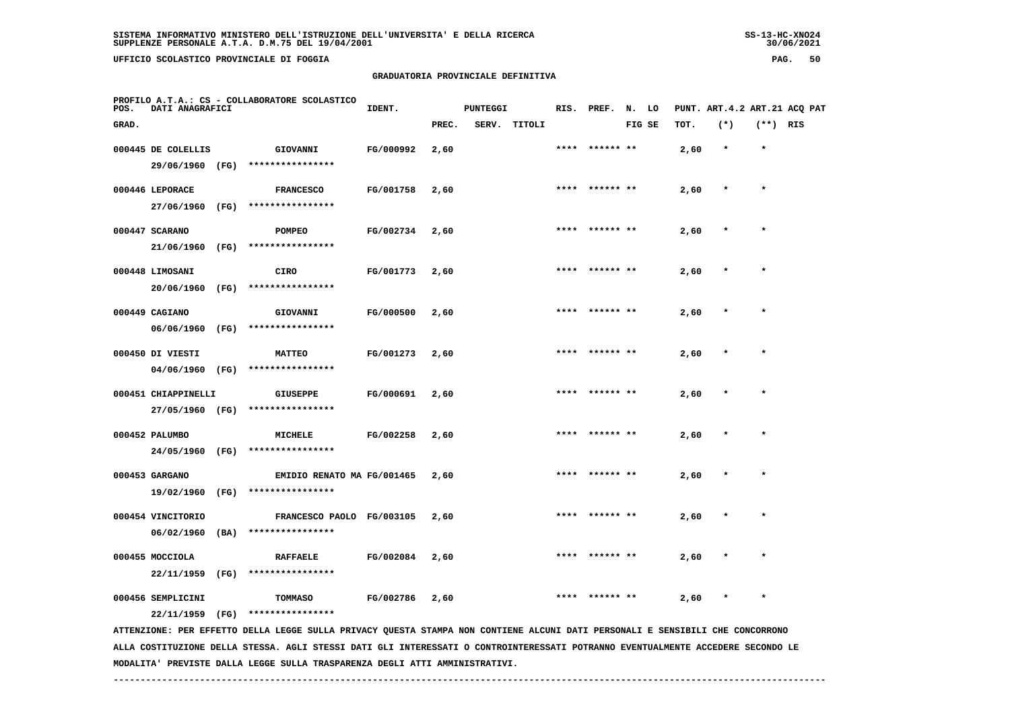**UFFICIO SCOLASTICO PROVINCIALE DI FOGGIA PAG. 50**

# **GRADUATORIA PROVINCIALE DEFINITIVA**

| POS.  | DATI ANAGRAFICI     |      | PROFILO A.T.A.: CS - COLLABORATORE SCOLASTICO                                                                                 | IDENT.    |       | <b>PUNTEGGI</b> |              |      | RIS. PREF. N. LO |        |      | PUNT. ART. 4.2 ART. 21 ACO PAT |            |  |
|-------|---------------------|------|-------------------------------------------------------------------------------------------------------------------------------|-----------|-------|-----------------|--------------|------|------------------|--------|------|--------------------------------|------------|--|
| GRAD. |                     |      |                                                                                                                               |           | PREC. |                 | SERV. TITOLI |      |                  | FIG SE | TOT. | $(*)$                          | $(**)$ RIS |  |
|       | 000445 DE COLELLIS  |      | GIOVANNI                                                                                                                      | FG/000992 | 2,60  |                 |              |      | **** ****** **   |        | 2,60 | $\star$                        | $\star$    |  |
|       | 29/06/1960 (FG)     |      | ****************                                                                                                              |           |       |                 |              |      |                  |        |      |                                |            |  |
|       | 000446 LEPORACE     |      | <b>FRANCESCO</b>                                                                                                              | FG/001758 | 2,60  |                 |              |      | **** ****** **   |        | 2,60 | $\ast$                         | $\star$    |  |
|       | 27/06/1960 (FG)     |      | ****************                                                                                                              |           |       |                 |              |      |                  |        |      |                                |            |  |
|       | 000447 SCARANO      |      | POMPEO                                                                                                                        | FG/002734 | 2,60  |                 |              | **** | ****** **        |        | 2,60 |                                | $\star$    |  |
|       | 21/06/1960          | (FG) | ****************                                                                                                              |           |       |                 |              |      |                  |        |      |                                |            |  |
|       | 000448 LIMOSANI     |      | CIRO                                                                                                                          | FG/001773 | 2,60  |                 |              |      |                  |        | 2,60 |                                |            |  |
|       | 20/06/1960          | (FG) | ****************                                                                                                              |           |       |                 |              |      |                  |        |      |                                |            |  |
|       | 000449 CAGIANO      |      | GIOVANNI                                                                                                                      | FG/000500 | 2,60  |                 |              |      |                  |        | 2,60 |                                |            |  |
|       | 06/06/1960          | (FG) | ****************                                                                                                              |           |       |                 |              |      |                  |        |      |                                |            |  |
|       | 000450 DI VIESTI    |      | <b>MATTEO</b>                                                                                                                 | FG/001273 | 2,60  |                 |              |      | **** ****** **   |        | 2,60 |                                | $\star$    |  |
|       | 04/06/1960 (FG)     |      | ****************                                                                                                              |           |       |                 |              |      |                  |        |      |                                |            |  |
|       | 000451 CHIAPPINELLI |      | GIUSEPPE                                                                                                                      | FG/000691 | 2,60  |                 |              |      | **** ****** **   |        | 2,60 |                                | $\star$    |  |
|       | 27/05/1960 (FG)     |      | ****************                                                                                                              |           |       |                 |              |      |                  |        |      |                                |            |  |
|       | 000452 PALUMBO      |      | MICHELE                                                                                                                       | FG/002258 | 2,60  |                 |              |      |                  |        | 2,60 |                                |            |  |
|       |                     |      | 24/05/1960 (FG) ****************                                                                                              |           |       |                 |              |      |                  |        |      |                                |            |  |
|       | 000453 GARGANO      |      | EMIDIO RENATO MA FG/001465                                                                                                    |           | 2,60  |                 |              |      |                  |        | 2,60 |                                |            |  |
|       | 19/02/1960 (FG)     |      | ****************                                                                                                              |           |       |                 |              |      |                  |        |      |                                |            |  |
|       | 000454 VINCITORIO   |      | FRANCESCO PAOLO FG/003105                                                                                                     |           | 2,60  |                 |              |      | ****  ****** **  |        | 2,60 |                                | $\star$    |  |
|       | 06/02/1960          | (BA) | ****************                                                                                                              |           |       |                 |              |      |                  |        |      |                                |            |  |
|       | 000455 MOCCIOLA     |      | <b>RAFFAELE</b>                                                                                                               | FG/002084 | 2,60  |                 |              | **** | ****** **        |        | 2,60 |                                |            |  |
|       | 22/11/1959 (FG)     |      | ****************                                                                                                              |           |       |                 |              |      |                  |        |      |                                |            |  |
|       | 000456 SEMPLICINI   |      | TOMMASO                                                                                                                       | FG/002786 | 2,60  |                 |              |      |                  |        | 2,60 |                                |            |  |
|       | 22/11/1959          | (FG) | ****************                                                                                                              |           |       |                 |              |      |                  |        |      |                                |            |  |
|       |                     |      | ATTENZIONE: PER EFFETTO DELLA LEGGE SULLA PRIVACY QUESTA STAMPA NON CONTIENE ALCUNI DATI PERSONALI E SENSIBILI CHE CONCORRONO |           |       |                 |              |      |                  |        |      |                                |            |  |

 **ALLA COSTITUZIONE DELLA STESSA. AGLI STESSI DATI GLI INTERESSATI O CONTROINTERESSATI POTRANNO EVENTUALMENTE ACCEDERE SECONDO LE MODALITA' PREVISTE DALLA LEGGE SULLA TRASPARENZA DEGLI ATTI AMMINISTRATIVI.**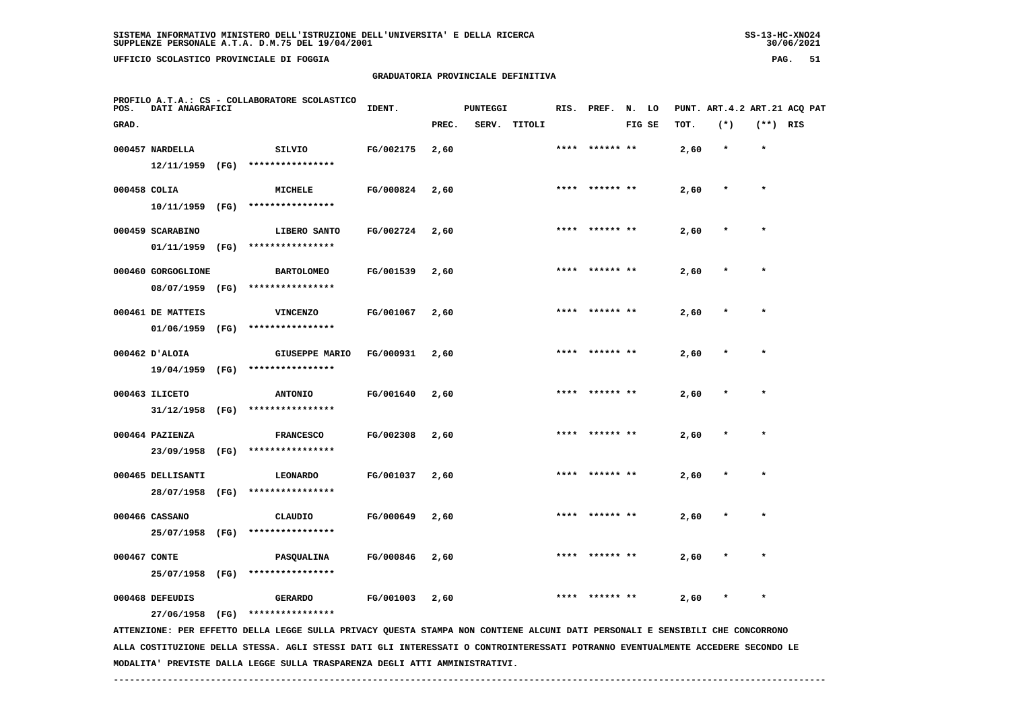**UFFICIO SCOLASTICO PROVINCIALE DI FOGGIA PAG. 51**

# **GRADUATORIA PROVINCIALE DEFINITIVA**

| POS.         | DATI ANAGRAFICI    |      | PROFILO A.T.A.: CS - COLLABORATORE SCOLASTICO                                                                                   | IDENT.    |       | <b>PUNTEGGI</b> |        |      | RIS. PREF. | N.     | LO |      | PUNT. ART. 4.2 ART. 21 ACQ PAT |            |  |
|--------------|--------------------|------|---------------------------------------------------------------------------------------------------------------------------------|-----------|-------|-----------------|--------|------|------------|--------|----|------|--------------------------------|------------|--|
| GRAD.        |                    |      |                                                                                                                                 |           | PREC. | SERV.           | TITOLI |      |            | FIG SE |    | TOT. | $(*)$                          | $(**)$ RIS |  |
|              | 000457 NARDELLA    |      | SILVIO                                                                                                                          | FG/002175 | 2,60  |                 |        | **** | ****** **  |        |    | 2,60 | $\star$                        | $\star$    |  |
|              | 12/11/1959         | (FG) | ****************                                                                                                                |           |       |                 |        |      |            |        |    |      |                                |            |  |
|              | 000458 COLIA       |      | MICHELE                                                                                                                         | FG/000824 | 2,60  |                 |        | **** |            |        |    | 2,60 |                                | $\star$    |  |
|              | 10/11/1959         | (FG) | ****************                                                                                                                |           |       |                 |        |      |            |        |    |      |                                |            |  |
|              | 000459 SCARABINO   |      | LIBERO SANTO                                                                                                                    | FG/002724 | 2,60  |                 |        |      |            |        |    | 2,60 |                                |            |  |
|              | 01/11/1959         | (FG) | ****************                                                                                                                |           |       |                 |        |      |            |        |    |      |                                |            |  |
|              | 000460 GORGOGLIONE |      | <b>BARTOLOMEO</b>                                                                                                               | FG/001539 | 2,60  |                 |        | **** | ****** **  |        |    | 2,60 |                                | $\star$    |  |
|              | 08/07/1959         | (FG) | ****************                                                                                                                |           |       |                 |        |      |            |        |    |      |                                |            |  |
|              | 000461 DE MATTEIS  |      | <b>VINCENZO</b>                                                                                                                 | FG/001067 | 2,60  |                 |        |      | ****** **  |        |    | 2,60 |                                |            |  |
|              | 01/06/1959         | (FG) | ****************                                                                                                                |           |       |                 |        |      |            |        |    |      |                                |            |  |
|              | 000462 D'ALOIA     |      | <b>GIUSEPPE MARIO</b>                                                                                                           | FG/000931 | 2,60  |                 |        | **** | ****** **  |        |    | 2,60 |                                | $\star$    |  |
|              | 19/04/1959         | (FG) | ****************                                                                                                                |           |       |                 |        |      |            |        |    |      |                                |            |  |
|              | 000463 ILICETO     |      | <b>ANTONIO</b>                                                                                                                  | FG/001640 | 2,60  |                 |        |      |            |        |    | 2,60 |                                |            |  |
|              | 31/12/1958         | (FG) | ****************                                                                                                                |           |       |                 |        |      |            |        |    |      |                                |            |  |
|              | 000464 PAZIENZA    |      | <b>FRANCESCO</b>                                                                                                                | FG/002308 | 2,60  |                 |        |      |            |        |    | 2,60 |                                | $\star$    |  |
|              | 23/09/1958         | (FG) | ****************                                                                                                                |           |       |                 |        |      |            |        |    |      |                                |            |  |
|              | 000465 DELLISANTI  |      | <b>LEONARDO</b>                                                                                                                 | FG/001037 | 2,60  |                 |        |      | ****** **  |        |    | 2,60 |                                | $\star$    |  |
|              | 28/07/1958         | (FG) | ****************                                                                                                                |           |       |                 |        |      |            |        |    |      |                                |            |  |
|              | 000466 CASSANO     |      | CLAUDIO                                                                                                                         | FG/000649 | 2,60  |                 |        | **** | ****** **  |        |    | 2,60 |                                | $\star$    |  |
|              | 25/07/1958         | (FG) | ****************                                                                                                                |           |       |                 |        |      |            |        |    |      |                                |            |  |
| 000467 CONTE |                    |      | PASQUALINA                                                                                                                      | FG/000846 | 2,60  |                 |        |      |            |        |    | 2,60 |                                |            |  |
|              | 25/07/1958         | (FG) | ****************                                                                                                                |           |       |                 |        |      |            |        |    |      |                                |            |  |
|              | 000468 DEFEUDIS    |      | <b>GERARDO</b>                                                                                                                  | FG/001003 | 2,60  |                 |        |      |            |        |    | 2,60 |                                | $\star$    |  |
|              | 27/06/1958         | (FG) | ****************                                                                                                                |           |       |                 |        |      |            |        |    |      |                                |            |  |
|              |                    |      | ATTENZIONE: PER EFFETTO DELLA LEGGE SULLA PRIVACY QUESTA STAMPA NON CONTIENE ALCUNI DATI PERSONALI E SENSIBILI CHE CONCORRONO   |           |       |                 |        |      |            |        |    |      |                                |            |  |
|              |                    |      | ALLA COSTITUZIONE DELLA STESSA. AGLI STESSI DATI GLI INTERESSATI O CONTROINTERESSATI POTRANNO EVENTUALMENTE ACCEDERE SECONDO LE |           |       |                 |        |      |            |        |    |      |                                |            |  |

 **MODALITA' PREVISTE DALLA LEGGE SULLA TRASPARENZA DEGLI ATTI AMMINISTRATIVI.**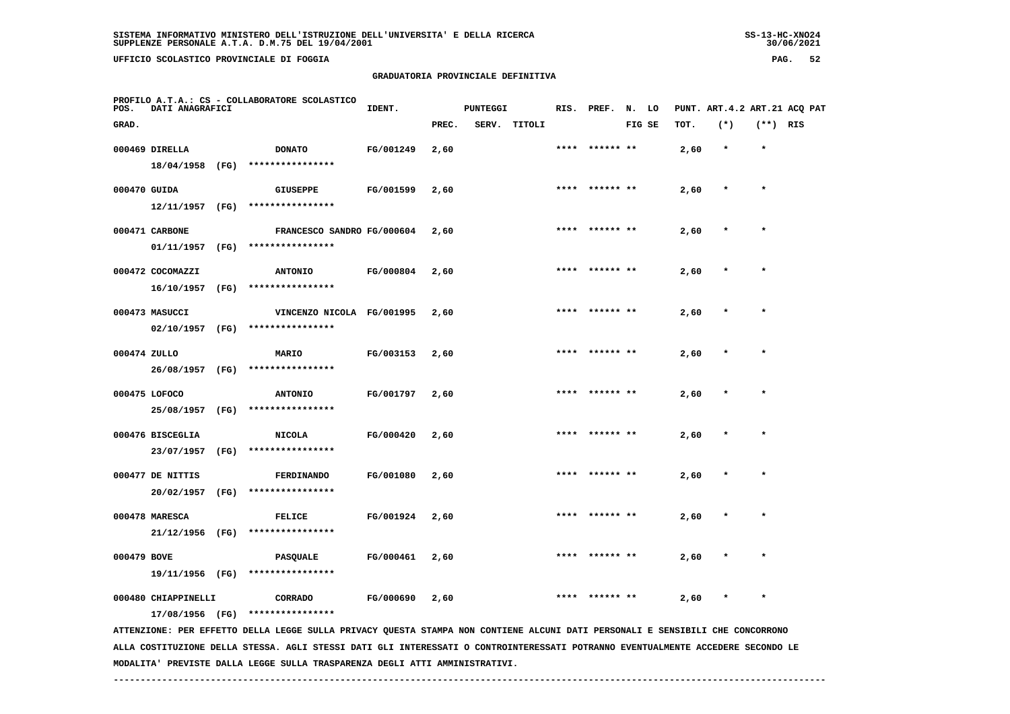**UFFICIO SCOLASTICO PROVINCIALE DI FOGGIA PAG. 52**

# **GRADUATORIA PROVINCIALE DEFINITIVA**

| POS.         | DATI ANAGRAFICI     |      | PROFILO A.T.A.: CS - COLLABORATORE SCOLASTICO                                                                                   | IDENT.    |       | PUNTEGGI |              |      | RIS. PREF. N. LO |        |      |         |            | PUNT. ART. 4.2 ART. 21 ACQ PAT |
|--------------|---------------------|------|---------------------------------------------------------------------------------------------------------------------------------|-----------|-------|----------|--------------|------|------------------|--------|------|---------|------------|--------------------------------|
| GRAD.        |                     |      |                                                                                                                                 |           | PREC. |          | SERV. TITOLI |      |                  | FIG SE | TOT. | $(*)$   | $(**)$ RIS |                                |
|              | 000469 DIRELLA      |      | <b>DONATO</b>                                                                                                                   | FG/001249 | 2,60  |          |              | **** | ****** **        |        | 2,60 | $\star$ | $\star$    |                                |
|              | 18/04/1958 (FG)     |      | ****************                                                                                                                |           |       |          |              |      |                  |        |      |         |            |                                |
| 000470 GUIDA |                     |      | <b>GIUSEPPE</b>                                                                                                                 | FG/001599 | 2,60  |          |              |      | **** ****** **   |        | 2,60 | $\ast$  | $\star$    |                                |
|              | 12/11/1957 (FG)     |      | ****************                                                                                                                |           |       |          |              |      |                  |        |      |         |            |                                |
|              | 000471 CARBONE      |      | FRANCESCO SANDRO FG/000604                                                                                                      |           | 2,60  |          |              |      |                  |        | 2,60 |         |            |                                |
|              | 01/11/1957 (FG)     |      | ****************                                                                                                                |           |       |          |              |      |                  |        |      |         |            |                                |
|              | 000472 COCOMAZZI    |      | <b>ANTONIO</b>                                                                                                                  | FG/000804 | 2,60  |          |              |      |                  |        | 2,60 |         |            |                                |
|              | 16/10/1957 (FG)     |      | ****************                                                                                                                |           |       |          |              |      |                  |        |      |         |            |                                |
|              | 000473 MASUCCI      |      | VINCENZO NICOLA FG/001995                                                                                                       |           | 2,60  |          |              | **** | ****** **        |        | 2,60 |         |            |                                |
|              | 02/10/1957 (FG)     |      | ****************                                                                                                                |           |       |          |              |      |                  |        |      |         |            |                                |
| 000474 ZULLO |                     |      | MARIO                                                                                                                           | FG/003153 | 2,60  |          |              |      | **** ****** **   |        | 2,60 | *       | $\star$    |                                |
|              | 26/08/1957 (FG)     |      | ****************                                                                                                                |           |       |          |              |      |                  |        |      |         |            |                                |
|              | 000475 LOFOCO       |      | <b>ANTONIO</b>                                                                                                                  | FG/001797 | 2,60  |          |              |      |                  |        | 2,60 |         |            |                                |
|              | 25/08/1957 (FG)     |      | ****************                                                                                                                |           |       |          |              |      |                  |        |      |         |            |                                |
|              | 000476 BISCEGLIA    |      | <b>NICOLA</b>                                                                                                                   | FG/000420 | 2,60  |          |              |      |                  |        | 2,60 |         |            |                                |
|              | 23/07/1957          | (FG) | ****************                                                                                                                |           |       |          |              |      |                  |        |      |         |            |                                |
|              | 000477 DE NITTIS    |      | <b>FERDINANDO</b>                                                                                                               | FG/001080 | 2,60  |          |              |      | ****** **        |        | 2,60 |         |            |                                |
|              | 20/02/1957          | (FG) | ****************                                                                                                                |           |       |          |              |      |                  |        |      |         |            |                                |
|              | 000478 MARESCA      |      | <b>FELICE</b>                                                                                                                   | FG/001924 | 2,60  |          |              |      | ****  ****** **  |        | 2,60 | $\star$ | $\star$    |                                |
|              | 21/12/1956 (FG)     |      | ****************                                                                                                                |           |       |          |              |      |                  |        |      |         |            |                                |
| 000479 BOVE  |                     |      | <b>PASQUALE</b>                                                                                                                 | FG/000461 | 2,60  |          |              |      |                  |        | 2,60 |         |            |                                |
|              | 19/11/1956 (FG)     |      | ****************                                                                                                                |           |       |          |              |      |                  |        |      |         |            |                                |
|              | 000480 CHIAPPINELLI |      | CORRADO                                                                                                                         | FG/000690 | 2,60  |          |              |      |                  |        | 2,60 |         | $\star$    |                                |
|              | 17/08/1956 (FG)     |      | ****************                                                                                                                |           |       |          |              |      |                  |        |      |         |            |                                |
|              |                     |      | ATTENZIONE: PER EFFETTO DELLA LEGGE SULLA PRIVACY QUESTA STAMPA NON CONTIENE ALCUNI DATI PERSONALI E SENSIBILI CHE CONCORRONO   |           |       |          |              |      |                  |        |      |         |            |                                |
|              |                     |      | ALLA COSTITUZIONE DELLA STESSA. AGLI STESSI DATI GLI INTERESSATI O CONTROINTERESSATI POTRANNO EVENTUALMENTE ACCEDERE SECONDO LE |           |       |          |              |      |                  |        |      |         |            |                                |

 **------------------------------------------------------------------------------------------------------------------------------------**

 **MODALITA' PREVISTE DALLA LEGGE SULLA TRASPARENZA DEGLI ATTI AMMINISTRATIVI.**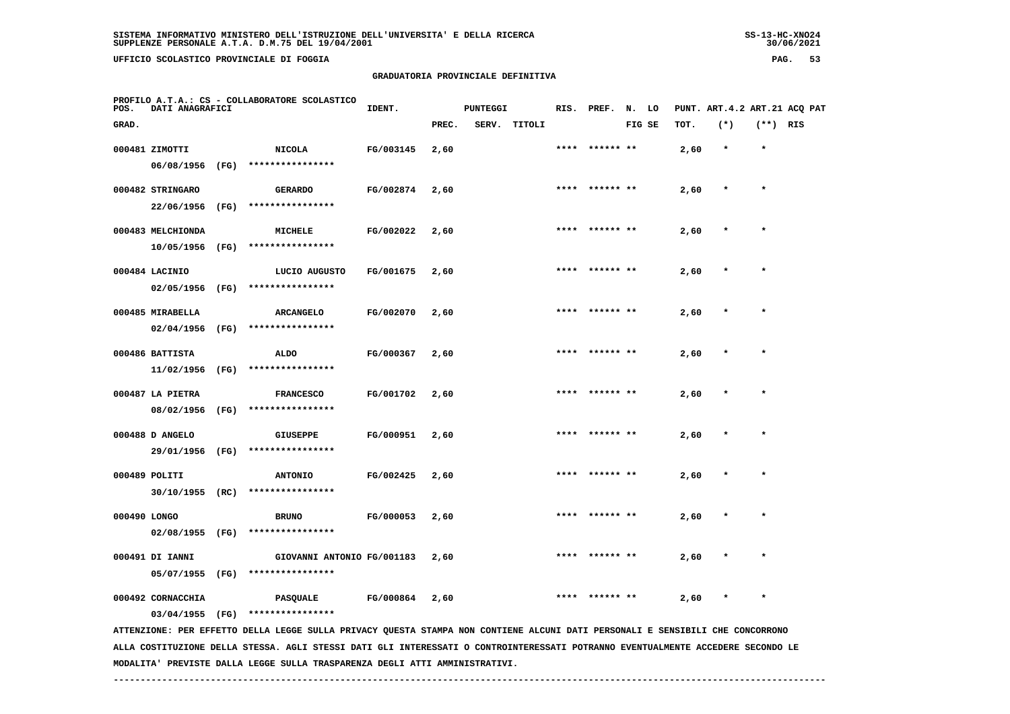**UFFICIO SCOLASTICO PROVINCIALE DI FOGGIA PAG. 53**

# **GRADUATORIA PROVINCIALE DEFINITIVA**

| POS.         | DATI ANAGRAFICI                    | PROFILO A.T.A.: CS - COLLABORATORE SCOLASTICO                                                                                   | IDENT.           |       | <b>PUNTEGGI</b> |              | RIS. | PREF.          | N. LO  |      |         |            | PUNT. ART. 4.2 ART. 21 ACO PAT |
|--------------|------------------------------------|---------------------------------------------------------------------------------------------------------------------------------|------------------|-------|-----------------|--------------|------|----------------|--------|------|---------|------------|--------------------------------|
| GRAD.        |                                    |                                                                                                                                 |                  | PREC. |                 | SERV. TITOLI |      |                | FIG SE | TOT. | $(*)$   | $(**)$ RIS |                                |
|              | 000481 ZIMOTTI                     | <b>NICOLA</b>                                                                                                                   | FG/003145        | 2,60  |                 |              |      | **** ****** ** |        | 2,60 | $\star$ | $\star$    |                                |
|              | 06/08/1956 (FG)                    | ****************                                                                                                                |                  |       |                 |              |      |                |        |      |         |            |                                |
|              | 000482 STRINGARO                   | <b>GERARDO</b>                                                                                                                  | FG/002874        | 2,60  |                 |              |      | **** ****** ** |        | 2,60 | $\star$ | $\star$    |                                |
|              | 22/06/1956 (FG)                    | ****************                                                                                                                |                  |       |                 |              |      |                |        |      |         |            |                                |
|              |                                    |                                                                                                                                 |                  |       |                 |              |      |                |        |      |         |            |                                |
|              | 000483 MELCHIONDA                  | MICHELE                                                                                                                         | FG/002022        | 2,60  |                 |              | **** |                |        | 2,60 |         |            |                                |
|              | 10/05/1956 (FG)                    | ****************                                                                                                                |                  |       |                 |              |      |                |        |      |         |            |                                |
|              | 000484 LACINIO                     | LUCIO AUGUSTO                                                                                                                   | FG/001675        | 2,60  |                 |              |      | **** ****** ** |        | 2,60 |         |            |                                |
|              | 02/05/1956 (FG)                    | ****************                                                                                                                |                  |       |                 |              |      |                |        |      |         |            |                                |
|              | 000485 MIRABELLA                   | <b>ARCANGELO</b>                                                                                                                | FG/002070        | 2,60  |                 |              |      |                |        | 2,60 |         |            |                                |
|              | $02/04/1956$ (FG)                  | ****************                                                                                                                |                  |       |                 |              |      |                |        |      |         |            |                                |
|              |                                    |                                                                                                                                 |                  |       |                 |              |      |                |        |      |         |            |                                |
|              | 000486 BATTISTA                    | <b>ALDO</b>                                                                                                                     | FG/000367        | 2,60  |                 |              |      | **** ****** ** |        | 2,60 |         | $\star$    |                                |
|              | 11/02/1956 (FG)                    | ****************                                                                                                                |                  |       |                 |              |      |                |        |      |         |            |                                |
|              | 000487 LA PIETRA                   | <b>FRANCESCO</b>                                                                                                                | FG/001702        | 2,60  |                 |              |      |                |        | 2,60 |         |            |                                |
|              | 08/02/1956 (FG)                    | ****************                                                                                                                |                  |       |                 |              |      |                |        |      |         |            |                                |
|              |                                    |                                                                                                                                 |                  |       |                 |              |      |                |        |      |         |            |                                |
|              | 000488 D ANGELO<br>29/01/1956 (FG) | <b>GIUSEPPE</b><br>****************                                                                                             | FG/000951        | 2,60  |                 |              |      |                |        | 2,60 |         |            |                                |
|              |                                    |                                                                                                                                 |                  |       |                 |              |      |                |        |      |         |            |                                |
|              | 000489 POLITI                      | <b>ANTONIO</b>                                                                                                                  | FG/002425        | 2,60  |                 |              |      | ****** **      |        | 2,60 |         |            |                                |
|              | 30/10/1955 (RC)                    | ****************                                                                                                                |                  |       |                 |              |      |                |        |      |         |            |                                |
| 000490 LONGO |                                    | <b>BRUNO</b>                                                                                                                    | FG/000053        | 2,60  |                 |              | **** | ****** **      |        | 2,60 |         | $\star$    |                                |
|              |                                    | 02/08/1955 (FG) ****************                                                                                                |                  |       |                 |              |      |                |        |      |         |            |                                |
|              |                                    |                                                                                                                                 |                  |       |                 |              |      |                |        |      |         |            |                                |
|              | 000491 DI IANNI                    | GIOVANNI ANTONIO FG/001183                                                                                                      |                  | 2,60  |                 |              |      |                |        | 2,60 |         |            |                                |
|              | 05/07/1955 (FG)                    | ****************                                                                                                                |                  |       |                 |              |      |                |        |      |         |            |                                |
|              | 000492 CORNACCHIA                  | <b>PASQUALE</b>                                                                                                                 | <b>FG/000864</b> | 2,60  |                 |              |      |                |        | 2,60 |         |            |                                |
|              | $03/04/1955$ (FG)                  | ****************                                                                                                                |                  |       |                 |              |      |                |        |      |         |            |                                |
|              |                                    | ATTENZIONE: PER EFFETTO DELLA LEGGE SULLA PRIVACY QUESTA STAMPA NON CONTIENE ALCUNI DATI PERSONALI E SENSIBILI CHE CONCORRONO   |                  |       |                 |              |      |                |        |      |         |            |                                |
|              |                                    | ALLA COSTITUZIONE DELLA STESSA. AGLI STESSI DATI GLI INTERESSATI O CONTROINTERESSATI POTRANNO EVENTUALMENTE ACCEDERE SECONDO LE |                  |       |                 |              |      |                |        |      |         |            |                                |

 **MODALITA' PREVISTE DALLA LEGGE SULLA TRASPARENZA DEGLI ATTI AMMINISTRATIVI.**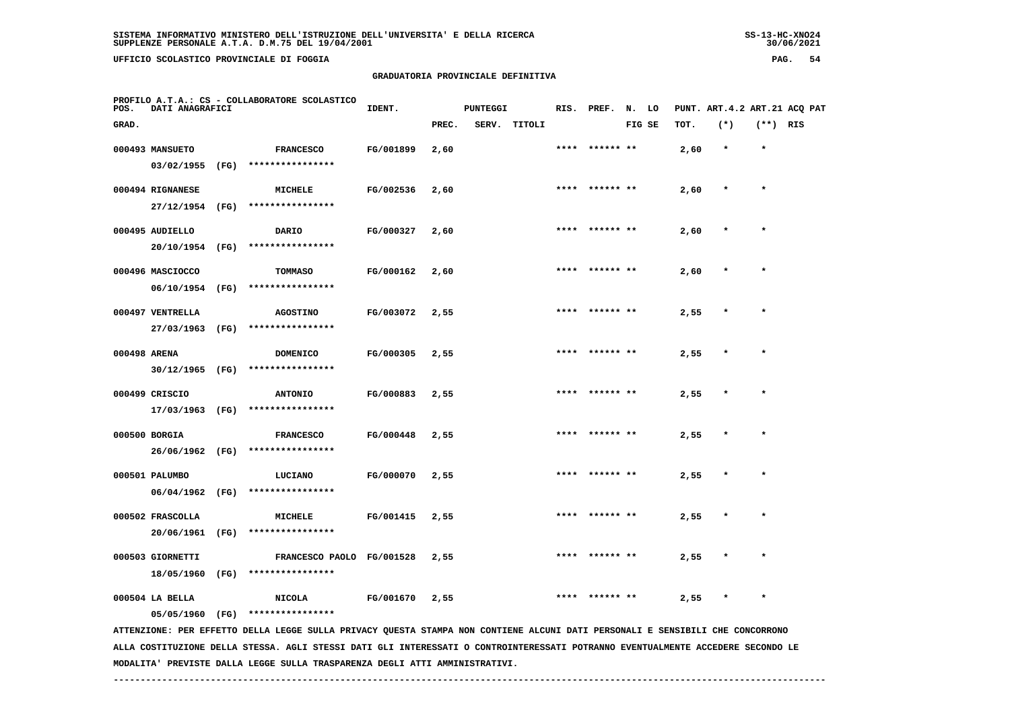**UFFICIO SCOLASTICO PROVINCIALE DI FOGGIA PAG. 54**

# **GRADUATORIA PROVINCIALE DEFINITIVA**

| POS.  | DATI ANAGRAFICI                |      | PROFILO A.T.A.: CS - COLLABORATORE SCOLASTICO                                                                                                                                                                                                                    | IDENT.    |       | <b>PUNTEGGI</b> |        |      | RIS. PREF. N. LO |        |      | PUNT. ART. 4.2 ART. 21 ACQ PAT |            |  |
|-------|--------------------------------|------|------------------------------------------------------------------------------------------------------------------------------------------------------------------------------------------------------------------------------------------------------------------|-----------|-------|-----------------|--------|------|------------------|--------|------|--------------------------------|------------|--|
| GRAD. |                                |      |                                                                                                                                                                                                                                                                  |           | PREC. | SERV.           | TITOLI |      |                  | FIG SE | TOT. | $(*)$                          | $(**)$ RIS |  |
|       | 000493 MANSUETO                |      | <b>FRANCESCO</b>                                                                                                                                                                                                                                                 | FG/001899 | 2,60  |                 |        | **** | ****** **        |        | 2,60 | $\star$                        | $\star$    |  |
|       | 03/02/1955                     | (FG) | ****************                                                                                                                                                                                                                                                 |           |       |                 |        |      |                  |        |      |                                |            |  |
|       | 000494 RIGNANESE               |      | <b>MICHELE</b>                                                                                                                                                                                                                                                   | FG/002536 | 2,60  |                 |        | **** | ****** **        |        | 2,60 | $\ast$                         | $\star$    |  |
|       | 27/12/1954                     | (FG) | ****************                                                                                                                                                                                                                                                 |           |       |                 |        |      |                  |        |      |                                |            |  |
|       | 000495 AUDIELLO                |      | DARIO                                                                                                                                                                                                                                                            | FG/000327 | 2,60  |                 |        |      | ****** **        |        | 2,60 |                                |            |  |
|       | 20/10/1954                     | (FG) | ****************                                                                                                                                                                                                                                                 |           |       |                 |        |      |                  |        |      |                                |            |  |
|       | 000496 MASCIOCCO               |      | <b>TOMMASO</b>                                                                                                                                                                                                                                                   | FG/000162 | 2,60  |                 |        |      | ****** **        |        | 2,60 |                                | $\star$    |  |
|       | 06/10/1954                     | (FG) | ****************                                                                                                                                                                                                                                                 |           |       |                 |        |      |                  |        |      |                                |            |  |
|       | 000497 VENTRELLA               |      | <b>AGOSTINO</b>                                                                                                                                                                                                                                                  | FG/003072 | 2,55  |                 |        | **** | ****** **        |        | 2,55 |                                | $\star$    |  |
|       | 27/03/1963                     | (FG) | ****************                                                                                                                                                                                                                                                 |           |       |                 |        |      |                  |        |      |                                |            |  |
|       | 000498 ARENA                   |      | <b>DOMENICO</b>                                                                                                                                                                                                                                                  | FG/000305 | 2,55  |                 |        | **** | ****** **        |        | 2,55 | $\ast$                         | $\star$    |  |
|       | 30/12/1965                     | (FG) | ****************                                                                                                                                                                                                                                                 |           |       |                 |        |      |                  |        |      |                                |            |  |
|       | 000499 CRISCIO                 |      | <b>ANTONIO</b>                                                                                                                                                                                                                                                   | FG/000883 | 2,55  |                 |        |      |                  |        | 2,55 |                                |            |  |
|       | 17/03/1963 (FG)                |      | ****************                                                                                                                                                                                                                                                 |           |       |                 |        |      |                  |        |      |                                |            |  |
|       | 000500 BORGIA                  |      | <b>FRANCESCO</b>                                                                                                                                                                                                                                                 | FG/000448 | 2,55  |                 |        |      |                  |        | 2,55 |                                |            |  |
|       | 26/06/1962 (FG)                |      | ****************                                                                                                                                                                                                                                                 |           |       |                 |        |      |                  |        |      |                                |            |  |
|       | 000501 PALUMBO                 |      | LUCIANO<br>****************                                                                                                                                                                                                                                      | FG/000070 | 2,55  |                 |        | **** | ****** **        |        | 2,55 |                                |            |  |
|       | 06/04/1962                     | (FG) |                                                                                                                                                                                                                                                                  |           |       |                 |        |      |                  |        |      |                                |            |  |
|       | 000502 FRASCOLLA<br>20/06/1961 | (FG) | MICHELE<br>****************                                                                                                                                                                                                                                      | FG/001415 | 2,55  |                 |        | **** | ****** **        |        | 2,55 |                                | $\star$    |  |
|       |                                |      |                                                                                                                                                                                                                                                                  |           |       |                 |        |      |                  |        |      |                                |            |  |
|       | 000503 GIORNETTI<br>18/05/1960 | (FG) | FRANCESCO PAOLO FG/001528<br>****************                                                                                                                                                                                                                    |           | 2,55  |                 |        |      |                  |        | 2,55 |                                |            |  |
|       |                                |      |                                                                                                                                                                                                                                                                  |           |       |                 |        |      |                  |        |      |                                |            |  |
|       | 000504 LA BELLA                |      | <b>NICOLA</b>                                                                                                                                                                                                                                                    | FG/001670 | 2,55  |                 |        |      |                  |        | 2,55 |                                | $\star$    |  |
|       | 05/05/1960 (FG)                |      | ****************                                                                                                                                                                                                                                                 |           |       |                 |        |      |                  |        |      |                                |            |  |
|       |                                |      | ATTENZIONE: PER EFFETTO DELLA LEGGE SULLA PRIVACY QUESTA STAMPA NON CONTIENE ALCUNI DATI PERSONALI E SENSIBILI CHE CONCORRONO<br>ALLA COSTITUZIONE DELLA STESSA. AGLI STESSI DATI GLI INTERESSATI O CONTROINTERESSATI POTRANNO EVENTUALMENTE ACCEDERE SECONDO LE |           |       |                 |        |      |                  |        |      |                                |            |  |

 **MODALITA' PREVISTE DALLA LEGGE SULLA TRASPARENZA DEGLI ATTI AMMINISTRATIVI.**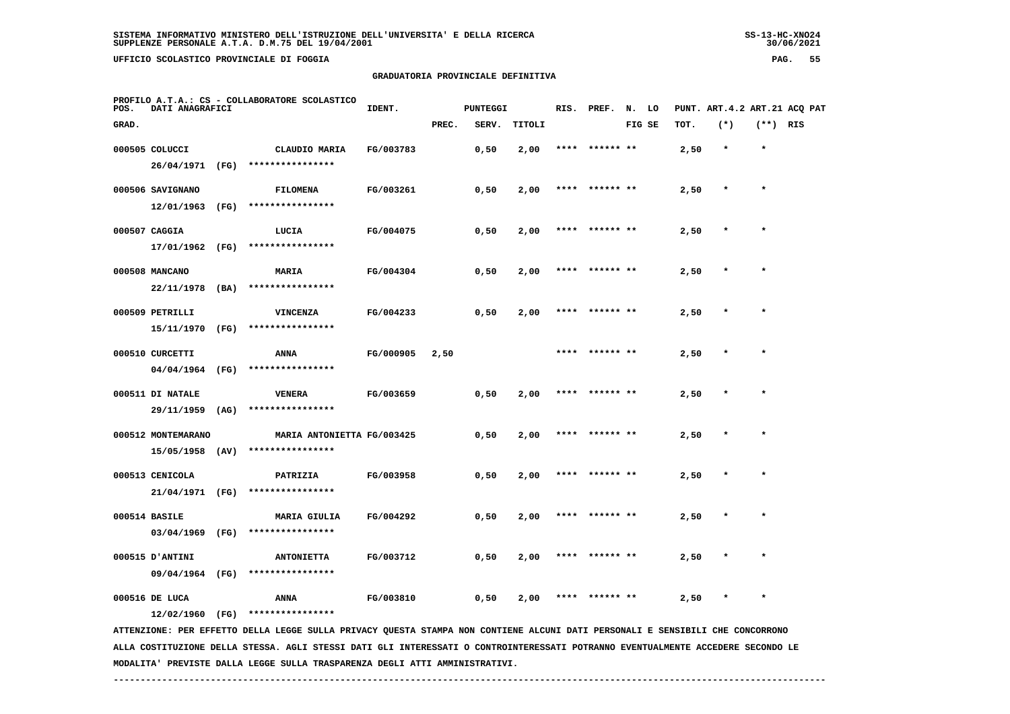**UFFICIO SCOLASTICO PROVINCIALE DI FOGGIA PAG. 55**

# **GRADUATORIA PROVINCIALE DEFINITIVA**

| POS.  | DATI ANAGRAFICI    |      | PROFILO A.T.A.: CS - COLLABORATORE SCOLASTICO                                                                                 | IDENT.    |       | <b>PUNTEGGI</b> |        |      | RIS. PREF. N. LO |        |      | PUNT. ART.4.2 ART.21 ACQ PAT |            |  |
|-------|--------------------|------|-------------------------------------------------------------------------------------------------------------------------------|-----------|-------|-----------------|--------|------|------------------|--------|------|------------------------------|------------|--|
| GRAD. |                    |      |                                                                                                                               |           | PREC. | SERV.           | TITOLI |      |                  | FIG SE | TOT. | $(*)$                        | $(**)$ RIS |  |
|       | 000505 COLUCCI     |      | CLAUDIO MARIA                                                                                                                 | FG/003783 |       | 0,50            | 2,00   | **** | ****** **        |        | 2,50 | $\star$                      | $\star$    |  |
|       | 26/04/1971 (FG)    |      | ****************                                                                                                              |           |       |                 |        |      |                  |        |      |                              |            |  |
|       | 000506 SAVIGNANO   |      | <b>FILOMENA</b>                                                                                                               | FG/003261 |       | 0,50            | 2,00   | **** | ****** **        |        | 2,50 | $\star$                      | $\star$    |  |
|       | 12/01/1963         | (FG) | ****************                                                                                                              |           |       |                 |        |      |                  |        |      |                              |            |  |
|       | 000507 CAGGIA      |      | LUCIA                                                                                                                         | FG/004075 |       | 0,50            | 2,00   |      | ****  ****** **  |        | 2,50 | $\star$                      | $\star$    |  |
|       | 17/01/1962 (FG)    |      | ****************                                                                                                              |           |       |                 |        |      |                  |        |      |                              |            |  |
|       | 000508 MANCANO     |      | MARIA                                                                                                                         | FG/004304 |       | 0,50            | 2,00   | **** | ****** **        |        | 2,50 |                              |            |  |
|       | 22/11/1978 (BA)    |      | ****************                                                                                                              |           |       |                 |        |      |                  |        |      |                              |            |  |
|       | 000509 PETRILLI    |      | VINCENZA                                                                                                                      | FG/004233 |       | 0,50            | 2,00   |      | **** ****** **   |        | 2,50 |                              | $\star$    |  |
|       | 15/11/1970 (FG)    |      | ****************                                                                                                              |           |       |                 |        |      |                  |        |      |                              |            |  |
|       | 000510 CURCETTI    |      | ANNA                                                                                                                          | FG/000905 | 2,50  |                 |        |      |                  |        | 2,50 |                              |            |  |
|       | 04/04/1964 (FG)    |      | ****************                                                                                                              |           |       |                 |        |      |                  |        |      |                              |            |  |
|       | 000511 DI NATALE   |      | <b>VENERA</b>                                                                                                                 | FG/003659 |       | 0,50            | 2,00   |      | ****** **        |        | 2,50 |                              | $\star$    |  |
|       | 29/11/1959 (AG)    |      | ****************                                                                                                              |           |       |                 |        |      |                  |        |      |                              |            |  |
|       | 000512 MONTEMARANO |      | MARIA ANTONIETTA FG/003425                                                                                                    |           |       | 0,50            | 2,00   |      | **** ****** **   |        | 2,50 | $\ast$                       | $\star$    |  |
|       | 15/05/1958 (AV)    |      | ****************                                                                                                              |           |       |                 |        |      |                  |        |      |                              |            |  |
|       | 000513 CENICOLA    |      | PATRIZIA                                                                                                                      | FG/003958 |       | 0,50            | 2,00   |      | ****** **        |        | 2,50 |                              | $\star$    |  |
|       | 21/04/1971 (FG)    |      | ****************                                                                                                              |           |       |                 |        |      |                  |        |      |                              |            |  |
|       | 000514 BASILE      |      | <b>MARIA GIULIA</b>                                                                                                           | FG/004292 |       | 0,50            | 2,00   |      | ****** **        |        | 2,50 |                              |            |  |
|       | 03/04/1969 (FG)    |      | ****************                                                                                                              |           |       |                 |        |      |                  |        |      |                              |            |  |
|       | 000515 D'ANTINI    |      | <b>ANTONIETTA</b>                                                                                                             | FG/003712 |       | 0,50            | 2,00   |      |                  |        | 2,50 |                              |            |  |
|       | 09/04/1964 (FG)    |      | ****************                                                                                                              |           |       |                 |        |      |                  |        |      |                              |            |  |
|       | 000516 DE LUCA     |      | ANNA                                                                                                                          | FG/003810 |       | 0,50            | 2,00   | **** | ****** **        |        | 2,50 | $\ast$                       | $\star$    |  |
|       | 12/02/1960 (FG)    |      | ****************                                                                                                              |           |       |                 |        |      |                  |        |      |                              |            |  |
|       |                    |      | ATTENZIONE: PER EFFETTO DELLA LEGGE SULLA PRIVACY QUESTA STAMPA NON CONTIENE ALCUNI DATI PERSONALI E SENSIBILI CHE CONCORRONO |           |       |                 |        |      |                  |        |      |                              |            |  |

 **ALLA COSTITUZIONE DELLA STESSA. AGLI STESSI DATI GLI INTERESSATI O CONTROINTERESSATI POTRANNO EVENTUALMENTE ACCEDERE SECONDO LE MODALITA' PREVISTE DALLA LEGGE SULLA TRASPARENZA DEGLI ATTI AMMINISTRATIVI.**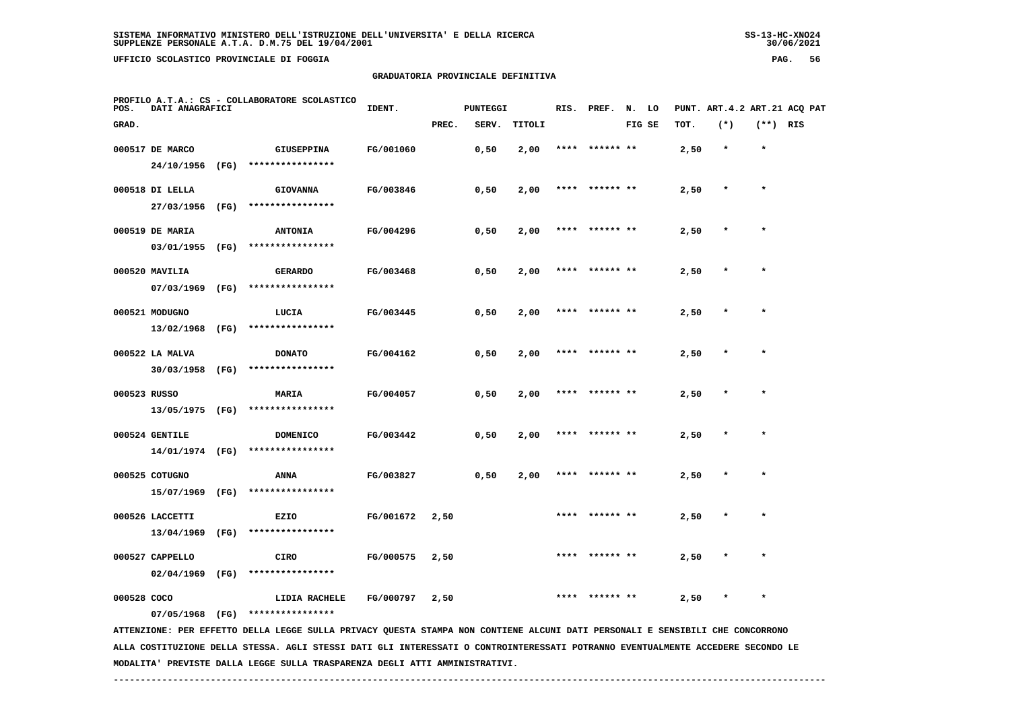**UFFICIO SCOLASTICO PROVINCIALE DI FOGGIA PAG. 56**

# **GRADUATORIA PROVINCIALE DEFINITIVA**

| POS.        | <b>DATI ANAGRAFICI</b> | PROFILO A.T.A.: CS - COLLABORATORE SCOLASTICO                                                                                   | IDENT.    |       | <b>PUNTEGGI</b> |        |      | RIS. PREF. N. LO |        |      | PUNT. ART. 4.2 ART. 21 ACO PAT |            |  |
|-------------|------------------------|---------------------------------------------------------------------------------------------------------------------------------|-----------|-------|-----------------|--------|------|------------------|--------|------|--------------------------------|------------|--|
| GRAD.       |                        |                                                                                                                                 |           | PREC. | SERV.           | TITOLI |      |                  | FIG SE | TOT. | $(*)$                          | $(**)$ RIS |  |
|             | 000517 DE MARCO        | GIUSEPPINA                                                                                                                      | FG/001060 |       | 0,50            | 2,00   |      |                  |        | 2,50 | $\star$                        | $\star$    |  |
|             |                        | 24/10/1956 (FG) ****************                                                                                                |           |       |                 |        |      |                  |        |      |                                |            |  |
|             | 000518 DI LELLA        | <b>GIOVANNA</b>                                                                                                                 | FG/003846 |       | 0,50            | 2,00   |      |                  |        | 2,50 |                                |            |  |
|             | 27/03/1956 (FG)        | ****************                                                                                                                |           |       |                 |        |      |                  |        |      |                                |            |  |
|             | 000519 DE MARIA        | <b>ANTONIA</b>                                                                                                                  | FG/004296 |       | 0,50            | 2,00   |      | **** ****** **   |        | 2,50 |                                |            |  |
|             | 03/01/1955 (FG)        | ****************                                                                                                                |           |       |                 |        |      |                  |        |      |                                |            |  |
|             | 000520 MAVILIA         | <b>GERARDO</b>                                                                                                                  | FG/003468 |       | 0,50            | 2,00   |      | **** ****** **   |        | 2,50 |                                |            |  |
|             | 07/03/1969 (FG)        | ****************                                                                                                                |           |       |                 |        |      |                  |        |      |                                |            |  |
|             | 000521 MODUGNO         | LUCIA                                                                                                                           | FG/003445 |       | 0,50            | 2,00   |      | **** ****** **   |        | 2,50 | $\ast$                         | $\star$    |  |
|             | 13/02/1968 (FG)        | ****************                                                                                                                |           |       |                 |        |      |                  |        |      |                                |            |  |
|             | 000522 LA MALVA        | <b>DONATO</b>                                                                                                                   | FG/004162 |       | 0,50            | 2,00   |      | **** ****** **   |        | 2,50 |                                |            |  |
|             |                        | 30/03/1958 (FG) ****************                                                                                                |           |       |                 |        |      |                  |        |      |                                |            |  |
|             | 000523 RUSSO           | <b>MARIA</b>                                                                                                                    | FG/004057 |       | 0,50            | 2,00   |      | ****  ****** **  |        | 2,50 |                                |            |  |
|             | 13/05/1975 (FG)        | ****************                                                                                                                |           |       |                 |        |      |                  |        |      |                                |            |  |
|             | 000524 GENTILE         | <b>DOMENICO</b>                                                                                                                 | FG/003442 |       | 0,50            | 2,00   | **** | ****** **        |        | 2,50 |                                | $\star$    |  |
|             | 14/01/1974 (FG)        | ****************                                                                                                                |           |       |                 |        |      |                  |        |      |                                |            |  |
|             | 000525 COTUGNO         | ANNA                                                                                                                            | FG/003827 |       | 0,50            | 2,00   |      | **** ****** **   |        | 2,50 |                                | $\star$    |  |
|             | 15/07/1969 (FG)        | ****************                                                                                                                |           |       |                 |        |      |                  |        |      |                                |            |  |
|             | 000526 LACCETTI        | EZIO                                                                                                                            | FG/001672 | 2,50  |                 |        |      | ****** **        |        | 2,50 |                                | $\star$    |  |
|             | 13/04/1969 (FG)        | ****************                                                                                                                |           |       |                 |        |      |                  |        |      |                                |            |  |
|             | 000527 CAPPELLO        | <b>CIRO</b>                                                                                                                     | FG/000575 | 2,50  |                 |        |      |                  |        | 2,50 |                                |            |  |
|             | $02/04/1969$ (FG)      | ****************                                                                                                                |           |       |                 |        |      |                  |        |      |                                |            |  |
| 000528 COCO |                        | LIDIA RACHELE                                                                                                                   | FG/000797 | 2,50  |                 |        |      |                  |        | 2,50 |                                |            |  |
|             | 07/05/1968 (FG)        | ****************                                                                                                                |           |       |                 |        |      |                  |        |      |                                |            |  |
|             |                        | ATTENZIONE: PER EFFETTO DELLA LEGGE SULLA PRIVACY QUESTA STAMPA NON CONTIENE ALCUNI DATI PERSONALI E SENSIBILI CHE CONCORRONO   |           |       |                 |        |      |                  |        |      |                                |            |  |
|             |                        | ALLA COSTITUZIONE DELLA STESSA. AGLI STESSI DATI GLI INTERESSATI O CONTROINTERESSATI POTRANNO EVENTUALMENTE ACCEDERE SECONDO LE |           |       |                 |        |      |                  |        |      |                                |            |  |

 **MODALITA' PREVISTE DALLA LEGGE SULLA TRASPARENZA DEGLI ATTI AMMINISTRATIVI.**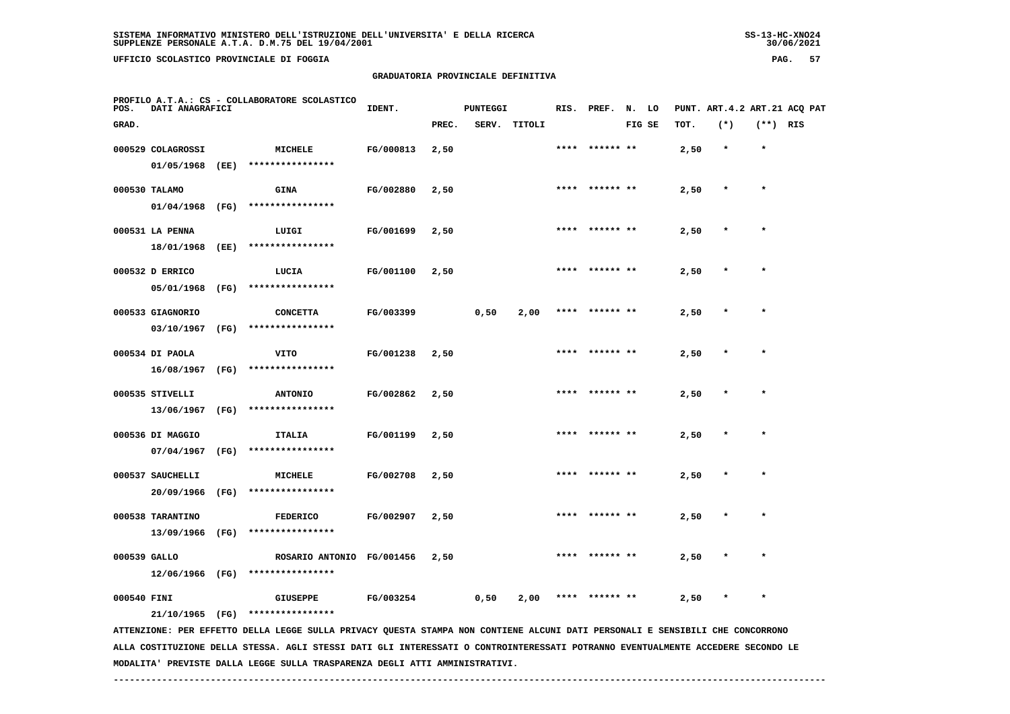**UFFICIO SCOLASTICO PROVINCIALE DI FOGGIA PAG. 57**

# **GRADUATORIA PROVINCIALE DEFINITIVA**

| PROFILO A.T.A.: CS - COLLABORATORE SCOLASTICO<br>DATI ANAGRAFICI<br>POS.                                                        | IDENT.    |       | <b>PUNTEGGI</b> |              |      | RIS. PREF. N. LO |        |      |         |            | PUNT. ART. 4.2 ART. 21 ACQ PAT |
|---------------------------------------------------------------------------------------------------------------------------------|-----------|-------|-----------------|--------------|------|------------------|--------|------|---------|------------|--------------------------------|
| GRAD.                                                                                                                           |           | PREC. |                 | SERV. TITOLI |      |                  | FIG SE | TOT. | $(*)$   | $(**)$ RIS |                                |
| 000529 COLAGROSSI<br>MICHELE                                                                                                    | FG/000813 | 2,50  |                 |              |      |                  |        | 2,50 | $\star$ | $\star$    |                                |
| 01/05/1968<br>(EE)<br>****************                                                                                          |           |       |                 |              |      |                  |        |      |         |            |                                |
| 000530 TALAMO<br><b>GINA</b>                                                                                                    | FG/002880 | 2,50  |                 |              |      |                  |        | 2,50 |         | $\star$    |                                |
| ****************<br>01/04/1968<br>(FG)                                                                                          |           |       |                 |              |      |                  |        |      |         |            |                                |
| 000531 LA PENNA<br>LUIGI                                                                                                        | FG/001699 | 2,50  |                 |              |      |                  |        | 2,50 |         |            |                                |
| ****************<br>18/01/1968<br>(EE)                                                                                          |           |       |                 |              |      |                  |        |      |         |            |                                |
| 000532 D ERRICO<br>LUCIA                                                                                                        | FG/001100 | 2,50  |                 |              |      |                  |        | 2,50 |         |            |                                |
| ****************<br>05/01/1968<br>(FG)                                                                                          |           |       |                 |              |      |                  |        |      |         |            |                                |
| 000533 GIAGNORIO<br><b>CONCETTA</b>                                                                                             | FG/003399 |       | 0,50            | 2,00         | **** |                  |        | 2,50 |         |            |                                |
| ****************<br>03/10/1967<br>(FG)                                                                                          |           |       |                 |              |      |                  |        |      |         |            |                                |
| 000534 DI PAOLA<br>VITO                                                                                                         | FG/001238 | 2,50  |                 |              |      |                  |        | 2,50 |         |            |                                |
| ****************<br>16/08/1967<br>(FG)                                                                                          |           |       |                 |              |      |                  |        |      |         |            |                                |
| 000535 STIVELLI<br><b>ANTONIO</b>                                                                                               | FG/002862 | 2,50  |                 |              |      |                  |        | 2,50 |         |            |                                |
| 13/06/1967<br>(FG)<br>****************                                                                                          |           |       |                 |              |      |                  |        |      |         |            |                                |
| 000536 DI MAGGIO<br>ITALIA                                                                                                      | FG/001199 | 2,50  |                 |              |      |                  |        | 2,50 |         | $\star$    |                                |
| ****************<br>07/04/1967<br>(FG)                                                                                          |           |       |                 |              |      |                  |        |      |         |            |                                |
| 000537 SAUCHELLI<br><b>MICHELE</b>                                                                                              | FG/002708 | 2,50  |                 |              |      |                  |        | 2,50 |         |            |                                |
| ****************<br>20/09/1966<br>(FG)                                                                                          |           |       |                 |              |      |                  |        |      |         |            |                                |
| 000538 TARANTINO<br><b>FEDERICO</b>                                                                                             | FG/002907 | 2,50  |                 |              |      |                  |        | 2,50 |         | $\star$    |                                |
| (FG)<br>****************<br>13/09/1966                                                                                          |           |       |                 |              |      |                  |        |      |         |            |                                |
| 000539 GALLO<br>ROSARIO ANTONIO FG/001456                                                                                       |           | 2,50  |                 |              |      |                  |        | 2,50 |         |            |                                |
| 12/06/1966 (FG)<br>****************                                                                                             |           |       |                 |              |      |                  |        |      |         |            |                                |
| 000540 FINI<br><b>GIUSEPPE</b>                                                                                                  | FG/003254 |       | 0,50            | 2,00         |      |                  |        | 2,50 |         |            |                                |
| ****************<br>21/10/1965 (FG)                                                                                             |           |       |                 |              |      |                  |        |      |         |            |                                |
| ATTENZIONE: PER EFFETTO DELLA LEGGE SULLA PRIVACY QUESTA STAMPA NON CONTIENE ALCUNI DATI PERSONALI E SENSIBILI CHE CONCORRONO   |           |       |                 |              |      |                  |        |      |         |            |                                |
| ALLA COSTITUZIONE DELLA STESSA. AGLI STESSI DATI GLI INTERESSATI O CONTROINTERESSATI POTRANNO EVENTUALMENTE ACCEDERE SECONDO LE |           |       |                 |              |      |                  |        |      |         |            |                                |

 **MODALITA' PREVISTE DALLA LEGGE SULLA TRASPARENZA DEGLI ATTI AMMINISTRATIVI.**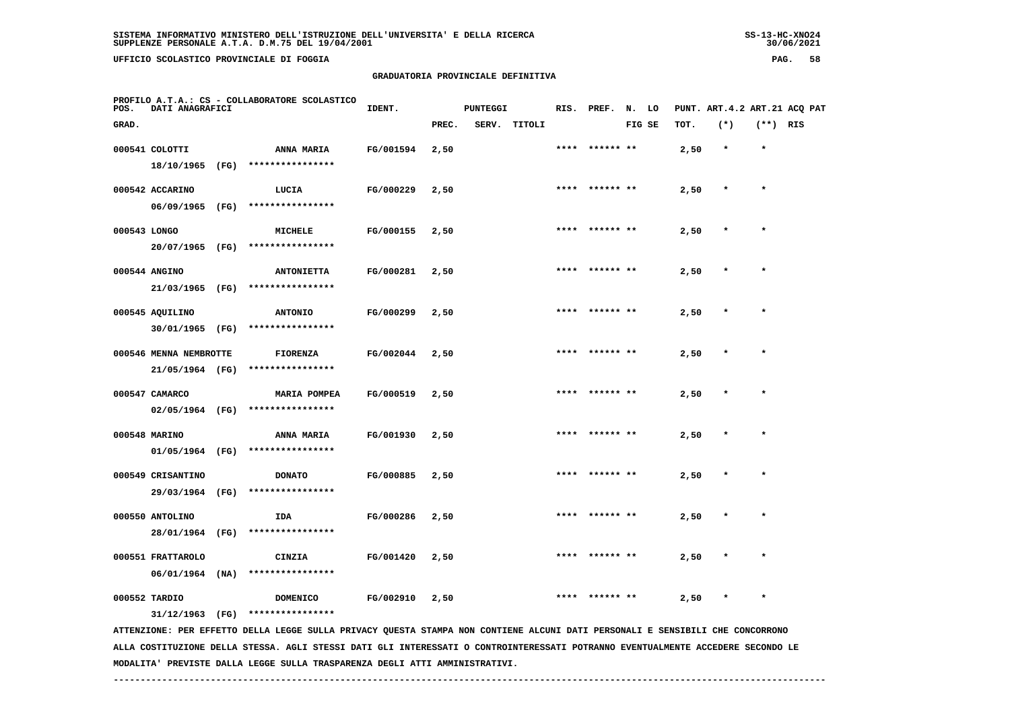**UFFICIO SCOLASTICO PROVINCIALE DI FOGGIA PAG. 58**

# **GRADUATORIA PROVINCIALE DEFINITIVA**

| POS.         | DATI ANAGRAFICI        | PROFILO A.T.A.: CS - COLLABORATORE SCOLASTICO                                                                                 | IDENT.    |       | <b>PUNTEGGI</b> |              |      | RIS. PREF. N. LO |        |      | PUNT. ART.4.2 ART.21 ACQ PAT |            |  |
|--------------|------------------------|-------------------------------------------------------------------------------------------------------------------------------|-----------|-------|-----------------|--------------|------|------------------|--------|------|------------------------------|------------|--|
| GRAD.        |                        |                                                                                                                               |           | PREC. |                 | SERV. TITOLI |      |                  | FIG SE | TOT. | $(*)$                        | $(**)$ RIS |  |
|              | 000541 COLOTTI         | ANNA MARIA                                                                                                                    | FG/001594 | 2,50  |                 |              |      | **** ****** **   |        | 2,50 | $\star$                      | $\star$    |  |
|              | 18/10/1965 (FG)        | ****************                                                                                                              |           |       |                 |              |      |                  |        |      |                              |            |  |
|              | 000542 ACCARINO        | LUCIA                                                                                                                         | FG/000229 | 2,50  |                 |              |      |                  |        | 2,50 |                              | $\star$    |  |
|              | 06/09/1965 (FG)        | ****************                                                                                                              |           |       |                 |              |      |                  |        |      |                              |            |  |
| 000543 LONGO |                        | MICHELE                                                                                                                       | FG/000155 | 2,50  |                 |              |      | **** ****** **   |        | 2,50 | $\star$                      | $\star$    |  |
|              | 20/07/1965 (FG)        | ****************                                                                                                              |           |       |                 |              |      |                  |        |      |                              |            |  |
|              | 000544 ANGINO          | <b>ANTONIETTA</b>                                                                                                             | FG/000281 | 2,50  |                 |              | **** |                  |        | 2,50 |                              | $\star$    |  |
|              | 21/03/1965 (FG)        | ****************                                                                                                              |           |       |                 |              |      |                  |        |      |                              |            |  |
|              | 000545 AQUILINO        | <b>ANTONIO</b>                                                                                                                | FG/000299 | 2,50  |                 |              |      | ****  ****** **  |        | 2,50 |                              | $\star$    |  |
|              | 30/01/1965 (FG)        | ****************                                                                                                              |           |       |                 |              |      |                  |        |      |                              |            |  |
|              | 000546 MENNA NEMBROTTE | FIORENZA                                                                                                                      | FG/002044 | 2,50  |                 |              |      |                  |        | 2,50 |                              |            |  |
|              | 21/05/1964 (FG)        | ****************                                                                                                              |           |       |                 |              |      |                  |        |      |                              |            |  |
|              | 000547 CAMARCO         | <b>MARIA POMPEA</b>                                                                                                           | FG/000519 | 2,50  |                 |              | **** | ****** **        |        | 2,50 |                              | $\star$    |  |
|              | 02/05/1964 (FG)        | ****************                                                                                                              |           |       |                 |              |      |                  |        |      |                              |            |  |
|              | 000548 MARINO          | <b>ANNA MARIA</b>                                                                                                             | FG/001930 | 2,50  |                 |              |      | **** ****** **   |        | 2,50 | $\star$                      | $\star$    |  |
|              | 01/05/1964 (FG)        | ****************                                                                                                              |           |       |                 |              |      |                  |        |      |                              |            |  |
|              | 000549 CRISANTINO      | <b>DONATO</b>                                                                                                                 | FG/000885 | 2,50  |                 |              |      | ****  ****** **  |        | 2,50 | $\star$                      | $\star$    |  |
|              | 29/03/1964 (FG)        | ****************                                                                                                              |           |       |                 |              |      |                  |        |      |                              |            |  |
|              | 000550 ANTOLINO        | IDA                                                                                                                           | FG/000286 | 2,50  |                 |              |      |                  |        | 2,50 |                              |            |  |
|              | 28/01/1964 (FG)        | ****************                                                                                                              |           |       |                 |              |      |                  |        |      |                              |            |  |
|              | 000551 FRATTAROLO      | CINZIA                                                                                                                        | FG/001420 | 2,50  |                 |              |      |                  |        | 2,50 |                              | $\star$    |  |
|              | $06/01/1964$ (NA)      | ****************                                                                                                              |           |       |                 |              |      |                  |        |      |                              |            |  |
|              | 000552 TARDIO          | DOMENICO                                                                                                                      | FG/002910 | 2,50  |                 |              |      |                  |        | 2,50 |                              |            |  |
|              | $31/12/1963$ (FG)      | ****************                                                                                                              |           |       |                 |              |      |                  |        |      |                              |            |  |
|              |                        | ATTENZIONE: PER EFFETTO DELLA LEGGE SULLA PRIVACY QUESTA STAMPA NON CONTIENE ALCUNI DATI PERSONALI E SENSIBILI CHE CONCORRONO |           |       |                 |              |      |                  |        |      |                              |            |  |

 **ALLA COSTITUZIONE DELLA STESSA. AGLI STESSI DATI GLI INTERESSATI O CONTROINTERESSATI POTRANNO EVENTUALMENTE ACCEDERE SECONDO LE MODALITA' PREVISTE DALLA LEGGE SULLA TRASPARENZA DEGLI ATTI AMMINISTRATIVI.**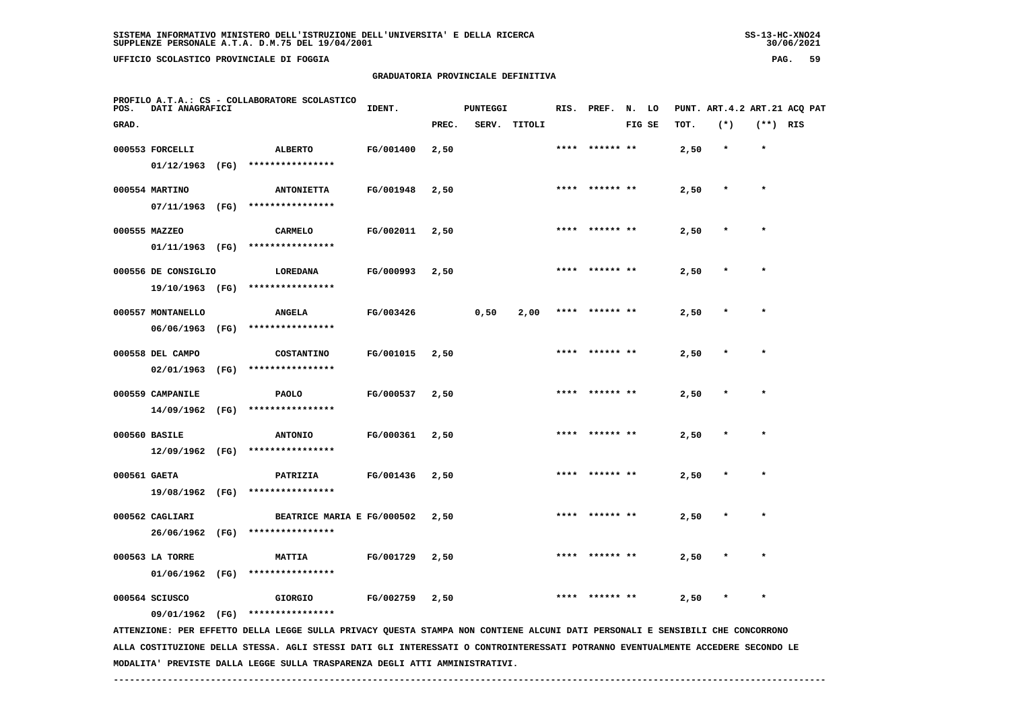**UFFICIO SCOLASTICO PROVINCIALE DI FOGGIA PAG. 59**

# **GRADUATORIA PROVINCIALE DEFINITIVA**

| POS.         | DATI ANAGRAFICI     |      | PROFILO A.T.A.: CS - COLLABORATORE SCOLASTICO                                                                                   | IDENT.    |       | <b>PUNTEGGI</b> |              | RIS. | PREF.          | N. LO  |      |         |            | PUNT. ART. 4.2 ART. 21 ACO PAT |
|--------------|---------------------|------|---------------------------------------------------------------------------------------------------------------------------------|-----------|-------|-----------------|--------------|------|----------------|--------|------|---------|------------|--------------------------------|
| GRAD.        |                     |      |                                                                                                                                 |           | PREC. |                 | SERV. TITOLI |      |                | FIG SE | TOT. | $(*)$   | $(**)$ RIS |                                |
|              | 000553 FORCELLI     |      | <b>ALBERTO</b>                                                                                                                  | FG/001400 | 2,50  |                 |              |      | **** ****** ** |        | 2,50 | $\star$ | $\star$    |                                |
|              | $01/12/1963$ (FG)   |      | ****************                                                                                                                |           |       |                 |              |      |                |        |      |         |            |                                |
|              | 000554 MARTINO      |      | <b>ANTONIETTA</b>                                                                                                               | FG/001948 | 2,50  |                 |              |      | **** ****** ** |        | 2,50 | $\star$ | $\star$    |                                |
|              |                     |      | 07/11/1963 (FG) ****************                                                                                                |           |       |                 |              |      |                |        |      |         |            |                                |
|              | 000555 MAZZEO       |      | <b>CARMELO</b>                                                                                                                  | FG/002011 | 2,50  |                 |              |      | **** ****** ** |        | 2,50 |         |            |                                |
|              | 01/11/1963 (FG)     |      | ****************                                                                                                                |           |       |                 |              |      |                |        |      |         |            |                                |
|              | 000556 DE CONSIGLIO |      | LOREDANA                                                                                                                        | FG/000993 | 2,50  |                 |              |      |                |        | 2,50 |         |            |                                |
|              | 19/10/1963 (FG)     |      | ****************                                                                                                                |           |       |                 |              |      |                |        |      |         |            |                                |
|              | 000557 MONTANELLO   |      | <b>ANGELA</b>                                                                                                                   | FG/003426 |       | 0,50            | 2,00         |      | **** ****** ** |        | 2,50 |         |            |                                |
|              | 06/06/1963 (FG)     |      | ****************                                                                                                                |           |       |                 |              |      |                |        |      |         |            |                                |
|              | 000558 DEL CAMPO    |      | COSTANTINO                                                                                                                      | FG/001015 | 2,50  |                 |              |      | **** ****** ** |        | 2,50 |         | $\star$    |                                |
|              | 02/01/1963          | (FG) | ****************                                                                                                                |           |       |                 |              |      |                |        |      |         |            |                                |
|              | 000559 CAMPANILE    |      | PAOLO                                                                                                                           | FG/000537 | 2,50  |                 |              |      |                |        | 2,50 |         |            |                                |
|              | 14/09/1962 (FG)     |      | ****************                                                                                                                |           |       |                 |              |      |                |        |      |         |            |                                |
|              | 000560 BASILE       |      | <b>ANTONIO</b>                                                                                                                  | FG/000361 | 2,50  |                 |              |      |                |        | 2,50 |         |            |                                |
|              | $12/09/1962$ (FG)   |      | ****************                                                                                                                |           |       |                 |              |      |                |        |      |         |            |                                |
| 000561 GAETA |                     |      | PATRIZIA                                                                                                                        | FG/001436 | 2,50  |                 |              | **** | ****** **      |        | 2,50 |         |            |                                |
|              | 19/08/1962 (FG)     |      | ****************                                                                                                                |           |       |                 |              |      |                |        |      |         |            |                                |
|              | 000562 CAGLIARI     |      | BEATRICE MARIA E FG/000502                                                                                                      |           | 2,50  |                 |              |      | **** ****** ** |        | 2,50 |         | $\star$    |                                |
|              |                     |      | 26/06/1962 (FG) ****************                                                                                                |           |       |                 |              |      |                |        |      |         |            |                                |
|              | 000563 LA TORRE     |      | <b>MATTIA</b>                                                                                                                   | FG/001729 | 2,50  |                 |              |      |                |        | 2,50 |         |            |                                |
|              | 01/06/1962 (FG)     |      | ****************                                                                                                                |           |       |                 |              |      |                |        |      |         |            |                                |
|              | 000564 SCIUSCO      |      | <b>GIORGIO</b>                                                                                                                  | FG/002759 | 2,50  |                 |              |      |                |        | 2,50 |         | $\star$    |                                |
|              |                     |      | 09/01/1962 (FG) ****************                                                                                                |           |       |                 |              |      |                |        |      |         |            |                                |
|              |                     |      | ATTENZIONE: PER EFFETTO DELLA LEGGE SULLA PRIVACY QUESTA STAMPA NON CONTIENE ALCUNI DATI PERSONALI E SENSIBILI CHE CONCORRONO   |           |       |                 |              |      |                |        |      |         |            |                                |
|              |                     |      | ALLA COSTITUZIONE DELLA STESSA. AGLI STESSI DATI GLI INTERESSATI O CONTROINTERESSATI POTRANNO EVENTUALMENTE ACCEDERE SECONDO LE |           |       |                 |              |      |                |        |      |         |            |                                |

 **MODALITA' PREVISTE DALLA LEGGE SULLA TRASPARENZA DEGLI ATTI AMMINISTRATIVI.**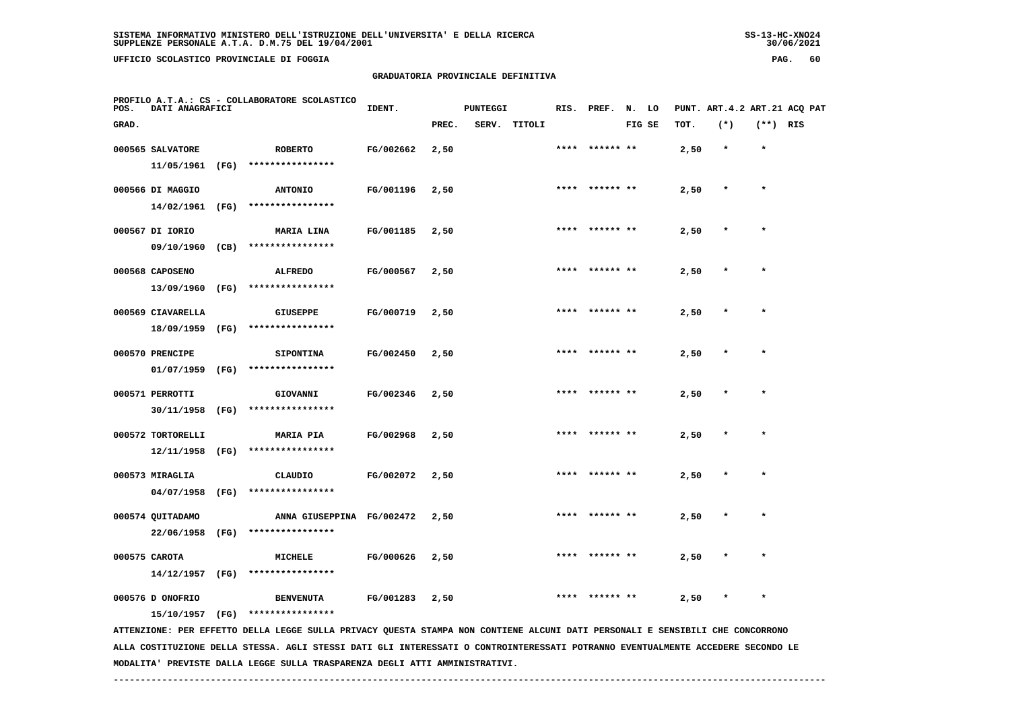**UFFICIO SCOLASTICO PROVINCIALE DI FOGGIA PAG. 60**

# **GRADUATORIA PROVINCIALE DEFINITIVA**

| POS.  | DATI ANAGRAFICI   |      | PROFILO A.T.A.: CS - COLLABORATORE SCOLASTICO                                                                                   | IDENT.    |       | <b>PUNTEGGI</b> |              | RIS. | PREF.     | N. LO  |      |         |            | PUNT. ART. 4.2 ART. 21 ACQ PAT |
|-------|-------------------|------|---------------------------------------------------------------------------------------------------------------------------------|-----------|-------|-----------------|--------------|------|-----------|--------|------|---------|------------|--------------------------------|
| GRAD. |                   |      |                                                                                                                                 |           | PREC. |                 | SERV. TITOLI |      |           | FIG SE | TOT. | $(*)$   | $(**)$ RIS |                                |
|       | 000565 SALVATORE  |      | <b>ROBERTO</b>                                                                                                                  | FG/002662 | 2,50  |                 |              | **** | ****** ** |        | 2,50 | $\star$ | $\star$    |                                |
|       | 11/05/1961        | (FG) | ****************                                                                                                                |           |       |                 |              |      |           |        |      |         |            |                                |
|       | 000566 DI MAGGIO  |      | <b>ANTONIO</b>                                                                                                                  | FG/001196 | 2,50  |                 |              |      |           |        | 2,50 | $\ast$  | $\star$    |                                |
|       | 14/02/1961        | (FG) | ****************                                                                                                                |           |       |                 |              |      |           |        |      |         |            |                                |
|       | 000567 DI IORIO   |      | MARIA LINA                                                                                                                      | FG/001185 | 2,50  |                 |              |      |           |        | 2,50 |         |            |                                |
|       | 09/10/1960        | (CB) | ****************                                                                                                                |           |       |                 |              |      |           |        |      |         |            |                                |
|       | 000568 CAPOSENO   |      | <b>ALFREDO</b>                                                                                                                  | FG/000567 | 2,50  |                 |              |      |           |        | 2,50 |         |            |                                |
|       | 13/09/1960        | (FG) | ****************                                                                                                                |           |       |                 |              |      |           |        |      |         |            |                                |
|       | 000569 CIAVARELLA |      | <b>GIUSEPPE</b>                                                                                                                 | FG/000719 | 2,50  |                 |              | **** | ****** ** |        | 2,50 |         |            |                                |
|       | 18/09/1959        | (FG) | ****************                                                                                                                |           |       |                 |              |      |           |        |      |         |            |                                |
|       | 000570 PRENCIPE   |      | <b>SIPONTINA</b>                                                                                                                | FG/002450 | 2,50  |                 |              | **** | ****** ** |        | 2,50 | $\ast$  | $\star$    |                                |
|       | 01/07/1959        | (FG) | ****************                                                                                                                |           |       |                 |              |      |           |        |      |         |            |                                |
|       | 000571 PERROTTI   |      | GIOVANNI                                                                                                                        | FG/002346 | 2,50  |                 |              |      |           |        | 2,50 |         |            |                                |
|       | 30/11/1958        | (FG) | ****************                                                                                                                |           |       |                 |              |      |           |        |      |         |            |                                |
|       | 000572 TORTORELLI |      | <b>MARIA PIA</b>                                                                                                                | FG/002968 | 2,50  |                 |              |      |           |        | 2,50 |         |            |                                |
|       | 12/11/1958        | (FG) | ****************                                                                                                                |           |       |                 |              |      |           |        |      |         |            |                                |
|       | 000573 MIRAGLIA   |      | CLAUDIO                                                                                                                         | FG/002072 | 2,50  |                 |              |      |           |        | 2,50 |         |            |                                |
|       | 04/07/1958        | (FG) | ****************                                                                                                                |           |       |                 |              |      |           |        |      |         |            |                                |
|       | 000574 QUITADAMO  |      | ANNA GIUSEPPINA FG/002472                                                                                                       |           | 2,50  |                 |              |      |           |        | 2,50 |         | $\star$    |                                |
|       | 22/06/1958        | (FG) | ****************                                                                                                                |           |       |                 |              |      |           |        |      |         |            |                                |
|       | 000575 CAROTA     |      | MICHELE                                                                                                                         | FG/000626 | 2,50  |                 |              |      |           |        | 2,50 |         |            |                                |
|       | 14/12/1957        | (FG) | ****************                                                                                                                |           |       |                 |              |      |           |        |      |         |            |                                |
|       | 000576 D ONOFRIO  |      | <b>BENVENUTA</b>                                                                                                                | FG/001283 | 2,50  |                 |              |      |           |        | 2,50 |         |            |                                |
|       | 15/10/1957        | (FG) | ****************                                                                                                                |           |       |                 |              |      |           |        |      |         |            |                                |
|       |                   |      | ATTENZIONE: PER EFFETTO DELLA LEGGE SULLA PRIVACY QUESTA STAMPA NON CONTIENE ALCUNI DATI PERSONALI E SENSIBILI CHE CONCORRONO   |           |       |                 |              |      |           |        |      |         |            |                                |
|       |                   |      | ALLA COSTITUZIONE DELLA STESSA. AGLI STESSI DATI GLI INTERESSATI O CONTROINTERESSATI POTRANNO EVENTUALMENTE ACCEDERE SECONDO LE |           |       |                 |              |      |           |        |      |         |            |                                |

 **MODALITA' PREVISTE DALLA LEGGE SULLA TRASPARENZA DEGLI ATTI AMMINISTRATIVI.**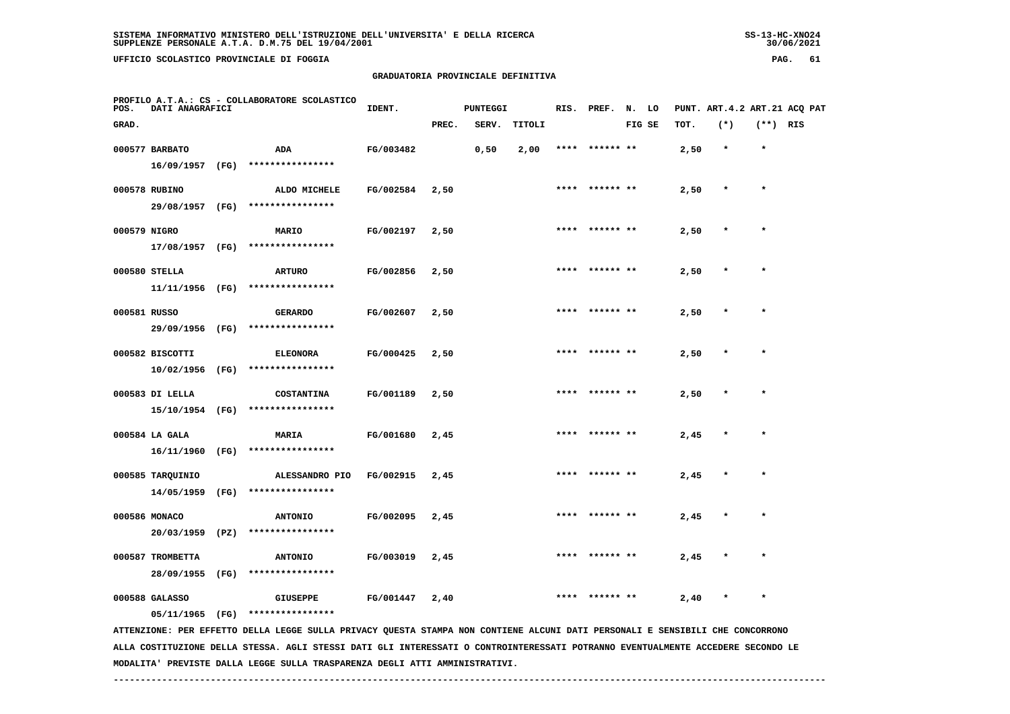**UFFICIO SCOLASTICO PROVINCIALE DI FOGGIA PAG. 61**

# **GRADUATORIA PROVINCIALE DEFINITIVA**

| POS.  | DATI ANAGRAFICI                   | PROFILO A.T.A.: CS - COLLABORATORE SCOLASTICO                                                                                 | IDENT.    |       | <b>PUNTEGGI</b> |        |      | RIS. PREF. N. LO |        |      |         |            | PUNT. ART.4.2 ART.21 ACQ PAT |
|-------|-----------------------------------|-------------------------------------------------------------------------------------------------------------------------------|-----------|-------|-----------------|--------|------|------------------|--------|------|---------|------------|------------------------------|
| GRAD. |                                   |                                                                                                                               |           | PREC. | SERV.           | TITOLI |      |                  | FIG SE | TOT. | $(*)$   | $(**)$ RIS |                              |
|       | 000577 BARBATO                    | ADA                                                                                                                           | FG/003482 |       | 0,50            | 2,00   |      | **** ****** **   |        | 2,50 | $\star$ | $\star$    |                              |
|       |                                   | 16/09/1957 (FG) ****************                                                                                              |           |       |                 |        |      |                  |        |      |         |            |                              |
|       | 000578 RUBINO                     | ALDO MICHELE                                                                                                                  | FG/002584 | 2,50  |                 |        | **** | ****** **        |        | 2,50 |         | $\star$    |                              |
|       |                                   | 29/08/1957 (FG) ****************                                                                                              |           |       |                 |        |      |                  |        |      |         |            |                              |
|       | 000579 NIGRO                      | <b>MARIO</b>                                                                                                                  | FG/002197 | 2,50  |                 |        |      | **** ****** **   |        | 2,50 |         |            |                              |
|       |                                   | 17/08/1957 (FG) ****************                                                                                              |           |       |                 |        |      |                  |        |      |         |            |                              |
|       | 000580 STELLA                     | <b>ARTURO</b>                                                                                                                 | FG/002856 | 2,50  |                 |        |      |                  |        | 2,50 |         |            |                              |
|       | 11/11/1956 (FG)                   | ****************                                                                                                              |           |       |                 |        |      |                  |        |      |         |            |                              |
|       | 000581 RUSSO                      | <b>GERARDO</b>                                                                                                                | FG/002607 | 2,50  |                 |        |      | **** ****** **   |        | 2,50 |         | $\star$    |                              |
|       | 29/09/1956 (FG)                   | ****************                                                                                                              |           |       |                 |        |      |                  |        |      |         |            |                              |
|       | 000582 BISCOTTI                   | <b>ELEONORA</b>                                                                                                               | FG/000425 | 2,50  |                 |        |      |                  |        | 2,50 |         |            |                              |
|       | 10/02/1956 (FG)                   | ****************                                                                                                              |           |       |                 |        |      |                  |        |      |         |            |                              |
|       | 000583 DI LELLA                   | <b>COSTANTINA</b>                                                                                                             | FG/001189 | 2,50  |                 |        |      | **** ****** **   |        | 2,50 |         | $\star$    |                              |
|       |                                   | 15/10/1954 (FG) ****************                                                                                              |           |       |                 |        |      |                  |        |      |         |            |                              |
|       | 000584 LA GALA                    | MARIA                                                                                                                         | FG/001680 | 2,45  |                 |        |      | ****  ****** **  |        | 2,45 |         |            |                              |
|       |                                   | 16/11/1960 (FG) ****************                                                                                              |           |       |                 |        |      |                  |        |      |         |            |                              |
|       | 000585 TARQUINIO                  | ALESSANDRO PIO                                                                                                                | FG/002915 | 2,45  |                 |        | **** |                  |        | 2,45 |         |            |                              |
|       | 14/05/1959 (FG)                   | ****************                                                                                                              |           |       |                 |        |      |                  |        |      |         |            |                              |
|       | 000586 MONACO                     | <b>ANTONIO</b>                                                                                                                | FG/002095 | 2,45  |                 |        |      |                  |        | 2,45 |         |            |                              |
|       | 20/03/1959 (PZ)                   | ****************                                                                                                              |           |       |                 |        |      |                  |        |      |         |            |                              |
|       | 000587 TROMBETTA                  |                                                                                                                               | FG/003019 |       |                 |        |      | **** ****** **   |        |      |         |            |                              |
|       | 28/09/1955 (FG)                   | <b>ANTONIO</b><br>****************                                                                                            |           | 2,45  |                 |        |      |                  |        | 2,45 |         |            |                              |
|       |                                   |                                                                                                                               |           |       |                 |        |      |                  |        |      |         | $\star$    |                              |
|       | 000588 GALASSO<br>05/11/1965 (FG) | <b>GIUSEPPE</b><br>****************                                                                                           | FG/001447 | 2,40  |                 |        |      | **** ****** **   |        | 2,40 |         |            |                              |
|       |                                   | ATTENZIONE: PER EFFETTO DELLA LEGGE SULLA PRIVACY QUESTA STAMPA NON CONTIENE ALCUNI DATI PERSONALI E SENSIBILI CHE CONCORRONO |           |       |                 |        |      |                  |        |      |         |            |                              |
|       |                                   |                                                                                                                               |           |       |                 |        |      |                  |        |      |         |            |                              |

 **ALLA COSTITUZIONE DELLA STESSA. AGLI STESSI DATI GLI INTERESSATI O CONTROINTERESSATI POTRANNO EVENTUALMENTE ACCEDERE SECONDO LE MODALITA' PREVISTE DALLA LEGGE SULLA TRASPARENZA DEGLI ATTI AMMINISTRATIVI.**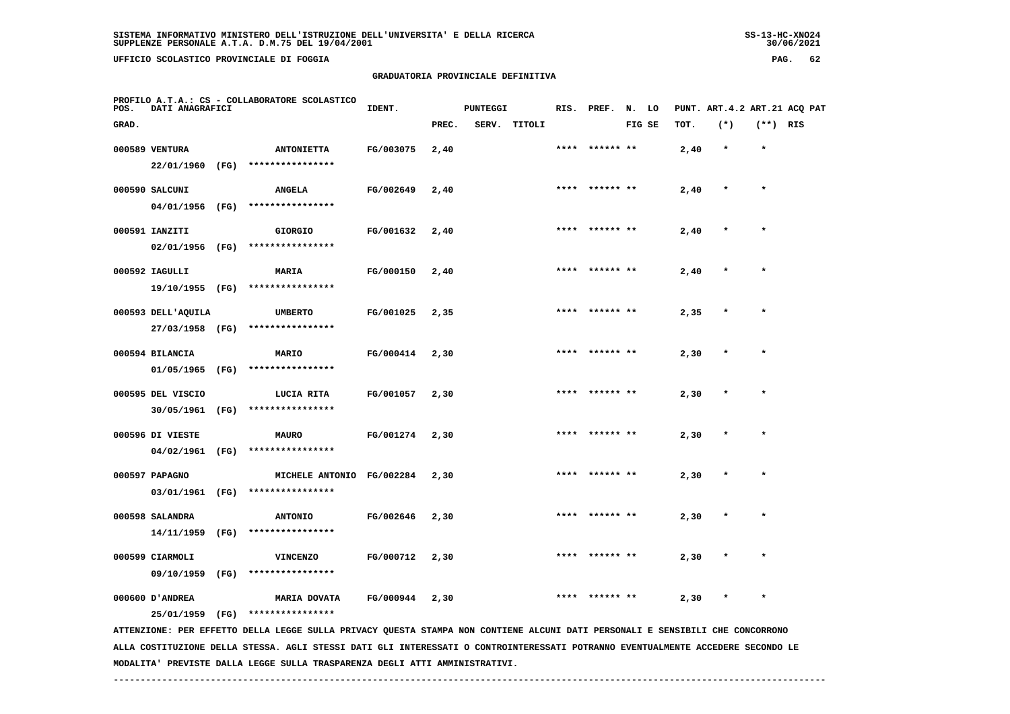**UFFICIO SCOLASTICO PROVINCIALE DI FOGGIA PAG. 62**

# **GRADUATORIA PROVINCIALE DEFINITIVA**

| POS.  | DATI ANAGRAFICI               |      | PROFILO A.T.A.: CS - COLLABORATORE SCOLASTICO                                                                                                                                                                                                                    | IDENT.    |       | <b>PUNTEGGI</b> |              | RIS. | PREF.     | N. LO  |      |         |            | PUNT. ART. 4.2 ART. 21 ACQ PAT |
|-------|-------------------------------|------|------------------------------------------------------------------------------------------------------------------------------------------------------------------------------------------------------------------------------------------------------------------|-----------|-------|-----------------|--------------|------|-----------|--------|------|---------|------------|--------------------------------|
| GRAD. |                               |      |                                                                                                                                                                                                                                                                  |           | PREC. |                 | SERV. TITOLI |      |           | FIG SE | TOT. | $(*)$   | $(**)$ RIS |                                |
|       | 000589 VENTURA                |      | <b>ANTONIETTA</b>                                                                                                                                                                                                                                                | FG/003075 | 2,40  |                 |              | **** | ****** ** |        | 2,40 | $\star$ | $\star$    |                                |
|       | 22/01/1960 (FG)               |      | ****************                                                                                                                                                                                                                                                 |           |       |                 |              |      |           |        |      |         |            |                                |
|       | 000590 SALCUNI                |      | <b>ANGELA</b>                                                                                                                                                                                                                                                    | FG/002649 | 2,40  |                 |              |      |           |        | 2,40 |         | $\star$    |                                |
|       | 04/01/1956 (FG)               |      | ****************                                                                                                                                                                                                                                                 |           |       |                 |              |      |           |        |      |         |            |                                |
|       | 000591 IANZITI                |      | <b>GIORGIO</b>                                                                                                                                                                                                                                                   | FG/001632 | 2,40  |                 |              |      |           |        | 2,40 |         |            |                                |
|       | 02/01/1956 (FG)               |      | ****************                                                                                                                                                                                                                                                 |           |       |                 |              |      |           |        |      |         |            |                                |
|       | 000592 IAGULLI                |      | MARIA                                                                                                                                                                                                                                                            | FG/000150 | 2,40  |                 |              |      |           |        | 2,40 |         |            |                                |
|       | 19/10/1955 (FG)               |      | ****************                                                                                                                                                                                                                                                 |           |       |                 |              |      |           |        |      |         |            |                                |
|       | 000593 DELL'AQUILA            |      | <b>UMBERTO</b>                                                                                                                                                                                                                                                   | FG/001025 | 2,35  |                 |              | **** | ****** ** |        | 2,35 |         | $\star$    |                                |
|       | 27/03/1958 (FG)               |      | ****************                                                                                                                                                                                                                                                 |           |       |                 |              |      |           |        |      |         |            |                                |
|       | 000594 BILANCIA               |      | MARIO                                                                                                                                                                                                                                                            | FG/000414 | 2,30  |                 |              | **** | ****** ** |        | 2,30 | $\star$ | $\star$    |                                |
|       | 01/05/1965 (FG)               |      | ****************                                                                                                                                                                                                                                                 |           |       |                 |              |      |           |        |      |         |            |                                |
|       | 000595 DEL VISCIO             |      | LUCIA RITA                                                                                                                                                                                                                                                       | FG/001057 | 2,30  |                 |              |      |           |        | 2,30 |         |            |                                |
|       | 30/05/1961                    | (FG) | ****************                                                                                                                                                                                                                                                 |           |       |                 |              |      |           |        |      |         |            |                                |
|       | 000596 DI VIESTE              |      | <b>MAURO</b>                                                                                                                                                                                                                                                     | FG/001274 | 2,30  |                 |              |      |           |        | 2,30 |         |            |                                |
|       | 04/02/1961                    | (FG) | ****************                                                                                                                                                                                                                                                 |           |       |                 |              |      |           |        |      |         |            |                                |
|       | 000597 PAPAGNO                |      | MICHELE ANTONIO FG/002284                                                                                                                                                                                                                                        |           | 2,30  |                 |              |      |           |        | 2,30 |         |            |                                |
|       | 03/01/1961 (FG)               |      | ****************                                                                                                                                                                                                                                                 |           |       |                 |              |      |           |        |      |         |            |                                |
|       |                               |      |                                                                                                                                                                                                                                                                  |           |       |                 |              |      |           |        |      |         | $\star$    |                                |
|       | 000598 SALANDRA<br>14/11/1959 | (FG) | <b>ANTONIO</b><br>****************                                                                                                                                                                                                                               | FG/002646 | 2,30  |                 |              |      |           |        | 2,30 |         |            |                                |
|       |                               |      |                                                                                                                                                                                                                                                                  |           |       |                 |              |      |           |        |      |         |            |                                |
|       | 000599 CIARMOLI               |      | <b>VINCENZO</b>                                                                                                                                                                                                                                                  | FG/000712 | 2,30  |                 |              |      |           |        | 2,30 |         |            |                                |
|       | 09/10/1959                    | (FG) | ****************                                                                                                                                                                                                                                                 |           |       |                 |              |      |           |        |      |         |            |                                |
|       | 000600 D'ANDREA               |      | <b>MARIA DOVATA</b>                                                                                                                                                                                                                                              | FG/000944 | 2,30  |                 |              |      |           |        | 2,30 |         |            |                                |
|       | 25/01/1959 (FG)               |      | ****************                                                                                                                                                                                                                                                 |           |       |                 |              |      |           |        |      |         |            |                                |
|       |                               |      | ATTENZIONE: PER EFFETTO DELLA LEGGE SULLA PRIVACY QUESTA STAMPA NON CONTIENE ALCUNI DATI PERSONALI E SENSIBILI CHE CONCORRONO<br>ALLA COSTITUZIONE DELLA STESSA. AGLI STESSI DATI GLI INTERESSATI O CONTROINTERESSATI POTRANNO EVENTUALMENTE ACCEDERE SECONDO LE |           |       |                 |              |      |           |        |      |         |            |                                |

 **MODALITA' PREVISTE DALLA LEGGE SULLA TRASPARENZA DEGLI ATTI AMMINISTRATIVI.**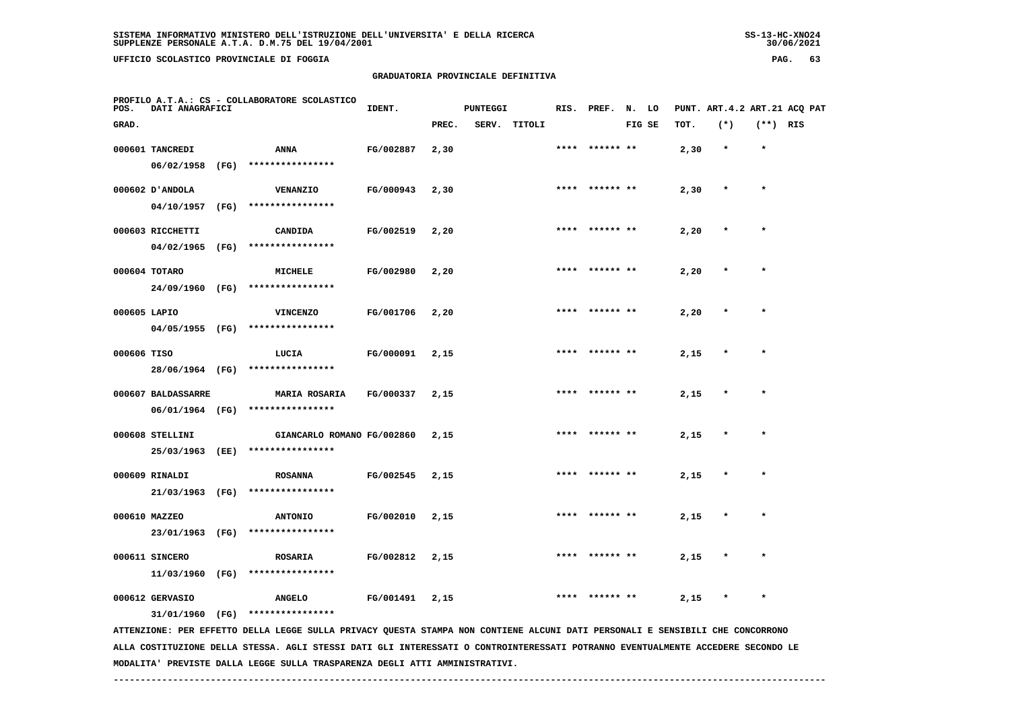**UFFICIO SCOLASTICO PROVINCIALE DI FOGGIA PAG. 63**

 **PROFILO A.T.A.: CS - COLLABORATORE SCOLASTICO**

# **GRADUATORIA PROVINCIALE DEFINITIVA**

 **GRAD. PREC. SERV. TITOLI FIG SE TOT. (\*) (\*\*) RIS**

 **000601 TANCREDI ANNA FG/002887 2,30 \*\*\*\* \*\*\*\*\*\* \*\* 2,30 \* \***

|              | 06/02/1958         | (FG) | ****************     |           |      |      |           |      |         |         |
|--------------|--------------------|------|----------------------|-----------|------|------|-----------|------|---------|---------|
|              | 000602 D'ANDOLA    |      | VENANZIO             | FG/000943 | 2,30 | **** | ****** ** | 2,30 | $\star$ | $\star$ |
|              | 04/10/1957         | (FG) | ****************     |           |      |      |           |      |         |         |
|              | 000603 RICCHETTI   |      | CANDIDA              | FG/002519 | 2,20 | **** | ****** ** | 2,20 | $\star$ | ÷       |
|              | 04/02/1965         | (FG) | ****************     |           |      |      |           |      |         |         |
|              | 000604 TOTARO      |      | <b>MICHELE</b>       | FG/002980 | 2,20 | **** | ****** ** | 2,20 | $\star$ | $\star$ |
|              | 24/09/1960         | (FG) | ****************     |           |      |      |           |      |         |         |
| 000605 LAPIO |                    |      | <b>VINCENZO</b>      | FG/001706 | 2,20 | **** | ****** ** | 2,20 | $\star$ | $\star$ |
|              | 04/05/1955         | (FG) | ****************     |           |      |      |           |      |         |         |
| 000606 TISO  |                    |      | LUCIA                | FG/000091 | 2,15 | **** | ****** ** | 2,15 | $\star$ | $\star$ |
|              | 28/06/1964         | (FG) | ****************     |           |      |      |           |      |         |         |
|              | 000607 BALDASSARRE |      | <b>MARIA ROSARIA</b> | FG/000337 | 2,15 | **** | ****** ** | 2,15 | $\star$ | ۰       |
|              | 06/01/1964         | (FG) | ****************     |           |      |      |           |      |         |         |

**IDENT.** PUNTEGGI RIS. PREF. N. LO PUNT. ART.4.2 ART.21 ACQ PAT

 **000608 STELLINI GIANCARLO ROMANO FG/002860 2,15 \*\*\*\* \*\*\*\*\*\* \*\* 2,15 \* \* 25/03/1963 (EE) \*\*\*\*\*\*\*\*\*\*\*\*\*\*\*\***

 **000609 RINALDI ROSANNA FG/002545 2,15 \*\*\*\* \*\*\*\*\*\* \*\* 2,15 \* \* 21/03/1963 (FG) \*\*\*\*\*\*\*\*\*\*\*\*\*\*\*\***000610 MAZZEO **ANTONIO FG/002010** 2,15 \*\*\*\* \*\*\*\*\*\* \*\* 2,15  **23/01/1963 (FG) \*\*\*\*\*\*\*\*\*\*\*\*\*\*\*\***

 **000611 SINCERO ROSARIA FG/002812 2,15 \*\*\*\* \*\*\*\*\*\* \*\* 2,15 \* \* 11/03/1960 (FG) \*\*\*\*\*\*\*\*\*\*\*\*\*\*\*\* 000612 GERVASIO ANGELO FG/001491 2,15 \*\*\*\* \*\*\*\*\*\* \*\* 2,15 \* \***

 **31/01/1960 (FG) \*\*\*\*\*\*\*\*\*\*\*\*\*\*\*\***

 **ATTENZIONE: PER EFFETTO DELLA LEGGE SULLA PRIVACY QUESTA STAMPA NON CONTIENE ALCUNI DATI PERSONALI E SENSIBILI CHE CONCORRONO ALLA COSTITUZIONE DELLA STESSA. AGLI STESSI DATI GLI INTERESSATI O CONTROINTERESSATI POTRANNO EVENTUALMENTE ACCEDERE SECONDO LE MODALITA' PREVISTE DALLA LEGGE SULLA TRASPARENZA DEGLI ATTI AMMINISTRATIVI.**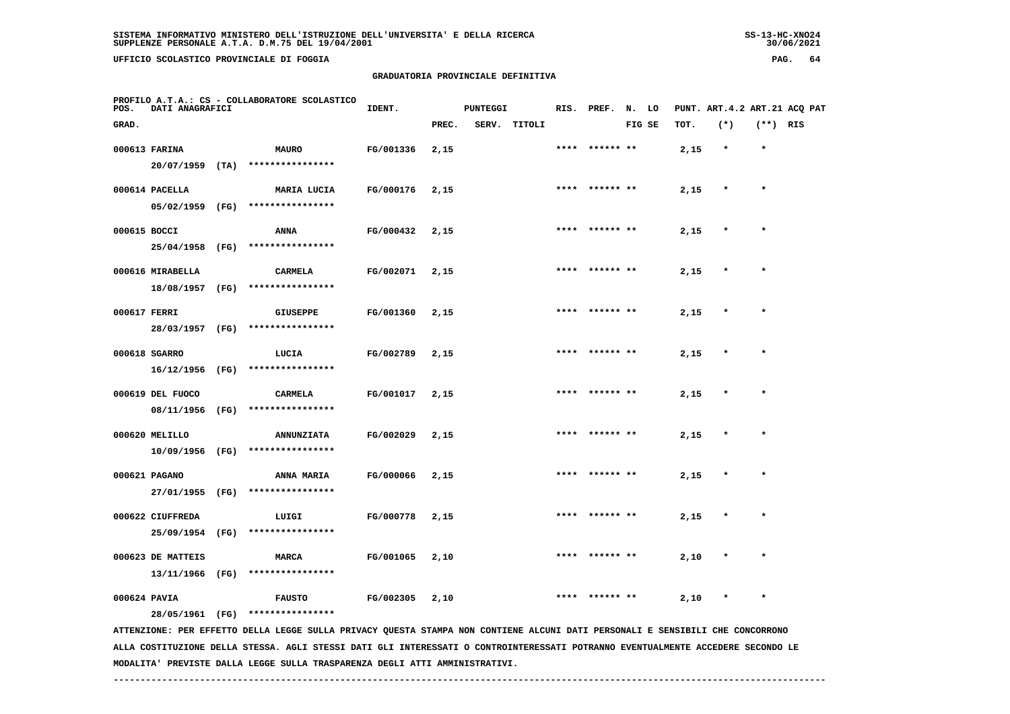**UFFICIO SCOLASTICO PROVINCIALE DI FOGGIA PAG. 64**

# **GRADUATORIA PROVINCIALE DEFINITIVA**

| POS.         | DATI ANAGRAFICI   | PROFILO A.T.A.: CS - COLLABORATORE SCOLASTICO                                                                                 | IDENT.    |       | <b>PUNTEGGI</b> |              |      | RIS. PREF. N. LO |        |      | PUNT. ART. 4.2 ART. 21 ACQ PAT |            |  |
|--------------|-------------------|-------------------------------------------------------------------------------------------------------------------------------|-----------|-------|-----------------|--------------|------|------------------|--------|------|--------------------------------|------------|--|
| GRAD.        |                   |                                                                                                                               |           | PREC. |                 | SERV. TITOLI |      |                  | FIG SE | TOT. | $(*)$                          | $(**)$ RIS |  |
|              | 000613 FARINA     | <b>MAURO</b>                                                                                                                  | FG/001336 | 2,15  |                 |              |      | **** ****** **   |        | 2,15 | $\star$                        | $\star$    |  |
|              | $20/07/1959$ (TA) | ****************                                                                                                              |           |       |                 |              |      |                  |        |      |                                |            |  |
|              | 000614 PACELLA    | <b>MARIA LUCIA</b>                                                                                                            | FG/000176 | 2,15  |                 |              |      | **** ****** **   |        | 2,15 |                                | $\star$    |  |
|              | 05/02/1959 (FG)   | ****************                                                                                                              |           |       |                 |              |      |                  |        |      |                                |            |  |
| 000615 BOCCI |                   | ANNA                                                                                                                          | FG/000432 | 2,15  |                 |              | **** |                  |        | 2,15 | $\star$                        | $\star$    |  |
|              | 25/04/1958 (FG)   | ****************                                                                                                              |           |       |                 |              |      |                  |        |      |                                |            |  |
|              | 000616 MIRABELLA  | <b>CARMELA</b>                                                                                                                | FG/002071 | 2,15  |                 |              |      | **** ****** **   |        | 2,15 |                                | $\star$    |  |
|              | 18/08/1957 (FG)   | ****************                                                                                                              |           |       |                 |              |      |                  |        |      |                                |            |  |
| 000617 FERRI |                   | <b>GIUSEPPE</b>                                                                                                               | FG/001360 | 2,15  |                 |              |      |                  |        | 2,15 |                                |            |  |
|              | 28/03/1957 (FG)   | ****************                                                                                                              |           |       |                 |              |      |                  |        |      |                                |            |  |
|              | 000618 SGARRO     | LUCIA                                                                                                                         | FG/002789 | 2,15  |                 |              |      | **** ****** **   |        | 2,15 | $\ast$                         | $\star$    |  |
|              | 16/12/1956 (FG)   | ****************                                                                                                              |           |       |                 |              |      |                  |        |      |                                |            |  |
|              | 000619 DEL FUOCO  | CARMELA                                                                                                                       | FG/001017 | 2,15  |                 |              |      | **** ****** **   |        | 2,15 |                                | $\star$    |  |
|              | 08/11/1956 (FG)   | ****************                                                                                                              |           |       |                 |              |      |                  |        |      |                                |            |  |
|              | 000620 MELILLO    | <b>ANNUNZIATA</b>                                                                                                             | FG/002029 | 2,15  |                 |              |      | **** ****** **   |        | 2,15 | $\star$                        | $\star$    |  |
|              |                   | 10/09/1956 (FG) ****************                                                                                              |           |       |                 |              |      |                  |        |      |                                |            |  |
|              | 000621 PAGANO     | <b>ANNA MARIA</b>                                                                                                             | FG/000066 | 2,15  |                 |              |      |                  |        | 2,15 |                                |            |  |
|              | 27/01/1955 (FG)   | ****************                                                                                                              |           |       |                 |              |      |                  |        |      |                                |            |  |
|              | 000622 CIUFFREDA  | LUIGI                                                                                                                         | FG/000778 | 2,15  |                 |              |      |                  |        | 2,15 |                                |            |  |
|              | 25/09/1954 (FG)   | ****************                                                                                                              |           |       |                 |              |      |                  |        |      |                                |            |  |
|              | 000623 DE MATTEIS | MARCA                                                                                                                         | FG/001065 | 2,10  |                 |              |      | ****  ****** **  |        | 2,10 |                                | $\star$    |  |
|              | 13/11/1966 (FG)   | ****************                                                                                                              |           |       |                 |              |      |                  |        |      |                                |            |  |
| 000624 PAVIA |                   | <b>FAUSTO</b>                                                                                                                 | FG/002305 | 2,10  |                 |              | **** | ****** **        |        | 2,10 |                                | $\star$    |  |
|              | 28/05/1961 (FG)   | ****************                                                                                                              |           |       |                 |              |      |                  |        |      |                                |            |  |
|              |                   | ATTENZIONE: PER EFFETTO DELLA LEGGE SULLA PRIVACY QUESTA STAMPA NON CONTIENE ALCUNI DATI PERSONALI E SENSIBILI CHE CONCORRONO |           |       |                 |              |      |                  |        |      |                                |            |  |

 **ALLA COSTITUZIONE DELLA STESSA. AGLI STESSI DATI GLI INTERESSATI O CONTROINTERESSATI POTRANNO EVENTUALMENTE ACCEDERE SECONDO LE MODALITA' PREVISTE DALLA LEGGE SULLA TRASPARENZA DEGLI ATTI AMMINISTRATIVI.**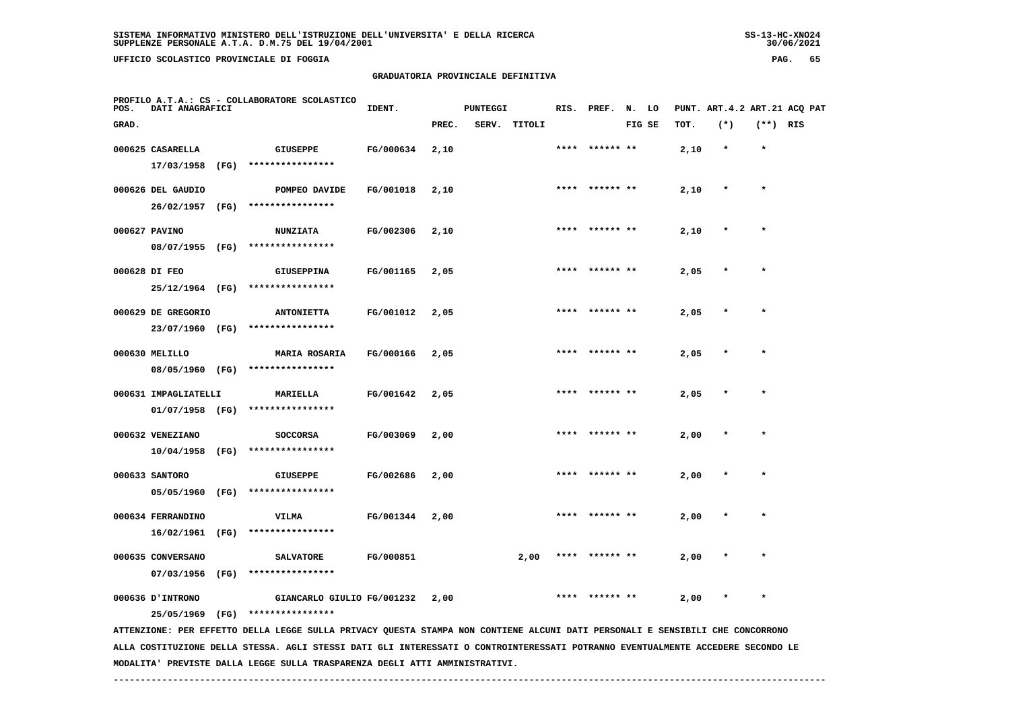**UFFICIO SCOLASTICO PROVINCIALE DI FOGGIA PAG. 65**

# **GRADUATORIA PROVINCIALE DEFINITIVA**

| POS.  | DATI ANAGRAFICI                         |      | PROFILO A.T.A.: CS - COLLABORATORE SCOLASTICO                                                                                   | IDENT.    |       | <b>PUNTEGGI</b> |              | RIS. | PREF.          | N.     | LO |      | PUNT. ART. 4.2 ART. 21 ACO PAT |            |  |
|-------|-----------------------------------------|------|---------------------------------------------------------------------------------------------------------------------------------|-----------|-------|-----------------|--------------|------|----------------|--------|----|------|--------------------------------|------------|--|
| GRAD. |                                         |      |                                                                                                                                 |           | PREC. |                 | SERV. TITOLI |      |                | FIG SE |    | TOT. | $(*)$                          | $(**)$ RIS |  |
|       | 000625 CASARELLA<br>17/03/1958          | (FG) | <b>GIUSEPPE</b><br>****************                                                                                             | FG/000634 | 2,10  |                 |              |      |                |        |    | 2,10 | $\star$                        | $\star$    |  |
|       | 000626 DEL GAUDIO<br>26/02/1957         | (FG) | POMPEO DAVIDE<br>****************                                                                                               | FG/001018 | 2,10  |                 |              |      |                |        |    | 2,10 |                                | $\star$    |  |
|       | 000627 PAVINO<br>08/07/1955 (FG)        |      | <b>NUNZIATA</b><br>****************                                                                                             | FG/002306 | 2,10  |                 |              |      |                |        |    | 2,10 |                                |            |  |
|       | 000628 DI FEO<br>25/12/1964 (FG)        |      | <b>GIUSEPPINA</b><br>****************                                                                                           | FG/001165 | 2,05  |                 |              | **** | ****** **      |        |    | 2,05 |                                |            |  |
|       | 000629 DE GREGORIO<br>23/07/1960 (FG)   |      | <b>ANTONIETTA</b><br>****************                                                                                           | FG/001012 | 2,05  |                 |              |      | **** ****** ** |        |    | 2,05 |                                | $\star$    |  |
|       | 000630 MELILLO<br>08/05/1960 (FG)       |      | <b>MARIA ROSARIA</b><br>****************                                                                                        | FG/000166 | 2,05  |                 |              | **** |                |        |    | 2,05 |                                |            |  |
|       | 000631 IMPAGLIATELLI<br>01/07/1958 (FG) |      | MARIELLA<br>****************                                                                                                    | FG/001642 | 2,05  |                 |              |      |                |        |    | 2,05 |                                |            |  |
|       | 000632 VENEZIANO<br>10/04/1958          | (FG) | <b>SOCCORSA</b><br>****************                                                                                             | FG/003069 | 2,00  |                 |              |      |                |        |    | 2,00 |                                |            |  |
|       | 000633 SANTORO<br>05/05/1960            | (FG) | <b>GIUSEPPE</b><br>****************                                                                                             | FG/002686 | 2,00  |                 |              | **** | ****** **      |        |    | 2,00 |                                | $\star$    |  |
|       | 000634 FERRANDINO<br>16/02/1961         | (FG) | <b>VILMA</b><br>****************                                                                                                | FG/001344 | 2,00  |                 |              |      |                |        |    | 2,00 |                                |            |  |
|       | 000635 CONVERSANO<br>07/03/1956         | (FG) | <b>SALVATORE</b><br>****************                                                                                            | FG/000851 |       |                 | 2,00         |      |                |        |    | 2,00 |                                | $\star$    |  |
|       | 000636 J'INTRONO<br>25/05/1969          | (FG) | GIANCARLO GIULIO FG/001232<br>****************                                                                                  |           | 2,00  |                 |              |      |                |        |    | 2,00 |                                |            |  |
|       |                                         |      | ATTENZIONE: PER EFFETTO DELLA LEGGE SULLA PRIVACY QUESTA STAMPA NON CONTIENE ALCUNI DATI PERSONALI E SENSIBILI CHE CONCORRONO   |           |       |                 |              |      |                |        |    |      |                                |            |  |
|       |                                         |      | ALLA COSTITUZIONE DELLA STESSA. AGLI STESSI DATI GLI INTERESSATI O CONTROINTERESSATI POTRANNO EVENTUALMENTE ACCEDERE SECONDO LE |           |       |                 |              |      |                |        |    |      |                                |            |  |

 **------------------------------------------------------------------------------------------------------------------------------------**

 **MODALITA' PREVISTE DALLA LEGGE SULLA TRASPARENZA DEGLI ATTI AMMINISTRATIVI.**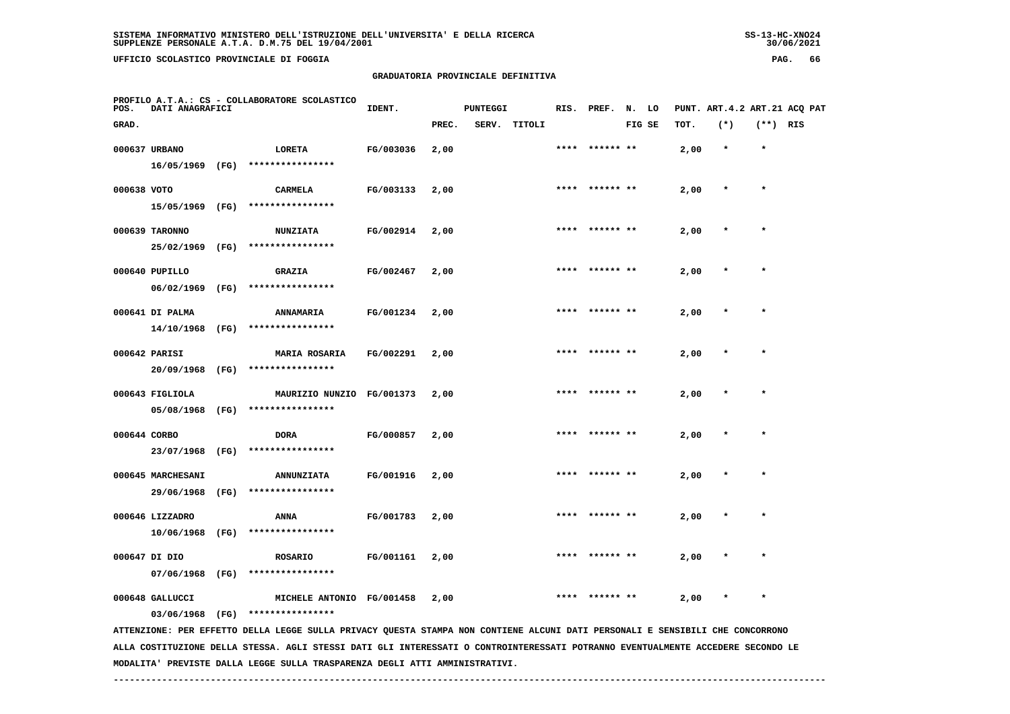**UFFICIO SCOLASTICO PROVINCIALE DI FOGGIA PAG. 66**

# **GRADUATORIA PROVINCIALE DEFINITIVA**

| POS.        | DATI ANAGRAFICI   |      | PROFILO A.T.A.: CS - COLLABORATORE SCOLASTICO                                                                                                     | IDENT.    |       | <b>PUNTEGGI</b> |              | RIS. | PREF.           | N.     | LO |      |         |            | PUNT. ART. 4.2 ART. 21 ACQ PAT |
|-------------|-------------------|------|---------------------------------------------------------------------------------------------------------------------------------------------------|-----------|-------|-----------------|--------------|------|-----------------|--------|----|------|---------|------------|--------------------------------|
| GRAD.       |                   |      |                                                                                                                                                   |           | PREC. |                 | SERV. TITOLI |      |                 | FIG SE |    | TOT. | $(*)$   | $(**)$ RIS |                                |
|             | 000637 URBANO     |      | LORETA                                                                                                                                            | FG/003036 | 2,00  |                 |              |      |                 |        |    | 2,00 | $\star$ | $\star$    |                                |
|             | 16/05/1969        | (FG) | ****************                                                                                                                                  |           |       |                 |              |      |                 |        |    |      |         |            |                                |
| 000638 VOTO |                   |      | <b>CARMELA</b>                                                                                                                                    | FG/003133 | 2,00  |                 |              |      |                 |        |    | 2,00 |         | $\star$    |                                |
|             | 15/05/1969 (FG)   |      | ****************                                                                                                                                  |           |       |                 |              |      |                 |        |    |      |         |            |                                |
|             | 000639 TARONNO    |      | <b>NUNZIATA</b>                                                                                                                                   | FG/002914 | 2,00  |                 |              |      | ****** **       |        |    | 2,00 |         |            |                                |
|             | 25/02/1969        | (FG) | ****************                                                                                                                                  |           |       |                 |              |      |                 |        |    |      |         |            |                                |
|             | 000640 PUPILLO    |      | <b>GRAZIA</b>                                                                                                                                     | FG/002467 | 2,00  |                 |              |      | ****  ****** ** |        |    | 2,00 |         | $\star$    |                                |
|             | 06/02/1969        | (FG) | ****************                                                                                                                                  |           |       |                 |              |      |                 |        |    |      |         |            |                                |
|             | 000641 DI PALMA   |      | <b>ANNAMARIA</b>                                                                                                                                  | FG/001234 | 2,00  |                 |              |      |                 |        |    | 2,00 |         | $\star$    |                                |
|             | 14/10/1968 (FG)   |      | ****************                                                                                                                                  |           |       |                 |              |      |                 |        |    |      |         |            |                                |
|             | 000642 PARISI     |      | <b>MARIA ROSARIA</b>                                                                                                                              | FG/002291 | 2,00  |                 |              |      |                 |        |    | 2,00 |         |            |                                |
|             | 20/09/1968 (FG)   |      | ****************                                                                                                                                  |           |       |                 |              |      |                 |        |    |      |         |            |                                |
|             | 000643 FIGLIOLA   |      | MAURIZIO NUNZIO FG/001373                                                                                                                         |           | 2,00  |                 |              |      |                 |        |    | 2,00 |         |            |                                |
|             | 05/08/1968 (FG)   |      | ****************                                                                                                                                  |           |       |                 |              |      |                 |        |    |      |         |            |                                |
|             | 000644 CORBO      |      | DORA                                                                                                                                              | FG/000857 | 2,00  |                 |              |      | ****** **       |        |    | 2,00 |         |            |                                |
|             | 23/07/1968        | (FG) | ****************                                                                                                                                  |           |       |                 |              |      |                 |        |    |      |         |            |                                |
|             | 000645 MARCHESANI |      | <b>ANNUNZIATA</b>                                                                                                                                 | FG/001916 | 2,00  |                 |              |      |                 |        |    | 2,00 |         | $\star$    |                                |
|             | 29/06/1968        | (FG) | ****************                                                                                                                                  |           |       |                 |              |      |                 |        |    |      |         |            |                                |
|             | 000646 LIZZADRO   |      | <b>ANNA</b>                                                                                                                                       | FG/001783 | 2,00  |                 |              |      |                 |        |    | 2,00 |         |            |                                |
|             | 10/06/1968        | (FG) | ****************                                                                                                                                  |           |       |                 |              |      |                 |        |    |      |         |            |                                |
|             | 000647 DI DIO     |      | <b>ROSARIO</b>                                                                                                                                    | FG/001161 | 2,00  |                 |              |      |                 |        |    | 2,00 |         |            |                                |
|             | 07/06/1968 (FG)   |      | ****************                                                                                                                                  |           |       |                 |              |      |                 |        |    |      |         |            |                                |
|             | 000648 GALLUCCI   |      | MICHELE ANTONIO FG/001458                                                                                                                         |           | 2,00  |                 |              | **** | ****** **       |        |    | 2,00 |         |            |                                |
|             | 03/06/1968 (FG)   |      | ****************<br>ATTENZIONE: PER EFFETTO DELLA LEGGE SULLA PRIVACY QUESTA STAMPA NON CONTIENE ALCUNI DATI PERSONALI E SENSIBILI CHE CONCORRONO |           |       |                 |              |      |                 |        |    |      |         |            |                                |
|             |                   |      | ALLA COSTITUZIONE DELLA STESSA. AGLI STESSI DATI GLI INTERESSATI O CONTROINTERESSATI POTRANNO EVENTUALMENTE ACCEDERE SECONDO LE                   |           |       |                 |              |      |                 |        |    |      |         |            |                                |

 **MODALITA' PREVISTE DALLA LEGGE SULLA TRASPARENZA DEGLI ATTI AMMINISTRATIVI.**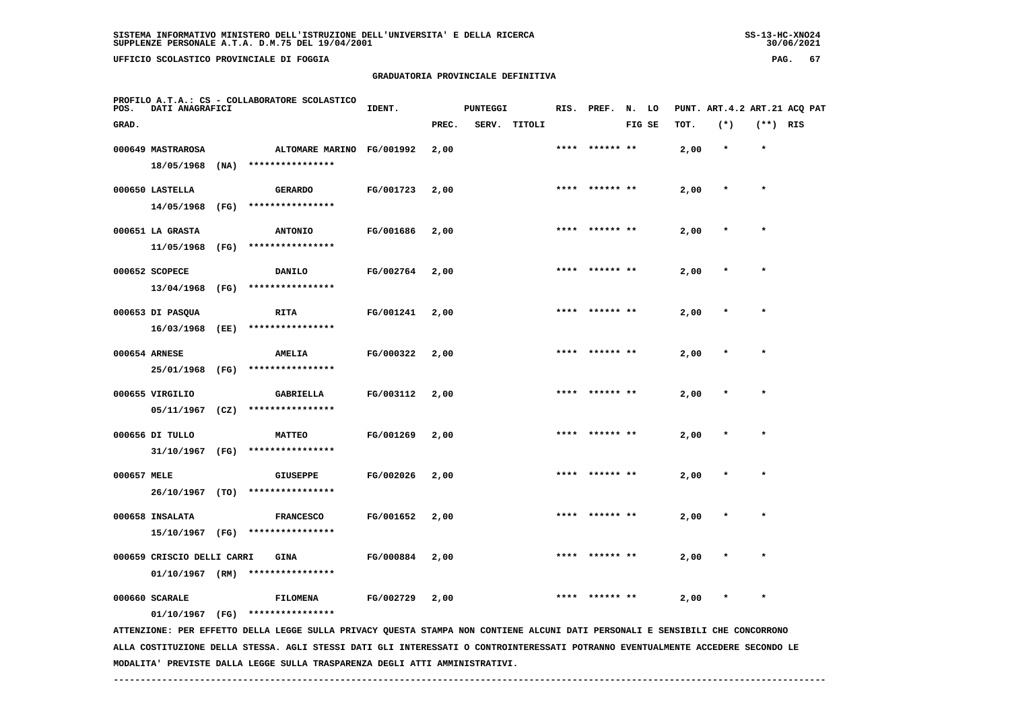UFFICIO SCOLASTICO PROVINCIALE DI FOGGIA

# **GRADUATORIA PROVINCIALE DEFINITIVA**

| PAG. | 67 |
|------|----|
|------|----|

| POS.        | DATI ANAGRAFICI                    |      | PROFILO A.T.A.: CS - COLLABORATORE SCOLASTICO                                                                                                     | IDENT.    |       | <b>PUNTEGGI</b> |              |      | RIS. PREF. N. LO |        |      | PUNT. ART.4.2 ART.21 ACQ PAT |            |  |
|-------------|------------------------------------|------|---------------------------------------------------------------------------------------------------------------------------------------------------|-----------|-------|-----------------|--------------|------|------------------|--------|------|------------------------------|------------|--|
| GRAD.       |                                    |      |                                                                                                                                                   |           | PREC. |                 | SERV. TITOLI |      |                  | FIG SE | TOT. | $(*)$                        | $(**)$ RIS |  |
|             | 000649 MASTRAROSA<br>18/05/1968    | (NA) | ALTOMARE MARINO FG/001992<br>****************                                                                                                     |           | 2,00  |                 |              | **** | ****** **        |        | 2,00 | $\star$                      | $\star$    |  |
|             | 000650 LASTELLA<br>14/05/1968      | (FG) | <b>GERARDO</b><br>****************                                                                                                                | FG/001723 | 2,00  |                 |              |      |                  |        | 2,00 |                              |            |  |
|             | 000651 LA GRASTA<br>11/05/1968     | (FG) | <b>ANTONIO</b><br>****************                                                                                                                | FG/001686 | 2,00  |                 |              | **** |                  |        | 2,00 | $\star$                      | $\star$    |  |
|             | 000652 SCOPECE<br>13/04/1968       | (FG) | <b>DANILO</b><br>****************                                                                                                                 | FG/002764 | 2,00  |                 |              | **** | ****** **        |        | 2,00 | $\ast$                       | $\star$    |  |
|             | 000653 DI PASQUA<br>16/03/1968     | (EE) | <b>RITA</b><br>****************                                                                                                                   | FG/001241 | 2,00  |                 |              | **** | ****** **        |        | 2,00 |                              |            |  |
|             | 000654 ARNESE<br>25/01/1968        | (FG) | <b>AMELIA</b><br>****************                                                                                                                 | FG/000322 | 2,00  |                 |              |      |                  |        | 2,00 | $\ast$                       | $\star$    |  |
|             | 000655 VIRGILIO<br>05/11/1967      | (CZ) | <b>GABRIELLA</b><br>****************                                                                                                              | FG/003112 | 2,00  |                 |              |      |                  |        | 2,00 |                              |            |  |
|             | 000656 DI TULLO<br>31/10/1967 (FG) |      | <b>MATTEO</b><br>****************                                                                                                                 | FG/001269 | 2,00  |                 |              | **** | ****** **        |        | 2,00 |                              | $\star$    |  |
| 000657 MELE | 26/10/1967 (TO)                    |      | <b>GIUSEPPE</b><br>****************                                                                                                               | FG/002026 | 2,00  |                 |              |      |                  |        | 2,00 |                              | $\star$    |  |
|             | 000658 INSALATA<br>15/10/1967 (FG) |      | <b>FRANCESCO</b><br>****************                                                                                                              | FG/001652 | 2,00  |                 |              |      |                  |        | 2,00 |                              |            |  |
|             | 000659 CRISCIO DELLI CARRI         |      | <b>GINA</b><br>$01/10/1967$ (RM) ****************                                                                                                 | FG/000884 | 2,00  |                 |              |      |                  |        | 2,00 |                              |            |  |
|             | 000660 SCARALE                     |      | <b>FILOMENA</b>                                                                                                                                   | FG/002729 | 2,00  |                 |              |      | ****** **        |        | 2,00 | $\ast$                       | $\star$    |  |
|             | 01/10/1967 (FG)                    |      | ****************<br>ATTENZIONE: PER EFFETTO DELLA LEGGE SULLA PRIVACY QUESTA STAMPA NON CONTIENE ALCUNI DATI PERSONALI E SENSIBILI CHE CONCORRONO |           |       |                 |              |      |                  |        |      |                              |            |  |

 **ALLA COSTITUZIONE DELLA STESSA. AGLI STESSI DATI GLI INTERESSATI O CONTROINTERESSATI POTRANNO EVENTUALMENTE ACCEDERE SECONDO LE MODALITA' PREVISTE DALLA LEGGE SULLA TRASPARENZA DEGLI ATTI AMMINISTRATIVI.**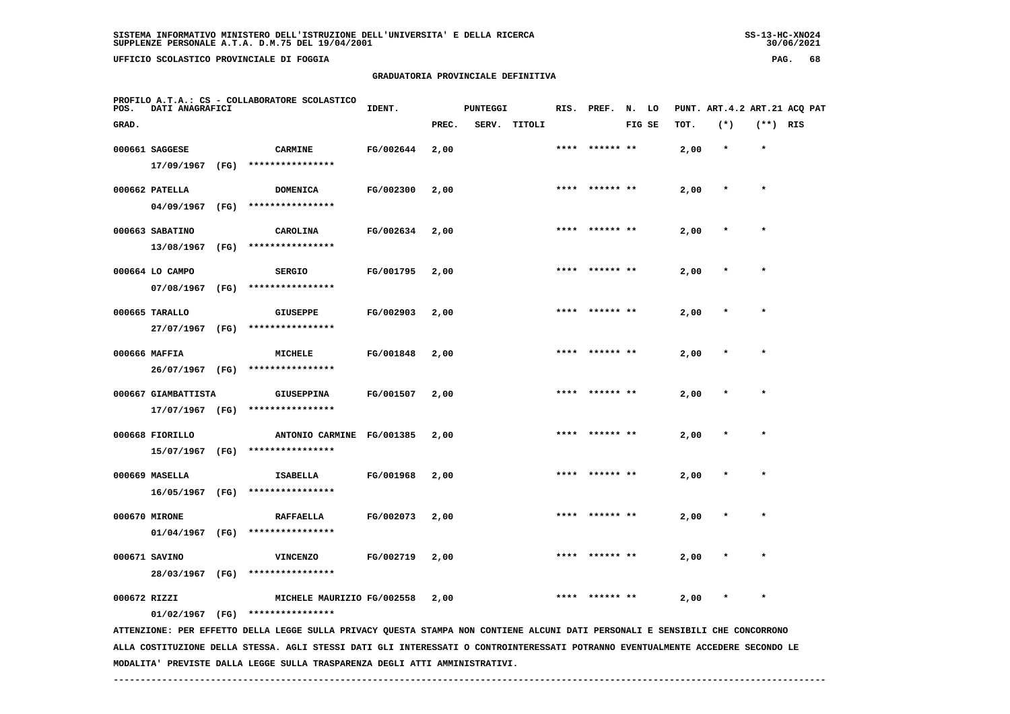**MODALITA' PREVISTE DALLA LEGGE SULLA TRASPARENZA DEGLI ATTI AMMINISTRATIVI.**

 $30/06/2021$ 

 **UFFICIO SCOLASTICO PROVINCIALE DI FOGGIA PAG. 68**

# **GRADUATORIA PROVINCIALE DEFINITIVA**

| POS.         | <b>DATI ANAGRAFICI</b>             |      | PROFILO A.T.A.: CS - COLLABORATORE SCOLASTICO                                                                                   | IDENT.    |       | <b>PUNTEGGI</b> |        | RIS. | PREF.          | N. LO |        |      | PUNT. ART. 4.2 ART. 21 ACQ PAT |            |  |
|--------------|------------------------------------|------|---------------------------------------------------------------------------------------------------------------------------------|-----------|-------|-----------------|--------|------|----------------|-------|--------|------|--------------------------------|------------|--|
| GRAD.        |                                    |      |                                                                                                                                 |           | PREC. | SERV.           | TITOLI |      |                |       | FIG SE | TOT. | $(*)$                          | $(**)$ RIS |  |
|              | 000661 SAGGESE                     |      | <b>CARMINE</b>                                                                                                                  | FG/002644 | 2,00  |                 |        |      |                |       |        | 2,00 | $\star$                        | $\star$    |  |
|              | 17/09/1967 (FG)                    |      | ****************                                                                                                                |           |       |                 |        |      |                |       |        |      |                                |            |  |
|              | 000662 PATELLA                     |      | <b>DOMENICA</b>                                                                                                                 | FG/002300 | 2,00  |                 |        | **** | ****** **      |       |        | 2,00 |                                | $\star$    |  |
|              |                                    |      | 04/09/1967 (FG) ****************                                                                                                |           |       |                 |        |      |                |       |        |      |                                |            |  |
|              | 000663 SABATINO                    |      | CAROLINA                                                                                                                        | FG/002634 | 2,00  |                 |        |      |                |       |        | 2,00 |                                |            |  |
|              | 13/08/1967                         | (FG) | ****************                                                                                                                |           |       |                 |        |      |                |       |        |      |                                |            |  |
|              | 000664 LO CAMPO                    |      | <b>SERGIO</b>                                                                                                                   | FG/001795 | 2,00  |                 |        |      |                |       |        | 2,00 |                                |            |  |
|              | 07/08/1967                         | (FG) | ****************                                                                                                                |           |       |                 |        |      |                |       |        |      |                                |            |  |
|              | 000665 TARALLO                     |      | <b>GIUSEPPE</b>                                                                                                                 | FG/002903 | 2,00  |                 |        |      | **** ****** ** |       |        | 2,00 |                                | $\star$    |  |
|              |                                    |      | 27/07/1967 (FG) ****************                                                                                                |           |       |                 |        |      |                |       |        |      |                                |            |  |
|              | 000666 MAFFIA                      |      | <b>MICHELE</b>                                                                                                                  | FG/001848 | 2,00  |                 |        |      |                |       |        | 2,00 |                                |            |  |
|              | 26/07/1967 (FG)                    |      | ****************                                                                                                                |           |       |                 |        |      |                |       |        |      |                                |            |  |
|              | 000667 GIAMBATTISTA                |      | <b>GIUSEPPINA</b>                                                                                                               | FG/001507 | 2,00  |                 |        |      |                |       |        | 2,00 |                                |            |  |
|              | 17/07/1967 (FG)                    |      | ****************                                                                                                                |           |       |                 |        |      |                |       |        |      |                                |            |  |
|              |                                    |      |                                                                                                                                 |           |       |                 |        | **** |                |       |        |      |                                |            |  |
|              | 000668 FIORILLO<br>15/07/1967 (FG) |      | ANTONIO CARMINE FG/001385<br>****************                                                                                   |           | 2,00  |                 |        |      | ****** **      |       |        | 2,00 |                                |            |  |
|              |                                    |      |                                                                                                                                 |           |       |                 |        |      |                |       |        |      |                                |            |  |
|              | 000669 MASELLA                     |      | <b>ISABELLA</b>                                                                                                                 | FG/001968 | 2,00  |                 |        |      |                |       |        | 2,00 |                                |            |  |
|              | 16/05/1967 (FG)                    |      | ****************                                                                                                                |           |       |                 |        |      |                |       |        |      |                                |            |  |
|              | 000670 MIRONE                      |      | <b>RAFFAELLA</b>                                                                                                                | FG/002073 | 2,00  |                 |        |      |                |       |        | 2,00 |                                |            |  |
|              | 01/04/1967 (FG)                    |      | ****************                                                                                                                |           |       |                 |        |      |                |       |        |      |                                |            |  |
|              | 000671 SAVINO                      |      | <b>VINCENZO</b>                                                                                                                 | FG/002719 | 2,00  |                 |        | **** | ****** **      |       |        | 2,00 |                                |            |  |
|              | 28/03/1967 (FG)                    |      | ****************                                                                                                                |           |       |                 |        |      |                |       |        |      |                                |            |  |
| 000672 RIZZI |                                    |      | MICHELE MAURIZIO FG/002558                                                                                                      |           | 2,00  |                 |        |      |                |       |        | 2,00 |                                |            |  |
|              | 01/02/1967 (FG)                    |      | ****************                                                                                                                |           |       |                 |        |      |                |       |        |      |                                |            |  |
|              |                                    |      | ATTENZIONE: PER EFFETTO DELLA LEGGE SULLA PRIVACY QUESTA STAMPA NON CONTIENE ALCUNI DATI PERSONALI E SENSIBILI CHE CONCORRONO   |           |       |                 |        |      |                |       |        |      |                                |            |  |
|              |                                    |      | ALLA COSTITUZIONE DELLA STESSA. AGLI STESSI DATI GLI INTERESSATI O CONTROINTERESSATI POTRANNO EVENTUALMENTE ACCEDERE SECONDO LE |           |       |                 |        |      |                |       |        |      |                                |            |  |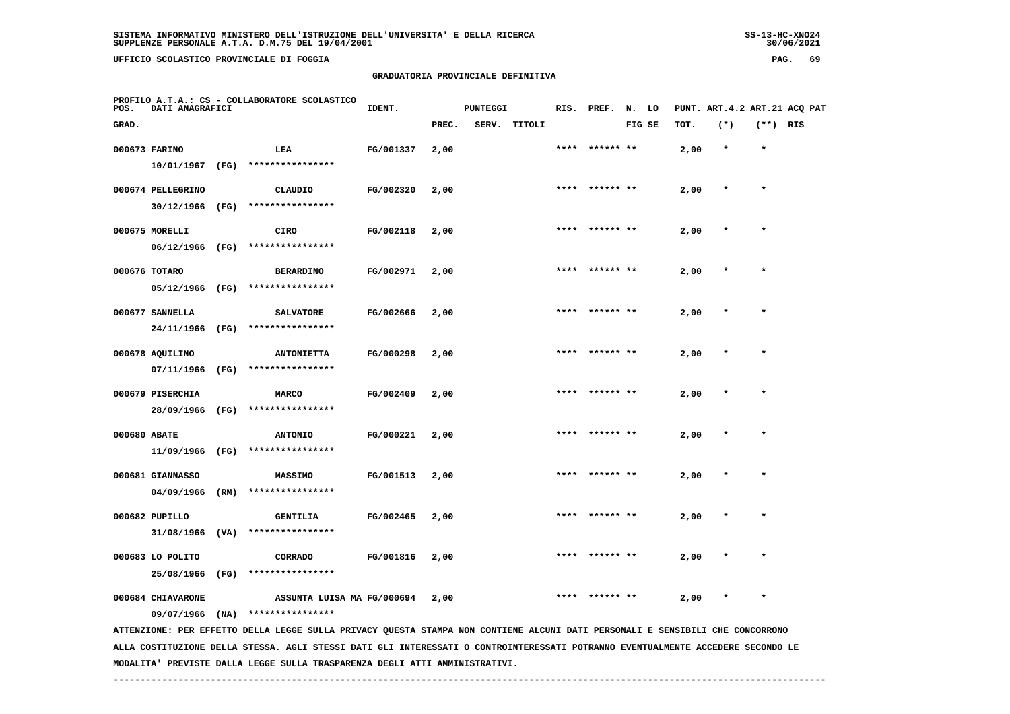**UFFICIO SCOLASTICO PROVINCIALE DI FOGGIA PAG. 69**

# **GRADUATORIA PROVINCIALE DEFINITIVA**

| POS.         | DATI ANAGRAFICI   |      | PROFILO A.T.A.: CS - COLLABORATORE SCOLASTICO                                                                                   | IDENT.    |       | <b>PUNTEGGI</b> |        | RIS. | PREF.          | N.     | LO |      |         |            | PUNT. ART. 4.2 ART. 21 ACQ PAT |
|--------------|-------------------|------|---------------------------------------------------------------------------------------------------------------------------------|-----------|-------|-----------------|--------|------|----------------|--------|----|------|---------|------------|--------------------------------|
| GRAD.        |                   |      |                                                                                                                                 |           | PREC. | SERV.           | TITOLI |      |                | FIG SE |    | TOT. | $(*)$   | $(**)$ RIS |                                |
|              | 000673 FARINO     |      | LEA                                                                                                                             | FG/001337 | 2,00  |                 |        |      |                |        |    | 2,00 | $\star$ | $\star$    |                                |
|              | 10/01/1967        | (FG) | ****************                                                                                                                |           |       |                 |        |      |                |        |    |      |         |            |                                |
|              | 000674 PELLEGRINO |      | <b>CLAUDIO</b>                                                                                                                  | FG/002320 | 2,00  |                 |        |      |                |        |    | 2,00 |         | $\star$    |                                |
|              | 30/12/1966        | (FG) | ****************                                                                                                                |           |       |                 |        |      |                |        |    |      |         |            |                                |
|              | 000675 MORELLI    |      | <b>CIRO</b>                                                                                                                     | FG/002118 | 2,00  |                 |        |      | ****** **      |        |    | 2,00 |         |            |                                |
|              | 06/12/1966 (FG)   |      | ****************                                                                                                                |           |       |                 |        |      |                |        |    |      |         |            |                                |
|              | 000676 TOTARO     |      | <b>BERARDINO</b>                                                                                                                | FG/002971 | 2,00  |                 |        |      | **** ****** ** |        |    | 2,00 |         | $\star$    |                                |
|              | 05/12/1966        | (FG) | ****************                                                                                                                |           |       |                 |        |      |                |        |    |      |         |            |                                |
|              | 000677 SANNELLA   |      | <b>SALVATORE</b>                                                                                                                | FG/002666 | 2,00  |                 |        |      |                |        |    | 2,00 |         | $\star$    |                                |
|              | 24/11/1966        | (FG) | ****************                                                                                                                |           |       |                 |        |      |                |        |    |      |         |            |                                |
|              | 000678 AQUILINO   |      | <b>ANTONIETTA</b>                                                                                                               | FG/000298 | 2,00  |                 |        |      |                |        |    | 2,00 |         |            |                                |
|              | 07/11/1966        | (FG) | ****************                                                                                                                |           |       |                 |        |      |                |        |    |      |         |            |                                |
|              | 000679 PISERCHIA  |      | <b>MARCO</b>                                                                                                                    | FG/002409 | 2,00  |                 |        |      |                |        |    | 2,00 |         |            |                                |
|              | 28/09/1966        | (FG) | ****************                                                                                                                |           |       |                 |        |      |                |        |    |      |         |            |                                |
| 000680 ABATE |                   |      | <b>ANTONIO</b>                                                                                                                  | FG/000221 | 2,00  |                 |        |      | ****** **      |        |    | 2,00 |         |            |                                |
|              | 11/09/1966        | (FG) | ****************                                                                                                                |           |       |                 |        |      |                |        |    |      |         |            |                                |
|              | 000681 GIANNASSO  |      | MASSIMO                                                                                                                         | FG/001513 | 2,00  |                 |        |      |                |        |    | 2,00 |         |            |                                |
|              | 04/09/1966        | (RM) | ****************                                                                                                                |           |       |                 |        |      |                |        |    |      |         |            |                                |
|              | 000682 PUPILLO    |      | <b>GENTILIA</b>                                                                                                                 | FG/002465 | 2,00  |                 |        |      |                |        |    | 2,00 |         |            |                                |
|              | 31/08/1966        | (VA) | ****************                                                                                                                |           |       |                 |        |      |                |        |    |      |         |            |                                |
|              | 000683 LO POLITO  |      | CORRADO                                                                                                                         | FG/001816 | 2,00  |                 |        |      |                |        |    | 2,00 |         |            |                                |
|              | 25/08/1966        | (FG) | ****************                                                                                                                |           |       |                 |        |      |                |        |    |      |         |            |                                |
|              | 000684 CHIAVARONE |      | ASSUNTA LUISA MA FG/000694                                                                                                      |           | 2,00  |                 |        | **** | ****** **      |        |    | 2,00 |         |            |                                |
|              | 09/07/1966        | (NA) | ****************                                                                                                                |           |       |                 |        |      |                |        |    |      |         |            |                                |
|              |                   |      | ALLA COSTITUZIONE DELLA STESSA. AGLI STESSI DATI GLI INTERESSATI O CONTROINTERESSATI POTRANNO EVENTUALMENTE ACCEDERE SECONDO LE |           |       |                 |        |      |                |        |    |      |         |            |                                |
|              |                   |      | ATTENZIONE: PER EFFETTO DELLA LEGGE SULLA PRIVACY QUESTA STAMPA NON CONTIENE ALCUNI DATI PERSONALI E SENSIBILI CHE CONCORRONO   |           |       |                 |        |      |                |        |    |      |         |            |                                |

 **MODALITA' PREVISTE DALLA LEGGE SULLA TRASPARENZA DEGLI ATTI AMMINISTRATIVI.**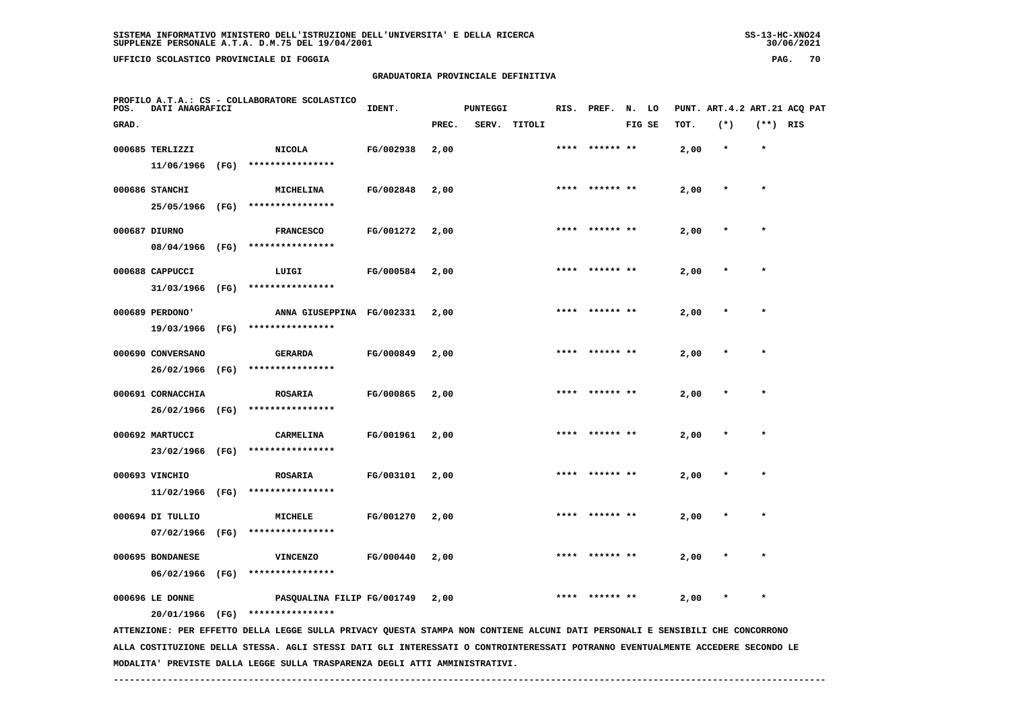**UFFICIO SCOLASTICO PROVINCIALE DI FOGGIA PAG. 70**

 **PROFILO A.T.A.: CS - COLLABORATORE SCOLASTICO**

# **GRADUATORIA PROVINCIALE DEFINITIVA**

 **GRAD. PREC. SERV. TITOLI FIG SE TOT. (\*) (\*\*) RIS**

**IDENT.** PUNTEGGI RIS. PREF. N. LO PUNT. ART.4.2 ART.21 ACQ PAT

|               | 000685 TERLIZZI                |      | <b>NICOLA</b>                       | FG/002938        | 2,00 | **** | ****** **      | 2,00 |         | $\star$ |
|---------------|--------------------------------|------|-------------------------------------|------------------|------|------|----------------|------|---------|---------|
|               | 11/06/1966                     | (FG) | ****************                    |                  |      |      |                |      |         |         |
|               | 000686 STANCHI                 |      | MICHELINA                           | FG/002848        | 2,00 | **** | ****** **      | 2,00 | $\ast$  | $\star$ |
|               | 25/05/1966                     | (FG) | ****************                    |                  |      |      |                |      |         |         |
| 000687 DIURNO |                                |      | <b>FRANCESCO</b>                    | FG/001272        | 2,00 | **** | ****** **      | 2,00 | $\star$ | $\star$ |
|               | 08/04/1966                     | (FG) | ****************                    |                  |      |      |                |      |         |         |
|               | 000688 CAPPUCCI                |      | LUIGI                               | <b>FG/000584</b> | 2,00 |      | **** ****** ** | 2,00 | $\star$ | $\star$ |
|               | 31/03/1966                     | (FG) | ****************                    |                  |      |      |                |      |         |         |
|               | 000689 PERDONO'                |      | ANNA GIUSEPPINA FG/002331           |                  | 2,00 | **** | ****** **      | 2,00 |         | $\star$ |
|               | 19/03/1966                     | (FG) | ****************                    |                  |      |      |                |      |         |         |
|               | 000690 CONVERSANO              |      | <b>GERARDA</b>                      | FG/000849        | 2,00 | **** | ****** **      | 2,00 | $\ast$  | $\star$ |
|               | 26/02/1966                     | (FG) | ****************                    |                  |      |      |                |      |         |         |
|               | 000691 CORNACCHIA              |      | <b>ROSARIA</b>                      | FG/000865        | 2,00 | **** | ****** **      | 2,00 | $\star$ | $\star$ |
|               | 26/02/1966                     | (FG) | ****************                    |                  |      |      |                |      |         |         |
|               | 000692 MARTUCCI                |      | CARMELINA                           | FG/001961        | 2,00 | **** | ****** **      | 2,00 | $\star$ | $\star$ |
|               | 23/02/1966                     | (FG) | ****************                    |                  |      |      |                |      |         |         |
|               | 000693 VINCHIO                 |      | <b>ROSARIA</b><br>****************  | FG/003101        | 2,00 | **** | ****** **      | 2,00 | $\star$ | $\star$ |
|               | 11/02/1966                     | (FG) |                                     |                  |      |      |                |      |         |         |
|               | 000694 DI TULLIO               | (FG) | MICHELE<br>****************         | FG/001270        | 2,00 |      |                | 2,00 |         |         |
|               | 07/02/1966                     |      |                                     |                  |      |      |                |      |         |         |
|               | 000695 BONDANESE<br>06/02/1966 | (FG) | <b>VINCENZO</b><br>**************** | FG/000440        | 2,00 | **** | ****** **      | 2,00 | $\star$ | $\star$ |
|               |                                |      |                                     |                  |      |      |                |      |         |         |

000696 LE DONNE **PASQUALINA FILIP FG/001749** 2,00 \*\*\*\* \*\*\*\*\*\*\*\*\* \*\* 2,00 \* \*

 **20/01/1966 (FG) \*\*\*\*\*\*\*\*\*\*\*\*\*\*\*\***

 **ATTENZIONE: PER EFFETTO DELLA LEGGE SULLA PRIVACY QUESTA STAMPA NON CONTIENE ALCUNI DATI PERSONALI E SENSIBILI CHE CONCORRONO ALLA COSTITUZIONE DELLA STESSA. AGLI STESSI DATI GLI INTERESSATI O CONTROINTERESSATI POTRANNO EVENTUALMENTE ACCEDERE SECONDO LE MODALITA' PREVISTE DALLA LEGGE SULLA TRASPARENZA DEGLI ATTI AMMINISTRATIVI.**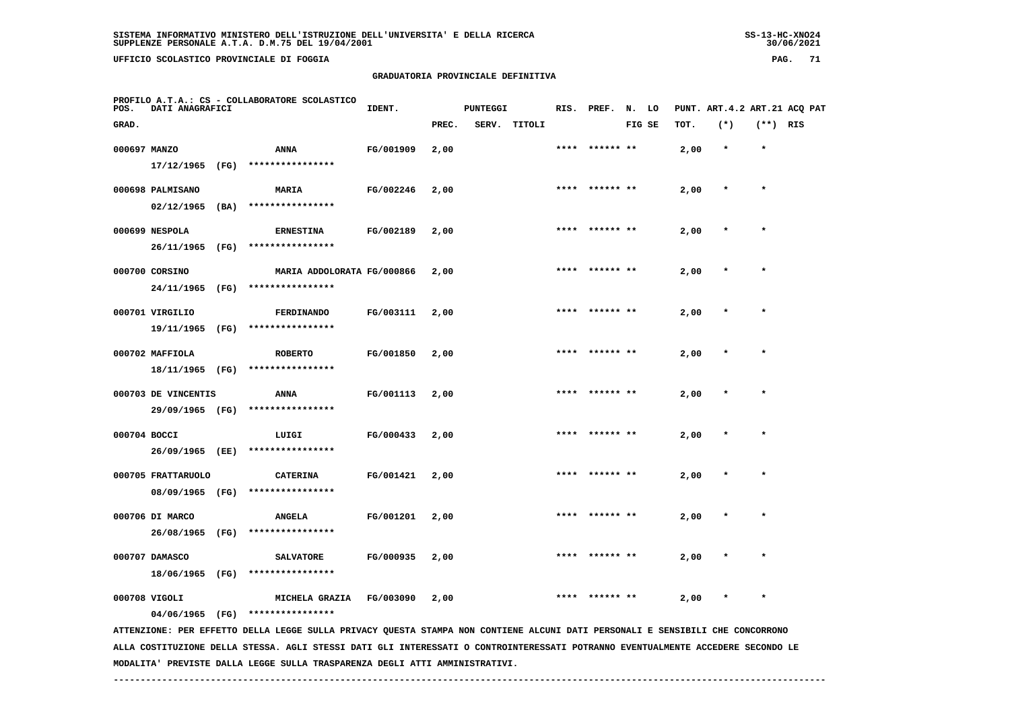**UFFICIO SCOLASTICO PROVINCIALE DI FOGGIA PAG. 71**

 **PROFILO A.T.A.: CS - COLLABORATORE SCOLASTICO**

# **GRADUATORIA PROVINCIALE DEFINITIVA**

 **GRAD. PREC. SERV. TITOLI FIG SE TOT. (\*) (\*\*) RIS**

| 000697 MANZO |                  |      | <b>ANNA</b>                | FG/001909 | 2,00 | **** | ****** ** | 2,00 | $\star$ | $\star$ |
|--------------|------------------|------|----------------------------|-----------|------|------|-----------|------|---------|---------|
|              | 17/12/1965       | (FG) | ****************           |           |      |      |           |      |         |         |
|              | 000698 PALMISANO |      | <b>MARIA</b>               | FG/002246 | 2,00 | **** | ****** ** | 2,00 | $\star$ | $\star$ |
|              | 02/12/1965       | (BA) | ****************           |           |      |      |           |      |         |         |
|              | 000699 NESPOLA   |      | <b>ERNESTINA</b>           | FG/002189 | 2,00 | **** | ****** ** | 2,00 | $\star$ |         |
|              | 26/11/1965       | (FG) | ****************           |           |      |      |           |      |         |         |
|              | 000700 CORSINO   |      | MARIA ADDOLORATA FG/000866 |           | 2,00 | **** | ****** ** | 2,00 | $\star$ | $\star$ |
|              | 24/11/1965       | (FG) | ****************           |           |      |      |           |      |         |         |
|              | 000701 VIRGILIO  |      | FERDINANDO                 | FG/003111 | 2,00 | **** | ****** ** | 2,00 | $\star$ | $\star$ |
|              | 19/11/1965       | (FG) | ****************           |           |      |      |           |      |         |         |
|              | 000702 MAFFIOLA  |      | <b>ROBERTO</b>             | FG/001850 | 2,00 | **** | ****** ** | 2,00 | $\star$ | $\star$ |
|              | 18/11/1965       | (FA) | ****************           |           |      |      |           |      |         |         |

**IDENT.** PUNTEGGI RIS. PREF. N. LO PUNT. ART.4.2 ART.21 ACQ PAT

| 000703 DE VINCENTIS |  | <b>ANNA</b>           | FG/001113 2,00 |  | **** ****** ** | $2,00$ * |  |
|---------------------|--|-----------------------|----------------|--|----------------|----------|--|
| 29/09/1965          |  | (FG) **************** |                |  |                |          |  |

 **000704 BOCCI LUIGI FG/000433 2,00 \*\*\*\* \*\*\*\*\*\* \*\* 2,00 \* \* 26/09/1965 (EE) \*\*\*\*\*\*\*\*\*\*\*\*\*\*\*\* 000705 FRATTARUOLO CATERINA FG/001421 2,00 \*\*\*\* \*\*\*\*\*\* \*\* 2,00 \* \* 08/09/1965 (FG) \*\*\*\*\*\*\*\*\*\*\*\*\*\*\*\***

 **000706 DI MARCO ANGELA FG/001201 2,00 \*\*\*\* \*\*\*\*\*\* \*\* 2,00 \* \* 26/08/1965 (FG) \*\*\*\*\*\*\*\*\*\*\*\*\*\*\*\* 000707 DAMASCO SALVATORE FG/000935 2,00 \*\*\*\* \*\*\*\*\*\* \*\* 2,00 \* \***

 **18/06/1965 (FG) \*\*\*\*\*\*\*\*\*\*\*\*\*\*\*\***

 **000708 VIGOLI MICHELA GRAZIA FG/003090 2,00 \*\*\*\* \*\*\*\*\*\* \*\* 2,00 \* \* 04/06/1965 (FG) \*\*\*\*\*\*\*\*\*\*\*\*\*\*\*\***

 **ATTENZIONE: PER EFFETTO DELLA LEGGE SULLA PRIVACY QUESTA STAMPA NON CONTIENE ALCUNI DATI PERSONALI E SENSIBILI CHE CONCORRONO ALLA COSTITUZIONE DELLA STESSA. AGLI STESSI DATI GLI INTERESSATI O CONTROINTERESSATI POTRANNO EVENTUALMENTE ACCEDERE SECONDO LE MODALITA' PREVISTE DALLA LEGGE SULLA TRASPARENZA DEGLI ATTI AMMINISTRATIVI.**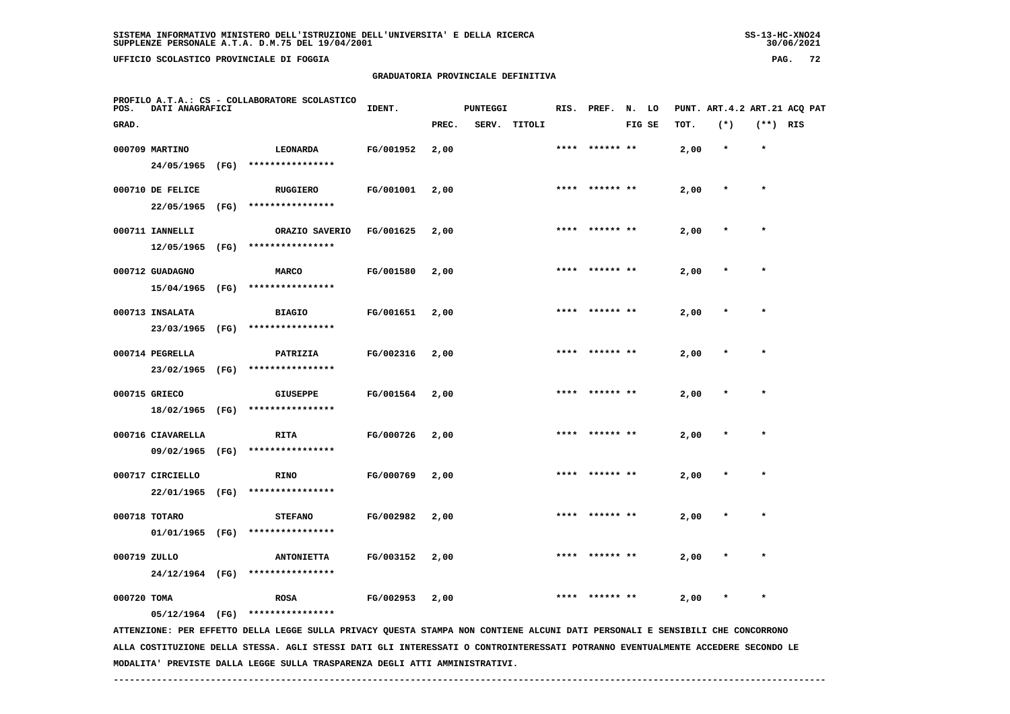**UFFICIO SCOLASTICO PROVINCIALE DI FOGGIA PAG. 72**

## **GRADUATORIA PROVINCIALE DEFINITIVA**

| POS.         | DATI ANAGRAFICI   |      | PROFILO A.T.A.: CS - COLLABORATORE SCOLASTICO                                                                                 | IDENT.    |       | <b>PUNTEGGI</b> |        |      | RIS. PREF. N. LO |        |      |         |            | PUNT. ART.4.2 ART.21 ACQ PAT |
|--------------|-------------------|------|-------------------------------------------------------------------------------------------------------------------------------|-----------|-------|-----------------|--------|------|------------------|--------|------|---------|------------|------------------------------|
| GRAD.        |                   |      |                                                                                                                               |           | PREC. | SERV.           | TITOLI |      |                  | FIG SE | TOT. | $(*)$   | $(**)$ RIS |                              |
|              | 000709 MARTINO    |      | LEONARDA                                                                                                                      | FG/001952 | 2,00  |                 |        |      |                  |        | 2,00 | $\star$ | $\star$    |                              |
|              | 24/05/1965        | (FG) | ****************                                                                                                              |           |       |                 |        |      |                  |        |      |         |            |                              |
|              | 000710 DE FELICE  |      | <b>RUGGIERO</b>                                                                                                               | FG/001001 | 2,00  |                 |        |      | **** ****** **   |        | 2,00 | $\star$ | $\star$    |                              |
|              | 22/05/1965        | (FG) | ****************                                                                                                              |           |       |                 |        |      |                  |        |      |         |            |                              |
|              | 000711 IANNELLI   |      | ORAZIO SAVERIO                                                                                                                | FG/001625 | 2,00  |                 |        | **** | ****** **        |        | 2,00 |         | $\star$    |                              |
|              | 12/05/1965        | (FG) | ****************                                                                                                              |           |       |                 |        |      |                  |        |      |         |            |                              |
|              | 000712 GUADAGNO   |      | <b>MARCO</b>                                                                                                                  | FG/001580 | 2,00  |                 |        |      |                  |        | 2,00 |         |            |                              |
|              | 15/04/1965        | (FG) | ****************                                                                                                              |           |       |                 |        |      |                  |        |      |         |            |                              |
|              | 000713 INSALATA   |      | <b>BIAGIO</b>                                                                                                                 | FG/001651 | 2,00  |                 |        |      |                  |        | 2,00 |         | $\star$    |                              |
|              | 23/03/1965        | (FG) | ****************                                                                                                              |           |       |                 |        |      |                  |        |      |         |            |                              |
|              | 000714 PEGRELLA   |      | PATRIZIA                                                                                                                      | FG/002316 | 2,00  |                 |        | **** | ****** **        |        | 2,00 |         |            |                              |
|              | 23/02/1965 (FG)   |      | ****************                                                                                                              |           |       |                 |        |      |                  |        |      |         |            |                              |
|              | 000715 GRIECO     |      | <b>GIUSEPPE</b>                                                                                                               | FG/001564 | 2,00  |                 |        |      |                  |        | 2,00 |         | $\star$    |                              |
|              | 18/02/1965 (FG)   |      | ****************                                                                                                              |           |       |                 |        |      |                  |        |      |         |            |                              |
|              | 000716 CIAVARELLA |      | RITA                                                                                                                          | FG/000726 | 2,00  |                 |        | **** | ****** **        |        | 2,00 |         | $\star$    |                              |
|              | 09/02/1965        |      | (FG) *****************                                                                                                        |           |       |                 |        |      |                  |        |      |         |            |                              |
|              | 000717 CIRCIELLO  |      | <b>RINO</b>                                                                                                                   | FG/000769 | 2,00  |                 |        |      |                  |        | 2,00 |         |            |                              |
|              | 22/01/1965        | (FG) | ****************                                                                                                              |           |       |                 |        |      |                  |        |      |         |            |                              |
|              | 000718 TOTARO     |      | <b>STEFANO</b>                                                                                                                | FG/002982 | 2,00  |                 |        |      |                  |        | 2,00 |         |            |                              |
|              | 01/01/1965 (FG)   |      | ****************                                                                                                              |           |       |                 |        |      |                  |        |      |         |            |                              |
| 000719 ZULLO |                   |      | <b>ANTONIETTA</b>                                                                                                             | FG/003152 | 2,00  |                 |        |      | ****** **        |        | 2,00 |         |            |                              |
|              | 24/12/1964 (FG)   |      | ****************                                                                                                              |           |       |                 |        |      |                  |        |      |         |            |                              |
| 000720 TOMA  |                   |      | <b>ROSA</b>                                                                                                                   | FG/002953 | 2,00  |                 |        |      |                  |        | 2,00 |         | $\star$    |                              |
|              | 05/12/1964 (FG)   |      | ****************                                                                                                              |           |       |                 |        |      |                  |        |      |         |            |                              |
|              |                   |      | ATTENZIONE: PER EFFETTO DELLA LEGGE SULLA PRIVACY QUESTA STAMPA NON CONTIENE ALCUNI DATI PERSONALI E SENSIBILI CHE CONCORRONO |           |       |                 |        |      |                  |        |      |         |            |                              |

 **ALLA COSTITUZIONE DELLA STESSA. AGLI STESSI DATI GLI INTERESSATI O CONTROINTERESSATI POTRANNO EVENTUALMENTE ACCEDERE SECONDO LE MODALITA' PREVISTE DALLA LEGGE SULLA TRASPARENZA DEGLI ATTI AMMINISTRATIVI.**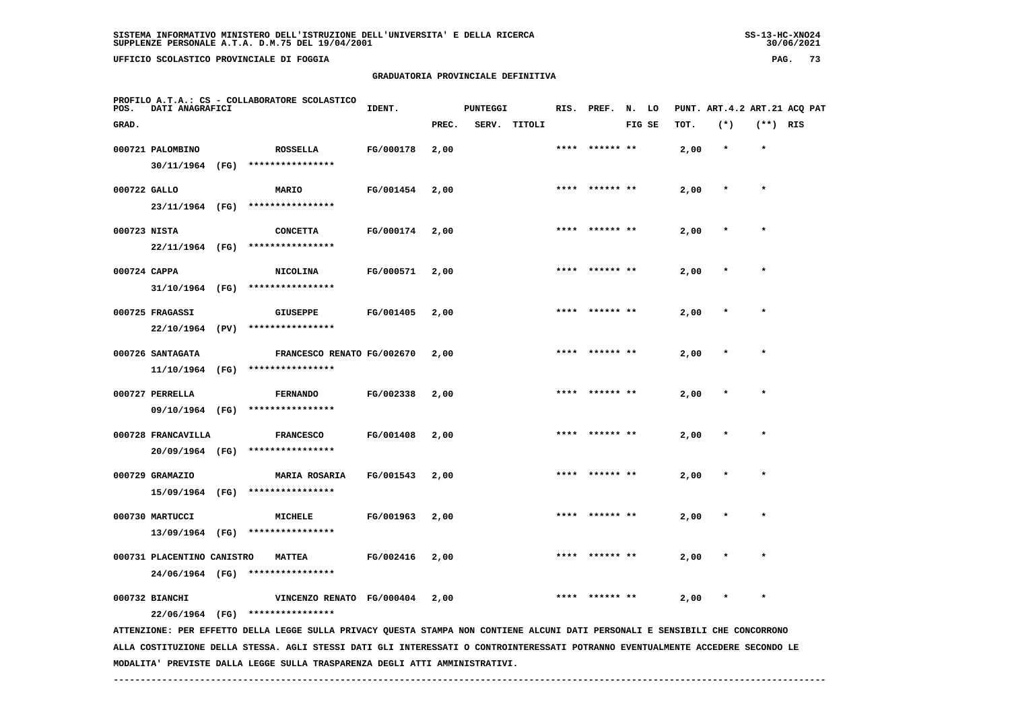**UFFICIO SCOLASTICO PROVINCIALE DI FOGGIA PAG. 73**

## **GRADUATORIA PROVINCIALE DEFINITIVA**

| POS.         | DATI ANAGRAFICI            | PROFILO A.T.A.: CS - COLLABORATORE SCOLASTICO                                                                                   | IDENT.    |       | <b>PUNTEGGI</b> |              | RIS. | PREF.          | N. LO  |      |         |            | PUNT. ART. 4.2 ART. 21 ACQ PAT |
|--------------|----------------------------|---------------------------------------------------------------------------------------------------------------------------------|-----------|-------|-----------------|--------------|------|----------------|--------|------|---------|------------|--------------------------------|
| GRAD.        |                            |                                                                                                                                 |           | PREC. |                 | SERV. TITOLI |      |                | FIG SE | TOT. | $(*)$   | $(**)$ RIS |                                |
|              | 000721 PALOMBINO           | <b>ROSSELLA</b>                                                                                                                 | FG/000178 | 2,00  |                 |              |      |                |        | 2,00 | $\star$ | $\star$    |                                |
|              | 30/11/1964 (FG)            | ****************                                                                                                                |           |       |                 |              |      |                |        |      |         |            |                                |
| 000722 GALLO |                            | MARIO                                                                                                                           | FG/001454 | 2,00  |                 |              |      |                |        | 2,00 |         | $\star$    |                                |
|              | 23/11/1964 (FG)            | ****************                                                                                                                |           |       |                 |              |      |                |        |      |         |            |                                |
| 000723 NISTA |                            | <b>CONCETTA</b>                                                                                                                 | FG/000174 | 2,00  |                 |              |      |                |        | 2,00 |         |            |                                |
|              | 22/11/1964 (FG)            | ****************                                                                                                                |           |       |                 |              |      |                |        |      |         |            |                                |
| 000724 CAPPA |                            | <b>NICOLINA</b>                                                                                                                 | FG/000571 | 2,00  |                 |              |      | **** ****** ** |        | 2,00 |         |            |                                |
|              | 31/10/1964 (FG)            | ****************                                                                                                                |           |       |                 |              |      |                |        |      |         |            |                                |
|              | 000725 FRAGASSI            | <b>GIUSEPPE</b>                                                                                                                 | FG/001405 | 2,00  |                 |              |      | **** ****** ** |        | 2,00 |         | $\star$    |                                |
|              |                            | 22/10/1964 (PV) ****************                                                                                                |           |       |                 |              |      |                |        |      |         |            |                                |
|              | 000726 SANTAGATA           | FRANCESCO RENATO FG/002670                                                                                                      |           | 2,00  |                 |              |      |                |        | 2,00 |         |            |                                |
|              | 11/10/1964 (FG)            | ****************                                                                                                                |           |       |                 |              |      |                |        |      |         |            |                                |
|              | 000727 PERRELLA            | <b>FERNANDO</b>                                                                                                                 | FG/002338 | 2,00  |                 |              |      |                |        | 2,00 |         |            |                                |
|              | 09/10/1964 (FG)            | ****************                                                                                                                |           |       |                 |              |      |                |        |      |         |            |                                |
|              | 000728 FRANCAVILLA         | <b>FRANCESCO</b>                                                                                                                | FG/001408 | 2,00  |                 |              |      | ****** **      |        | 2,00 |         |            |                                |
|              | 20/09/1964 (FG)            | ****************                                                                                                                |           |       |                 |              |      |                |        |      |         |            |                                |
|              | 000729 GRAMAZIO            | <b>MARIA ROSARIA</b>                                                                                                            | FG/001543 | 2,00  |                 |              | **** | ****** **      |        | 2,00 |         | $\star$    |                                |
|              | 15/09/1964 (FG)            | ****************                                                                                                                |           |       |                 |              |      |                |        |      |         |            |                                |
|              | 000730 MARTUCCI            | <b>MICHELE</b>                                                                                                                  | FG/001963 | 2,00  |                 |              |      |                |        | 2,00 |         |            |                                |
|              | 13/09/1964 (FG)            | ****************                                                                                                                |           |       |                 |              |      |                |        |      |         |            |                                |
|              | 000731 PLACENTINO CANISTRO | <b>MATTEA</b>                                                                                                                   | FG/002416 | 2,00  |                 |              |      |                |        | 2,00 |         |            |                                |
|              |                            | 24/06/1964 (FG) ****************                                                                                                |           |       |                 |              |      |                |        |      |         |            |                                |
|              | 000732 BIANCHI             | VINCENZO RENATO FG/000404                                                                                                       |           | 2,00  |                 |              |      |                |        | 2,00 |         |            |                                |
|              | 22/06/1964 (FG)            | ****************                                                                                                                |           |       |                 |              |      |                |        |      |         |            |                                |
|              |                            | ATTENZIONE: PER EFFETTO DELLA LEGGE SULLA PRIVACY QUESTA STAMPA NON CONTIENE ALCUNI DATI PERSONALI E SENSIBILI CHE CONCORRONO   |           |       |                 |              |      |                |        |      |         |            |                                |
|              |                            | ALLA COSTITUZIONE DELLA STESSA. AGLI STESSI DATI GLI INTERESSATI O CONTROINTERESSATI POTRANNO EVENTUALMENTE ACCEDERE SECONDO LE |           |       |                 |              |      |                |        |      |         |            |                                |

 **------------------------------------------------------------------------------------------------------------------------------------**

 **MODALITA' PREVISTE DALLA LEGGE SULLA TRASPARENZA DEGLI ATTI AMMINISTRATIVI.**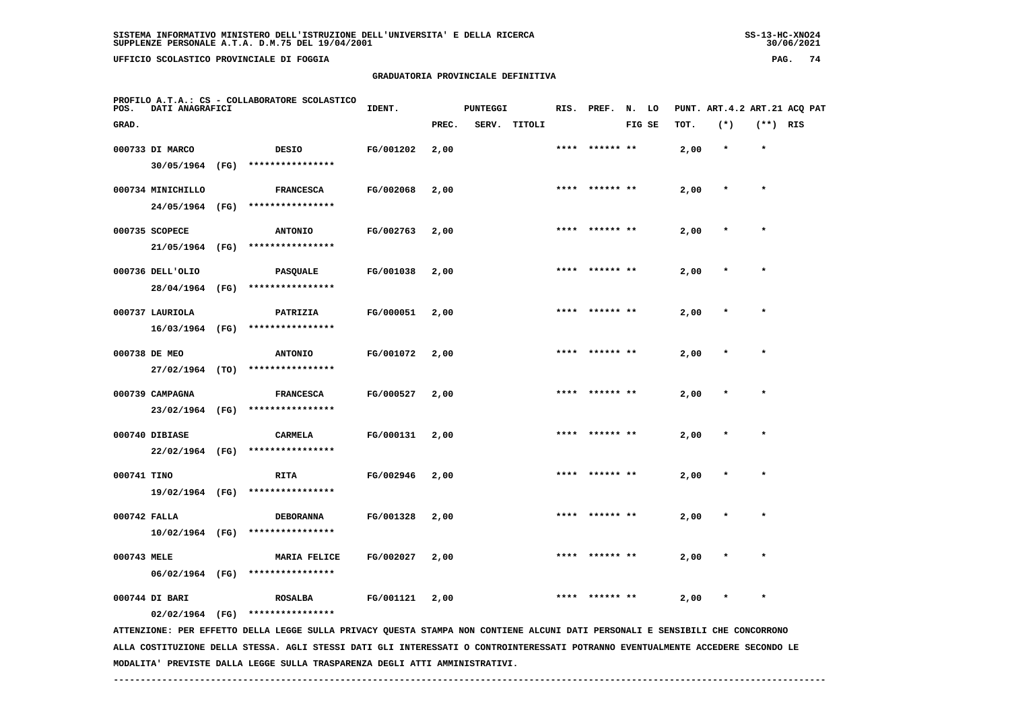**UFFICIO SCOLASTICO PROVINCIALE DI FOGGIA PAG. 74**

## **GRADUATORIA PROVINCIALE DEFINITIVA**

| POS.        | DATI ANAGRAFICI   | PROFILO A.T.A.: CS - COLLABORATORE SCOLASTICO                                                                                   | IDENT.    |       | <b>PUNTEGGI</b> |              | RIS. | PREF.     | N. LO  |      |         |            | PUNT. ART. 4.2 ART. 21 ACQ PAT |
|-------------|-------------------|---------------------------------------------------------------------------------------------------------------------------------|-----------|-------|-----------------|--------------|------|-----------|--------|------|---------|------------|--------------------------------|
| GRAD.       |                   |                                                                                                                                 |           | PREC. |                 | SERV. TITOLI |      |           | FIG SE | TOT. | $(*)$   | $(**)$ RIS |                                |
|             | 000733 DI MARCO   | <b>DESIO</b>                                                                                                                    | FG/001202 | 2,00  |                 |              | **** | ****** ** |        | 2,00 | $\star$ | $\star$    |                                |
|             | 30/05/1964 (FG)   | ****************                                                                                                                |           |       |                 |              |      |           |        |      |         |            |                                |
|             | 000734 MINICHILLO | <b>FRANCESCA</b>                                                                                                                | FG/002068 | 2,00  |                 |              |      |           |        | 2,00 | $\star$ | $\star$    |                                |
|             | 24/05/1964 (FG)   | ****************                                                                                                                |           |       |                 |              |      |           |        |      |         |            |                                |
|             | 000735 SCOPECE    | <b>ANTONIO</b>                                                                                                                  | FG/002763 | 2,00  |                 |              |      |           |        | 2,00 |         |            |                                |
|             | 21/05/1964 (FG)   | ****************                                                                                                                |           |       |                 |              |      |           |        |      |         |            |                                |
|             | 000736 DELL'OLIO  | PASQUALE                                                                                                                        | FG/001038 | 2,00  |                 |              |      |           |        | 2,00 |         |            |                                |
|             | 28/04/1964 (FG)   | ****************                                                                                                                |           |       |                 |              |      |           |        |      |         |            |                                |
|             | 000737 LAURIOLA   | PATRIZIA                                                                                                                        | FG/000051 | 2,00  |                 |              | **** | ****** ** |        | 2,00 |         |            |                                |
|             | 16/03/1964 (FG)   | ****************                                                                                                                |           |       |                 |              |      |           |        |      |         |            |                                |
|             | 000738 DE MEO     | <b>ANTONIO</b>                                                                                                                  | FG/001072 | 2,00  |                 |              | **** |           |        | 2,00 |         | $\star$    |                                |
|             | 27/02/1964 (TO)   | ****************                                                                                                                |           |       |                 |              |      |           |        |      |         |            |                                |
|             | 000739 CAMPAGNA   | <b>FRANCESCA</b>                                                                                                                | FG/000527 | 2,00  |                 |              |      |           |        | 2,00 |         |            |                                |
|             | 23/02/1964 (FG)   | ****************                                                                                                                |           |       |                 |              |      |           |        |      |         |            |                                |
|             | 000740 DIBIASE    | CARMELA                                                                                                                         | FG/000131 | 2,00  |                 |              |      |           |        | 2,00 |         |            |                                |
|             | $22/02/1964$ (FG) | ****************                                                                                                                |           |       |                 |              |      |           |        |      |         |            |                                |
| 000741 TINO |                   | RITA                                                                                                                            | FG/002946 | 2,00  |                 |              |      |           |        | 2,00 |         |            |                                |
|             | 19/02/1964 (FG)   | ****************                                                                                                                |           |       |                 |              |      |           |        |      |         |            |                                |
|             | 000742 FALLA      | <b>DEBORANNA</b>                                                                                                                | FG/001328 | 2,00  |                 |              |      |           |        | 2,00 |         | $\star$    |                                |
|             | 10/02/1964 (FG)   | ****************                                                                                                                |           |       |                 |              |      |           |        |      |         |            |                                |
| 000743 MELE |                   | <b>MARIA FELICE</b>                                                                                                             | FG/002027 | 2,00  |                 |              |      |           |        | 2,00 |         |            |                                |
|             | 06/02/1964 (FG)   | ****************                                                                                                                |           |       |                 |              |      |           |        |      |         |            |                                |
|             | 000744 DI BARI    | <b>ROSALBA</b>                                                                                                                  | FG/001121 | 2,00  |                 |              |      |           |        | 2,00 |         |            |                                |
|             | $02/02/1964$ (FG) | ****************                                                                                                                |           |       |                 |              |      |           |        |      |         |            |                                |
|             |                   | ATTENZIONE: PER EFFETTO DELLA LEGGE SULLA PRIVACY QUESTA STAMPA NON CONTIENE ALCUNI DATI PERSONALI E SENSIBILI CHE CONCORRONO   |           |       |                 |              |      |           |        |      |         |            |                                |
|             |                   | ALLA COSTITUZIONE DELLA STESSA. AGLI STESSI DATI GLI INTERESSATI O CONTROINTERESSATI POTRANNO EVENTUALMENTE ACCEDERE SECONDO LE |           |       |                 |              |      |           |        |      |         |            |                                |

 **MODALITA' PREVISTE DALLA LEGGE SULLA TRASPARENZA DEGLI ATTI AMMINISTRATIVI.**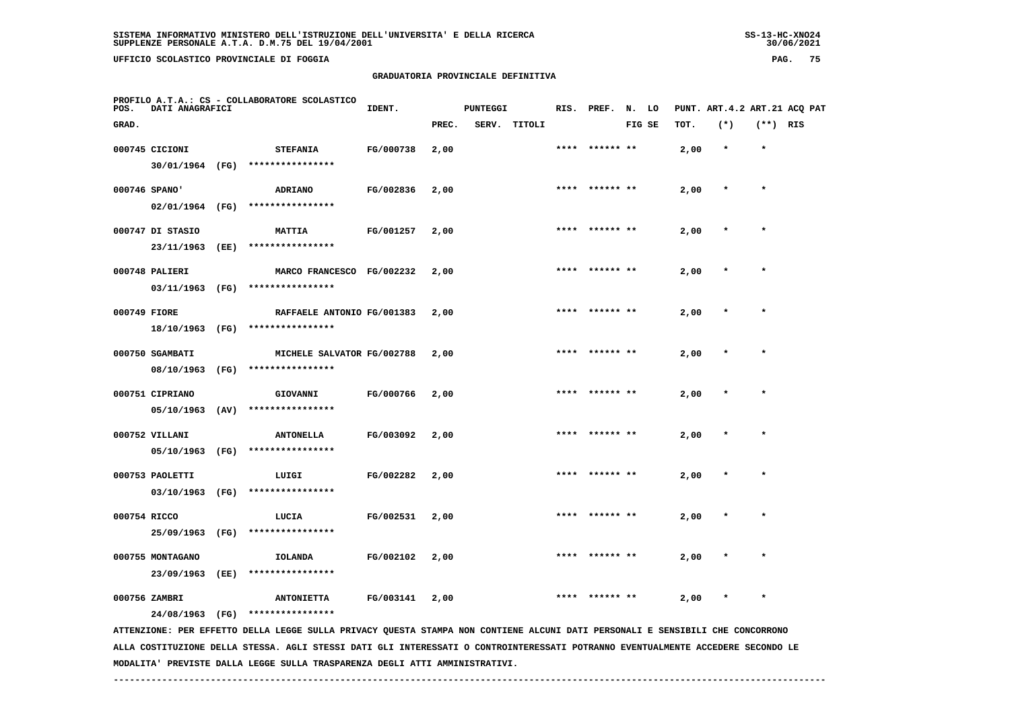**UFFICIO SCOLASTICO PROVINCIALE DI FOGGIA PAG. 75**

## **GRADUATORIA PROVINCIALE DEFINITIVA**

| POS.  | DATI ANAGRAFICI  |      | PROFILO A.T.A.: CS - COLLABORATORE SCOLASTICO                                                                                   | IDENT.    |       | <b>PUNTEGGI</b> |        |      | RIS. PREF. | N.     | LO |      | PUNT. ART. 4.2 ART. 21 ACQ PAT |            |  |
|-------|------------------|------|---------------------------------------------------------------------------------------------------------------------------------|-----------|-------|-----------------|--------|------|------------|--------|----|------|--------------------------------|------------|--|
| GRAD. |                  |      |                                                                                                                                 |           | PREC. | SERV.           | TITOLI |      |            | FIG SE |    | TOT. | $(*)$                          | $(**)$ RIS |  |
|       | 000745 CICIONI   |      | <b>STEFANIA</b>                                                                                                                 | FG/000738 | 2,00  |                 |        |      | ****** **  |        |    | 2,00 | $\star$                        | $\star$    |  |
|       | 30/01/1964 (FG)  |      | ****************                                                                                                                |           |       |                 |        |      |            |        |    |      |                                |            |  |
|       | 000746 SPANO'    |      | <b>ADRIANO</b>                                                                                                                  | FG/002836 | 2,00  |                 |        | **** |            |        |    | 2,00 |                                | $\star$    |  |
|       | 02/01/1964 (FG)  |      | ****************                                                                                                                |           |       |                 |        |      |            |        |    |      |                                |            |  |
|       | 000747 DI STASIO |      | <b>MATTIA</b>                                                                                                                   | FG/001257 | 2,00  |                 |        |      |            |        |    | 2,00 |                                |            |  |
|       | 23/11/1963       | (EE) | ****************                                                                                                                |           |       |                 |        |      |            |        |    |      |                                |            |  |
|       | 000748 PALIERI   |      | MARCO FRANCESCO FG/002232                                                                                                       |           | 2,00  |                 |        |      | ****** **  |        |    | 2,00 |                                | $\star$    |  |
|       | 03/11/1963       | (FG) | ****************                                                                                                                |           |       |                 |        |      |            |        |    |      |                                |            |  |
|       | 000749 FIORE     |      | RAFFAELE ANTONIO FG/001383                                                                                                      |           | 2,00  |                 |        |      | ****** **  |        |    | 2,00 |                                |            |  |
|       | 18/10/1963       | (FG) | ****************                                                                                                                |           |       |                 |        |      |            |        |    |      |                                |            |  |
|       | 000750 SGAMBATI  |      | MICHELE SALVATOR FG/002788                                                                                                      |           | 2,00  |                 |        |      |            |        |    | 2,00 |                                | $\star$    |  |
|       | 08/10/1963       | (FG) | ****************                                                                                                                |           |       |                 |        |      |            |        |    |      |                                |            |  |
|       | 000751 CIPRIANO  |      | GIOVANNI                                                                                                                        | FG/000766 | 2,00  |                 |        |      |            |        |    | 2,00 |                                |            |  |
|       | 05/10/1963       | (AV) | ****************                                                                                                                |           |       |                 |        |      |            |        |    |      |                                |            |  |
|       | 000752 VILLANI   |      | <b>ANTONELLA</b>                                                                                                                | FG/003092 | 2,00  |                 |        |      |            |        |    | 2,00 |                                | $\star$    |  |
|       | 05/10/1963       | (FG) | ****************                                                                                                                |           |       |                 |        |      |            |        |    |      |                                |            |  |
|       | 000753 PAOLETTI  |      | LUIGI                                                                                                                           | FG/002282 | 2,00  |                 |        |      | ****** **  |        |    | 2,00 |                                |            |  |
|       | 03/10/1963       | (FG) | ****************                                                                                                                |           |       |                 |        |      |            |        |    |      |                                |            |  |
|       | 000754 RICCO     |      | LUCIA                                                                                                                           | FG/002531 | 2,00  |                 |        | **** | ****** **  |        |    | 2,00 |                                | $\star$    |  |
|       | 25/09/1963       | (FG) | ****************                                                                                                                |           |       |                 |        |      |            |        |    |      |                                |            |  |
|       | 000755 MONTAGANO |      | <b>IOLANDA</b>                                                                                                                  | FG/002102 | 2,00  |                 |        |      |            |        |    | 2,00 |                                |            |  |
|       | 23/09/1963       | (EE) | ****************                                                                                                                |           |       |                 |        |      |            |        |    |      |                                |            |  |
|       | 000756 ZAMBRI    |      | <b>ANTONIETTA</b>                                                                                                               | FG/003141 | 2,00  |                 |        |      |            |        |    | 2,00 |                                |            |  |
|       | 24/08/1963 (FG)  |      | ****************                                                                                                                |           |       |                 |        |      |            |        |    |      |                                |            |  |
|       |                  |      | ATTENZIONE: PER EFFETTO DELLA LEGGE SULLA PRIVACY QUESTA STAMPA NON CONTIENE ALCUNI DATI PERSONALI E SENSIBILI CHE CONCORRONO   |           |       |                 |        |      |            |        |    |      |                                |            |  |
|       |                  |      | ALLA COSTITUZIONE DELLA STESSA. AGLI STESSI DATI GLI INTERESSATI O CONTROINTERESSATI POTRANNO EVENTUALMENTE ACCEDERE SECONDO LE |           |       |                 |        |      |            |        |    |      |                                |            |  |

 **MODALITA' PREVISTE DALLA LEGGE SULLA TRASPARENZA DEGLI ATTI AMMINISTRATIVI.**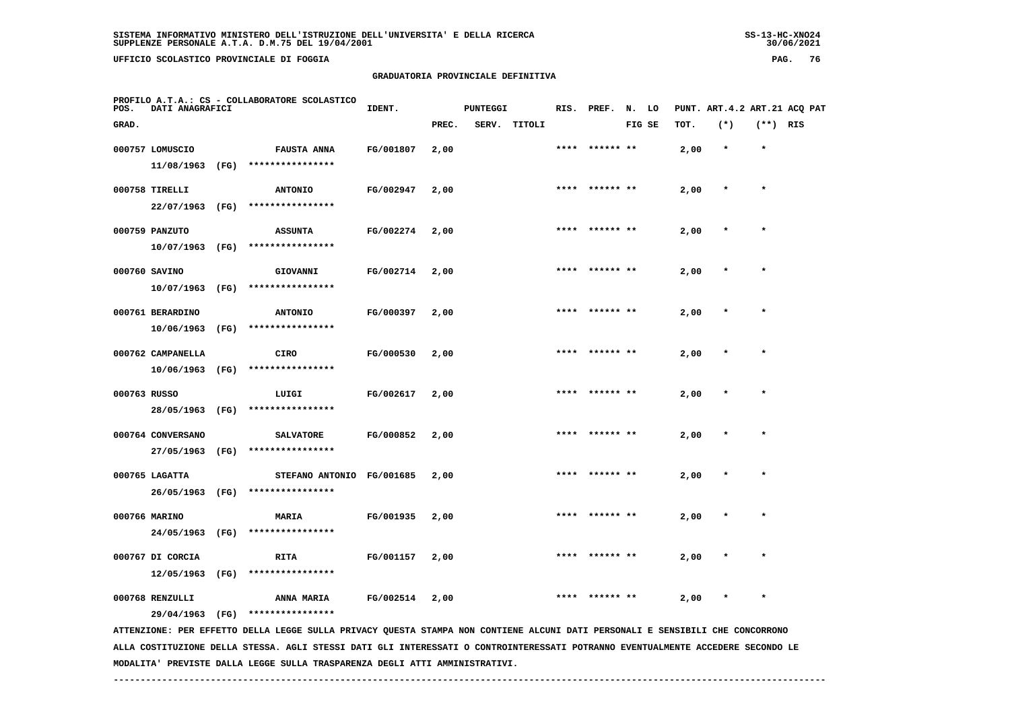**UFFICIO SCOLASTICO PROVINCIALE DI FOGGIA PAG. 76**

 **PROFILO A.T.A.: CS - COLLABORATORE SCOLASTICO**

 **11/08/1963 (FG) \*\*\*\*\*\*\*\*\*\*\*\*\*\*\*\***

## **GRADUATORIA PROVINCIALE DEFINITIVA**

**IDENT.** PUNTEGGI RIS. PREF. N. LO PUNT. ART.4.2 ART.21 ACQ PAT  **GRAD. PREC. SERV. TITOLI FIG SE TOT. (\*) (\*\*) RIS 000757 LOMUSCIO FAUSTA ANNA FG/001807 2,00 \*\*\*\* \*\*\*\*\*\* \*\* 2,00 \* \***

|              | 000758 TIRELLI    |      | <b>ANTONIO</b>         | FG/002947 | 2,00 | **** | ****** **      | 2,00 |         |         |
|--------------|-------------------|------|------------------------|-----------|------|------|----------------|------|---------|---------|
|              | 22/07/1963 (FG)   |      | ****************       |           |      |      |                |      |         |         |
|              | 000759 PANZUTO    |      | <b>ASSUNTA</b>         | FG/002274 | 2,00 | **** | ****** **      | 2,00 |         | $\star$ |
|              | 10/07/1963        | (FG) | ****************       |           |      |      |                |      |         |         |
|              | 000760 SAVINO     |      | GIOVANNI               | FG/002714 | 2,00 |      | **** ****** ** | 2,00 | $\star$ | $\star$ |
|              | 10/07/1963        | (FG) | ****************       |           |      |      |                |      |         |         |
|              | 000761 BERARDINO  |      | <b>ANTONIO</b>         | FG/000397 | 2,00 | **** |                | 2,00 | $\star$ | $\star$ |
|              | 10/06/1963        | (FG) | ****************       |           |      |      |                |      |         |         |
|              | 000762 CAMPANELLA |      | <b>CIRO</b>            | FG/000530 | 2,00 | **** | ****** **      | 2,00 | $\star$ | $\star$ |
|              | 10/06/1963        | (FG) | ****************       |           |      |      |                |      |         |         |
| 000763 RUSSO |                   |      | LUIGI                  | FG/002617 | 2,00 | **** | ****** **      | 2,00 | $\star$ | $\ast$  |
|              | 28/05/1963        | (FG) | ****************       |           |      |      |                |      |         |         |
|              | 000764 CONVERSANO |      | <b>SALVATORE</b>       | FG/000852 | 2,00 | **** | ****** **      | 2,00 | $\star$ | $\star$ |
|              | 27/05/1963 (FG)   |      | ****************       |           |      |      |                |      |         |         |
|              | 000765 LAGATTA    |      | <b>STEFANO ANTONIO</b> | FG/001685 | 2,00 | **** |                | 2,00 |         | $\star$ |
|              | 26/05/1963        | (FG) | ****************       |           |      |      |                |      |         |         |
|              | 000766 MARINO     |      | MARIA                  | FG/001935 | 2,00 | **** | ****** **      | 2,00 |         | $\star$ |
|              | 24/05/1963        | (FG) | ****************       |           |      |      |                |      |         |         |
|              | 000767 DI CORCIA  |      | <b>RITA</b>            | FG/001157 | 2,00 | **** | ****** **      | 2,00 |         |         |
|              | 12/05/1963        | (FG) | ****************       |           |      |      |                |      |         |         |
|              | 000768 RENZULLI   |      | ANNA MARIA             | FG/002514 | 2,00 | **** | ****** **      | 2,00 |         |         |
|              | 29/04/1963        | (FG) | ****************       |           |      |      |                |      |         |         |

 **ATTENZIONE: PER EFFETTO DELLA LEGGE SULLA PRIVACY QUESTA STAMPA NON CONTIENE ALCUNI DATI PERSONALI E SENSIBILI CHE CONCORRONO ALLA COSTITUZIONE DELLA STESSA. AGLI STESSI DATI GLI INTERESSATI O CONTROINTERESSATI POTRANNO EVENTUALMENTE ACCEDERE SECONDO LE MODALITA' PREVISTE DALLA LEGGE SULLA TRASPARENZA DEGLI ATTI AMMINISTRATIVI.**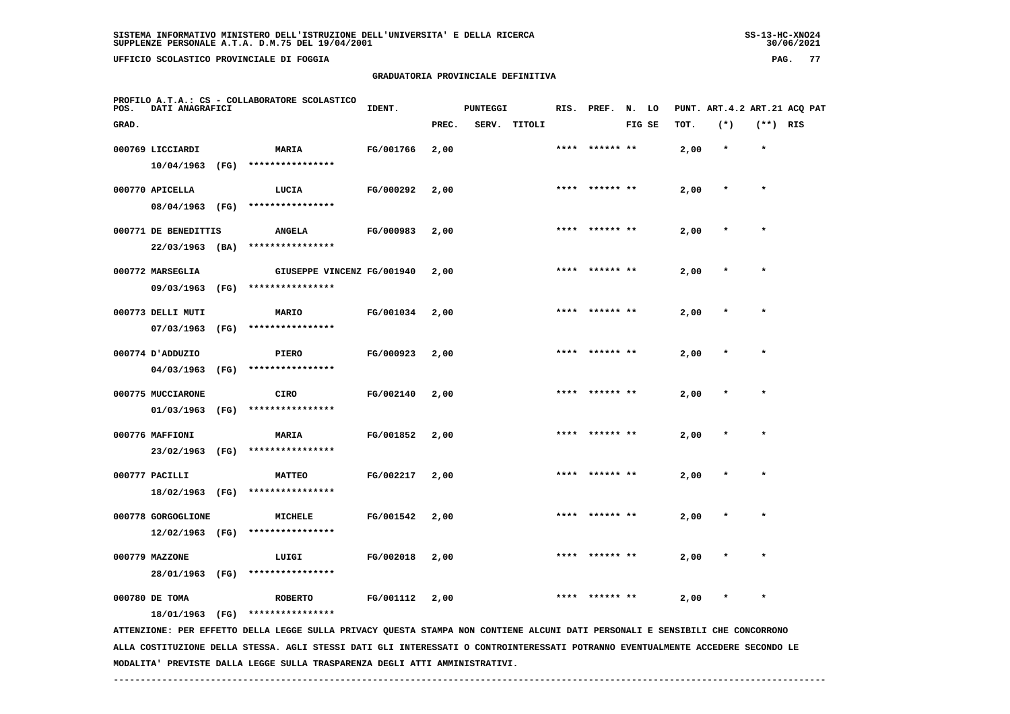# **GRADUATORIA PROVINCIALE DEFINITIVA**

| POS.  | PROFILO A.T.A.: CS - COLLABORATORE SCOLASTICO<br>DATI ANAGRAFICI |      |                                                                                                                               | IDENT.    |       | <b>PUNTEGGI</b> |              |      | RIS. PREF. N. LO |        |      |         |            | PUNT. ART.4.2 ART.21 ACQ PAT |
|-------|------------------------------------------------------------------|------|-------------------------------------------------------------------------------------------------------------------------------|-----------|-------|-----------------|--------------|------|------------------|--------|------|---------|------------|------------------------------|
| GRAD. |                                                                  |      |                                                                                                                               |           | PREC. |                 | SERV. TITOLI |      |                  | FIG SE | TOT. | $(*)$   | $(**)$ RIS |                              |
|       | 000769 LICCIARDI                                                 |      | MARIA                                                                                                                         | FG/001766 | 2,00  |                 |              | **** | ****** **        |        | 2,00 | $\star$ | $\star$    |                              |
|       | 10/04/1963                                                       | (FG) | ****************                                                                                                              |           |       |                 |              |      |                  |        |      |         |            |                              |
|       | 000770 APICELLA                                                  |      | LUCIA                                                                                                                         | FG/000292 | 2,00  |                 |              |      | **** ****** **   |        | 2,00 | $\ast$  | $\star$    |                              |
|       | 08/04/1963 (FG)                                                  |      | ****************                                                                                                              |           |       |                 |              |      |                  |        |      |         |            |                              |
|       | 000771 DE BENEDITTIS                                             |      | <b>ANGELA</b>                                                                                                                 | FG/000983 | 2,00  |                 |              | **** |                  |        | 2,00 | $\star$ | $\star$    |                              |
|       | $22/03/1963$ (BA)                                                |      | ****************                                                                                                              |           |       |                 |              |      |                  |        |      |         |            |                              |
|       | 000772 MARSEGLIA                                                 |      | GIUSEPPE VINCENZ FG/001940                                                                                                    |           | 2,00  |                 |              |      |                  |        | 2,00 |         |            |                              |
|       | 09/03/1963 (FG)                                                  |      | ****************                                                                                                              |           |       |                 |              |      |                  |        |      |         |            |                              |
|       | 000773 DELLI MUTI                                                |      | <b>MARIO</b>                                                                                                                  | FG/001034 | 2,00  |                 |              |      |                  |        | 2,00 |         |            |                              |
|       | 07/03/1963                                                       | (FG) | ****************                                                                                                              |           |       |                 |              |      |                  |        |      |         |            |                              |
|       | 000774 D'ADDUZIO                                                 |      | PIERO                                                                                                                         | FG/000923 | 2,00  |                 |              | **** | ****** **        |        | 2,00 |         | $\star$    |                              |
|       | 04/03/1963                                                       | (FG) | ****************                                                                                                              |           |       |                 |              |      |                  |        |      |         |            |                              |
|       | 000775 MUCCIARONE                                                |      | <b>CIRO</b>                                                                                                                   | FG/002140 | 2,00  |                 |              | **** | ****** **        |        | 2,00 |         | $\star$    |                              |
|       | 01/03/1963                                                       | (FG) | ****************                                                                                                              |           |       |                 |              |      |                  |        |      |         |            |                              |
|       | 000776 MAFFIONI                                                  |      | <b>MARIA</b>                                                                                                                  | FG/001852 | 2,00  |                 |              |      |                  |        | 2,00 |         | $\star$    |                              |
|       | 23/02/1963 (FG)                                                  |      | ****************                                                                                                              |           |       |                 |              |      |                  |        |      |         |            |                              |
|       | 000777 PACILLI                                                   |      | <b>MATTEO</b>                                                                                                                 | FG/002217 | 2,00  |                 |              | **** | ****** **        |        | 2,00 |         | $\star$    |                              |
|       | 18/02/1963 (FG)                                                  |      | ****************                                                                                                              |           |       |                 |              |      |                  |        |      |         |            |                              |
|       | 000778 GORGOGLIONE                                               |      | MICHELE                                                                                                                       | FG/001542 | 2,00  |                 |              |      |                  |        | 2,00 |         |            |                              |
|       | $12/02/1963$ (FG)                                                |      | ****************                                                                                                              |           |       |                 |              |      |                  |        |      |         |            |                              |
|       | 000779 MAZZONE                                                   |      | LUIGI                                                                                                                         | FG/002018 | 2,00  |                 |              |      |                  |        | 2,00 |         |            |                              |
|       | 28/01/1963 (FG)                                                  |      | ****************                                                                                                              |           |       |                 |              |      |                  |        |      |         |            |                              |
|       | 000780 DE TOMA                                                   |      | <b>ROBERTO</b>                                                                                                                | FG/001112 | 2,00  |                 |              |      |                  |        | 2,00 |         |            |                              |
|       | 18/01/1963 (FG)                                                  |      | ****************                                                                                                              |           |       |                 |              |      |                  |        |      |         |            |                              |
|       |                                                                  |      | ATTENZIONE: PER EFFETTO DELLA LEGGE SULLA PRIVACY QUESTA STAMPA NON CONTIENE ALCUNI DATI PERSONALI E SENSIBILI CHE CONCORRONO |           |       |                 |              |      |                  |        |      |         |            |                              |

 **ALLA COSTITUZIONE DELLA STESSA. AGLI STESSI DATI GLI INTERESSATI O CONTROINTERESSATI POTRANNO EVENTUALMENTE ACCEDERE SECONDO LE MODALITA' PREVISTE DALLA LEGGE SULLA TRASPARENZA DEGLI ATTI AMMINISTRATIVI.**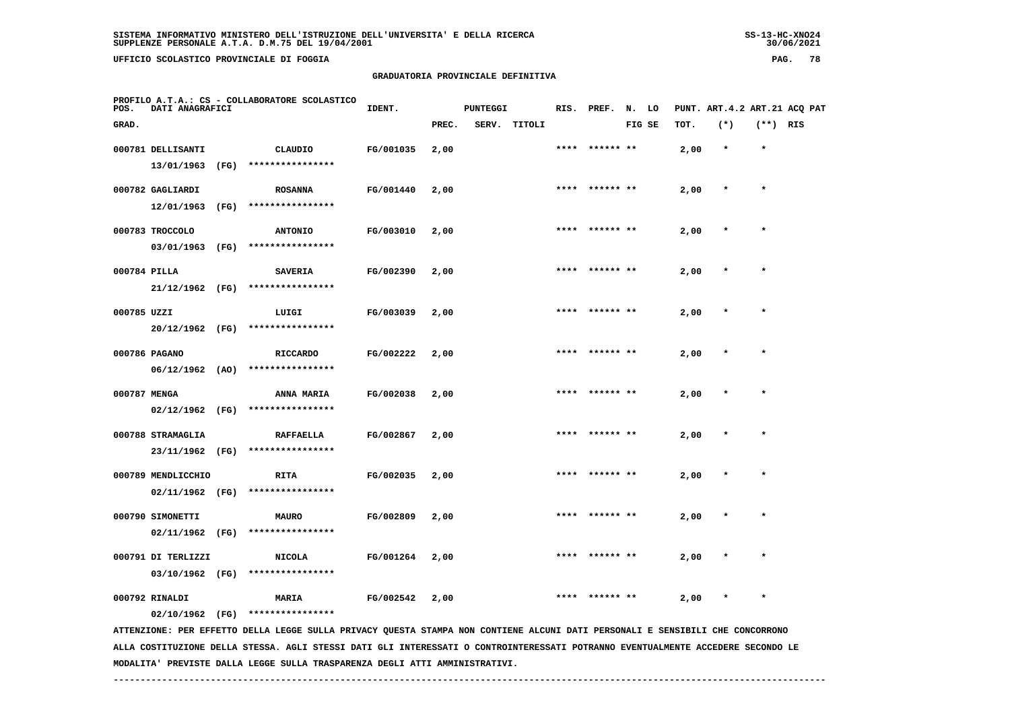**UFFICIO SCOLASTICO PROVINCIALE DI FOGGIA PAG. 78**

 **PROFILO A.T.A.: CS - COLLABORATORE SCOLASTICO**

## **GRADUATORIA PROVINCIALE DEFINITIVA**

| POS.         | DATI ANAGRAFICI    |      |                                                                                                                               | IDENT.           |       | <b>PUNTEGGI</b> |              |      | RIS. PREF.     | N. LO  |      |         |            | PUNT. ART.4.2 ART.21 ACQ PAT |
|--------------|--------------------|------|-------------------------------------------------------------------------------------------------------------------------------|------------------|-------|-----------------|--------------|------|----------------|--------|------|---------|------------|------------------------------|
| GRAD.        |                    |      |                                                                                                                               |                  | PREC. |                 | SERV. TITOLI |      |                | FIG SE | TOT. | $(*)$   | $(**)$ RIS |                              |
|              | 000781 DELLISANTI  |      | CLAUDIO                                                                                                                       | FG/001035        | 2,00  |                 |              |      | ****** **      |        | 2,00 | $\star$ |            |                              |
|              | 13/01/1963 (FG)    |      | ****************                                                                                                              |                  |       |                 |              |      |                |        |      |         |            |                              |
|              | 000782 GAGLIARDI   |      | <b>ROSANNA</b>                                                                                                                | FG/001440        | 2,00  |                 |              |      | **** ****** ** |        | 2,00 |         | $\star$    |                              |
|              | 12/01/1963         | (FG) | ****************                                                                                                              |                  |       |                 |              |      |                |        |      |         |            |                              |
|              | 000783 TROCCOLO    |      | <b>ANTONIO</b>                                                                                                                | FG/003010        | 2,00  |                 |              |      | **** ****** ** |        | 2,00 | $\ast$  | $\star$    |                              |
|              | 03/01/1963 (FG)    |      | ****************                                                                                                              |                  |       |                 |              |      |                |        |      |         |            |                              |
| 000784 PILLA |                    |      | <b>SAVERIA</b>                                                                                                                | FG/002390        | 2,00  |                 |              |      | **** ****** ** |        | 2,00 |         | $\star$    |                              |
|              | 21/12/1962 (FG)    |      | ****************                                                                                                              |                  |       |                 |              |      |                |        |      |         |            |                              |
| 000785 UZZI  |                    |      | LUIGI                                                                                                                         | FG/003039        | 2,00  |                 |              |      | **** ****** ** |        | 2,00 |         | $\star$    |                              |
|              | 20/12/1962 (FG)    |      | ****************                                                                                                              |                  |       |                 |              |      |                |        |      |         |            |                              |
|              | 000786 PAGANO      |      | <b>RICCARDO</b>                                                                                                               | FG/002222        | 2,00  |                 |              |      | **** ****** ** |        | 2,00 |         | $\star$    |                              |
|              | $06/12/1962$ (AO)  |      | ****************                                                                                                              |                  |       |                 |              |      |                |        |      |         |            |                              |
| 000787 MENGA |                    |      | <b>ANNA MARIA</b>                                                                                                             | FG/002038        | 2,00  |                 |              |      | **** ****** ** |        | 2,00 | $\ast$  | $\star$    |                              |
|              | $02/12/1962$ (FG)  |      | ****************                                                                                                              |                  |       |                 |              |      |                |        |      |         |            |                              |
|              | 000788 STRAMAGLIA  |      | <b>RAFFAELLA</b>                                                                                                              | FG/002867        | 2,00  |                 |              | **** |                |        | 2,00 |         |            |                              |
|              | 23/11/1962 (FG)    |      | ****************                                                                                                              |                  |       |                 |              |      |                |        |      |         |            |                              |
|              | 000789 MENDLICCHIO |      | <b>RITA</b>                                                                                                                   | FG/002035        | 2,00  |                 |              |      |                |        | 2,00 |         |            |                              |
|              |                    |      | 02/11/1962 (FG) ****************                                                                                              |                  |       |                 |              |      |                |        |      |         |            |                              |
|              | 000790 SIMONETTI   |      | <b>MAURO</b>                                                                                                                  | FG/002809        | 2,00  |                 |              |      |                |        | 2,00 |         |            |                              |
|              | 02/11/1962 (FG)    |      | ****************                                                                                                              |                  |       |                 |              |      |                |        |      |         |            |                              |
|              | 000791 DI TERLIZZI |      | <b>NICOLA</b>                                                                                                                 | FG/001264        | 2,00  |                 |              |      |                |        | 2,00 |         |            |                              |
|              | 03/10/1962 (FG)    |      | ****************                                                                                                              |                  |       |                 |              |      |                |        |      |         |            |                              |
|              | 000792 RINALDI     |      | <b>MARIA</b>                                                                                                                  | <b>FG/002542</b> | 2,00  |                 |              |      |                |        | 2,00 |         |            |                              |
|              |                    |      | 02/10/1962 (FG) ****************                                                                                              |                  |       |                 |              |      |                |        |      |         |            |                              |
|              |                    |      | ATTENZIONE: PER EFFETTO DELLA LEGGE SULLA PRIVACY QUESTA STAMPA NON CONTIENE ALCUNI DATI PERSONALI E SENSIBILI CHE CONCORRONO |                  |       |                 |              |      |                |        |      |         |            |                              |

 **ALLA COSTITUZIONE DELLA STESSA. AGLI STESSI DATI GLI INTERESSATI O CONTROINTERESSATI POTRANNO EVENTUALMENTE ACCEDERE SECONDO LE MODALITA' PREVISTE DALLA LEGGE SULLA TRASPARENZA DEGLI ATTI AMMINISTRATIVI.**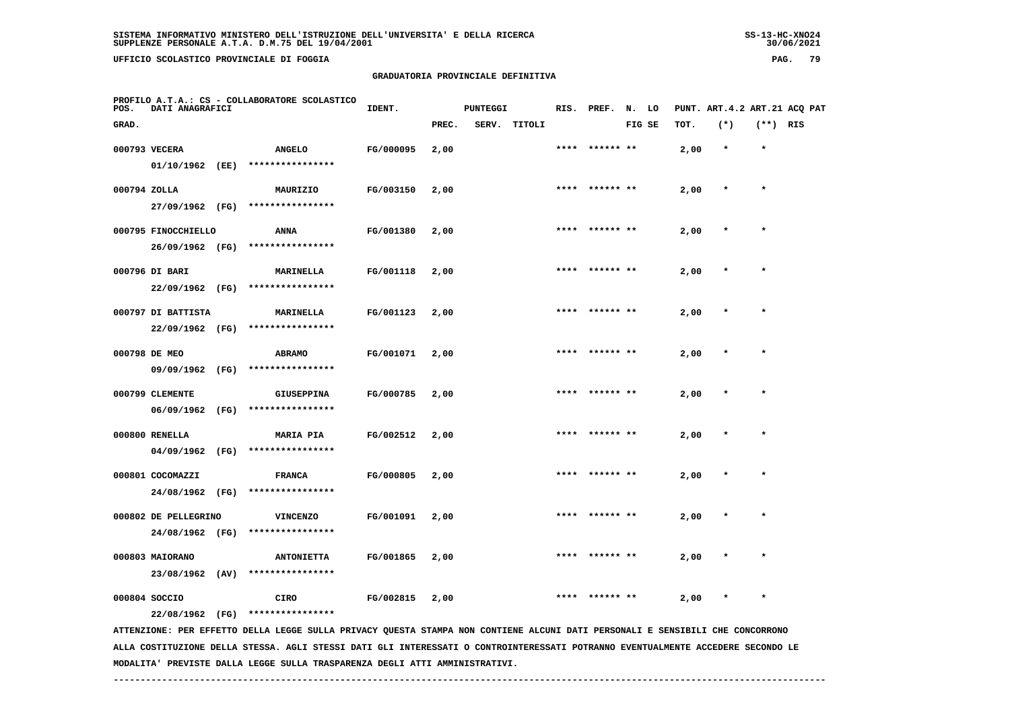**UFFICIO SCOLASTICO PROVINCIALE DI FOGGIA PAG. 79**

## **GRADUATORIA PROVINCIALE DEFINITIVA**

| POS.         | PROFILO A.T.A.: CS - COLLABORATORE SCOLASTICO<br>DATI ANAGRAFICI |  |                                                                                                                                                   | IDENT.    |       | <b>PUNTEGGI</b> |              |      | RIS. PREF.     | N. LO  |      | PUNT. ART.4.2 ART.21 ACQ PAT |            |  |
|--------------|------------------------------------------------------------------|--|---------------------------------------------------------------------------------------------------------------------------------------------------|-----------|-------|-----------------|--------------|------|----------------|--------|------|------------------------------|------------|--|
| GRAD.        |                                                                  |  |                                                                                                                                                   |           | PREC. |                 | SERV. TITOLI |      |                | FIG SE | TOT. | $(*)$                        | $(**)$ RIS |  |
|              | 000793 VECERA<br>01/10/1962 (EE)                                 |  | <b>ANGELO</b><br>****************                                                                                                                 | FG/000095 | 2,00  |                 |              |      |                |        | 2,00 | $\star$                      | $\star$    |  |
| 000794 ZOLLA | 27/09/1962 (FG)                                                  |  | MAURIZIO<br>****************                                                                                                                      | FG/003150 | 2,00  |                 |              |      | **** ****** ** |        | 2,00 | $\star$                      | $\star$    |  |
|              | 000795 FINOCCHIELLO<br>26/09/1962 (FG)                           |  | <b>ANNA</b><br>****************                                                                                                                   | FG/001380 | 2,00  |                 |              |      |                |        | 2,00 | $\star$                      | $\star$    |  |
|              | 000796 DI BARI<br>22/09/1962 (FG)                                |  | MARINELLA<br>****************                                                                                                                     | FG/001118 | 2,00  |                 |              | **** |                |        | 2,00 |                              | $\star$    |  |
|              | 000797 DI BATTISTA                                               |  | MARINELLA<br>****************                                                                                                                     | FG/001123 | 2,00  |                 |              |      |                |        | 2,00 |                              |            |  |
|              | 22/09/1962 (FG)<br>000798 DE MEO                                 |  | <b>ABRAMO</b><br>****************                                                                                                                 | FG/001071 | 2,00  |                 |              |      |                |        | 2,00 |                              | $\star$    |  |
|              | 09/09/1962 (FG)<br>000799 CLEMENTE                               |  | GIUSEPPINA                                                                                                                                        | FG/000785 | 2,00  |                 |              |      | ****** **      |        | 2,00 |                              |            |  |
|              | 06/09/1962 (FG)<br>000800 RENELLA                                |  | ****************<br><b>MARIA PIA</b>                                                                                                              | FG/002512 | 2,00  |                 |              | **** | ****** **      |        | 2,00 |                              | $\star$    |  |
|              | 04/09/1962 (FG)<br>000801 COCOMAZZI                              |  | ****************<br><b>FRANCA</b>                                                                                                                 | FG/000805 | 2,00  |                 |              |      |                |        | 2,00 |                              |            |  |
|              | 24/08/1962 (FG)<br>000802 DE PELLEGRINO                          |  | ****************<br><b>VINCENZO</b>                                                                                                               | FG/001091 | 2,00  |                 |              |      |                |        | 2,00 |                              |            |  |
|              | 24/08/1962 (FG)<br>000803 MAIORANO                               |  | ****************<br><b>ANTONIETTA</b>                                                                                                             | FG/001865 | 2,00  |                 |              |      |                |        | 2,00 |                              |            |  |
|              | 23/08/1962 (AV)<br>000804 SOCCIO                                 |  | ****************<br>CIRO                                                                                                                          | FG/002815 | 2,00  |                 |              |      | ****** **      |        | 2,00 |                              |            |  |
|              | 22/08/1962 (FG)                                                  |  | ****************<br>ATTENZIONE: PER EFFETTO DELLA LEGGE SULLA PRIVACY QUESTA STAMPA NON CONTIENE ALCUNI DATI PERSONALI E SENSIBILI CHE CONCORRONO |           |       |                 |              |      |                |        |      |                              |            |  |

 **ALLA COSTITUZIONE DELLA STESSA. AGLI STESSI DATI GLI INTERESSATI O CONTROINTERESSATI POTRANNO EVENTUALMENTE ACCEDERE SECONDO LE MODALITA' PREVISTE DALLA LEGGE SULLA TRASPARENZA DEGLI ATTI AMMINISTRATIVI.**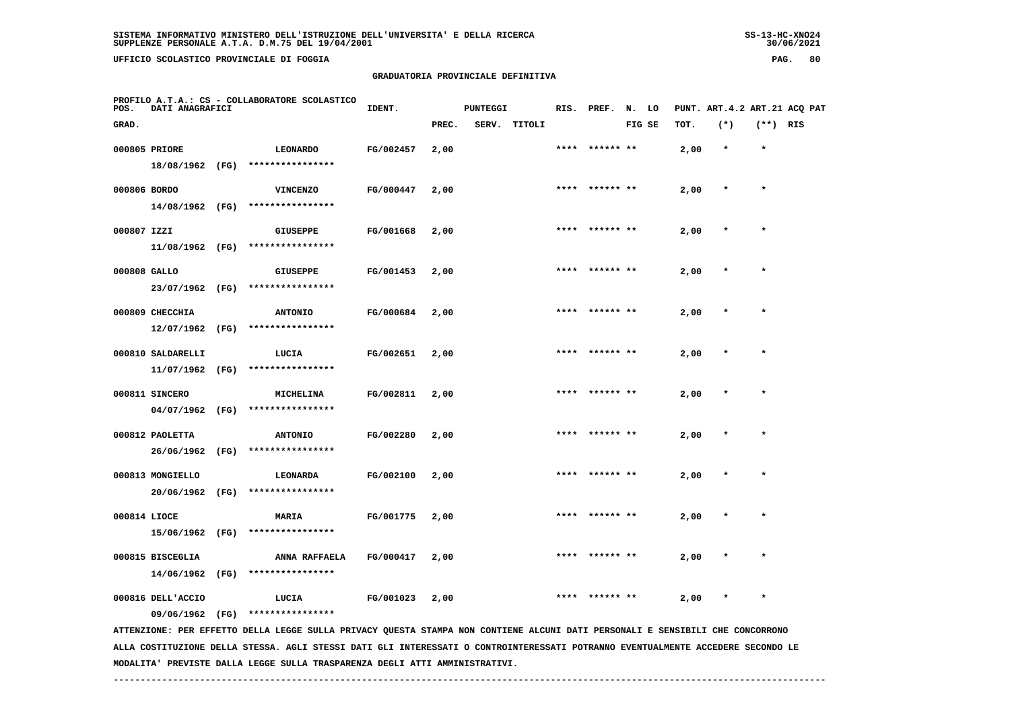**UFFICIO SCOLASTICO PROVINCIALE DI FOGGIA PAG. 80**

## **GRADUATORIA PROVINCIALE DEFINITIVA**

| POS.         | DATI ANAGRAFICI   | PROFILO A.T.A.: CS - COLLABORATORE SCOLASTICO                                                                                   | IDENT.    |       | <b>PUNTEGGI</b> |              | RIS. | PREF.          | N. LO  |      |         |            | PUNT. ART. 4.2 ART. 21 ACO PAT |
|--------------|-------------------|---------------------------------------------------------------------------------------------------------------------------------|-----------|-------|-----------------|--------------|------|----------------|--------|------|---------|------------|--------------------------------|
| GRAD.        |                   |                                                                                                                                 |           | PREC. |                 | SERV. TITOLI |      |                | FIG SE | TOT. | $(*)$   | $(**)$ RIS |                                |
|              | 000805 PRIORE     | <b>LEONARDO</b>                                                                                                                 | FG/002457 | 2,00  |                 |              |      | **** ****** ** |        | 2,00 | $\star$ | $\star$    |                                |
|              | 18/08/1962 (FG)   | ****************                                                                                                                |           |       |                 |              |      |                |        |      |         |            |                                |
| 000806 BORDO |                   | <b>VINCENZO</b>                                                                                                                 | FG/000447 | 2,00  |                 |              |      | **** ****** ** |        | 2,00 | $\star$ | $\star$    |                                |
|              | 14/08/1962 (FG)   | ****************                                                                                                                |           |       |                 |              |      |                |        |      |         |            |                                |
| 000807 IZZI  |                   | <b>GIUSEPPE</b>                                                                                                                 | FG/001668 | 2,00  |                 |              |      |                |        | 2,00 |         |            |                                |
|              | 11/08/1962 (FG)   | ****************                                                                                                                |           |       |                 |              |      |                |        |      |         |            |                                |
| 000808 GALLO |                   | <b>GIUSEPPE</b>                                                                                                                 | FG/001453 | 2,00  |                 |              |      |                |        | 2,00 |         |            |                                |
|              | 23/07/1962 (FG)   | ****************                                                                                                                |           |       |                 |              |      |                |        |      |         |            |                                |
|              | 000809 CHECCHIA   | <b>ANTONIO</b>                                                                                                                  | FG/000684 | 2,00  |                 |              | **** | ****** **      |        | 2,00 |         |            |                                |
|              | 12/07/1962 (FG)   | ****************                                                                                                                |           |       |                 |              |      |                |        |      |         |            |                                |
|              | 000810 SALDARELLI | LUCIA                                                                                                                           | FG/002651 | 2,00  |                 |              | **** |                |        | 2,00 |         | $\star$    |                                |
|              | 11/07/1962 (FG)   | ****************                                                                                                                |           |       |                 |              |      |                |        |      |         |            |                                |
|              | 000811 SINCERO    | MICHELINA                                                                                                                       | FG/002811 | 2,00  |                 |              |      |                |        | 2,00 |         |            |                                |
|              | 04/07/1962 (FG)   | ****************                                                                                                                |           |       |                 |              |      |                |        |      |         |            |                                |
|              | 000812 PAOLETTA   | <b>ANTONIO</b>                                                                                                                  | FG/002280 | 2,00  |                 |              |      |                |        | 2,00 |         |            |                                |
|              | 26/06/1962 (FG)   | ****************                                                                                                                |           |       |                 |              |      |                |        |      |         |            |                                |
|              | 000813 MONGIELLO  | LEONARDA                                                                                                                        | FG/002100 | 2,00  |                 |              |      | ****** **      |        | 2,00 |         |            |                                |
|              | 20/06/1962 (FG)   | ****************                                                                                                                |           |       |                 |              |      |                |        |      |         |            |                                |
| 000814 LIOCE |                   | MARIA                                                                                                                           | FG/001775 | 2,00  |                 |              | **** | ****** **      |        | 2,00 |         | $\star$    |                                |
|              | 15/06/1962 (FG)   | ****************                                                                                                                |           |       |                 |              |      |                |        |      |         |            |                                |
|              | 000815 BISCEGLIA  | ANNA RAFFAELA                                                                                                                   | FG/000417 | 2,00  |                 |              |      |                |        | 2,00 |         |            |                                |
|              | 14/06/1962 (FG)   | ****************                                                                                                                |           |       |                 |              |      |                |        |      |         |            |                                |
|              | 000816 DELL'ACCIO | LUCIA                                                                                                                           | FG/001023 | 2,00  |                 |              |      |                |        | 2,00 |         | $\star$    |                                |
|              | 09/06/1962 (FG)   | ****************                                                                                                                |           |       |                 |              |      |                |        |      |         |            |                                |
|              |                   | ATTENZIONE: PER EFFETTO DELLA LEGGE SULLA PRIVACY QUESTA STAMPA NON CONTIENE ALCUNI DATI PERSONALI E SENSIBILI CHE CONCORRONO   |           |       |                 |              |      |                |        |      |         |            |                                |
|              |                   | ALLA COSTITUZIONE DELLA STESSA. AGLI STESSI DATI GLI INTERESSATI O CONTROINTERESSATI POTRANNO EVENTUALMENTE ACCEDERE SECONDO LE |           |       |                 |              |      |                |        |      |         |            |                                |

 **------------------------------------------------------------------------------------------------------------------------------------**

 **MODALITA' PREVISTE DALLA LEGGE SULLA TRASPARENZA DEGLI ATTI AMMINISTRATIVI.**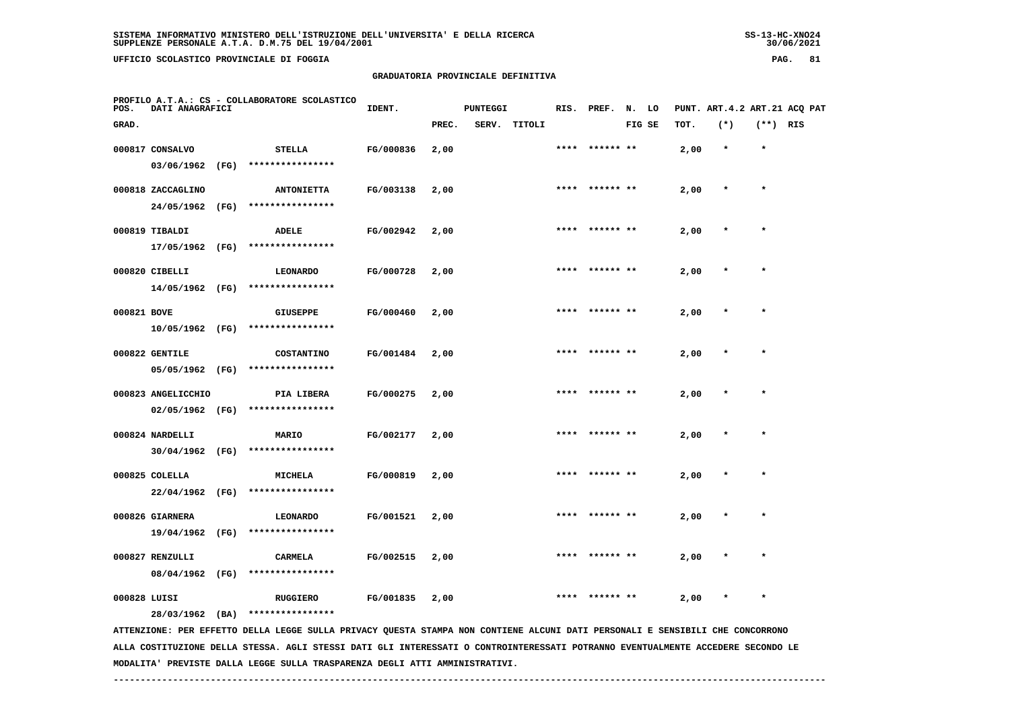**UFFICIO SCOLASTICO PROVINCIALE DI FOGGIA PAG. 81**

## **GRADUATORIA PROVINCIALE DEFINITIVA**

| POS.         | PROFILO A.T.A.: CS - COLLABORATORE SCOLASTICO<br>DATI ANAGRAFICI |      |                                                                                                                                 | IDENT.    |       | PUNTEGGI |              |      | RIS. PREF. N. LO |        |      | PUNT. ART. 4.2 ART. 21 ACQ PAT |            |  |
|--------------|------------------------------------------------------------------|------|---------------------------------------------------------------------------------------------------------------------------------|-----------|-------|----------|--------------|------|------------------|--------|------|--------------------------------|------------|--|
| GRAD.        |                                                                  |      |                                                                                                                                 |           | PREC. |          | SERV. TITOLI |      |                  | FIG SE | TOT. | $(*)$                          | $(**)$ RIS |  |
|              | 000817 CONSALVO                                                  |      | <b>STELLA</b>                                                                                                                   | FG/000836 | 2,00  |          |              |      | ****** **        |        | 2,00 | $\star$                        | $\star$    |  |
|              | 03/06/1962                                                       | (FG) | ****************                                                                                                                |           |       |          |              |      |                  |        |      |                                |            |  |
|              | 000818 ZACCAGLINO                                                |      | <b>ANTONIETTA</b>                                                                                                               | FG/003138 | 2,00  |          |              | **** |                  |        | 2,00 | $\ast$                         | $\star$    |  |
|              | 24/05/1962 (FG)                                                  |      | ****************                                                                                                                |           |       |          |              |      |                  |        |      |                                |            |  |
|              | 000819 TIBALDI                                                   |      | <b>ADELE</b>                                                                                                                    | FG/002942 | 2,00  |          |              |      |                  |        | 2,00 |                                |            |  |
|              | 17/05/1962 (FG)                                                  |      | ****************                                                                                                                |           |       |          |              |      |                  |        |      |                                |            |  |
|              | 000820 CIBELLI                                                   |      | <b>LEONARDO</b>                                                                                                                 | FG/000728 | 2,00  |          |              |      |                  |        | 2,00 |                                |            |  |
|              | 14/05/1962 (FG)                                                  |      | ****************                                                                                                                |           |       |          |              |      |                  |        |      |                                |            |  |
| 000821 BOVE  |                                                                  |      | <b>GIUSEPPE</b>                                                                                                                 | FG/000460 | 2,00  |          |              | **** | ****** **        |        | 2,00 |                                |            |  |
|              | 10/05/1962 (FG)                                                  |      | ****************                                                                                                                |           |       |          |              |      |                  |        |      |                                |            |  |
|              | 000822 GENTILE                                                   |      | <b>COSTANTINO</b>                                                                                                               | FG/001484 | 2,00  |          |              | **** | ****** **        |        | 2,00 |                                | $\star$    |  |
|              | 05/05/1962 (FG)                                                  |      | ****************                                                                                                                |           |       |          |              |      |                  |        |      |                                |            |  |
|              | 000823 ANGELICCHIO                                               |      | PIA LIBERA                                                                                                                      | FG/000275 | 2,00  |          |              |      |                  |        | 2,00 |                                |            |  |
|              | $02/05/1962$ (FG)                                                |      | ****************                                                                                                                |           |       |          |              |      |                  |        |      |                                |            |  |
|              | 000824 NARDELLI                                                  |      | MARIO                                                                                                                           | FG/002177 | 2,00  |          |              |      |                  |        | 2,00 |                                | $\star$    |  |
|              | 30/04/1962 (FG)                                                  |      | ****************                                                                                                                |           |       |          |              |      |                  |        |      |                                |            |  |
|              | 000825 COLELLA                                                   |      | <b>MICHELA</b>                                                                                                                  | FG/000819 | 2,00  |          |              |      | ****** **        |        | 2,00 |                                |            |  |
|              | 22/04/1962 (FG)                                                  |      | ****************                                                                                                                |           |       |          |              |      |                  |        |      |                                |            |  |
|              | 000826 GIARNERA                                                  |      | <b>LEONARDO</b>                                                                                                                 | FG/001521 | 2,00  |          |              | **** | ****** **        |        | 2,00 | $\star$                        | $\star$    |  |
|              | 19/04/1962 (FG)                                                  |      | ****************                                                                                                                |           |       |          |              |      |                  |        |      |                                |            |  |
|              | 000827 RENZULLI                                                  |      | CARMELA                                                                                                                         | FG/002515 | 2,00  |          |              |      |                  |        | 2,00 |                                |            |  |
|              | 08/04/1962 (FG)                                                  |      | ****************                                                                                                                |           |       |          |              |      |                  |        |      |                                |            |  |
| 000828 LUISI |                                                                  |      | <b>RUGGIERO</b>                                                                                                                 | FG/001835 | 2,00  |          |              |      |                  |        | 2,00 |                                | $\star$    |  |
|              | 28/03/1962 (BA)                                                  |      | ****************                                                                                                                |           |       |          |              |      |                  |        |      |                                |            |  |
|              |                                                                  |      | ATTENZIONE: PER EFFETTO DELLA LEGGE SULLA PRIVACY QUESTA STAMPA NON CONTIENE ALCUNI DATI PERSONALI E SENSIBILI CHE CONCORRONO   |           |       |          |              |      |                  |        |      |                                |            |  |
|              |                                                                  |      | ALLA COSTITUZIONE DELLA STESSA. AGLI STESSI DATI GLI INTERESSATI O CONTROINTERESSATI POTRANNO EVENTUALMENTE ACCEDERE SECONDO LE |           |       |          |              |      |                  |        |      |                                |            |  |

 **------------------------------------------------------------------------------------------------------------------------------------**

 **MODALITA' PREVISTE DALLA LEGGE SULLA TRASPARENZA DEGLI ATTI AMMINISTRATIVI.**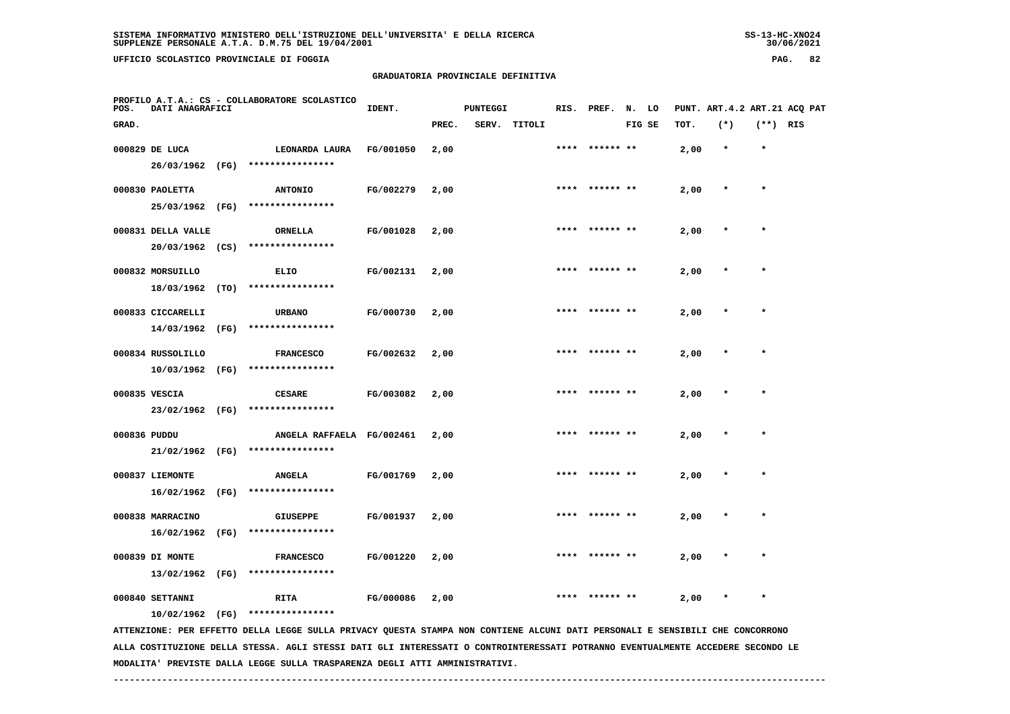# **GRADUATORIA PROVINCIALE DEFINITIVA**

| POS.         | DATI ANAGRAFICI    |      | PROFILO A.T.A.: CS - COLLABORATORE SCOLASTICO                                                                                 | IDENT.    |       | <b>PUNTEGGI</b> |              |      | RIS. PREF. N. LO |        |      | PUNT. ART. 4.2 ART. 21 ACQ PAT |            |  |
|--------------|--------------------|------|-------------------------------------------------------------------------------------------------------------------------------|-----------|-------|-----------------|--------------|------|------------------|--------|------|--------------------------------|------------|--|
| GRAD.        |                    |      |                                                                                                                               |           | PREC. |                 | SERV. TITOLI |      |                  | FIG SE | TOT. | $(*)$                          | $(**)$ RIS |  |
|              | 000829 DE LUCA     |      | LEONARDA LAURA                                                                                                                | FG/001050 | 2,00  |                 |              |      | **** ****** **   |        | 2,00 | $\star$                        | $\star$    |  |
|              | 26/03/1962 (FG)    |      | ****************                                                                                                              |           |       |                 |              |      |                  |        |      |                                |            |  |
|              | 000830 PAOLETTA    |      | <b>ANTONIO</b>                                                                                                                | FG/002279 | 2,00  |                 |              |      | **** ****** **   |        | 2,00 | $\star$                        | $\star$    |  |
|              | 25/03/1962 (FG)    |      | ****************                                                                                                              |           |       |                 |              |      |                  |        |      |                                |            |  |
|              | 000831 DELLA VALLE |      | <b>ORNELLA</b>                                                                                                                | FG/001028 | 2,00  |                 |              |      |                  |        | 2,00 |                                | $\star$    |  |
|              | $20/03/1962$ (CS)  |      | ****************                                                                                                              |           |       |                 |              |      |                  |        |      |                                |            |  |
|              | 000832 MORSUILLO   |      | ELIO                                                                                                                          | FG/002131 | 2,00  |                 |              |      |                  |        | 2,00 |                                |            |  |
|              | 18/03/1962 (TO)    |      | ****************                                                                                                              |           |       |                 |              |      |                  |        |      |                                |            |  |
|              | 000833 CICCARELLI  |      | <b>URBANO</b>                                                                                                                 | FG/000730 | 2,00  |                 |              |      |                  |        | 2,00 |                                | $\star$    |  |
|              | 14/03/1962 (FG)    |      | ****************                                                                                                              |           |       |                 |              |      |                  |        |      |                                |            |  |
|              | 000834 RUSSOLILLO  |      | <b>FRANCESCO</b>                                                                                                              | FG/002632 | 2,00  |                 |              |      | **** ****** **   |        | 2,00 |                                | $\star$    |  |
|              | 10/03/1962 (FG)    |      | ****************                                                                                                              |           |       |                 |              |      |                  |        |      |                                |            |  |
|              | 000835 VESCIA      |      | <b>CESARE</b>                                                                                                                 | FG/003082 | 2,00  |                 |              |      | **** ****** **   |        | 2,00 |                                | $\star$    |  |
|              | 23/02/1962 (FG)    |      | ****************                                                                                                              |           |       |                 |              |      |                  |        |      |                                |            |  |
| 000836 PUDDU |                    |      | ANGELA RAFFAELA FG/002461                                                                                                     |           | 2,00  |                 |              | **** | ****** **        |        | 2,00 |                                | $\star$    |  |
|              |                    |      | 21/02/1962 (FG) ****************                                                                                              |           |       |                 |              |      |                  |        |      |                                |            |  |
|              | 000837 LIEMONTE    |      | <b>ANGELA</b>                                                                                                                 | FG/001769 | 2,00  |                 |              |      |                  |        | 2,00 |                                |            |  |
|              | 16/02/1962 (FG)    |      | ****************                                                                                                              |           |       |                 |              |      |                  |        |      |                                |            |  |
|              | 000838 MARRACINO   |      | <b>GIUSEPPE</b>                                                                                                               | FG/001937 | 2,00  |                 |              |      |                  |        | 2,00 |                                |            |  |
|              | 16/02/1962         | (FG) | ****************                                                                                                              |           |       |                 |              |      |                  |        |      |                                |            |  |
|              | 000839 DI MONTE    |      | <b>FRANCESCO</b>                                                                                                              | FG/001220 | 2,00  |                 |              | **** | ****** **        |        | 2,00 |                                |            |  |
|              | 13/02/1962 (FG)    |      | ****************                                                                                                              |           |       |                 |              |      |                  |        |      |                                |            |  |
|              | 000840 SETTANNI    |      | <b>RITA</b>                                                                                                                   | FG/000086 | 2,00  |                 |              |      |                  |        | 2,00 |                                | $\star$    |  |
|              | 10/02/1962 (FG)    |      | ****************                                                                                                              |           |       |                 |              |      |                  |        |      |                                |            |  |
|              |                    |      | ATTENZIONE: PER EFFETTO DELLA LEGGE SULLA PRIVACY QUESTA STAMPA NON CONTIENE ALCUNI DATI PERSONALI E SENSIBILI CHE CONCORRONO |           |       |                 |              |      |                  |        |      |                                |            |  |

 **ALLA COSTITUZIONE DELLA STESSA. AGLI STESSI DATI GLI INTERESSATI O CONTROINTERESSATI POTRANNO EVENTUALMENTE ACCEDERE SECONDO LE MODALITA' PREVISTE DALLA LEGGE SULLA TRASPARENZA DEGLI ATTI AMMINISTRATIVI.**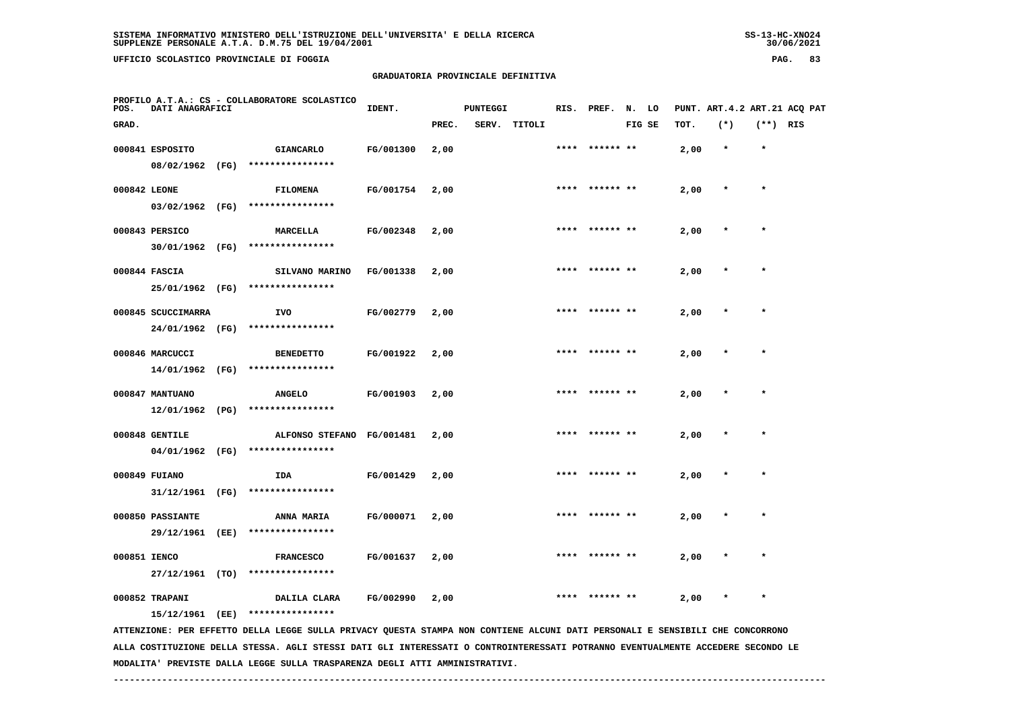**UFFICIO SCOLASTICO PROVINCIALE DI FOGGIA PAG. 83**

## **GRADUATORIA PROVINCIALE DEFINITIVA**

| POS.  | DATI ANAGRAFICI    |      | PROFILO A.T.A.: CS - COLLABORATORE SCOLASTICO                                                                                                                                                                                                                    | IDENT.    |       | <b>PUNTEGGI</b> |              |      | RIS. PREF. | N. LO  |      |         |            | PUNT. ART. 4.2 ART. 21 ACQ PAT |
|-------|--------------------|------|------------------------------------------------------------------------------------------------------------------------------------------------------------------------------------------------------------------------------------------------------------------|-----------|-------|-----------------|--------------|------|------------|--------|------|---------|------------|--------------------------------|
| GRAD. |                    |      |                                                                                                                                                                                                                                                                  |           | PREC. |                 | SERV. TITOLI |      |            | FIG SE | TOT. | $(*)$   | $(**)$ RIS |                                |
|       | 000841 ESPOSITO    |      | <b>GIANCARLO</b>                                                                                                                                                                                                                                                 | FG/001300 | 2,00  |                 |              | **** | ****** **  |        | 2,00 | $\star$ | $\star$    |                                |
|       | 08/02/1962 (FG)    |      | ****************                                                                                                                                                                                                                                                 |           |       |                 |              |      |            |        |      |         |            |                                |
|       | 000842 LEONE       |      | FILOMENA                                                                                                                                                                                                                                                         | FG/001754 | 2,00  |                 |              |      |            |        | 2,00 | $\star$ | $\star$    |                                |
|       | 03/02/1962 (FG)    |      | ****************                                                                                                                                                                                                                                                 |           |       |                 |              |      |            |        |      |         |            |                                |
|       | 000843 PERSICO     |      | MARCELLA                                                                                                                                                                                                                                                         | FG/002348 | 2,00  |                 |              |      |            |        | 2,00 |         |            |                                |
|       | 30/01/1962 (FG)    |      | ****************                                                                                                                                                                                                                                                 |           |       |                 |              |      |            |        |      |         |            |                                |
|       | 000844 FASCIA      |      | SILVANO MARINO                                                                                                                                                                                                                                                   | FG/001338 | 2,00  |                 |              |      |            |        | 2,00 |         | $\star$    |                                |
|       | 25/01/1962 (FG)    |      | ****************                                                                                                                                                                                                                                                 |           |       |                 |              |      |            |        |      |         |            |                                |
|       | 000845 SCUCCIMARRA |      | IVO                                                                                                                                                                                                                                                              | FG/002779 | 2,00  |                 |              |      |            |        | 2,00 |         |            |                                |
|       | 24/01/1962 (FG)    |      | ****************                                                                                                                                                                                                                                                 |           |       |                 |              |      |            |        |      |         |            |                                |
|       | 000846 MARCUCCI    |      | <b>BENEDETTO</b>                                                                                                                                                                                                                                                 | FG/001922 | 2,00  |                 |              |      |            |        | 2,00 |         |            |                                |
|       | 14/01/1962 (FG)    |      | ****************                                                                                                                                                                                                                                                 |           |       |                 |              |      |            |        |      |         |            |                                |
|       | 000847 MANTUANO    |      | <b>ANGELO</b>                                                                                                                                                                                                                                                    | FG/001903 | 2,00  |                 |              |      |            |        | 2,00 |         |            |                                |
|       | 12/01/1962 (PG)    |      | ****************                                                                                                                                                                                                                                                 |           |       |                 |              |      |            |        |      |         |            |                                |
|       | 000848 GENTILE     |      | ALFONSO STEFANO FG/001481                                                                                                                                                                                                                                        |           | 2,00  |                 |              |      |            |        | 2,00 |         |            |                                |
|       | 04/01/1962 (FG)    |      | ****************                                                                                                                                                                                                                                                 |           |       |                 |              |      |            |        |      |         |            |                                |
|       | 000849 FUIANO      |      | IDA                                                                                                                                                                                                                                                              | FG/001429 | 2,00  |                 |              |      |            |        | 2,00 |         |            |                                |
|       | 31/12/1961 (FG)    |      | ****************                                                                                                                                                                                                                                                 |           |       |                 |              |      |            |        |      |         |            |                                |
|       | 000850 PASSIANTE   |      | ANNA MARIA                                                                                                                                                                                                                                                       | FG/000071 | 2,00  |                 |              |      |            |        | 2,00 |         |            |                                |
|       | 29/12/1961         | (EE) | ****************                                                                                                                                                                                                                                                 |           |       |                 |              |      |            |        |      |         |            |                                |
|       | 000851 IENCO       |      | <b>FRANCESCO</b>                                                                                                                                                                                                                                                 | FG/001637 | 2,00  |                 |              |      |            |        | 2,00 |         |            |                                |
|       | 27/12/1961 (TO)    |      | ****************                                                                                                                                                                                                                                                 |           |       |                 |              |      |            |        |      |         |            |                                |
|       | 000852 TRAPANI     |      | DALILA CLARA                                                                                                                                                                                                                                                     | FG/002990 | 2,00  |                 |              |      |            |        | 2,00 |         |            |                                |
|       | 15/12/1961 (EE)    |      | ****************                                                                                                                                                                                                                                                 |           |       |                 |              |      |            |        |      |         |            |                                |
|       |                    |      | ATTENZIONE: PER EFFETTO DELLA LEGGE SULLA PRIVACY QUESTA STAMPA NON CONTIENE ALCUNI DATI PERSONALI E SENSIBILI CHE CONCORRONO<br>ALLA COSTITUZIONE DELLA STESSA. AGLI STESSI DATI GLI INTERESSATI O CONTROINTERESSATI POTRANNO EVENTUALMENTE ACCEDERE SECONDO LE |           |       |                 |              |      |            |        |      |         |            |                                |

 **MODALITA' PREVISTE DALLA LEGGE SULLA TRASPARENZA DEGLI ATTI AMMINISTRATIVI.**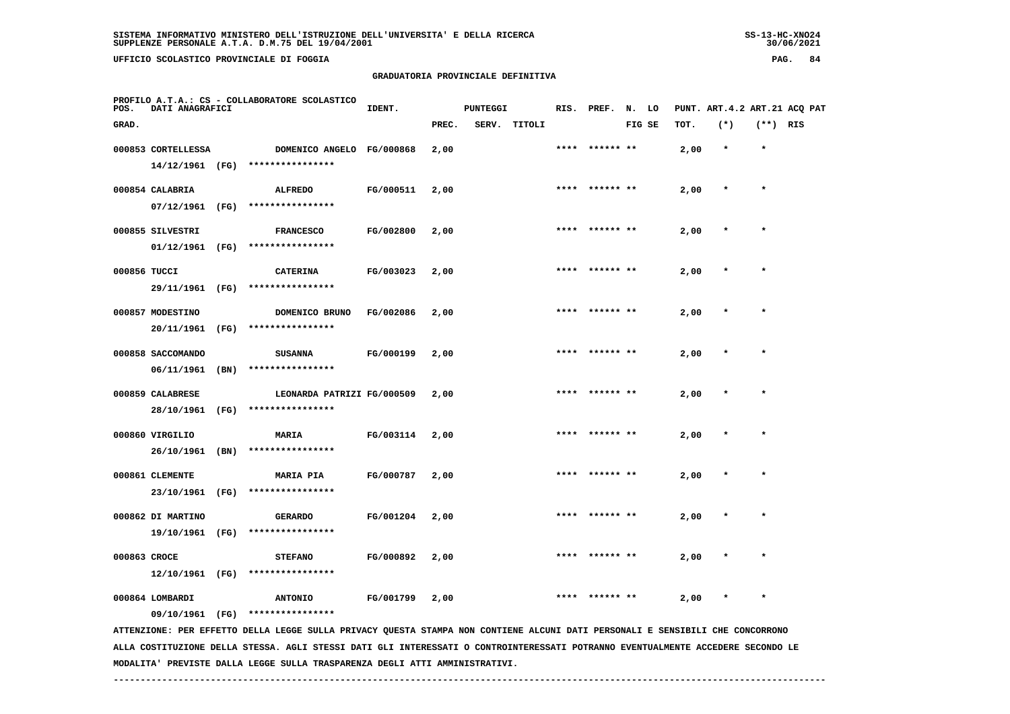# **GRADUATORIA PROVINCIALE DEFINITIVA**

| PAG. |  |  |
|------|--|--|
|------|--|--|

| POS.         | DATI ANAGRAFICI                       |      | PROFILO A.T.A.: CS - COLLABORATORE SCOLASTICO                                                                                 | IDENT.    |       | <b>PUNTEGGI</b> |        |      | RIS. PREF. N. LO |        |      |         |            | PUNT. ART.4.2 ART.21 ACQ PAT |
|--------------|---------------------------------------|------|-------------------------------------------------------------------------------------------------------------------------------|-----------|-------|-----------------|--------|------|------------------|--------|------|---------|------------|------------------------------|
| GRAD.        |                                       |      |                                                                                                                               |           | PREC. | SERV.           | TITOLI |      |                  | FIG SE | TOT. | $(*)$   | $(**)$ RIS |                              |
|              | 000853 CORTELLESSA<br>14/12/1961 (FG) |      | DOMENICO ANGELO FG/000868<br>****************                                                                                 |           | 2,00  |                 |        |      |                  |        | 2,00 | $\star$ | $\star$    |                              |
|              | 000854 CALABRIA<br>07/12/1961 (FG)    |      | <b>ALFREDO</b><br>****************                                                                                            | FG/000511 | 2,00  |                 |        |      | **** ****** **   |        | 2,00 | $\ast$  | $\star$    |                              |
|              | 000855 SILVESTRI<br>$01/12/1961$ (FG) |      | <b>FRANCESCO</b><br>****************                                                                                          | FG/002800 | 2,00  |                 |        | **** |                  |        | 2,00 |         | $\star$    |                              |
| 000856 TUCCI | 29/11/1961 (FG)                       |      | <b>CATERINA</b><br>****************                                                                                           | FG/003023 | 2,00  |                 |        |      |                  |        | 2,00 |         |            |                              |
|              | 000857 MODESTINO<br>20/11/1961        | (FG) | DOMENICO BRUNO<br>****************                                                                                            | FG/002086 | 2,00  |                 |        |      |                  |        | 2,00 |         | $\star$    |                              |
|              | 000858 SACCOMANDO<br>06/11/1961       | (BN) | <b>SUSANNA</b><br>****************                                                                                            | FG/000199 | 2,00  |                 |        |      |                  |        | 2,00 |         |            |                              |
|              | 000859 CALABRESE<br>28/10/1961        | (FG) | LEONARDA PATRIZI FG/000509<br>****************                                                                                |           | 2,00  |                 |        |      | **** ****** **   |        | 2,00 |         | $\star$    |                              |
|              | 000860 VIRGILIO<br>26/10/1961         | (BN) | <b>MARIA</b><br>****************                                                                                              | FG/003114 | 2,00  |                 |        |      |                  |        | 2,00 |         |            |                              |
|              | 000861 CLEMENTE<br>23/10/1961 (FG)    |      | <b>MARIA PIA</b><br>****************                                                                                          | FG/000787 | 2,00  |                 |        |      |                  |        | 2,00 |         |            |                              |
|              | 000862 DI MARTINO<br>19/10/1961 (FG)  |      | <b>GERARDO</b><br>****************                                                                                            | FG/001204 | 2,00  |                 |        |      |                  |        | 2,00 |         |            |                              |
| 000863 CROCE | 12/10/1961 (FG)                       |      | <b>STEFANO</b><br>****************                                                                                            | FG/000892 | 2,00  |                 |        | **** | ****** **        |        | 2,00 |         | $\star$    |                              |
|              | 000864 LOMBARDI<br>09/10/1961 (FG)    |      | <b>ANTONIO</b><br>****************                                                                                            | FG/001799 | 2,00  |                 |        | **** | ****** **        |        | 2,00 |         | $\star$    |                              |
|              |                                       |      | ATTENZIONE: PER EFFETTO DELLA LEGGE SULLA PRIVACY QUESTA STAMPA NON CONTIENE ALCUNI DATI PERSONALI E SENSIBILI CHE CONCORRONO |           |       |                 |        |      |                  |        |      |         |            |                              |

 **ALLA COSTITUZIONE DELLA STESSA. AGLI STESSI DATI GLI INTERESSATI O CONTROINTERESSATI POTRANNO EVENTUALMENTE ACCEDERE SECONDO LE MODALITA' PREVISTE DALLA LEGGE SULLA TRASPARENZA DEGLI ATTI AMMINISTRATIVI.**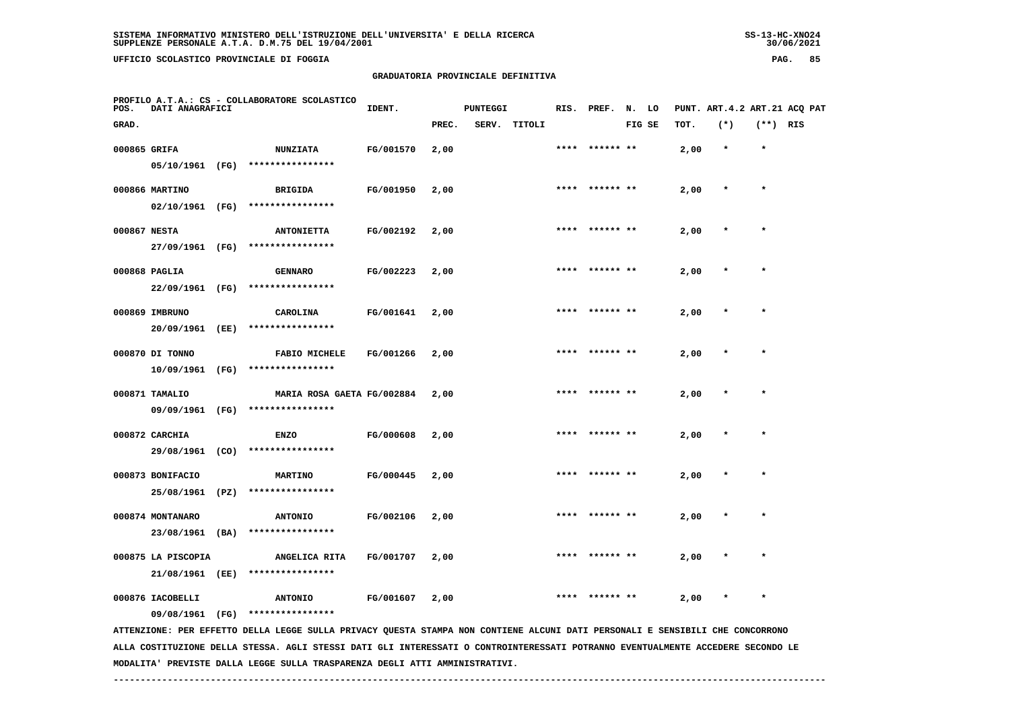# **GRADUATORIA PROVINCIALE DEFINITIVA**

| POS.         | DATI ANAGRAFICI    |      | PROFILO A.T.A.: CS - COLLABORATORE SCOLASTICO                                                                                   | IDENT.    |       | <b>PUNTEGGI</b> |              | RIS. | PREF.          | N. LO  |      |         |            | PUNT. ART. 4.2 ART. 21 ACO PAT |
|--------------|--------------------|------|---------------------------------------------------------------------------------------------------------------------------------|-----------|-------|-----------------|--------------|------|----------------|--------|------|---------|------------|--------------------------------|
| GRAD.        |                    |      |                                                                                                                                 |           | PREC. |                 | SERV. TITOLI |      |                | FIG SE | TOT. | $(*)$   | $(**)$ RIS |                                |
| 000865 GRIFA |                    |      | <b>NUNZIATA</b>                                                                                                                 | FG/001570 | 2,00  |                 |              |      | **** ****** ** |        | 2,00 | $\star$ | $\star$    |                                |
|              | 05/10/1961 (FG)    |      | ****************                                                                                                                |           |       |                 |              |      |                |        |      |         |            |                                |
|              | 000866 MARTINO     |      | <b>BRIGIDA</b>                                                                                                                  | FG/001950 | 2,00  |                 |              |      |                |        | 2,00 |         | $\star$    |                                |
|              | 02/10/1961 (FG)    |      | ****************                                                                                                                |           |       |                 |              |      |                |        |      |         |            |                                |
| 000867 NESTA |                    |      | <b>ANTONIETTA</b>                                                                                                               | FG/002192 | 2,00  |                 |              |      |                |        | 2,00 |         |            |                                |
|              | 27/09/1961 (FG)    |      | ****************                                                                                                                |           |       |                 |              |      |                |        |      |         |            |                                |
|              | 000868 PAGLIA      |      | <b>GENNARO</b>                                                                                                                  | FG/002223 | 2,00  |                 |              |      |                |        | 2,00 |         |            |                                |
|              | 22/09/1961 (FG)    |      | ****************                                                                                                                |           |       |                 |              |      |                |        |      |         |            |                                |
|              | 000869 IMBRUNO     |      | CAROLINA                                                                                                                        | FG/001641 | 2,00  |                 |              | **** | ****** **      |        | 2,00 |         |            |                                |
|              | 20/09/1961 (EE)    |      | ****************                                                                                                                |           |       |                 |              |      |                |        |      |         |            |                                |
|              | 000870 DI TONNO    |      | <b>FABIO MICHELE</b>                                                                                                            | FG/001266 | 2,00  |                 |              | **** |                |        | 2,00 |         | $\star$    |                                |
|              | 10/09/1961 (FG)    |      | ****************                                                                                                                |           |       |                 |              |      |                |        |      |         |            |                                |
|              | 000871 TAMALIO     |      | MARIA ROSA GAETA FG/002884                                                                                                      |           | 2,00  |                 |              |      |                |        | 2,00 |         |            |                                |
|              | 09/09/1961 (FG)    |      | ****************                                                                                                                |           |       |                 |              |      |                |        |      |         |            |                                |
|              | 000872 CARCHIA     |      | <b>ENZO</b>                                                                                                                     | FG/000608 | 2,00  |                 |              |      |                |        | 2,00 |         |            |                                |
|              | 29/08/1961 (CO)    |      | ****************                                                                                                                |           |       |                 |              |      |                |        |      |         |            |                                |
|              | 000873 BONIFACIO   |      | <b>MARTINO</b>                                                                                                                  | FG/000445 | 2,00  |                 |              |      | ****** **      |        | 2,00 |         |            |                                |
|              | 25/08/1961         | (PZ) | ****************                                                                                                                |           |       |                 |              |      |                |        |      |         |            |                                |
|              | 000874 MONTANARO   |      | <b>ANTONIO</b>                                                                                                                  | FG/002106 | 2,00  |                 |              |      | ****** **      |        | 2,00 |         | $\star$    |                                |
|              | 23/08/1961         | (BA) | ****************                                                                                                                |           |       |                 |              |      |                |        |      |         |            |                                |
|              | 000875 LA PISCOPIA |      | ANGELICA RITA                                                                                                                   | FG/001707 | 2,00  |                 |              |      |                |        | 2,00 |         |            |                                |
|              | 21/08/1961 (EE)    |      | ****************                                                                                                                |           |       |                 |              |      |                |        |      |         |            |                                |
|              | 000876 IACOBELLI   |      | <b>ANTONIO</b>                                                                                                                  | FG/001607 | 2,00  |                 |              |      |                |        | 2,00 |         | $\star$    |                                |
|              | 09/08/1961 (FG)    |      | ****************                                                                                                                |           |       |                 |              |      |                |        |      |         |            |                                |
|              |                    |      | ATTENZIONE: PER EFFETTO DELLA LEGGE SULLA PRIVACY QUESTA STAMPA NON CONTIENE ALCUNI DATI PERSONALI E SENSIBILI CHE CONCORRONO   |           |       |                 |              |      |                |        |      |         |            |                                |
|              |                    |      | ALLA COSTITUZIONE DELLA STESSA. AGLI STESSI DATI GLI INTERESSATI O CONTROINTERESSATI POTRANNO EVENTUALMENTE ACCEDERE SECONDO LE |           |       |                 |              |      |                |        |      |         |            |                                |

 **MODALITA' PREVISTE DALLA LEGGE SULLA TRASPARENZA DEGLI ATTI AMMINISTRATIVI.**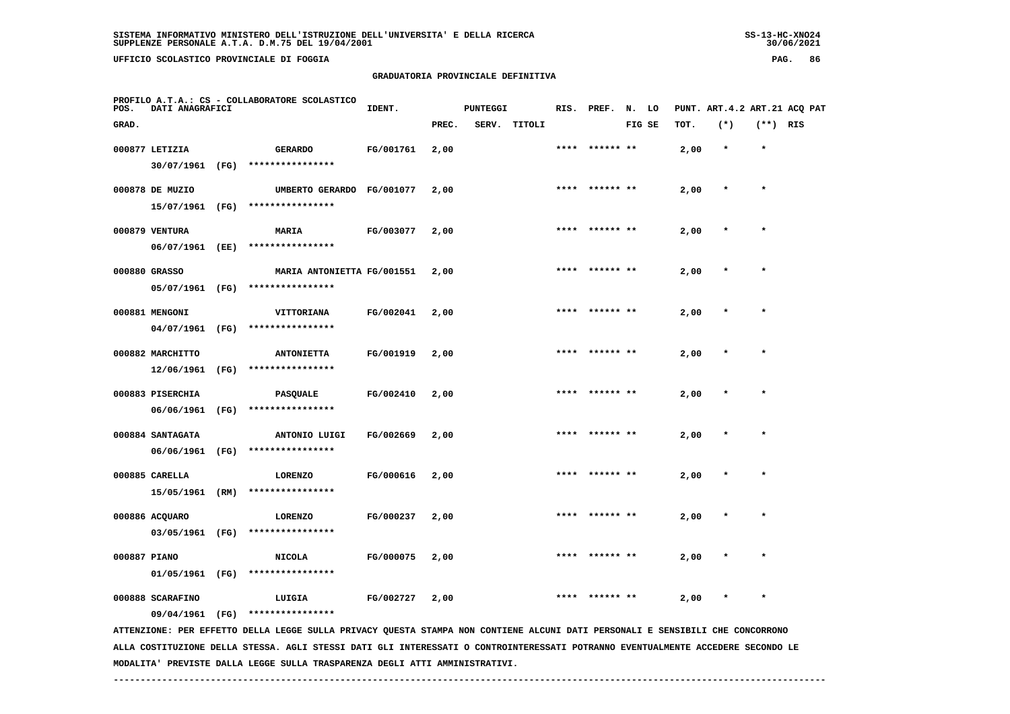# **GRADUATORIA PROVINCIALE DEFINITIVA**

| PAG. | 86 |
|------|----|
|      |    |

| POS.         | DATI ANAGRAFICI                     |      | PROFILO A.T.A.: CS - COLLABORATORE SCOLASTICO                                                                                                      | IDENT.    |       | <b>PUNTEGGI</b> |        |      | RIS. PREF.      | N. LO  |      |         |            | PUNT. ART. 4.2 ART. 21 ACQ PAT |
|--------------|-------------------------------------|------|----------------------------------------------------------------------------------------------------------------------------------------------------|-----------|-------|-----------------|--------|------|-----------------|--------|------|---------|------------|--------------------------------|
| GRAD.        |                                     |      |                                                                                                                                                    |           | PREC. | SERV.           | TITOLI |      |                 | FIG SE | TOT. | $(*)$   | $(**)$ RIS |                                |
|              | 000877 LETIZIA<br>30/07/1961 (FG)   |      | <b>GERARDO</b><br>****************                                                                                                                 | FG/001761 | 2,00  |                 |        | **** | ****** **       |        | 2,00 | $\star$ | $\star$    |                                |
|              | 000878 DE MUZIO<br>15/07/1961 (FG)  |      | UMBERTO GERARDO FG/001077<br>****************                                                                                                      |           | 2,00  |                 |        |      | ****** **       |        | 2,00 |         | $\star$    |                                |
|              | 000879 VENTURA<br>06/07/1961 (EE)   |      | <b>MARIA</b><br>****************                                                                                                                   | FG/003077 | 2,00  |                 |        | **** | ****** **       |        | 2,00 |         | $\star$    |                                |
|              | 000880 GRASSO<br>05/07/1961 (FG)    |      | MARIA ANTONIETTA FG/001551<br>****************                                                                                                     |           | 2,00  |                 |        | **** | ****** **       |        | 2,00 | $\ast$  | $\star$    |                                |
|              | 000881 MENGONI<br>04/07/1961 (FG)   |      | VITTORIANA<br>****************                                                                                                                     | FG/002041 | 2,00  |                 |        |      |                 |        | 2,00 |         |            |                                |
|              | 000882 MARCHITTO<br>12/06/1961      | (FG) | <b>ANTONIETTA</b><br>****************                                                                                                              | FG/001919 | 2,00  |                 |        |      |                 |        | 2,00 |         |            |                                |
|              | 000883 PISERCHIA<br>06/06/1961      | (FG) | PASQUALE<br>****************                                                                                                                       | FG/002410 | 2,00  |                 |        |      |                 |        | 2,00 |         | $\star$    |                                |
|              | 000884 SANTAGATA                    |      | ANTONIO LUIGI                                                                                                                                      | FG/002669 | 2,00  |                 |        |      | ****  ****** ** |        | 2,00 |         | $\star$    |                                |
|              | 06/06/1961<br>000885 CARELLA        | (FG) | ****************<br><b>LORENZO</b>                                                                                                                 | FG/000616 | 2,00  |                 |        | **** | ****** **       |        | 2,00 |         |            |                                |
|              | 15/05/1961 (RM)<br>000886 ACQUARO   |      | ****************<br><b>LORENZO</b>                                                                                                                 | FG/000237 | 2,00  |                 |        | **** | ****** **       |        | 2,00 | $\ast$  | $\star$    |                                |
| 000887 PIANO | 03/05/1961 (FG)                     |      | ****************<br><b>NICOLA</b>                                                                                                                  | FG/000075 | 2,00  |                 |        |      | **** ****** **  |        | 2,00 |         | $\star$    |                                |
|              | 01/05/1961 (FG)<br>000888 SCARAFINO |      | ****************<br>LUIGIA                                                                                                                         | FG/002727 | 2,00  |                 |        |      |                 |        | 2,00 |         |            |                                |
|              |                                     |      | 09/04/1961 (FG) ****************<br>חות סטס ביסטריית החדשים של המוסיף המורד המורד המורד המורד המורד המורד המורד המורד החדש המורד החדשים המורד המור |           |       |                 |        |      |                 |        |      |         |            |                                |

 **ATTENZIONE: PER EFFETTO DELLA LEGGE SULLA PRIVACY QUESTA STAMPA NON CONTIENE ALCUNI DATI PERSONALI E SENSIBILI CHE CONCORRONO ALLA COSTITUZIONE DELLA STESSA. AGLI STESSI DATI GLI INTERESSATI O CONTROINTERESSATI POTRANNO EVENTUALMENTE ACCEDERE SECONDO LE MODALITA' PREVISTE DALLA LEGGE SULLA TRASPARENZA DEGLI ATTI AMMINISTRATIVI.**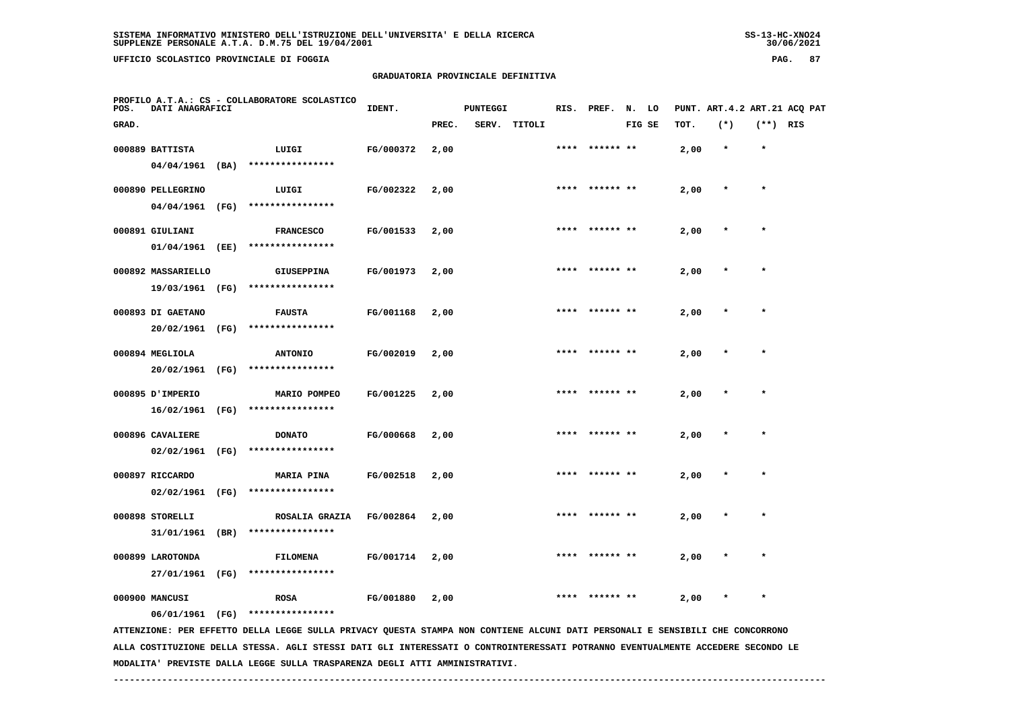**UFFICIO SCOLASTICO PROVINCIALE DI FOGGIA PAG. 87**

## **GRADUATORIA PROVINCIALE DEFINITIVA**

| POS.  | PROFILO A.T.A.: CS - COLLABORATORE SCOLASTICO<br>DATI ANAGRAFICI<br>IDENT. |      |                                                                                                                               |           | <b>PUNTEGGI</b> |  |              | RIS. PREF. N. LO |                 |        |      |         | PUNT. ART.4.2 ART.21 ACQ PAT |  |
|-------|----------------------------------------------------------------------------|------|-------------------------------------------------------------------------------------------------------------------------------|-----------|-----------------|--|--------------|------------------|-----------------|--------|------|---------|------------------------------|--|
| GRAD. |                                                                            |      |                                                                                                                               |           | PREC.           |  | SERV. TITOLI |                  |                 | FIG SE | TOT. | $(*)$   | $(**)$ RIS                   |  |
|       | 000889 BATTISTA                                                            |      | LUIGI                                                                                                                         | FG/000372 | 2,00            |  |              |                  | ****** **       |        | 2,00 | $\star$ | $\star$                      |  |
|       | 04/04/1961 (BA)                                                            |      | ****************                                                                                                              |           |                 |  |              |                  |                 |        |      |         |                              |  |
|       | 000890 PELLEGRINO                                                          |      | LUIGI                                                                                                                         | FG/002322 | 2,00            |  |              |                  | ****  ****** ** |        | 2,00 | $\ast$  | $\star$                      |  |
|       | 04/04/1961                                                                 | (FG) | ****************                                                                                                              |           |                 |  |              |                  |                 |        |      |         |                              |  |
|       | 000891 GIULIANI                                                            |      | <b>FRANCESCO</b>                                                                                                              | FG/001533 | 2,00            |  |              |                  |                 |        | 2,00 |         | $\star$                      |  |
|       | 01/04/1961 (EE)                                                            |      | ****************                                                                                                              |           |                 |  |              |                  |                 |        |      |         |                              |  |
|       | 000892 MASSARIELLO                                                         |      | <b>GIUSEPPINA</b>                                                                                                             | FG/001973 | 2,00            |  |              |                  |                 |        | 2,00 |         |                              |  |
|       | 19/03/1961 (FG)                                                            |      | ****************                                                                                                              |           |                 |  |              |                  |                 |        |      |         |                              |  |
|       | 000893 DI GAETANO                                                          |      | <b>FAUSTA</b>                                                                                                                 | FG/001168 | 2,00            |  |              |                  |                 |        | 2,00 |         | $\star$                      |  |
|       | 20/02/1961 (FG)                                                            |      | ****************                                                                                                              |           |                 |  |              |                  |                 |        |      |         |                              |  |
|       | 000894 MEGLIOLA                                                            |      | <b>ANTONIO</b>                                                                                                                | FG/002019 | 2,00            |  |              |                  | ****  ****** ** |        | 2,00 |         | $\star$                      |  |
|       | 20/02/1961                                                                 | (FG) | ****************                                                                                                              |           |                 |  |              |                  |                 |        |      |         |                              |  |
|       | 000895 J'IMPERIO                                                           |      | MARIO POMPEO                                                                                                                  | FG/001225 | 2,00            |  |              |                  |                 |        | 2,00 |         |                              |  |
|       | 16/02/1961                                                                 | (FG) | ****************                                                                                                              |           |                 |  |              |                  |                 |        |      |         |                              |  |
|       | 000896 CAVALIERE                                                           |      | <b>DONATO</b>                                                                                                                 | FG/000668 | 2,00            |  |              | ****             | ****** **       |        | 2,00 | $\ast$  | $\star$                      |  |
|       | 02/02/1961                                                                 | (FG) | ****************                                                                                                              |           |                 |  |              |                  |                 |        |      |         |                              |  |
|       | 000897 RICCARDO                                                            |      | <b>MARIA PINA</b>                                                                                                             | FG/002518 | 2,00            |  |              |                  |                 |        | 2,00 |         |                              |  |
|       | $02/02/1961$ (FG)                                                          |      | ****************                                                                                                              |           |                 |  |              |                  |                 |        |      |         |                              |  |
|       | 000898 STORELLI                                                            |      | ROSALIA GRAZIA                                                                                                                | FG/002864 | 2,00            |  |              | ****             | ****** **       |        | 2,00 |         | $\star$                      |  |
|       | 31/01/1961                                                                 | (BR) | ****************                                                                                                              |           |                 |  |              |                  |                 |        |      |         |                              |  |
|       | 000899 LAROTONDA                                                           |      | <b>FILOMENA</b>                                                                                                               | FG/001714 | 2,00            |  |              |                  |                 |        | 2,00 |         |                              |  |
|       | 27/01/1961 (FG)                                                            |      | ****************                                                                                                              |           |                 |  |              |                  |                 |        |      |         |                              |  |
|       | 000900 MANCUSI                                                             |      | ROSA                                                                                                                          | FG/001880 | 2,00            |  |              |                  |                 |        | 2,00 |         | $\star$                      |  |
|       | 06/01/1961 (FG)                                                            |      | ****************                                                                                                              |           |                 |  |              |                  |                 |        |      |         |                              |  |
|       |                                                                            |      | ATTENZIONE: PER EFFETTO DELLA LEGGE SULLA PRIVACY QUESTA STAMPA NON CONTIENE ALCUNI DATI PERSONALI E SENSIBILI CHE CONCORRONO |           |                 |  |              |                  |                 |        |      |         |                              |  |

 **ALLA COSTITUZIONE DELLA STESSA. AGLI STESSI DATI GLI INTERESSATI O CONTROINTERESSATI POTRANNO EVENTUALMENTE ACCEDERE SECONDO LE MODALITA' PREVISTE DALLA LEGGE SULLA TRASPARENZA DEGLI ATTI AMMINISTRATIVI.**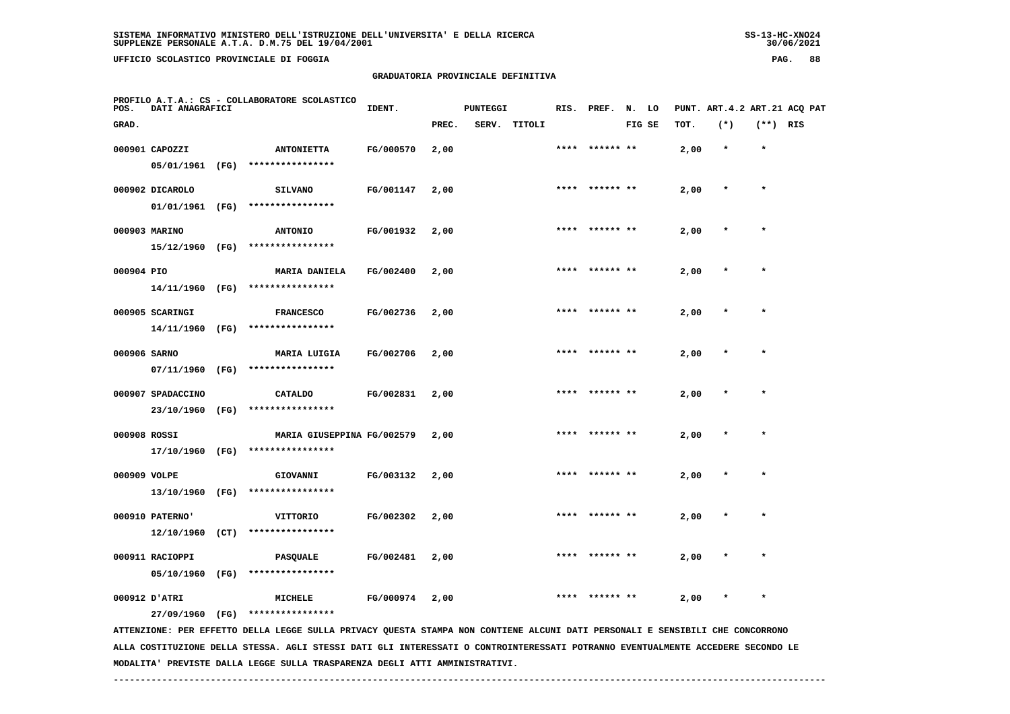# **GRADUATORIA PROVINCIALE DEFINITIVA**

| POS.         | DATI ANAGRAFICI   |      | PROFILO A.T.A.: CS - COLLABORATORE SCOLASTICO                                                                                 | IDENT.    |       | <b>PUNTEGGI</b> |        |      | RIS. PREF. N. LO |        |      |         |            | PUNT. ART.4.2 ART.21 ACQ PAT |
|--------------|-------------------|------|-------------------------------------------------------------------------------------------------------------------------------|-----------|-------|-----------------|--------|------|------------------|--------|------|---------|------------|------------------------------|
| GRAD.        |                   |      |                                                                                                                               |           | PREC. | SERV.           | TITOLI |      |                  | FIG SE | TOT. | $(*)$   | $(**)$ RIS |                              |
|              | 000901 CAPOZZI    |      | <b>ANTONIETTA</b>                                                                                                             | FG/000570 | 2,00  |                 |        |      |                  |        | 2,00 | $\star$ | $\star$    |                              |
|              | 05/01/1961 (FG)   |      | ****************                                                                                                              |           |       |                 |        |      |                  |        |      |         |            |                              |
|              | 000902 DICAROLO   |      | <b>SILVANO</b>                                                                                                                | FG/001147 | 2,00  |                 |        |      | **** ****** **   |        | 2,00 | $\ast$  | $\star$    |                              |
|              | 01/01/1961 (FG)   |      | ****************                                                                                                              |           |       |                 |        |      |                  |        |      |         |            |                              |
|              | 000903 MARINO     |      | <b>ANTONIO</b>                                                                                                                | FG/001932 | 2,00  |                 |        | **** |                  |        | 2,00 |         | $\star$    |                              |
|              | 15/12/1960 (FG)   |      | ****************                                                                                                              |           |       |                 |        |      |                  |        |      |         |            |                              |
| 000904 PIO   |                   |      | <b>MARIA DANIELA</b>                                                                                                          | FG/002400 | 2,00  |                 |        |      |                  |        | 2,00 |         |            |                              |
|              | 14/11/1960 (FG)   |      | ****************                                                                                                              |           |       |                 |        |      |                  |        |      |         |            |                              |
|              | 000905 SCARINGI   |      | <b>FRANCESCO</b>                                                                                                              | FG/002736 | 2,00  |                 |        |      | **** ****** **   |        | 2,00 |         | $\star$    |                              |
|              | 14/11/1960        | (FG) | ****************                                                                                                              |           |       |                 |        |      |                  |        |      |         |            |                              |
| 000906 SARNO |                   |      | MARIA LUIGIA                                                                                                                  | FG/002706 | 2,00  |                 |        | **** | ****** **        |        | 2,00 |         |            |                              |
|              | 07/11/1960 (FG)   |      | ****************                                                                                                              |           |       |                 |        |      |                  |        |      |         |            |                              |
|              | 000907 SPADACCINO |      | <b>CATALDO</b>                                                                                                                | FG/002831 | 2,00  |                 |        |      | **** ****** **   |        | 2,00 |         | $\star$    |                              |
|              | 23/10/1960 (FG)   |      | ****************                                                                                                              |           |       |                 |        |      |                  |        |      |         |            |                              |
| 000908 ROSSI |                   |      | MARIA GIUSEPPINA FG/002579                                                                                                    |           | 2,00  |                 |        |      |                  |        | 2,00 |         | $\ast$     |                              |
|              | 17/10/1960 (FG)   |      | ****************                                                                                                              |           |       |                 |        |      |                  |        |      |         |            |                              |
| 000909 VOLPE |                   |      | GIOVANNI                                                                                                                      | FG/003132 | 2,00  |                 |        |      |                  |        | 2,00 |         |            |                              |
|              | 13/10/1960 (FG)   |      | ****************                                                                                                              |           |       |                 |        |      |                  |        |      |         |            |                              |
|              | 000910 PATERNO'   |      | VITTORIO                                                                                                                      | FG/002302 | 2,00  |                 |        |      |                  |        | 2,00 |         | $\star$    |                              |
|              | 12/10/1960        | (CT) | ****************                                                                                                              |           |       |                 |        |      |                  |        |      |         |            |                              |
|              | 000911 RACIOPPI   |      | PASQUALE                                                                                                                      | FG/002481 | 2,00  |                 |        |      |                  |        | 2,00 |         |            |                              |
|              | 05/10/1960 (FG)   |      | ****************                                                                                                              |           |       |                 |        |      |                  |        |      |         |            |                              |
|              | 000912 D'ATRI     |      | MICHELE                                                                                                                       | FG/000974 | 2,00  |                 |        | **** | ****** **        |        | 2,00 | $\ast$  | $\star$    |                              |
|              | 27/09/1960 (FG)   |      | ****************                                                                                                              |           |       |                 |        |      |                  |        |      |         |            |                              |
|              |                   |      | ATTENZIONE: PER EFFETTO DELLA LEGGE SULLA PRIVACY QUESTA STAMPA NON CONTIENE ALCUNI DATI PERSONALI E SENSIBILI CHE CONCORRONO |           |       |                 |        |      |                  |        |      |         |            |                              |

 **ALLA COSTITUZIONE DELLA STESSA. AGLI STESSI DATI GLI INTERESSATI O CONTROINTERESSATI POTRANNO EVENTUALMENTE ACCEDERE SECONDO LE MODALITA' PREVISTE DALLA LEGGE SULLA TRASPARENZA DEGLI ATTI AMMINISTRATIVI.**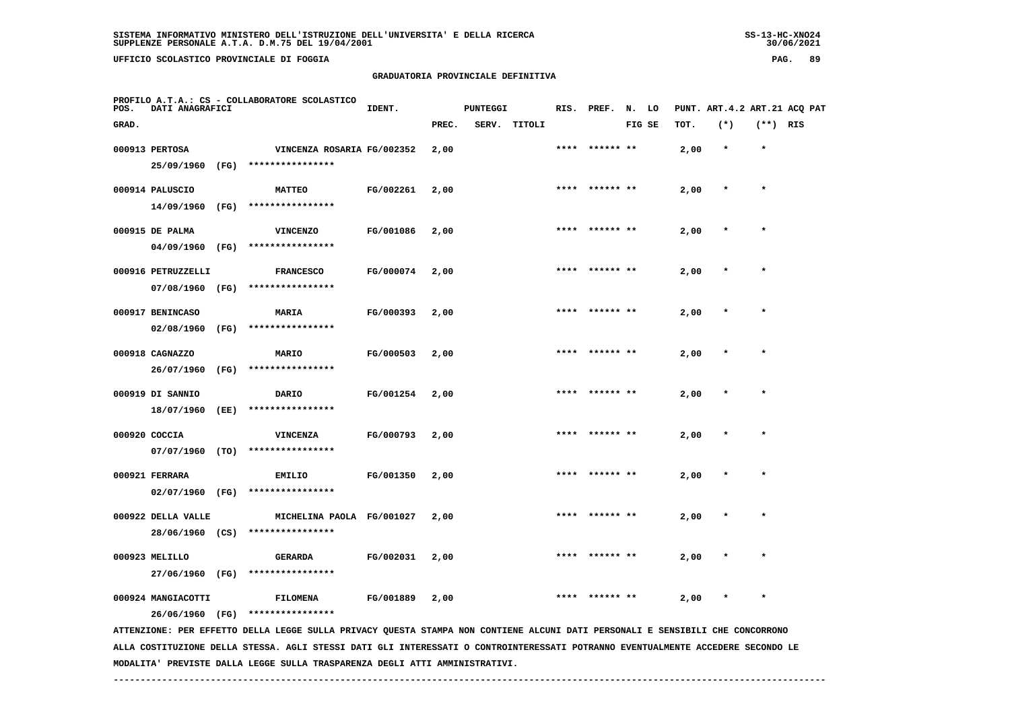**UFFICIO SCOLASTICO PROVINCIALE DI FOGGIA PAG. 89**

## **GRADUATORIA PROVINCIALE DEFINITIVA**

| POS.  | DATI ANAGRAFICI                       |      | PROFILO A.T.A.: CS - COLLABORATORE SCOLASTICO                                                                                   | IDENT.    |       | <b>PUNTEGGI</b> |        | RIS. | PREF.     | N. LO  |      |         |            | PUNT. ART. 4.2 ART. 21 ACQ PAT |
|-------|---------------------------------------|------|---------------------------------------------------------------------------------------------------------------------------------|-----------|-------|-----------------|--------|------|-----------|--------|------|---------|------------|--------------------------------|
| GRAD. |                                       |      |                                                                                                                                 |           | PREC. | SERV.           | TITOLI |      |           | FIG SE | TOT. | $(*)$   | $(**)$ RIS |                                |
|       | 000913 PERTOSA<br>25/09/1960          | (FG) | VINCENZA ROSARIA FG/002352<br>****************                                                                                  |           | 2,00  |                 |        | **** | ****** ** |        | 2,00 | $\star$ | $\star$    |                                |
|       | 000914 PALUSCIO<br>14/09/1960         | (FG) | <b>MATTEO</b><br>****************                                                                                               | FG/002261 | 2,00  |                 |        |      |           |        | 2,00 |         | $\star$    |                                |
|       | 000915 DE PALMA<br>04/09/1960         | (FG) | <b>VINCENZO</b><br>****************                                                                                             | FG/001086 | 2,00  |                 |        |      |           |        | 2,00 |         |            |                                |
|       | 000916 PETRUZZELLI<br>07/08/1960      | (FG) | <b>FRANCESCO</b><br>****************                                                                                            | FG/000074 | 2,00  |                 |        |      |           |        | 2,00 |         |            |                                |
|       | 000917 BENINCASO<br>02/08/1960        | (FG) | <b>MARIA</b><br>****************                                                                                                | FG/000393 | 2,00  |                 |        |      | ****** ** |        | 2,00 |         |            |                                |
|       | 000918 CAGNAZZO<br>26/07/1960         | (FG) | MARIO<br>****************                                                                                                       | FG/000503 | 2,00  |                 |        |      |           |        | 2,00 |         | $\star$    |                                |
|       | 000919 DI SANNIO<br>18/07/1960        | (EE) | DARIO<br>****************                                                                                                       | FG/001254 | 2,00  |                 |        |      |           |        | 2,00 |         |            |                                |
|       | 000920 COCCIA<br>07/07/1960           | (TO) | VINCENZA<br>****************                                                                                                    | FG/000793 | 2,00  |                 |        |      |           |        | 2,00 |         |            |                                |
|       | 000921 FERRARA<br>02/07/1960 (FG)     |      | <b>EMILIO</b><br>****************                                                                                               | FG/001350 | 2,00  |                 |        | **** | ****** ** |        | 2,00 |         |            |                                |
|       | 000922 DELLA VALLE<br>28/06/1960 (CS) |      | MICHELINA PAOLA FG/001027<br>****************                                                                                   |           | 2,00  |                 |        |      | ****** ** |        | 2,00 |         | $\star$    |                                |
|       | 000923 MELILLO<br>27/06/1960 (FG)     |      | GERARDA<br>****************                                                                                                     | FG/002031 | 2,00  |                 |        | **** |           |        | 2,00 |         |            |                                |
|       | 000924 MANGIACOTTI<br>26/06/1960 (FG) |      | <b>FILOMENA</b><br>****************                                                                                             | FG/001889 | 2,00  |                 |        |      |           |        | 2,00 |         |            |                                |
|       |                                       |      | ATTENZIONE: PER EFFETTO DELLA LEGGE SULLA PRIVACY QUESTA STAMPA NON CONTIENE ALCUNI DATI PERSONALI E SENSIBILI CHE CONCORRONO   |           |       |                 |        |      |           |        |      |         |            |                                |
|       |                                       |      | ALLA COSTITUZIONE DELLA STESSA. AGLI STESSI DATI GLI INTERESSATI O CONTROINTERESSATI POTRANNO EVENTUALMENTE ACCEDERE SECONDO LE |           |       |                 |        |      |           |        |      |         |            |                                |

 **MODALITA' PREVISTE DALLA LEGGE SULLA TRASPARENZA DEGLI ATTI AMMINISTRATIVI.**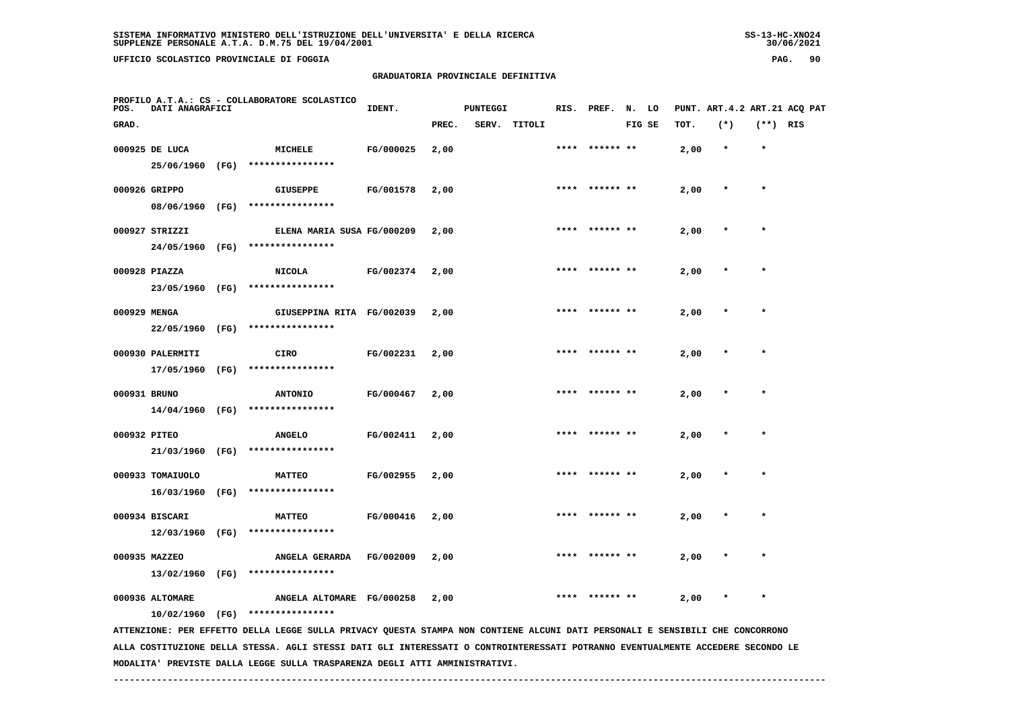**UFFICIO SCOLASTICO PROVINCIALE DI FOGGIA PAG. 90**

## **GRADUATORIA PROVINCIALE DEFINITIVA**

| POS.         | DATI ANAGRAFICI  |      | PROFILO A.T.A.: CS - COLLABORATORE SCOLASTICO                                                                                   | IDENT.    |       | <b>PUNTEGGI</b> |              | RIS. | PREF.          | N. LO  |      |         |            | PUNT. ART. 4.2 ART. 21 ACQ PAT |
|--------------|------------------|------|---------------------------------------------------------------------------------------------------------------------------------|-----------|-------|-----------------|--------------|------|----------------|--------|------|---------|------------|--------------------------------|
| GRAD.        |                  |      |                                                                                                                                 |           | PREC. |                 | SERV. TITOLI |      |                | FIG SE | TOT. | $(*)$   | $(**)$ RIS |                                |
|              | 000925 DE LUCA   |      | <b>MICHELE</b>                                                                                                                  | FG/000025 | 2,00  |                 |              |      |                |        | 2,00 | $\star$ | $\star$    |                                |
|              | 25/06/1960       | (FG) | ****************                                                                                                                |           |       |                 |              |      |                |        |      |         |            |                                |
|              | 000926 GRIPPO    |      | GIUSEPPE                                                                                                                        | FG/001578 | 2,00  |                 |              | **** |                |        | 2,00 |         | $\star$    |                                |
|              | 08/06/1960 (FG)  |      | ****************                                                                                                                |           |       |                 |              |      |                |        |      |         |            |                                |
|              | 000927 STRIZZI   |      | ELENA MARIA SUSA FG/000209                                                                                                      |           | 2,00  |                 |              | **** | ****** **      |        | 2,00 |         |            |                                |
|              | 24/05/1960 (FG)  |      | ****************                                                                                                                |           |       |                 |              |      |                |        |      |         |            |                                |
|              | 000928 PIAZZA    |      | <b>NICOLA</b>                                                                                                                   | FG/002374 | 2,00  |                 |              |      | **** ****** ** |        | 2,00 |         | $\star$    |                                |
|              | 23/05/1960 (FG)  |      | ****************                                                                                                                |           |       |                 |              |      |                |        |      |         |            |                                |
| 000929 MENGA |                  |      | GIUSEPPINA RITA FG/002039                                                                                                       |           | 2,00  |                 |              | **** |                |        | 2,00 |         | $\star$    |                                |
|              | 22/05/1960 (FG)  |      | ****************                                                                                                                |           |       |                 |              |      |                |        |      |         |            |                                |
|              | 000930 PALERMITI |      | <b>CIRO</b>                                                                                                                     | FG/002231 | 2,00  |                 |              |      |                |        | 2,00 |         |            |                                |
|              | 17/05/1960       | (FG) | ****************                                                                                                                |           |       |                 |              |      |                |        |      |         |            |                                |
| 000931 BRUNO |                  |      | <b>ANTONIO</b>                                                                                                                  | FG/000467 | 2,00  |                 |              |      |                |        | 2,00 |         |            |                                |
|              | 14/04/1960       | (FG) | ****************                                                                                                                |           |       |                 |              |      |                |        |      |         |            |                                |
| 000932 PITEO |                  |      | <b>ANGELO</b>                                                                                                                   | FG/002411 | 2,00  |                 |              | **** | ****** **      |        | 2,00 |         |            |                                |
|              | 21/03/1960       | (FG) | ****************                                                                                                                |           |       |                 |              |      |                |        |      |         |            |                                |
|              | 000933 TOMAIUOLO |      | <b>MATTEO</b>                                                                                                                   | FG/002955 | 2,00  |                 |              |      |                |        | 2,00 |         |            |                                |
|              | 16/03/1960       | (FG) | ****************                                                                                                                |           |       |                 |              |      |                |        |      |         |            |                                |
|              | 000934 BISCARI   |      | <b>MATTEO</b>                                                                                                                   | FG/000416 | 2,00  |                 |              |      |                |        | 2,00 |         |            |                                |
|              | 12/03/1960 (FG)  |      | ****************                                                                                                                |           |       |                 |              |      |                |        |      |         |            |                                |
|              | 000935 MAZZEO    |      | ANGELA GERARDA                                                                                                                  | FG/002009 | 2,00  |                 |              |      | ****** **      |        | 2,00 |         |            |                                |
|              | 13/02/1960 (FG)  |      | ****************                                                                                                                |           |       |                 |              |      |                |        |      |         |            |                                |
|              | 000936 ALTOMARE  |      | ANGELA ALTOMARE FG/000258                                                                                                       |           | 2,00  |                 |              |      | **** ****** ** |        | 2,00 |         |            |                                |
|              | 10/02/1960 (FG)  |      | ****************                                                                                                                |           |       |                 |              |      |                |        |      |         |            |                                |
|              |                  |      | ATTENZIONE: PER EFFETTO DELLA LEGGE SULLA PRIVACY QUESTA STAMPA NON CONTIENE ALCUNI DATI PERSONALI E SENSIBILI CHE CONCORRONO   |           |       |                 |              |      |                |        |      |         |            |                                |
|              |                  |      | ALLA COSTITUZIONE DELLA STESSA. AGLI STESSI DATI GLI INTERESSATI O CONTROINTERESSATI POTRANNO EVENTUALMENTE ACCEDERE SECONDO LE |           |       |                 |              |      |                |        |      |         |            |                                |

 **MODALITA' PREVISTE DALLA LEGGE SULLA TRASPARENZA DEGLI ATTI AMMINISTRATIVI.**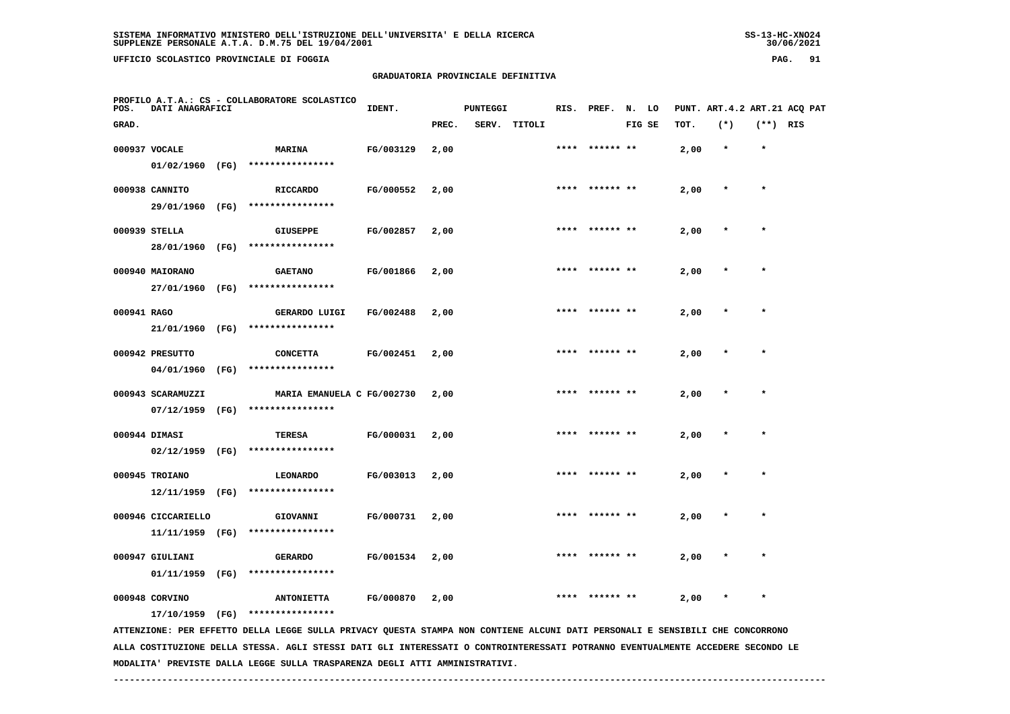**UFFICIO SCOLASTICO PROVINCIALE DI FOGGIA PAG. 91**

## **GRADUATORIA PROVINCIALE DEFINITIVA**

| POS.        | DATI ANAGRAFICI    |      | PROFILO A.T.A.: CS - COLLABORATORE SCOLASTICO                                                                                                                                                                                                                    | IDENT.    |       | <b>PUNTEGGI</b> |        |      | RIS. PREF. | N.     | LO |      |         |            | PUNT. ART. 4.2 ART. 21 ACQ PAT |
|-------------|--------------------|------|------------------------------------------------------------------------------------------------------------------------------------------------------------------------------------------------------------------------------------------------------------------|-----------|-------|-----------------|--------|------|------------|--------|----|------|---------|------------|--------------------------------|
| GRAD.       |                    |      |                                                                                                                                                                                                                                                                  |           | PREC. | SERV.           | TITOLI |      |            | FIG SE |    | TOT. | $(*)$   | $(**)$ RIS |                                |
|             | 000937 VOCALE      |      | MARINA                                                                                                                                                                                                                                                           | FG/003129 | 2,00  |                 |        | **** | ****** **  |        |    | 2,00 | $\star$ | $\star$    |                                |
|             | 01/02/1960         | (FG) | ****************                                                                                                                                                                                                                                                 |           |       |                 |        |      |            |        |    |      |         |            |                                |
|             | 000938 CANNITO     |      | <b>RICCARDO</b>                                                                                                                                                                                                                                                  | FG/000552 | 2,00  |                 |        | **** |            |        |    | 2,00 | $\ast$  | $\star$    |                                |
|             | 29/01/1960         | (FG) | ****************                                                                                                                                                                                                                                                 |           |       |                 |        |      |            |        |    |      |         |            |                                |
|             | 000939 STELLA      |      | <b>GIUSEPPE</b>                                                                                                                                                                                                                                                  | FG/002857 | 2,00  |                 |        |      |            |        |    | 2,00 |         |            |                                |
|             | 28/01/1960         | (FG) | ****************                                                                                                                                                                                                                                                 |           |       |                 |        |      |            |        |    |      |         |            |                                |
|             | 000940 MAIORANO    |      | <b>GAETANO</b>                                                                                                                                                                                                                                                   | FG/001866 | 2,00  |                 |        | **** | ****** **  |        |    | 2,00 |         | $\star$    |                                |
|             | 27/01/1960         | (FG) | ****************                                                                                                                                                                                                                                                 |           |       |                 |        |      |            |        |    |      |         |            |                                |
| 000941 RAGO |                    |      | GERARDO LUIGI                                                                                                                                                                                                                                                    | FG/002488 | 2,00  |                 |        |      | ****** **  |        |    | 2,00 |         |            |                                |
|             | 21/01/1960         | (FG) | ****************                                                                                                                                                                                                                                                 |           |       |                 |        |      |            |        |    |      |         |            |                                |
|             | 000942 PRESUTTO    |      | <b>CONCETTA</b>                                                                                                                                                                                                                                                  | FG/002451 | 2,00  |                 |        | **** |            |        |    | 2,00 |         | $\star$    |                                |
|             | 04/01/1960         | (FG) | ****************                                                                                                                                                                                                                                                 |           |       |                 |        |      |            |        |    |      |         |            |                                |
|             | 000943 SCARAMUZZI  |      | MARIA EMANUELA C FG/002730                                                                                                                                                                                                                                       |           | 2,00  |                 |        |      |            |        |    | 2,00 |         |            |                                |
|             | 07/12/1959         | (FG) | ****************                                                                                                                                                                                                                                                 |           |       |                 |        |      |            |        |    |      |         |            |                                |
|             | 000944 DIMASI      |      | TERESA                                                                                                                                                                                                                                                           | FG/000031 | 2,00  |                 |        |      |            |        |    | 2,00 |         | $\star$    |                                |
|             | 02/12/1959         | (FG) | ****************                                                                                                                                                                                                                                                 |           |       |                 |        |      |            |        |    |      |         |            |                                |
|             | 000945 TROIANO     |      | <b>LEONARDO</b>                                                                                                                                                                                                                                                  | FG/003013 | 2,00  |                 |        |      | ****** **  |        |    | 2,00 |         |            |                                |
|             | 12/11/1959         | (FG) | ****************                                                                                                                                                                                                                                                 |           |       |                 |        |      |            |        |    |      |         |            |                                |
|             | 000946 CICCARIELLO |      | GIOVANNI<br>****************                                                                                                                                                                                                                                     | FG/000731 | 2,00  |                 |        | **** | ****** **  |        |    | 2,00 |         | $\star$    |                                |
|             | 11/11/1959 (FG)    |      |                                                                                                                                                                                                                                                                  |           |       |                 |        |      |            |        |    |      |         |            |                                |
|             | 000947 GIULIANI    |      | <b>GERARDO</b><br>****************                                                                                                                                                                                                                               | FG/001534 | 2,00  |                 |        |      |            |        |    | 2,00 |         |            |                                |
|             | 01/11/1959         | (FG) |                                                                                                                                                                                                                                                                  |           |       |                 |        |      |            |        |    |      |         |            |                                |
|             | 000948 CORVINO     |      | <b>ANTONIETTA</b>                                                                                                                                                                                                                                                | FG/000870 | 2,00  |                 |        |      |            |        |    | 2,00 |         |            |                                |
|             | 17/10/1959         | (FG) | ****************                                                                                                                                                                                                                                                 |           |       |                 |        |      |            |        |    |      |         |            |                                |
|             |                    |      | ATTENZIONE: PER EFFETTO DELLA LEGGE SULLA PRIVACY QUESTA STAMPA NON CONTIENE ALCUNI DATI PERSONALI E SENSIBILI CHE CONCORRONO<br>ALLA COSTITUZIONE DELLA STESSA. AGLI STESSI DATI GLI INTERESSATI O CONTROINTERESSATI POTRANNO EVENTUALMENTE ACCEDERE SECONDO LE |           |       |                 |        |      |            |        |    |      |         |            |                                |

 **MODALITA' PREVISTE DALLA LEGGE SULLA TRASPARENZA DEGLI ATTI AMMINISTRATIVI.**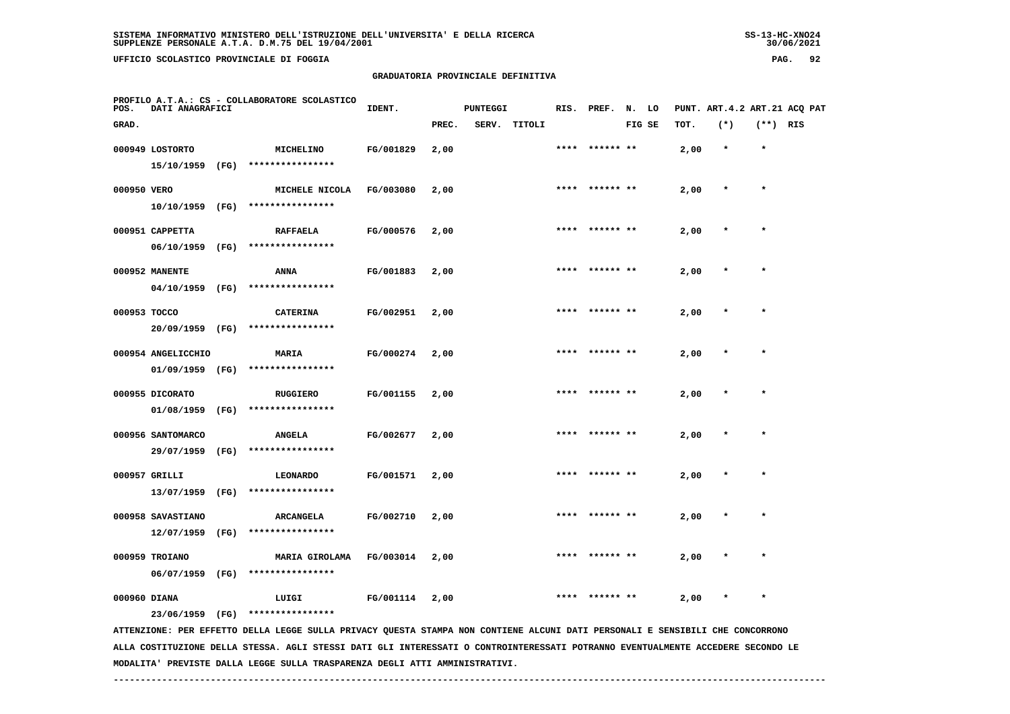**UFFICIO SCOLASTICO PROVINCIALE DI FOGGIA PAG. 92**

## **GRADUATORIA PROVINCIALE DEFINITIVA**

| POS.         | PROFILO A.T.A.: CS - COLLABORATORE SCOLASTICO<br>DATI ANAGRAFICI |      |                                                                                                                               | IDENT.    |       | <b>PUNTEGGI</b> |              |      | RIS. PREF. N. LO |        |      |         |            | PUNT. ART.4.2 ART.21 ACQ PAT |
|--------------|------------------------------------------------------------------|------|-------------------------------------------------------------------------------------------------------------------------------|-----------|-------|-----------------|--------------|------|------------------|--------|------|---------|------------|------------------------------|
| GRAD.        |                                                                  |      |                                                                                                                               |           | PREC. |                 | SERV. TITOLI |      |                  | FIG SE | TOT. | $(*)$   | $(**)$ RIS |                              |
|              | 000949 LOSTORTO<br>15/10/1959 (FG)                               |      | MICHELINO<br>****************                                                                                                 | FG/001829 | 2,00  |                 |              |      | ****** **        |        | 2,00 | $\star$ | $\star$    |                              |
| 000950 VERO  | 10/10/1959 (FG)                                                  |      | MICHELE NICOLA<br>****************                                                                                            | FG/003080 | 2,00  |                 |              |      | **** ****** **   |        | 2,00 | $\ast$  | $\star$    |                              |
|              | 000951 CAPPETTA<br>06/10/1959 (FG)                               |      | <b>RAFFAELA</b><br>****************                                                                                           | FG/000576 | 2,00  |                 |              | **** |                  |        | 2,00 |         | $\star$    |                              |
|              | 000952 MANENTE                                                   |      | <b>ANNA</b><br>****************                                                                                               | FG/001883 | 2,00  |                 |              | **** | ****** **        |        | 2,00 |         |            |                              |
| 000953 TOCCO | 04/10/1959 (FG)                                                  |      | <b>CATERINA</b>                                                                                                               | FG/002951 | 2,00  |                 |              |      | ****** **        |        | 2,00 |         | $\star$    |                              |
|              | 20/09/1959 (FG)<br>000954 ANGELICCHIO                            |      | ****************<br><b>MARIA</b><br>****************                                                                          | FG/000274 | 2,00  |                 |              |      | **** ****** **   |        | 2,00 |         | $\star$    |                              |
|              | 01/09/1959 (FG)<br>000955 DICORATO                               |      | <b>RUGGIERO</b><br>****************                                                                                           | FG/001155 | 2,00  |                 |              | **** | ****** **        |        | 2,00 |         | $\star$    |                              |
|              | 01/08/1959<br>000956 SANTOMARCO                                  | (FG) | <b>ANGELA</b><br>****************                                                                                             | FG/002677 | 2,00  |                 |              | **** | ****** **        |        | 2,00 |         | $\star$    |                              |
|              | 29/07/1959<br>000957 GRILLI                                      | (FG) | <b>LEONARDO</b><br>****************                                                                                           | FG/001571 | 2,00  |                 |              |      |                  |        | 2,00 |         |            |                              |
|              | 13/07/1959 (FG)<br>000958 SAVASTIANO<br>$12/07/1959$ (FG)        |      | <b>ARCANGELA</b><br>****************                                                                                          | FG/002710 | 2,00  |                 |              |      |                  |        | 2,00 |         |            |                              |
|              | 000959 TROIANO<br>06/07/1959 (FG)                                |      | MARIA GIROLAMA<br>****************                                                                                            | FG/003014 | 2,00  |                 |              | **** | ****** **        |        | 2,00 |         | $\star$    |                              |
| 000960 DIANA | 23/06/1959 (FG)                                                  |      | LUIGI<br>****************                                                                                                     | FG/001114 | 2,00  |                 |              |      |                  |        | 2,00 |         |            |                              |
|              |                                                                  |      | ATTENZIONE: PER EFFETTO DELLA LEGGE SULLA PRIVACY QUESTA STAMPA NON CONTIENE ALCUNI DATI PERSONALI E SENSIBILI CHE CONCORRONO |           |       |                 |              |      |                  |        |      |         |            |                              |

 **ALLA COSTITUZIONE DELLA STESSA. AGLI STESSI DATI GLI INTERESSATI O CONTROINTERESSATI POTRANNO EVENTUALMENTE ACCEDERE SECONDO LE MODALITA' PREVISTE DALLA LEGGE SULLA TRASPARENZA DEGLI ATTI AMMINISTRATIVI.**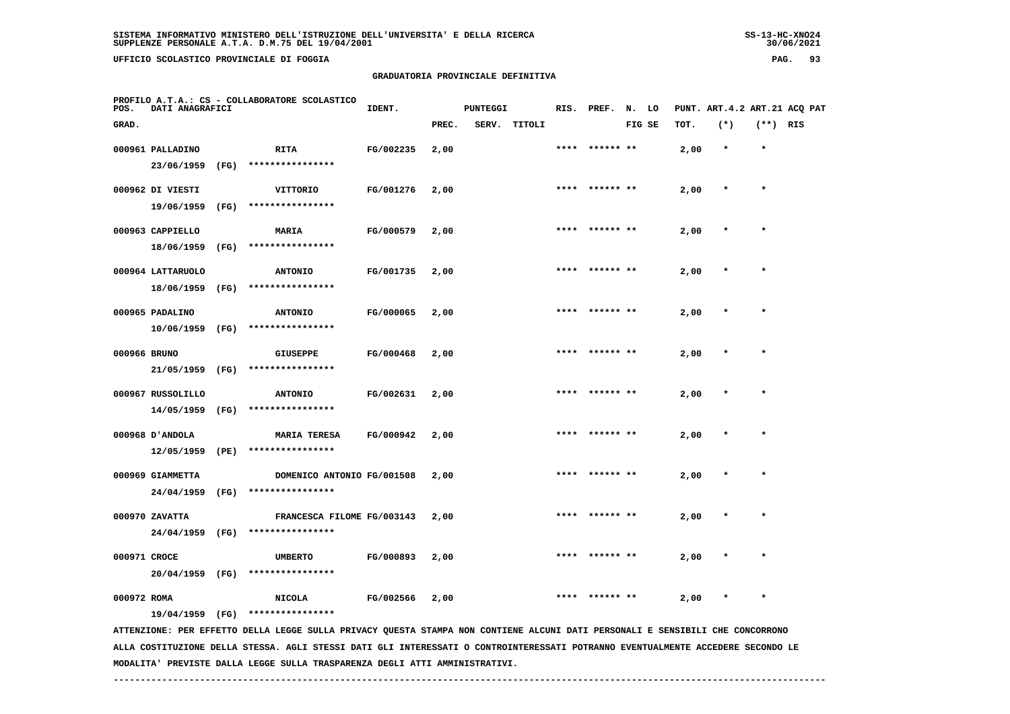**UFFICIO SCOLASTICO PROVINCIALE DI FOGGIA PAG. 93**

## **GRADUATORIA PROVINCIALE DEFINITIVA**

| POS.         | DATI ANAGRAFICI                |      | PROFILO A.T.A.: CS - COLLABORATORE SCOLASTICO                                                                                                     | IDENT.    |       | <b>PUNTEGGI</b> |        | RIS. | PREF.     | N.     | LO |      | PUNT. ART. 4.2 ART. 21 ACQ PAT |            |  |
|--------------|--------------------------------|------|---------------------------------------------------------------------------------------------------------------------------------------------------|-----------|-------|-----------------|--------|------|-----------|--------|----|------|--------------------------------|------------|--|
| GRAD.        |                                |      |                                                                                                                                                   |           | PREC. | SERV.           | TITOLI |      |           | FIG SE |    | TOT. | $(*)$                          | $(**)$ RIS |  |
|              | 000961 PALLADINO               |      | <b>RITA</b>                                                                                                                                       | FG/002235 | 2,00  |                 |        | **** | ****** ** |        |    | 2,00 | $\star$                        | $\star$    |  |
|              | 23/06/1959                     | (FG) | ****************                                                                                                                                  |           |       |                 |        |      |           |        |    |      |                                |            |  |
|              | 000962 DI VIESTI               |      | VITTORIO                                                                                                                                          | FG/001276 | 2,00  |                 |        | **** |           |        |    | 2,00 | $\ast$                         | $\star$    |  |
|              | 19/06/1959                     | (FG) | ****************                                                                                                                                  |           |       |                 |        |      |           |        |    |      |                                |            |  |
|              | 000963 CAPPIELLO               |      | MARIA                                                                                                                                             | FG/000579 | 2,00  |                 |        |      |           |        |    | 2,00 |                                |            |  |
|              | 18/06/1959                     | (FG) | ****************                                                                                                                                  |           |       |                 |        |      |           |        |    |      |                                |            |  |
|              | 000964 LATTARUOLO              |      | <b>ANTONIO</b>                                                                                                                                    | FG/001735 | 2,00  |                 |        | **** | ****** ** |        |    | 2,00 |                                | $\star$    |  |
|              | 18/06/1959                     | (FG) | ****************                                                                                                                                  |           |       |                 |        |      |           |        |    |      |                                |            |  |
|              | 000965 PADALINO                |      | <b>ANTONIO</b>                                                                                                                                    | FG/000065 | 2,00  |                 |        |      | ****** ** |        |    | 2,00 |                                | $\star$    |  |
|              | 10/06/1959                     | (FG) | ****************                                                                                                                                  |           |       |                 |        |      |           |        |    |      |                                |            |  |
| 000966 BRUNO |                                |      | <b>GIUSEPPE</b>                                                                                                                                   | FG/000468 | 2,00  |                 |        | **** |           |        |    | 2,00 |                                | $\star$    |  |
|              | 21/05/1959                     | (FG) | ****************                                                                                                                                  |           |       |                 |        |      |           |        |    |      |                                |            |  |
|              | 000967 RUSSOLILLO              |      | <b>ANTONIO</b>                                                                                                                                    | FG/002631 | 2,00  |                 |        |      |           |        |    | 2,00 |                                |            |  |
|              | 14/05/1959                     | (FG) | ****************                                                                                                                                  |           |       |                 |        |      |           |        |    |      |                                |            |  |
|              | 000968 D'ANDOLA                |      | <b>MARIA TERESA</b>                                                                                                                               | FG/000942 |       |                 |        |      |           |        |    |      |                                | $\star$    |  |
|              | 12/05/1959                     | (PE) | ****************                                                                                                                                  |           | 2,00  |                 |        |      |           |        |    | 2,00 |                                |            |  |
|              |                                |      |                                                                                                                                                   |           |       |                 |        |      | ****** ** |        |    |      |                                | $\star$    |  |
|              | 000969 GIAMMETTA<br>24/04/1959 | (FG) | DOMENICO ANTONIO FG/001508<br>****************                                                                                                    |           | 2,00  |                 |        |      |           |        |    | 2,00 |                                |            |  |
|              |                                |      |                                                                                                                                                   |           |       |                 |        |      |           |        |    |      |                                |            |  |
|              | 000970 ZAVATTA<br>24/04/1959   | (FG) | FRANCESCA FILOME FG/003143<br>****************                                                                                                    |           | 2,00  |                 |        | **** | ****** ** |        |    | 2,00 |                                | $\star$    |  |
|              |                                |      |                                                                                                                                                   |           |       |                 |        |      |           |        |    |      |                                |            |  |
| 000971 CROCE |                                |      | <b>UMBERTO</b><br>****************                                                                                                                | FG/000893 | 2,00  |                 |        |      |           |        |    | 2,00 |                                |            |  |
|              | 20/04/1959                     | (FG) |                                                                                                                                                   |           |       |                 |        |      |           |        |    |      |                                |            |  |
| 000972 ROMA  |                                |      | <b>NICOLA</b>                                                                                                                                     | FG/002566 | 2,00  |                 |        |      |           |        |    | 2,00 |                                | $\star$    |  |
|              | 19/04/1959 (FG)                |      | ****************<br>ATTENZIONE: PER EFFETTO DELLA LEGGE SULLA PRIVACY QUESTA STAMPA NON CONTIENE ALCUNI DATI PERSONALI E SENSIBILI CHE CONCORRONO |           |       |                 |        |      |           |        |    |      |                                |            |  |
|              |                                |      | ALLA COSTITUZIONE DELLA STESSA. AGLI STESSI DATI GLI INTERESSATI O CONTROINTERESSATI POTRANNO EVENTUALMENTE ACCEDERE SECONDO LE                   |           |       |                 |        |      |           |        |    |      |                                |            |  |

 **MODALITA' PREVISTE DALLA LEGGE SULLA TRASPARENZA DEGLI ATTI AMMINISTRATIVI.**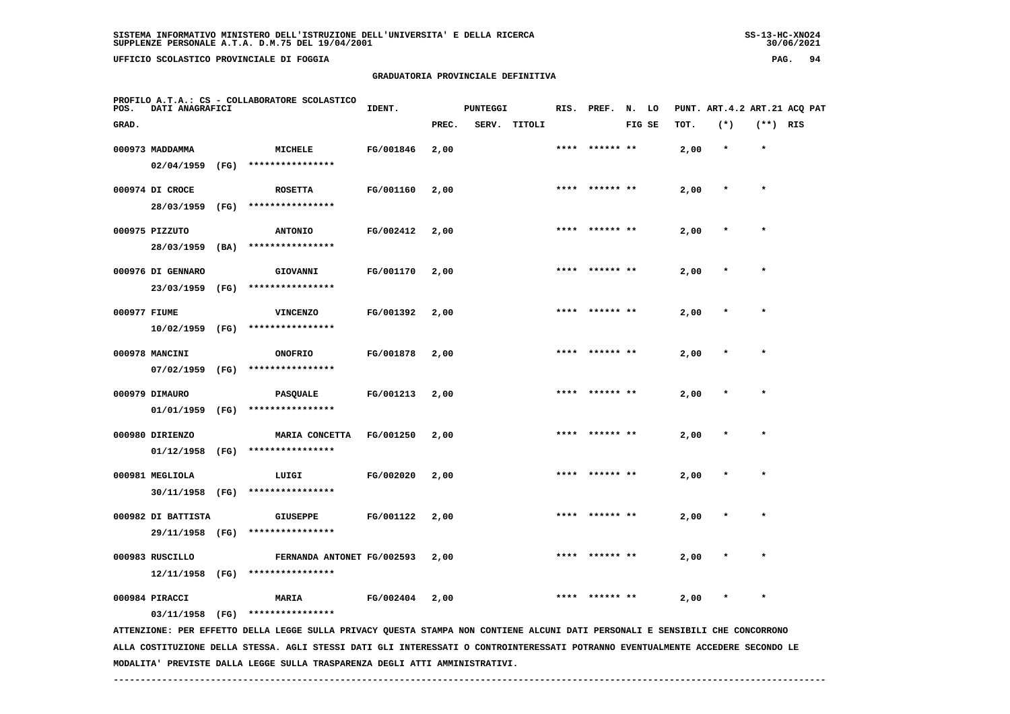**UFFICIO SCOLASTICO PROVINCIALE DI FOGGIA PAG. 94**

## **GRADUATORIA PROVINCIALE DEFINITIVA**

| POS.         | DATI ANAGRAFICI    |      | PROFILO A.T.A.: CS - COLLABORATORE SCOLASTICO                                                                                   | IDENT.    |       | <b>PUNTEGGI</b> |              | RIS. | PREF.          | N. LO  |      |         |            | PUNT. ART. 4.2 ART. 21 ACO PAT |
|--------------|--------------------|------|---------------------------------------------------------------------------------------------------------------------------------|-----------|-------|-----------------|--------------|------|----------------|--------|------|---------|------------|--------------------------------|
| GRAD.        |                    |      |                                                                                                                                 |           | PREC. |                 | SERV. TITOLI |      |                | FIG SE | TOT. | $(*)$   | $(**)$ RIS |                                |
|              | 000973 MADDAMMA    |      | <b>MICHELE</b>                                                                                                                  | FG/001846 | 2,00  |                 |              |      | **** ****** ** |        | 2,00 | $\star$ | $\star$    |                                |
|              | 02/04/1959         | (FG) | ****************                                                                                                                |           |       |                 |              |      |                |        |      |         |            |                                |
|              | 000974 DI CROCE    |      | <b>ROSETTA</b>                                                                                                                  | FG/001160 | 2,00  |                 |              |      | **** ****** ** |        | 2,00 | $\star$ | $\star$    |                                |
|              | 28/03/1959         | (FG) | ****************                                                                                                                |           |       |                 |              |      |                |        |      |         |            |                                |
|              | 000975 PIZZUTO     |      | <b>ANTONIO</b>                                                                                                                  | FG/002412 | 2,00  |                 |              |      |                |        | 2,00 |         |            |                                |
|              | 28/03/1959 (BA)    |      | ****************                                                                                                                |           |       |                 |              |      |                |        |      |         |            |                                |
|              | 000976 DI GENNARO  |      | GIOVANNI                                                                                                                        | FG/001170 | 2,00  |                 |              |      |                |        | 2,00 |         |            |                                |
|              | 23/03/1959         | (FG) | ****************                                                                                                                |           |       |                 |              |      |                |        |      |         |            |                                |
| 000977 FIUME |                    |      | <b>VINCENZO</b>                                                                                                                 | FG/001392 | 2,00  |                 |              | **** | ****** **      |        | 2,00 |         |            |                                |
|              | 10/02/1959 (FG)    |      | ****************                                                                                                                |           |       |                 |              |      |                |        |      |         |            |                                |
|              | 000978 MANCINI     |      | <b>ONOFRIO</b>                                                                                                                  | FG/001878 | 2,00  |                 |              | **** |                |        | 2,00 |         | $\star$    |                                |
|              | $07/02/1959$ (FG)  |      | ****************                                                                                                                |           |       |                 |              |      |                |        |      |         |            |                                |
|              | 000979 DIMAURO     |      | <b>PASQUALE</b>                                                                                                                 | FG/001213 | 2,00  |                 |              |      |                |        | 2,00 |         |            |                                |
|              | 01/01/1959 (FG)    |      | ****************                                                                                                                |           |       |                 |              |      |                |        |      |         |            |                                |
|              | 000980 DIRIENZO    |      | <b>MARIA CONCETTA</b>                                                                                                           | FG/001250 | 2,00  |                 |              |      |                |        | 2,00 |         |            |                                |
|              | 01/12/1958         | (FG) | ****************                                                                                                                |           |       |                 |              |      |                |        |      |         |            |                                |
|              | 000981 MEGLIOLA    |      | LUIGI                                                                                                                           | FG/002020 | 2,00  |                 |              | **** | ****** **      |        | 2,00 |         |            |                                |
|              | 30/11/1958 (FG)    |      | ****************                                                                                                                |           |       |                 |              |      |                |        |      |         |            |                                |
|              | 000982 DI BATTISTA |      | <b>GIUSEPPE</b>                                                                                                                 | FG/001122 | 2,00  |                 |              | **** | ****** **      |        | 2,00 |         | $\star$    |                                |
|              | 29/11/1958 (FG)    |      | ****************                                                                                                                |           |       |                 |              |      |                |        |      |         |            |                                |
|              | 000983 RUSCILLO    |      | FERNANDA ANTONET FG/002593                                                                                                      |           | 2,00  |                 |              |      |                |        | 2,00 |         |            |                                |
|              | $12/11/1958$ (FG)  |      | ****************                                                                                                                |           |       |                 |              |      |                |        |      |         |            |                                |
|              | 000984 PIRACCI     |      | <b>MARIA</b>                                                                                                                    | FG/002404 | 2,00  |                 |              |      |                |        | 2,00 |         | $\star$    |                                |
|              | 03/11/1958 (FG)    |      | ****************                                                                                                                |           |       |                 |              |      |                |        |      |         |            |                                |
|              |                    |      | ATTENZIONE: PER EFFETTO DELLA LEGGE SULLA PRIVACY QUESTA STAMPA NON CONTIENE ALCUNI DATI PERSONALI E SENSIBILI CHE CONCORRONO   |           |       |                 |              |      |                |        |      |         |            |                                |
|              |                    |      | ALLA COSTITUZIONE DELLA STESSA. AGLI STESSI DATI GLI INTERESSATI O CONTROINTERESSATI POTRANNO EVENTUALMENTE ACCEDERE SECONDO LE |           |       |                 |              |      |                |        |      |         |            |                                |

 **MODALITA' PREVISTE DALLA LEGGE SULLA TRASPARENZA DEGLI ATTI AMMINISTRATIVI.**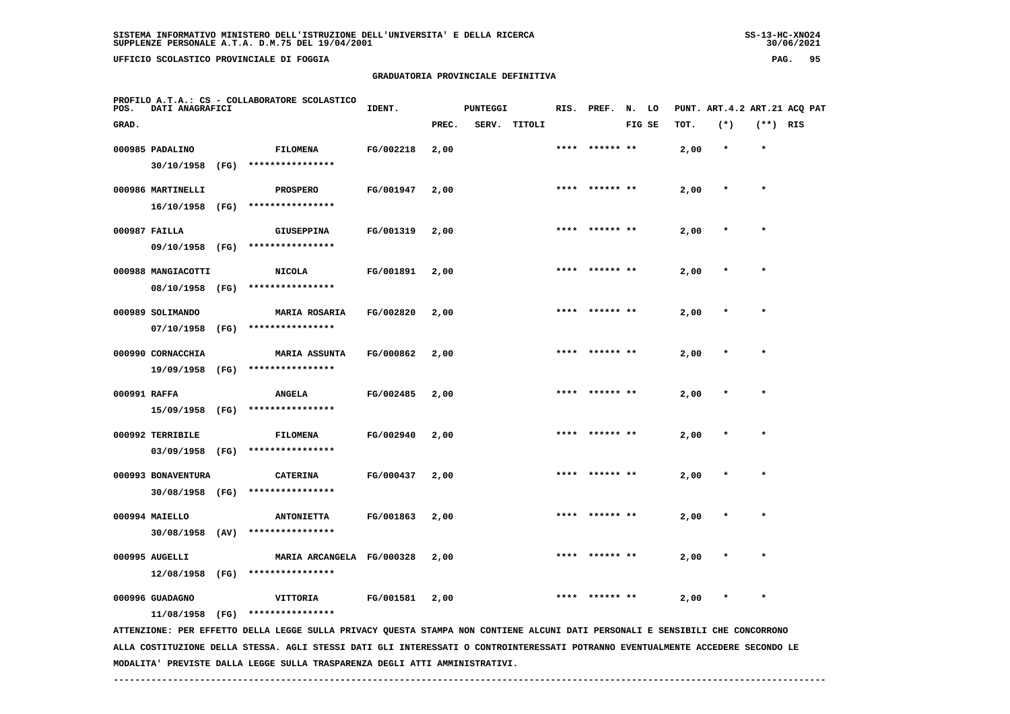**UFFICIO SCOLASTICO PROVINCIALE DI FOGGIA PAG. 95**

## **GRADUATORIA PROVINCIALE DEFINITIVA**

| POS.         | DATI ANAGRAFICI                       |      | PROFILO A.T.A.: CS - COLLABORATORE SCOLASTICO                                                                                                     | IDENT.    |       | <b>PUNTEGGI</b> |              | RIS. | PREF.          | N. LO  |      |         |            | PUNT. ART. 4.2 ART. 21 ACO PAT |
|--------------|---------------------------------------|------|---------------------------------------------------------------------------------------------------------------------------------------------------|-----------|-------|-----------------|--------------|------|----------------|--------|------|---------|------------|--------------------------------|
| GRAD.        |                                       |      |                                                                                                                                                   |           | PREC. |                 | SERV. TITOLI |      |                | FIG SE | TOT. | $(*)$   | $(**)$ RIS |                                |
|              | 000985 PADALINO                       |      | <b>FILOMENA</b><br>****************                                                                                                               | FG/002218 | 2,00  |                 |              |      | **** ****** ** |        | 2,00 | $\star$ | $\star$    |                                |
|              | 30/10/1958 (FG)<br>000986 MARTINELLI  |      | <b>PROSPERO</b>                                                                                                                                   | FG/001947 | 2,00  |                 |              |      | **** ****** ** |        | 2,00 | $\star$ | $\star$    |                                |
|              | 16/10/1958 (FG)                       |      | ****************                                                                                                                                  |           |       |                 |              |      |                |        |      |         |            |                                |
|              | 000987 FAILLA                         |      | <b>GIUSEPPINA</b>                                                                                                                                 | FG/001319 | 2,00  |                 |              |      |                |        | 2,00 |         |            |                                |
|              | 09/10/1958 (FG)                       |      | ****************                                                                                                                                  |           |       |                 |              |      |                |        |      |         |            |                                |
|              | 000988 MANGIACOTTI<br>08/10/1958 (FG) |      | <b>NICOLA</b><br>****************                                                                                                                 | FG/001891 | 2,00  |                 |              |      |                |        | 2,00 |         |            |                                |
|              | 000989 SOLIMANDO                      |      | <b>MARIA ROSARIA</b>                                                                                                                              | FG/002820 | 2,00  |                 |              | **** | ****** **      |        | 2,00 |         | $\star$    |                                |
|              | 07/10/1958 (FG)<br>000990 CORNACCHIA  |      | ****************<br><b>MARIA ASSUNTA</b>                                                                                                          | FG/000862 | 2,00  |                 |              | **** |                |        | 2,00 |         | $\star$    |                                |
|              | 19/09/1958 (FG)                       |      | ****************                                                                                                                                  |           |       |                 |              |      |                |        |      |         |            |                                |
| 000991 RAFFA | 15/09/1958 (FG)                       |      | <b>ANGELA</b><br>****************                                                                                                                 | FG/002485 | 2,00  |                 |              |      |                |        | 2,00 |         |            |                                |
|              | 000992 TERRIBILE                      |      | <b>FILOMENA</b>                                                                                                                                   | FG/002940 | 2,00  |                 |              |      |                |        | 2,00 |         |            |                                |
|              | 03/09/1958                            | (FG) | ****************                                                                                                                                  |           |       |                 |              |      |                |        |      |         |            |                                |
|              | 000993 BONAVENTURA<br>30/08/1958 (FG) |      | <b>CATERINA</b><br>****************                                                                                                               | FG/000437 | 2,00  |                 |              |      | ****** **      |        | 2,00 |         |            |                                |
|              | 000994 MAIELLO<br>$30/08/1958$ (AV)   |      | <b>ANTONIETTA</b><br>****************                                                                                                             | FG/001863 | 2,00  |                 |              | **** | ****** **      |        | 2,00 |         | $\star$    |                                |
|              | 000995 AUGELLI                        |      | MARIA ARCANGELA FG/000328                                                                                                                         |           | 2,00  |                 |              |      |                |        | 2,00 |         |            |                                |
|              | $12/08/1958$ (FG)                     |      | ****************                                                                                                                                  |           |       |                 |              |      |                |        |      |         |            |                                |
|              | 000996 GUADAGNO                       |      | VITTORIA                                                                                                                                          | FG/001581 | 2,00  |                 |              |      |                |        | 2,00 |         | $\star$    |                                |
|              | 11/08/1958                            | (FG) | ****************<br>ATTENZIONE: PER EFFETTO DELLA LEGGE SULLA PRIVACY QUESTA STAMPA NON CONTIENE ALCUNI DATI PERSONALI E SENSIBILI CHE CONCORRONO |           |       |                 |              |      |                |        |      |         |            |                                |
|              |                                       |      | ALLA COSTITUZIONE DELLA STESSA. AGLI STESSI DATI GLI INTERESSATI O CONTROINTERESSATI POTRANNO EVENTUALMENTE ACCEDERE SECONDO LE                   |           |       |                 |              |      |                |        |      |         |            |                                |

 **MODALITA' PREVISTE DALLA LEGGE SULLA TRASPARENZA DEGLI ATTI AMMINISTRATIVI.**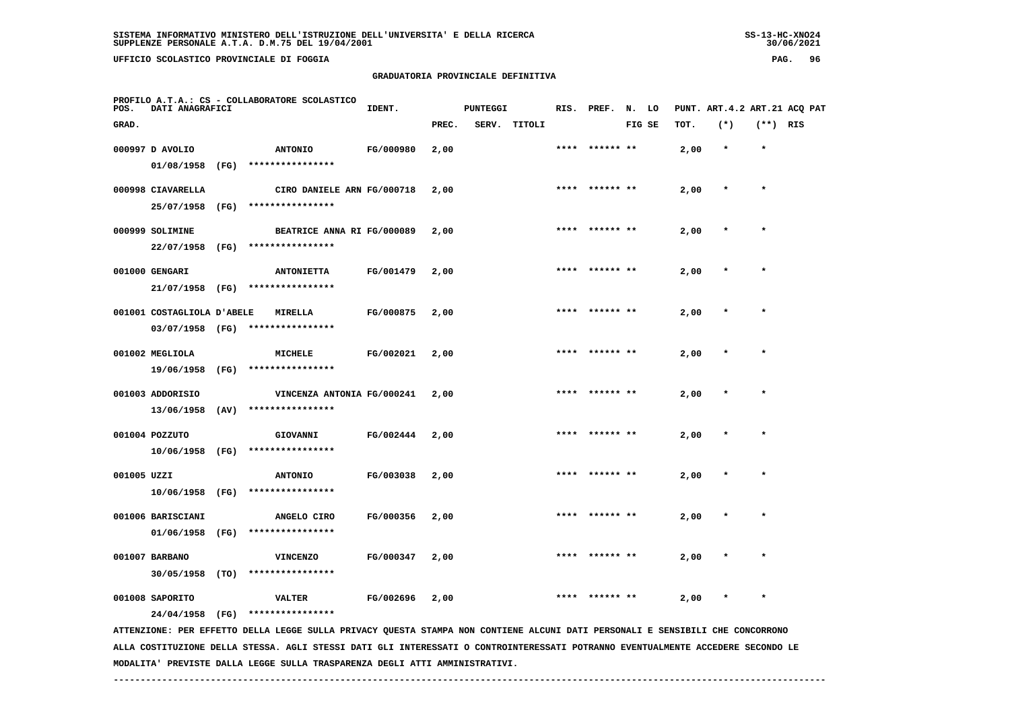# **GRADUATORIA PROVINCIALE DEFINITIVA**

| POS.        | DATI ANAGRAFICI            |      | PROFILO A.T.A.: CS - COLLABORATORE SCOLASTICO                                                                                 | IDENT.    |       | <b>PUNTEGGI</b> |              |      | RIS. PREF. N. LO |        |      |         |            | PUNT. ART. 4.2 ART. 21 ACQ PAT |
|-------------|----------------------------|------|-------------------------------------------------------------------------------------------------------------------------------|-----------|-------|-----------------|--------------|------|------------------|--------|------|---------|------------|--------------------------------|
| GRAD.       |                            |      |                                                                                                                               |           | PREC. |                 | SERV. TITOLI |      |                  | FIG SE | TOT. | $(*)$   | $(**)$ RIS |                                |
|             | 000997 D AVOLIO            |      | <b>ANTONIO</b>                                                                                                                | FG/000980 | 2,00  |                 |              |      | ****** **        |        | 2,00 | $\star$ | $\star$    |                                |
|             | 01/08/1958                 | (FG) | ****************                                                                                                              |           |       |                 |              |      |                  |        |      |         |            |                                |
|             | 000998 CIAVARELLA          |      | CIRO DANIELE ARN FG/000718                                                                                                    |           | 2,00  |                 |              | **** | ****** **        |        | 2,00 | $\star$ | $\star$    |                                |
|             | 25/07/1958 (FG)            |      | ****************                                                                                                              |           |       |                 |              |      |                  |        |      |         |            |                                |
|             | 000999 SOLIMINE            |      | BEATRICE ANNA RI FG/000089                                                                                                    |           | 2,00  |                 |              | **** |                  |        | 2,00 |         |            |                                |
|             | 22/07/1958 (FG)            |      | ****************                                                                                                              |           |       |                 |              |      |                  |        |      |         |            |                                |
|             | 001000 GENGARI             |      | <b>ANTONIETTA</b>                                                                                                             | FG/001479 | 2,00  |                 |              |      |                  |        | 2,00 |         |            |                                |
|             | 21/07/1958 (FG)            |      | ****************                                                                                                              |           |       |                 |              |      |                  |        |      |         |            |                                |
|             |                            |      |                                                                                                                               |           |       |                 |              |      |                  |        |      |         | $\star$    |                                |
|             | 001001 COSTAGLIOLA D'ABELE |      | MIRELLA<br>03/07/1958 (FG) ****************                                                                                   | FG/000875 | 2,00  |                 |              |      | ****** **        |        | 2,00 |         |            |                                |
|             |                            |      |                                                                                                                               |           |       |                 |              |      |                  |        |      |         |            |                                |
|             | 001002 MEGLIOLA            |      | MICHELE                                                                                                                       | FG/002021 | 2,00  |                 |              | **** | ****** **        |        | 2,00 |         | $\star$    |                                |
|             | 19/06/1958                 | (FG) | ****************                                                                                                              |           |       |                 |              |      |                  |        |      |         |            |                                |
|             | 001003 ADDORISIO           |      | VINCENZA ANTONIA FG/000241                                                                                                    |           | 2,00  |                 |              |      |                  |        | 2,00 |         |            |                                |
|             | 13/06/1958                 | (AV) | ****************                                                                                                              |           |       |                 |              |      |                  |        |      |         |            |                                |
|             | 001004 POZZUTO             |      | GIOVANNI                                                                                                                      | FG/002444 | 2,00  |                 |              | **** | ****** **        |        | 2,00 | $\ast$  | $\star$    |                                |
|             | 10/06/1958 (FG)            |      | ****************                                                                                                              |           |       |                 |              |      |                  |        |      |         |            |                                |
| 001005 UZZI |                            |      | <b>ANTONIO</b>                                                                                                                | FG/003038 | 2,00  |                 |              | **** | ****** **        |        | 2,00 | $\ast$  | $\star$    |                                |
|             | $10/06/1958$ (FG)          |      | ****************                                                                                                              |           |       |                 |              |      |                  |        |      |         |            |                                |
|             | 001006 BARISCIANI          |      | ANGELO CIRO                                                                                                                   | FG/000356 | 2,00  |                 |              |      |                  |        | 2,00 |         |            |                                |
|             | 01/06/1958                 | (FG) | ****************                                                                                                              |           |       |                 |              |      |                  |        |      |         |            |                                |
|             | 001007 BARBANO             |      | <b>VINCENZO</b>                                                                                                               | FG/000347 | 2,00  |                 |              |      |                  |        | 2,00 |         |            |                                |
|             | 30/05/1958 (TO)            |      | ****************                                                                                                              |           |       |                 |              |      |                  |        |      |         |            |                                |
|             |                            |      |                                                                                                                               |           |       |                 |              |      |                  |        |      |         |            |                                |
|             | 001008 SAPORITO            |      | <b>VALTER</b>                                                                                                                 | FG/002696 | 2,00  |                 |              |      | ****** **        |        | 2,00 | $\ast$  | $\star$    |                                |
|             | 24/04/1958 (FG)            |      | ****************                                                                                                              |           |       |                 |              |      |                  |        |      |         |            |                                |
|             |                            |      | ATTENZIONE: PER EFFETTO DELLA LEGGE SULLA PRIVACY QUESTA STAMPA NON CONTIENE ALCUNI DATI PERSONALI E SENSIBILI CHE CONCORRONO |           |       |                 |              |      |                  |        |      |         |            |                                |

 **ALLA COSTITUZIONE DELLA STESSA. AGLI STESSI DATI GLI INTERESSATI O CONTROINTERESSATI POTRANNO EVENTUALMENTE ACCEDERE SECONDO LE MODALITA' PREVISTE DALLA LEGGE SULLA TRASPARENZA DEGLI ATTI AMMINISTRATIVI.**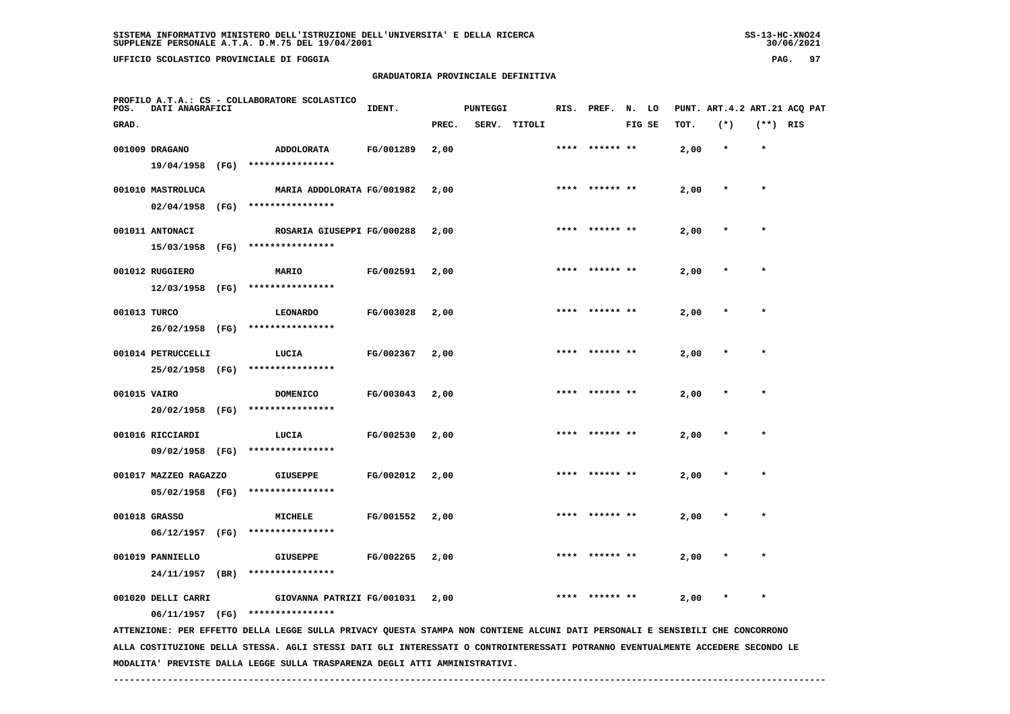# **GRADUATORIA PROVINCIALE DEFINITIVA**

| PAG. |  |
|------|--|
|------|--|

| POS.         | DATI ANAGRAFICI       |      | PROFILO A.T.A.: CS - COLLABORATORE SCOLASTICO                                                                                   | IDENT.    |       | <b>PUNTEGGI</b> |              |      | RIS. PREF. | N.     | LO |      | PUNT. ART. 4.2 ART. 21 ACQ PAT |            |  |
|--------------|-----------------------|------|---------------------------------------------------------------------------------------------------------------------------------|-----------|-------|-----------------|--------------|------|------------|--------|----|------|--------------------------------|------------|--|
| GRAD.        |                       |      |                                                                                                                                 |           | PREC. |                 | SERV. TITOLI |      |            | FIG SE |    | TOT. | $(*)$                          | $(**)$ RIS |  |
|              | 001009 DRAGANO        |      | ADDOLORATA                                                                                                                      | FG/001289 | 2,00  |                 |              | **** | ****** **  |        |    | 2,00 | $\star$                        | $\star$    |  |
|              | 19/04/1958            | (FG) | ****************                                                                                                                |           |       |                 |              |      |            |        |    |      |                                |            |  |
|              | 001010 MASTROLUCA     |      | MARIA ADDOLORATA FG/001982                                                                                                      |           | 2,00  |                 |              |      |            |        |    | 2,00 |                                | $\star$    |  |
|              | 02/04/1958            | (FG) | ****************                                                                                                                |           |       |                 |              |      |            |        |    |      |                                |            |  |
|              | 001011 ANTONACI       |      | ROSARIA GIUSEPPI FG/000288                                                                                                      |           | 2,00  |                 |              |      |            |        |    | 2,00 |                                |            |  |
|              | 15/03/1958            | (FG) | ****************                                                                                                                |           |       |                 |              |      |            |        |    |      |                                |            |  |
|              | 001012 RUGGIERO       |      | MARIO                                                                                                                           | FG/002591 | 2,00  |                 |              |      |            |        |    | 2,00 |                                |            |  |
|              | 12/03/1958            | (FG) | ****************                                                                                                                |           |       |                 |              |      |            |        |    |      |                                |            |  |
| 001013 TURCO |                       |      | <b>LEONARDO</b>                                                                                                                 | FG/003028 | 2,00  |                 |              |      |            |        |    | 2,00 |                                |            |  |
|              | 26/02/1958            | (FG) | ****************                                                                                                                |           |       |                 |              |      |            |        |    |      |                                |            |  |
|              | 001014 PETRUCCELLI    |      | LUCIA                                                                                                                           | FG/002367 | 2,00  |                 |              |      |            |        |    | 2,00 |                                | $\star$    |  |
|              | 25/02/1958 (FG)       |      | ****************                                                                                                                |           |       |                 |              |      |            |        |    |      |                                |            |  |
| 001015 VAIRO |                       |      | <b>DOMENICO</b>                                                                                                                 | FG/003043 | 2,00  |                 |              |      |            |        |    | 2,00 |                                |            |  |
|              | 20/02/1958            | (FG) | ****************                                                                                                                |           |       |                 |              |      |            |        |    |      |                                |            |  |
|              | 001016 RICCIARDI      |      | LUCIA                                                                                                                           | FG/002530 | 2,00  |                 |              |      |            |        |    | 2,00 |                                |            |  |
|              | 09/02/1958            | (FG) | ****************                                                                                                                |           |       |                 |              |      |            |        |    |      |                                |            |  |
|              | 001017 MAZZEO RAGAZZO |      | <b>GIUSEPPE</b>                                                                                                                 | FG/002012 | 2,00  |                 |              | **** | ****** **  |        |    | 2,00 |                                | $\star$    |  |
|              | 05/02/1958 (FG)       |      | ****************                                                                                                                |           |       |                 |              |      |            |        |    |      |                                |            |  |
|              | 001018 GRASSO         |      | <b>MICHELE</b>                                                                                                                  | FG/001552 | 2,00  |                 |              |      | ****** **  |        |    | 2,00 |                                | $\star$    |  |
|              | 06/12/1957            | (FG) | ****************                                                                                                                |           |       |                 |              |      |            |        |    |      |                                |            |  |
|              | 001019 PANNIELLO      |      | <b>GIUSEPPE</b>                                                                                                                 | FG/002265 | 2,00  |                 |              |      |            |        |    | 2,00 |                                |            |  |
|              | 24/11/1957            | (BR) | ****************                                                                                                                |           |       |                 |              |      |            |        |    |      |                                |            |  |
|              | 001020 DELLI CARRI    |      | GIOVANNA PATRIZI FG/001031                                                                                                      |           | 2,00  |                 |              |      | ****** **  |        |    | 2,00 |                                | $\star$    |  |
|              | 06/11/1957 (FG)       |      | ****************                                                                                                                |           |       |                 |              |      |            |        |    |      |                                |            |  |
|              |                       |      | ATTENZIONE: PER EFFETTO DELLA LEGGE SULLA PRIVACY QUESTA STAMPA NON CONTIENE ALCUNI DATI PERSONALI E SENSIBILI CHE CONCORRONO   |           |       |                 |              |      |            |        |    |      |                                |            |  |
|              |                       |      | ALLA COSTITUZIONE DELLA STESSA. AGLI STESSI DATI GLI INTERESSATI O CONTROINTERESSATI POTRANNO EVENTUALMENTE ACCEDERE SECONDO LE |           |       |                 |              |      |            |        |    |      |                                |            |  |

 **MODALITA' PREVISTE DALLA LEGGE SULLA TRASPARENZA DEGLI ATTI AMMINISTRATIVI.**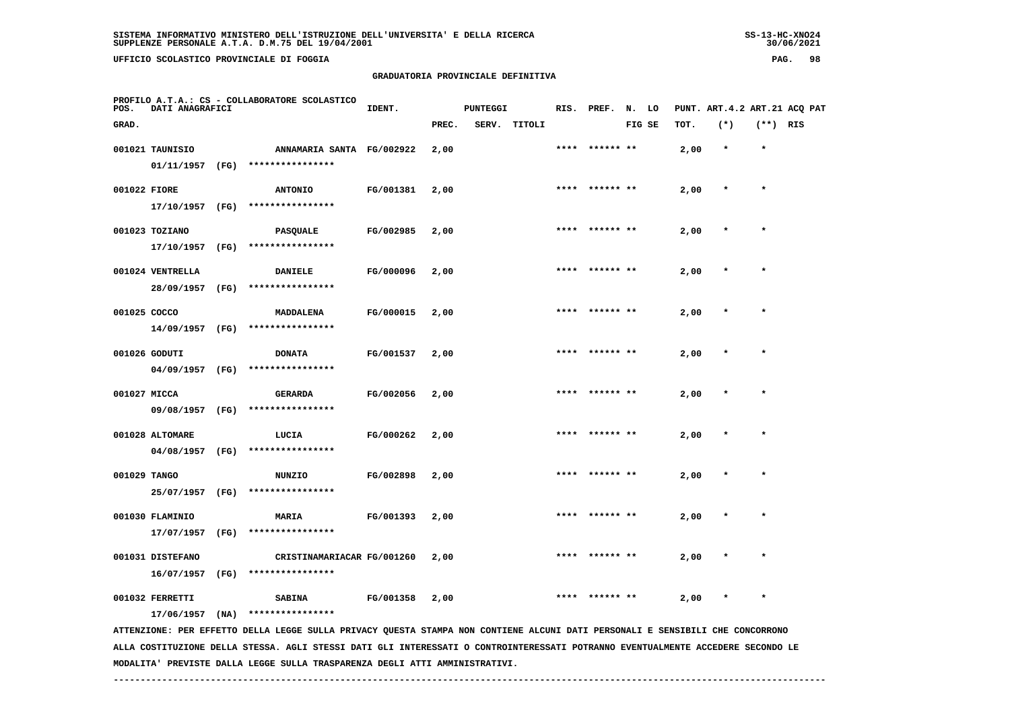# **GRADUATORIA PROVINCIALE DEFINITIVA**

| POS.  | DATI ANAGRAFICI  |      | PROFILO A.T.A.: CS - COLLABORATORE SCOLASTICO                                                                                   | IDENT.    |       | <b>PUNTEGGI</b> |        |      | RIS. PREF. | N.     | LO |      | PUNT. ART. 4.2 ART. 21 ACQ PAT |            |  |
|-------|------------------|------|---------------------------------------------------------------------------------------------------------------------------------|-----------|-------|-----------------|--------|------|------------|--------|----|------|--------------------------------|------------|--|
| GRAD. |                  |      |                                                                                                                                 |           | PREC. | SERV.           | TITOLI |      |            | FIG SE |    | TOT. | $(*)$                          | $(**)$ RIS |  |
|       | 001021 TAUNISIO  |      | ANNAMARIA SANTA FG/002922                                                                                                       |           | 2,00  |                 |        | **** | ****** **  |        |    | 2,00 | $\star$                        | $\star$    |  |
|       | 01/11/1957       | (FG) | ****************                                                                                                                |           |       |                 |        |      |            |        |    |      |                                |            |  |
|       | 001022 FIORE     |      | <b>ANTONIO</b>                                                                                                                  | FG/001381 | 2,00  |                 |        | **** |            |        |    | 2,00 |                                | $\star$    |  |
|       | 17/10/1957       | (FG) | ****************                                                                                                                |           |       |                 |        |      |            |        |    |      |                                |            |  |
|       | 001023 TOZIANO   |      | <b>PASQUALE</b>                                                                                                                 | FG/002985 | 2,00  |                 |        |      |            |        |    | 2,00 |                                |            |  |
|       | 17/10/1957       | (FG) | ****************                                                                                                                |           |       |                 |        |      |            |        |    |      |                                |            |  |
|       | 001024 VENTRELLA |      | <b>DANIELE</b>                                                                                                                  | FG/000096 | 2,00  |                 |        | **** | ****** **  |        |    | 2,00 |                                | $\star$    |  |
|       | 28/09/1957       | (FG) | ****************                                                                                                                |           |       |                 |        |      |            |        |    |      |                                |            |  |
|       | 001025 COCCO     |      | MADDALENA                                                                                                                       | FG/000015 | 2,00  |                 |        |      | ****** **  |        |    | 2,00 |                                |            |  |
|       | 14/09/1957       | (FG) | ****************                                                                                                                |           |       |                 |        |      |            |        |    |      |                                |            |  |
|       | 001026 GODUTI    |      | <b>DONATA</b>                                                                                                                   | FG/001537 | 2,00  |                 |        | **** |            |        |    | 2,00 |                                | $\star$    |  |
|       | 04/09/1957       | (FG) | ****************                                                                                                                |           |       |                 |        |      |            |        |    |      |                                |            |  |
|       | 001027 MICCA     |      | <b>GERARDA</b>                                                                                                                  | FG/002056 | 2,00  |                 |        |      |            |        |    | 2,00 |                                |            |  |
|       | 09/08/1957       | (FG) | ****************                                                                                                                |           |       |                 |        |      |            |        |    |      |                                |            |  |
|       | 001028 ALTOMARE  |      | LUCIA                                                                                                                           | FG/000262 | 2,00  |                 |        |      |            |        |    | 2,00 |                                | $\star$    |  |
|       | 04/08/1957       | (FG) | ****************                                                                                                                |           |       |                 |        |      |            |        |    |      |                                |            |  |
|       | 001029 TANGO     |      | <b>NUNZIO</b>                                                                                                                   | FG/002898 | 2,00  |                 |        |      | ****** **  |        |    | 2,00 |                                |            |  |
|       | 25/07/1957       | (FG) | ****************                                                                                                                |           |       |                 |        |      |            |        |    |      |                                |            |  |
|       | 001030 FLAMINIO  |      | MARIA                                                                                                                           | FG/001393 | 2,00  |                 |        | **** | ****** **  |        |    | 2,00 |                                | $\star$    |  |
|       | 17/07/1957       | (FG) | ****************                                                                                                                |           |       |                 |        |      |            |        |    |      |                                |            |  |
|       | 001031 DISTEFANO |      | CRISTINAMARIACAR FG/001260                                                                                                      |           | 2,00  |                 |        |      |            |        |    | 2,00 |                                |            |  |
|       | 16/07/1957       | (FG) | ****************                                                                                                                |           |       |                 |        |      |            |        |    |      |                                |            |  |
|       | 001032 FERRETTI  |      | <b>SABINA</b>                                                                                                                   | FG/001358 | 2,00  |                 |        |      |            |        |    | 2,00 |                                |            |  |
|       | 17/06/1957       | (NA) | ****************                                                                                                                |           |       |                 |        |      |            |        |    |      |                                |            |  |
|       |                  |      | ATTENZIONE: PER EFFETTO DELLA LEGGE SULLA PRIVACY QUESTA STAMPA NON CONTIENE ALCUNI DATI PERSONALI E SENSIBILI CHE CONCORRONO   |           |       |                 |        |      |            |        |    |      |                                |            |  |
|       |                  |      | ALLA COSTITUZIONE DELLA STESSA. AGLI STESSI DATI GLI INTERESSATI O CONTROINTERESSATI POTRANNO EVENTUALMENTE ACCEDERE SECONDO LE |           |       |                 |        |      |            |        |    |      |                                |            |  |

 **MODALITA' PREVISTE DALLA LEGGE SULLA TRASPARENZA DEGLI ATTI AMMINISTRATIVI.**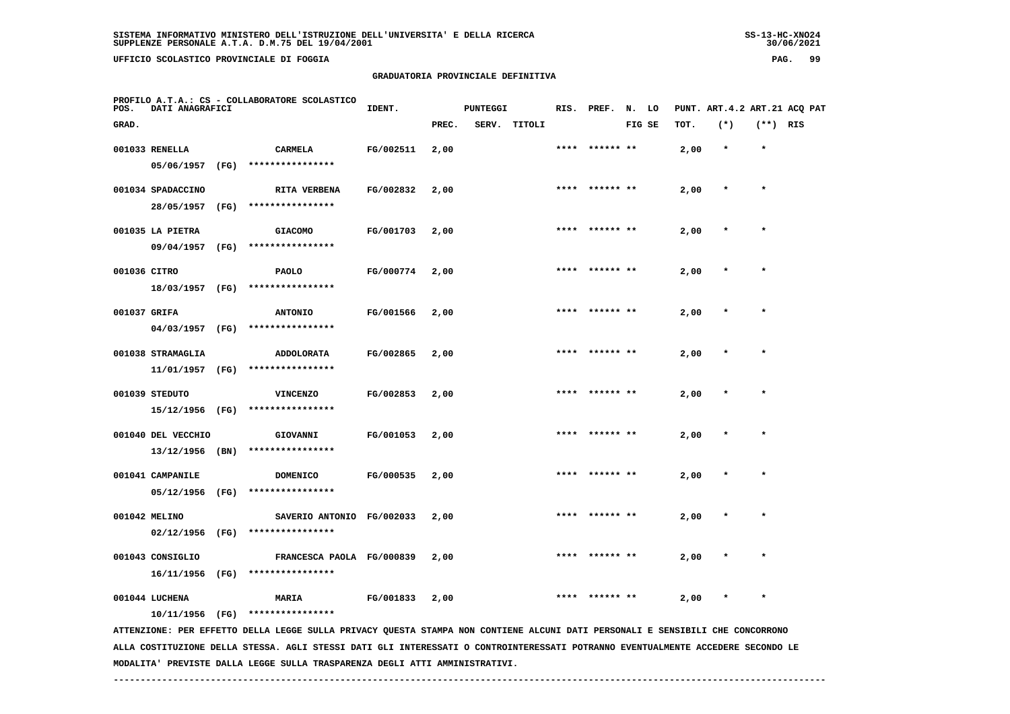**UFFICIO SCOLASTICO PROVINCIALE DI FOGGIA PAG. 99**

## **GRADUATORIA PROVINCIALE DEFINITIVA**

| POS.         | PROFILO A.T.A.: CS - COLLABORATORE SCOLASTICO<br>DATI ANAGRAFICI |      |                                                                                                                                                   | IDENT.    |       | <b>PUNTEGGI</b> |        |      | RIS. PREF. N. LO |        |      |         |            | PUNT. ART.4.2 ART.21 ACQ PAT |
|--------------|------------------------------------------------------------------|------|---------------------------------------------------------------------------------------------------------------------------------------------------|-----------|-------|-----------------|--------|------|------------------|--------|------|---------|------------|------------------------------|
| GRAD.        |                                                                  |      |                                                                                                                                                   |           | PREC. | SERV.           | TITOLI |      |                  | FIG SE | тот. | $(*)$   | $(**)$ RIS |                              |
|              | 001033 RENELLA                                                   |      | <b>CARMELA</b>                                                                                                                                    | FG/002511 | 2,00  |                 |        |      |                  |        | 2,00 | $\star$ | $\star$    |                              |
|              | 05/06/1957                                                       | (FG) | ****************                                                                                                                                  |           |       |                 |        |      |                  |        |      |         |            |                              |
|              | 001034 SPADACCINO                                                |      | RITA VERBENA                                                                                                                                      | FG/002832 | 2,00  |                 |        |      | **** ****** **   |        | 2,00 | $\star$ | $\star$    |                              |
|              | 28/05/1957                                                       | (FG) | ****************                                                                                                                                  |           |       |                 |        |      |                  |        |      |         |            |                              |
|              | 001035 LA PIETRA                                                 |      | <b>GIACOMO</b>                                                                                                                                    | FG/001703 | 2,00  |                 |        | **** | ****** **        |        | 2,00 |         | $\star$    |                              |
|              | 09/04/1957                                                       | (FG) | ****************                                                                                                                                  |           |       |                 |        |      |                  |        |      |         |            |                              |
| 001036 CITRO |                                                                  |      | <b>PAOLO</b>                                                                                                                                      | FG/000774 | 2,00  |                 |        |      |                  |        | 2,00 |         |            |                              |
|              | 18/03/1957 (FG)                                                  |      | ****************                                                                                                                                  |           |       |                 |        |      |                  |        |      |         |            |                              |
| 001037 GRIFA |                                                                  |      | <b>ANTONIO</b>                                                                                                                                    | FG/001566 | 2,00  |                 |        |      |                  |        | 2,00 |         | $\star$    |                              |
|              | 04/03/1957                                                       | (FG) | ****************                                                                                                                                  |           |       |                 |        |      |                  |        |      |         |            |                              |
|              | 001038 STRAMAGLIA                                                |      | <b>ADDOLORATA</b>                                                                                                                                 | FG/002865 | 2,00  |                 |        | **** | ****** **        |        | 2,00 |         |            |                              |
|              | 11/01/1957 (FG)                                                  |      | ****************                                                                                                                                  |           |       |                 |        |      |                  |        |      |         |            |                              |
|              | 001039 STEDUTO                                                   |      | <b>VINCENZO</b>                                                                                                                                   | FG/002853 | 2,00  |                 |        |      |                  |        | 2,00 |         | $\star$    |                              |
|              | 15/12/1956 (FG)                                                  |      | ****************                                                                                                                                  |           |       |                 |        |      |                  |        |      |         |            |                              |
|              | 001040 DEL VECCHIO                                               |      | GIOVANNI                                                                                                                                          | FG/001053 | 2,00  |                 |        | **** | ****** **        |        | 2,00 |         | $\star$    |                              |
|              | 13/12/1956                                                       | (BN) | ****************                                                                                                                                  |           |       |                 |        |      |                  |        |      |         |            |                              |
|              | 001041 CAMPANILE                                                 |      | <b>DOMENICO</b>                                                                                                                                   | FG/000535 | 2,00  |                 |        |      |                  |        | 2,00 |         |            |                              |
|              | 05/12/1956                                                       | (FG) | ****************                                                                                                                                  |           |       |                 |        |      |                  |        |      |         |            |                              |
|              | 001042 MELINO                                                    |      | SAVERIO ANTONIO FG/002033                                                                                                                         |           | 2,00  |                 |        |      |                  |        | 2,00 |         |            |                              |
|              | 02/12/1956                                                       | (FG) | ****************                                                                                                                                  |           |       |                 |        |      |                  |        |      |         |            |                              |
|              | 001043 CONSIGLIO                                                 |      | FRANCESCA PAOLA FG/000839                                                                                                                         |           | 2,00  |                 |        |      | ****** **        |        | 2,00 |         |            |                              |
|              | 16/11/1956                                                       | (FG) | ****************                                                                                                                                  |           |       |                 |        |      |                  |        |      |         |            |                              |
|              | 001044 LUCHENA                                                   |      | <b>MARIA</b>                                                                                                                                      | FG/001833 | 2,00  |                 |        |      |                  |        | 2,00 |         | $\star$    |                              |
|              | $10/11/1956$ (FG)                                                |      | ****************<br>ATTENZIONE: PER EFFETTO DELLA LEGGE SULLA PRIVACY QUESTA STAMPA NON CONTIENE ALCUNI DATI PERSONALI E SENSIBILI CHE CONCORRONO |           |       |                 |        |      |                  |        |      |         |            |                              |
|              |                                                                  |      |                                                                                                                                                   |           |       |                 |        |      |                  |        |      |         |            |                              |

 **ALLA COSTITUZIONE DELLA STESSA. AGLI STESSI DATI GLI INTERESSATI O CONTROINTERESSATI POTRANNO EVENTUALMENTE ACCEDERE SECONDO LE MODALITA' PREVISTE DALLA LEGGE SULLA TRASPARENZA DEGLI ATTI AMMINISTRATIVI.**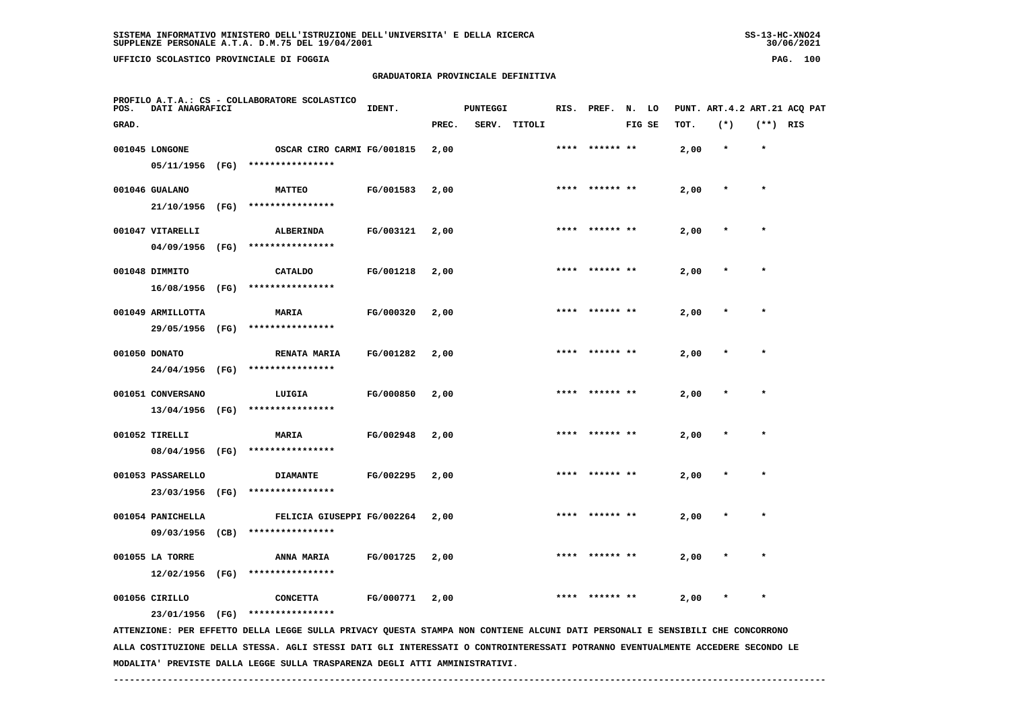# **GRADUATORIA PROVINCIALE DEFINITIVA**

| POS.  | DATI ANAGRAFICI   |      | PROFILO A.T.A.: CS - COLLABORATORE SCOLASTICO                                                                                 | IDENT.    |       | <b>PUNTEGGI</b> |              |      | RIS. PREF. N. LO |        |      |         |            | PUNT. ART.4.2 ART.21 ACQ PAT |
|-------|-------------------|------|-------------------------------------------------------------------------------------------------------------------------------|-----------|-------|-----------------|--------------|------|------------------|--------|------|---------|------------|------------------------------|
| GRAD. |                   |      |                                                                                                                               |           | PREC. |                 | SERV. TITOLI |      |                  | FIG SE | TOT. | $(*)$   | $(**)$ RIS |                              |
|       | 001045 LONGONE    |      | OSCAR CIRO CARMI FG/001815                                                                                                    |           | 2,00  |                 |              | **** | ****** **        |        | 2,00 | $\star$ | $\star$    |                              |
|       | 05/11/1956 (FG)   |      | ****************                                                                                                              |           |       |                 |              |      |                  |        |      |         |            |                              |
|       | 001046 GUALANO    |      | <b>MATTEO</b>                                                                                                                 | FG/001583 | 2,00  |                 |              |      | **** ****** **   |        | 2,00 | $\ast$  | $\star$    |                              |
|       | 21/10/1956        | (FG) | ****************                                                                                                              |           |       |                 |              |      |                  |        |      |         |            |                              |
|       | 001047 VITARELLI  |      | ALBERINDA                                                                                                                     | FG/003121 | 2,00  |                 |              | **** |                  |        | 2,00 | $\star$ | $\star$    |                              |
|       | 04/09/1956        | (FG) | ****************                                                                                                              |           |       |                 |              |      |                  |        |      |         |            |                              |
|       | 001048 DIMMITO    |      | <b>CATALDO</b>                                                                                                                | FG/001218 | 2,00  |                 |              |      |                  |        | 2,00 |         |            |                              |
|       | 16/08/1956 (FG)   |      | ****************                                                                                                              |           |       |                 |              |      |                  |        |      |         |            |                              |
|       | 001049 ARMILLOTTA |      | <b>MARIA</b>                                                                                                                  | FG/000320 | 2,00  |                 |              |      |                  |        | 2,00 |         |            |                              |
|       | 29/05/1956 (FG)   |      | ****************                                                                                                              |           |       |                 |              |      |                  |        |      |         |            |                              |
|       | 001050 DONATO     |      | <b>RENATA MARIA</b>                                                                                                           | FG/001282 | 2,00  |                 |              | **** | ****** **        |        | 2,00 |         | $\ast$     |                              |
|       | 24/04/1956 (FG)   |      | ****************                                                                                                              |           |       |                 |              |      |                  |        |      |         |            |                              |
|       | 001051 CONVERSANO |      | LUIGIA                                                                                                                        | FG/000850 | 2,00  |                 |              |      | ****  ****** **  |        | 2,00 |         | $\star$    |                              |
|       | 13/04/1956        | (FG) | ****************                                                                                                              |           |       |                 |              |      |                  |        |      |         |            |                              |
|       | 001052 TIRELLI    |      | <b>MARIA</b>                                                                                                                  | FG/002948 | 2,00  |                 |              |      |                  |        | 2,00 |         | $\star$    |                              |
|       | 08/04/1956 (FG)   |      | ****************                                                                                                              |           |       |                 |              |      |                  |        |      |         |            |                              |
|       | 001053 PASSARELLO |      | <b>DIAMANTE</b>                                                                                                               | FG/002295 | 2,00  |                 |              |      | ****  ****** **  |        | 2,00 | $\ast$  | $\star$    |                              |
|       |                   |      | 23/03/1956 (FG) ****************                                                                                              |           |       |                 |              |      |                  |        |      |         |            |                              |
|       | 001054 PANICHELLA |      | FELICIA GIUSEPPI FG/002264                                                                                                    |           | 2,00  |                 |              |      |                  |        | 2,00 |         |            |                              |
|       | 09/03/1956        | (CB) | ****************                                                                                                              |           |       |                 |              |      |                  |        |      |         |            |                              |
|       | 001055 LA TORRE   |      | ANNA MARIA                                                                                                                    | FG/001725 | 2,00  |                 |              |      |                  |        | 2,00 |         |            |                              |
|       | $12/02/1956$ (FG) |      | ****************                                                                                                              |           |       |                 |              |      |                  |        |      |         |            |                              |
|       | 001056 CIRILLO    |      | <b>CONCETTA</b>                                                                                                               | FG/000771 | 2,00  |                 |              |      |                  |        | 2,00 |         |            |                              |
|       | 23/01/1956 (FG)   |      | ****************                                                                                                              |           |       |                 |              |      |                  |        |      |         |            |                              |
|       |                   |      | ATTENZIONE: PER EFFETTO DELLA LEGGE SULLA PRIVACY QUESTA STAMPA NON CONTIENE ALCUNI DATI PERSONALI E SENSIBILI CHE CONCORRONO |           |       |                 |              |      |                  |        |      |         |            |                              |

 **ALLA COSTITUZIONE DELLA STESSA. AGLI STESSI DATI GLI INTERESSATI O CONTROINTERESSATI POTRANNO EVENTUALMENTE ACCEDERE SECONDO LE MODALITA' PREVISTE DALLA LEGGE SULLA TRASPARENZA DEGLI ATTI AMMINISTRATIVI.**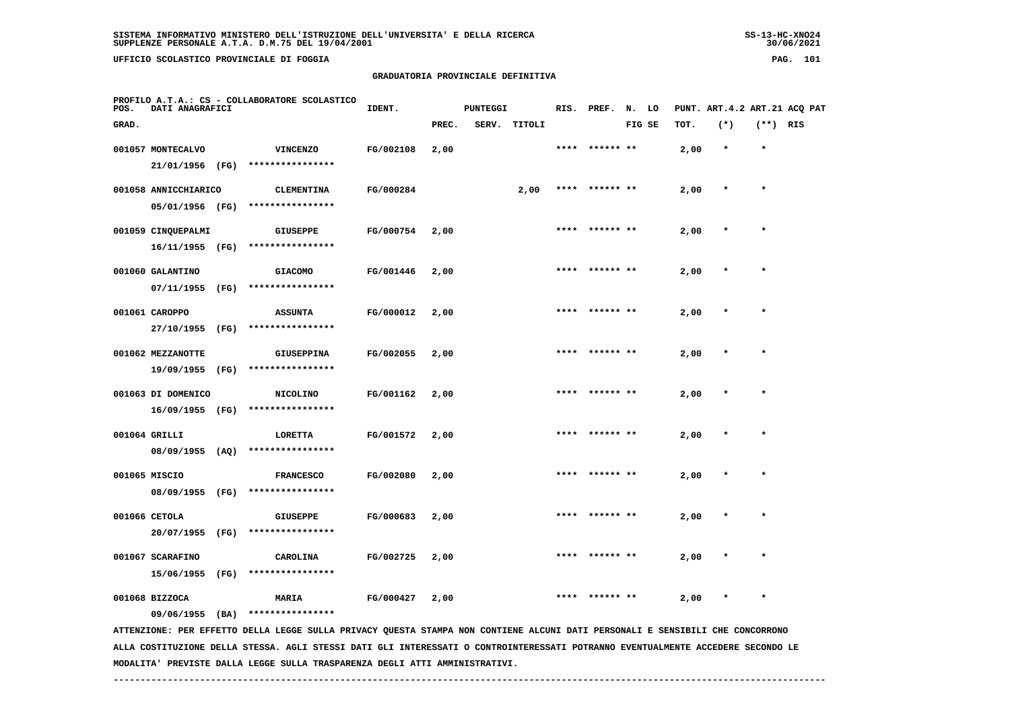**UFFICIO SCOLASTICO PROVINCIALE DI FOGGIA PAG. 101**

 **PROFILO A.T.A.: CS - COLLABORATORE SCOLASTICO**

## **GRADUATORIA PROVINCIALE DEFINITIVA**

 **GRAD. PREC. SERV. TITOLI FIG SE TOT. (\*) (\*\*) RIS**

**IDENT.** PUNTEGGI RIS. PREF. N. LO PUNT. ART.4.2 ART.21 ACQ PAT

| 001057 MONTECALVO    |      | <b>VINCENZO</b>                                                                                                               | FG/002108 | 2,00 |      |      |                | 2,00 |           |
|----------------------|------|-------------------------------------------------------------------------------------------------------------------------------|-----------|------|------|------|----------------|------|-----------|
| 21/01/1956           | (FG) | ****************                                                                                                              |           |      |      |      |                |      |           |
| 001058 ANNICCHIARICO |      | <b>CLEMENTINA</b>                                                                                                             | FG/000284 |      | 2,00 |      | ****** **      | 2,00 |           |
| 05/01/1956 (FG)      |      | ****************                                                                                                              |           |      |      |      |                |      |           |
| 001059 CINQUEPALMI   |      | <b>GIUSEPPE</b>                                                                                                               | FG/000754 | 2,00 |      |      |                | 2,00 |           |
| 16/11/1955           | (FG) | ****************                                                                                                              |           |      |      |      |                |      |           |
| 001060 GALANTINO     |      | <b>GIACOMO</b>                                                                                                                | FG/001446 | 2,00 |      | **** | ****** **      | 2,00 |           |
| 07/11/1955           | (FG) | ****************                                                                                                              |           |      |      |      |                |      |           |
| 001061 CAROPPO       |      | <b>ASSUNTA</b>                                                                                                                | FG/000012 | 2,00 |      |      |                | 2,00 |           |
| 27/10/1955           | (FG) | ****************                                                                                                              |           |      |      |      |                |      |           |
| 001062 MEZZANOTTE    |      | <b>GIUSEPPINA</b>                                                                                                             | FG/002055 | 2,00 |      |      | ****** **      | 2,00 |           |
| 19/09/1955           | (FG) | ****************                                                                                                              |           |      |      |      |                |      |           |
| 001063 DI DOMENICO   |      | <b>NICOLINO</b>                                                                                                               | FG/001162 | 2,00 |      | **** | ****** **      | 2,00 | $\bullet$ |
| $16/09/1955$ (FG)    |      | ****************                                                                                                              |           |      |      |      |                |      |           |
| 001064 GRILLI        |      | LORETTA                                                                                                                       | FG/001572 | 2,00 |      |      |                | 2,00 |           |
| $08/09/1955$ (AQ)    |      | ****************                                                                                                              |           |      |      |      |                |      |           |
| 001065 MISCIO        |      | <b>FRANCESCO</b>                                                                                                              | FG/002080 | 2,00 |      | **** | ****** **      | 2,00 | $\star$   |
| 08/09/1955 (FG)      |      | ****************                                                                                                              |           |      |      |      |                |      |           |
| 001066 CETOLA        |      | <b>GIUSEPPE</b>                                                                                                               | FG/000683 | 2,00 |      |      |                | 2,00 | $\star$   |
| 20/07/1955           | (FG) | ****************                                                                                                              |           |      |      |      |                |      |           |
| 001067 SCARAFINO     |      | CAROLINA                                                                                                                      | FG/002725 | 2,00 |      |      | **** ****** ** | 2,00 | $\star$   |
| 15/06/1955           | (FG) | ****************                                                                                                              |           |      |      |      |                |      |           |
| 001068 BIZZOCA       |      | <b>MARIA</b>                                                                                                                  | FG/000427 | 2,00 |      |      |                | 2,00 |           |
| 09/06/1955           | (BA) | ****************                                                                                                              |           |      |      |      |                |      |           |
|                      |      | ATTENZIONE: PER EFFETTO DELLA LEGGE SULLA PRIVACY QUESTA STAMPA NON CONTIENE ALCUNI DATI PERSONALI E SENSIBILI CHE CONCORRONO |           |      |      |      |                |      |           |

 **ALLA COSTITUZIONE DELLA STESSA. AGLI STESSI DATI GLI INTERESSATI O CONTROINTERESSATI POTRANNO EVENTUALMENTE ACCEDERE SECONDO LE MODALITA' PREVISTE DALLA LEGGE SULLA TRASPARENZA DEGLI ATTI AMMINISTRATIVI.**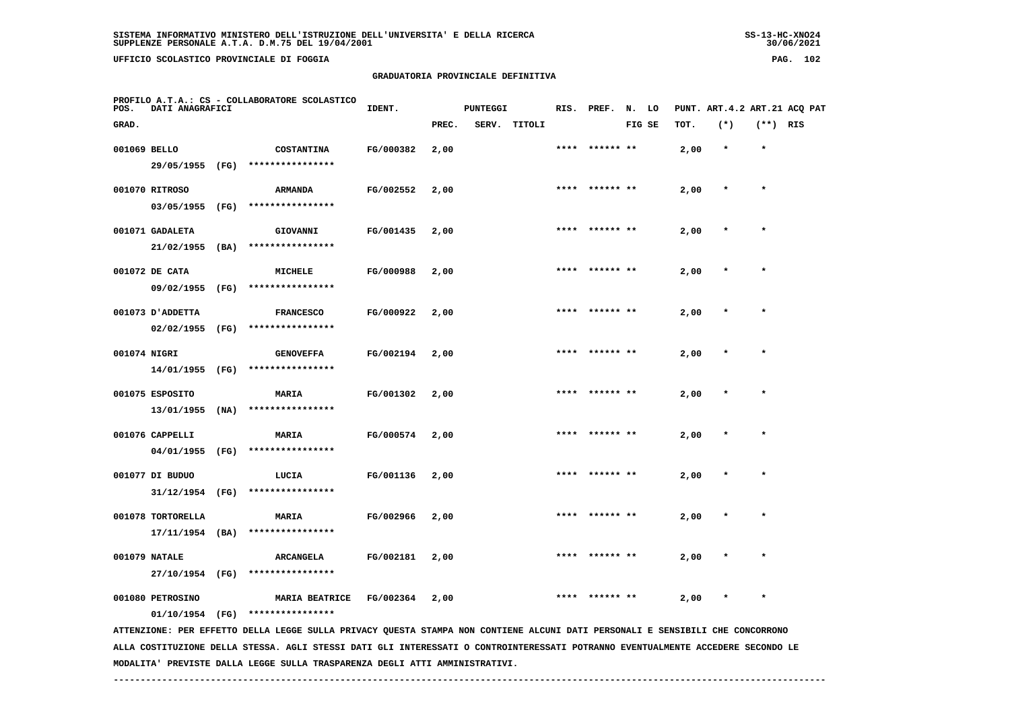$-30/06/2021$ 

 **UFFICIO SCOLASTICO PROVINCIALE DI FOGGIA PAG. 102**

 **PROFILO A.T.A.: CS - COLLABORATORE SCOLASTICO**

## **GRADUATORIA PROVINCIALE DEFINITIVA**

 **GRAD. PREC. SERV. TITOLI FIG SE TOT. (\*) (\*\*) RIS**

 **001069 BELLO COSTANTINA FG/000382 2,00 \*\*\*\* \*\*\*\*\*\* \*\* 2,00 \* \***

**IDENT.** PUNTEGGI RIS. PREF. N. LO PUNT. ART.4.2 ART.21 ACQ PAT

|              | 29/05/1955                             | (FG) | ****************                     |           |      |      |                |      |         |           |
|--------------|----------------------------------------|------|--------------------------------------|-----------|------|------|----------------|------|---------|-----------|
|              | 001070 RITROSO<br>03/05/1955           | (FG) | <b>ARMANDA</b><br>****************   | FG/002552 | 2,00 |      | **** ****** ** | 2,00 | $\star$ |           |
|              | 001071 GADALETA                        |      | GIOVANNI                             | FG/001435 | 2,00 | **** | ****** **      | 2,00 |         | $\bullet$ |
|              | 21/02/1955<br>001072 DE CATA           | (BA) | ****************<br>MICHELE          | FG/000988 | 2,00 |      |                | 2,00 |         |           |
|              | 09/02/1955                             | (FG) | ****************                     |           |      |      |                |      |         |           |
|              | 001073 D'ADDETTA<br>02/02/1955         | (FG) | <b>FRANCESCO</b><br>**************** | FG/000922 | 2,00 |      |                | 2,00 |         |           |
| 001074 NIGRI |                                        |      | <b>GENOVEFFA</b>                     | FG/002194 | 2,00 | **** |                | 2,00 |         |           |
|              | 14/01/1955                             | (FG) | ****************                     |           |      | **** | ****** **      |      | $\star$ |           |
|              | 001075 ESPOSITO<br>13/01/1955          | (NA) | <b>MARIA</b><br>****************     | FG/001302 | 2,00 |      |                | 2,00 |         |           |
|              | 001076 CAPPELLI<br>04/01/1955          | (FG) | MARIA<br>****************            | FG/000574 | 2,00 | **** |                | 2,00 |         |           |
|              | 001077 DI BUDUO                        |      | LUCIA                                | FG/001136 | 2,00 | **** | ****** **      | 2,00 |         |           |
|              | 31/12/1954                             | (FG) | ****************                     |           |      |      |                |      |         |           |
|              | 001078 TORTORELLA<br>$17/11/1954$ (BA) |      | MARIA<br>****************            | FG/002966 | 2,00 | **** |                | 2,00 |         |           |
|              | 001079 NATALE                          |      | <b>ARCANGELA</b>                     | FG/002181 | 2,00 | **** | ****** **      | 2,00 |         |           |
|              | 27/10/1954 (FG)                        |      | ****************                     |           |      |      |                |      |         |           |

001080 PETROSINO **MARIA BEATRICE** FG/002364 2,00 \*\*\*\*\* \*\*\*\*\*\*\*\*\* \*\* 2,00 \* \*

 **01/10/1954 (FG) \*\*\*\*\*\*\*\*\*\*\*\*\*\*\*\***

 **ATTENZIONE: PER EFFETTO DELLA LEGGE SULLA PRIVACY QUESTA STAMPA NON CONTIENE ALCUNI DATI PERSONALI E SENSIBILI CHE CONCORRONO ALLA COSTITUZIONE DELLA STESSA. AGLI STESSI DATI GLI INTERESSATI O CONTROINTERESSATI POTRANNO EVENTUALMENTE ACCEDERE SECONDO LE MODALITA' PREVISTE DALLA LEGGE SULLA TRASPARENZA DEGLI ATTI AMMINISTRATIVI.**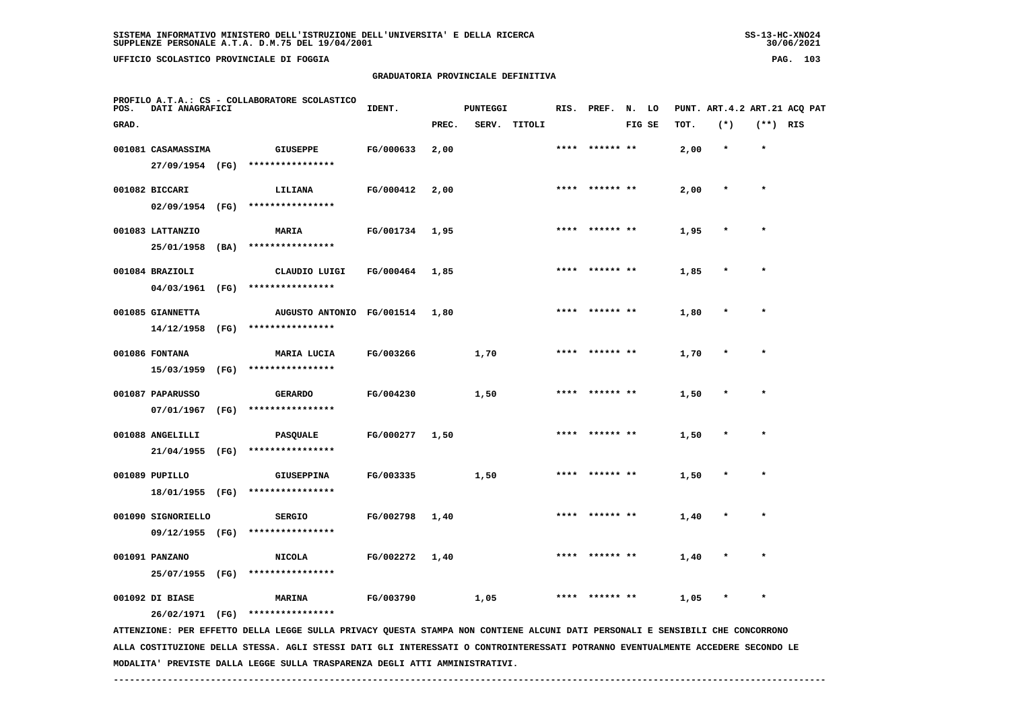**UFFICIO SCOLASTICO PROVINCIALE DI FOGGIA PAG. 103**

 **PROFILO A.T.A.: CS - COLLABORATORE SCOLASTICO**

## **GRADUATORIA PROVINCIALE DEFINITIVA**

**IDENT.** PUNTEGGI RIS. PREF. N. LO PUNT. ART.4.2 ART.21 ACQ PAT

| GRAD. |                    |      |                                                                                                                               |           | PREC. | SERV. | TITOLI |      |                | FIG SE | TOT. | $(*)$     | $(**)$ RIS |  |
|-------|--------------------|------|-------------------------------------------------------------------------------------------------------------------------------|-----------|-------|-------|--------|------|----------------|--------|------|-----------|------------|--|
|       | 001081 CASAMASSIMA |      | GIUSEPPE                                                                                                                      | FG/000633 | 2,00  |       |        |      | ****** **      |        | 2,00 | $\pmb{*}$ | $\pmb{*}$  |  |
|       | 27/09/1954 (FG)    |      | ****************                                                                                                              |           |       |       |        |      |                |        |      |           |            |  |
|       | 001082 BICCARI     |      | LILIANA                                                                                                                       | FG/000412 | 2,00  |       |        |      | **** ****** ** |        | 2,00 |           |            |  |
|       | $02/09/1954$ (FG)  |      | ****************                                                                                                              |           |       |       |        |      |                |        |      |           |            |  |
|       | 001083 LATTANZIO   |      | MARIA                                                                                                                         | FG/001734 | 1,95  |       |        | **** | ****** **      |        | 1,95 |           |            |  |
|       | 25/01/1958 (BA)    |      | ****************                                                                                                              |           |       |       |        |      |                |        |      |           |            |  |
|       | 001084 BRAZIOLI    |      | CLAUDIO LUIGI                                                                                                                 | FG/000464 | 1,85  |       |        | **** | ****** **      |        | 1,85 |           | ÷          |  |
|       | 04/03/1961 (FG)    |      | ****************                                                                                                              |           |       |       |        |      |                |        |      |           |            |  |
|       | 001085 GIANNETTA   |      | AUGUSTO ANTONIO FG/001514                                                                                                     |           | 1,80  |       |        |      |                |        | 1,80 |           |            |  |
|       | 14/12/1958 (FG)    |      | ****************                                                                                                              |           |       |       |        |      |                |        |      |           |            |  |
|       | 001086 FONTANA     |      | MARIA LUCIA                                                                                                                   | FG/003266 |       | 1,70  |        | **** | ****** **      |        | 1,70 |           | $\star$    |  |
|       | 15/03/1959         | (FG) | ****************                                                                                                              |           |       |       |        |      |                |        |      |           |            |  |
|       | 001087 PAPARUSSO   |      | <b>GERARDO</b>                                                                                                                | FG/004230 |       | 1,50  |        |      | **** ****** ** |        | 1,50 |           | $\bullet$  |  |
|       | 07/01/1967 (FG)    |      | ****************                                                                                                              |           |       |       |        |      |                |        |      |           |            |  |
|       | 001088 ANGELILLI   |      | <b>PASQUALE</b>                                                                                                               | FG/000277 | 1,50  |       |        |      | **** ****** ** |        | 1,50 |           |            |  |
|       | 21/04/1955 (FG)    |      | ****************                                                                                                              |           |       |       |        |      |                |        |      |           |            |  |
|       | 001089 PUPILLO     |      | <b>GIUSEPPINA</b>                                                                                                             | FG/003335 |       | 1,50  |        | **** | ****** **      |        | 1,50 |           | $\star$    |  |
|       | 18/01/1955 (FG)    |      | ****************                                                                                                              |           |       |       |        |      |                |        |      |           |            |  |
|       | 001090 SIGNORIELLO |      | <b>SERGIO</b>                                                                                                                 | FG/002798 | 1,40  |       |        |      | ****** **      |        | 1,40 |           | $\star$    |  |
|       | 09/12/1955 (FG)    |      | ****************                                                                                                              |           |       |       |        |      |                |        |      |           |            |  |
|       | 001091 PANZANO     |      | <b>NICOLA</b>                                                                                                                 | FG/002272 | 1,40  |       |        | **** | ****** **      |        | 1,40 |           | $\star$    |  |
|       | 25/07/1955         | (FG) | ****************                                                                                                              |           |       |       |        |      |                |        |      |           |            |  |
|       | 001092 DI BIASE    |      | <b>MARINA</b>                                                                                                                 | FG/003790 |       | 1,05  |        | **** | ****** **      |        | 1,05 |           | $\star$    |  |
|       |                    |      | 26/02/1971 (FG) ****************                                                                                              |           |       |       |        |      |                |        |      |           |            |  |
|       |                    |      | ATTENZIONE: PER EFFETTO DELLA LEGGE SULLA PRIVACY QUESTA STAMPA NON CONTIENE ALCUNI DATI PERSONALI E SENSIBILI CHE CONCORRONO |           |       |       |        |      |                |        |      |           |            |  |

 **ALLA COSTITUZIONE DELLA STESSA. AGLI STESSI DATI GLI INTERESSATI O CONTROINTERESSATI POTRANNO EVENTUALMENTE ACCEDERE SECONDO LE MODALITA' PREVISTE DALLA LEGGE SULLA TRASPARENZA DEGLI ATTI AMMINISTRATIVI.**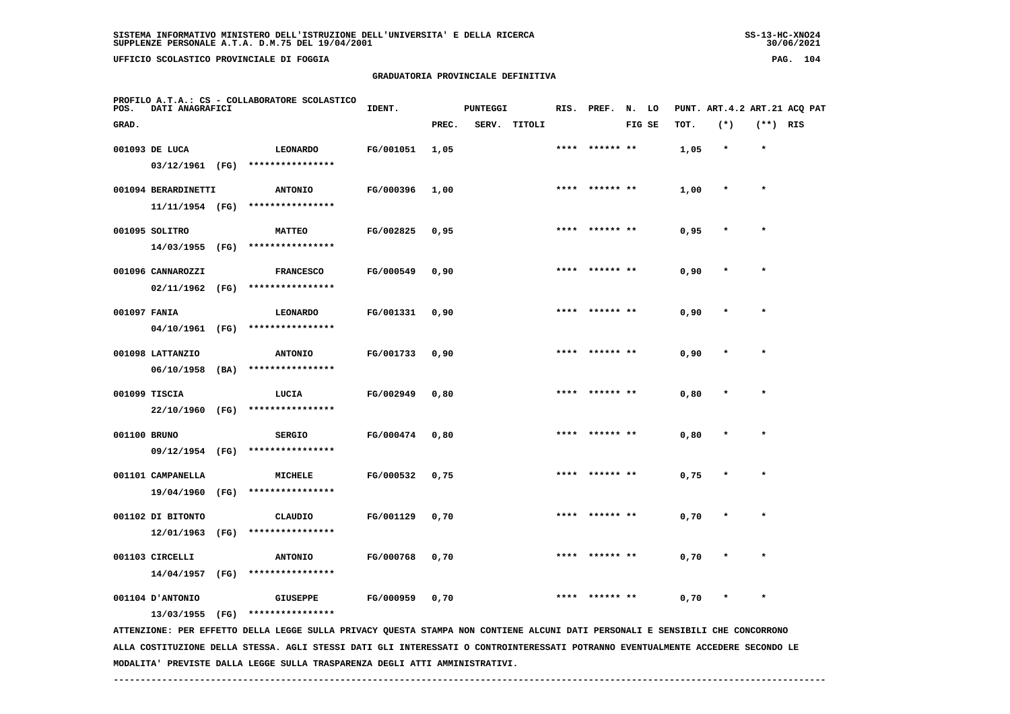**UFFICIO SCOLASTICO PROVINCIALE DI FOGGIA PAG. 104**

 **PROFILO A.T.A.: CS - COLLABORATORE SCOLASTICO**

## **GRADUATORIA PROVINCIALE DEFINITIVA**

 **GRAD. PREC. SERV. TITOLI FIG SE TOT. (\*) (\*\*) RIS**

 **001093 DE LUCA LEONARDO FG/001051 1,05 \*\*\*\* \*\*\*\*\*\* \*\* 1,05 \* \***

**IDENT.** PUNTEGGI RIS. PREF. N. LO PUNT. ART.4.2 ART.21 ACQ PAT

|  | 03/12/1961          | (FG) | **************** |           |      |      |                |      |         |   |
|--|---------------------|------|------------------|-----------|------|------|----------------|------|---------|---|
|  | 001094 BERARDINETTI |      | <b>ANTONIO</b>   | FG/000396 | 1,00 |      | **** ****** ** | 1,00 | $\star$ | ÷ |
|  | 11/11/1954 (FG)     |      | **************** |           |      |      |                |      |         |   |
|  | 001095 SOLITRO      |      | <b>MATTEO</b>    | FG/002825 | 0,95 |      | **** ****** ** | 0,95 | $\star$ |   |
|  | 14/03/1955          | (FG) | **************** |           |      |      |                |      |         |   |
|  | 001096 CANNAROZZI   |      | <b>FRANCESCO</b> | FG/000549 | 0,90 |      | **** ****** ** | 0,90 | $\star$ |   |
|  | 02/11/1962          | (FG) | **************** |           |      |      |                |      |         |   |
|  | 001097 FANIA        |      | LEONARDO         | FG/001331 | 0,90 | **** | ****** **      | 0,90 | $\star$ |   |
|  | 04/10/1961          | (FG) | **************** |           |      |      |                |      |         |   |
|  | 001098 LATTANZIO    |      | <b>ANTONIO</b>   | FG/001733 | 0,90 | **** | ****** **      | 0,90 | $\star$ |   |
|  | 06/10/1958          | (BA) | **************** |           |      |      |                |      |         |   |
|  | 001099 TISCIA       |      | LUCIA            | FG/002949 | 0.80 | **** | ****** **      | 0,80 | $\star$ |   |
|  | 22/10/1960          | (FG) | **************** |           |      |      |                |      |         |   |
|  | 001100 BRUNO        |      | <b>SERGIO</b>    | FG/000474 | 0.80 | **** | ****** **      | 0,80 | $\star$ |   |
|  | 09/12/1954          | (FG) | **************** |           |      |      |                |      |         |   |
|  |                     |      |                  |           |      |      |                |      |         |   |

 **14/04/1957 (FG) \*\*\*\*\*\*\*\*\*\*\*\*\*\*\*\***

 **19/04/1960 (FG) \*\*\*\*\*\*\*\*\*\*\*\*\*\*\*\***

 **12/01/1963 (FG) \*\*\*\*\*\*\*\*\*\*\*\*\*\*\*\***

 **001104 D'ANTONIO GIUSEPPE FG/000959 0,70 \*\*\*\* \*\*\*\*\*\* \*\* 0,70 \* \***

 **001103 CIRCELLI ANTONIO FG/000768 0,70 \*\*\*\* \*\*\*\*\*\* \*\* 0,70 \* \***

 **001101 CAMPANELLA MICHELE FG/000532 0,75 \*\*\*\* \*\*\*\*\*\* \*\* 0,75 \* \***

 **001102 DI BITONTO CLAUDIO FG/001129 0,70 \*\*\*\* \*\*\*\*\*\* \*\* 0,70 \* \***

 **13/03/1955 (FG) \*\*\*\*\*\*\*\*\*\*\*\*\*\*\*\***

 **ATTENZIONE: PER EFFETTO DELLA LEGGE SULLA PRIVACY QUESTA STAMPA NON CONTIENE ALCUNI DATI PERSONALI E SENSIBILI CHE CONCORRONO ALLA COSTITUZIONE DELLA STESSA. AGLI STESSI DATI GLI INTERESSATI O CONTROINTERESSATI POTRANNO EVENTUALMENTE ACCEDERE SECONDO LE MODALITA' PREVISTE DALLA LEGGE SULLA TRASPARENZA DEGLI ATTI AMMINISTRATIVI.**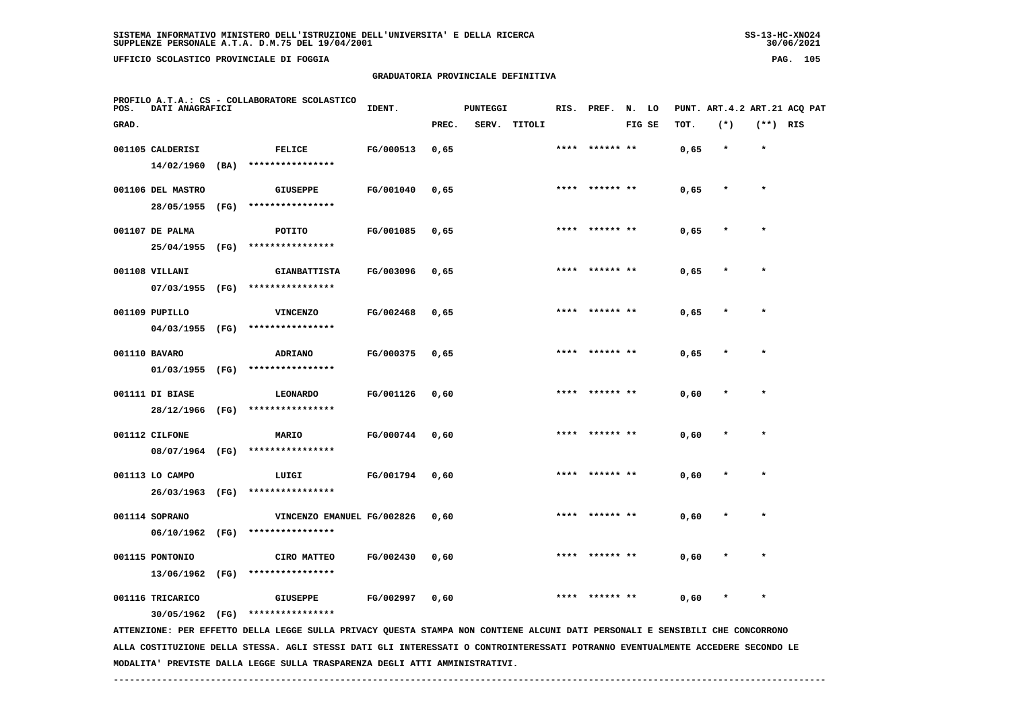**UFFICIO SCOLASTICO PROVINCIALE DI FOGGIA PAG. 105**

 **PROFILO A.T.A.: CS - COLLABORATORE SCOLASTICO**

## **GRADUATORIA PROVINCIALE DEFINITIVA**

 **GRAD. PREC. SERV. TITOLI FIG SE TOT. (\*) (\*\*) RIS**

 **001105 CALDERISI FELICE FG/000513 0,65 \*\*\*\* \*\*\*\*\*\* \*\* 0,65 \* \***

**IDENT.** PUNTEGGI RIS. PREF. N. LO PUNT. ART.4.2 ART.21 ACQ PAT

| 14/02/1960        | (BA) | ****************    |           |      |      |                |      |         |         |
|-------------------|------|---------------------|-----------|------|------|----------------|------|---------|---------|
| 001106 DEL MASTRO |      | <b>GIUSEPPE</b>     | FG/001040 | 0,65 | **** | ****** **      | 0,65 | $\star$ | $\star$ |
| 28/05/1955        | (FG) | ****************    |           |      |      |                |      |         |         |
| 001107 DE PALMA   |      | POTITO              | FG/001085 | 0.65 |      | **** ****** ** | 0,65 | $\star$ | $\star$ |
| 25/04/1955        | (FG) | ****************    |           |      |      |                |      |         |         |
| 001108 VILLANI    |      | <b>GIANBATTISTA</b> | FG/003096 | 0.65 | **** | ****** **      | 0,65 | $\star$ |         |
| 07/03/1955        | (FG) | ****************    |           |      |      |                |      |         |         |
| 001109 PUPILLO    |      | <b>VINCENZO</b>     | FG/002468 | 0,65 |      | **** ****** ** | 0,65 | $\star$ | $\star$ |
| 04/03/1955        | (FG) | ****************    |           |      |      |                |      |         |         |
| 001110 BAVARO     |      | ADRIANO             | FG/000375 | 0,65 | **** | ****** **      | 0,65 | $\star$ | $\star$ |
| 01/03/1955        | (FG) | ****************    |           |      |      |                |      |         |         |
| 001111 DI BIASE   |      | <b>LEONARDO</b>     | FG/001126 | 0,60 | **** | ****** **      | 0,60 | $\star$ | $\star$ |
| 28/12/1966        | (FG) | ****************    |           |      |      |                |      |         |         |
| 001112 CILFONE    |      | MARIO               | FG/000744 | 0.60 | **** | ****** **      | 0,60 | $\star$ | $\star$ |
| 08/07/1964        | (FG) | ****************    |           |      |      |                |      |         |         |
|                   |      |                     |           |      |      | **** ****** ** |      | $\star$ | $\star$ |
| 001113 LO CAMPO   |      | LUIGI               | FG/001794 | 0,60 |      |                | 0,60 |         |         |

 **26/03/1963 (FG) \*\*\*\*\*\*\*\*\*\*\*\*\*\*\*\***001114 SOPRANO **WINCENZO EMANUEL FG/002826** 0,60 \*\*\*\* \*\*\*\*\*\*\* \*\* 0,60  **06/10/1962 (FG) \*\*\*\*\*\*\*\*\*\*\*\*\*\*\*\* 001115 PONTONIO CIRO MATTEO FG/002430 0,60 \*\*\*\* \*\*\*\*\*\* \*\* 0,60 \* \* 13/06/1962 (FG) \*\*\*\*\*\*\*\*\*\*\*\*\*\*\*\***

 **001116 TRICARICO GIUSEPPE FG/002997 0,60 \*\*\*\* \*\*\*\*\*\* \*\* 0,60 \* \***

 **30/05/1962 (FG) \*\*\*\*\*\*\*\*\*\*\*\*\*\*\*\***

 **ATTENZIONE: PER EFFETTO DELLA LEGGE SULLA PRIVACY QUESTA STAMPA NON CONTIENE ALCUNI DATI PERSONALI E SENSIBILI CHE CONCORRONO ALLA COSTITUZIONE DELLA STESSA. AGLI STESSI DATI GLI INTERESSATI O CONTROINTERESSATI POTRANNO EVENTUALMENTE ACCEDERE SECONDO LE MODALITA' PREVISTE DALLA LEGGE SULLA TRASPARENZA DEGLI ATTI AMMINISTRATIVI.**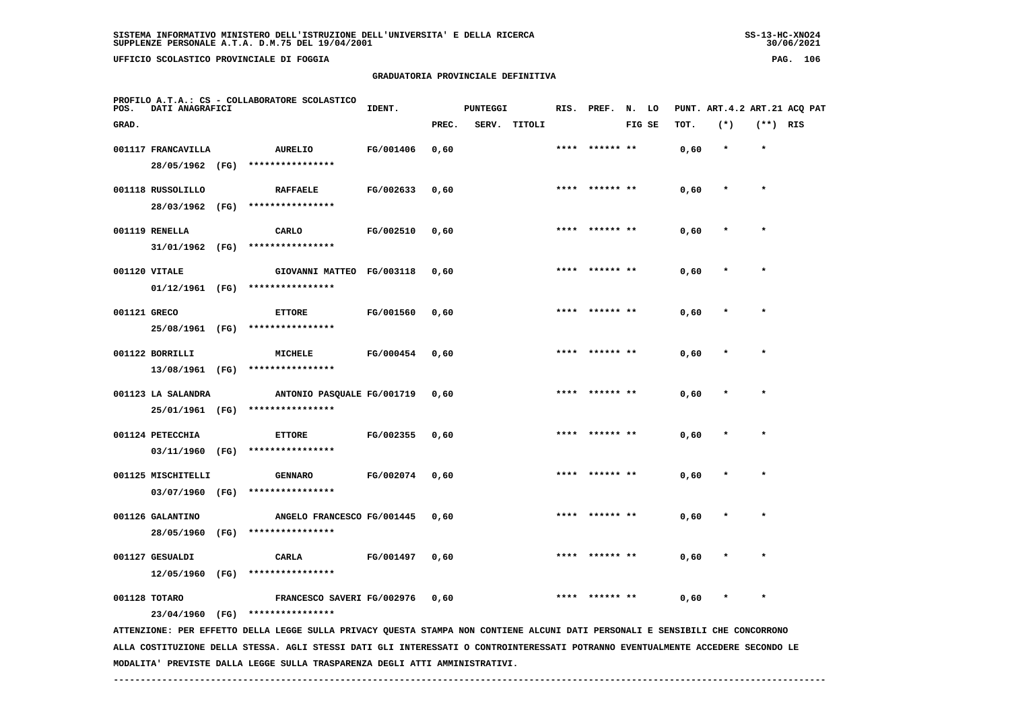# **GRADUATORIA PROVINCIALE DEFINITIVA**

| POS.                                                                                                                            | DATI ANAGRAFICI    | PROFILO A.T.A.: CS - COLLABORATORE SCOLASTICO | IDENT.                                                                                                                        | PUNTEGGI  |       |  | RIS. PREF. N. LO |      |           |        |      | PUNT. ART. 4.2 ART. 21 ACQ PAT |            |  |
|---------------------------------------------------------------------------------------------------------------------------------|--------------------|-----------------------------------------------|-------------------------------------------------------------------------------------------------------------------------------|-----------|-------|--|------------------|------|-----------|--------|------|--------------------------------|------------|--|
| GRAD.                                                                                                                           |                    |                                               |                                                                                                                               |           | PREC. |  | SERV. TITOLI     |      |           | FIG SE | TOT. | $(*)$                          | $(**)$ RIS |  |
|                                                                                                                                 | 001117 FRANCAVILLA |                                               | <b>AURELIO</b>                                                                                                                | FG/001406 | 0,60  |  |                  | **** | ****** ** |        | 0,60 | $\star$                        | $\star$    |  |
|                                                                                                                                 | 28/05/1962 (FG)    |                                               | ****************                                                                                                              |           |       |  |                  |      |           |        |      |                                |            |  |
|                                                                                                                                 | 001118 RUSSOLILLO  |                                               | <b>RAFFAELE</b>                                                                                                               | FG/002633 | 0,60  |  |                  | **** | ****** ** |        | 0,60 | $\star$                        | $\star$    |  |
|                                                                                                                                 | 28/03/1962 (FG)    |                                               | ****************                                                                                                              |           |       |  |                  |      |           |        |      |                                |            |  |
|                                                                                                                                 | 001119 RENELLA     |                                               | CARLO                                                                                                                         | FG/002510 | 0,60  |  |                  |      |           |        | 0,60 |                                |            |  |
|                                                                                                                                 | 31/01/1962 (FG)    |                                               | ****************                                                                                                              |           |       |  |                  |      |           |        |      |                                |            |  |
|                                                                                                                                 | 001120 VITALE      |                                               | GIOVANNI MATTEO FG/003118                                                                                                     |           | 0,60  |  |                  |      | ****** ** |        | 0,60 |                                | $\star$    |  |
|                                                                                                                                 | 01/12/1961 (FG)    |                                               | ****************                                                                                                              |           |       |  |                  |      |           |        |      |                                |            |  |
| 001121 GRECO                                                                                                                    |                    |                                               | <b>ETTORE</b>                                                                                                                 | FG/001560 | 0,60  |  |                  |      | ****** ** |        | 0,60 |                                | $\star$    |  |
|                                                                                                                                 | 25/08/1961 (FG)    |                                               | ****************                                                                                                              |           |       |  |                  |      |           |        |      |                                |            |  |
|                                                                                                                                 | 001122 BORRILLI    |                                               | <b>MICHELE</b>                                                                                                                | FG/000454 | 0,60  |  |                  | **** | ****** ** |        | 0,60 | $\ast$                         | $\star$    |  |
|                                                                                                                                 | 13/08/1961 (FG)    |                                               | ****************                                                                                                              |           |       |  |                  |      |           |        |      |                                |            |  |
|                                                                                                                                 | 001123 LA SALANDRA |                                               | ANTONIO PASQUALE FG/001719                                                                                                    |           | 0,60  |  |                  |      |           |        | 0,60 |                                |            |  |
|                                                                                                                                 | 25/01/1961 (FG)    |                                               | ****************                                                                                                              |           |       |  |                  |      |           |        |      |                                |            |  |
|                                                                                                                                 | 001124 PETECCHIA   |                                               | <b>ETTORE</b>                                                                                                                 | FG/002355 | 0,60  |  |                  |      |           |        | 0,60 |                                | $\star$    |  |
|                                                                                                                                 | 03/11/1960         | (FG)                                          | ****************                                                                                                              |           |       |  |                  |      |           |        |      |                                |            |  |
|                                                                                                                                 | 001125 MISCHITELLI |                                               | <b>GENNARO</b>                                                                                                                | FG/002074 | 0,60  |  |                  |      |           |        | 0,60 |                                |            |  |
|                                                                                                                                 | 03/07/1960         | (FG)                                          | ****************                                                                                                              |           |       |  |                  |      |           |        |      |                                |            |  |
|                                                                                                                                 | 001126 GALANTINO   |                                               | ANGELO FRANCESCO FG/001445                                                                                                    |           | 0,60  |  |                  |      |           |        | 0,60 |                                |            |  |
|                                                                                                                                 | 28/05/1960         | (FG)                                          | ****************                                                                                                              |           |       |  |                  |      |           |        |      |                                |            |  |
|                                                                                                                                 | 001127 GESUALDI    |                                               | <b>CARLA</b>                                                                                                                  | FG/001497 | 0,60  |  |                  |      |           |        | 0,60 |                                |            |  |
|                                                                                                                                 | 12/05/1960 (FG)    |                                               | ****************                                                                                                              |           |       |  |                  |      |           |        |      |                                |            |  |
|                                                                                                                                 | 001128 TOTARO      |                                               | FRANCESCO SAVERI FG/002976                                                                                                    |           | 0,60  |  |                  |      |           |        | 0,60 |                                |            |  |
|                                                                                                                                 | 23/04/1960 (FG)    |                                               | ****************                                                                                                              |           |       |  |                  |      |           |        |      |                                |            |  |
|                                                                                                                                 |                    |                                               | ATTENZIONE: PER EFFETTO DELLA LEGGE SULLA PRIVACY QUESTA STAMPA NON CONTIENE ALCUNI DATI PERSONALI E SENSIBILI CHE CONCORRONO |           |       |  |                  |      |           |        |      |                                |            |  |
| ALLA COSTITUZIONE DELLA STESSA. AGLI STESSI DATI GLI INTERESSATI O CONTROINTERESSATI POTRANNO EVENTUALMENTE ACCEDERE SECONDO LE |                    |                                               |                                                                                                                               |           |       |  |                  |      |           |        |      |                                |            |  |

 **MODALITA' PREVISTE DALLA LEGGE SULLA TRASPARENZA DEGLI ATTI AMMINISTRATIVI.**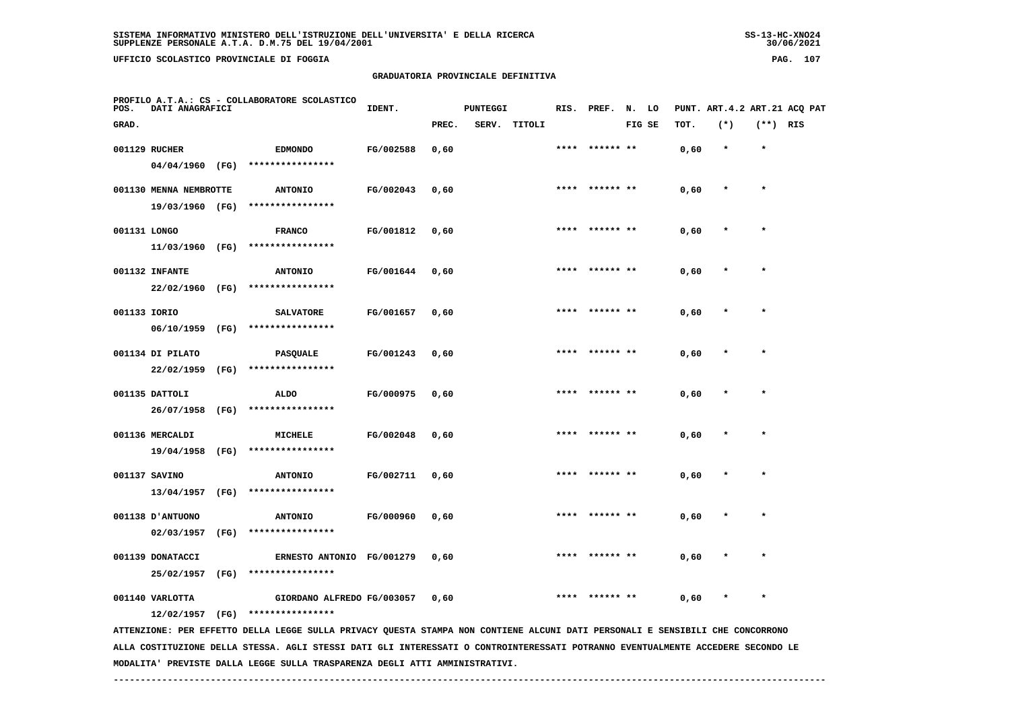**UFFICIO SCOLASTICO PROVINCIALE DI FOGGIA PAG. 107**

 **PROFILO A.T.A.: CS - COLLABORATORE SCOLASTICO**

## **GRADUATORIA PROVINCIALE DEFINITIVA**

 **GRAD. PREC. SERV. TITOLI FIG SE TOT. (\*) (\*\*) RIS**

 **001129 RUCHER EDMONDO FG/002588 0,60 \*\*\*\* \*\*\*\*\*\* \*\* 0,60 \* \***

**IDENT.** PUNTEGGI RIS. PREF. N. LO PUNT. ART.4.2 ART.21 ACQ PAT

|              | 04/04/1960             | (FG) | **************** |           |      |      |           |      |         |         |
|--------------|------------------------|------|------------------|-----------|------|------|-----------|------|---------|---------|
|              | 001130 MENNA NEMBROTTE |      | <b>ANTONIO</b>   | FG/002043 | 0,60 | **** | ****** ** | 0,60 | $\star$ | $\star$ |
|              | 19/03/1960             | (FG) | **************** |           |      |      |           |      |         |         |
| 001131 LONGO |                        |      | <b>FRANCO</b>    | FG/001812 | 0,60 | **** | ****** ** | 0,60 | $\star$ | $\star$ |
|              | 11/03/1960             | (FG) | **************** |           |      |      |           |      |         |         |
|              | 001132 INFANTE         |      | <b>ANTONIO</b>   | FG/001644 | 0,60 | **** | ****** ** | 0,60 | $\star$ | $\star$ |
|              | 22/02/1960             | (FG) | **************** |           |      |      |           |      |         |         |
| 001133 IORIO |                        |      | <b>SALVATORE</b> | FG/001657 | 0.60 | **** | ****** ** | 0,60 | $\star$ | $\star$ |
|              | 06/10/1959             | (FG) | **************** |           |      |      |           |      |         |         |
|              | 001134 DI PILATO       |      | <b>PASQUALE</b>  | FG/001243 | 0,60 | **** | ****** ** | 0,60 | $\star$ | $\star$ |
|              | 22/02/1959             | (FG) | **************** |           |      |      |           |      |         |         |
|              | 001135 DATTOLI         |      | <b>ALDO</b>      | FG/000975 | 0,60 | **** | ****** ** | 0,60 | $\star$ | $\star$ |
|              | 26/07/1958             | (FG) | **************** |           |      |      |           |      |         |         |

 **001136 MERCALDI MICHELE FG/002048 0,60 \*\*\*\* \*\*\*\*\*\* \*\* 0,60 \* \* 19/04/1958 (FG) \*\*\*\*\*\*\*\*\*\*\*\*\*\*\*\* 001137 SAVINO ANTONIO FG/002711 0,60 \*\*\*\* \*\*\*\*\*\* \*\* 0,60 \* \***

 **13/04/1957 (FG) \*\*\*\*\*\*\*\*\*\*\*\*\*\*\*\* 001138 D'ANTUONO ANTONIO FG/000960 0,60 \*\*\*\* \*\*\*\*\*\* \*\* 0,60 \* \* 02/03/1957 (FG) \*\*\*\*\*\*\*\*\*\*\*\*\*\*\*\* 001139 DONATACCI ERNESTO ANTONIO FG/001279 0,60 \*\*\*\* \*\*\*\*\*\* \*\* 0,60 \* \***

 **25/02/1957 (FG) \*\*\*\*\*\*\*\*\*\*\*\*\*\*\*\***

001140 VARLOTTA GIORDANO ALFREDO FG/003057 0,60 \*\*\*\*\* \*\*\*\* \*  **12/02/1957 (FG) \*\*\*\*\*\*\*\*\*\*\*\*\*\*\*\***

 **ATTENZIONE: PER EFFETTO DELLA LEGGE SULLA PRIVACY QUESTA STAMPA NON CONTIENE ALCUNI DATI PERSONALI E SENSIBILI CHE CONCORRONO ALLA COSTITUZIONE DELLA STESSA. AGLI STESSI DATI GLI INTERESSATI O CONTROINTERESSATI POTRANNO EVENTUALMENTE ACCEDERE SECONDO LE MODALITA' PREVISTE DALLA LEGGE SULLA TRASPARENZA DEGLI ATTI AMMINISTRATIVI.**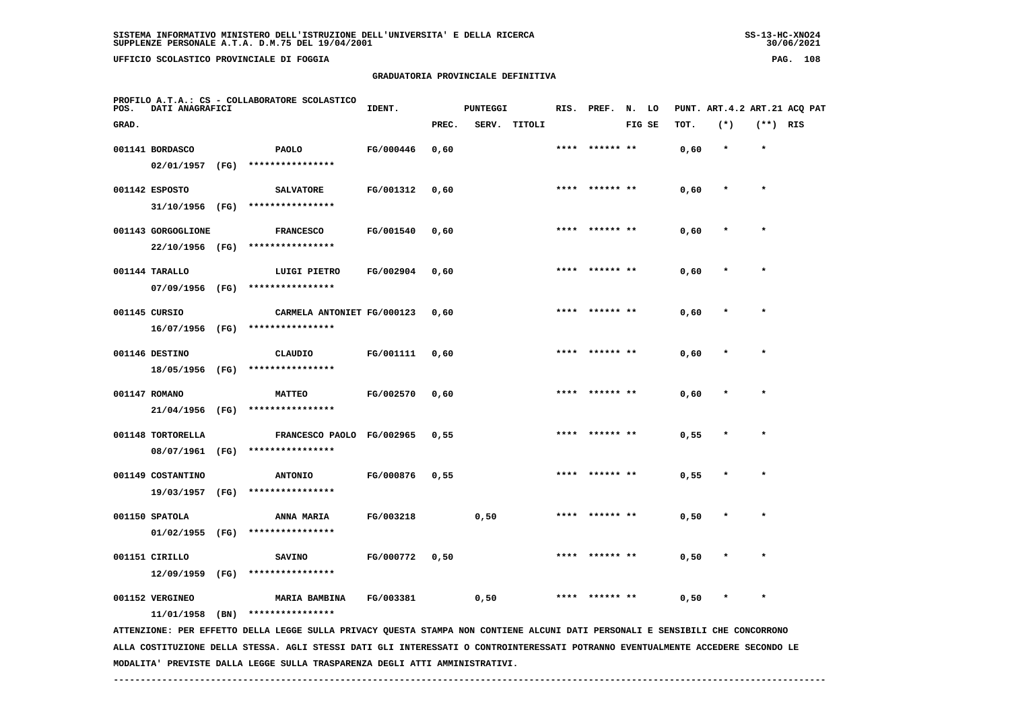**UFFICIO SCOLASTICO PROVINCIALE DI FOGGIA PAG. 108**

 **PROFILO A.T.A.: CS - COLLABORATORE SCOLASTICO**

# **GRADUATORIA PROVINCIALE DEFINITIVA**

**IDENT.** PUNTEGGI RIS. PREF. N. LO PUNT. ART.4.2 ART.21 ACQ PAT

 **GRAD. PREC. SERV. TITOLI FIG SE TOT. (\*) (\*\*) RIS 001141 BORDASCO PAOLO FG/000446 0,60 \*\*\*\* \*\*\*\*\*\* \*\* 0,60 \* \* 02/01/1957 (FG) \*\*\*\*\*\*\*\*\*\*\*\*\*\*\*\* 001142 ESPOSTO SALVATORE FG/001312 0,60 \*\*\*\* \*\*\*\*\*\* \*\* 0,60 \* \* 31/10/1956 (FG) \*\*\*\*\*\*\*\*\*\*\*\*\*\*\*\* 001143 GORGOGLIONE FRANCESCO FG/001540 0,60 \*\*\*\* \*\*\*\*\*\* \*\* 0,60 \* \* 22/10/1956 (FG) \*\*\*\*\*\*\*\*\*\*\*\*\*\*\*\* 001144 TARALLO LUIGI PIETRO FG/002904 0,60 \*\*\*\* \*\*\*\*\*\* \*\* 0,60 \* \* 07/09/1956 (FG) \*\*\*\*\*\*\*\*\*\*\*\*\*\*\*\***001145 CURSIO **CARMELA ANTONIET FG/000123** 0,60 \* \*\*\*\* \*\*\*\*\*\*\* \*\* 0,60 \* \*  **16/07/1956 (FG) \*\*\*\*\*\*\*\*\*\*\*\*\*\*\*\* 001146 DESTINO CLAUDIO FG/001111 0,60 \*\*\*\* \*\*\*\*\*\* \*\* 0,60 \* \* 18/05/1956 (FG) \*\*\*\*\*\*\*\*\*\*\*\*\*\*\*\* 001147 ROMANO MATTEO FG/002570 0,60 \*\*\*\* \*\*\*\*\*\* \*\* 0,60 \* \* 21/04/1956 (FG) \*\*\*\*\*\*\*\*\*\*\*\*\*\*\*\***001148 TORTORELLA **FRANCESCO PAOLO FG/002965** 0,55 \* \*\*\*\* \*\*\*\*\*\*\* \*\* 0,55 \* \*  **08/07/1961 (FG) \*\*\*\*\*\*\*\*\*\*\*\*\*\*\*\* 001149 COSTANTINO ANTONIO FG/000876 0,55 \*\*\*\* \*\*\*\*\*\* \*\* 0,55 \* \* 19/03/1957 (FG) \*\*\*\*\*\*\*\*\*\*\*\*\*\*\*\* 001150 SPATOLA ANNA MARIA FG/003218 0,50 \*\*\*\* \*\*\*\*\*\* \*\* 0,50 \* \* 01/02/1955 (FG) \*\*\*\*\*\*\*\*\*\*\*\*\*\*\*\* 001151 CIRILLO SAVINO FG/000772 0,50 \*\*\*\* \*\*\*\*\*\* \*\* 0,50 \* \* 12/09/1959 (FG) \*\*\*\*\*\*\*\*\*\*\*\*\*\*\*\***001152 VERGINEO **MARIA BAMBINA** FG/003381 0,50 \*\*\*\* \*\*\*\*\*\*\* \*\* 0,50 \* \*  **11/01/1958 (BN) \*\*\*\*\*\*\*\*\*\*\*\*\*\*\*\* ATTENZIONE: PER EFFETTO DELLA LEGGE SULLA PRIVACY QUESTA STAMPA NON CONTIENE ALCUNI DATI PERSONALI E SENSIBILI CHE CONCORRONO ALLA COSTITUZIONE DELLA STESSA. AGLI STESSI DATI GLI INTERESSATI O CONTROINTERESSATI POTRANNO EVENTUALMENTE ACCEDERE SECONDO LE**

 **MODALITA' PREVISTE DALLA LEGGE SULLA TRASPARENZA DEGLI ATTI AMMINISTRATIVI.**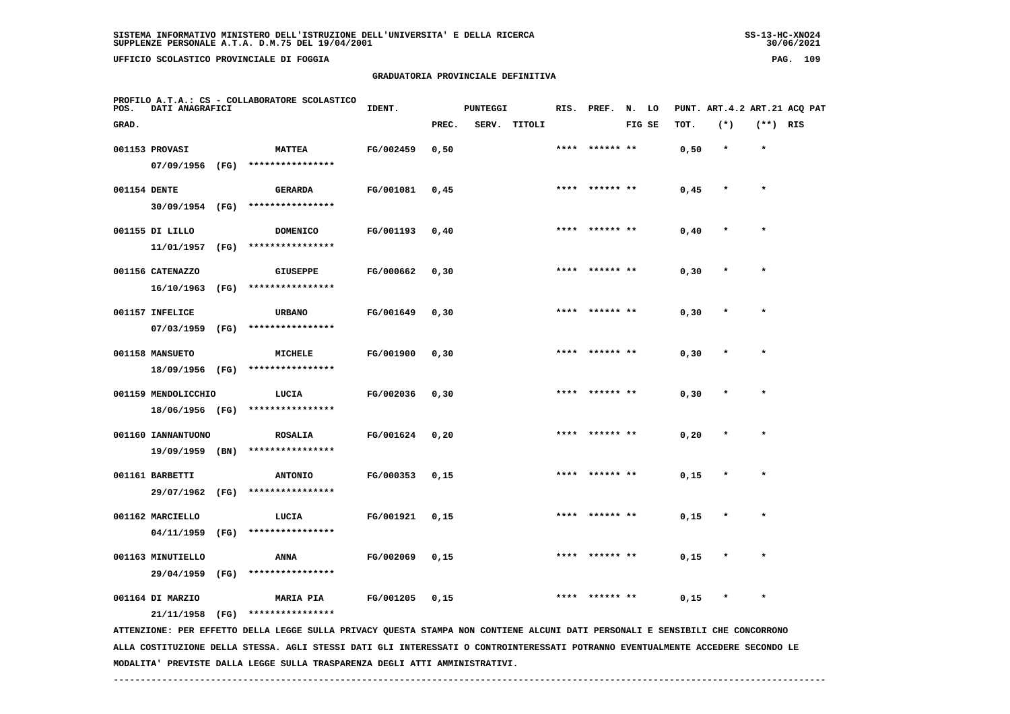**UFFICIO SCOLASTICO PROVINCIALE DI FOGGIA PAG. 109**

 **PROFILO A.T.A.: CS - COLLABORATORE SCOLASTICO**

 **04/11/1959 (FG) \*\*\*\*\*\*\*\*\*\*\*\*\*\*\*\***

 **29/04/1959 (FG) \*\*\*\*\*\*\*\*\*\*\*\*\*\*\*\***

#### **GRADUATORIA PROVINCIALE DEFINITIVA**

 **GRAD. PREC. SERV. TITOLI FIG SE TOT. (\*) (\*\*) RIS**

001153 PROVASI **MATTEA** FG/002459 0,50 \*\*\*\*\* \*\*\*\*\*\*\*\* \*\* 0,50 \* \*

**IDENT.** PUNTEGGI RIS. PREF. N. LO PUNT. ART.4.2 ART.21 ACQ PAT

|              | 07/09/1956                       | (FG) | ****************                   |           |       |      |                |       |         |         |
|--------------|----------------------------------|------|------------------------------------|-----------|-------|------|----------------|-------|---------|---------|
| 001154 DENTE |                                  |      | <b>GERARDA</b>                     | FG/001081 | 0,45  |      | **** ****** ** | 0,45  | $\star$ | $\star$ |
|              | 30/09/1954                       | (FG) | ****************                   |           |       |      |                |       |         |         |
|              | 001155 DI LILLO                  |      | <b>DOMENICO</b>                    | FG/001193 | 0,40  |      | **** ****** ** | 0,40  | $\star$ | $\star$ |
|              | 11/01/1957                       | (FG) | ****************                   |           |       |      |                |       |         |         |
|              | 001156 CATENAZZO                 |      | <b>GIUSEPPE</b>                    | FG/000662 | 0, 30 |      | **** ****** ** | 0, 30 | $\star$ | $\star$ |
|              | 16/10/1963                       | (FG) | ****************                   |           |       |      |                |       |         |         |
|              | 001157 INFELICE                  |      | <b>URBANO</b>                      | FG/001649 | 0, 30 |      | **** ****** ** | 0, 30 | $\star$ | $\star$ |
|              | 07/03/1959                       | (FG) | ****************                   |           |       |      |                |       |         |         |
|              | 001158 MANSUETO                  |      | MICHELE                            | FG/001900 | 0, 30 |      | **** ****** ** | 0, 30 | $\star$ | $\star$ |
|              | 18/09/1956                       | (FG) | ****************                   |           |       |      |                |       |         |         |
|              | 001159 MENDOLICCHIO              |      | LUCIA<br>****************          | FG/002036 | 0, 30 | **** | ****** **      | 0, 30 | $\star$ | $\star$ |
|              | 18/06/1956 (FG)                  |      |                                    |           |       |      |                |       |         |         |
|              | 001160 IANNANTUONO<br>19/09/1959 | (BN) | <b>ROSALIA</b><br>**************** | FG/001624 | 0,20  | **** | ****** **      | 0, 20 | $\star$ | $\star$ |
|              |                                  |      |                                    |           |       |      |                |       |         |         |
|              | 001161 BARBETTI<br>29/07/1962    | (FG) | <b>ANTONIO</b><br>**************** | FG/000353 | 0,15  |      | **** ****** ** | 0,15  | $\star$ | $\star$ |
|              |                                  |      |                                    |           |       |      |                |       |         |         |
|              | 001162 MARCIELLO                 |      | LUCIA                              | FG/001921 | 0,15  |      | **** ****** ** | 0,15  | $\star$ | $\star$ |

001164 DI MARZIO **MARIA PIA** FG/001205 0,15 \*\*\*\* \*\*\*\*\*\*\*\*\* \*\* 0,15 \* \*  **21/11/1958 (FG) \*\*\*\*\*\*\*\*\*\*\*\*\*\*\*\* ATTENZIONE: PER EFFETTO DELLA LEGGE SULLA PRIVACY QUESTA STAMPA NON CONTIENE ALCUNI DATI PERSONALI E SENSIBILI CHE CONCORRONO**

 **ALLA COSTITUZIONE DELLA STESSA. AGLI STESSI DATI GLI INTERESSATI O CONTROINTERESSATI POTRANNO EVENTUALMENTE ACCEDERE SECONDO LE MODALITA' PREVISTE DALLA LEGGE SULLA TRASPARENZA DEGLI ATTI AMMINISTRATIVI.**

 **001163 MINUTIELLO ANNA FG/002069 0,15 \*\*\*\* \*\*\*\*\*\* \*\* 0,15 \* \***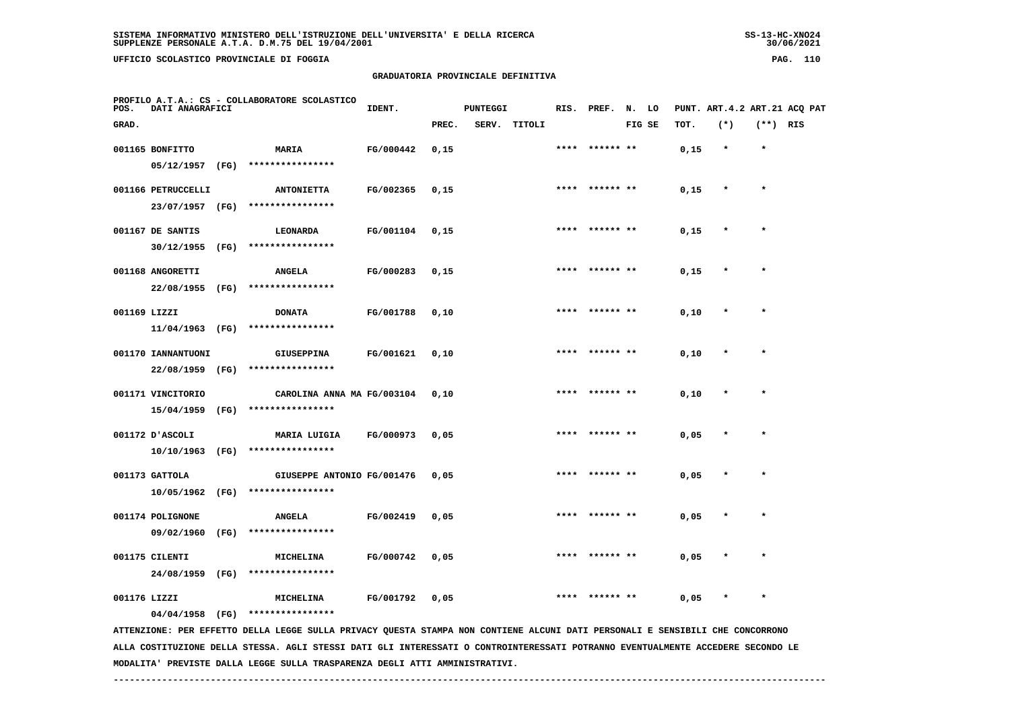**UFFICIO SCOLASTICO PROVINCIALE DI FOGGIA PAG. 110**

 **PROFILO A.T.A.: CS - COLLABORATORE SCOLASTICO**

# **GRADUATORIA PROVINCIALE DEFINITIVA**

**IDENT.** PUNTEGGI RIS. PREF. N. LO PUNT. ART.4.2 ART.21 ACQ PAT

 **GRAD. PREC. SERV. TITOLI FIG SE TOT. (\*) (\*\*) RIS 001165 BONFITTO MARIA FG/000442 0,15 \*\*\*\* \*\*\*\*\*\* \*\* 0,15 \* \* 05/12/1957 (FG) \*\*\*\*\*\*\*\*\*\*\*\*\*\*\*\* 001166 PETRUCCELLI ANTONIETTA FG/002365 0,15 \*\*\*\* \*\*\*\*\*\* \*\* 0,15 \* \* 23/07/1957 (FG) \*\*\*\*\*\*\*\*\*\*\*\*\*\*\*\* 001167 DE SANTIS LEONARDA FG/001104 0,15 \*\*\*\* \*\*\*\*\*\* \*\* 0,15 \* \* 30/12/1955 (FG) \*\*\*\*\*\*\*\*\*\*\*\*\*\*\*\* 001168 ANGORETTI ANGELA FG/000283 0,15 \*\*\*\* \*\*\*\*\*\* \*\* 0,15 \* \* 22/08/1955 (FG) \*\*\*\*\*\*\*\*\*\*\*\*\*\*\*\* 001169 LIZZI DONATA FG/001788 0,10 \*\*\*\* \*\*\*\*\*\* \*\* 0,10 \* \* 11/04/1963 (FG) \*\*\*\*\*\*\*\*\*\*\*\*\*\*\*\* 001170 IANNANTUONI GIUSEPPINA FG/001621 0,10 \*\*\*\* \*\*\*\*\*\* \*\* 0,10 \* \* 22/08/1959 (FG) \*\*\*\*\*\*\*\*\*\*\*\*\*\*\*\***001171 VINCITORIO CAROLINA ANNA MA FG/003104 0,10 \*\*\*\* \*\*\*\*\*\*\* \*\* 0,10 \* \*  **15/04/1959 (FG) \*\*\*\*\*\*\*\*\*\*\*\*\*\*\*\* 001172 D'ASCOLI MARIA LUIGIA FG/000973 0,05 \*\*\*\* \*\*\*\*\*\* \*\* 0,05 \* \* 10/10/1963 (FG) \*\*\*\*\*\*\*\*\*\*\*\*\*\*\*\* 001173 GATTOLA GIUSEPPE ANTONIO FG/001476 0,05 \*\*\*\* \*\*\*\*\*\* \*\* 0,05 \* \* 10/05/1962 (FG) \*\*\*\*\*\*\*\*\*\*\*\*\*\*\*\* 001174 POLIGNONE ANGELA FG/002419 0,05 \*\*\*\* \*\*\*\*\*\* \*\* 0,05 \* \* 09/02/1960 (FG) \*\*\*\*\*\*\*\*\*\*\*\*\*\*\*\* 001175 CILENTI MICHELINA FG/000742 0,05 \*\*\*\* \*\*\*\*\*\* \*\* 0,05 \* \* 24/08/1959 (FG) \*\*\*\*\*\*\*\*\*\*\*\*\*\*\*\* 001176 LIZZI MICHELINA FG/001792 0,05 \*\*\*\* \*\*\*\*\*\* \*\* 0,05 \* \* 04/04/1958 (FG) \*\*\*\*\*\*\*\*\*\*\*\*\*\*\*\* ATTENZIONE: PER EFFETTO DELLA LEGGE SULLA PRIVACY QUESTA STAMPA NON CONTIENE ALCUNI DATI PERSONALI E SENSIBILI CHE CONCORRONO ALLA COSTITUZIONE DELLA STESSA. AGLI STESSI DATI GLI INTERESSATI O CONTROINTERESSATI POTRANNO EVENTUALMENTE ACCEDERE SECONDO LE**

 **MODALITA' PREVISTE DALLA LEGGE SULLA TRASPARENZA DEGLI ATTI AMMINISTRATIVI.**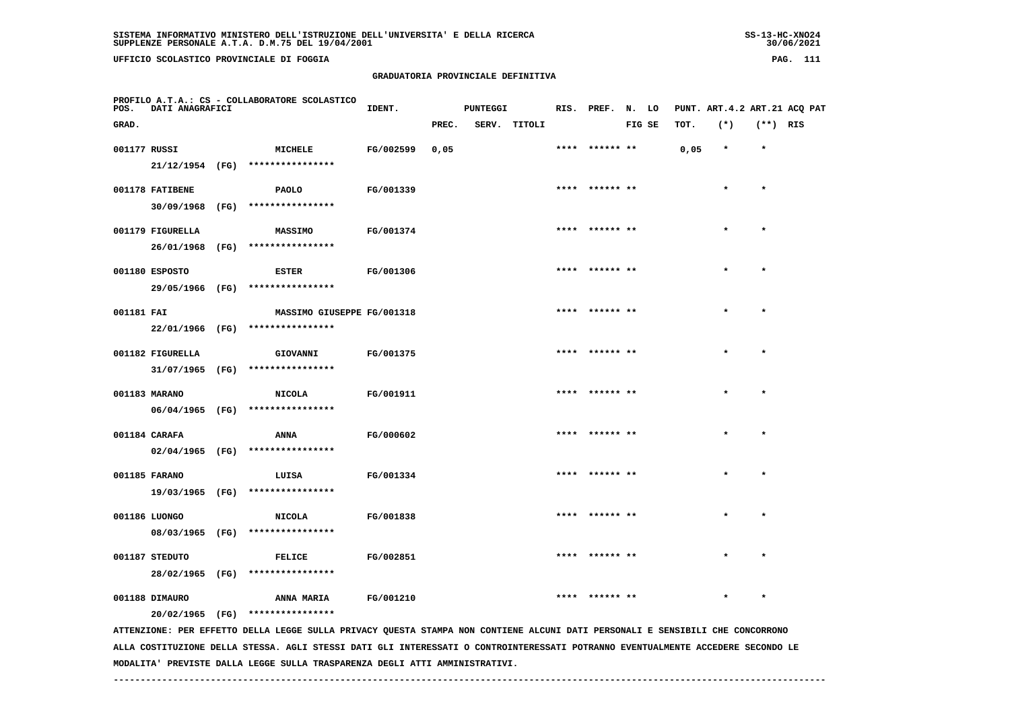**UFFICIO SCOLASTICO PROVINCIALE DI FOGGIA PAG. 111**

#### **GRADUATORIA PROVINCIALE DEFINITIVA**

| POS.         | <b>DATI ANAGRAFICI</b> | PROFILO A.T.A.: CS - COLLABORATORE SCOLASTICO                                                                                 | IDENT.    |       | <b>PUNTEGGI</b> |              | RIS. PREF. N. LO |        |      |         |            | PUNT. ART.4.2 ART.21 ACQ PAT |
|--------------|------------------------|-------------------------------------------------------------------------------------------------------------------------------|-----------|-------|-----------------|--------------|------------------|--------|------|---------|------------|------------------------------|
| GRAD.        |                        |                                                                                                                               |           | PREC. |                 | SERV. TITOLI |                  | FIG SE | TOT. | $(*)$   | $(**)$ RIS |                              |
| 001177 RUSSI |                        | MICHELE                                                                                                                       | FG/002599 | 0,05  |                 |              | **** ****** **   |        | 0,05 | $\star$ | $\star$    |                              |
|              |                        | 21/12/1954 (FG) ****************                                                                                              |           |       |                 |              |                  |        |      |         |            |                              |
|              | 001178 FATIBENE        | PAOLO                                                                                                                         | FG/001339 |       |                 |              | **** ****** **   |        |      |         | $\star$    |                              |
|              |                        | 30/09/1968 (FG) ****************                                                                                              |           |       |                 |              |                  |        |      |         |            |                              |
|              | 001179 FIGURELLA       | <b>MASSIMO</b>                                                                                                                | FG/001374 |       |                 |              | **** ****** **   |        |      |         | $\star$    |                              |
|              |                        | 26/01/1968 (FG) ****************                                                                                              |           |       |                 |              |                  |        |      |         |            |                              |
|              | 001180 ESPOSTO         | <b>ESTER</b>                                                                                                                  | FG/001306 |       |                 |              | ****  ****** **  |        |      |         |            |                              |
|              |                        | 29/05/1966 (FG) ****************                                                                                              |           |       |                 |              |                  |        |      |         |            |                              |
| 001181 FAI   |                        | MASSIMO GIUSEPPE FG/001318                                                                                                    |           |       |                 |              |                  |        |      |         |            |                              |
|              |                        | 22/01/1966 (FG) ****************                                                                                              |           |       |                 |              |                  |        |      |         |            |                              |
|              | 001182 FIGURELLA       | GIOVANNI                                                                                                                      | FG/001375 |       |                 |              | **** ****** **   |        |      | $\star$ | $\star$    |                              |
|              |                        | $31/07/1965$ (FG) ****************                                                                                            |           |       |                 |              |                  |        |      |         |            |                              |
|              | 001183 MARANO          | <b>NICOLA</b>                                                                                                                 | FG/001911 |       |                 |              | **** ****** **   |        |      |         | $\star$    |                              |
|              |                        | 06/04/1965 (FG) ****************                                                                                              |           |       |                 |              |                  |        |      |         |            |                              |
|              | 001184 CARAFA          | ANNA                                                                                                                          | FG/000602 |       |                 |              | **** ****** **   |        |      |         | $\star$    |                              |
|              |                        | 02/04/1965 (FG) ****************                                                                                              |           |       |                 |              |                  |        |      |         |            |                              |
|              | 001185 FARANO          | LUISA                                                                                                                         | FG/001334 |       |                 |              | **** ****** **   |        |      |         | $\star$    |                              |
|              |                        | 19/03/1965 (FG) ****************                                                                                              |           |       |                 |              |                  |        |      |         |            |                              |
|              | 001186 LUONGO          | <b>NICOLA</b>                                                                                                                 | FG/001838 |       |                 |              | **** ****** **   |        |      |         | $\bullet$  |                              |
|              |                        | 08/03/1965 (FG) ****************                                                                                              |           |       |                 |              |                  |        |      |         |            |                              |
|              | 001187 STEDUTO         | <b>FELICE</b>                                                                                                                 | FG/002851 |       |                 |              |                  |        |      |         |            |                              |
|              | 28/02/1965 (FG)        | ****************                                                                                                              |           |       |                 |              |                  |        |      |         |            |                              |
|              | 001188 DIMAURO         | ANNA MARIA                                                                                                                    | FG/001210 |       |                 |              | **** ****** **   |        |      |         | $\star$    |                              |
|              |                        | 20/02/1965 (FG) ****************                                                                                              |           |       |                 |              |                  |        |      |         |            |                              |
|              |                        | ATTENZIONE: PER EFFETTO DELLA LEGGE SULLA PRIVACY QUESTA STAMPA NON CONTIENE ALCUNI DATI PERSONALI E SENSIBILI CHE CONCORRONO |           |       |                 |              |                  |        |      |         |            |                              |

 **ALLA COSTITUZIONE DELLA STESSA. AGLI STESSI DATI GLI INTERESSATI O CONTROINTERESSATI POTRANNO EVENTUALMENTE ACCEDERE SECONDO LE MODALITA' PREVISTE DALLA LEGGE SULLA TRASPARENZA DEGLI ATTI AMMINISTRATIVI.**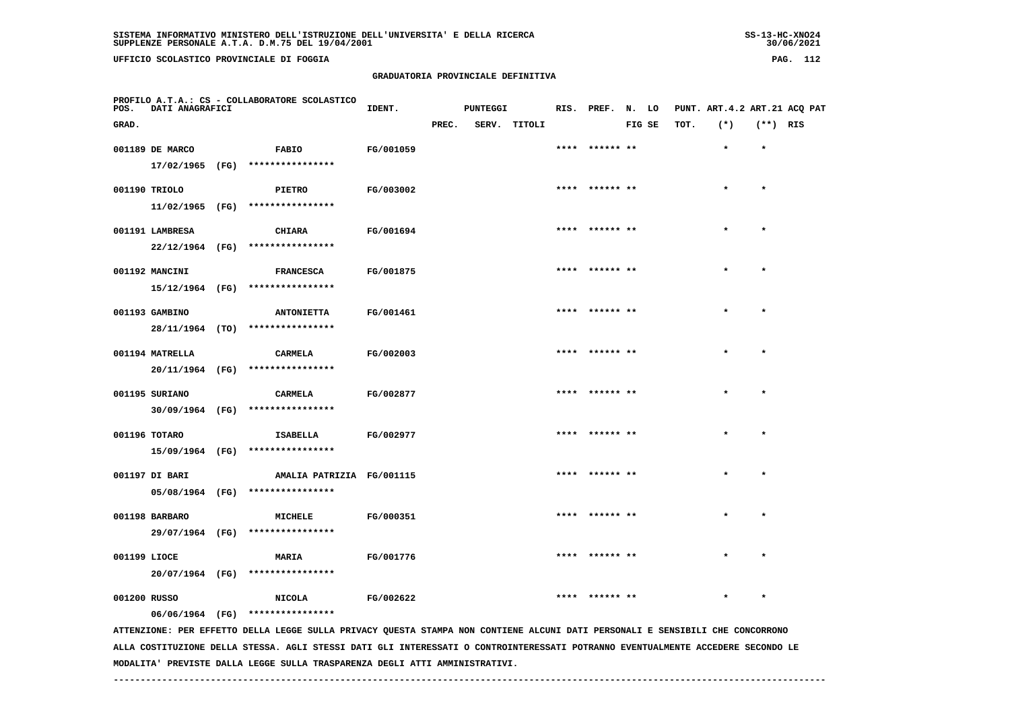**UFFICIO SCOLASTICO PROVINCIALE DI FOGGIA PAG. 112**

 **PROFILO A.T.A.: CS - COLLABORATORE SCOLASTICO**

# **GRADUATORIA PROVINCIALE DEFINITIVA**

 **GRAD. PREC. SERV. TITOLI FIG SE TOT. (\*) (\*\*) RIS**

 **001189 DE MARCO FABIO FG/001059 \*\*\*\* \*\*\*\*\*\* \*\* \* \***

**IDENT.** PUNTEGGI RIS. PREF. N. LO PUNT. ART.4.2 ART.21 ACQ PAT

|               | 17/02/1965 (FG) | ****************  |                  |                |         |         |
|---------------|-----------------|-------------------|------------------|----------------|---------|---------|
| 001190 TRIOLO |                 | <b>PIETRO</b>     | <b>FG/003002</b> | **** ****** ** | $\star$ | $\star$ |
|               | 11/02/1965 (FG) | ****************  |                  |                |         |         |
|               | 001191 LAMBRESA | CHIARA            | FG/001694        | **** ****** ** | $\star$ | $\star$ |
|               | 22/12/1964 (FG) | ****************  |                  |                |         |         |
|               | 001192 MANCINI  | <b>FRANCESCA</b>  | FG/001875        | **** ****** ** | $\star$ | $\star$ |
|               | 15/12/1964 (FG) | ****************  |                  |                |         |         |
|               | 001193 GAMBINO  | <b>ANTONIETTA</b> | FG/001461        | **** ****** ** | $\star$ | $\star$ |
|               | 28/11/1964 (TO) | ****************  |                  |                |         |         |
|               | 001194 MATRELLA | CARMELA           | FG/002003        | **** ****** ** | $\star$ | $\star$ |
|               | 20/11/1964 (FG) | ****************  |                  |                |         |         |
|               | 001195 SURIANO  | <b>CARMELA</b>    | FG/002877        | **** ****** ** | $\star$ | $\star$ |
|               | 30/09/1964 (FG) | ****************  |                  |                |         |         |
| 001196 TOTARO |                 | ISABELLA          | FG/002977        | **** ****** ** | $\star$ | $\star$ |
|               | 15/09/1964 (FG) | ****************  |                  |                |         |         |
|               |                 |                   |                  |                |         |         |

 **05/08/1964 (FG) \*\*\*\*\*\*\*\*\*\*\*\*\*\*\*\* 001198 BARBARO MICHELE FG/000351 \*\*\*\* \*\*\*\*\*\* \*\* \* \* 29/07/1964 (FG) \*\*\*\*\*\*\*\*\*\*\*\*\*\*\*\***

 **001199 LIOCE MARIA FG/001776 \*\*\*\* \*\*\*\*\*\* \*\* \* \* 20/07/1964 (FG) \*\*\*\*\*\*\*\*\*\*\*\*\*\*\*\* 001200 RUSSO NICOLA FG/002622 \*\*\*\* \*\*\*\*\*\* \*\* \* \***

001197 DI BARI AMALIA PATRIZIA FG/001115 \*\*\*\*\* \*\*\* \*

 **06/06/1964 (FG) \*\*\*\*\*\*\*\*\*\*\*\*\*\*\*\***

 **ATTENZIONE: PER EFFETTO DELLA LEGGE SULLA PRIVACY QUESTA STAMPA NON CONTIENE ALCUNI DATI PERSONALI E SENSIBILI CHE CONCORRONO ALLA COSTITUZIONE DELLA STESSA. AGLI STESSI DATI GLI INTERESSATI O CONTROINTERESSATI POTRANNO EVENTUALMENTE ACCEDERE SECONDO LE MODALITA' PREVISTE DALLA LEGGE SULLA TRASPARENZA DEGLI ATTI AMMINISTRATIVI.**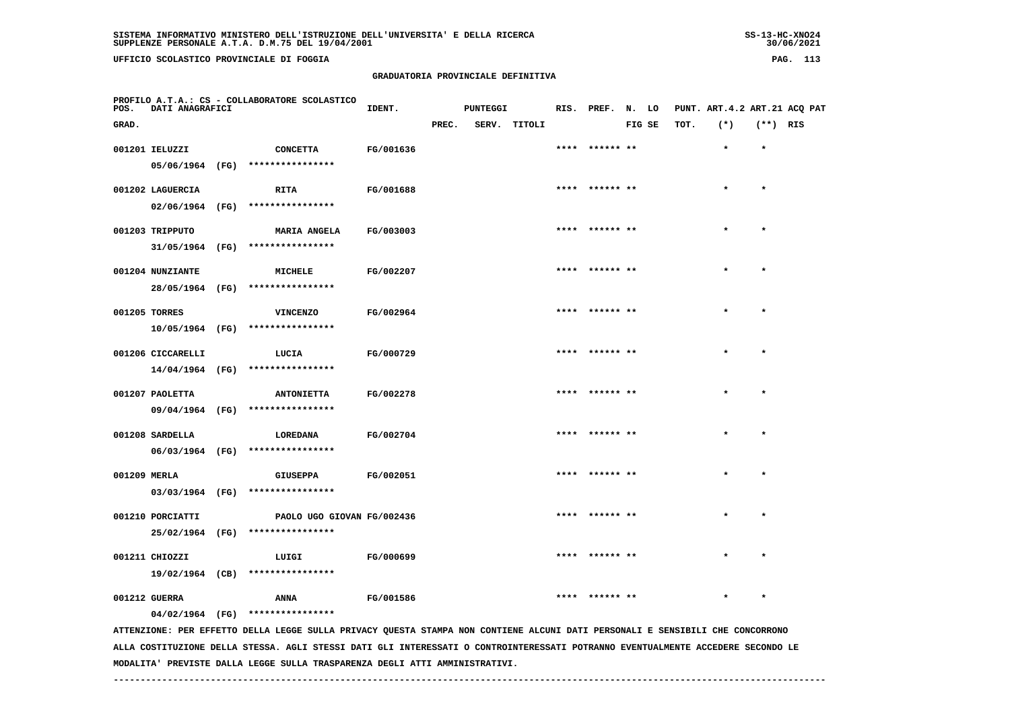**UFFICIO SCOLASTICO PROVINCIALE DI FOGGIA PAG. 113**

 **PROFILO A.T.A.: CS - COLLABORATORE SCOLASTICO**

#### **GRADUATORIA PROVINCIALE DEFINITIVA**

 **GRAD. PREC. SERV. TITOLI FIG SE TOT. (\*) (\*\*) RIS**

**IDENT.** PUNTEGGI RIS. PREF. N. LO PUNT. ART.4.2 ART.21 ACQ PAT

|               | 001201 IELUZZI    | <b>CONCETTA</b>                     | FG/001636        | **** ****** ** | $\star$ | $\star$ |
|---------------|-------------------|-------------------------------------|------------------|----------------|---------|---------|
|               | 05/06/1964 (FG)   | ****************                    |                  |                |         |         |
|               | 001202 LAGUERCIA  | <b>RITA</b>                         | FG/001688        | **** ****** ** | $\star$ | $\star$ |
|               |                   |                                     |                  |                |         |         |
|               | 02/06/1964 (FG)   | ****************                    |                  |                |         |         |
|               | 001203 TRIPPUTO   | <b>MARIA ANGELA</b>                 | <b>FG/003003</b> | **** ****** ** | $\star$ |         |
|               |                   | 31/05/1964 (FG) ****************    |                  |                |         |         |
|               |                   |                                     |                  |                |         |         |
|               | 001204 NUNZIANTE  | MICHELE                             | FG/002207        | **** ****** ** | $\star$ |         |
|               | 28/05/1964 (FG)   | ****************                    |                  |                |         |         |
| 001205 TORRES |                   | <b>VINCENZO</b>                     | FG/002964        | **** ****** ** | $\star$ |         |
|               |                   | $10/05/1964$ (FG) ***************** |                  |                |         |         |
|               |                   |                                     |                  |                |         |         |
|               | 001206 CICCARELLI | LUCIA                               | FG/000729        | **** ****** ** | $\star$ |         |
|               | 14/04/1964 (FG)   | ****************                    |                  |                |         |         |
|               |                   |                                     |                  | **** ****** ** | $\star$ |         |
|               | 001207 PAOLETTA   | <b>ANTONIETTA</b>                   | FG/002278        |                |         |         |
|               | 09/04/1964 (FG)   | ****************                    |                  |                |         |         |
|               | 001208 SARDELLA   | LOREDANA                            | FG/002704        | **** ****** ** | $\star$ |         |
|               | 06/03/1964 (FG)   | ****************                    |                  |                |         |         |
|               |                   |                                     |                  |                |         |         |
| 001209 MERLA  |                   | <b>GIUSEPPA</b>                     | FG/002051        | **** ****** ** | $\star$ |         |
|               | 03/03/1964 (FG)   | ****************                    |                  |                |         |         |
|               | 001210 PORCIATTI  | PAOLO UGO GIOVAN FG/002436          |                  |                |         |         |
|               | 25/02/1964 (FG)   | ****************                    |                  |                |         |         |
|               |                   |                                     |                  |                |         |         |
|               | 001211 CHIOZZI    | LUIGI                               | <b>FG/000699</b> | **** ****** ** | $\star$ |         |
|               | 19/02/1964 (CB)   | ****************                    |                  |                |         |         |
|               |                   |                                     |                  |                |         |         |

 **001212 GUERRA ANNA FG/001586 \*\*\*\* \*\*\*\*\*\* \*\* \* \***

 **04/02/1964 (FG) \*\*\*\*\*\*\*\*\*\*\*\*\*\*\*\***

 **ATTENZIONE: PER EFFETTO DELLA LEGGE SULLA PRIVACY QUESTA STAMPA NON CONTIENE ALCUNI DATI PERSONALI E SENSIBILI CHE CONCORRONO ALLA COSTITUZIONE DELLA STESSA. AGLI STESSI DATI GLI INTERESSATI O CONTROINTERESSATI POTRANNO EVENTUALMENTE ACCEDERE SECONDO LE MODALITA' PREVISTE DALLA LEGGE SULLA TRASPARENZA DEGLI ATTI AMMINISTRATIVI.**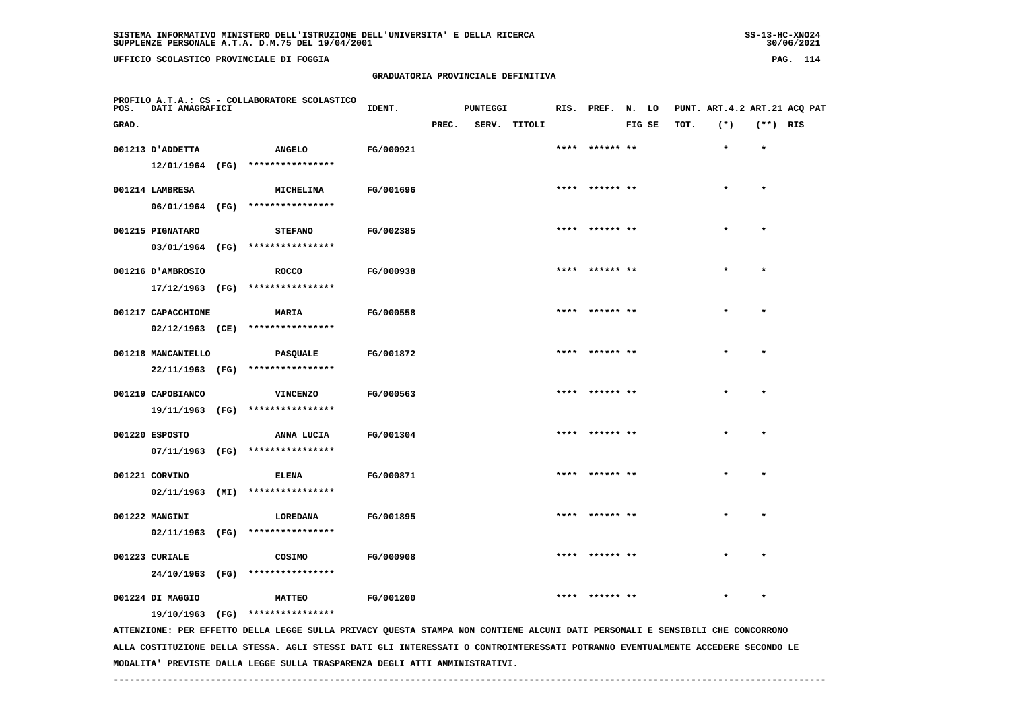**UFFICIO SCOLASTICO PROVINCIALE DI FOGGIA PAG. 114**

 **PROFILO A.T.A.: CS - COLLABORATORE SCOLASTICO**

# **GRADUATORIA PROVINCIALE DEFINITIVA**

 **GRAD. PREC. SERV. TITOLI FIG SE TOT. (\*) (\*\*) RIS**

 **001213 D'ADDETTA ANGELO FG/000921 \*\*\*\* \*\*\*\*\*\* \*\* \* \***

**IDENT.** PUNTEGGI RIS. PREF. N. LO PUNT. ART.4.2 ART.21 ACQ PAT

| 12/01/1964 (FG)    |      | **************** |           |      |                |         |         |
|--------------------|------|------------------|-----------|------|----------------|---------|---------|
| 001214 LAMBRESA    |      | MICHELINA        | FG/001696 |      | **** ****** ** | $\star$ | $\star$ |
| 06/01/1964         | (FG) | **************** |           |      |                |         |         |
| 001215 PIGNATARO   |      | <b>STEFANO</b>   | FG/002385 | **** | ****** **      | $\star$ | $\star$ |
| 03/01/1964 (FG)    |      | **************** |           |      |                |         |         |
| 001216 D'AMBROSIO  |      | <b>ROCCO</b>     | FG/000938 |      | **** ****** ** | $\star$ | $\star$ |
| 17/12/1963         | (FG) | **************** |           |      |                |         |         |
| 001217 CAPACCHIONE |      | <b>MARIA</b>     | FG/000558 |      | **** ****** ** | $\star$ | $\star$ |
| $02/12/1963$ (CE)  |      | **************** |           |      |                |         |         |
| 001218 MANCANIELLO |      | PASQUALE         | FG/001872 |      | **** ****** ** | $\star$ | $\star$ |
| 22/11/1963         | (FG) | **************** |           |      |                |         |         |
| 001219 CAPOBIANCO  |      | <b>VINCENZO</b>  | FG/000563 |      | **** ****** ** | $\star$ | $\star$ |
| 19/11/1963         | (FG) | **************** |           |      |                |         |         |
| 001220 ESPOSTO     |      | ANNA LUCIA       | FG/001304 |      | **** ****** ** | $\star$ | $\star$ |
|                    |      |                  |           |      |                |         |         |

 **07/11/1963 (FG) \*\*\*\*\*\*\*\*\*\*\*\*\*\*\*\* 001221 CORVINO ELENA FG/000871 \*\*\*\* \*\*\*\*\*\* \*\* \* \***

 **02/11/1963 (MI) \*\*\*\*\*\*\*\*\*\*\*\*\*\*\*\***001222 MANGINI LOREDANA FG/001895 \*\*\*\*\* \*\*\* \* \*

 **02/11/1963 (FG) \*\*\*\*\*\*\*\*\*\*\*\*\*\*\*\* 001223 CURIALE COSIMO FG/000908 \*\*\*\* \*\*\*\*\*\* \*\* \* \* 24/10/1963 (FG) \*\*\*\*\*\*\*\*\*\*\*\*\*\*\*\***

001224 DI MAGGIO **MATTEO FG/001200 \*\*\*\* \*\*\*\*\*\* \*\* \*\*\*\* \*\* \*\* \*** \*  **19/10/1963 (FG) \*\*\*\*\*\*\*\*\*\*\*\*\*\*\*\***

 **ATTENZIONE: PER EFFETTO DELLA LEGGE SULLA PRIVACY QUESTA STAMPA NON CONTIENE ALCUNI DATI PERSONALI E SENSIBILI CHE CONCORRONO ALLA COSTITUZIONE DELLA STESSA. AGLI STESSI DATI GLI INTERESSATI O CONTROINTERESSATI POTRANNO EVENTUALMENTE ACCEDERE SECONDO LE MODALITA' PREVISTE DALLA LEGGE SULLA TRASPARENZA DEGLI ATTI AMMINISTRATIVI.**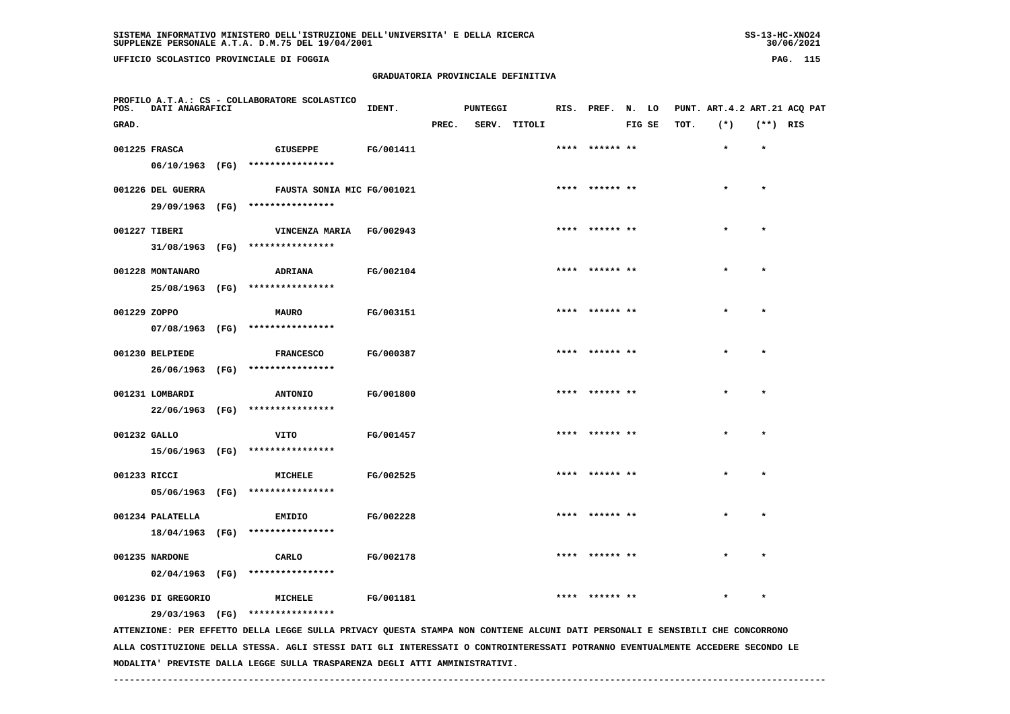**UFFICIO SCOLASTICO PROVINCIALE DI FOGGIA PAG. 115**

 **PROFILO A.T.A.: CS - COLLABORATORE SCOLASTICO**

# **GRADUATORIA PROVINCIALE DEFINITIVA**

| POS.         | DATI ANAGRAFICI    |                                                                                                                               | IDENT.    |       | <b>PUNTEGGI</b> |              | RIS. PREF. N. LO |        |      | PUNT. ART. 4.2 ART. 21 ACQ PAT |            |  |
|--------------|--------------------|-------------------------------------------------------------------------------------------------------------------------------|-----------|-------|-----------------|--------------|------------------|--------|------|--------------------------------|------------|--|
| GRAD.        |                    |                                                                                                                               |           | PREC. |                 | SERV. TITOLI |                  | FIG SE | TOT. | $(*)$                          | $(**)$ RIS |  |
|              | 001225 FRASCA      | <b>GIUSEPPE</b>                                                                                                               | FG/001411 |       |                 |              | **** ****** **   |        |      |                                |            |  |
|              |                    | 06/10/1963 (FG) *****************                                                                                             |           |       |                 |              |                  |        |      |                                |            |  |
|              | 001226 DEL GUERRA  | FAUSTA SONIA MIC FG/001021                                                                                                    |           |       |                 |              | **** ****** **   |        |      |                                |            |  |
|              |                    | 29/09/1963 (FG) ****************                                                                                              |           |       |                 |              |                  |        |      |                                |            |  |
|              | 001227 TIBERI      | VINCENZA MARIA FG/002943                                                                                                      |           |       |                 |              | **** ****** **   |        |      |                                | $\star$    |  |
|              |                    | 31/08/1963 (FG) ****************                                                                                              |           |       |                 |              |                  |        |      |                                |            |  |
|              | 001228 MONTANARO   | ADRIANA                                                                                                                       | FG/002104 |       |                 |              | **** ****** **   |        |      | $\star$                        | $\star$    |  |
|              |                    | 25/08/1963 (FG) ****************                                                                                              |           |       |                 |              |                  |        |      |                                |            |  |
| 001229 ZOPPO |                    | <b>MAURO</b>                                                                                                                  | FG/003151 |       |                 |              |                  |        |      |                                |            |  |
|              |                    | $07/08/1963$ (FG) ****************                                                                                            |           |       |                 |              |                  |        |      |                                |            |  |
|              | 001230 BELPIEDE    | <b>FRANCESCO</b>                                                                                                              | FG/000387 |       |                 |              | **** ****** **   |        |      |                                | $\star$    |  |
|              |                    | 26/06/1963 (FG) ****************                                                                                              |           |       |                 |              |                  |        |      |                                |            |  |
|              | 001231 LOMBARDI    | <b>ANTONIO</b>                                                                                                                | FG/001800 |       |                 |              | **** ****** **   |        |      | $\star$                        | $\star$    |  |
|              |                    | 22/06/1963 (FG) ****************                                                                                              |           |       |                 |              |                  |        |      |                                |            |  |
| 001232 GALLO |                    | VITO                                                                                                                          | FG/001457 |       |                 |              | **** ****** **   |        |      | $\star$                        | $\star$    |  |
|              |                    | 15/06/1963 (FG) ****************                                                                                              |           |       |                 |              |                  |        |      |                                |            |  |
| 001233 RICCI |                    | MICHELE                                                                                                                       | FG/002525 |       |                 |              |                  |        |      |                                |            |  |
|              |                    | 05/06/1963 (FG) ****************                                                                                              |           |       |                 |              |                  |        |      |                                |            |  |
|              | 001234 PALATELLA   | EMIDIO                                                                                                                        | FG/002228 |       |                 |              | **** ****** **   |        |      |                                | $\star$    |  |
|              |                    | 18/04/1963 (FG) ****************                                                                                              |           |       |                 |              |                  |        |      |                                |            |  |
|              | 001235 NARDONE     | CARLO                                                                                                                         | FG/002178 |       |                 |              | **** ****** **   |        |      | $\star$                        | $\star$    |  |
|              |                    | $02/04/1963$ (FG) *****************                                                                                           |           |       |                 |              |                  |        |      |                                |            |  |
|              | 001236 DI GREGORIO | MICHELE                                                                                                                       | FG/001181 |       |                 |              | **** ****** **   |        |      | $\star$                        | $\star$    |  |
|              |                    | 29/03/1963 (FG) ****************                                                                                              |           |       |                 |              |                  |        |      |                                |            |  |
|              |                    | ATTENZIONE: PER EFFETTO DELLA LEGGE SULLA PRIVACY QUESTA STAMPA NON CONTIENE ALCUNI DATI PERSONALI E SENSIBILI CHE CONCORRONO |           |       |                 |              |                  |        |      |                                |            |  |

  **ALLA COSTITUZIONE DELLA STESSA. AGLI STESSI DATI GLI INTERESSATI O CONTROINTERESSATI POTRANNO EVENTUALMENTE ACCEDERE SECONDO LE MODALITA' PREVISTE DALLA LEGGE SULLA TRASPARENZA DEGLI ATTI AMMINISTRATIVI.**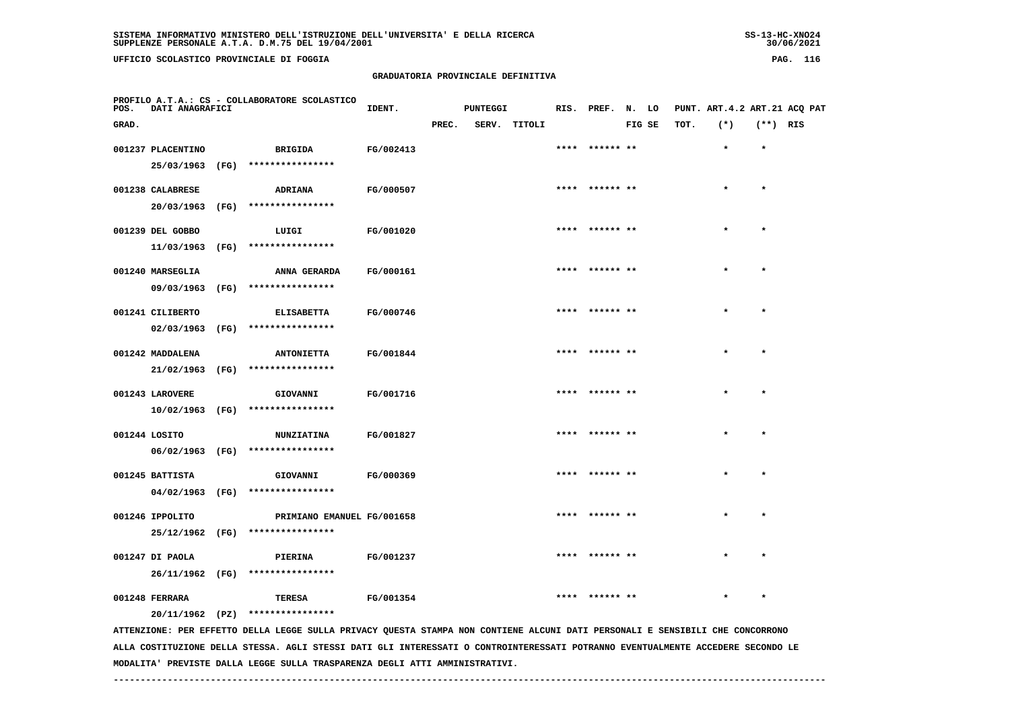**UFFICIO SCOLASTICO PROVINCIALE DI FOGGIA PAG. 116**

 **PROFILO A.T.A.: CS - COLLABORATORE SCOLASTICO**

# **GRADUATORIA PROVINCIALE DEFINITIVA**

 **GRAD. PREC. SERV. TITOLI FIG SE TOT. (\*) (\*\*) RIS**

**IDENT.** PUNTEGGI RIS. PREF. N. LO PUNT. ART.4.2 ART.21 ACQ PAT

|               | 001237 PLACENTINO |      | <b>BRIGIDA</b>                                                                                                                | FG/002413 | **** ****** **  |           |           |
|---------------|-------------------|------|-------------------------------------------------------------------------------------------------------------------------------|-----------|-----------------|-----------|-----------|
|               | 25/03/1963        | (FG) | ****************                                                                                                              |           |                 |           |           |
|               | 001238 CALABRESE  |      | ADRIANA                                                                                                                       | FG/000507 | **** ****** **  | $\bullet$ | $\bullet$ |
|               | 20/03/1963 (FG)   |      | ****************                                                                                                              |           |                 |           |           |
|               |                   |      |                                                                                                                               |           |                 |           |           |
|               | 001239 DEL GOBBO  |      | LUIGI                                                                                                                         | FG/001020 |                 |           | $\star$   |
|               | 11/03/1963 (FG)   |      | ****************                                                                                                              |           |                 |           |           |
|               |                   |      |                                                                                                                               |           | ****  ****** ** | $\star$   | $\star$   |
|               | 001240 MARSEGLIA  |      | ANNA GERARDA                                                                                                                  | FG/000161 |                 |           |           |
|               | 09/03/1963        | (FG) | ****************                                                                                                              |           |                 |           |           |
|               | 001241 CILIBERTO  |      | <b>ELISABETTA</b>                                                                                                             | FG/000746 | **** ****** **  | $\star$   | $\star$   |
|               | 02/03/1963        | (FG) | ****************                                                                                                              |           |                 |           |           |
|               |                   |      |                                                                                                                               |           |                 |           |           |
|               | 001242 MADDALENA  |      | <b>ANTONIETTA</b>                                                                                                             | FG/001844 | **** ****** **  | $\star$   | $\star$   |
|               | 21/02/1963        | (FG) | ****************                                                                                                              |           |                 |           |           |
|               | 001243 LAROVERE   |      | GIOVANNI                                                                                                                      | FG/001716 | **** ****** **  | $\star$   | $\star$   |
|               | 10/02/1963        | (FG) | ****************                                                                                                              |           |                 |           |           |
|               |                   |      |                                                                                                                               |           |                 |           |           |
| 001244 LOSITO |                   |      | <b>NUNZIATINA</b>                                                                                                             | FG/001827 | **** ****** **  | $\bullet$ | $\bullet$ |
|               | 06/02/1963        | (FG) | ****************                                                                                                              |           |                 |           |           |
|               | 001245 BATTISTA   |      | GIOVANNI                                                                                                                      | FG/000369 | **** ****** **  | $\star$   | $\star$   |
|               |                   |      | ****************                                                                                                              |           |                 |           |           |
|               | 04/02/1963 (FG)   |      |                                                                                                                               |           |                 |           |           |
|               | 001246 IPPOLITO   |      | PRIMIANO EMANUEL FG/001658                                                                                                    |           | **** ****** **  |           |           |
|               | 25/12/1962 (FG)   |      | ****************                                                                                                              |           |                 |           |           |
|               |                   |      |                                                                                                                               |           |                 |           |           |
|               | 001247 DI PAOLA   |      | PIERINA                                                                                                                       | FG/001237 | **** ****** **  |           | $\star$   |
|               | 26/11/1962 (FG)   |      | ****************                                                                                                              |           |                 |           |           |
|               | 001248 FERRARA    |      | TERESA                                                                                                                        | FG/001354 | ****  ****** ** |           | $\star$   |
|               |                   |      | $20/11/1962$ (PZ) ****************                                                                                            |           |                 |           |           |
|               |                   |      | ATTENZIONE: PER EFFETTO DELLA LEGGE SULLA PRIVACY QUESTA STAMPA NON CONTIENE ALCUNI DATI PERSONALI E SENSIBILI CHE CONCORRONO |           |                 |           |           |

 **ALLA COSTITUZIONE DELLA STESSA. AGLI STESSI DATI GLI INTERESSATI O CONTROINTERESSATI POTRANNO EVENTUALMENTE ACCEDERE SECONDO LE MODALITA' PREVISTE DALLA LEGGE SULLA TRASPARENZA DEGLI ATTI AMMINISTRATIVI.**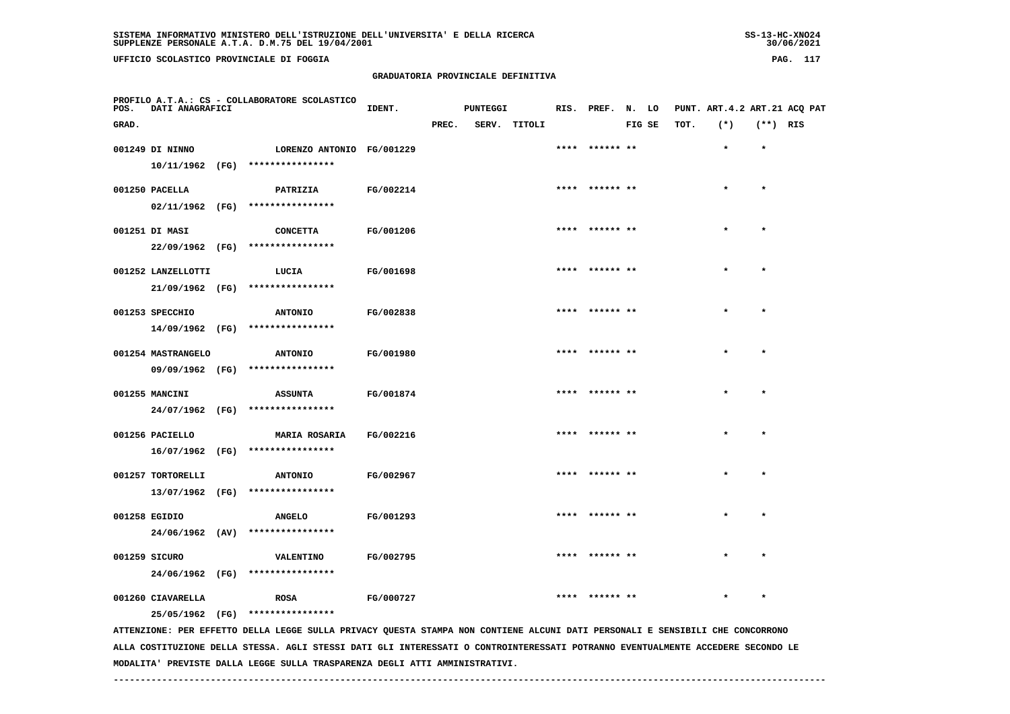**UFFICIO SCOLASTICO PROVINCIALE DI FOGGIA PAG. 117**

 **PROFILO A.T.A.: CS - COLLABORATORE SCOLASTICO**

# **GRADUATORIA PROVINCIALE DEFINITIVA**

**IDENT.** PUNTEGGI RIS. PREF. N. LO PUNT. ART.4.2 ART.21 ACQ PAT

| GRAD. |                                  |      |                                      |           | PREC. | SERV. | TITOLI |                | FIG SE | TOT. | $(*)$     | (**) RIS  |  |
|-------|----------------------------------|------|--------------------------------------|-----------|-------|-------|--------|----------------|--------|------|-----------|-----------|--|
|       | 001249 DI NINNO                  |      | LORENZO ANTONIO FG/001229            |           |       |       |        | **** ****** ** |        |      | $\star$   | $\star$   |  |
|       | 10/11/1962 (FG)                  |      | ****************                     |           |       |       |        |                |        |      |           |           |  |
|       | 001250 PACELLA                   |      | PATRIZIA                             | FG/002214 |       |       |        | **** ****** ** |        |      | $\bullet$ | $\star$   |  |
|       | $02/11/1962$ (FG)                |      | ****************                     |           |       |       |        |                |        |      |           |           |  |
|       | 001251 DI MASI                   |      | <b>CONCETTA</b>                      | FG/001206 |       |       |        | **** ****** ** |        |      | $\star$   | $\star$   |  |
|       | 22/09/1962 (FG)                  |      | ****************                     |           |       |       |        |                |        |      |           |           |  |
|       | 001252 LANZELLOTTI               |      | LUCIA                                | FG/001698 |       |       |        | **** ****** ** |        |      |           | $\bullet$ |  |
|       | 21/09/1962 (FG)                  |      | ****************                     |           |       |       |        |                |        |      |           |           |  |
|       | 001253 SPECCHIO                  |      | <b>ANTONIO</b>                       | FG/002838 |       |       |        | **** ****** ** |        |      | $\star$   | $\star$   |  |
|       | 14/09/1962 (FG)                  |      | ****************                     |           |       |       |        |                |        |      |           |           |  |
|       | 001254 MASTRANGELO               |      | <b>ANTONIO</b>                       | FG/001980 |       |       |        | **** ****** ** |        |      | $\star$   | $\star$   |  |
|       | 09/09/1962 (FG)                  |      | ****************                     |           |       |       |        |                |        |      |           |           |  |
|       | 001255 MANCINI                   |      | <b>ASSUNTA</b>                       | FG/001874 |       |       |        | **** ****** ** |        |      | $\star$   | $\star$   |  |
|       | 24/07/1962 (FG)                  |      | ****************                     |           |       |       |        |                |        |      |           |           |  |
|       | 001256 PACIELLO                  |      | MARIA ROSARIA<br>****************    | FG/002216 |       |       |        | **** ****** ** |        |      |           | $\star$   |  |
|       | 16/07/1962 (FG)                  |      |                                      |           |       |       |        |                |        |      |           |           |  |
|       | 001257 TORTORELLI                |      | <b>ANTONIO</b><br>****************   | FG/002967 |       |       |        | **** ****** ** |        |      | $\star$   | $\star$   |  |
|       | 13/07/1962 (FG)                  |      |                                      |           |       |       |        |                |        |      |           |           |  |
|       | 001258 EGIDIO<br>24/06/1962      | (AV) | <b>ANGELO</b><br>****************    | FG/001293 |       |       |        | **** ****** ** |        |      | $\star$   | $\star$   |  |
|       |                                  |      |                                      |           |       |       |        |                |        |      |           |           |  |
|       | 001259 SICURO<br>24/06/1962 (FG) |      | <b>VALENTINO</b><br>**************** | FG/002795 |       |       |        | **** ****** ** |        |      | $\star$   | $\star$   |  |
|       |                                  |      |                                      |           |       |       |        |                |        |      |           |           |  |

001260 CIAVARELLA **ROSA FG/000727** \*\*\*\* \*\*\*\*\*\* \*\* \*\*\*\* \*\* \*\* \*\* \*\*

 **25/05/1962 (FG) \*\*\*\*\*\*\*\*\*\*\*\*\*\*\*\***

 **ATTENZIONE: PER EFFETTO DELLA LEGGE SULLA PRIVACY QUESTA STAMPA NON CONTIENE ALCUNI DATI PERSONALI E SENSIBILI CHE CONCORRONO ALLA COSTITUZIONE DELLA STESSA. AGLI STESSI DATI GLI INTERESSATI O CONTROINTERESSATI POTRANNO EVENTUALMENTE ACCEDERE SECONDO LE MODALITA' PREVISTE DALLA LEGGE SULLA TRASPARENZA DEGLI ATTI AMMINISTRATIVI.**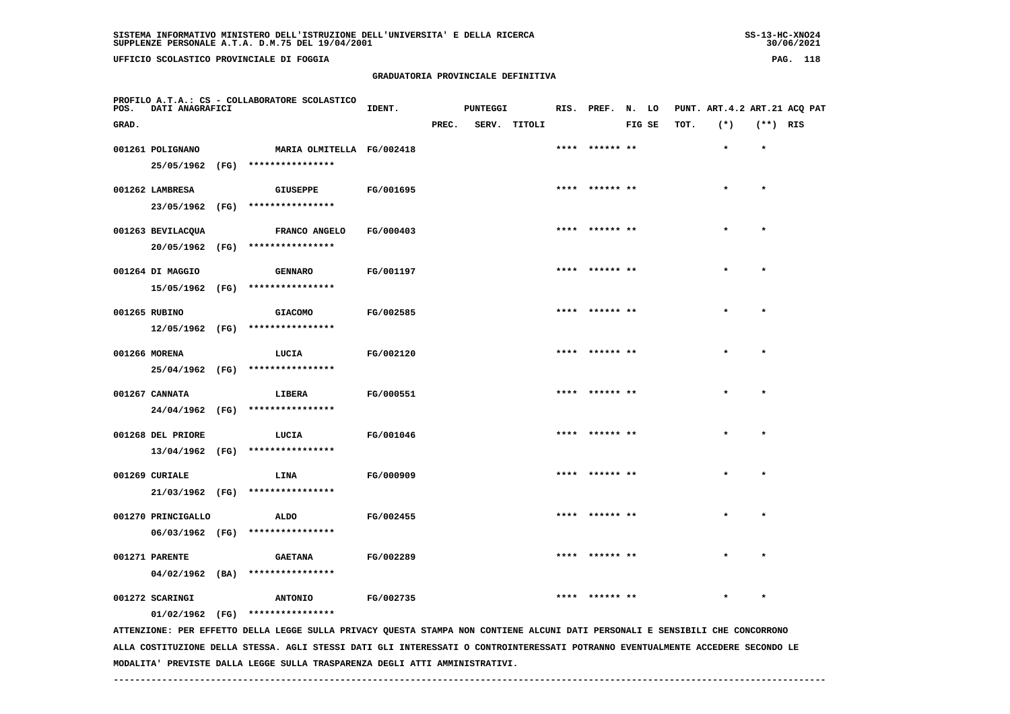**UFFICIO SCOLASTICO PROVINCIALE DI FOGGIA PAG. 118**

 **PROFILO A.T.A.: CS - COLLABORATORE SCOLASTICO**

# **GRADUATORIA PROVINCIALE DEFINITIVA**

**IDENT.** PUNTEGGI RIS. PREF. N. LO PUNT. ART.4.2 ART.21 ACQ PAT

| GRAD. |                                      |      |                                               |           | PREC. | SERV. TITOLI |                | FIG SE | TOT. | $(*)$   | $(**)$ RIS |  |
|-------|--------------------------------------|------|-----------------------------------------------|-----------|-------|--------------|----------------|--------|------|---------|------------|--|
|       | 001261 POLIGNANO<br>25/05/1962 (FG)  |      | MARIA OLMITELLA FG/002418<br>**************** |           |       |              | **** ****** ** |        |      | $\star$ | $\star$    |  |
|       | 001262 LAMBRESA                      |      | <b>GIUSEPPE</b>                               | FG/001695 |       |              | **** ****** ** |        |      | $\star$ | $\star$    |  |
|       | 23/05/1962 (FG)<br>001263 BEVILACQUA |      | ****************<br><b>FRANCO ANGELO</b>      | FG/000403 |       |              | **** ****** ** |        |      | $\star$ | $\star$    |  |
|       | 20/05/1962 (FG)<br>001264 DI MAGGIO  |      | ****************<br><b>GENNARO</b>            | FG/001197 |       |              | **** ****** ** |        |      | $\star$ | $\star$    |  |
|       | 15/05/1962 (FG)                      |      | ****************                              |           |       |              |                |        |      |         |            |  |
|       | 001265 RUBINO<br>12/05/1962 (FG)     |      | <b>GIACOMO</b><br>****************            | FG/002585 |       |              | **** ****** ** |        |      | $\star$ | $\star$    |  |
|       | 001266 MORENA<br>25/04/1962 (FG)     |      | LUCIA<br>****************                     | FG/002120 |       |              | **** ****** ** |        |      | $\star$ | $\star$    |  |
|       | 001267 CANNATA                       |      | <b>LIBERA</b><br>****************             | FG/000551 |       |              | **** ****** ** |        |      | $\star$ | $\star$    |  |
|       | 24/04/1962 (FG)<br>001268 DEL PRIORE |      | LUCIA                                         | FG/001046 |       |              | **** ****** ** |        |      | $\star$ | $\star$    |  |
|       | 13/04/1962 (FG)<br>001269 CURIALE    |      | ****************<br>LINA                      | FG/000909 |       |              | **** ****** ** |        |      | $\star$ | $\star$    |  |
|       | 21/03/1962                           | (FG) | ****************                              |           |       |              |                |        |      |         |            |  |

 **001270 PRINCIGALLO ALDO FG/002455 \*\*\*\* \*\*\*\*\*\* \*\* \* \***

 **06/03/1962 (FG) \*\*\*\*\*\*\*\*\*\*\*\*\*\*\*\* 001271 PARENTE GAETANA FG/002289 \*\*\*\* \*\*\*\*\*\* \*\* \* \* 04/02/1962 (BA) \*\*\*\*\*\*\*\*\*\*\*\*\*\*\*\***

 **001272 SCARINGI ANTONIO FG/002735 \*\*\*\* \*\*\*\*\*\* \*\* \* \* 01/02/1962 (FG) \*\*\*\*\*\*\*\*\*\*\*\*\*\*\*\***

 **ATTENZIONE: PER EFFETTO DELLA LEGGE SULLA PRIVACY QUESTA STAMPA NON CONTIENE ALCUNI DATI PERSONALI E SENSIBILI CHE CONCORRONO ALLA COSTITUZIONE DELLA STESSA. AGLI STESSI DATI GLI INTERESSATI O CONTROINTERESSATI POTRANNO EVENTUALMENTE ACCEDERE SECONDO LE MODALITA' PREVISTE DALLA LEGGE SULLA TRASPARENZA DEGLI ATTI AMMINISTRATIVI.**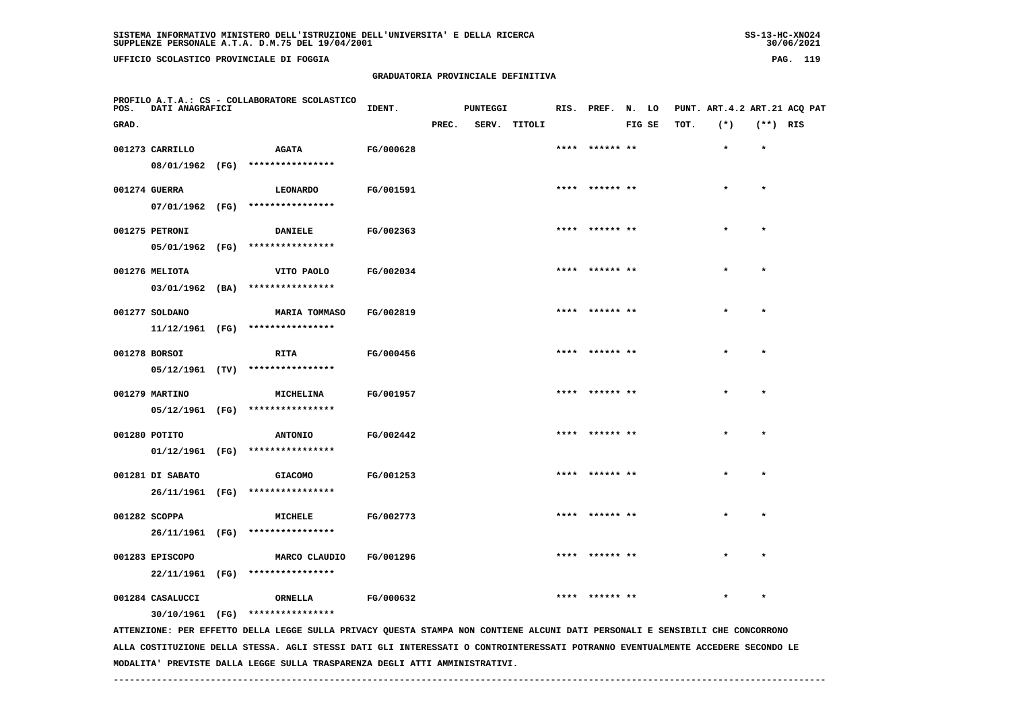**UFFICIO SCOLASTICO PROVINCIALE DI FOGGIA PAG. 119**

 **PROFILO A.T.A.: CS - COLLABORATORE SCOLASTICO**

#### **GRADUATORIA PROVINCIALE DEFINITIVA**

 **GRAD. PREC. SERV. TITOLI FIG SE TOT. (\*) (\*\*) RIS**

**IDENT.** PUNTEGGI RIS. PREF. N. LO PUNT. ART.4.2 ART.21 ACQ PAT

| 001273 CARRILLO  | <b>AGATA</b>                                                                                                                  | FG/000628        |  | **** ****** **  |  |         |
|------------------|-------------------------------------------------------------------------------------------------------------------------------|------------------|--|-----------------|--|---------|
|                  | 08/01/1962 (FG) ****************                                                                                              |                  |  |                 |  |         |
| 001274 GUERRA    | <b>LEONARDO</b>                                                                                                               | FG/001591        |  | **** ****** **  |  | $\star$ |
|                  |                                                                                                                               |                  |  |                 |  |         |
|                  | 07/01/1962 (FG) ****************                                                                                              |                  |  |                 |  |         |
| 001275 PETRONI   | <b>DANIELE</b>                                                                                                                | FG/002363        |  | **** ****** **  |  | $\star$ |
|                  | 05/01/1962 (FG) ****************                                                                                              |                  |  |                 |  |         |
| 001276 MELIOTA   | VITO PAOLO                                                                                                                    | <b>FG/002034</b> |  | **** ****** **  |  | $\star$ |
|                  |                                                                                                                               |                  |  |                 |  |         |
|                  | $03/01/1962$ (BA) ****************                                                                                            |                  |  |                 |  |         |
| 001277 SOLDANO   | <b>MARIA TOMMASO</b>                                                                                                          | FG/002819        |  | **** ****** **  |  | $\star$ |
|                  | $11/12/1961$ (FG) *****************                                                                                           |                  |  |                 |  |         |
|                  |                                                                                                                               |                  |  | **** ****** **  |  | $\star$ |
| 001278 BORSOI    | <b>RITA</b>                                                                                                                   | FG/000456        |  |                 |  |         |
|                  | 05/12/1961 (TV) ****************                                                                                              |                  |  |                 |  |         |
| 001279 MARTINO   | MICHELINA                                                                                                                     | FG/001957        |  | **** ****** **  |  | $\star$ |
|                  | 05/12/1961 (FG) ****************                                                                                              |                  |  |                 |  |         |
|                  |                                                                                                                               |                  |  |                 |  |         |
| 001280 POTITO    | <b>ANTONIO</b>                                                                                                                | FG/002442        |  | **** ****** **  |  | $\star$ |
|                  | 01/12/1961 (FG) ****************                                                                                              |                  |  |                 |  |         |
| 001281 DI SABATO | <b>GIACOMO</b>                                                                                                                | FG/001253        |  | **** ****** **  |  |         |
|                  | 26/11/1961 (FG) ****************                                                                                              |                  |  |                 |  |         |
|                  |                                                                                                                               |                  |  |                 |  |         |
| 001282 SCOPPA    | MICHELE                                                                                                                       | FG/002773        |  | **** ****** **  |  |         |
|                  | 26/11/1961 (FG) ****************                                                                                              |                  |  |                 |  |         |
| 001283 EPISCOPO  | MARCO CLAUDIO                                                                                                                 | FG/001296        |  | **** ****** **  |  |         |
|                  | 22/11/1961 (FG) ****************                                                                                              |                  |  |                 |  |         |
|                  |                                                                                                                               |                  |  |                 |  |         |
| 001284 CASALUCCI | ORNELLA                                                                                                                       | FG/000632        |  | ****  ****** ** |  | $\star$ |
|                  | 30/10/1961 (FG) ****************                                                                                              |                  |  |                 |  |         |
|                  | ATTENZIONE: PER EFFETTO DELLA LEGGE SULLA PRIVACY QUESTA STAMPA NON CONTIENE ALCUNI DATI PERSONALI E SENSIBILI CHE CONCORRONO |                  |  |                 |  |         |

 **ALLA COSTITUZIONE DELLA STESSA. AGLI STESSI DATI GLI INTERESSATI O CONTROINTERESSATI POTRANNO EVENTUALMENTE ACCEDERE SECONDO LE MODALITA' PREVISTE DALLA LEGGE SULLA TRASPARENZA DEGLI ATTI AMMINISTRATIVI.**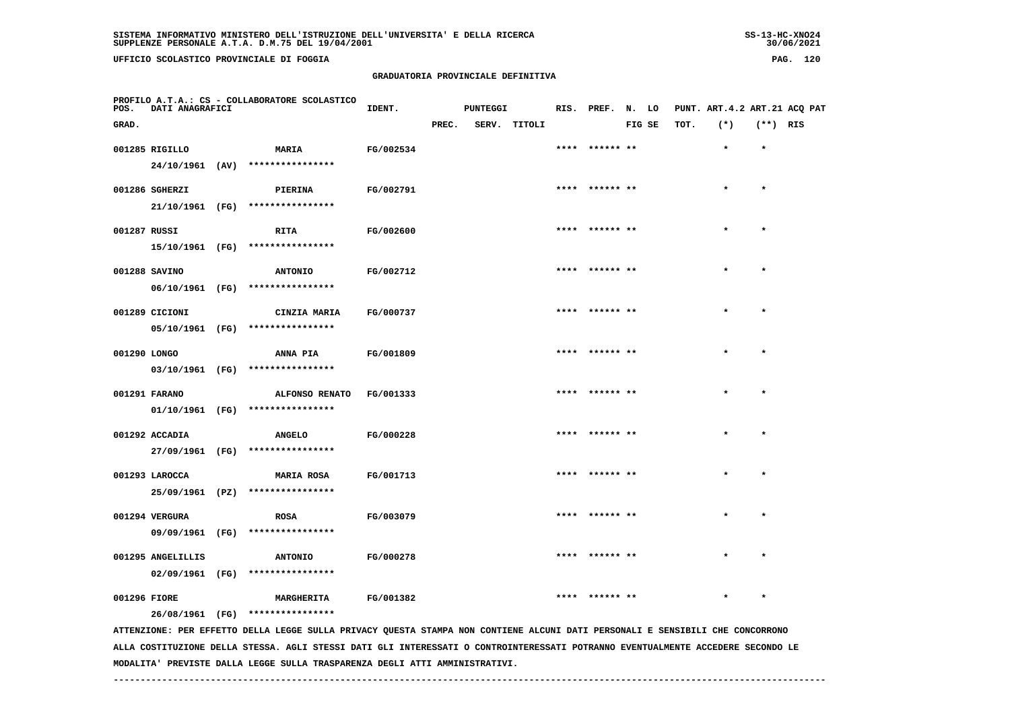**UFFICIO SCOLASTICO PROVINCIALE DI FOGGIA PAG. 120**

 **PROFILO A.T.A.: CS - COLLABORATORE SCOLASTICO**

 **05/10/1961 (FG) \*\*\*\*\*\*\*\*\*\*\*\*\*\*\*\***

# **GRADUATORIA PROVINCIALE DEFINITIVA**

 **GRAD. PREC. SERV. TITOLI FIG SE TOT. (\*) (\*\*) RIS**

| 001285 RIGILLO |      | <b>MARIA</b>     | FG/002534 |      | **** ****** ** | $\star$ | $\star$ |
|----------------|------|------------------|-----------|------|----------------|---------|---------|
| 24/10/1961     | (AV) | **************** |           |      |                |         |         |
| 001286 SGHERZI |      | PIERINA          | FG/002791 | **** | ****** **      | $\star$ | $\star$ |
| 21/10/1961     | (FG) | **************** |           |      |                |         |         |
| 001287 RUSSI   |      | RITA             | FG/002600 | **** | ****** **      | $\star$ | $\star$ |
| 15/10/1961     | (FG) | **************** |           |      |                |         |         |
| 001288 SAVINO  |      | <b>ANTONIO</b>   | FG/002712 | **** | ****** **      | $\star$ | $\star$ |
| 06/10/1961     | (FG) | **************** |           |      |                |         |         |
| 001289 CICIONI |      | CINZIA MARIA     | FG/000737 | **** | ****** **      | $\star$ | $\star$ |
| $A = 14A14A74$ |      |                  |           |      |                |         |         |

**IDENT.** PUNTEGGI RIS. PREF. N. LO PUNT. ART.4.2 ART.21 ACQ PAT

| 001290 LONGO |            |      | ANNA PIA         | FG/001809 | **** ****** ** | $\star$ |  |
|--------------|------------|------|------------------|-----------|----------------|---------|--|
|              | 03/10/1961 | (FG) | **************** |           |                |         |  |

| 001291 FARANO | ALFONSO RENATO         | FG/001333 | ****  ****** ** |  |  |
|---------------|------------------------|-----------|-----------------|--|--|
| 01/10/1961    | (FG) ***************** |           |                 |  |  |

 **001292 ACCADIA ANGELO FG/000228 \*\*\*\* \*\*\*\*\*\* \*\* \* \* 27/09/1961 (FG) \*\*\*\*\*\*\*\*\*\*\*\*\*\*\*\***001293 LAROCCA **MARIA ROSA FG/001713** \*\*\*\* \*\*\*\*\*\* \*\* \* \* \* \*

 **25/09/1961 (PZ) \*\*\*\*\*\*\*\*\*\*\*\*\*\*\*\* 001294 VERGURA ROSA FG/003079 \*\*\*\* \*\*\*\*\*\* \*\* \* \* 09/09/1961 (FG) \*\*\*\*\*\*\*\*\*\*\*\*\*\*\*\* 001295 ANGELILLIS ANTONIO FG/000278 \*\*\*\* \*\*\*\*\*\* \*\* \* \***

 **02/09/1961 (FG) \*\*\*\*\*\*\*\*\*\*\*\*\*\*\*\***

 **001296 FIORE MARGHERITA FG/001382 \*\*\*\* \*\*\*\*\*\* \*\* \* \* 26/08/1961 (FG) \*\*\*\*\*\*\*\*\*\*\*\*\*\*\*\***

 **ATTENZIONE: PER EFFETTO DELLA LEGGE SULLA PRIVACY QUESTA STAMPA NON CONTIENE ALCUNI DATI PERSONALI E SENSIBILI CHE CONCORRONO ALLA COSTITUZIONE DELLA STESSA. AGLI STESSI DATI GLI INTERESSATI O CONTROINTERESSATI POTRANNO EVENTUALMENTE ACCEDERE SECONDO LE MODALITA' PREVISTE DALLA LEGGE SULLA TRASPARENZA DEGLI ATTI AMMINISTRATIVI.**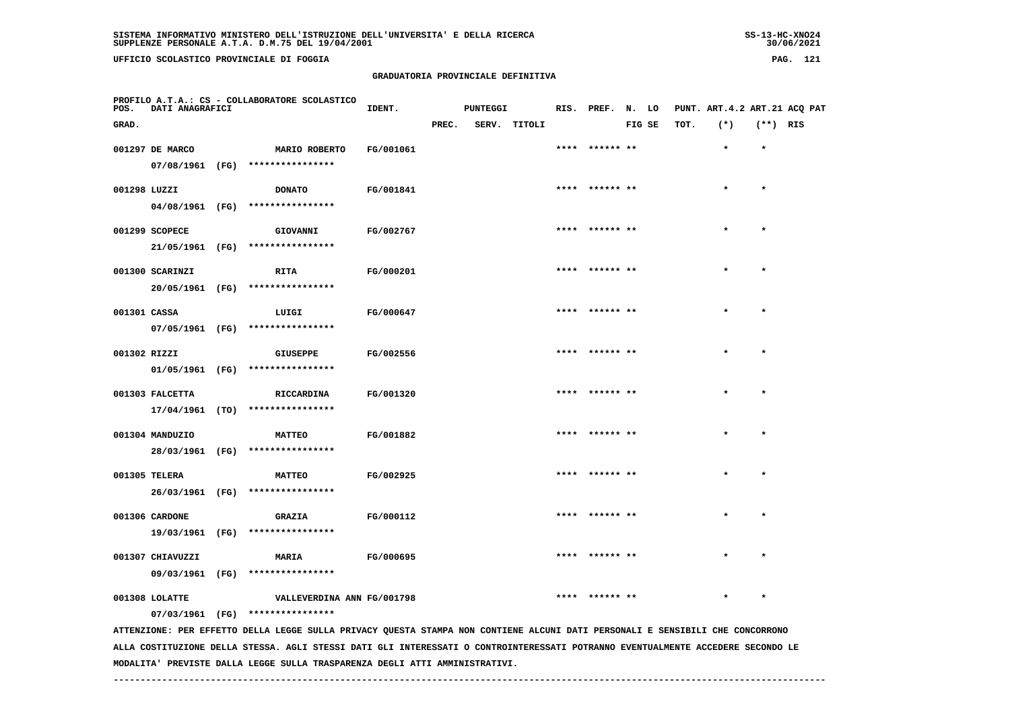**UFFICIO SCOLASTICO PROVINCIALE DI FOGGIA PAG. 121**

 **PROFILO A.T.A.: CS - COLLABORATORE SCOLASTICO**

# **GRADUATORIA PROVINCIALE DEFINITIVA**

 **GRAD. PREC. SERV. TITOLI FIG SE TOT. (\*) (\*\*) RIS**

**IDENT.** PUNTEGGI RIS. PREF. N. LO PUNT. ART.4.2 ART.21 ACQ PAT

|              | 001297 DE MARCO  | MARIO ROBERTO                                                                                                                 | FG/001061 |  | **** ****** **  |           | $\star$ |
|--------------|------------------|-------------------------------------------------------------------------------------------------------------------------------|-----------|--|-----------------|-----------|---------|
|              | 07/08/1961 (FG)  | ****************                                                                                                              |           |  |                 |           |         |
| 001298 LUZZI |                  | <b>DONATO</b>                                                                                                                 | FG/001841 |  | **** ****** **  | $\star$   |         |
|              | 04/08/1961 (FG)  | ****************                                                                                                              |           |  |                 |           |         |
|              |                  |                                                                                                                               |           |  |                 |           |         |
|              | 001299 SCOPECE   | GIOVANNI                                                                                                                      | FG/002767 |  | **** ****** **  | *         | $\star$ |
|              | 21/05/1961 (FG)  | ****************                                                                                                              |           |  |                 |           |         |
|              | 001300 SCARINZI  | <b>RITA</b>                                                                                                                   | FG/000201 |  | **** ****** **  | $\star$   | $\star$ |
|              | 20/05/1961 (FG)  | ****************                                                                                                              |           |  |                 |           |         |
| 001301 CASSA |                  | LUIGI                                                                                                                         | FG/000647 |  | ****  ****** ** | $\star$   | $\star$ |
|              |                  | 07/05/1961 (FG) ****************                                                                                              |           |  |                 |           |         |
|              |                  |                                                                                                                               |           |  |                 |           |         |
| 001302 RIZZI |                  | <b>GIUSEPPE</b>                                                                                                               | FG/002556 |  | **** ****** **  |           |         |
|              | 01/05/1961 (FG)  | ****************                                                                                                              |           |  |                 |           |         |
|              | 001303 FALCETTA  | RICCARDINA                                                                                                                    | FG/001320 |  | **** ****** **  |           |         |
|              |                  | $17/04/1961$ (TO) ****************                                                                                            |           |  |                 |           |         |
|              |                  |                                                                                                                               |           |  |                 |           |         |
|              | 001304 MANDUZIO  | <b>MATTEO</b><br>****************                                                                                             | FG/001882 |  | **** ****** **  |           |         |
|              | 28/03/1961 (FG)  |                                                                                                                               |           |  |                 |           |         |
|              | 001305 TELERA    | <b>MATTEO</b>                                                                                                                 | FG/002925 |  | **** ****** **  |           |         |
|              | 26/03/1961 (FG)  | ****************                                                                                                              |           |  |                 |           |         |
|              | 001306 CARDONE   | <b>GRAZIA</b>                                                                                                                 | FG/000112 |  | **** ****** **  | $\bullet$ |         |
|              | 19/03/1961 (FG)  | ****************                                                                                                              |           |  |                 |           |         |
|              |                  |                                                                                                                               |           |  |                 |           |         |
|              | 001307 CHIAVUZZI | <b>MARIA</b>                                                                                                                  | FG/000695 |  | **** ****** **  | $\star$   |         |
|              | 09/03/1961 (FG)  | ****************                                                                                                              |           |  |                 |           |         |
|              | 001308 LOLATTE   | VALLEVERDINA ANN FG/001798                                                                                                    |           |  | **** ****** **  | *         | $\star$ |
|              | 07/03/1961 (FG)  | ****************                                                                                                              |           |  |                 |           |         |
|              |                  | ATTENZIONE: PER EFFETTO DELLA LEGGE SULLA PRIVACY QUESTA STAMPA NON CONTIENE ALCUNI DATI PERSONALI E SENSIBILI CHE CONCORRONO |           |  |                 |           |         |

 **ALLA COSTITUZIONE DELLA STESSA. AGLI STESSI DATI GLI INTERESSATI O CONTROINTERESSATI POTRANNO EVENTUALMENTE ACCEDERE SECONDO LE MODALITA' PREVISTE DALLA LEGGE SULLA TRASPARENZA DEGLI ATTI AMMINISTRATIVI.**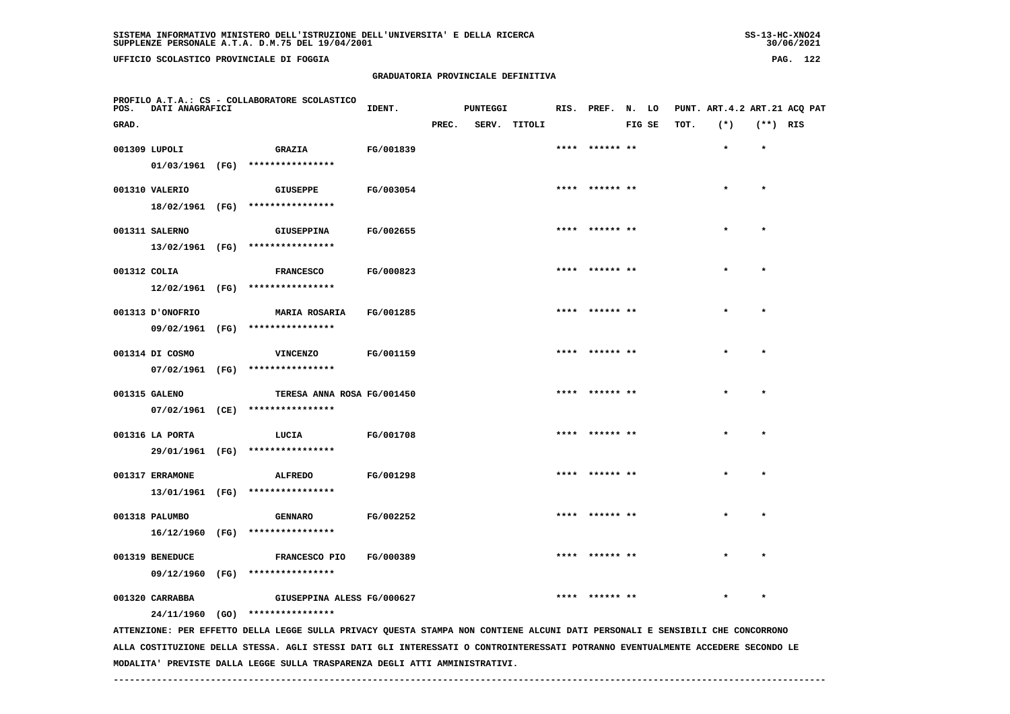**UFFICIO SCOLASTICO PROVINCIALE DI FOGGIA PAG. 122**

 **PROFILO A.T.A.: CS - COLLABORATORE SCOLASTICO**

#### **GRADUATORIA PROVINCIALE DEFINITIVA**

| PROFILO A.T.A.: CS - COLLABORATORE SCOLASTICO<br>POS.<br>DATI ANAGRAFICI |               | IDENT.    |       | <b>PUNTEGGI</b> |        | RIS. PREF. N.  | LO     |      | PUNT. ART.4.2 ART.21 ACO PAT |        |     |
|--------------------------------------------------------------------------|---------------|-----------|-------|-----------------|--------|----------------|--------|------|------------------------------|--------|-----|
| GRAD.                                                                    |               |           | PREC. | SERV.           | TITOLI |                | FIG SE | тот. | $(*)$                        | $(**)$ | RIS |
| 001309 LUPOLI                                                            | <b>GRAZIA</b> | FG/001839 |       |                 |        | **** ****** ** |        |      |                              | *      |     |

|              | 001309 LUPOLI    |      | GRAZIA                           | FG/001839 | **** ****** ** |           |
|--------------|------------------|------|----------------------------------|-----------|----------------|-----------|
|              |                  |      | 01/03/1961 (FG) **************** |           |                |           |
|              | 001310 VALERIO   |      | <b>GIUSEPPE</b>                  | FG/003054 | **** ****** ** | ÷         |
|              | 18/02/1961 (FG)  |      | ****************                 |           |                |           |
|              | 001311 SALERNO   |      | <b>GIUSEPPINA</b>                | FG/002655 | **** ****** ** | $\star$   |
|              |                  |      |                                  |           |                |           |
|              | 13/02/1961 (FG)  |      | ****************                 |           |                |           |
| 001312 COLIA |                  |      | <b>FRANCESCO</b>                 | FG/000823 | **** ****** ** | $\star$   |
|              | 12/02/1961 (FG)  |      | ****************                 |           |                |           |
|              | 001313 D'ONOFRIO |      | <b>MARIA ROSARIA</b>             | FG/001285 | **** ****** ** |           |
|              |                  |      |                                  |           |                |           |
|              |                  |      | 09/02/1961 (FG) **************** |           |                |           |
|              | 001314 DI COSMO  |      | <b>VINCENZO</b>                  | FG/001159 | **** ****** ** |           |
|              |                  |      | 07/02/1961 (FG) **************** |           |                |           |
|              | 001315 GALENO    |      | TERESA ANNA ROSA FG/001450       |           | **** ****** ** |           |
|              |                  |      | 07/02/1961 (CE) **************** |           |                |           |
|              |                  |      |                                  |           |                |           |
|              | 001316 LA PORTA  |      | LUCIA                            | FG/001708 |                |           |
|              | 29/01/1961 (FG)  |      | ****************                 |           |                |           |
|              | 001317 ERRAMONE  |      | <b>ALFREDO</b>                   | FG/001298 | **** ****** ** |           |
|              |                  |      | 13/01/1961 (FG) **************** |           |                |           |
|              |                  |      |                                  |           |                |           |
|              | 001318 PALUMBO   |      | <b>GENNARO</b>                   | FG/002252 | **** ****** ** | $\bullet$ |
|              | 16/12/1960 (FG)  |      | ****************                 |           |                |           |
|              | 001319 BENEDUCE  |      | FRANCESCO PIO                    | FG/000389 | **** ****** ** |           |
|              |                  |      | ****************                 |           |                |           |
|              | 09/12/1960 (FG)  |      |                                  |           |                |           |
|              | 001320 CARRABBA  |      | GIUSEPPINA ALESS FG/000627       |           | **** ****** ** |           |
|              | 24/11/1960       | (GO) | ****************                 |           |                |           |

 **ATTENZIONE: PER EFFETTO DELLA LEGGE SULLA PRIVACY QUESTA STAMPA NON CONTIENE ALCUNI DATI PERSONALI E SENSIBILI CHE CONCORRONO ALLA COSTITUZIONE DELLA STESSA. AGLI STESSI DATI GLI INTERESSATI O CONTROINTERESSATI POTRANNO EVENTUALMENTE ACCEDERE SECONDO LE MODALITA' PREVISTE DALLA LEGGE SULLA TRASPARENZA DEGLI ATTI AMMINISTRATIVI.**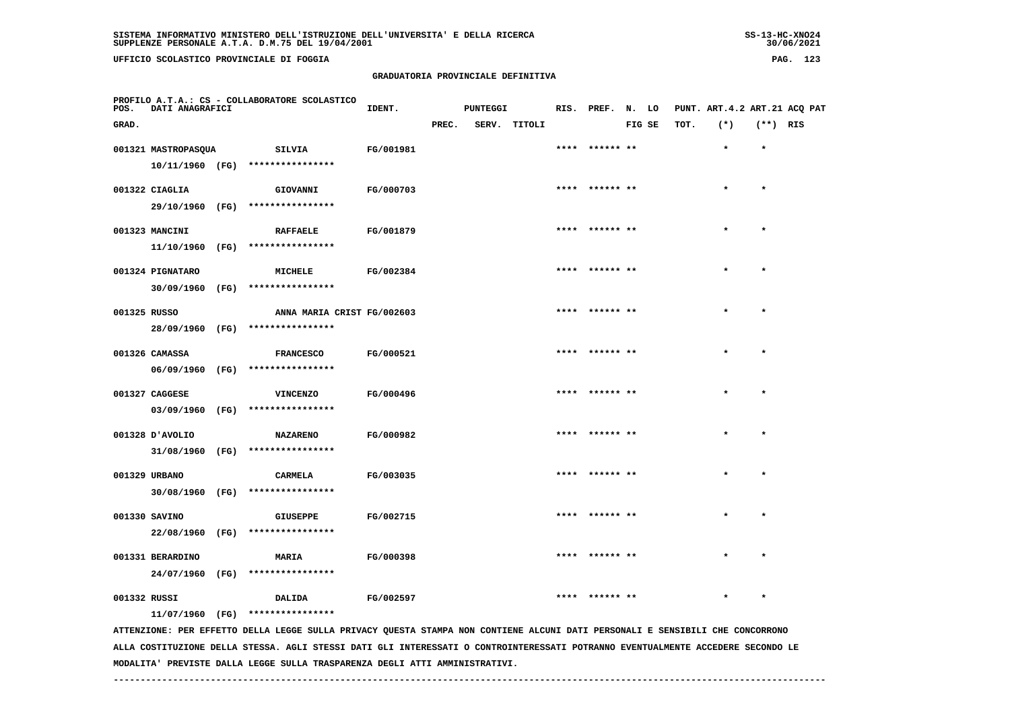**UFFICIO SCOLASTICO PROVINCIALE DI FOGGIA PAG. 123**

 **PROFILO A.T.A.: CS - COLLABORATORE SCOLASTICO**

#### **GRADUATORIA PROVINCIALE DEFINITIVA**

 **GRAD. PREC. SERV. TITOLI FIG SE TOT. (\*) (\*\*) RIS**

 **001321 MASTROPASQUA SILVIA FG/001981 \*\*\*\* \*\*\*\*\*\* \*\* \* \***

**IDENT.** PUNTEGGI RIS. PREF. N. LO PUNT. ART.4.2 ART.21 ACQ PAT

|  |                                |      | $10/11/1960$ (FG) ****************      |                  |                 |         |              |
|--|--------------------------------|------|-----------------------------------------|------------------|-----------------|---------|--------------|
|  | 001322 CIAGLIA                 |      | GIOVANNI FG/000703                      |                  | **** ****** **  | $\star$ | $\star$      |
|  |                                |      | 29/10/1960 (FG) ****************        |                  |                 |         |              |
|  | 001323 MANCINI                 |      | RAFFAELE FG/001879                      |                  | **** ****** **  | $\star$ | $\mathbf{A}$ |
|  |                                |      | 11/10/1960 (FG) ****************        |                  |                 |         |              |
|  | 001324 PIGNATARO<br>30/09/1960 |      | <b>MICHELE</b><br>(FG) **************** | FG/002384        | ****  ****** ** | $\star$ | ÷            |
|  | 001325 RUSSO                   |      | ANNA MARIA CRIST FG/002603              |                  | **** ****** **  | $\star$ | $\mathbf{A}$ |
|  |                                |      | 28/09/1960 (FG) ****************        |                  |                 |         |              |
|  | 001326 CAMASSA                 |      | <b>FRANCESCO</b>                        | <b>FG/000521</b> | **** ****** **  | $\star$ | $\lambda$    |
|  |                                |      | 06/09/1960 (FG) ****************        |                  |                 |         |              |
|  | 001327 CAGGESE                 |      | VINCENZO                                | FG/000496        | **** ****** **  | $\star$ |              |
|  |                                |      | 03/09/1960 (FG) *****************       |                  |                 |         |              |
|  | 001328 D'AVOLIO                |      | <b>NAZARENO</b>                         | <b>FG/000982</b> | **** ****** **  | $\star$ |              |
|  |                                |      | 31/08/1960 (FG) ****************        |                  |                 |         |              |
|  | 001329 URBANO                  |      | <b>CARMELA</b>                          | FG/003035        | **** ****** **  | $\star$ |              |
|  | 30/08/1960                     | (FG) | ****************                        |                  |                 |         |              |
|  |                                |      |                                         |                  |                 |         |              |

 **001330 SAVINO GIUSEPPE FG/002715 \*\*\*\* \*\*\*\*\*\* \*\* \* \* 22/08/1960 (FG) \*\*\*\*\*\*\*\*\*\*\*\*\*\*\*\* 001331 BERARDINO MARIA FG/000398 \*\*\*\* \*\*\*\*\*\* \*\* \* \* 24/07/1960 (FG) \*\*\*\*\*\*\*\*\*\*\*\*\*\*\*\***

 **001332 RUSSI DALIDA FG/002597 \*\*\*\* \*\*\*\*\*\* \*\* \* \***

 **11/07/1960 (FG) \*\*\*\*\*\*\*\*\*\*\*\*\*\*\*\***

 **ATTENZIONE: PER EFFETTO DELLA LEGGE SULLA PRIVACY QUESTA STAMPA NON CONTIENE ALCUNI DATI PERSONALI E SENSIBILI CHE CONCORRONO ALLA COSTITUZIONE DELLA STESSA. AGLI STESSI DATI GLI INTERESSATI O CONTROINTERESSATI POTRANNO EVENTUALMENTE ACCEDERE SECONDO LE MODALITA' PREVISTE DALLA LEGGE SULLA TRASPARENZA DEGLI ATTI AMMINISTRATIVI.**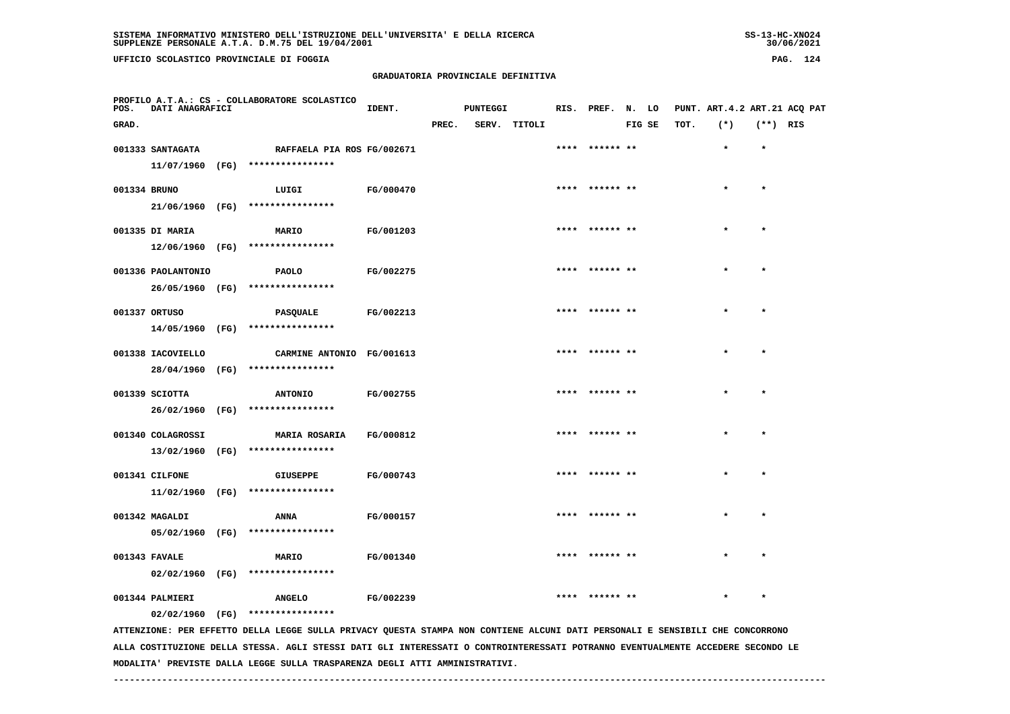**UFFICIO SCOLASTICO PROVINCIALE DI FOGGIA PAG. 124**

 **PROFILO A.T.A.: CS - COLLABORATORE SCOLASTICO**

# **GRADUATORIA PROVINCIALE DEFINITIVA**

**IDENT.** PUNTEGGI RIS. PREF. N. LO PUNT. ART.4.2 ART.21 ACQ PAT

| GRAD.        |                    |                                                                                                                                 |           | PREC. | SERV. TITOLI |      |                | FIG SE | TOT. | $(* )$    | $(**)$ RIS |  |
|--------------|--------------------|---------------------------------------------------------------------------------------------------------------------------------|-----------|-------|--------------|------|----------------|--------|------|-----------|------------|--|
|              | 001333 SANTAGATA   | RAFFAELA PIA ROS FG/002671                                                                                                      |           |       |              | **** | ****** **      |        |      | $\bullet$ | $\star$    |  |
|              |                    | 11/07/1960 (FG) ****************                                                                                                |           |       |              |      |                |        |      |           |            |  |
| 001334 BRUNO |                    | LUIGI                                                                                                                           | FG/000470 |       |              |      | **** ****** ** |        |      |           | $\bullet$  |  |
|              | 21/06/1960 (FG)    | ****************                                                                                                                |           |       |              |      |                |        |      |           |            |  |
|              | 001335 DI MARIA    | MARIO                                                                                                                           | FG/001203 |       |              | **** | ****** **      |        |      |           |            |  |
|              |                    | 12/06/1960 (FG) ****************                                                                                                |           |       |              |      |                |        |      |           |            |  |
|              | 001336 PAOLANTONIO | <b>PAOLO</b>                                                                                                                    | FG/002275 |       |              | **** |                |        |      |           |            |  |
|              | 26/05/1960 (FG)    | ****************                                                                                                                |           |       |              |      |                |        |      |           |            |  |
|              | 001337 ORTUSO      |                                                                                                                                 | FG/002213 |       |              | **** | ****** **      |        |      |           | $\star$    |  |
|              | 14/05/1960 (FG)    | <b>PASQUALE</b><br>****************                                                                                             |           |       |              |      |                |        |      |           |            |  |
|              |                    |                                                                                                                                 |           |       |              |      |                |        |      |           |            |  |
|              | 001338 IACOVIELLO  | CARMINE ANTONIO FG/001613<br>28/04/1960 (FG) ****************                                                                   |           |       |              |      | ****** **      |        |      |           | $\star$    |  |
|              |                    |                                                                                                                                 |           |       |              |      |                |        |      |           |            |  |
|              | 001339 SCIOTTA     | <b>ANTONIO</b>                                                                                                                  | FG/002755 |       |              |      | **** ****** ** |        |      |           | $\bullet$  |  |
|              | 26/02/1960 (FG)    | ****************                                                                                                                |           |       |              |      |                |        |      |           |            |  |
|              | 001340 COLAGROSSI  | <b>MARIA ROSARIA</b>                                                                                                            | FG/000812 |       |              | **** | ****** **      |        |      |           | $\star$    |  |
|              | 13/02/1960 (FG)    | ****************                                                                                                                |           |       |              |      |                |        |      |           |            |  |
|              | 001341 CILFONE     | <b>GIUSEPPE</b>                                                                                                                 | FG/000743 |       |              |      | ****** **      |        |      |           |            |  |
|              |                    | $11/02/1960$ (FG) ****************                                                                                              |           |       |              |      |                |        |      |           |            |  |
|              | 001342 MAGALDI     | <b>ANNA</b>                                                                                                                     | FG/000157 |       |              |      |                |        |      |           |            |  |
|              |                    | 05/02/1960 (FG) ****************                                                                                                |           |       |              |      |                |        |      |           |            |  |
|              | 001343 FAVALE      | MARIO                                                                                                                           | FG/001340 |       |              |      |                |        |      |           |            |  |
|              | 02/02/1960 (FG)    | ****************                                                                                                                |           |       |              |      |                |        |      |           |            |  |
|              | 001344 PALMIERI    | <b>ANGELO</b>                                                                                                                   | FG/002239 |       |              | **** | ****** **      |        |      |           | $\star$    |  |
|              | 02/02/1960 (FG)    | ****************                                                                                                                |           |       |              |      |                |        |      |           |            |  |
|              |                    | ATTENZIONE: PER EFFETTO DELLA LEGGE SULLA PRIVACY QUESTA STAMPA NON CONTIENE ALCUNI DATI PERSONALI E SENSIBILI CHE CONCORRONO   |           |       |              |      |                |        |      |           |            |  |
|              |                    | ALLA COSTITUZIONE DELLA STESSA. AGLI STESSI DATI GLI INTERESSATI O CONTROINTERESSATI POTRANNO EVENTUALMENTE ACCEDERE SECONDO LE |           |       |              |      |                |        |      |           |            |  |

 **MODALITA' PREVISTE DALLA LEGGE SULLA TRASPARENZA DEGLI ATTI AMMINISTRATIVI.**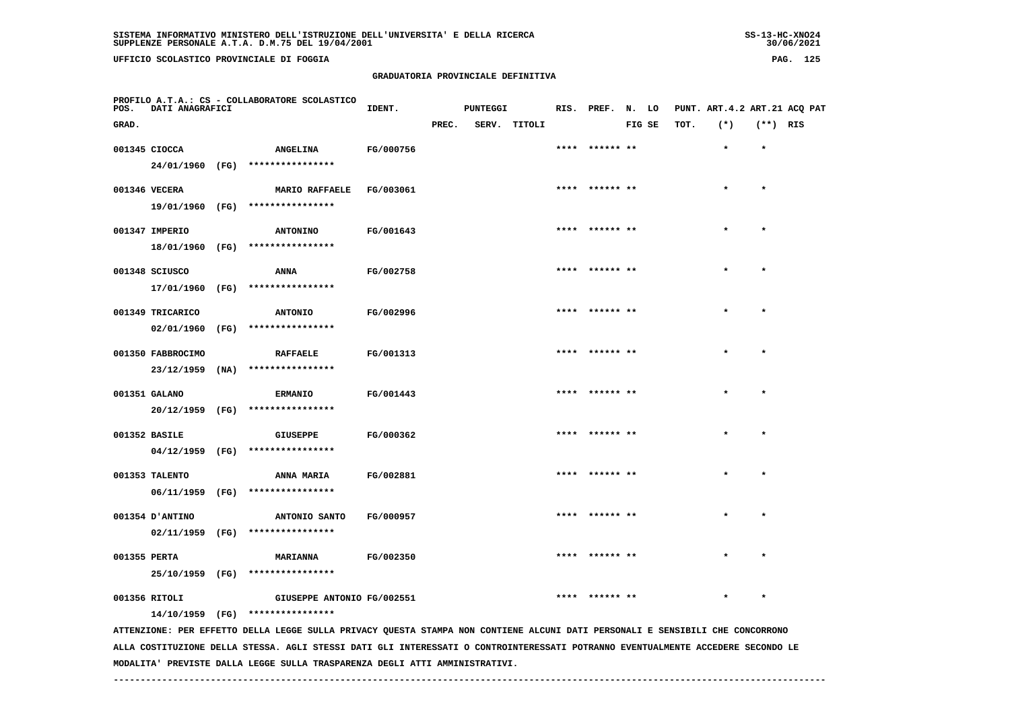**UFFICIO SCOLASTICO PROVINCIALE DI FOGGIA PAG. 125**

 **PROFILO A.T.A.: CS - COLLABORATORE SCOLASTICO**

# **GRADUATORIA PROVINCIALE DEFINITIVA**

 **GRAD. PREC. SERV. TITOLI FIG SE TOT. (\*) (\*\*) RIS**

**IDENT.** PUNTEGGI RIS. PREF. N. LO PUNT. ART.4.2 ART.21 ACQ PAT

|               | 001345 CIOCCA     | <b>ANGELINA</b>                  | FG/000756                                                                                                                       | **** ****** **  |         |
|---------------|-------------------|----------------------------------|---------------------------------------------------------------------------------------------------------------------------------|-----------------|---------|
|               |                   | 24/01/1960 (FG) **************** |                                                                                                                                 |                 |         |
| 001346 VECERA |                   | <b>MARIO RAFFAELE</b>            | FG/003061                                                                                                                       | **** ****** **  |         |
|               |                   | 19/01/1960 (FG) **************** |                                                                                                                                 |                 |         |
|               | 001347 IMPERIO    | <b>ANTONINO</b>                  | FG/001643                                                                                                                       | **** ****** **  |         |
|               |                   | 18/01/1960 (FG) **************** |                                                                                                                                 |                 |         |
|               |                   |                                  |                                                                                                                                 |                 |         |
|               | 001348 SCIUSCO    | ANNA                             | FG/002758                                                                                                                       |                 |         |
|               |                   | 17/01/1960 (FG) **************** |                                                                                                                                 |                 |         |
|               | 001349 TRICARICO  | <b>ANTONIO</b>                   | FG/002996                                                                                                                       | **** ****** **  |         |
|               |                   | 02/01/1960 (FG) **************** |                                                                                                                                 |                 |         |
|               |                   |                                  |                                                                                                                                 |                 |         |
|               | 001350 FABBROCIMO | <b>RAFFAELE</b>                  | FG/001313                                                                                                                       | **** ****** **  |         |
|               | $23/12/1959$ (NA) | ****************                 |                                                                                                                                 |                 |         |
|               | 001351 GALANO     | <b>ERMANIO</b>                   | FG/001443                                                                                                                       | **** ****** **  | $\star$ |
|               | 20/12/1959 (FG)   | ****************                 |                                                                                                                                 |                 |         |
|               |                   |                                  |                                                                                                                                 | **** ****** **  | $\star$ |
|               | 001352 BASILE     | GIUSEPPE<br>****************     | FG/000362                                                                                                                       |                 |         |
|               | 04/12/1959 (FG)   |                                  |                                                                                                                                 |                 |         |
|               | 001353 TALENTO    | ANNA MARIA                       | FG/002881                                                                                                                       | **** ****** **  |         |
|               | 06/11/1959 (FG)   | ****************                 |                                                                                                                                 |                 |         |
|               | 001354 D'ANTINO   | ANTONIO SANTO                    | FG/000957                                                                                                                       | **** ****** **  |         |
|               |                   | 02/11/1959 (FG) **************** |                                                                                                                                 |                 |         |
|               |                   |                                  |                                                                                                                                 |                 |         |
| 001355 PERTA  |                   | <b>MARIANNA</b>                  | FG/002350                                                                                                                       | **** ****** **  |         |
|               |                   | 25/10/1959 (FG) **************** |                                                                                                                                 |                 |         |
| 001356 RITOLI |                   | GIUSEPPE ANTONIO FG/002551       |                                                                                                                                 | ****  ****** ** |         |
|               |                   | 14/10/1959 (FG) **************** |                                                                                                                                 |                 |         |
|               |                   |                                  | ATTENZIONE: PER EFFETTO DELLA LEGGE SULLA PRIVACY QUESTA STAMPA NON CONTIENE ALCUNI DATI PERSONALI E SENSIBILI CHE CONCORRONO   |                 |         |
|               |                   |                                  | ALLA COSTITUZIONE DELLA STESSA. AGLI STESSI DATI GLI INTERESSATI O CONTROINTERESSATI POTRANNO EVENTUALMENTE ACCEDERE SECONDO LE |                 |         |

 **MODALITA' PREVISTE DALLA LEGGE SULLA TRASPARENZA DEGLI ATTI AMMINISTRATIVI.**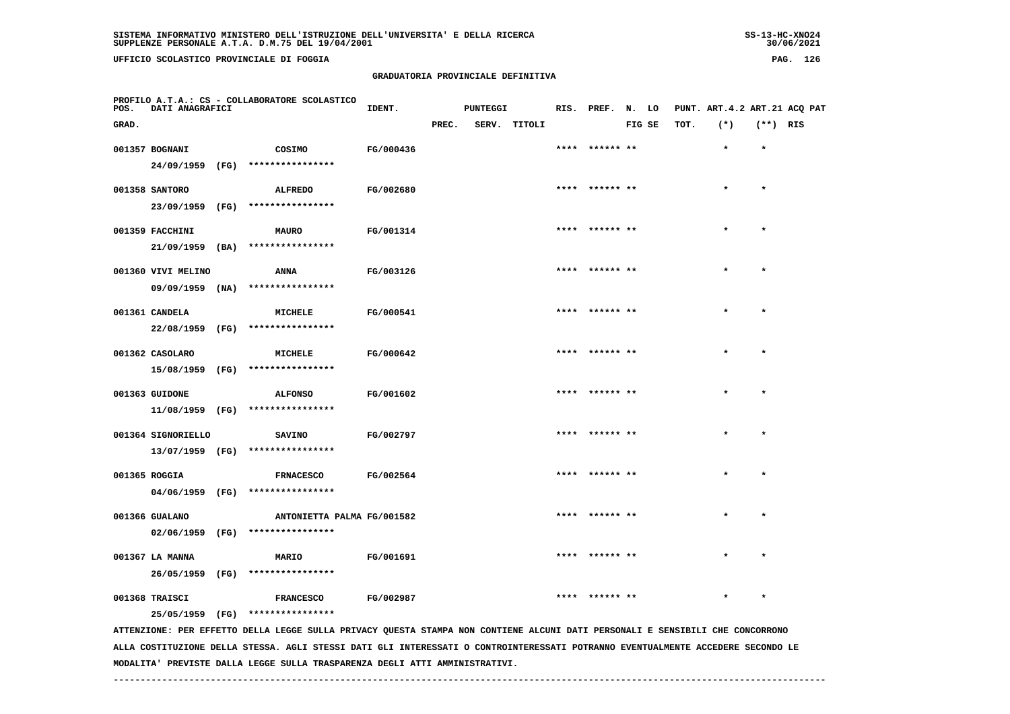**UFFICIO SCOLASTICO PROVINCIALE DI FOGGIA PAG. 126**

 **PROFILO A.T.A.: CS - COLLABORATORE SCOLASTICO**

# **GRADUATORIA PROVINCIALE DEFINITIVA**

 **GRAD. PREC. SERV. TITOLI FIG SE TOT. (\*) (\*\*) RIS**

 **001357 BOGNANI COSIMO FG/000436 \*\*\*\* \*\*\*\*\*\* \*\* \* \***

**IDENT.** PUNTEGGI RIS. PREF. N. LO PUNT. ART.4.2 ART.21 ACQ PAT

| 24/09/1959         | (FG) | **************** |           |                |         |         |
|--------------------|------|------------------|-----------|----------------|---------|---------|
| 001358 SANTORO     |      | ALFREDO          | FG/002680 | **** ****** ** | $\star$ | $\star$ |
| 23/09/1959         | (FG) | **************** |           |                |         |         |
| 001359 FACCHINI    |      | <b>MAURO</b>     | FG/001314 | **** ****** ** | $\star$ | $\star$ |
| 21/09/1959         | (BA) | **************** |           |                |         |         |
| 001360 VIVI MELINO |      | <b>ANNA</b>      | FG/003126 | **** ****** ** | $\star$ | $\star$ |
| 09/09/1959         | (NA) | **************** |           |                |         |         |
| 001361 CANDELA     |      | MICHELE          | FG/000541 | **** ****** ** | $\star$ | $\star$ |
| 22/08/1959         | (FG) | **************** |           |                |         |         |
| 001362 CASOLARO    |      | MICHELE          | FG/000642 | **** ****** ** | $\star$ | $\star$ |
| 15/08/1959         | (FG) | **************** |           |                |         |         |
| 001363 GUIDONE     |      | <b>ALFONSO</b>   | FG/001602 | **** ****** ** | $\star$ | $\star$ |
| 11/08/1959         | (FG) | **************** |           |                |         |         |
| 001364 SIGNORIELLO |      | <b>SAVINO</b>    | FG/002797 | **** ****** ** | $\star$ | $\star$ |
| 13/07/1959         | (FG) | **************** |           |                |         |         |

001366 GUALANO ANTONIETTA PALMA FG/001582 \*\*\*\*\* \*\*\* \*\*\* \*  **02/06/1959 (FG) \*\*\*\*\*\*\*\*\*\*\*\*\*\*\*\* 001367 LA MANNA MARIO FG/001691 \*\*\*\* \*\*\*\*\*\* \*\* \* \* 26/05/1959 (FG) \*\*\*\*\*\*\*\*\*\*\*\*\*\*\*\***

 **001368 TRAISCI FRANCESCO FG/002987 \*\*\*\* \*\*\*\*\*\* \*\* \* \***

 **25/05/1959 (FG) \*\*\*\*\*\*\*\*\*\*\*\*\*\*\*\***

 **04/06/1959 (FG) \*\*\*\*\*\*\*\*\*\*\*\*\*\*\*\***

 **ATTENZIONE: PER EFFETTO DELLA LEGGE SULLA PRIVACY QUESTA STAMPA NON CONTIENE ALCUNI DATI PERSONALI E SENSIBILI CHE CONCORRONO ALLA COSTITUZIONE DELLA STESSA. AGLI STESSI DATI GLI INTERESSATI O CONTROINTERESSATI POTRANNO EVENTUALMENTE ACCEDERE SECONDO LE MODALITA' PREVISTE DALLA LEGGE SULLA TRASPARENZA DEGLI ATTI AMMINISTRATIVI.**

 **001365 ROGGIA FRNACESCO FG/002564 \*\*\*\* \*\*\*\*\*\* \*\* \* \***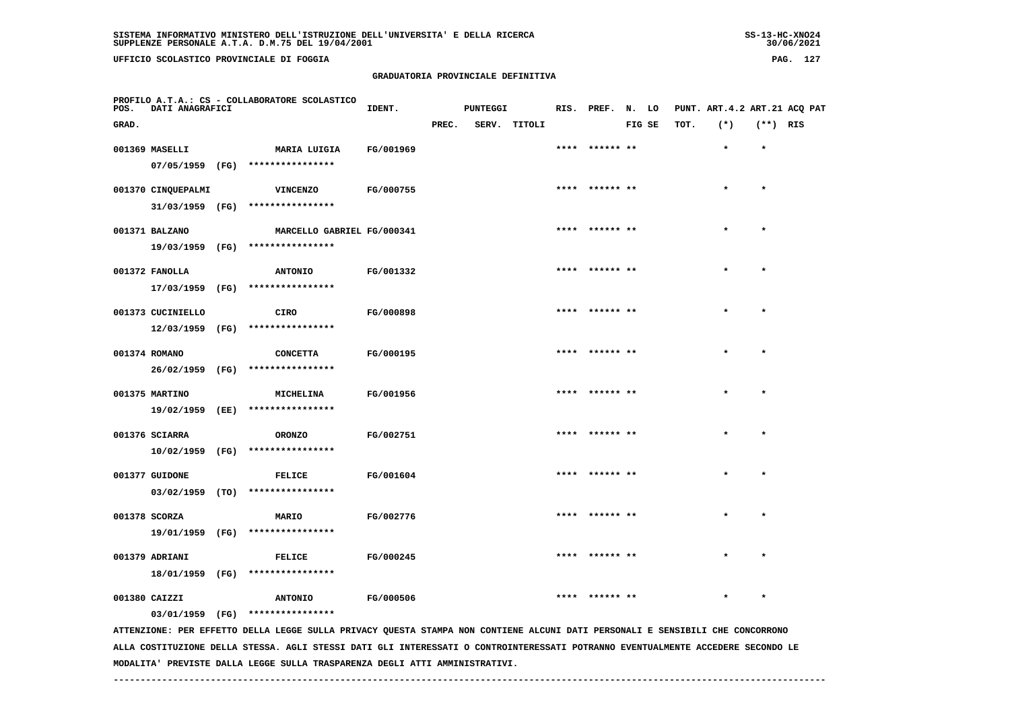**UFFICIO SCOLASTICO PROVINCIALE DI FOGGIA PAG. 127**

 **PROFILO A.T.A.: CS - COLLABORATORE SCOLASTICO**

# **GRADUATORIA PROVINCIALE DEFINITIVA**

**IDENT.** PUNTEGGI RIS. PREF. N. LO PUNT. ART.4.2 ART.21 ACQ PAT

| GRAD. |                    |                                                                                                                                 |           | PREC. | SERV. | TITOLI |                | FIG SE | TOT. | $(*)$ | $(**)$ RIS   |  |
|-------|--------------------|---------------------------------------------------------------------------------------------------------------------------------|-----------|-------|-------|--------|----------------|--------|------|-------|--------------|--|
|       | 001369 MASELLI     | MARIA LUIGIA                                                                                                                    | FG/001969 |       |       |        |                |        |      |       |              |  |
|       |                    | 07/05/1959 (FG) ****************                                                                                                |           |       |       |        |                |        |      |       |              |  |
|       |                    |                                                                                                                                 |           |       |       |        |                |        |      |       |              |  |
|       | 001370 CINQUEPALMI | <b>VINCENZO</b>                                                                                                                 | FG/000755 |       |       |        |                |        |      |       |              |  |
|       | 31/03/1959 (FG)    | ****************                                                                                                                |           |       |       |        |                |        |      |       |              |  |
|       | 001371 BALZANO     | MARCELLO GABRIEL FG/000341                                                                                                      |           |       |       |        | ****** **      |        |      |       | $\star$      |  |
|       |                    | 19/03/1959 (FG) ****************                                                                                                |           |       |       |        |                |        |      |       |              |  |
|       | 001372 FANOLLA     | <b>ANTONIO</b>                                                                                                                  | FG/001332 |       |       |        | ****** **      |        |      |       | $\bullet$    |  |
|       |                    | 17/03/1959 (FG) ****************                                                                                                |           |       |       |        |                |        |      |       |              |  |
|       |                    |                                                                                                                                 |           |       |       |        |                |        |      |       |              |  |
|       | 001373 CUCINIELLO  | CIRO                                                                                                                            | FG/000898 |       |       |        | ****** **      |        |      |       | $\mathbf{r}$ |  |
|       | 12/03/1959 (FG)    | ****************                                                                                                                |           |       |       |        |                |        |      |       |              |  |
|       | 001374 ROMANO      | <b>CONCETTA</b>                                                                                                                 | FG/000195 |       |       |        | **** ****** ** |        |      |       | $\star$      |  |
|       |                    | 26/02/1959 (FG) ****************                                                                                                |           |       |       |        |                |        |      |       |              |  |
|       |                    |                                                                                                                                 |           |       |       |        |                |        |      |       |              |  |
|       | 001375 MARTINO     | <b>MICHELINA</b>                                                                                                                | FG/001956 |       |       |        | **** ****** ** |        |      |       | $\star$      |  |
|       |                    | 19/02/1959 (EE) ****************                                                                                                |           |       |       |        |                |        |      |       |              |  |
|       | 001376 SCIARRA     | <b>ORONZO</b>                                                                                                                   | FG/002751 |       |       |        |                |        |      |       |              |  |
|       |                    | 10/02/1959 (FG) ****************                                                                                                |           |       |       |        |                |        |      |       |              |  |
|       | 001377 GUIDONE     | <b>FELICE</b>                                                                                                                   | FG/001604 |       |       |        |                |        |      |       |              |  |
|       |                    | 03/02/1959 (TO) ****************                                                                                                |           |       |       |        |                |        |      |       |              |  |
|       |                    |                                                                                                                                 |           |       |       |        |                |        |      |       |              |  |
|       | 001378 SCORZA      | MARIO                                                                                                                           | FG/002776 |       |       |        |                |        |      |       |              |  |
|       |                    | 19/01/1959 (FG) ****************                                                                                                |           |       |       |        |                |        |      |       |              |  |
|       | 001379 ADRIANI     | <b>FELICE</b>                                                                                                                   | FG/000245 |       |       |        |                |        |      |       | $\star$      |  |
|       |                    | 18/01/1959 (FG) ****************                                                                                                |           |       |       |        |                |        |      |       |              |  |
|       |                    |                                                                                                                                 |           |       |       |        |                |        |      |       |              |  |
|       | 001380 CAIZZI      | <b>ANTONIO</b>                                                                                                                  | FG/000506 |       |       |        |                |        |      |       |              |  |
|       |                    | 03/01/1959 (FG) ****************                                                                                                |           |       |       |        |                |        |      |       |              |  |
|       |                    | ATTENZIONE: PER EFFETTO DELLA LEGGE SULLA PRIVACY QUESTA STAMPA NON CONTIENE ALCUNI DATI PERSONALI E SENSIBILI CHE CONCORRONO   |           |       |       |        |                |        |      |       |              |  |
|       |                    | ALLA COSTITUZIONE DELLA STESSA. AGLI STESSI DATI GLI INTERESSATI O CONTROINTERESSATI POTRANNO EVENTUALMENTE ACCEDERE SECONDO LE |           |       |       |        |                |        |      |       |              |  |

 **MODALITA' PREVISTE DALLA LEGGE SULLA TRASPARENZA DEGLI ATTI AMMINISTRATIVI.**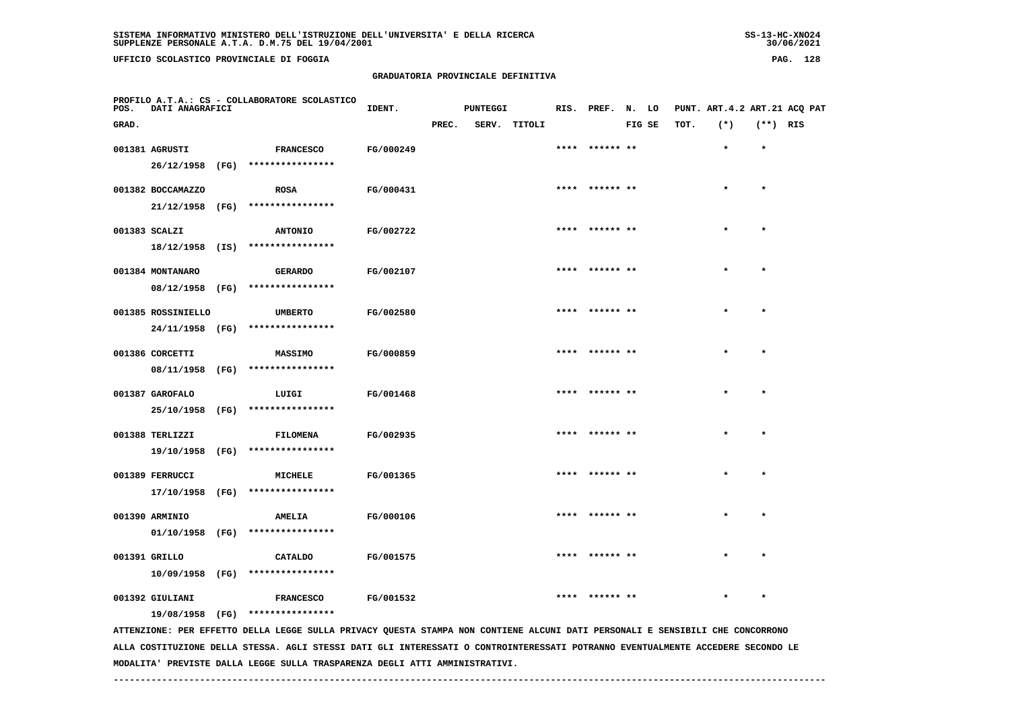**UFFICIO SCOLASTICO PROVINCIALE DI FOGGIA PAG. 128**

 **PROFILO A.T.A.: CS - COLLABORATORE SCOLASTICO**

# **GRADUATORIA PROVINCIALE DEFINITIVA**

 **GRAD. PREC. SERV. TITOLI FIG SE TOT. (\*) (\*\*) RIS**

 **001381 AGRUSTI FRANCESCO FG/000249 \*\*\*\* \*\*\*\*\*\* \*\* \* \***

**IDENT.** PUNTEGGI RIS. PREF. N. LO PUNT. ART.4.2 ART.21 ACQ PAT

| 26/12/1958                    | (FG) | ****************                   |           |                |         |         |
|-------------------------------|------|------------------------------------|-----------|----------------|---------|---------|
| 001382 BOCCAMAZZO             |      | <b>ROSA</b>                        | FG/000431 | **** ****** ** | $\star$ | $\star$ |
| 21/12/1958                    | (FG) | ****************                   |           |                |         |         |
| 001383 SCALZI                 |      | <b>ANTONIO</b>                     | FG/002722 | **** ****** ** | $\star$ | $\star$ |
| 18/12/1958                    | (IS) | ****************                   |           |                |         |         |
| 001384 MONTANARO              |      | <b>GERARDO</b>                     | FG/002107 | **** ****** ** | $\star$ | $\star$ |
| 08/12/1958                    | (FG) | ****************                   |           |                |         |         |
| 001385 ROSSINIELLO            |      | <b>UMBERTO</b>                     | FG/002580 | **** ****** ** | $\star$ | $\star$ |
| 24/11/1958                    | (FG) | ****************                   |           |                |         |         |
|                               |      |                                    |           | **** ****** ** | $\star$ | $\star$ |
| 001386 CORCETTI<br>08/11/1958 | (FG) | <b>MASSIMO</b><br>**************** | FG/000859 |                |         |         |
|                               |      |                                    |           |                |         |         |
| 001387 GAROFALO               | (FG) | LUIGI<br>****************          | FG/001468 | **** ****** ** | $\star$ | $\star$ |
| 25/10/1958                    |      |                                    |           |                |         |         |
| 001388 TERLIZZI               |      | <b>FILOMENA</b>                    | FG/002935 | **** ****** ** | $\star$ | $\star$ |
| 19/10/1958                    | (FG) | ****************                   |           |                |         |         |
| 001389 FERRUCCI               |      | <b>MICHELE</b>                     | FG/001365 | **** ****** ** | $\star$ | $\star$ |

 **17/10/1958 (FG) \*\*\*\*\*\*\*\*\*\*\*\*\*\*\*\***

 **001390 ARMINIO AMELIA FG/000106 \*\*\*\* \*\*\*\*\*\* \*\* \* \* 01/10/1958 (FG) \*\*\*\*\*\*\*\*\*\*\*\*\*\*\*\* 001391 GRILLO CATALDO FG/001575 \*\*\*\* \*\*\*\*\*\* \*\* \* \***

 **10/09/1958 (FG) \*\*\*\*\*\*\*\*\*\*\*\*\*\*\*\***

 **001392 GIULIANI FRANCESCO FG/001532 \*\*\*\* \*\*\*\*\*\* \*\* \* \***

 **19/08/1958 (FG) \*\*\*\*\*\*\*\*\*\*\*\*\*\*\*\***

 **ATTENZIONE: PER EFFETTO DELLA LEGGE SULLA PRIVACY QUESTA STAMPA NON CONTIENE ALCUNI DATI PERSONALI E SENSIBILI CHE CONCORRONO ALLA COSTITUZIONE DELLA STESSA. AGLI STESSI DATI GLI INTERESSATI O CONTROINTERESSATI POTRANNO EVENTUALMENTE ACCEDERE SECONDO LE MODALITA' PREVISTE DALLA LEGGE SULLA TRASPARENZA DEGLI ATTI AMMINISTRATIVI.**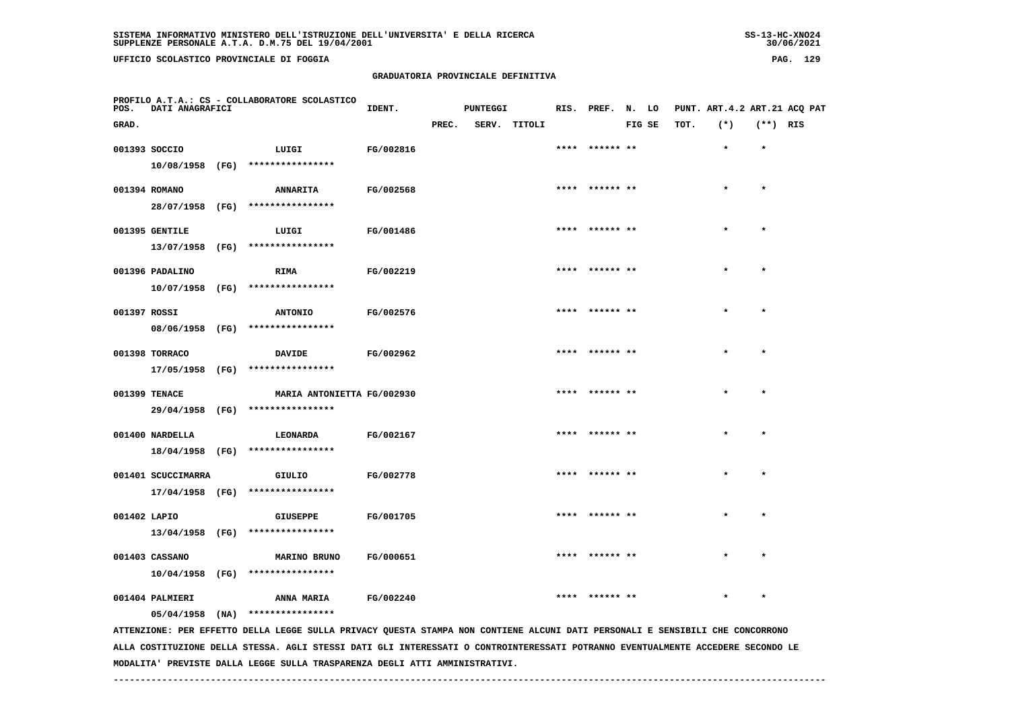**UFFICIO SCOLASTICO PROVINCIALE DI FOGGIA PAG. 129**

 **PROFILO A.T.A.: CS - COLLABORATORE SCOLASTICO**

#### **GRADUATORIA PROVINCIALE DEFINITIVA**

 **GRAD. PREC. SERV. TITOLI FIG SE TOT. (\*) (\*\*) RIS**

 **001393 SOCCIO LUIGI FG/002816 \*\*\*\* \*\*\*\*\*\* \*\* \* \***

**IDENT.** PUNTEGGI RIS. PREF. N. LO PUNT. ART.4.2 ART.21 ACQ PAT

|  |                                 | 10/08/1958 (FG) ****************                                    |                  |                |           |              |
|--|---------------------------------|---------------------------------------------------------------------|------------------|----------------|-----------|--------------|
|  | 001394 ROMANO                   | ANNARITA FG/002568<br>28/07/1958 (FG) ****************              |                  | **** ****** ** | $\star$ . | $\pmb{\ast}$ |
|  | 001395 GENTILE                  | LUIGI FG/001486                                                     |                  | **** ****** ** | $\star$   | $\lambda$    |
|  |                                 | 13/07/1958 (FG) ****************                                    |                  |                |           |              |
|  | 001396 PADALINO                 | <b>RIMA</b><br><b>FG/002219</b><br>10/07/1958 (FG) **************** |                  | **** ****** ** | $\star$   |              |
|  | 001397 ROSSI                    | ANTONIO FG/002576                                                   |                  | **** ****** ** | $\star$   |              |
|  |                                 | 08/06/1958 (FG) ****************                                    |                  |                |           |              |
|  | 001398 TORRACO                  | DAVIDE FG/002962<br>17/05/1958 (FG) ****************                |                  | **** ****** ** | $\star$   | $\lambda$    |
|  | 001399 TENACE                   | MARIA ANTONIETTA FG/002930                                          |                  | **** ****** ** | $\star$   | $\lambda$    |
|  |                                 | 29/04/1958 (FG) ****************                                    |                  |                |           |              |
|  | 001400 NARDELLA                 | LEONARDA<br>18/04/1958 (FG) ****************                        | <b>FG/002167</b> | **** ****** ** | $\star$   | $\lambda$    |
|  | 001401 SCUCCIMARRA              | GIULIO FG/002778                                                    |                  | **** ****** ** | $\star$   |              |
|  |                                 | 17/04/1958 (FG) ****************                                    |                  |                |           |              |
|  | 001402 LAPIO<br>13/04/1958 (FG) | <b>GIUSEPPE</b><br>****************                                 | <b>FG/001705</b> | **** ****** ** | $\star$   |              |
|  |                                 |                                                                     |                  |                |           |              |

 **10/04/1958 (FG) \*\*\*\*\*\*\*\*\*\*\*\*\*\*\*\***

001404 PALMIERI ANNA MARIA FG/002240 \*\*\*\*\* \*\*\* \*\*\* \*  **05/04/1958 (NA) \*\*\*\*\*\*\*\*\*\*\*\*\*\*\*\***

001403 CASSANO **100 MARINO BRUNO FG/000651** \*\*\*\* \*\*\*\*\*\* \*\* \*\*\*\*\* \*\* \*\* \*\* \*\* \*\* \*

 **ATTENZIONE: PER EFFETTO DELLA LEGGE SULLA PRIVACY QUESTA STAMPA NON CONTIENE ALCUNI DATI PERSONALI E SENSIBILI CHE CONCORRONO ALLA COSTITUZIONE DELLA STESSA. AGLI STESSI DATI GLI INTERESSATI O CONTROINTERESSATI POTRANNO EVENTUALMENTE ACCEDERE SECONDO LE MODALITA' PREVISTE DALLA LEGGE SULLA TRASPARENZA DEGLI ATTI AMMINISTRATIVI.**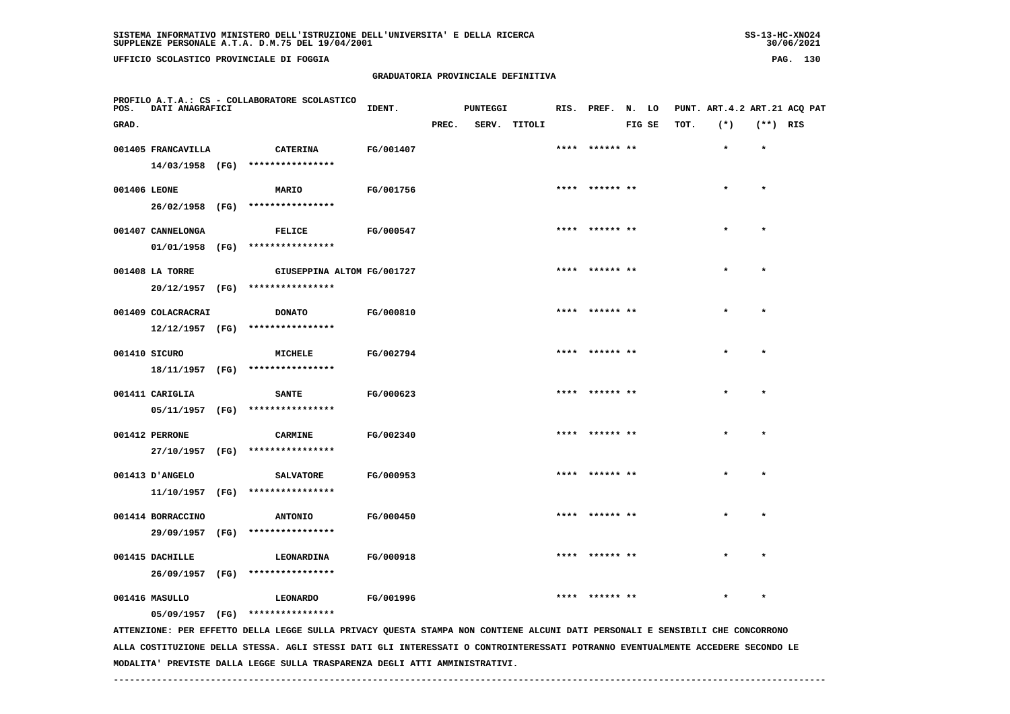**UFFICIO SCOLASTICO PROVINCIALE DI FOGGIA PAG. 130**

 **PROFILO A.T.A.: CS - COLLABORATORE SCOLASTICO**

# **GRADUATORIA PROVINCIALE DEFINITIVA**

| POS.         | DATI ANAGRAFICI    |                                                                                                                               | IDENT.           |       | <b>PUNTEGGI</b> |              | RIS. PREF.     | N. LO  |      | PUNT. ART. 4.2 ART. 21 ACQ PAT |            |  |
|--------------|--------------------|-------------------------------------------------------------------------------------------------------------------------------|------------------|-------|-----------------|--------------|----------------|--------|------|--------------------------------|------------|--|
| GRAD.        |                    |                                                                                                                               |                  | PREC. |                 | SERV. TITOLI |                | FIG SE | TOT. | $(*)$                          | $(**)$ RIS |  |
|              | 001405 FRANCAVILLA | <b>CATERINA</b>                                                                                                               | FG/001407        |       |                 |              | **** ****** ** |        |      | $\star$                        | $\bullet$  |  |
|              |                    | 14/03/1958 (FG) ****************                                                                                              |                  |       |                 |              |                |        |      |                                |            |  |
| 001406 LEONE |                    | MARIO                                                                                                                         | FG/001756        |       |                 |              | **** ****** ** |        |      |                                |            |  |
|              | 26/02/1958 (FG)    | ****************                                                                                                              |                  |       |                 |              |                |        |      |                                |            |  |
|              | 001407 CANNELONGA  | <b>FELICE</b>                                                                                                                 | <b>FG/000547</b> |       |                 |              | **** ****** ** |        |      |                                | $\star$    |  |
|              |                    | 01/01/1958 (FG) ****************                                                                                              |                  |       |                 |              |                |        |      |                                |            |  |
|              | 001408 LA TORRE    | GIUSEPPINA ALTOM FG/001727                                                                                                    |                  |       |                 |              | **** ****** ** |        |      |                                | $\star$    |  |
|              |                    | 20/12/1957 (FG) ****************                                                                                              |                  |       |                 |              |                |        |      |                                |            |  |
|              | 001409 COLACRACRAI | <b>DONATO</b>                                                                                                                 | FG/000810        |       |                 |              | **** ****** ** |        |      |                                | $\star$    |  |
|              |                    | $12/12/1957$ (FG) ****************                                                                                            |                  |       |                 |              |                |        |      |                                |            |  |
|              | 001410 SICURO      | MICHELE                                                                                                                       | FG/002794        |       |                 |              | **** ****** ** |        |      |                                | $\star$    |  |
|              |                    | 18/11/1957 (FG) ****************                                                                                              |                  |       |                 |              |                |        |      |                                |            |  |
|              | 001411 CARIGLIA    | <b>SANTE</b>                                                                                                                  | FG/000623        |       |                 |              |                |        |      |                                | $\star$    |  |
|              |                    | 05/11/1957 (FG) ****************                                                                                              |                  |       |                 |              |                |        |      |                                |            |  |
|              | 001412 PERRONE     | <b>CARMINE</b>                                                                                                                | FG/002340        |       |                 |              |                |        |      |                                |            |  |
|              |                    | 27/10/1957 (FG) ****************                                                                                              |                  |       |                 |              |                |        |      |                                |            |  |
|              | 001413 D'ANGELO    | <b>SALVATORE</b>                                                                                                              | FG/000953        |       |                 |              | **** ****** ** |        |      |                                |            |  |
|              |                    | 11/10/1957 (FG) ****************                                                                                              |                  |       |                 |              |                |        |      |                                |            |  |
|              | 001414 BORRACCINO  | <b>ANTONIO</b>                                                                                                                | FG/000450        |       |                 |              | **** ****** ** |        |      |                                |            |  |
|              | 29/09/1957 (FG)    | ****************                                                                                                              |                  |       |                 |              |                |        |      |                                |            |  |
|              | 001415 DACHILLE    | <b>LEONARDINA</b>                                                                                                             | FG/000918        |       |                 |              | **** ****** ** |        |      | $\star$                        | $\star$    |  |
|              | 26/09/1957 (FG)    | ****************                                                                                                              |                  |       |                 |              |                |        |      |                                |            |  |
|              | 001416 MASULLO     | <b>LEONARDO</b>                                                                                                               | FG/001996        |       |                 |              | **** ****** ** |        |      |                                | $\star$    |  |
|              |                    | 05/09/1957 (FG) ****************                                                                                              |                  |       |                 |              |                |        |      |                                |            |  |
|              |                    | ATTENZIONE: PER EFFETTO DELLA LEGGE SULLA PRIVACY QUESTA STAMPA NON CONTIENE ALCUNI DATI PERSONALI E SENSIBILI CHE CONCORRONO |                  |       |                 |              |                |        |      |                                |            |  |

  **ALLA COSTITUZIONE DELLA STESSA. AGLI STESSI DATI GLI INTERESSATI O CONTROINTERESSATI POTRANNO EVENTUALMENTE ACCEDERE SECONDO LE MODALITA' PREVISTE DALLA LEGGE SULLA TRASPARENZA DEGLI ATTI AMMINISTRATIVI.**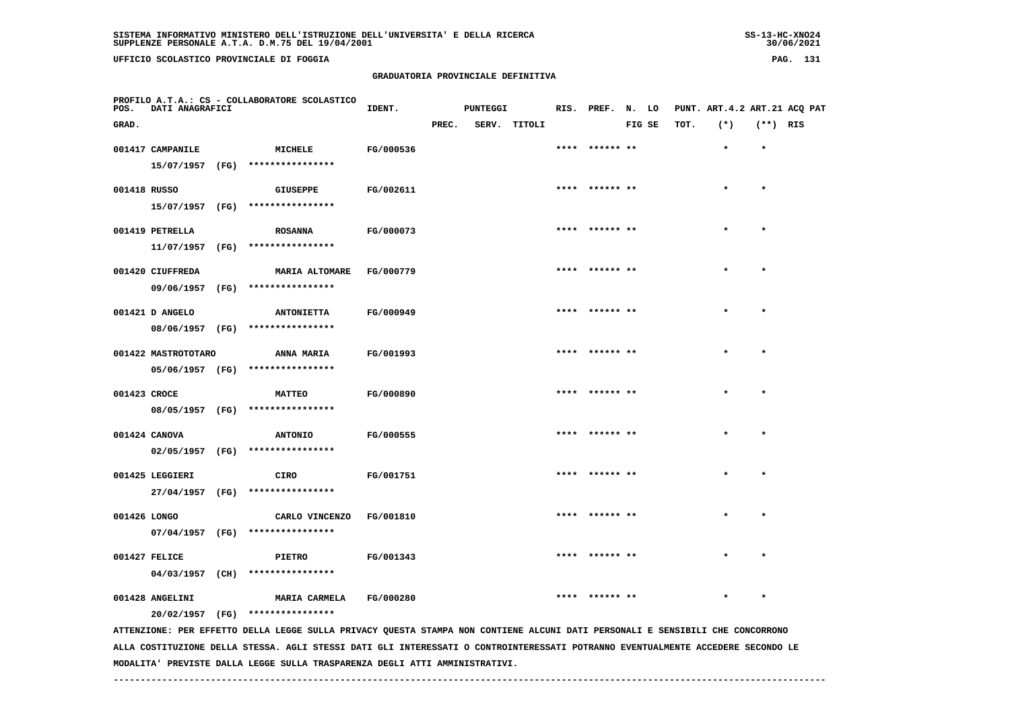**UFFICIO SCOLASTICO PROVINCIALE DI FOGGIA PAG. 131**

 **PROFILO A.T.A.: CS - COLLABORATORE SCOLASTICO**

# **GRADUATORIA PROVINCIALE DEFINITIVA**

 **GRAD. PREC. SERV. TITOLI FIG SE TOT. (\*) (\*\*) RIS**

**IDENT.** PUNTEGGI RIS. PREF. N. LO PUNT. ART.4.2 ART.21 ACQ PAT

001417 CAMPANILE **12.1 MICHELE FG/000536** \*\*\*\* \*\*\*\*\*\* \*\* \*\*\*\*\* \*\* \*\* \*\* \*\* \*\* \*  **15/07/1957 (FG) \*\*\*\*\*\*\*\*\*\*\*\*\*\*\*\* 001418 RUSSO GIUSEPPE FG/002611 \*\*\*\* \*\*\*\*\*\* \*\* \* \* 15/07/1957 (FG) \*\*\*\*\*\*\*\*\*\*\*\*\*\*\*\* 001419 PETRELLA ROSANNA FG/000073 \*\*\*\* \*\*\*\*\*\* \*\* \* \* 11/07/1957 (FG) \*\*\*\*\*\*\*\*\*\*\*\*\*\*\*\***001420 CIUFFREDA **MARIA ALTOMARE FG/000779** \*\*\*\* \*\*\*\*\*\* \*\* \*\* \*\* \*\* \* \* \* \*  **09/06/1957 (FG) \*\*\*\*\*\*\*\*\*\*\*\*\*\*\*\* 001421 D ANGELO ANTONIETTA FG/000949 \*\*\*\* \*\*\*\*\*\* \*\* \* \* 08/06/1957 (FG) \*\*\*\*\*\*\*\*\*\*\*\*\*\*\*\* 001422 MASTROTOTARO ANNA MARIA FG/001993 \*\*\*\* \*\*\*\*\*\* \*\* \* \* 05/06/1957 (FG) \*\*\*\*\*\*\*\*\*\*\*\*\*\*\*\* 001423 CROCE MATTEO FG/000890 \*\*\*\* \*\*\*\*\*\* \*\* \* \* 08/05/1957 (FG) \*\*\*\*\*\*\*\*\*\*\*\*\*\*\*\* 001424 CANOVA ANTONIO FG/000555 \*\*\*\* \*\*\*\*\*\* \*\* \* \* 02/05/1957 (FG) \*\*\*\*\*\*\*\*\*\*\*\*\*\*\*\* 001425 LEGGIERI CIRO FG/001751 \*\*\*\* \*\*\*\*\*\* \*\* \* \* 27/04/1957 (FG) \*\*\*\*\*\*\*\*\*\*\*\*\*\*\*\* 001426 LONGO CARLO VINCENZO FG/001810 \*\*\*\* \*\*\*\*\*\* \*\* \* \* 07/04/1957 (FG) \*\*\*\*\*\*\*\*\*\*\*\*\*\*\*\* 001427 FELICE PIETRO FG/001343 \*\*\*\* \*\*\*\*\*\* \*\* \* \* 04/03/1957 (CH) \*\*\*\*\*\*\*\*\*\*\*\*\*\*\*\* 001428 ANGELINI MARIA CARMELA FG/000280 \*\*\*\* \*\*\*\*\*\* \*\* \* \* 20/02/1957 (FG) \*\*\*\*\*\*\*\*\*\*\*\*\*\*\*\* ATTENZIONE: PER EFFETTO DELLA LEGGE SULLA PRIVACY QUESTA STAMPA NON CONTIENE ALCUNI DATI PERSONALI E SENSIBILI CHE CONCORRONO ALLA COSTITUZIONE DELLA STESSA. AGLI STESSI DATI GLI INTERESSATI O CONTROINTERESSATI POTRANNO EVENTUALMENTE ACCEDERE SECONDO LE MODALITA' PREVISTE DALLA LEGGE SULLA TRASPARENZA DEGLI ATTI AMMINISTRATIVI.**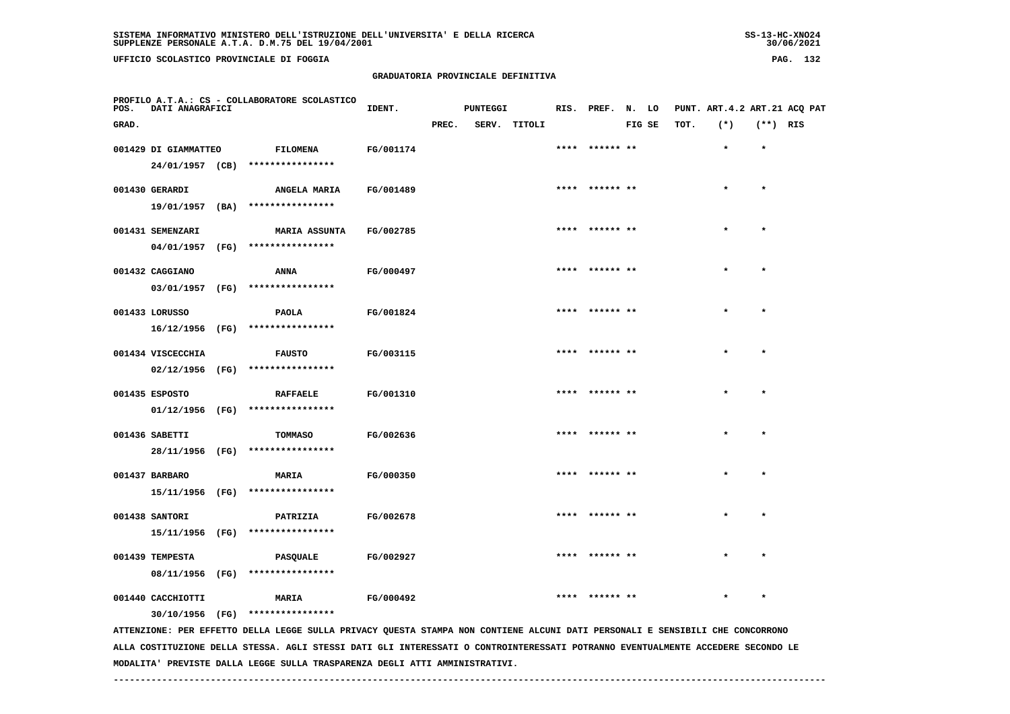**UFFICIO SCOLASTICO PROVINCIALE DI FOGGIA PAG. 132**

 **PROFILO A.T.A.: CS - COLLABORATORE SCOLASTICO**

# **GRADUATORIA PROVINCIALE DEFINITIVA**

 **GRAD. PREC. SERV. TITOLI FIG SE TOT. (\*) (\*\*) RIS**

**IDENT.** PUNTEGGI RIS. PREF. N. LO PUNT. ART.4.2 ART.21 ACQ PAT

| 001429 DI GIAMMATTEO | <b>FILOMENA</b>                  | FG/001174 | **** ****** ** | $\bullet$ | $\star$   |
|----------------------|----------------------------------|-----------|----------------|-----------|-----------|
| 24/01/1957 (CB)      | ****************                 |           |                |           |           |
| 001430 GERARDI       | <b>ANGELA MARIA</b>              | FG/001489 | **** ****** ** | $\star$   |           |
| 19/01/1957 (BA)      | ****************                 |           |                |           |           |
| 001431 SEMENZARI     | <b>MARIA ASSUNTA</b>             | FG/002785 | **** ****** ** | $\star$   | $\star$   |
| 04/01/1957 (FG)      | ****************                 |           |                |           |           |
| 001432 CAGGIANO      | ANNA                             | FG/000497 | **** ****** ** | $\star$   | $\star$   |
|                      | 03/01/1957 (FG) **************** |           |                |           |           |
| 001433 LORUSSO       | PAOLA                            | FG/001824 | **** ****** ** | $\star$   | $\star$   |
| 16/12/1956 (FG)      | ****************                 |           |                |           |           |
| 001434 VISCECCHIA    | <b>FAUSTO</b>                    | FG/003115 | **** ****** ** | $\star$   | $\star$   |
| 02/12/1956 (FG)      | ****************                 |           |                |           |           |
| 001435 ESPOSTO       | <b>RAFFAELE</b>                  | FG/001310 | **** ****** ** | $\star$   |           |
|                      | 01/12/1956 (FG) **************** |           |                |           |           |
| 001436 SABETTI       | TOMMASO                          | FG/002636 | **** ****** ** | $\star$   | $\bullet$ |
| 28/11/1956 (FG)      | ****************                 |           |                |           |           |
| 001437 BARBARO       | <b>MARIA</b>                     | FG/000350 | **** ****** ** | $\star$   |           |
|                      | 15/11/1956 (FG) **************** |           |                |           |           |
| 001438 SANTORI       | PATRIZIA                         | FG/002678 | **** ****** ** | $\star$   | $\star$   |
| 15/11/1956 (FG)      | ****************                 |           |                |           |           |
| 001439 TEMPESTA      | <b>PASQUALE</b>                  | FG/002927 | **** ****** ** | $\star$   |           |
| 08/11/1956 (FG)      | ****************                 |           |                |           |           |

001440 CACCHIOTTI **MARIA FG/000492** \*\*\*\* \*\*\*\*\*\* \*\* \* \* \* \* \* \*

 **30/10/1956 (FG) \*\*\*\*\*\*\*\*\*\*\*\*\*\*\*\***

 **ATTENZIONE: PER EFFETTO DELLA LEGGE SULLA PRIVACY QUESTA STAMPA NON CONTIENE ALCUNI DATI PERSONALI E SENSIBILI CHE CONCORRONO ALLA COSTITUZIONE DELLA STESSA. AGLI STESSI DATI GLI INTERESSATI O CONTROINTERESSATI POTRANNO EVENTUALMENTE ACCEDERE SECONDO LE MODALITA' PREVISTE DALLA LEGGE SULLA TRASPARENZA DEGLI ATTI AMMINISTRATIVI.**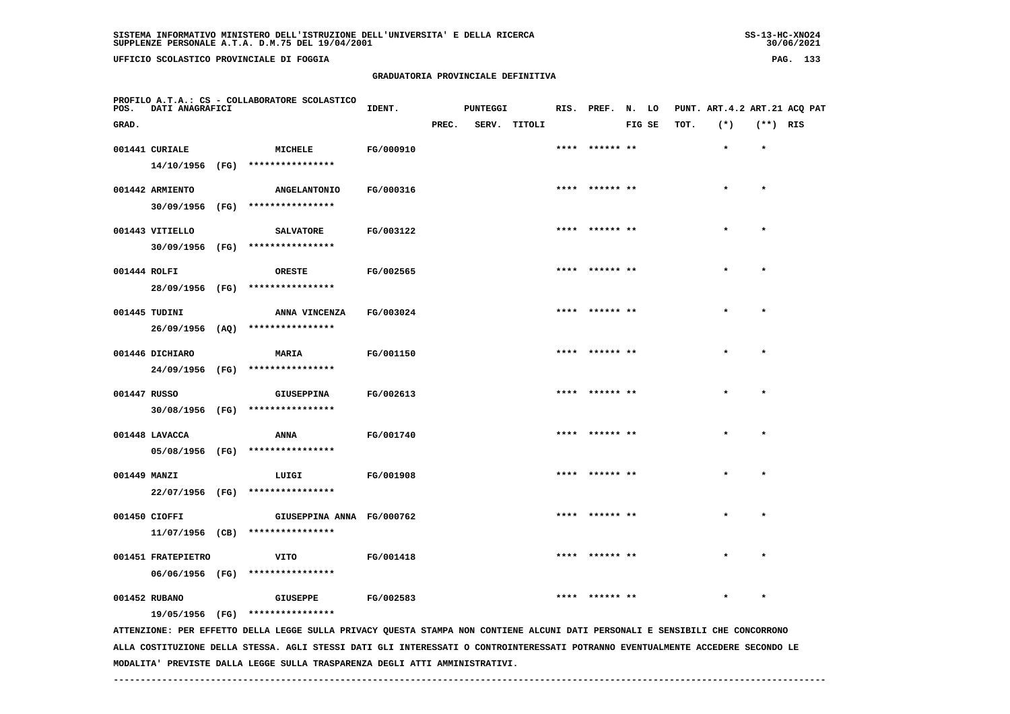**UFFICIO SCOLASTICO PROVINCIALE DI FOGGIA PAG. 133**

 **PROFILO A.T.A.: CS - COLLABORATORE SCOLASTICO**

# **GRADUATORIA PROVINCIALE DEFINITIVA**

**IDENT.** PUNTEGGI RIS. PREF. N. LO PUNT. ART.4.2 ART.21 ACQ PAT

 **GRAD. PREC. SERV. TITOLI FIG SE TOT. (\*) (\*\*) RIS 001441 CURIALE MICHELE FG/000910 \*\*\*\* \*\*\*\*\*\* \*\* \* \* 14/10/1956 (FG) \*\*\*\*\*\*\*\*\*\*\*\*\*\*\*\***001442 ARMIENTO **8** ANGELANTONIO FG/000316 **\*\*\*\* \*\*\*\*\*\* \*\*** \*\* \*\* \*\* \* \* \*  **30/09/1956 (FG) \*\*\*\*\*\*\*\*\*\*\*\*\*\*\*\* 001443 VITIELLO SALVATORE FG/003122 \*\*\*\* \*\*\*\*\*\* \*\* \* \* 30/09/1956 (FG) \*\*\*\*\*\*\*\*\*\*\*\*\*\*\*\* 001444 ROLFI ORESTE FG/002565 \*\*\*\* \*\*\*\*\*\* \*\* \* \* 28/09/1956 (FG) \*\*\*\*\*\*\*\*\*\*\*\*\*\*\*\***001445 TUDINI ANNA VINCENZA FG/003024 \*\*\*\* \*\*\*\*\*\* \*\* \* \*  **26/09/1956 (AQ) \*\*\*\*\*\*\*\*\*\*\*\*\*\*\*\* 001446 DICHIARO MARIA FG/001150 \*\*\*\* \*\*\*\*\*\* \*\* \* \* 24/09/1956 (FG) \*\*\*\*\*\*\*\*\*\*\*\*\*\*\*\* 001447 RUSSO GIUSEPPINA FG/002613 \*\*\*\* \*\*\*\*\*\* \*\* \* \* 30/08/1956 (FG) \*\*\*\*\*\*\*\*\*\*\*\*\*\*\*\***001448 LAVACCA **ANNA** FG/001740 **\*\*\*\* \*\*\*\*\*\* \*\* \*** \* \*  **05/08/1956 (FG) \*\*\*\*\*\*\*\*\*\*\*\*\*\*\*\* 001449 MANZI LUIGI FG/001908 \*\*\*\* \*\*\*\*\*\* \*\* \* \* 22/07/1956 (FG) \*\*\*\*\*\*\*\*\*\*\*\*\*\*\*\* 001450 CIOFFI GIUSEPPINA ANNA FG/000762 \*\*\*\* \*\*\*\*\*\* \*\* \* \* 11/07/1956 (CB) \*\*\*\*\*\*\*\*\*\*\*\*\*\*\*\* 001451 FRATEPIETRO VITO FG/001418 \*\*\*\* \*\*\*\*\*\* \*\* \* \* 06/06/1956 (FG) \*\*\*\*\*\*\*\*\*\*\*\*\*\*\*\* 001452 RUBANO GIUSEPPE FG/002583 \*\*\*\* \*\*\*\*\*\* \*\* \* \* 19/05/1956 (FG) \*\*\*\*\*\*\*\*\*\*\*\*\*\*\*\* ATTENZIONE: PER EFFETTO DELLA LEGGE SULLA PRIVACY QUESTA STAMPA NON CONTIENE ALCUNI DATI PERSONALI E SENSIBILI CHE CONCORRONO ALLA COSTITUZIONE DELLA STESSA. AGLI STESSI DATI GLI INTERESSATI O CONTROINTERESSATI POTRANNO EVENTUALMENTE ACCEDERE SECONDO LE**

 **------------------------------------------------------------------------------------------------------------------------------------**

 **MODALITA' PREVISTE DALLA LEGGE SULLA TRASPARENZA DEGLI ATTI AMMINISTRATIVI.**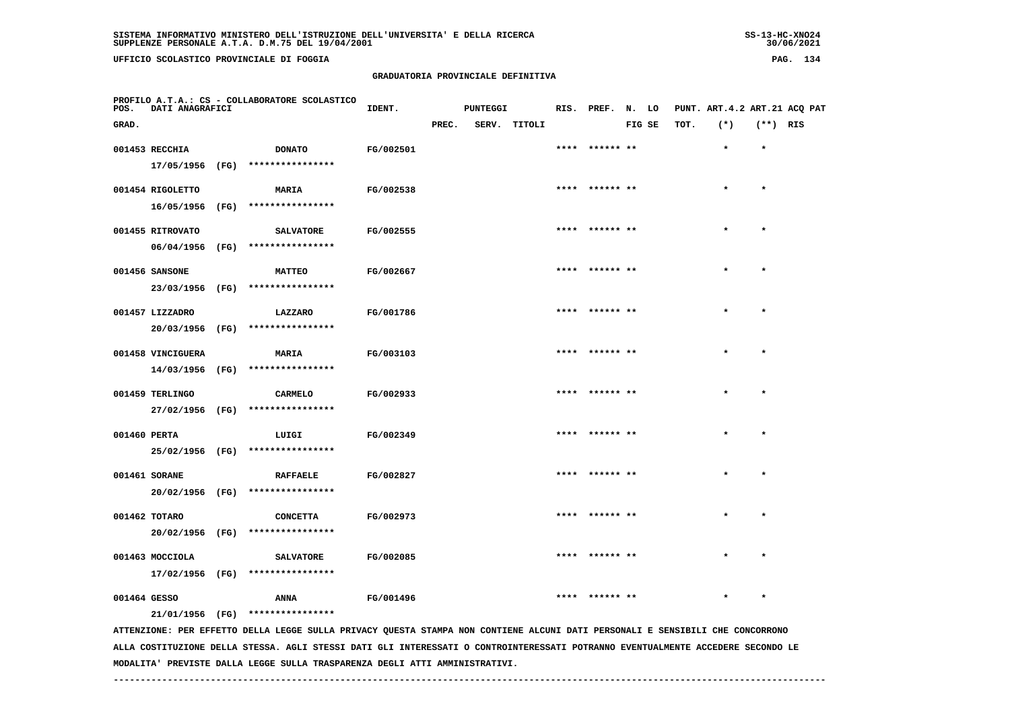**UFFICIO SCOLASTICO PROVINCIALE DI FOGGIA PAG. 134**

 **PROFILO A.T.A.: CS - COLLABORATORE SCOLASTICO**

# **GRADUATORIA PROVINCIALE DEFINITIVA**

 **GRAD. PREC. SERV. TITOLI FIG SE TOT. (\*) (\*\*) RIS**

 **001453 RECCHIA DONATO FG/002501 \*\*\*\* \*\*\*\*\*\* \*\* \* \***

**IDENT.** PUNTEGGI RIS. PREF. N. LO PUNT. ART.4.2 ART.21 ACQ PAT

|              | 17/05/1956 (FG)   |      | **************** |                  |                |         |         |
|--------------|-------------------|------|------------------|------------------|----------------|---------|---------|
|              | 001454 RIGOLETTO  |      | <b>MARIA</b>     | FG/002538        | **** ****** ** | $\star$ | $\star$ |
|              | 16/05/1956        | (FG) | **************** |                  |                |         |         |
|              | 001455 RITROVATO  |      | <b>SALVATORE</b> | FG/002555        | **** ****** ** | $\star$ | $\star$ |
|              | 06/04/1956 (FG)   |      | **************** |                  |                |         |         |
|              | 001456 SANSONE    |      | <b>MATTEO</b>    | <b>FG/002667</b> | **** ****** ** | $\star$ | $\star$ |
|              | 23/03/1956 (FG)   |      | **************** |                  |                |         |         |
|              | 001457 LIZZADRO   |      | LAZZARO          | FG/001786        | **** ****** ** | $\star$ | $\star$ |
|              | 20/03/1956        | (FG) | **************** |                  |                |         |         |
|              | 001458 VINCIGUERA |      | <b>MARIA</b>     | <b>FG/003103</b> | **** ****** ** | $\star$ | $\star$ |
|              | 14/03/1956 (FG)   |      | **************** |                  |                |         |         |
|              | 001459 TERLINGO   |      | CARMELO          | FG/002933        | **** ****** ** | $\star$ | $\star$ |
|              | 27/02/1956        | (FG) | **************** |                  |                |         |         |
| 001460 PERTA |                   |      | LUIGI            | <b>FG/002349</b> | **** ****** ** | $\star$ | $\star$ |
|              | 25/02/1956        | (FG) | **************** |                  |                |         |         |
|              | 001461 SORANE     |      | <b>RAFFAELE</b>  | FG/002827        | **** ****** ** | $\star$ | $\star$ |
|              | 20/02/1956        | (FG) | **************** |                  |                |         |         |

 **001462 TOTARO CONCETTA FG/002973 \*\*\*\* \*\*\*\*\*\* \*\* \* \* 20/02/1956 (FG) \*\*\*\*\*\*\*\*\*\*\*\*\*\*\*\***001463 MOCCIOLA **6 SALVATORE FG/002085** \*\*\*\* \*\*\*\*\*\* \*\* \* \* \* \* \* \*

 **17/02/1956 (FG) \*\*\*\*\*\*\*\*\*\*\*\*\*\*\*\***

 **21/01/1956 (FG) \*\*\*\*\*\*\*\*\*\*\*\*\*\*\*\***

 **ATTENZIONE: PER EFFETTO DELLA LEGGE SULLA PRIVACY QUESTA STAMPA NON CONTIENE ALCUNI DATI PERSONALI E SENSIBILI CHE CONCORRONO ALLA COSTITUZIONE DELLA STESSA. AGLI STESSI DATI GLI INTERESSATI O CONTROINTERESSATI POTRANNO EVENTUALMENTE ACCEDERE SECONDO LE MODALITA' PREVISTE DALLA LEGGE SULLA TRASPARENZA DEGLI ATTI AMMINISTRATIVI.**

 **001464 GESSO ANNA FG/001496 \*\*\*\* \*\*\*\*\*\* \*\* \* \***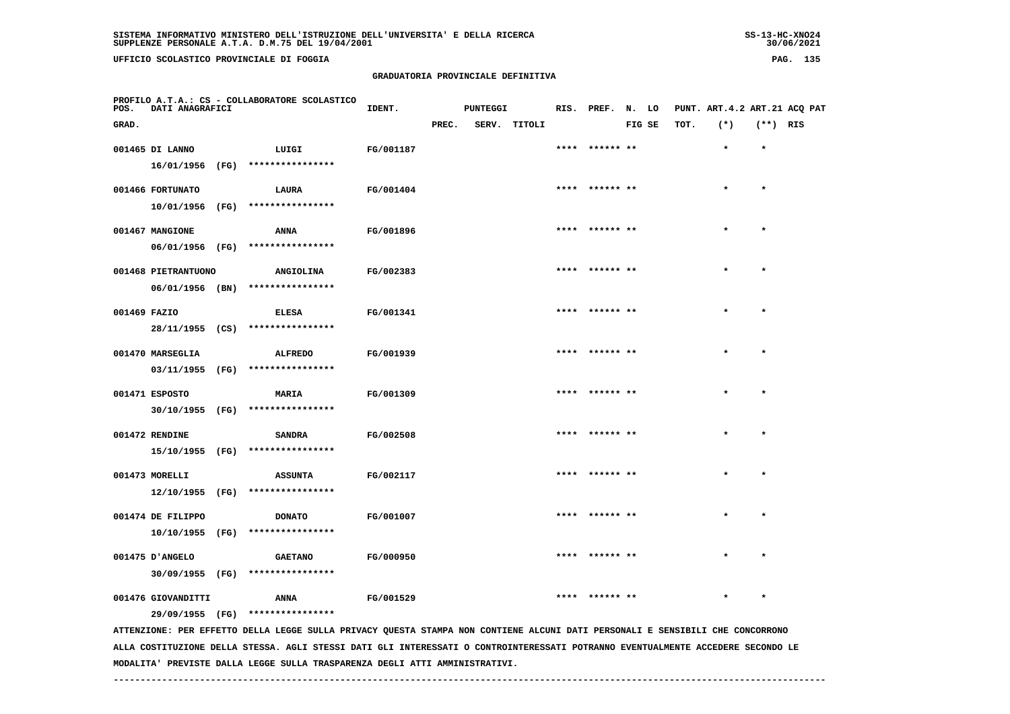**UFFICIO SCOLASTICO PROVINCIALE DI FOGGIA PAG. 135**

 **PROFILO A.T.A.: CS - COLLABORATORE SCOLASTICO**

# **GRADUATORIA PROVINCIALE DEFINITIVA**

 **GRAD. PREC. SERV. TITOLI FIG SE TOT. (\*) (\*\*) RIS**

**IDENT.** PUNTEGGI RIS. PREF. N. LO PUNT. ART.4.2 ART.21 ACQ PAT

|              | 001465 DI LANNO                       |      | LUIGI                              | FG/001187 |                |           |           |
|--------------|---------------------------------------|------|------------------------------------|-----------|----------------|-----------|-----------|
|              | 16/01/1956<br>001466 FORTUNATO        | (FG) | ****************<br>LAURA          | FG/001404 | **** ****** ** |           |           |
|              | 10/01/1956                            | (FG) | ****************                   |           |                |           |           |
|              | 001467 MANGIONE<br>06/01/1956 (FG)    |      | <b>ANNA</b><br>****************    | FG/001896 | **** ****** ** |           | $\bullet$ |
|              | 001468 PIETRANTUONO                   |      | ANGIOLINA                          | FG/002383 | **** ****** ** | $\star$   | $\star$   |
|              | 06/01/1956 (BN)                       |      | ****************                   |           |                |           |           |
| 001469 FAZIO | 28/11/1955 (CS)                       |      | <b>ELESA</b><br>****************   | FG/001341 | **** ****** ** |           | $\star$   |
|              | 001470 MARSEGLIA                      |      | <b>ALFREDO</b>                     | FG/001939 | **** ****** ** |           |           |
|              | 03/11/1955 (FG)                       |      | ****************                   |           |                |           |           |
|              | 001471 ESPOSTO<br>30/10/1955 (FG)     |      | <b>MARIA</b><br>****************   | FG/001309 | **** ****** ** | $\star$   | $\star$   |
|              | 001472 RENDINE                        |      | <b>SANDRA</b>                      | FG/002508 | **** ****** ** | $\bullet$ | $\star$   |
|              | 15/10/1955 (FG)                       |      | ****************                   |           |                |           |           |
|              | 001473 MORELLI<br>12/10/1955 (FG)     |      | <b>ASSUNTA</b><br>**************** | FG/002117 | **** ****** ** | $\bullet$ |           |
|              | 001474 DE FILIPPO                     |      | <b>DONATO</b>                      | FG/001007 | **** ****** ** |           |           |
|              | 10/10/1955                            | (FG) | ****************                   |           |                |           |           |
|              | 001475 D'ANGELO                       |      | <b>GAETANO</b>                     | FG/000950 |                |           |           |
|              | 30/09/1955 (FG)<br>001476 GIOVANDITTI |      | ****************<br><b>ANNA</b>    | FG/001529 | **** ****** ** |           |           |
|              | 29/09/1955 (FG)                       |      | ****************                   |           |                |           |           |

 **ATTENZIONE: PER EFFETTO DELLA LEGGE SULLA PRIVACY QUESTA STAMPA NON CONTIENE ALCUNI DATI PERSONALI E SENSIBILI CHE CONCORRONO ALLA COSTITUZIONE DELLA STESSA. AGLI STESSI DATI GLI INTERESSATI O CONTROINTERESSATI POTRANNO EVENTUALMENTE ACCEDERE SECONDO LE MODALITA' PREVISTE DALLA LEGGE SULLA TRASPARENZA DEGLI ATTI AMMINISTRATIVI.**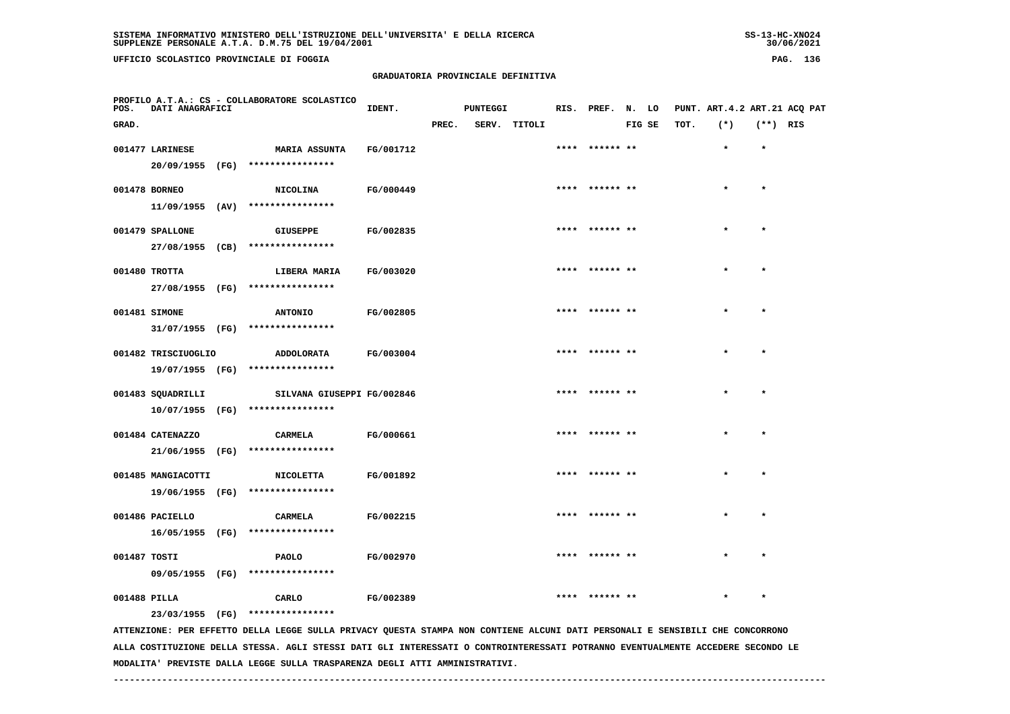**UFFICIO SCOLASTICO PROVINCIALE DI FOGGIA PAG. 136**

 **PROFILO A.T.A.: CS - COLLABORATORE SCOLASTICO**

# **GRADUATORIA PROVINCIALE DEFINITIVA**

**IDENT.** PUNTEGGI RIS. PREF. N. LO PUNT. ART.4.2 ART.21 ACQ PAT

| GRAD.        |                     |                                                                                                                                 |           | PREC. | SERV. | TITOLI |      |                 | FIG SE | TOT. | $(*)$ | $(**)$ RIS |  |
|--------------|---------------------|---------------------------------------------------------------------------------------------------------------------------------|-----------|-------|-------|--------|------|-----------------|--------|------|-------|------------|--|
|              | 001477 LARINESE     | <b>MARIA ASSUNTA</b>                                                                                                            | FG/001712 |       |       |        |      |                 |        |      |       |            |  |
|              |                     | 20/09/1955 (FG) ****************                                                                                                |           |       |       |        |      |                 |        |      |       |            |  |
|              | 001478 BORNEO       | <b>NICOLINA</b>                                                                                                                 | FG/000449 |       |       |        |      | ****** **       |        |      |       | $\star$    |  |
|              | $11/09/1955$ (AV)   | ****************                                                                                                                |           |       |       |        |      |                 |        |      |       |            |  |
|              | 001479 SPALLONE     | <b>GIUSEPPE</b>                                                                                                                 | FG/002835 |       |       |        |      | ****  ****** ** |        |      |       | $\bullet$  |  |
|              | 27/08/1955 (CB)     | ****************                                                                                                                |           |       |       |        |      |                 |        |      |       |            |  |
|              | 001480 TROTTA       | LIBERA MARIA                                                                                                                    | FG/003020 |       |       |        | **** | ****** **       |        |      |       | $\bullet$  |  |
|              | 27/08/1955 (FG)     | ****************                                                                                                                |           |       |       |        |      |                 |        |      |       |            |  |
|              | 001481 SIMONE       | <b>ANTONIO</b>                                                                                                                  | FG/002805 |       |       |        |      | **** ****** **  |        |      |       | $\star$    |  |
|              |                     | 31/07/1955 (FG) ****************                                                                                                |           |       |       |        |      |                 |        |      |       |            |  |
|              | 001482 TRISCIUOGLIO | ADDOLORATA                                                                                                                      | FG/003004 |       |       |        |      |                 |        |      |       | $\star$    |  |
|              |                     | 19/07/1955 (FG) ****************                                                                                                |           |       |       |        |      |                 |        |      |       |            |  |
|              | 001483 SQUADRILLI   | SILVANA GIUSEPPI FG/002846                                                                                                      |           |       |       |        |      | **** ****** **  |        |      |       | $\star$    |  |
|              |                     | 10/07/1955 (FG) ****************                                                                                                |           |       |       |        |      |                 |        |      |       |            |  |
|              | 001484 CATENAZZO    | CARMELA                                                                                                                         | FG/000661 |       |       |        |      | ****** **       |        |      |       |            |  |
|              |                     | 21/06/1955 (FG) ****************                                                                                                |           |       |       |        |      |                 |        |      |       |            |  |
|              | 001485 MANGIACOTTI  | <b>NICOLETTA</b>                                                                                                                | FG/001892 |       |       |        |      | ****** **       |        |      |       |            |  |
|              | 19/06/1955 (FG)     | ****************                                                                                                                |           |       |       |        |      |                 |        |      |       |            |  |
|              | 001486 PACIELLO     | <b>CARMELA</b>                                                                                                                  | FG/002215 |       |       |        |      | ****** **       |        |      |       |            |  |
|              | 16/05/1955 (FG)     | ****************                                                                                                                |           |       |       |        |      |                 |        |      |       |            |  |
| 001487 TOSTI |                     | PAOLO                                                                                                                           | FG/002970 |       |       |        |      |                 |        |      |       |            |  |
|              | 09/05/1955 (FG)     | ****************                                                                                                                |           |       |       |        |      |                 |        |      |       |            |  |
| 001488 PILLA |                     | CARLO                                                                                                                           | FG/002389 |       |       |        |      |                 |        |      |       |            |  |
|              |                     | 23/03/1955 (FG) ****************                                                                                                |           |       |       |        |      |                 |        |      |       |            |  |
|              |                     | ATTENZIONE: PER EFFETTO DELLA LEGGE SULLA PRIVACY QUESTA STAMPA NON CONTIENE ALCUNI DATI PERSONALI E SENSIBILI CHE CONCORRONO   |           |       |       |        |      |                 |        |      |       |            |  |
|              |                     | ALLA COSTITUZIONE DELLA STESSA. AGLI STESSI DATI GLI INTERESSATI O CONTROINTERESSATI POTRANNO EVENTUALMENTE ACCEDERE SECONDO LE |           |       |       |        |      |                 |        |      |       |            |  |

 **MODALITA' PREVISTE DALLA LEGGE SULLA TRASPARENZA DEGLI ATTI AMMINISTRATIVI.**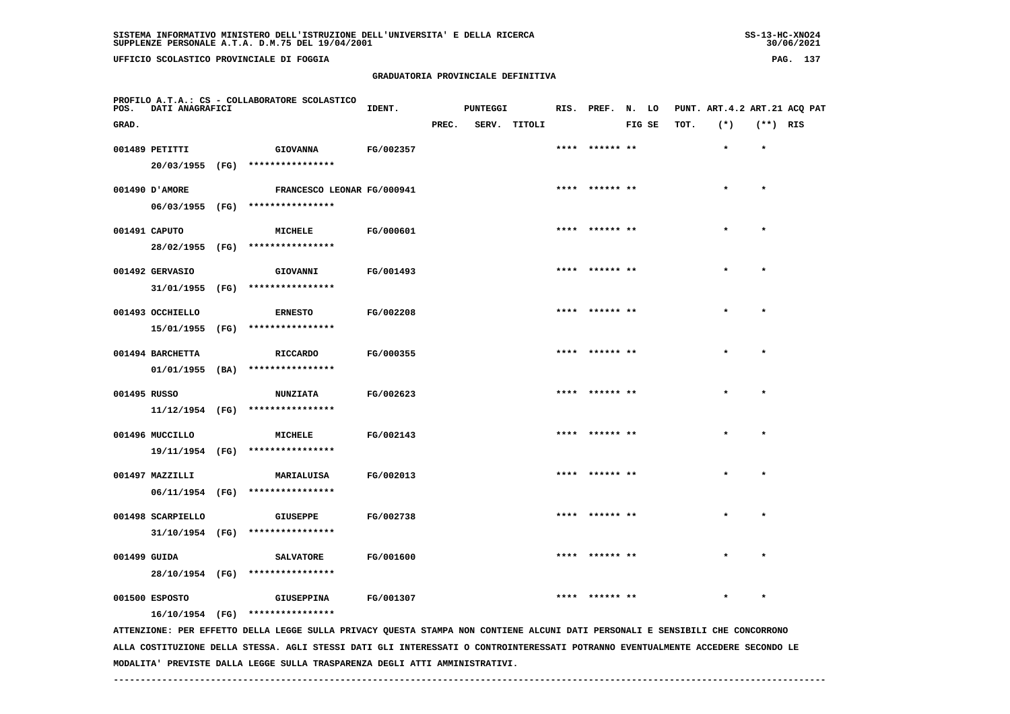**UFFICIO SCOLASTICO PROVINCIALE DI FOGGIA PAG. 137**

 **PROFILO A.T.A.: CS - COLLABORATORE SCOLASTICO**

# **GRADUATORIA PROVINCIALE DEFINITIVA**

| POS.         | <b>DATI ANAGRAFICI</b> |                                                                                                                               | IDENT.    |       | <b>PUNTEGGI</b> |              | RIS. PREF. N. LO |        |      | PUNT. ART.4.2 ART.21 ACQ PAT |            |  |
|--------------|------------------------|-------------------------------------------------------------------------------------------------------------------------------|-----------|-------|-----------------|--------------|------------------|--------|------|------------------------------|------------|--|
| GRAD.        |                        |                                                                                                                               |           | PREC. |                 | SERV. TITOLI |                  | FIG SE | TOT. | $(*)$                        | $(**)$ RIS |  |
|              | 001489 PETITTI         | <b>GIOVANNA</b>                                                                                                               | FG/002357 |       |                 |              | **** ****** **   |        |      | $\star$                      | $\star$    |  |
|              |                        | 20/03/1955 (FG) ****************                                                                                              |           |       |                 |              |                  |        |      |                              |            |  |
|              | 001490 D'AMORE         | FRANCESCO LEONAR FG/000941                                                                                                    |           |       |                 |              | **** ****** **   |        |      | $\star$                      | $\star$    |  |
|              |                        | 06/03/1955 (FG) *****************                                                                                             |           |       |                 |              |                  |        |      |                              |            |  |
|              | 001491 CAPUTO          | MICHELE                                                                                                                       | FG/000601 |       |                 |              | **** ****** **   |        |      | $\star$                      | $\star$    |  |
|              |                        | 28/02/1955 (FG) ****************                                                                                              |           |       |                 |              |                  |        |      |                              |            |  |
|              | 001492 GERVASIO        | GIOVANNI                                                                                                                      | FG/001493 |       |                 |              | **** ****** **   |        |      | $\star$                      | $\star$    |  |
|              |                        | 31/01/1955 (FG) ****************                                                                                              |           |       |                 |              |                  |        |      |                              |            |  |
|              | 001493 OCCHIELLO       | <b>ERNESTO</b>                                                                                                                | FG/002208 |       |                 |              | **** ****** **   |        |      | $\star$                      | $\star$    |  |
|              |                        | 15/01/1955 (FG) ****************                                                                                              |           |       |                 |              |                  |        |      |                              |            |  |
|              | 001494 BARCHETTA       | RICCARDO                                                                                                                      | FG/000355 |       |                 |              | **** ****** **   |        |      | $\star$                      | $\star$    |  |
|              |                        | $01/01/1955$ (BA) ****************                                                                                            |           |       |                 |              |                  |        |      |                              |            |  |
| 001495 RUSSO |                        | <b>NUNZIATA</b>                                                                                                               | FG/002623 |       |                 |              | **** ****** **   |        |      | $\star$                      | $\star$    |  |
|              |                        | $11/12/1954$ (FG) ****************                                                                                            |           |       |                 |              |                  |        |      |                              |            |  |
|              | 001496 MUCCILLO        | MICHELE                                                                                                                       | FG/002143 |       |                 |              | ****  ****** **  |        |      |                              |            |  |
|              |                        | 19/11/1954 (FG) ****************                                                                                              |           |       |                 |              |                  |        |      |                              |            |  |
|              | 001497 MAZZILLI        | MARIALUISA                                                                                                                    | FG/002013 |       |                 |              | **** ****** **   |        |      |                              |            |  |
|              |                        | 06/11/1954 (FG) ****************                                                                                              |           |       |                 |              |                  |        |      |                              |            |  |
|              | 001498 SCARPIELLO      | GIUSEPPE                                                                                                                      | FG/002738 |       |                 |              | **** ****** **   |        |      |                              |            |  |
|              |                        | $31/10/1954$ (FG) ****************                                                                                            |           |       |                 |              |                  |        |      |                              |            |  |
| 001499 GUIDA |                        | <b>SALVATORE</b>                                                                                                              | FG/001600 |       |                 |              |                  |        |      |                              |            |  |
|              |                        | 28/10/1954 (FG) ****************                                                                                              |           |       |                 |              |                  |        |      |                              |            |  |
|              | 001500 ESPOSTO         | <b>GIUSEPPINA</b>                                                                                                             | FG/001307 |       |                 |              | **** ****** **   |        |      |                              | $\star$    |  |
|              |                        | 16/10/1954 (FG) ****************                                                                                              |           |       |                 |              |                  |        |      |                              |            |  |
|              |                        | ATTENZIONE: PER EFFETTO DELLA LEGGE SULLA PRIVACY QUESTA STAMPA NON CONTIENE ALCUNI DATI PERSONALI E SENSIBILI CHE CONCORRONO |           |       |                 |              |                  |        |      |                              |            |  |

 **ALLA COSTITUZIONE DELLA STESSA. AGLI STESSI DATI GLI INTERESSATI O CONTROINTERESSATI POTRANNO EVENTUALMENTE ACCEDERE SECONDO LE MODALITA' PREVISTE DALLA LEGGE SULLA TRASPARENZA DEGLI ATTI AMMINISTRATIVI.**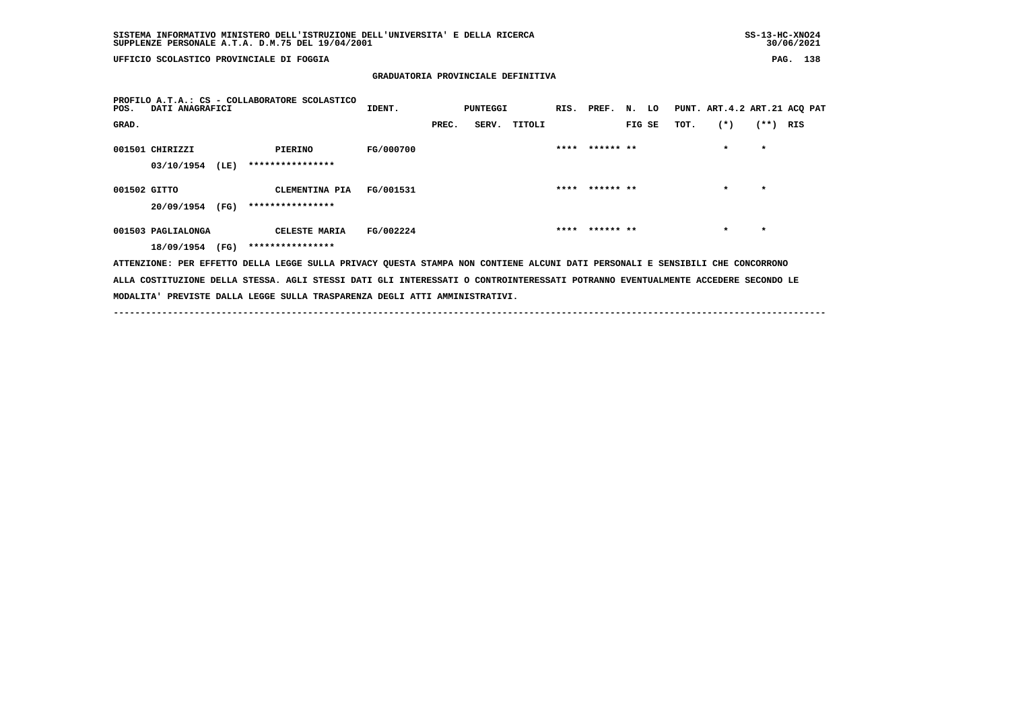**UFFICIO SCOLASTICO PROVINCIALE DI FOGGIA PAG. 138**

#### **GRADUATORIA PROVINCIALE DEFINITIVA**

| POS.         | DATI ANAGRAFICI    |      | PROFILO A.T.A.: CS - COLLABORATORE SCOLASTICO                                                                                   | IDENT.    |       | PUNTEGGI |        |                |        |      | RIS. PREF. N. LO PUNT. ART.4.2 ART.21 ACQ PAT |            |  |
|--------------|--------------------|------|---------------------------------------------------------------------------------------------------------------------------------|-----------|-------|----------|--------|----------------|--------|------|-----------------------------------------------|------------|--|
| GRAD.        |                    |      |                                                                                                                                 |           | PREC. | SERV.    | TITOLI |                | FIG SE | TOT. | $(*)$                                         | $(**)$ RIS |  |
|              | 001501 CHIRIZZI    |      | PIERINO                                                                                                                         | FG/000700 |       |          |        | **** ****** ** |        |      | $\star$                                       | $\star$    |  |
|              | 03/10/1954         | (LE) | ****************                                                                                                                |           |       |          |        |                |        |      |                                               |            |  |
| 001502 GITTO |                    |      | CLEMENTINA PIA                                                                                                                  | FG/001531 |       |          |        | **** ****** ** |        |      | $\star$                                       | $\star$    |  |
|              | 20/09/1954         | (FG) | ****************                                                                                                                |           |       |          |        |                |        |      |                                               |            |  |
|              | 001503 PAGLIALONGA |      | CELESTE MARIA                                                                                                                   | FG/002224 |       |          |        | **** ****** ** |        |      | $\star$                                       | $\star$    |  |
|              | 18/09/1954         | (FG) | ****************                                                                                                                |           |       |          |        |                |        |      |                                               |            |  |
|              |                    |      | ATTENZIONE: PER EFFETTO DELLA LEGGE SULLA PRIVACY QUESTA STAMPA NON CONTIENE ALCUNI DATI PERSONALI E SENSIBILI CHE CONCORRONO   |           |       |          |        |                |        |      |                                               |            |  |
|              |                    |      | ALLA COSTITUZIONE DELLA STESSA. AGLI STESSI DATI GLI INTERESSATI O CONTROINTERESSATI POTRANNO EVENTUALMENTE ACCEDERE SECONDO LE |           |       |          |        |                |        |      |                                               |            |  |
|              |                    |      | MODALITA' PREVISTE DALLA LEGGE SULLA TRASPARENZA DEGLI ATTI AMMINISTRATIVI.                                                     |           |       |          |        |                |        |      |                                               |            |  |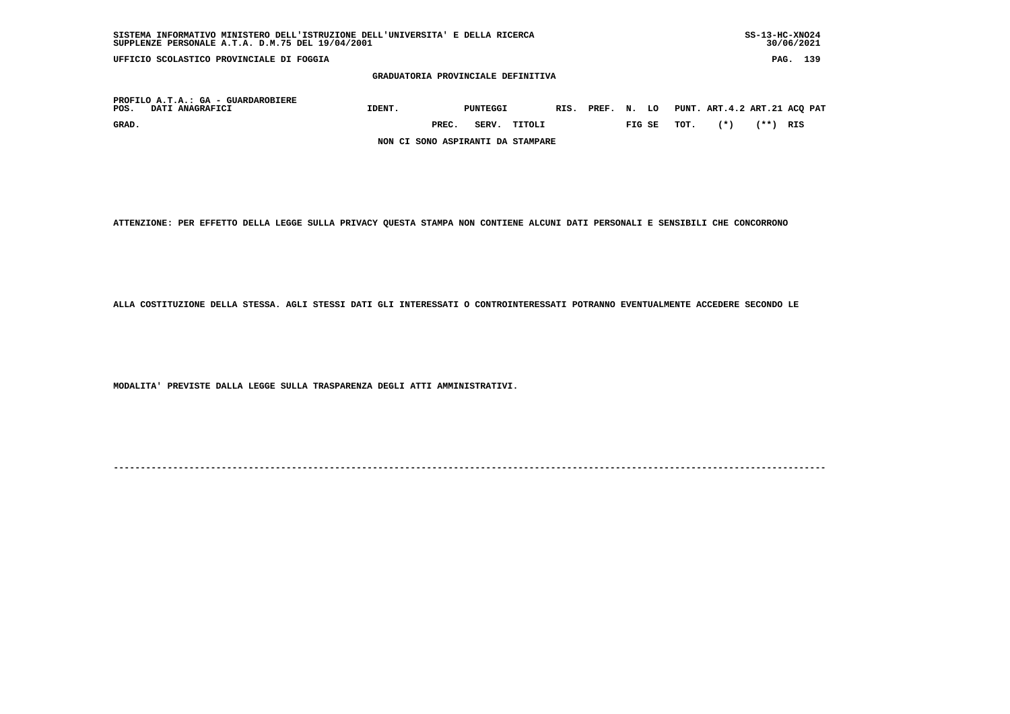| SUPPLENZE PERSONALE A.T.A. D.M.75 DEL 19/04/2001              |                                    |       |          |        |            |       |        |      |                              |            | 30/06/2021 |     |
|---------------------------------------------------------------|------------------------------------|-------|----------|--------|------------|-------|--------|------|------------------------------|------------|------------|-----|
| UFFICIO SCOLASTICO PROVINCIALE DI FOGGIA                      |                                    |       |          |        |            |       |        |      |                              | PAG.       |            | 139 |
|                                                               | GRADUATORIA PROVINCIALE DEFINITIVA |       |          |        |            |       |        |      |                              |            |            |     |
| PROFILO A.T.A.: GA - GUARDAROBIERE<br>DATI ANAGRAFICI<br>POS. | IDENT.                             |       | PUNTEGGI |        | RIS. PREF. | N. LO |        |      | PUNT. ART.4.2 ART.21 ACQ PAT |            |            |     |
| GRAD.                                                         |                                    | PREC. | SERV.    | TITOLI |            |       | FIG SE | TOT. | $(*)$                        | $(**)$ RIS |            |     |
|                                                               | NON CI SONO ASPIRANTI DA STAMPARE  |       |          |        |            |       |        |      |                              |            |            |     |

 **SISTEMA INFORMATIVO MINISTERO DELL'ISTRUZIONE DELL'UNIVERSITA' E DELLA RICERCA SS-13-HC-XNO24**

 **ATTENZIONE: PER EFFETTO DELLA LEGGE SULLA PRIVACY QUESTA STAMPA NON CONTIENE ALCUNI DATI PERSONALI E SENSIBILI CHE CONCORRONO**

 **ALLA COSTITUZIONE DELLA STESSA. AGLI STESSI DATI GLI INTERESSATI O CONTROINTERESSATI POTRANNO EVENTUALMENTE ACCEDERE SECONDO LE**

 **MODALITA' PREVISTE DALLA LEGGE SULLA TRASPARENZA DEGLI ATTI AMMINISTRATIVI.**